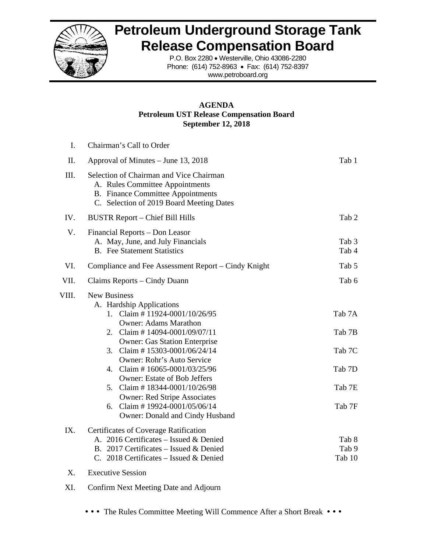

## **Petroleum Underground Storage Tank Release Compensation Board**

P.O. Box 2280 • Westerville, Ohio 43086-2280 Phone: (614) 752-8963 • Fax: (614) 752-8397 www.petroboard.org

## **AGENDA Petroleum UST Release Compensation Board September 12, 2018**

| I.        | Chairman's Call to Order                                                                                                                                                                                                                                                                                                                                                                                                                                                                     |                                                          |
|-----------|----------------------------------------------------------------------------------------------------------------------------------------------------------------------------------------------------------------------------------------------------------------------------------------------------------------------------------------------------------------------------------------------------------------------------------------------------------------------------------------------|----------------------------------------------------------|
| Π.        | Approval of Minutes – June 13, 2018                                                                                                                                                                                                                                                                                                                                                                                                                                                          | Tab 1                                                    |
| III.      | Selection of Chairman and Vice Chairman<br>A. Rules Committee Appointments<br><b>B.</b> Finance Committee Appointments<br>C. Selection of 2019 Board Meeting Dates                                                                                                                                                                                                                                                                                                                           |                                                          |
| IV.       | <b>BUSTR Report – Chief Bill Hills</b>                                                                                                                                                                                                                                                                                                                                                                                                                                                       | Tab 2                                                    |
| V.        | Financial Reports - Don Leasor<br>A. May, June, and July Financials<br><b>B.</b> Fee Statement Statistics                                                                                                                                                                                                                                                                                                                                                                                    | Tab 3<br>Tab 4                                           |
| VI.       | Compliance and Fee Assessment Report – Cindy Knight                                                                                                                                                                                                                                                                                                                                                                                                                                          | Tab 5                                                    |
| VII.      | Claims Reports – Cindy Duann                                                                                                                                                                                                                                                                                                                                                                                                                                                                 | Tab 6                                                    |
| VIII.     | <b>New Business</b><br>A. Hardship Applications<br>1. Claim # 11924-0001/10/26/95<br><b>Owner: Adams Marathon</b><br>2. Claim #14094-0001/09/07/11<br><b>Owner: Gas Station Enterprise</b><br>3. Claim # $15303 - 0001/06/24/14$<br><b>Owner: Rohr's Auto Service</b><br>4. Claim #16065-0001/03/25/96<br><b>Owner: Estate of Bob Jeffers</b><br>5. Claim #18344-0001/10/26/98<br><b>Owner: Red Stripe Associates</b><br>Claim #19924-0001/05/06/14<br>6.<br>Owner: Donald and Cindy Husband | Tab 7A<br>Tab 7B<br>Tab 7C<br>Tab 7D<br>Tab 7E<br>Tab 7F |
| IX.<br>X. | Certificates of Coverage Ratification<br>A. 2016 Certificates - Issued & Denied<br>B. 2017 Certificates - Issued & Denied<br>C. 2018 Certificates – Issued & Denied<br><b>Executive Session</b>                                                                                                                                                                                                                                                                                              | Tab 8<br>Tab 9<br>Tab 10                                 |

XI. Confirm Next Meeting Date and Adjourn

• • • The Rules Committee Meeting Will Commence After a Short Break • • •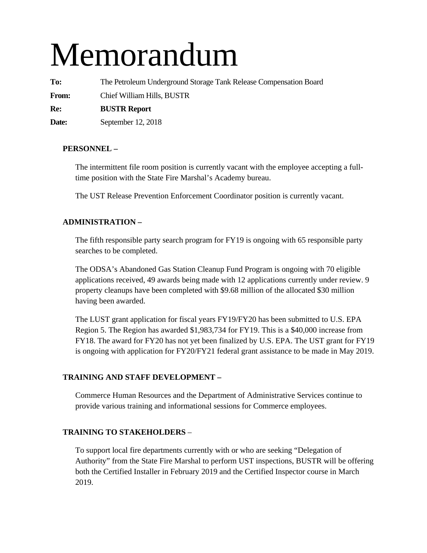# Memorandum

**To:** The Petroleum Underground Storage Tank Release Compensation Board **From:** Chief William Hills, BUSTR **Re: BUSTR Report Date:** September 12, 2018

## **PERSONNEL –**

The intermittent file room position is currently vacant with the employee accepting a fulltime position with the State Fire Marshal's Academy bureau.

The UST Release Prevention Enforcement Coordinator position is currently vacant.

## **ADMINISTRATION –**

The fifth responsible party search program for FY19 is ongoing with 65 responsible party searches to be completed.

The ODSA's Abandoned Gas Station Cleanup Fund Program is ongoing with 70 eligible applications received, 49 awards being made with 12 applications currently under review. 9 property cleanups have been completed with \$9.68 million of the allocated \$30 million having been awarded.

The LUST grant application for fiscal years FY19/FY20 has been submitted to U.S. EPA Region 5. The Region has awarded \$1,983,734 for FY19. This is a \$40,000 increase from FY18. The award for FY20 has not yet been finalized by U.S. EPA. The UST grant for FY19 is ongoing with application for FY20/FY21 federal grant assistance to be made in May 2019.

## **TRAINING AND STAFF DEVELOPMENT –**

Commerce Human Resources and the Department of Administrative Services continue to provide various training and informational sessions for Commerce employees.

## **TRAINING TO STAKEHOLDERS** –

To support local fire departments currently with or who are seeking "Delegation of Authority" from the State Fire Marshal to perform UST inspections, BUSTR will be offering both the Certified Installer in February 2019 and the Certified Inspector course in March 2019.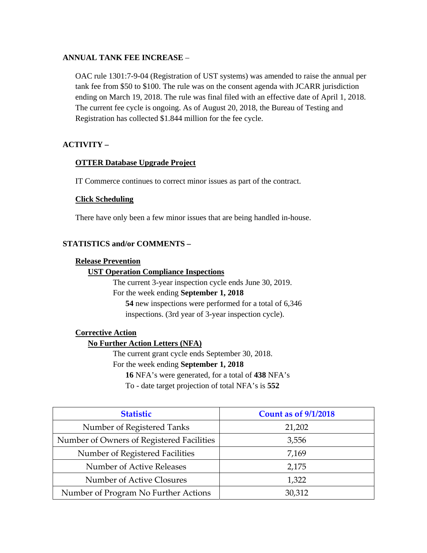## **ANNUAL TANK FEE INCREASE** –

OAC rule 1301:7-9-04 (Registration of UST systems) was amended to raise the annual per tank fee from \$50 to \$100. The rule was on the consent agenda with JCARR jurisdiction ending on March 19, 2018. The rule was final filed with an effective date of April 1, 2018. The current fee cycle is ongoing. As of August 20, 2018, the Bureau of Testing and Registration has collected \$1.844 million for the fee cycle.

## **ACTIVITY –**

#### **OTTER Database Upgrade Project**

IT Commerce continues to correct minor issues as part of the contract.

## **Click Scheduling**

There have only been a few minor issues that are being handled in-house.

## **STATISTICS and/or COMMENTS –**

#### **Release Prevention**

#### **UST Operation Compliance Inspections**

The current 3-year inspection cycle ends June 30, 2019. For the week ending **September 1, 2018 54** new inspections were performed for a total of 6,346 inspections. (3rd year of 3-year inspection cycle).

## **Corrective Action**

## **No Further Action Letters (NFA)**

The current grant cycle ends September 30, 2018. For the week ending **September 1, 2018 16** NFA's were generated, for a total of **438** NFA's

To - date target projection of total NFA's is **552** 

| <b>Statistic</b>                          | <b>Count as of 9/1/2018</b> |
|-------------------------------------------|-----------------------------|
| Number of Registered Tanks                | 21,202                      |
| Number of Owners of Registered Facilities | 3,556                       |
| Number of Registered Facilities           | 7,169                       |
| Number of Active Releases                 | 2,175                       |
| Number of Active Closures                 | 1,322                       |
| Number of Program No Further Actions      | 30,312                      |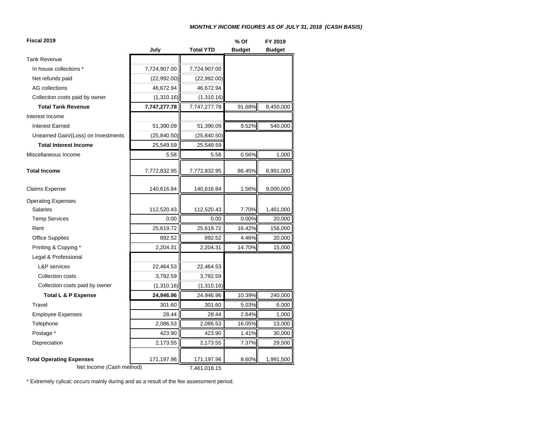#### *MONTHLY INCOME FIGURES AS OF JULY 31, 2018 (CASH BASIS)*

| Fiscal 2019                         |              |                  | % Of          | FY 2019       |  |
|-------------------------------------|--------------|------------------|---------------|---------------|--|
|                                     | July         | <b>Total YTD</b> | <b>Budget</b> | <b>Budget</b> |  |
| <b>Tank Revenue</b>                 |              |                  |               |               |  |
| In house collections *              | 7,724,907.00 | 7,724,907.00     |               |               |  |
| Net refunds paid                    | (22,992.00)  | (22,992.00)      |               |               |  |
| <b>AG</b> collections               | 46,672.94    | 46,672.94        |               |               |  |
| Collection costs paid by owner      | (1,310.16)   | (1,310.16)       |               |               |  |
| <b>Total Tank Revenue</b>           | 7,747,277.78 | 7,747,277.78     | 91.68%        | 8,450,000     |  |
| Interest Income                     |              |                  |               |               |  |
| <b>Interest Earned</b>              | 51,390.09    | 51,390.09        | 9.52%         | 540,000       |  |
| Unearned Gain/(Loss) on Investments | (25, 840.50) | (25, 840.50)     |               |               |  |
| <b>Total Interest Income</b>        | 25,549.59    | 25,549.59        |               |               |  |
| Miscellaneous Income                | 5.58         | 5.58             | 0.56%         | 1,000         |  |
| <b>Total Income</b>                 | 7,772,832.95 | 7,772,832.95     | 86.45%        | 8,991,000     |  |
| <b>Claims Expense</b>               | 140,616.84   | 140,616.84       | 1.56%         | 9,000,000     |  |
| <b>Operating Expenses</b>           |              |                  |               |               |  |
| <b>Salaries</b>                     | 112,520.43   | 112,520.43       | 7.70%         | 1,461,000     |  |
| <b>Temp Services</b>                | 0.00         | 0.00             | 0.00%         | 20,000        |  |
| Rent                                | 25,619.72    | 25,619.72        | 16.42%        | 156,000       |  |
| <b>Office Supplies</b>              | 892.52       | 892.52           | 4.46%         | 20,000        |  |
| Printing & Copying *                | 2,204.31     | 2,204.31         | 14.70%        | 15,000        |  |
| Legal & Professional                |              |                  |               |               |  |
| L&P services                        | 22,464.53    | 22,464.53        |               |               |  |
| Collection costs                    | 3,792.59     | 3,792.59         |               |               |  |
| Collection costs paid by owner      | (1,310.16)   | (1,310.16)       |               |               |  |
| Total L & P Expense                 | 24,946.96    | 24,946.96        | 10.39%        | 240,000       |  |
| Travel                              | 301.60       | 301.60           | 5.03%         | 6,000         |  |
| <b>Employee Expenses</b>            | 28.44        | 28.44            | 2.84%         | 1,000         |  |
| Telephone                           | 2,086.53     | 2,086.53         | 16.05%        | 13,000        |  |
| Postage *                           | 423.90       | 423.90           | 1.41%         | 30,000        |  |
| Depreciation                        | 2,173.55     | 2,173.55         | 7.37%         | 29,500        |  |
| <b>Total Operating Expenses</b>     | 171,197.96   | 171,197.96       | 8.60%         | 1,991,500     |  |
| Net Income (Cash method)            |              | 7,461,018.15     |               |               |  |

\* Extremely cylical; occurs mainly during and as a result of the fee assessment period.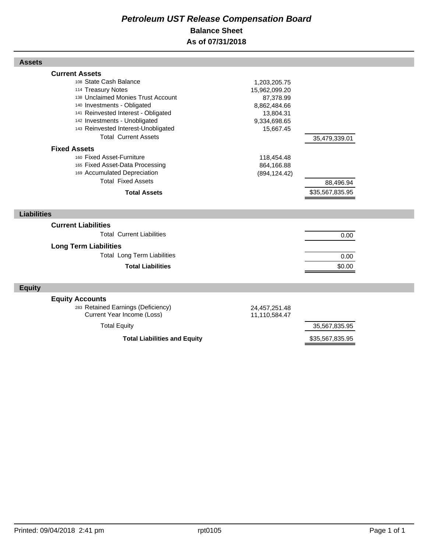## *Petroleum UST Release Compensation Board*  **Balance Sheet As of 07/31/2018**

| พววนเว                                                                                                                                                                            |                                                                         |                              |  |
|-----------------------------------------------------------------------------------------------------------------------------------------------------------------------------------|-------------------------------------------------------------------------|------------------------------|--|
| <b>Current Assets</b><br>108 State Cash Balance<br>114 Treasury Notes<br>138 Unclaimed Monies Trust Account<br>140 Investments - Obligated<br>141 Reinvested Interest - Obligated | 1,203,205.75<br>15,962,099.20<br>87,378.99<br>8,862,484.66<br>13,804.31 |                              |  |
| 142 Investments - Unobligated<br>143 Reinvested Interest-Unobligated<br><b>Total Current Assets</b>                                                                               | 9,334,698.65<br>15,667.45                                               | 35,479,339.01                |  |
| <b>Fixed Assets</b><br>160 Fixed Asset-Furniture<br>165 Fixed Asset-Data Processing<br>169 Accumulated Depreciation<br><b>Total Fixed Assets</b><br><b>Total Assets</b>           | 118,454.48<br>864,166.88<br>(894, 124.42)                               | 88,496.94<br>\$35,567,835.95 |  |
| <b>Liabilities</b>                                                                                                                                                                |                                                                         |                              |  |
| <b>Current Liabilities</b><br><b>Total Current Liabilities</b><br><b>Long Term Liabilities</b>                                                                                    |                                                                         | 0.00                         |  |
| <b>Total Long Term Liabilities</b>                                                                                                                                                |                                                                         | 0.00                         |  |
| <b>Total Liabilities</b>                                                                                                                                                          |                                                                         | \$0.00                       |  |
| <b>Equity</b>                                                                                                                                                                     |                                                                         |                              |  |
| <b>Equity Accounts</b><br>283 Retained Earnings (Deficiency)<br>Current Year Income (Loss)                                                                                        | 24,457,251.48<br>11,110,584.47                                          |                              |  |
| <b>Total Equity</b>                                                                                                                                                               |                                                                         | 35,567,835.95                |  |
| <b>Total Liabilities and Equity</b>                                                                                                                                               |                                                                         | \$35,567,835.95              |  |

**Assets**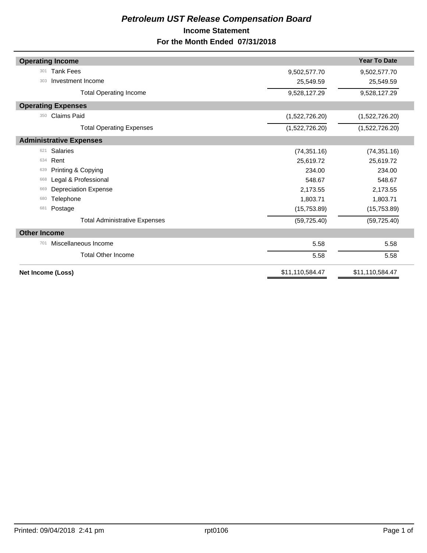## *Petroleum UST Release Compensation Board*  **Income Statement For the Month Ended 07/31/2018**

| <b>Operating Income</b>              |                 | <b>Year To Date</b> |
|--------------------------------------|-----------------|---------------------|
| <b>Tank Fees</b><br>301              | 9,502,577.70    | 9,502,577.70        |
| Investment Income<br>303             | 25,549.59       | 25,549.59           |
| <b>Total Operating Income</b>        | 9,528,127.29    | 9,528,127.29        |
| <b>Operating Expenses</b>            |                 |                     |
| <b>Claims Paid</b><br>350            | (1,522,726.20)  | (1,522,726.20)      |
| <b>Total Operating Expenses</b>      | (1,522,726.20)  | (1,522,726.20)      |
| <b>Administrative Expenses</b>       |                 |                     |
| <b>Salaries</b><br>621               | (74, 351.16)    | (74, 351.16)        |
| Rent<br>634                          | 25,619.72       | 25,619.72           |
| Printing & Copying<br>639            | 234.00          | 234.00              |
| Legal & Professional<br>668          | 548.67          | 548.67              |
| <b>Depreciation Expense</b><br>669   | 2,173.55        | 2,173.55            |
| Telephone<br>680                     | 1,803.71        | 1,803.71            |
| Postage<br>681                       | (15,753.89)     | (15,753.89)         |
| <b>Total Administrative Expenses</b> | (59, 725.40)    | (59, 725.40)        |
| <b>Other Income</b>                  |                 |                     |
| Miscellaneous Income<br>701          | 5.58            | 5.58                |
| <b>Total Other Income</b>            | 5.58            | 5.58                |
| Net Income (Loss)                    | \$11,110,584.47 | \$11,110,584.47     |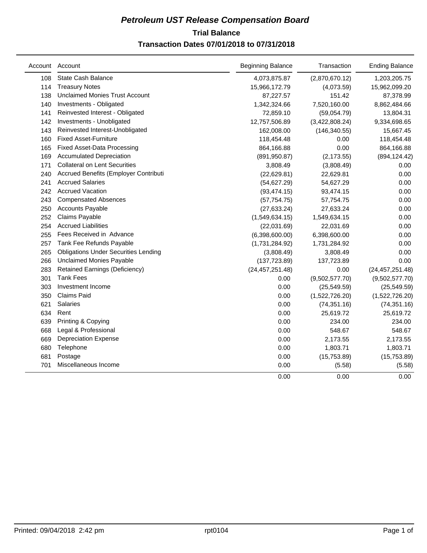## **Trial Balance** *Petroleum UST Release Compensation Board*  **Transaction Dates 07/01/2018 to 07/31/2018**

|     | Account Account                             | <b>Beginning Balance</b> | Transaction    | <b>Ending Balance</b> |
|-----|---------------------------------------------|--------------------------|----------------|-----------------------|
| 108 | <b>State Cash Balance</b>                   | 4,073,875.87             | (2,870,670.12) | 1,203,205.75          |
| 114 | <b>Treasury Notes</b>                       | 15,966,172.79            | (4,073.59)     | 15,962,099.20         |
| 138 | <b>Unclaimed Monies Trust Account</b>       | 87,227.57                | 151.42         | 87,378.99             |
| 140 | Investments - Obligated                     | 1,342,324.66             | 7,520,160.00   | 8,862,484.66          |
| 141 | Reinvested Interest - Obligated             | 72,859.10                | (59,054.79)    | 13,804.31             |
| 142 | Investments - Unobligated                   | 12,757,506.89            | (3,422,808.24) | 9,334,698.65          |
| 143 | Reinvested Interest-Unobligated             | 162,008.00               | (146, 340.55)  | 15,667.45             |
| 160 | <b>Fixed Asset-Furniture</b>                | 118,454.48               | 0.00           | 118,454.48            |
| 165 | <b>Fixed Asset-Data Processing</b>          | 864,166.88               | 0.00           | 864,166.88            |
| 169 | <b>Accumulated Depreciation</b>             | (891, 950.87)            | (2, 173.55)    | (894, 124.42)         |
| 171 | <b>Collateral on Lent Securities</b>        | 3,808.49                 | (3,808.49)     | 0.00                  |
| 240 | Accrued Benefits (Employer Contributi       | (22, 629.81)             | 22,629.81      | 0.00                  |
| 241 | <b>Accrued Salaries</b>                     | (54, 627.29)             | 54,627.29      | 0.00                  |
| 242 | <b>Accrued Vacation</b>                     | (93, 474.15)             | 93,474.15      | 0.00                  |
| 243 | <b>Compensated Absences</b>                 | (57, 754.75)             | 57,754.75      | 0.00                  |
| 250 | <b>Accounts Payable</b>                     | (27, 633.24)             | 27,633.24      | 0.00                  |
| 252 | Claims Payable                              | (1,549,634.15)           | 1,549,634.15   | 0.00                  |
| 254 | <b>Accrued Liabilities</b>                  | (22,031.69)              | 22,031.69      | 0.00                  |
| 255 | Fees Received in Advance                    | (6,398,600.00)           | 6,398,600.00   | 0.00                  |
| 257 | Tank Fee Refunds Payable                    | (1,731,284.92)           | 1,731,284.92   | 0.00                  |
| 265 | <b>Obligations Under Securities Lending</b> | (3,808.49)               | 3,808.49       | 0.00                  |
| 266 | <b>Unclaimed Monies Payable</b>             | (137, 723.89)            | 137,723.89     | 0.00                  |
| 283 | <b>Retained Earnings (Deficiency)</b>       | (24, 457, 251.48)        | 0.00           | (24, 457, 251.48)     |
| 301 | <b>Tank Fees</b>                            | 0.00                     | (9,502,577.70) | (9,502,577.70)        |
| 303 | Investment Income                           | 0.00                     | (25, 549.59)   | (25, 549.59)          |
| 350 | <b>Claims Paid</b>                          | 0.00                     | (1,522,726.20) | (1,522,726.20)        |
| 621 | Salaries                                    | 0.00                     | (74, 351.16)   | (74, 351.16)          |
| 634 | Rent                                        | 0.00                     | 25,619.72      | 25,619.72             |
| 639 | Printing & Copying                          | 0.00                     | 234.00         | 234.00                |
| 668 | Legal & Professional                        | 0.00                     | 548.67         | 548.67                |
| 669 | <b>Depreciation Expense</b>                 | 0.00                     | 2,173.55       | 2,173.55              |
| 680 | Telephone                                   | 0.00                     | 1,803.71       | 1,803.71              |
| 681 | Postage                                     | 0.00                     | (15,753.89)    | (15,753.89)           |
| 701 | Miscellaneous Income                        | 0.00                     | (5.58)         | (5.58)                |
|     |                                             | 0.00                     | 0.00           | 0.00                  |
|     |                                             |                          |                |                       |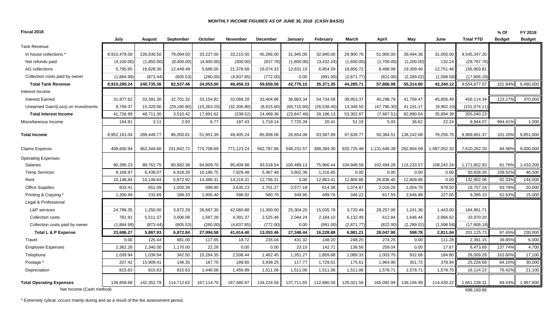#### *MONTHLY INCOME FIGURES AS OF JUNE 30, 2018 (CASH BASIS)*

| Fiscal 2018                         |              |            |                  |              |                 |                 |              |              |            |              |             |              |                  | % Of          | FY 2018       |
|-------------------------------------|--------------|------------|------------------|--------------|-----------------|-----------------|--------------|--------------|------------|--------------|-------------|--------------|------------------|---------------|---------------|
|                                     | July         | August     | <b>September</b> | October      | <b>November</b> | <b>December</b> | January      | February     | March      | April        | May         | June         | <b>Total YTD</b> | <b>Budget</b> | <b>Budget</b> |
| <b>Tank Revenue</b>                 |              |            |                  |              |                 |                 |              |              |            |              |             |              |                  |               |               |
| In house collections *              | 8,910,478.58 | 226,830.50 | 79,094.50        | 33,227.00    | 33,215.50       | 45,266.00       | 31,945.00    | 32,940.00    | 29,900.76  | 51,900.00    | 39,494.36   | 31,055.00    | 9,545,347.20     |               |               |
| Net refunds paid                    | (4, 100.00)  | (1,850.00) | (8,400.00)       | (4,600.00)   | (300.00)        | (917.76)        | (1,800.00)   | (3,432.24)   | (1,600.00) | (1,700.00)   | (1,200.00)  | 132.24       | (29, 767.76)     |               |               |
| AG collections                      | 5,795.65     | 16,628.30  | 12,448.49        | 5,686.00     | 21,378.68       | 16,074.32       | 12,631.15    | 6,854.59     | 18,856.72  | 8,488.99     | 19,309.46   | 12,751.46    | 156,903.81       |               |               |
| Collection costs paid by owner      | (1,884.99)   | (873.44)   | (605.53)         | (260.00)     | (4, 837.85)     | (772.00)        | 0.00         | (991.00)     | (2,871.77) | (822.00)     | (2, 289.02) | (1,598.58)   | (17,806.18)      |               |               |
| <b>Total Tank Revenue</b>           | 8,910,289.24 | 240,735.36 | 82,537.46        | 34,053.00    | 49,456.33       | 59,650.56       | 42,776.15    | 35,371.35    | 44,285.71  | 57,866.99    | 55,314.80   | 42,340.12    | 9,654,677.07     | 101.84%       | 9,480,000     |
| Interest Income                     |              |            |                  |              |                 |                 |              |              |            |              |             |              |                  |               |               |
| <b>Interest Earned</b>              | 31,977.62    | 33,391.30  | 32,701.32        | 33,154.82    | 32.068.28       | 33.404.96       | 36.863.34    | 54.734.58    | 39.953.37  | 40,298.79    | 41.709.47   | 45,856.49    | 456,114.34       | 123.27%       | 370,000       |
| Unearned Gain/(Loss) on Investments | 9,749.37     | 15,320.00  | (29, 190.90)     | (15, 263.20) | (32, 306.80)    | (8,915.60)      | (60, 710.80) | (26, 538.45) | 13,349.50  | (47, 786.30) | 41,181.17   | (9,962.10)   | (151, 074.11)    |               |               |
| <b>Total Interest Income</b>        | 41,726.99    | 48,711.30  | 3,510.42         | 17,891.62    | (238.52)        | 24,489.36       | (23, 847.46) | 28,196.13    | 53,302.87  | (7, 487.51)  | 82,890.64   | 35,894.39    | 305,040.23       |               |               |
| Miscellaneous Income                | 164.81       | 3.11       | 2.93             | 6.77         | 187.43          | 1,718.14        | 7,725.39     | 20.41        | 51.19      | 5.03         | 36.62       | 22.24        | 9,944.07         | 994.41%       | 1,000         |
| <b>Total Income</b>                 | 8,952,181.04 | 289,449.77 | 86,050.81        | 51,951.39    | 49,405.24       | 85,858.06       | 26,654.08    | 63,587.89    | 97,639.77  | 50,384.51    | 138,242.06  | 78,256.75    | 9,969,661.37     | 101.20%       | 9,851,000     |
| <b>Claims Expense</b>               | 408,600.94   | 462,344.60 | 231,842.72       | 774,708.69   | 771,123.24      | 592,787.86      | 548,231.57   | 388,394.30   | 920,725.48 | 1,131,646.39 | 292,804.09  | 1,087,052.32 | 7,610,262.20     | 84.56%        | 9,000,000     |
| <b>Operating Expenses</b>           |              |            |                  |              |                 |                 |              |              |            |              |             |              |                  |               |               |
| <b>Salaries</b>                     | 90.395.23    | 98,762.75  | 90,682.38        | 94,809.70    | 95.409.98       | 93.518.54       | 100,489.13   | 75.866.44    | 104.948.59 | 102,494.28   | 116,233.57  | 108,242.24   | 1,171,852.83     | 81.76%        | 1,433,200     |
| <b>Temp Services</b>                | 9,168.97     | 6,438.07   | 6,918.28         | 10,186.75    | 7,929.48        | 5,467.48        | 3,602.38     | 1,216.85     | 0.00       | 0.00         | 0.00        | 0.00         | 50,928.26        | 109.52%       | 46,500        |
| Rent                                | 10,148.84    | 10,148.84  | 5,872.92         | 14,486.31    | 14,219.31       | 12,756.31       | 0.00         | 12,863.41    | 12,809.86  | 26,836.40    | 12,809.86   | 0.00         | 132,952.06       | 92.33%        | 144,000       |
| <b>Office Supplies</b>              | 833.41       | 651.09     | 1,020.39         | 699.90       | 3,635.23        | 1,701.27        | 2,577.18     | 614.38       | 1,074.87   | 2,016.26     | 1,054.76    | 878.50       | 16,757.24        | 83.79%        | 20,000        |
| Printing & Copying *                | 1,200.69     | 233.69     | 188.33           | 1.905.40     | 598.92          | 580.70          | 349.95       | 499.76       | 346.22     | 617.55       | 2.646.89    | 227.05       | 9,395.15         | 62.63%        | 15,000        |
| Legal & Professional                |              |            |                  |              |                 |                 |              |              |            |              |             |              |                  |               |               |
| L&P services                        | 24,789.35    | 1,250.00   | 3,872.29         | 26,687.30    | 42,060.88       | 11,300.00       | 25,304.20    | 15,035.78    | 3,720.49   | 28,257.06    | 1,241.36    | 1,443.00     | 184,961.71       |               |               |
| Collection costs                    | 781.91       | 5,511.37   | 3,606.08         | 1,567.28     | 4.391.37        | 2,525.46        | 2,044.24     | 2,184.10     | 6,132.49   | 612.84       | 1,646.44    | 2,966.62     | 33,970.20        |               |               |
| Collection costs paid by owner      | (1,884.99)   | (873.44)   | (605.53)         | (260.00)     | (4, 837.85)     | (772.00)        | 0.00         | (991.00)     | (2,871.77) | (822.00)     | (2, 289.02) | (1,598.58)   | (17,806.18)      |               |               |
| Total L & P Expense                 | 23,686.27    | 5,887.93   | 6,872.84         | 27,994.58    | 41,614.40       | 13,053.46       | 27,348.44    | 16,228.88    | 6,981.21   | 28,047.90    | 598.78      | 2,811.04     | 201,125.73       | 87.45%        | 230,000       |
| Travel                              | 0.00         | 125.44     | 681.00           | 117.65       | 18.72           | 235.04          | 431.32       | 148.20       | 248.25     | 274.25       | 0.00        | 111.28       | 2,391.15         | 39.85%        | 6,000         |
| <b>Employee Expenses</b>            | 2,362.28     | 2,340.00   | 1.170.00         | 22.28        | 0.00            | 0.00            | 23.15        | 142.71       | 136.56     | 259.04       | 0.00        | 17.67        | 6,473.69         | 137.74%       | 4,700         |
| Telephone                           | 1,039.94     | 1,039.94   | 342.50           | 15,284.35    | 2,508.44        | 1,462.45        | 1,261.27     | 1,859.88     | 1,089.33   | 1,003.70     | 932.69      | 184.80       | 28,009.29        | 163.80%       | 17,100        |
| Postage *                           | 207.42       | 15,909.41  | 148.35           | 167.70       | 189.60          | 3,938.25        | 117.77       | 1,729.01     | 175.61     | 1,964.90     | 301.73      | 378.94       | 25,228.69        | 84.10%        | 30,000        |
| Depreciation                        | 815.63       | 815.63     | 815.63           | 1,440.08     | 1,456.89        | 1,511.06        | 1,511.06     | 1,511.06     | 1,511.06   | 1,578.71     | 1,578.71    | 1,578.70     | 16,124.22        | 76.42%        | 21,100        |
| <b>Total Operating Expenses</b>     | 139,858.68   | 142,352.79 | 114,712.62       | 167,114.70   | 167,580.97      | 134,224.56      | 137,711.65   | 112,680.58   | 129,321.56 | 165,092.99   | 136,156.99  | 114,430.22   | 1,661,238.31     | 84.43%        | 1,967,600     |
| Net Income (Cash method)            |              |            |                  |              |                 |                 |              |              |            |              |             |              | 698,160.86       |               |               |

\* Extremely cylical; occurs mainly during and as a result of the fee assessment period.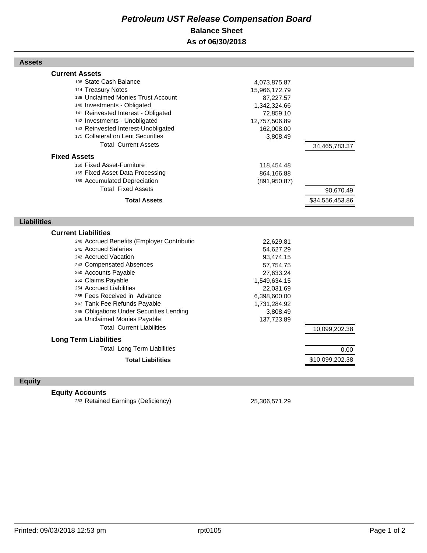## *Petroleum UST Release Compensation Board*  **Balance Sheet As of 06/30/2018**

#### **Assets**

| <b>Current Assets</b>                      |               |                 |
|--------------------------------------------|---------------|-----------------|
| 108 State Cash Balance                     | 4,073,875.87  |                 |
| 114 Treasury Notes                         | 15,966,172.79 |                 |
| 138 Unclaimed Monies Trust Account         | 87,227.57     |                 |
| 140 Investments - Obligated                | 1,342,324.66  |                 |
| 141 Reinvested Interest - Obligated        | 72,859.10     |                 |
| 142 Investments - Unobligated              | 12,757,506.89 |                 |
| 143 Reinvested Interest-Unobligated        | 162,008.00    |                 |
| 171 Collateral on Lent Securities          | 3,808.49      |                 |
| <b>Total Current Assets</b>                |               | 34,465,783.37   |
| <b>Fixed Assets</b>                        |               |                 |
| 160 Fixed Asset-Furniture                  | 118,454.48    |                 |
| 165 Fixed Asset-Data Processing            | 864,166.88    |                 |
| 169 Accumulated Depreciation               | (891, 950.87) |                 |
| <b>Total Fixed Assets</b>                  |               | 90,670.49       |
| <b>Total Assets</b>                        |               | \$34,556,453.86 |
|                                            |               |                 |
| <b>Liabilities</b>                         |               |                 |
|                                            |               |                 |
|                                            |               |                 |
| <b>Current Liabilities</b>                 |               |                 |
| 240 Accrued Benefits (Employer Contributio | 22,629.81     |                 |
| 241 Accrued Salaries                       | 54,627.29     |                 |
| 242 Accrued Vacation                       | 93,474.15     |                 |
| 243 Compensated Absences                   | 57,754.75     |                 |
| 250 Accounts Payable                       | 27,633.24     |                 |
| 252 Claims Payable                         | 1,549,634.15  |                 |
| 254 Accrued Liabilities                    | 22,031.69     |                 |
| 255 Fees Received in Advance               | 6,398,600.00  |                 |
| 257 Tank Fee Refunds Payable               | 1,731,284.92  |                 |
| 265 Obligations Under Securities Lending   | 3,808.49      |                 |
| 266 Unclaimed Monies Payable               | 137,723.89    |                 |
| <b>Total Current Liabilities</b>           |               | 10,099,202.38   |
| <b>Long Term Liabilities</b>               |               |                 |
| <b>Total Long Term Liabilities</b>         |               | 0.00            |
| <b>Total Liabilities</b>                   |               | \$10,099,202.38 |

## **Equity**

## **Equity Accounts**

<sup>283</sup> Retained Earnings (Deficiency) 25,306,571.29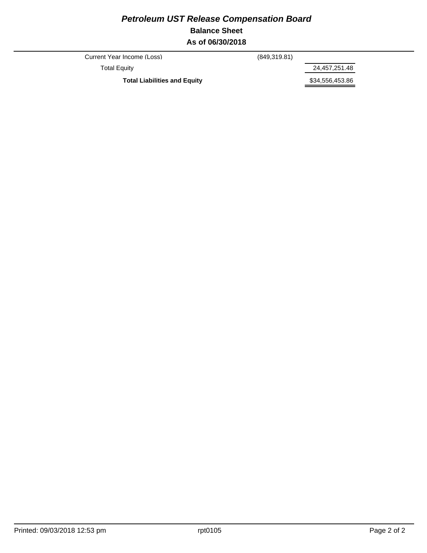## *Petroleum UST Release Compensation Board*  **Balance Sheet As of 06/30/2018**

Current Year Income (Loss) (849,319.81)

Total Equity 24,457,251.48

Total Liabilities and Equity **1988 1998 \$34,556,453.86**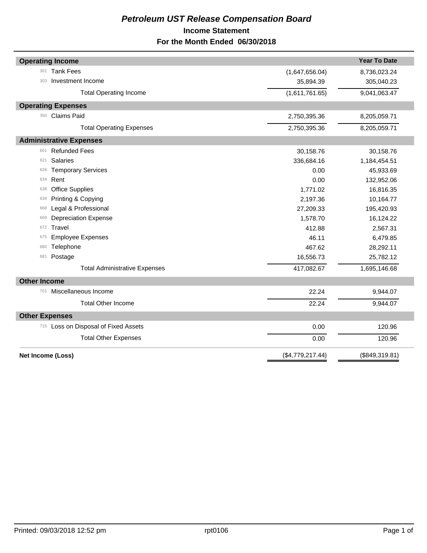## *Petroleum UST Release Compensation Board*  **Income Statement For the Month Ended 06/30/2018**

| <b>Operating Income</b>              |                  | <b>Year To Date</b> |
|--------------------------------------|------------------|---------------------|
| <b>Tank Fees</b><br>301              | (1,647,656.04)   | 8,736,023.24        |
| Investment Income<br>303             | 35,894.39        | 305,040.23          |
| <b>Total Operating Income</b>        | (1,611,761.65)   | 9,041,063.47        |
| <b>Operating Expenses</b>            |                  |                     |
| <b>Claims Paid</b><br>350            | 2,750,395.36     | 8,205,059.71        |
| <b>Total Operating Expenses</b>      | 2,750,395.36     | 8,205,059.71        |
| <b>Administrative Expenses</b>       |                  |                     |
| <b>Refunded Fees</b><br>601          | 30,158.76        | 30,158.76           |
| <b>Salaries</b><br>621               | 336,684.16       | 1,184,454.51        |
| <b>Temporary Services</b><br>626     | 0.00             | 45,933.69           |
| Rent<br>634                          | 0.00             | 132,952.06          |
| <b>Office Supplies</b><br>638        | 1,771.02         | 16,816.35           |
| Printing & Copying<br>639            | 2,197.36         | 10,164.77           |
| Legal & Professional<br>668          | 27,209.33        | 195,420.93          |
| <b>Depreciation Expense</b><br>669   | 1,578.70         | 16,124.22           |
| Travel<br>672                        | 412.88           | 2,567.31            |
| <b>Employee Expenses</b><br>675      | 46.11            | 6,479.85            |
| Telephone<br>680                     | 467.62           | 28,292.11           |
| Postage<br>681                       | 16,556.73        | 25,782.12           |
| <b>Total Administrative Expenses</b> | 417,082.67       | 1,695,146.68        |
| <b>Other Income</b>                  |                  |                     |
| Miscellaneous Income<br>701          | 22.24            | 9,944.07            |
| <b>Total Other Income</b>            | 22.24            | 9,944.07            |
| <b>Other Expenses</b>                |                  |                     |
| 715 Loss on Disposal of Fixed Assets | 0.00             | 120.96              |
| <b>Total Other Expenses</b>          | 0.00             | 120.96              |
| Net Income (Loss)                    | (\$4,779,217.44) | (\$849,319.81)      |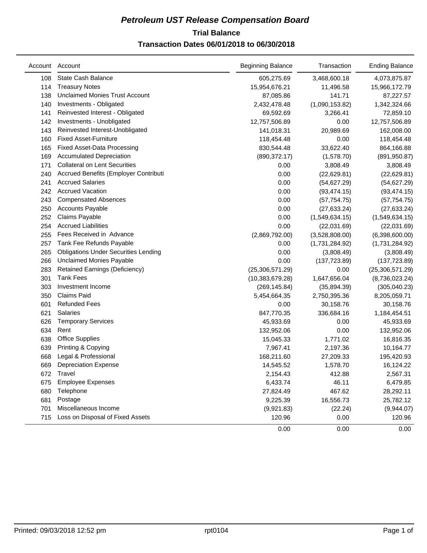## **Trial Balance** *Petroleum UST Release Compensation Board*

## **Transaction Dates 06/01/2018 to 06/30/2018**

|     | Account Account                             | <b>Beginning Balance</b> | Transaction    | <b>Ending Balance</b> |
|-----|---------------------------------------------|--------------------------|----------------|-----------------------|
| 108 | State Cash Balance                          | 605,275.69               | 3,468,600.18   | 4,073,875.87          |
| 114 | <b>Treasury Notes</b>                       | 15,954,676.21            | 11,496.58      | 15,966,172.79         |
| 138 | <b>Unclaimed Monies Trust Account</b>       | 87,085.86                | 141.71         | 87,227.57             |
| 140 | Investments - Obligated                     | 2,432,478.48             | (1,090,153.82) | 1,342,324.66          |
| 141 | Reinvested Interest - Obligated             | 69,592.69                | 3,266.41       | 72,859.10             |
| 142 | Investments - Unobligated                   | 12,757,506.89            | 0.00           | 12,757,506.89         |
| 143 | Reinvested Interest-Unobligated             | 141,018.31               | 20,989.69      | 162,008.00            |
| 160 | <b>Fixed Asset-Furniture</b>                | 118,454.48               | 0.00           | 118,454.48            |
| 165 | <b>Fixed Asset-Data Processing</b>          | 830,544.48               | 33,622.40      | 864,166.88            |
| 169 | <b>Accumulated Depreciation</b>             | (890, 372.17)            | (1,578.70)     | (891, 950.87)         |
| 171 | <b>Collateral on Lent Securities</b>        | 0.00                     | 3,808.49       | 3,808.49              |
| 240 | Accrued Benefits (Employer Contributi       | 0.00                     | (22, 629.81)   | (22,629.81)           |
| 241 | <b>Accrued Salaries</b>                     | 0.00                     | (54, 627.29)   | (54, 627.29)          |
| 242 | <b>Accrued Vacation</b>                     | 0.00                     | (93, 474.15)   | (93, 474.15)          |
| 243 | <b>Compensated Absences</b>                 | 0.00                     | (57, 754.75)   | (57, 754.75)          |
| 250 | <b>Accounts Payable</b>                     | 0.00                     | (27, 633.24)   | (27, 633.24)          |
| 252 | Claims Payable                              | 0.00                     | (1,549,634.15) | (1,549,634.15)        |
| 254 | <b>Accrued Liabilities</b>                  | 0.00                     | (22,031.69)    | (22,031.69)           |
| 255 | Fees Received in Advance                    | (2,869,792.00)           | (3,528,808.00) | (6,398,600.00)        |
| 257 | Tank Fee Refunds Payable                    | 0.00                     | (1,731,284.92) | (1,731,284.92)        |
| 265 | <b>Obligations Under Securities Lending</b> | 0.00                     | (3,808.49)     | (3,808.49)            |
| 266 | Unclaimed Monies Payable                    | 0.00                     | (137, 723.89)  | (137, 723.89)         |
| 283 | Retained Earnings (Deficiency)              | (25,306,571.29)          | 0.00           | (25, 306, 571.29)     |
| 301 | <b>Tank Fees</b>                            | (10, 383, 679.28)        | 1,647,656.04   | (8,736,023.24)        |
| 303 | Investment Income                           | (269, 145.84)            | (35,894.39)    | (305, 040.23)         |
| 350 | <b>Claims Paid</b>                          | 5,454,664.35             | 2,750,395.36   | 8,205,059.71          |
| 601 | <b>Refunded Fees</b>                        | 0.00                     | 30,158.76      | 30,158.76             |
| 621 | Salaries                                    | 847,770.35               | 336,684.16     | 1,184,454.51          |
| 626 | <b>Temporary Services</b>                   | 45,933.69                | 0.00           | 45,933.69             |
| 634 | Rent                                        | 132,952.06               | 0.00           | 132,952.06            |
| 638 | <b>Office Supplies</b>                      | 15,045.33                | 1,771.02       | 16,816.35             |
| 639 | Printing & Copying                          | 7,967.41                 | 2,197.36       | 10,164.77             |
| 668 | Legal & Professional                        | 168,211.60               | 27,209.33      | 195,420.93            |
| 669 | <b>Depreciation Expense</b>                 | 14,545.52                | 1,578.70       | 16,124.22             |
| 672 | <b>I</b> ravel                              | 2,154.43                 | 412.88         | 2,567.31              |
| 675 | <b>Employee Expenses</b>                    | 6,433.74                 | 46.11          | 6,479.85              |
| 680 | Telephone                                   | 27,824.49                | 467.62         | 28,292.11             |
| 681 | Postage                                     | 9,225.39                 | 16,556.73      | 25,782.12             |
| 701 | Miscellaneous Income                        | (9,921.83)               | (22.24)        | (9,944.07)            |
| 715 | Loss on Disposal of Fixed Assets            | 120.96                   | 0.00           | 120.96                |
|     |                                             | 0.00                     | 0.00           | 0.00                  |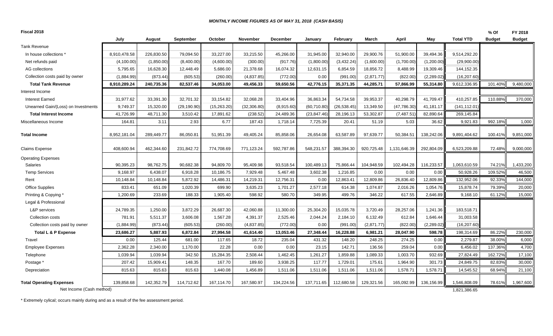#### *MONTHLY INCOME FIGURES AS OF MAY 31, 2018 (CASH BASIS)*

| Fiscal 2018                                                 |              |            |              |             |              |            |              |              |            |              |            |                              | % Of          | FY 2018       |
|-------------------------------------------------------------|--------------|------------|--------------|-------------|--------------|------------|--------------|--------------|------------|--------------|------------|------------------------------|---------------|---------------|
|                                                             | July         | August     | September    | October     | November     | December   | January      | February     | March      | April        | May        | <b>Total YTD</b>             | <b>Budget</b> | <b>Budget</b> |
| <b>Tank Revenue</b>                                         |              |            |              |             |              |            |              |              |            |              |            |                              |               |               |
| In house collections '                                      | 8,910,478.58 | 226,830.50 | 79,094.50    | 33,227.00   | 33,215.50    | 45,266.00  | 31,945.00    | 32,940.00    | 29,900.76  | 51,900.00    | 39,494.36  | 9,514,292.20                 |               |               |
| Net refunds paid                                            | (4, 100.00)  | (1,850.00) | (8,400.00)   | (4,600.00)  | (300.00)     | (917.76)   | (1,800.00)   | (3,432.24)   | (1,600.00) | (1,700.00)   | (1,200.00) | (29,900.00)                  |               |               |
| AG collections                                              | 5,795.65     | 16,628.30  | 12,448.49    | 5,686.00    | 21,378.68    | 16,074.32  | 12,631.15    | 6,854.59     | 18,856.72  | 8,488.99     | 19,309.46  | 144,152.35                   |               |               |
| Collection costs paid by owner                              | (1,884.99)   | (873.44)   | (605.53)     | (260.00)    | (4,837.85)   | (772.00)   | 0.00         | (991.00)     | (2,871.77) | (822.00)     | (2,289.02) | (16, 207.60)                 |               |               |
| <b>Total Tank Revenue</b>                                   | 8,910,289.24 | 240.735.36 | 82,537.46    | 34.053.00   | 49,456.33    | 59,650.56  | 42,776.15    | 35.371.35    | 44,285.71  | 57.866.99    | 55,314.80  | 9,612,336.95                 | 101.40%       | 9,480,000     |
| Interest Income                                             |              |            |              |             |              |            |              |              |            |              |            |                              |               |               |
| <b>Interest Earned</b>                                      | 31,977.62    | 33,391.30  | 32,701.32    | 33,154.82   | 32,068.28    | 33,404.96  | 36,863.34    | 54,734.58    | 39,953.37  | 40,298.79    | 41,709.47  | 410,257.85                   | 110.88%       | 370,000       |
| Unearned Gain/(Loss) on Investments                         | 9,749.37     | 15,320.00  | (29, 190.90) | (15,263.20) | (32, 306.80) | (8,915.60) | (60, 710.80) | (26, 538.45) | 13,349.50  | (47, 786.30) | 41,181.17  | (141,112.01)                 |               |               |
| <b>Total Interest Income</b>                                | 41,726.99    | 48,711.30  | 3,510.42     | 17,891.62   | (238.52)     | 24,489.36  | (23, 847.46) | 28,196.13    | 53,302.87  | (7, 487.51)  | 82,890.64  | 269,145.84                   |               |               |
| Miscellaneous Income                                        | 164.81       | 3.11       | 2.93         | 6.77        | 187.43       | 1,718.14   | 7,725.39     | 20.41        | 51.19      | 5.03         | 36.62      | 9,921.83                     | 992.18%       | 1,000         |
| <b>Total Income</b>                                         | 8,952,181.04 | 289,449.77 | 86,050.81    | 51,951.39   | 49,405.24    | 85,858.06  | 26,654.08    | 63,587.89    | 97,639.77  | 50,384.51    | 138,242.06 | 9,891,404.62                 | 100.41%       | 9,851,000     |
| <b>Claims Expense</b>                                       | 408,600.94   | 462,344.60 | 231,842.72   | 774,708.69  | 771,123.24   | 592,787.86 | 548,231.57   | 388,394.30   | 920,725.48 | 1,131,646.39 | 292,804.09 | 6,523,209.88                 | 72.48%        | 9,000,000     |
| <b>Operating Expenses</b>                                   |              |            |              |             |              |            |              |              |            |              |            |                              |               |               |
| <b>Salaries</b>                                             | 90,395.23    | 98,762.75  | 90,682.38    | 94,809.70   | 95,409.98    | 93,518.54  | 100,489.13   | 75,866.44    | 104,948.59 | 102,494.28   | 116,233.57 | 1,063,610.59                 | 74.21%        | 1,433,200     |
| <b>Temp Services</b>                                        | 9,168.97     | 6,438.07   | 6,918.28     | 10,186.75   | 7,929.48     | 5,467.48   | 3,602.38     | 1,216.85     | 0.00       | 0.00         | 0.00       | 50,928.26                    | 109.52%       | 46,500        |
| Rent                                                        | 10,148.84    | 10,148.84  | 5,872.92     | 14,486.31   | 14,219.31    | 12,756.31  | 0.00         | 12,863.41    | 12,809.86  | 26,836.40    | 12,809.86  | 132,952.06                   | 92.33%        | 144,000       |
| Office Supplies                                             | 833.41       | 651.09     | 1,020.39     | 699.90      | 3,635.23     | 1,701.27   | 2,577.18     | 614.38       | 1,074.87   | 2,016.26     | 1,054.76   | 15,878.74                    | 79.39%        | 20,000        |
| Printing & Copying *                                        | 1,200.69     | 233.69     | 188.33       | 1,905.40    | 598.92       | 580.70     | 349.95       | 499.76       | 346.22     | 617.55       | 2,646.89   | 9,168.10                     | 61.12%        | 15,000        |
| Legal & Professional                                        |              |            |              |             |              |            |              |              |            |              |            |                              |               |               |
| L&P services                                                | 24,789.35    | 1,250.00   | 3,872.29     | 26,687.30   | 42,060.88    | 11,300.00  | 25,304.20    | 15,035.78    | 3,720.49   | 28,257.06    | 1,241.36   | 183,518.71                   |               |               |
| Collection costs                                            | 781.91       | 5,511.37   | 3,606.08     | 1,567.28    | 4,391.37     | 2,525.46   | 2,044.24     | 2,184.10     | 6,132.49   | 612.84       | 1,646.44   | 31,003.58                    |               |               |
| Collection costs paid by owner                              | (1,884.99)   | (873.44)   | (605.53)     | (260.00)    | (4,837.85)   | (772.00)   | 0.00         | (991.00)     | (2,871.77) | (822.00)     | (2,289.02) | (16, 207.60)                 |               |               |
| <b>Total L &amp; P Expense</b>                              | 23,686.27    | 5,887.93   | 6,872.84     | 27,994.58   | 41,614.40    | 13,053.46  | 27,348.44    | 16,228.88    | 6,981.21   | 28,047.90    | 598.78     | 198,314.69                   | 86.22%        | 230,000       |
| Travel                                                      | 0.00         | 125.44     | 681.00       | 117.65      | 18.72        | 235.04     | 431.32       | 148.20       | 248.25     | 274.25       | 0.00       | 2,279.87                     | 38.00%        | 6,000         |
| <b>Employee Expenses</b>                                    | 2,362.28     | 2,340.00   | 1,170.00     | 22.28       | 0.00         | 0.00       | 23.15        | 142.71       | 136.56     | 259.04       | 0.00       | 6,456.02                     | 137.36%       | 4,700         |
| Telephone                                                   | 1,039.94     | 1,039.94   | 342.50       | 15,284.35   | 2,508.44     | 1,462.45   | 1,261.27     | 1,859.88     | 1,089.33   | 1,003.70     | 932.69     | 27,824.49                    | 162.72%       | 17,100        |
| Postage *                                                   | 207.42       | 15,909.41  | 148.35       | 167.70      | 189.60       | 3,938.25   | 117.77       | 1,729.01     | 175.61     | 1,964.90     | 301.73     | 24,849.75                    | 82.83%        | 30,000        |
| Depreciation                                                | 815.63       | 815.63     | 815.63       | 1,440.08    | 1,456.89     | 1,511.06   | 1,511.06     | 1,511.06     | 1,511.06   | 1,578.71     | 1,578.71   | 14,545.52                    | 68.94%        | 21,100        |
| <b>Total Operating Expenses</b><br>Net Income (Cash method) | 139,858.68   | 142,352.79 | 114,712.62   | 167,114.70  | 167,580.97   | 134,224.56 | 137,711.65   | 112,680.58   | 129,321.56 | 165,092.99   | 136,156.99 | 1,546,808.09<br>1,821,386.65 | 78.61%        | 1,967,600     |
|                                                             |              |            |              |             |              |            |              |              |            |              |            |                              |               |               |

\* Extremely cylical; occurs mainly during and as a result of the fee assessment period.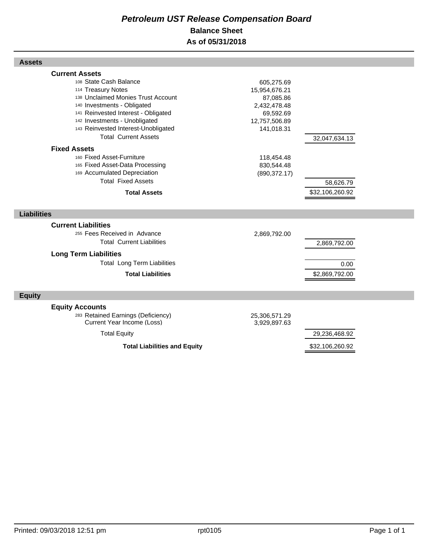## *Petroleum UST Release Compensation Board*  **Balance Sheet As of 05/31/2018**

| <b>Assets</b>                                                                                                                                                                                                                                                                            |                                                                                                      |                              |  |
|------------------------------------------------------------------------------------------------------------------------------------------------------------------------------------------------------------------------------------------------------------------------------------------|------------------------------------------------------------------------------------------------------|------------------------------|--|
| <b>Current Assets</b><br>108 State Cash Balance<br>114 Treasury Notes<br>138 Unclaimed Monies Trust Account<br>140 Investments - Obligated<br>141 Reinvested Interest - Obligated<br>142 Investments - Unobligated<br>143 Reinvested Interest-Unobligated<br><b>Total Current Assets</b> | 605,275.69<br>15,954,676.21<br>87,085.86<br>2,432,478.48<br>69,592.69<br>12,757,506.89<br>141,018.31 | 32,047,634.13                |  |
| <b>Fixed Assets</b><br>160 Fixed Asset-Furniture<br>165 Fixed Asset-Data Processing<br>169 Accumulated Depreciation<br><b>Total Fixed Assets</b><br><b>Total Assets</b>                                                                                                                  | 118,454.48<br>830,544.48<br>(890, 372.17)                                                            | 58,626.79<br>\$32,106,260.92 |  |
| <b>Liabilities</b>                                                                                                                                                                                                                                                                       |                                                                                                      |                              |  |
| <b>Current Liabilities</b><br>255 Fees Received in Advance<br><b>Total Current Liabilities</b><br><b>Long Term Liabilities</b><br><b>Total Long Term Liabilities</b>                                                                                                                     | 2,869,792.00                                                                                         | 2,869,792.00<br>0.00         |  |
| <b>Total Liabilities</b>                                                                                                                                                                                                                                                                 |                                                                                                      | \$2,869,792.00               |  |
| <b>Equity</b>                                                                                                                                                                                                                                                                            |                                                                                                      |                              |  |
| <b>Equity Accounts</b><br>283 Retained Earnings (Deficiency)<br>Current Year Income (Loss)                                                                                                                                                                                               | 25,306,571.29<br>3,929,897.63                                                                        |                              |  |
| <b>Total Equity</b>                                                                                                                                                                                                                                                                      |                                                                                                      | 29,236,468.92                |  |
| <b>Total Liabilities and Equity</b>                                                                                                                                                                                                                                                      |                                                                                                      | \$32,106,260.92              |  |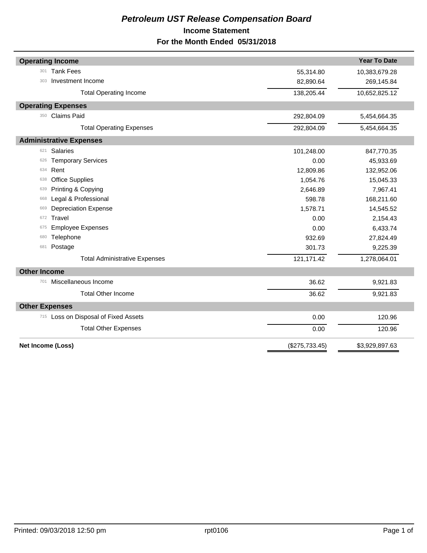## *Petroleum UST Release Compensation Board*  **Income Statement For the Month Ended 05/31/2018**

| <b>Year To Date</b><br><b>Operating Income</b><br><b>Tank Fees</b><br>301<br>55,314.80<br>10,383,679.28<br>Investment Income<br>82,890.64<br>269,145.84<br>303<br>138,205.44<br>10,652,825.12<br><b>Total Operating Income</b><br><b>Operating Expenses</b><br><b>Claims Paid</b><br>350<br>292,804.09<br>5,454,664.35<br>292,804.09<br>5,454,664.35<br><b>Total Operating Expenses</b><br><b>Administrative Expenses</b><br><b>Salaries</b><br>621<br>101,248.00<br>847,770.35<br><b>Temporary Services</b><br>45,933.69<br>0.00<br>626<br>Rent<br>634<br>12,809.86<br>132,952.06<br><b>Office Supplies</b><br>1,054.76<br>15,045.33<br>638<br>Printing & Copying<br>7,967.41<br>2,646.89<br>639<br>Legal & Professional<br>598.78<br>168,211.60<br>668<br><b>Depreciation Expense</b><br>1,578.71<br>14,545.52<br>669<br><b>Travel</b><br>2,154.43<br>0.00<br>672<br><b>Employee Expenses</b><br>0.00<br>6,433.74<br>675<br>Telephone<br>932.69<br>27,824.49<br>680<br>301.73<br>9,225.39<br>Postage<br>681<br>121,171.42<br>1,278,064.01<br><b>Total Administrative Expenses</b><br><b>Other Income</b><br>Miscellaneous Income<br>36.62<br>701<br>9,921.83<br><b>Total Other Income</b><br>36.62<br>9,921.83<br><b>Other Expenses</b><br>715 Loss on Disposal of Fixed Assets<br>0.00<br>120.96<br><b>Total Other Expenses</b><br>0.00<br>120.96<br>Net Income (Loss)<br>(\$275,733.45)<br>\$3,929,897.63 |  |  |
|---------------------------------------------------------------------------------------------------------------------------------------------------------------------------------------------------------------------------------------------------------------------------------------------------------------------------------------------------------------------------------------------------------------------------------------------------------------------------------------------------------------------------------------------------------------------------------------------------------------------------------------------------------------------------------------------------------------------------------------------------------------------------------------------------------------------------------------------------------------------------------------------------------------------------------------------------------------------------------------------------------------------------------------------------------------------------------------------------------------------------------------------------------------------------------------------------------------------------------------------------------------------------------------------------------------------------------------------------------------------------------------------------------------|--|--|
|                                                                                                                                                                                                                                                                                                                                                                                                                                                                                                                                                                                                                                                                                                                                                                                                                                                                                                                                                                                                                                                                                                                                                                                                                                                                                                                                                                                                               |  |  |
|                                                                                                                                                                                                                                                                                                                                                                                                                                                                                                                                                                                                                                                                                                                                                                                                                                                                                                                                                                                                                                                                                                                                                                                                                                                                                                                                                                                                               |  |  |
|                                                                                                                                                                                                                                                                                                                                                                                                                                                                                                                                                                                                                                                                                                                                                                                                                                                                                                                                                                                                                                                                                                                                                                                                                                                                                                                                                                                                               |  |  |
|                                                                                                                                                                                                                                                                                                                                                                                                                                                                                                                                                                                                                                                                                                                                                                                                                                                                                                                                                                                                                                                                                                                                                                                                                                                                                                                                                                                                               |  |  |
|                                                                                                                                                                                                                                                                                                                                                                                                                                                                                                                                                                                                                                                                                                                                                                                                                                                                                                                                                                                                                                                                                                                                                                                                                                                                                                                                                                                                               |  |  |
|                                                                                                                                                                                                                                                                                                                                                                                                                                                                                                                                                                                                                                                                                                                                                                                                                                                                                                                                                                                                                                                                                                                                                                                                                                                                                                                                                                                                               |  |  |
|                                                                                                                                                                                                                                                                                                                                                                                                                                                                                                                                                                                                                                                                                                                                                                                                                                                                                                                                                                                                                                                                                                                                                                                                                                                                                                                                                                                                               |  |  |
|                                                                                                                                                                                                                                                                                                                                                                                                                                                                                                                                                                                                                                                                                                                                                                                                                                                                                                                                                                                                                                                                                                                                                                                                                                                                                                                                                                                                               |  |  |
|                                                                                                                                                                                                                                                                                                                                                                                                                                                                                                                                                                                                                                                                                                                                                                                                                                                                                                                                                                                                                                                                                                                                                                                                                                                                                                                                                                                                               |  |  |
|                                                                                                                                                                                                                                                                                                                                                                                                                                                                                                                                                                                                                                                                                                                                                                                                                                                                                                                                                                                                                                                                                                                                                                                                                                                                                                                                                                                                               |  |  |
|                                                                                                                                                                                                                                                                                                                                                                                                                                                                                                                                                                                                                                                                                                                                                                                                                                                                                                                                                                                                                                                                                                                                                                                                                                                                                                                                                                                                               |  |  |
|                                                                                                                                                                                                                                                                                                                                                                                                                                                                                                                                                                                                                                                                                                                                                                                                                                                                                                                                                                                                                                                                                                                                                                                                                                                                                                                                                                                                               |  |  |
|                                                                                                                                                                                                                                                                                                                                                                                                                                                                                                                                                                                                                                                                                                                                                                                                                                                                                                                                                                                                                                                                                                                                                                                                                                                                                                                                                                                                               |  |  |
|                                                                                                                                                                                                                                                                                                                                                                                                                                                                                                                                                                                                                                                                                                                                                                                                                                                                                                                                                                                                                                                                                                                                                                                                                                                                                                                                                                                                               |  |  |
|                                                                                                                                                                                                                                                                                                                                                                                                                                                                                                                                                                                                                                                                                                                                                                                                                                                                                                                                                                                                                                                                                                                                                                                                                                                                                                                                                                                                               |  |  |
|                                                                                                                                                                                                                                                                                                                                                                                                                                                                                                                                                                                                                                                                                                                                                                                                                                                                                                                                                                                                                                                                                                                                                                                                                                                                                                                                                                                                               |  |  |
|                                                                                                                                                                                                                                                                                                                                                                                                                                                                                                                                                                                                                                                                                                                                                                                                                                                                                                                                                                                                                                                                                                                                                                                                                                                                                                                                                                                                               |  |  |
|                                                                                                                                                                                                                                                                                                                                                                                                                                                                                                                                                                                                                                                                                                                                                                                                                                                                                                                                                                                                                                                                                                                                                                                                                                                                                                                                                                                                               |  |  |
|                                                                                                                                                                                                                                                                                                                                                                                                                                                                                                                                                                                                                                                                                                                                                                                                                                                                                                                                                                                                                                                                                                                                                                                                                                                                                                                                                                                                               |  |  |
|                                                                                                                                                                                                                                                                                                                                                                                                                                                                                                                                                                                                                                                                                                                                                                                                                                                                                                                                                                                                                                                                                                                                                                                                                                                                                                                                                                                                               |  |  |
|                                                                                                                                                                                                                                                                                                                                                                                                                                                                                                                                                                                                                                                                                                                                                                                                                                                                                                                                                                                                                                                                                                                                                                                                                                                                                                                                                                                                               |  |  |
|                                                                                                                                                                                                                                                                                                                                                                                                                                                                                                                                                                                                                                                                                                                                                                                                                                                                                                                                                                                                                                                                                                                                                                                                                                                                                                                                                                                                               |  |  |
|                                                                                                                                                                                                                                                                                                                                                                                                                                                                                                                                                                                                                                                                                                                                                                                                                                                                                                                                                                                                                                                                                                                                                                                                                                                                                                                                                                                                               |  |  |
|                                                                                                                                                                                                                                                                                                                                                                                                                                                                                                                                                                                                                                                                                                                                                                                                                                                                                                                                                                                                                                                                                                                                                                                                                                                                                                                                                                                                               |  |  |
|                                                                                                                                                                                                                                                                                                                                                                                                                                                                                                                                                                                                                                                                                                                                                                                                                                                                                                                                                                                                                                                                                                                                                                                                                                                                                                                                                                                                               |  |  |
|                                                                                                                                                                                                                                                                                                                                                                                                                                                                                                                                                                                                                                                                                                                                                                                                                                                                                                                                                                                                                                                                                                                                                                                                                                                                                                                                                                                                               |  |  |
|                                                                                                                                                                                                                                                                                                                                                                                                                                                                                                                                                                                                                                                                                                                                                                                                                                                                                                                                                                                                                                                                                                                                                                                                                                                                                                                                                                                                               |  |  |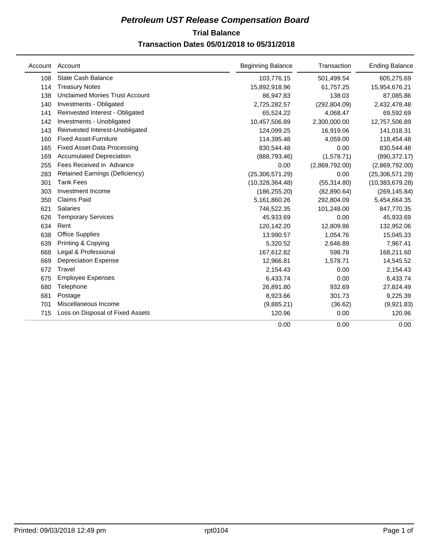## **Trial Balance** *Petroleum UST Release Compensation Board*

## **Transaction Dates 05/01/2018 to 05/31/2018**

|     | Account Account                       | <b>Beginning Balance</b> | Transaction    | <b>Ending Balance</b> |
|-----|---------------------------------------|--------------------------|----------------|-----------------------|
| 108 | <b>State Cash Balance</b>             | 103,776.15               | 501,499.54     | 605,275.69            |
| 114 | <b>Treasury Notes</b>                 | 15,892,918.96            | 61,757.25      | 15,954,676.21         |
| 138 | Unclaimed Monies Trust Account        | 86,947.83                | 138.03         | 87,085.86             |
| 140 | Investments - Obligated               | 2,725,282.57             | (292, 804.09)  | 2,432,478.48          |
| 141 | Reinvested Interest - Obligated       | 65,524.22                | 4,068.47       | 69,592.69             |
| 142 | Investments - Unobligated             | 10,457,506.89            | 2,300,000.00   | 12,757,506.89         |
| 143 | Reinvested Interest-Unobligated       | 124,099.25               | 16,919.06      | 141,018.31            |
| 160 | <b>Fixed Asset-Furniture</b>          | 114,395.48               | 4,059.00       | 118,454.48            |
| 165 | <b>Fixed Asset-Data Processing</b>    | 830,544.48               | 0.00           | 830,544.48            |
| 169 | <b>Accumulated Depreciation</b>       | (888, 793.46)            | (1,578.71)     | (890, 372.17)         |
| 255 | Fees Received in Advance              | 0.00                     | (2,869,792.00) | (2,869,792.00)        |
| 283 | <b>Retained Earnings (Deficiency)</b> | (25,306,571.29)          | 0.00           | (25, 306, 571.29)     |
| 301 | <b>Tank Fees</b>                      | (10,328,364.48)          | (55, 314.80)   | (10, 383, 679.28)     |
| 303 | Investment Income                     | (186, 255.20)            | (82,890.64)    | (269, 145.84)         |
| 350 | <b>Claims Paid</b>                    | 5,161,860.26             | 292,804.09     | 5,454,664.35          |
| 621 | <b>Salaries</b>                       | 746,522.35               | 101,248.00     | 847,770.35            |
| 626 | <b>Temporary Services</b>             | 45,933.69                | 0.00           | 45,933.69             |
| 634 | Rent                                  | 120,142.20               | 12,809.86      | 132,952.06            |
| 638 | <b>Office Supplies</b>                | 13,990.57                | 1,054.76       | 15,045.33             |
| 639 | Printing & Copying                    | 5,320.52                 | 2,646.89       | 7,967.41              |
| 668 | Legal & Professional                  | 167,612.82               | 598.78         | 168,211.60            |
| 669 | <b>Depreciation Expense</b>           | 12,966.81                | 1,578.71       | 14,545.52             |
| 672 | Travel                                | 2,154.43                 | 0.00           | 2,154.43              |
| 675 | <b>Employee Expenses</b>              | 6,433.74                 | 0.00           | 6,433.74              |
| 680 | Telephone                             | 26,891.80                | 932.69         | 27,824.49             |
| 681 | Postage                               | 8,923.66                 | 301.73         | 9,225.39              |
| 701 | Miscellaneous Income                  | (9,885.21)               | (36.62)        | (9,921.83)            |
| 715 | Loss on Disposal of Fixed Assets      | 120.96                   | 0.00           | 120.96                |
|     |                                       | 0.00                     | 0.00           | 0.00                  |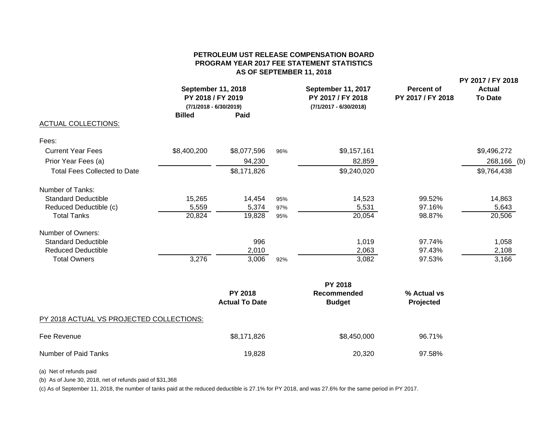#### **PETROLEUM UST RELEASE COMPENSATION BOARDPROGRAM YEAR 2017 FEE STATEMENT STATISTICS AS OF SEPTEMBER 11, 2018**

**PY 2017 / FY 2018**

|                                     | <b>September 11, 2018</b><br>PY 2018 / FY 2019<br>$(7/1/2018 - 6/30/2019)$ |             |     | September 11, 2017<br>PY 2017 / FY 2018<br>(7/1/2017 - 6/30/2018) | <b>Percent of</b><br>PY 2017 / FY 2018 | <b>Actual</b><br><b>To Date</b> |  |
|-------------------------------------|----------------------------------------------------------------------------|-------------|-----|-------------------------------------------------------------------|----------------------------------------|---------------------------------|--|
|                                     | <b>Billed</b>                                                              | Paid        |     |                                                                   |                                        |                                 |  |
| <b>ACTUAL COLLECTIONS:</b>          |                                                                            |             |     |                                                                   |                                        |                                 |  |
| Fees:                               |                                                                            |             |     |                                                                   |                                        |                                 |  |
| <b>Current Year Fees</b>            | \$8,400,200                                                                | \$8,077,596 | 96% | \$9,157,161                                                       |                                        | \$9,496,272                     |  |
| Prior Year Fees (a)                 |                                                                            | 94,230      |     | 82,859                                                            |                                        | 268,166 (b)                     |  |
| <b>Total Fees Collected to Date</b> |                                                                            | \$8,171,826 |     | \$9,240,020                                                       |                                        | \$9,764,438                     |  |
| Number of Tanks:                    |                                                                            |             |     |                                                                   |                                        |                                 |  |
| <b>Standard Deductible</b>          | 15,265                                                                     | 14,454      | 95% | 14,523                                                            | 99.52%                                 | 14,863                          |  |
| Reduced Deductible (c)              | 5,559                                                                      | 5,374       | 97% | 5,531                                                             | 97.16%                                 | 5,643                           |  |
| <b>Total Tanks</b>                  | 20,824                                                                     | 19,828      | 95% | 20,054                                                            | 98.87%                                 | 20,506                          |  |
| Number of Owners:                   |                                                                            |             |     |                                                                   |                                        |                                 |  |
| <b>Standard Deductible</b>          |                                                                            | 996         |     | 1,019                                                             | 97.74%                                 | 1,058                           |  |
| <b>Reduced Deductible</b>           |                                                                            | 2,010       |     | 2,063                                                             | 97.43%                                 | 2,108                           |  |
| <b>Total Owners</b>                 | 3,276                                                                      | 3,006       | 92% | 3,082                                                             | 97.53%                                 | 3,166                           |  |
|                                     |                                                                            |             |     | <b>PY 2018</b>                                                    |                                        |                                 |  |

|                                          |                                         | .                            |                          |
|------------------------------------------|-----------------------------------------|------------------------------|--------------------------|
|                                          | <b>PY 2018</b><br><b>Actual To Date</b> | Recommended<br><b>Budget</b> | % Actual vs<br>Projected |
| PY 2018 ACTUAL VS PROJECTED COLLECTIONS: |                                         |                              |                          |
| Fee Revenue                              | \$8,171,826                             | \$8,450,000                  | 96.71%                   |
| Number of Paid Tanks                     | 19,828                                  | 20,320                       | 97.58%                   |

(a) Net of refunds paid

(b) As of June 30, 2018, net of refunds paid of \$31,368

(c) As of September 11, 2018, the number of tanks paid at the reduced deductible is 27.1% for PY 2018, and was 27.6% for the same period in PY 2017.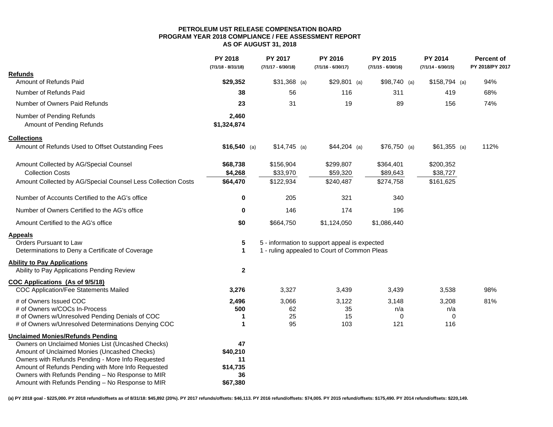#### **PETROLEUM UST RELEASE COMPENSATION BOAR D PROGRAM YEAR 2018 COMPLIANCE / FEE ASSESSMENT REPORT AS OF AUGUST 31, 2018**

|                                                                                  | PY 2018<br>$(7/1/18 - 8/31/18)$ | PY 2017<br>$(7/1/17 - 6/30/18)$ | PY 2016<br>$(7/1/16 - 6/30/17)$               | PY 2015<br>$(7/1/15 - 6/30/16)$ | PY 2014<br>$(7/1/14 - 6/30/15)$ | <b>Percent of</b><br>PY 2018/PY 2017 |
|----------------------------------------------------------------------------------|---------------------------------|---------------------------------|-----------------------------------------------|---------------------------------|---------------------------------|--------------------------------------|
| <b>Refunds</b>                                                                   |                                 |                                 |                                               |                                 |                                 |                                      |
| Amount of Refunds Paid                                                           | \$29,352                        | $$31,368$ (a)                   | $$29,801$ (a)                                 | $$98,740$ (a)                   | $$158,794$ (a)                  | 94%                                  |
| Number of Refunds Paid                                                           | 38                              | 56                              | 116                                           | 311                             | 419                             | 68%                                  |
| Number of Owners Paid Refunds                                                    | 23                              | 31                              | 19                                            | 89                              | 156                             | 74%                                  |
| Number of Pending Refunds<br>Amount of Pending Refunds                           | 2,460<br>\$1,324,874            |                                 |                                               |                                 |                                 |                                      |
| <b>Collections</b>                                                               |                                 |                                 |                                               |                                 |                                 |                                      |
| Amount of Refunds Used to Offset Outstanding Fees                                | $$16,540$ (a)                   | $$14,745$ (a)                   | $$44,204$ (a)                                 | $$76,750$ (a)                   | $$61,355$ (a)                   | 112%                                 |
| Amount Collected by AG/Special Counsel                                           | \$68,738                        | \$156,904                       | \$299,807                                     | \$364,401                       | \$200,352                       |                                      |
| <b>Collection Costs</b>                                                          | \$4,268                         | \$33,970                        | \$59,320                                      | \$89,643                        | \$38,727                        |                                      |
| Amount Collected by AG/Special Counsel Less Collection Costs                     | \$64,470                        | \$122,934                       | \$240,487                                     | \$274,758                       | \$161,625                       |                                      |
| Number of Accounts Certified to the AG's office                                  | 0                               | 205                             | 321                                           | 340                             |                                 |                                      |
| Number of Owners Certified to the AG's office                                    | 0                               | 146                             | 174                                           | 196                             |                                 |                                      |
| Amount Certified to the AG's office                                              | \$0                             | \$664,750                       | \$1,124,050                                   | \$1,086,440                     |                                 |                                      |
| <b>Appeals</b><br>Orders Pursuant to Law                                         | 5                               |                                 | 5 - information to support appeal is expected |                                 |                                 |                                      |
| Determinations to Deny a Certificate of Coverage                                 | $\mathbf{1}$                    |                                 | 1 - ruling appealed to Court of Common Pleas  |                                 |                                 |                                      |
| <b>Ability to Pay Applications</b><br>Ability to Pay Applications Pending Review | $\mathbf{2}$                    |                                 |                                               |                                 |                                 |                                      |
| COC Applications (As of 9/5/18)                                                  |                                 |                                 |                                               |                                 |                                 |                                      |
| <b>COC Application/Fee Statements Mailed</b>                                     | 3,276                           | 3,327                           | 3,439                                         | 3,439                           | 3,538                           | 98%                                  |
| # of Owners Issued COC                                                           | 2,496                           | 3.066                           | 3.122                                         | 3,148                           | 3,208                           | 81%                                  |
| # of Owners w/COCs In-Process                                                    | 500                             | 62                              | 35                                            | n/a                             | n/a                             |                                      |
| # of Owners w/Unresolved Pending Denials of COC                                  | 1                               | 25                              | 15                                            | $\mathbf 0$                     | $\mathbf 0$                     |                                      |
| # of Owners w/Unresolved Determinations Denying COC                              | 1                               | 95                              | 103                                           | 121                             | 116                             |                                      |
| <b>Unclaimed Monies/Refunds Pending</b>                                          |                                 |                                 |                                               |                                 |                                 |                                      |
| Owners on Unclaimed Monies List (Uncashed Checks)                                | 47                              |                                 |                                               |                                 |                                 |                                      |
| Amount of Unclaimed Monies (Uncashed Checks)                                     | \$40,210                        |                                 |                                               |                                 |                                 |                                      |
| Owners with Refunds Pending - More Info Requested                                | 11                              |                                 |                                               |                                 |                                 |                                      |
| Amount of Refunds Pending with More Info Requested                               | \$14,735                        |                                 |                                               |                                 |                                 |                                      |
| Owners with Refunds Pending - No Response to MIR                                 | 36                              |                                 |                                               |                                 |                                 |                                      |
| Amount with Refunds Pending - No Response to MIR                                 | \$67,380                        |                                 |                                               |                                 |                                 |                                      |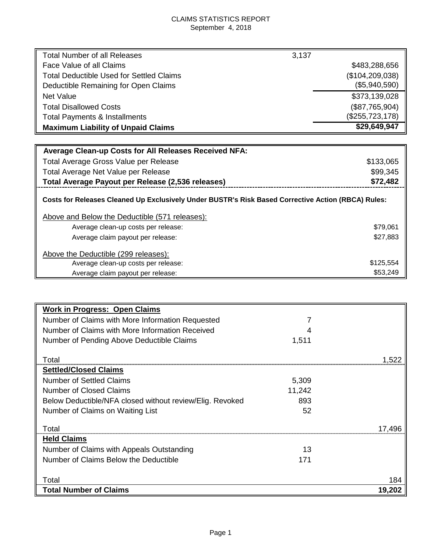## CLAIMS STATISTICS REPORT September 4, 2018

| Total Number of all Releases                                                                       | 3,137             |
|----------------------------------------------------------------------------------------------------|-------------------|
| Face Value of all Claims                                                                           | \$483,288,656     |
| <b>Total Deductible Used for Settled Claims</b>                                                    | (\$104, 209, 038) |
| Deductible Remaining for Open Claims                                                               | (\$5,940,590)     |
| <b>Net Value</b>                                                                                   | \$373,139,028     |
| <b>Total Disallowed Costs</b>                                                                      | (\$87,765,904)    |
| Total Payments & Installments                                                                      | (\$255,723,178)   |
| <b>Maximum Liability of Unpaid Claims</b>                                                          | \$29,649,947      |
|                                                                                                    |                   |
| <b>Average Clean-up Costs for All Releases Received NFA:</b>                                       |                   |
| Total Average Gross Value per Release                                                              | \$133,065         |
| Total Average Net Value per Release                                                                | \$99,345          |
| Total Average Payout per Release (2,536 releases)                                                  | \$72,482          |
| Costs for Releases Cleaned Up Exclusively Under BUSTR's Risk Based Corrective Action (RBCA) Rules: |                   |
| Above and Below the Deductible (571 releases):                                                     |                   |
| Average clean-up costs per release:                                                                | \$79,061          |
| Average claim payout per release:                                                                  | \$27,883          |
| Above the Deductible (299 releases):                                                               |                   |

| NOVO NIO DOGGONDIO (200 IOIOGOOD).  |           |
|-------------------------------------|-----------|
| Average clean-up costs per release: | \$125.554 |
| Average claim payout per release:   | \$53.249  |
|                                     |           |

| <b>Work in Progress: Open Claims</b>                     |        |        |
|----------------------------------------------------------|--------|--------|
| Number of Claims with More Information Requested         |        |        |
| Number of Claims with More Information Received          |        |        |
| Number of Pending Above Deductible Claims                | 1,511  |        |
|                                                          |        |        |
| Total                                                    |        |        |
| <b>Settled/Closed Claims</b>                             |        |        |
| <b>Number of Settled Claims</b>                          | 5,309  |        |
| Number of Closed Claims                                  | 11,242 |        |
| Below Deductible/NFA closed without review/Elig. Revoked | 893    |        |
| Number of Claims on Waiting List                         | 52     |        |
|                                                          |        |        |
| Total                                                    |        | 17.496 |
| <b>Held Claims</b>                                       |        |        |
| Number of Claims with Appeals Outstanding                | 13     |        |
| Number of Claims Below the Deductible                    | 171    |        |
|                                                          |        |        |
| Total                                                    |        | 184    |
| <b>Total Number of Claims</b>                            |        | 19,20  |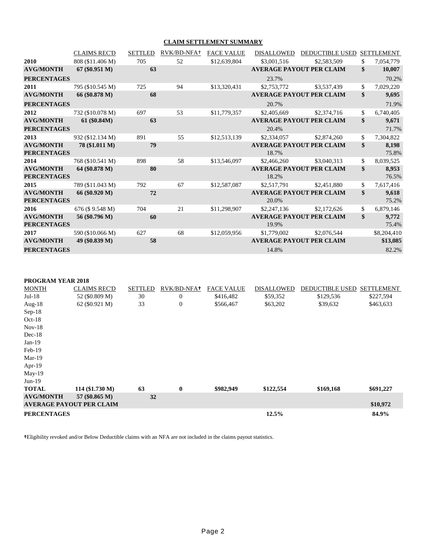#### **CLAIM SETTLEMENT SUMMARY**

|                                        | <b>CLAIMS REC'D</b> | <b>SETTLED</b> | RVK/BD-NFA+ | <b>FACE VALUE</b> | <b>DISALLOWED</b> | <b>DEDUCTIBLE USED</b>          | <b>SETTLEMENT</b>    |
|----------------------------------------|---------------------|----------------|-------------|-------------------|-------------------|---------------------------------|----------------------|
| 2010                                   | 808 (\$11.406 M)    | 705            | 52          | \$12,639,804      | \$3,001,516       | \$2,583,509                     | \$<br>7,054,779      |
| <b>AVG/MONTH</b>                       | $67 (\$0.951 M)$    | 63             |             |                   |                   | <b>AVERAGE PAYOUT PER CLAIM</b> | \$<br>10,007         |
| <b>PERCENTAGES</b>                     |                     |                |             |                   | 23.7%             |                                 | 70.2%                |
| 2011                                   | 795 (\$10.545 M)    | 725            | 94          | \$13,320,431      | \$2,753,772       | \$3,537,439                     | \$<br>7,029,220      |
| <b>AVG/MONTH</b>                       | 66 (\$0.878 M)      | 68             |             |                   |                   | <b>AVERAGE PAYOUT PER CLAIM</b> | \$<br>9,695          |
| <b>PERCENTAGES</b>                     |                     |                |             |                   | 20.7%             |                                 | 71.9%                |
| 2012                                   | 732 (\$10.078 M)    | 697            | 53          | \$11,779,357      | \$2,405,669       | \$2,374,716                     | \$<br>6,740,405      |
| <b>AVG/MONTH</b><br><b>PERCENTAGES</b> | 61 (\$0.84M)        | 63             |             |                   | 20.4%             | <b>AVERAGE PAYOUT PER CLAIM</b> | \$<br>9,671<br>71.7% |
| 2013                                   | 932 (\$12.134 M)    | 891            | 55          | \$12,513,139      | \$2,334,057       | \$2,874,260                     | \$<br>7,304,822      |
| <b>AVG/MONTH</b><br><b>PERCENTAGES</b> | 78 (\$1.011 M)      | 79             |             |                   | 18.7%             | <b>AVERAGE PAYOUT PER CLAIM</b> | \$<br>8,198<br>75.8% |
| 2014                                   | 768 (\$10.541 M)    | 898            | 58          | \$13,546,097      | \$2,466,260       | \$3,040,313                     | \$<br>8,039,525      |
| <b>AVG/MONTH</b><br><b>PERCENTAGES</b> | 64 (\$0.878 M)      | 80             |             |                   | 18.2%             | <b>AVERAGE PAYOUT PER CLAIM</b> | \$<br>8,953<br>76.5% |
| 2015                                   | 789 (\$11.043 M)    | 792            | 67          | \$12,587,087      | \$2,517,791       | \$2,451,880                     | \$<br>7,617,416      |
| <b>AVG/MONTH</b><br><b>PERCENTAGES</b> | 66 (\$0.920 M)      | 72             |             |                   | 20.0%             | <b>AVERAGE PAYOUT PER CLAIM</b> | \$<br>9,618<br>75.2% |
| 2016                                   | 676 (\$9.548 M)     | 704            | 21          | \$11,298,907      | \$2,247,136       | \$2,172,626                     | \$<br>6,879,146      |
| <b>AVG/MONTH</b><br><b>PERCENTAGES</b> | 56 (\$0.796 M)      | 60             |             |                   | 19.9%             | <b>AVERAGE PAYOUT PER CLAIM</b> | \$<br>9,772<br>75.4% |
| 2017                                   | 590 (\$10.066 M)    | 627            | 68          | \$12,059,956      | \$1,779,002       | \$2,076,544                     | \$8,204,410          |
| <b>AVG/MONTH</b>                       | 49 (\$0.839 M)      | 58             |             |                   |                   | <b>AVERAGE PAYOUT PER CLAIM</b> | \$13,085             |
| <b>PERCENTAGES</b>                     |                     |                |             |                   | 14.8%             |                                 | 82.2%                |

**PROGRAM YEAR 2018**

| <b>MONTH</b>       | <b>CLAIMS REC'D</b>             | <b>SETTLED</b> | RVK/BD-NFA+    | <b>FACE VALUE</b> | <b>DISALLOWED</b> | <b>DEDUCTIBLE USED</b> | <b>SETTLEMENT</b> |
|--------------------|---------------------------------|----------------|----------------|-------------------|-------------------|------------------------|-------------------|
| $Jul-18$           | 52 (\$0.809 M)                  | 30             | $\mathbf{0}$   | \$416,482         | \$59,352          | \$129,536              | \$227,594         |
| Aug- $18$          | $62 (\$0.921 M)$                | 33             | $\overline{0}$ | \$566,467         | \$63,202          | \$39,632               | \$463,633         |
| $Sep-18$           |                                 |                |                |                   |                   |                        |                   |
| $Oct-18$           |                                 |                |                |                   |                   |                        |                   |
| $Nov-18$           |                                 |                |                |                   |                   |                        |                   |
| $Dec-18$           |                                 |                |                |                   |                   |                        |                   |
| $Jan-19$           |                                 |                |                |                   |                   |                        |                   |
| Feb-19             |                                 |                |                |                   |                   |                        |                   |
| $Mar-19$           |                                 |                |                |                   |                   |                        |                   |
| Apr- $19$          |                                 |                |                |                   |                   |                        |                   |
| $May-19$           |                                 |                |                |                   |                   |                        |                   |
| $Jun-19$           |                                 |                |                |                   |                   |                        |                   |
| <b>TOTAL</b>       | 114 (\$1.730 M)                 | 63             | $\bf{0}$       | \$982,949         | \$122,554         | \$169,168              | \$691,227         |
| <b>AVG/MONTH</b>   | 57 (\$0.865 M)                  | 32             |                |                   |                   |                        |                   |
|                    | <b>AVERAGE PAYOUT PER CLAIM</b> |                |                |                   |                   |                        | \$10,972          |
| <b>PERCENTAGES</b> |                                 |                |                |                   | 12.5%             |                        | 84.9%             |

**†**Eligibility revoked and/or Below Deductible claims with an NFA are not included in the claims payout statistics.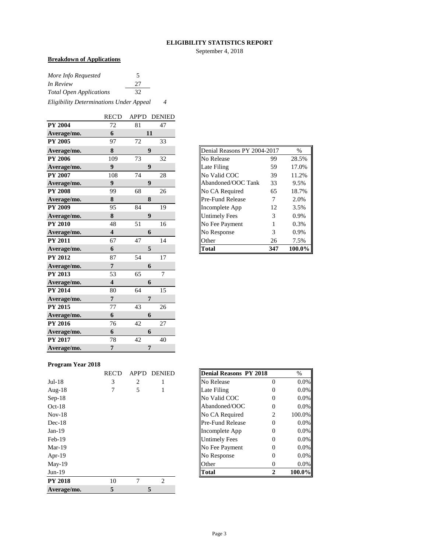#### **ELIGIBILITY STATISTICS REPORT**

September 4, 2018

## **Breakdown of Applications**

| More Info Requested            |    |  |
|--------------------------------|----|--|
| In Review                      | 27 |  |
| <b>Total Open Applications</b> | 32 |  |
|                                |    |  |

*Eligibility Determinations Under Appeal 4*

|                | <b>REC'D</b>            | <b>APP'D</b> | <b>DENIED</b>    |
|----------------|-------------------------|--------------|------------------|
| <b>PY 2004</b> | 72                      | 81           | 47               |
| Average/mo.    | 6                       |              | 11               |
| <b>PY 2005</b> | 97                      | 72           | 33               |
| Average/mo.    | ${\bf 8}$               |              | 9                |
| <b>PY 2006</b> | 109                     | 73           | 32               |
| Average/mo.    | $\boldsymbol{9}$        |              | $\boldsymbol{9}$ |
| <b>PY 2007</b> | 108                     | 74           | 28               |
| Average/mo.    | 9                       |              | 9                |
| <b>PY 2008</b> | 99                      | 68           | 26               |
| Average/mo.    | 8                       |              | 8                |
| <b>PY 2009</b> | 95                      | 84           | 19               |
| Average/mo.    | 8                       |              | $\boldsymbol{9}$ |
| <b>PY 2010</b> | 48                      | 51           | 16               |
| Average/mo.    | $\overline{\mathbf{4}}$ |              | 6                |
| <b>PY 2011</b> | 67                      | 47           | 14               |
| Average/mo.    | 6                       |              | 5                |
| <b>PY 2012</b> | 87                      | 54           | 17               |
| Average/mo.    | $\overline{7}$          |              | 6                |
| PY 2013        | 53                      | 65           | $\overline{7}$   |
| Average/mo.    | $\overline{\mathbf{4}}$ |              | 6                |
| <b>PY 2014</b> | 80                      | 64           | 15               |
| Average/mo.    | $\overline{7}$          |              | $\overline{7}$   |
| PY 2015        | 77                      | 43           | 26               |
| Average/mo.    | 6                       |              | 6                |
| PY 2016        |                         | 42           | 27               |
|                | 76                      |              |                  |
| Average/mo.    | 6                       |              | 6                |
| <b>PY 2017</b> | 78                      | 42           | 40               |

| Denial Reasons PY 2004-2017 |     | $\frac{0}{0}$ |
|-----------------------------|-----|---------------|
| No Release                  | 99  | 28.5%         |
| Late Filing                 | 59  | 17.0%         |
| No Valid COC                | 39  | 11.2%         |
| Abandoned/OOC Tank          | 33  | 9.5%          |
| No CA Required              | 65  | 18.7%         |
| Pre-Fund Release            | 7   | 2.0%          |
| Incomplete App              | 12  | 3.5%          |
| <b>Untimely Fees</b>        | 3   | 0.9%          |
| No Fee Payment              | 1   | 0.3%          |
| No Response                 | 3   | 0.9%          |
| Other                       | 26  | 7.5%          |
| Total                       | 347 | 100.0%        |

#### **Program Year 2018**

|                | <b>REC'D</b> | <b>APP'D</b> | <b>DENIED</b>  | Denial Reasons PY 2018  |                | $\%$   |
|----------------|--------------|--------------|----------------|-------------------------|----------------|--------|
| $Jul-18$       | 3            | 2            |                | No Release              | $\Omega$       | 0.0%   |
| Aug- $18$      | 7            | 5            |                | Late Filing             | $\theta$       | 0.0%   |
| $Sep-18$       |              |              |                | No Valid COC            | $\Omega$       | 0.0%   |
| $Oct-18$       |              |              |                | Abandoned/OOC           | $\theta$       | 0.0%   |
| $Nov-18$       |              |              |                | No CA Required          | $\overline{2}$ | 100.0% |
| $Dec-18$       |              |              |                | <b>Pre-Fund Release</b> | $\Omega$       | 0.0%   |
| $Jan-19$       |              |              |                | Incomplete App          | 0              | 0.0%   |
| $Feb-19$       |              |              |                | <b>Untimely Fees</b>    | $\theta$       | 0.0%   |
| $Mar-19$       |              |              |                | No Fee Payment          | $\overline{0}$ | 0.0%   |
| Apr-19         |              |              |                | No Response             | $\Omega$       | 0.0%   |
| $May-19$       |              |              |                | Other                   | $\theta$       | 0.0%   |
| $Jun-19$       |              |              |                | <b>Total</b>            | $\mathbf{2}$   | 100.0% |
| <b>PY 2018</b> | 10           | 7            | $\overline{2}$ |                         |                |        |
| Average/mo.    | 5            |              | 5              |                         |                |        |

| REC'D | <b>APP'D</b> | <b>DENIED</b> | Denial Reasons PY 2018  |   | $\%$   |
|-------|--------------|---------------|-------------------------|---|--------|
| 3     | 2            |               | No Release              | 0 | 0.0%   |
|       | 5            |               | Late Filing             |   | 0.0%   |
|       |              |               | No Valid COC            |   | 0.0%   |
|       |              |               | Abandoned/OOC           |   | 0.0%   |
|       |              |               | No CA Required          | 2 | 100.0% |
|       |              |               | <b>Pre-Fund Release</b> | 0 | 0.0%   |
|       |              |               | Incomplete App          | 0 | 0.0%   |
|       |              |               | <b>Untimely Fees</b>    |   | 0.0%   |
|       |              |               | No Fee Payment          |   | 0.0%   |
|       |              |               | No Response             |   | 0.0%   |
|       |              |               | Other                   |   | 0.0%   |
|       |              |               | Total                   |   | 100.0% |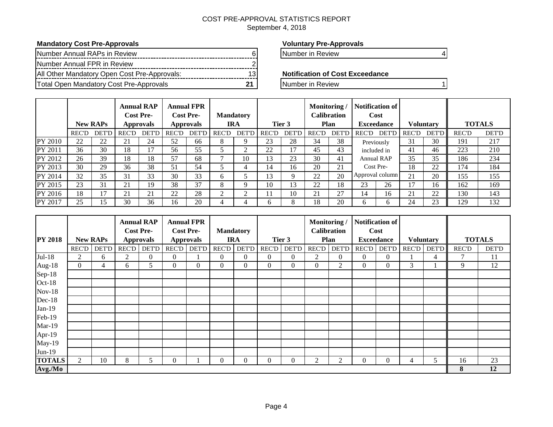## COST PRE-APPROVAL STATISTICS REPORT

## September 4, 2018

## **Mandatory Cost Pre-Approvals Voluntary Pre-Approvals**

| Number Annual RAPs in Review                 |    |
|----------------------------------------------|----|
| Number Annual FPR in Review                  |    |
| All Other Mandatory Open Cost Pre-Approvals: | 13 |
| Total Open Mandatory Cost Pre-Approvals      |    |

Number in Review 6 Number 12

#### **Notification of Cost Exceedance**

**The Manufacture Manufacture Cost Pre-Approvals** 21 Number in Review 1

|                |              | <b>New RAPs</b> |              | <b>Annual RAP</b><br><b>Cost Pre-</b><br><b>Approvals</b> |              | <b>Annual FPR</b><br><b>Cost Pre-</b><br><b>Approvals</b> |       | <b>Mandatory</b><br><b>IRA</b> |              | Tier 3 | Monitoring/ | <b>Calibration</b><br>Plan |              | Notification of<br>Cost<br><b>Exceedance</b> |              | <b>Voluntary</b> |              | <b>TOTALS</b> |
|----------------|--------------|-----------------|--------------|-----------------------------------------------------------|--------------|-----------------------------------------------------------|-------|--------------------------------|--------------|--------|-------------|----------------------------|--------------|----------------------------------------------|--------------|------------------|--------------|---------------|
|                | <b>REC'D</b> | <b>DET'D</b>    | <b>REC'D</b> | <b>DET'D</b>                                              | <b>REC'D</b> | <b>DET'D</b>                                              | REC'D | <b>DET'D</b>                   | <b>REC'D</b> | DET'D  | REC'D       | <b>DET'D</b>               | <b>REC'D</b> | DET'D                                        | <b>REC'D</b> | <b>DET'D</b>     | <b>REC'D</b> | <b>DET'D</b>  |
| <b>PY 2010</b> | 22           | 22              | 21           | 24                                                        | 52           | 66                                                        | 8     |                                | 23           | 28     | 34          | 38                         |              | Previously                                   | 31           | 30               | 191          | 217           |
| PY 2011        | 36           | 30              | 18           | 17                                                        | 56           | 55                                                        |       | $\sim$                         | 22           | 17     | 45          | 43                         | included in  |                                              | 41           | 46               | 223          | 210           |
| PY 2012        | 26           | 39              | 18           | 18                                                        | 57           | 68                                                        |       | 10                             | 13           | 23     | 30          | 41                         |              | <b>Annual RAP</b>                            | 35           | 35               | 186          | 234           |
| PY 2013        | 30           | 29              | 36           | 38                                                        | 51           | 54                                                        |       |                                | 14           | 16     | 20          | 21                         |              | Cost Pre-                                    | 18           | 22               | 174          | 184           |
| PY 2014        | 32           | 35              | 31           | 33                                                        | 30           | 33                                                        | 6     |                                | 13           | 9      | 22          | 20                         |              | Approval column                              | 21           | 20               | 155          | 155           |
| PY 2015        | 23           | 31              | 21           | 19                                                        | 38           | 37                                                        | 8     |                                | 10           | 13     | 22          | 18                         | 23           | 26                                           | 17           | 16               | 162          | 169           |
| PY 2016        | 18           | 17              | 21           | 21                                                        | 22           | 28                                                        |       | $\sim$                         |              | 10     | 21          | 27                         | 14           | 16                                           | 21           | 22               | 130          | 143           |
| PY 2017        | 25           | 15              | 30           | 36                                                        | 16           | 20                                                        |       |                                | <sub>6</sub> | 8      | 18          | 20                         | h.           | <sub>0</sub>                                 | 24           | 23               | 129          | 132           |

|                |              |                 |       | <b>Annual RAP</b>                    |      | <b>Annual FPR</b>                    |                  |                |                |                | Monitoring/    |                                   |              | <b>Notification of</b>    |              |                  |              |               |
|----------------|--------------|-----------------|-------|--------------------------------------|------|--------------------------------------|------------------|----------------|----------------|----------------|----------------|-----------------------------------|--------------|---------------------------|--------------|------------------|--------------|---------------|
| <b>PY 2018</b> |              | <b>New RAPs</b> |       | <b>Cost Pre-</b><br><b>Approvals</b> |      | <b>Cost Pre-</b><br><b>Approvals</b> | <b>Mandatory</b> | <b>IRA</b>     |                | Tier 3         |                | <b>Calibration</b><br><b>Plan</b> |              | Cost<br><b>Exceedance</b> |              | <b>Voluntary</b> |              | <b>TOTALS</b> |
|                | REC'D        | <b>DET'D</b>    | REC'D | <b>DET'D</b>                         | RECD | <b>DET'D</b>                         | <b>REC'D</b>     | <b>DET'D</b>   | <b>REC'D</b>   | <b>DET'D</b>   | <b>REC'D</b>   | <b>DET'D</b>                      | REC'D        | <b>DET'D</b>              | <b>REC'D</b> | <b>DET'D</b>     | <b>REC'D</b> | <b>DET'D</b>  |
| $Jul-18$       | 2            | 6               | 2     | $\overline{0}$                       | 0    |                                      | $\mathbf{0}$     | $\Omega$       | $\Omega$       | $\theta$       | $\overline{c}$ | $\overline{0}$                    | $\mathbf{0}$ | $\Omega$                  |              |                  | 7            | 11            |
|                |              |                 |       |                                      |      |                                      |                  |                |                |                |                |                                   |              |                           |              | 4                |              |               |
| Aug-18         | $\mathbf{0}$ | 4               | 6     | 5                                    | 0    | $\overline{0}$                       | $\mathbf{0}$     | $\overline{0}$ | $\overline{0}$ | $\overline{0}$ | $\mathbf{0}$   | 2                                 | $\mathbf{0}$ | $\Omega$                  | 3            |                  | 9            | 12            |
| Sep-18         |              |                 |       |                                      |      |                                      |                  |                |                |                |                |                                   |              |                           |              |                  |              |               |
| $Oct-18$       |              |                 |       |                                      |      |                                      |                  |                |                |                |                |                                   |              |                           |              |                  |              |               |
| $Nov-18$       |              |                 |       |                                      |      |                                      |                  |                |                |                |                |                                   |              |                           |              |                  |              |               |
| $Dec-18$       |              |                 |       |                                      |      |                                      |                  |                |                |                |                |                                   |              |                           |              |                  |              |               |
| $Jan-19$       |              |                 |       |                                      |      |                                      |                  |                |                |                |                |                                   |              |                           |              |                  |              |               |
| Feb-19         |              |                 |       |                                      |      |                                      |                  |                |                |                |                |                                   |              |                           |              |                  |              |               |
| Mar-19         |              |                 |       |                                      |      |                                      |                  |                |                |                |                |                                   |              |                           |              |                  |              |               |
| Apr-19         |              |                 |       |                                      |      |                                      |                  |                |                |                |                |                                   |              |                           |              |                  |              |               |
| May-19         |              |                 |       |                                      |      |                                      |                  |                |                |                |                |                                   |              |                           |              |                  |              |               |
| $Jun-19$       |              |                 |       |                                      |      |                                      |                  |                |                |                |                |                                   |              |                           |              |                  |              |               |
| <b>TOTALS</b>  | 2            | 10              | 8     | 5                                    | 0    |                                      | $\Omega$         | $\Omega$       | O              | $\overline{0}$ | 2              | 2                                 | $\Omega$     | 0                         | 4            |                  | 16           | 23            |
| Avg./Mo        |              |                 |       |                                      |      |                                      |                  |                |                |                |                |                                   |              |                           |              |                  | 8            | 12            |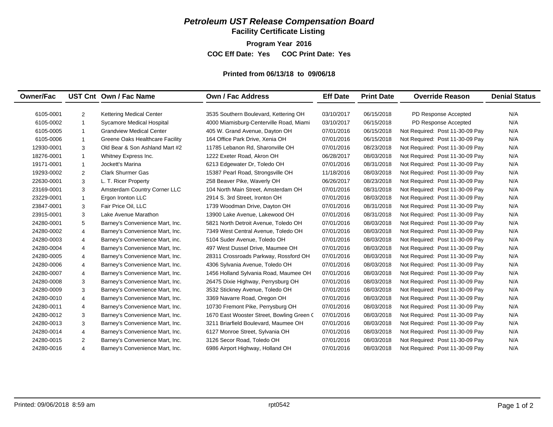**Facility Certificate Listing**

**Program Year 2016**

**COC Eff Date: Yes COC Print Date: Yes** 

#### **Printed from 06/13/18 to 09/06/18**

| <b>Owner/Fac</b> |                | UST Cnt Own / Fac Name          | Own / Fac Address                         | <b>Eff Date</b> | <b>Print Date</b> | <b>Override Reason</b>          | <b>Denial Status</b> |
|------------------|----------------|---------------------------------|-------------------------------------------|-----------------|-------------------|---------------------------------|----------------------|
|                  |                |                                 |                                           |                 |                   |                                 |                      |
| 6105-0001        | $\overline{2}$ | <b>Kettering Medical Center</b> | 3535 Southern Boulevard, Kettering OH     | 03/10/2017      | 06/15/2018        | PD Response Accepted            | N/A                  |
| 6105-0002        | $\mathbf{1}$   | Sycamore Medical Hospital       | 4000 Miamisburg-Centerville Road, Miami   | 03/10/2017      | 06/15/2018        | PD Response Accepted            | N/A                  |
| 6105-0005        | $\mathbf{1}$   | <b>Grandview Medical Center</b> | 405 W. Grand Avenue, Dayton OH            | 07/01/2016      | 06/15/2018        | Not Required: Post 11-30-09 Pay | N/A                  |
| 6105-0006        | $\mathbf{1}$   | Greene Oaks Healthcare Facility | 164 Office Park Drive, Xenia OH           | 07/01/2016      | 06/15/2018        | Not Required: Post 11-30-09 Pay | N/A                  |
| 12930-0001       | 3              | Old Bear & Son Ashland Mart #2  | 11785 Lebanon Rd, Sharonville OH          | 07/01/2016      | 08/23/2018        | Not Required: Post 11-30-09 Pay | N/A                  |
| 18276-0001       | $\mathbf{1}$   | Whitney Express Inc.            | 1222 Exeter Road, Akron OH                | 06/28/2017      | 08/03/2018        | Not Required: Post 11-30-09 Pay | N/A                  |
| 19171-0001       | $\mathbf{1}$   | Jockett's Marina                | 6213 Edgewater Dr, Toledo OH              | 07/01/2016      | 08/31/2018        | Not Required: Post 11-30-09 Pay | N/A                  |
| 19293-0002       | 2              | <b>Clark Shurmer Gas</b>        | 15387 Pearl Road, Strongsville OH         | 11/18/2016      | 08/03/2018        | Not Required: Post 11-30-09 Pay | N/A                  |
| 22630-0001       | 3              | L. T. Ricer Property            | 258 Beaver Pike, Waverly OH               | 06/26/2017      | 08/23/2018        | Not Required: Post 11-30-09 Pay | N/A                  |
| 23169-0001       | 3              | Amsterdam Country Corner LLC    | 104 North Main Street, Amsterdam OH       | 07/01/2016      | 08/31/2018        | Not Required: Post 11-30-09 Pay | N/A                  |
| 23229-0001       | $\mathbf{1}$   | Ergon Ironton LLC               | 2914 S. 3rd Street. Ironton OH            | 07/01/2016      | 08/03/2018        | Not Required: Post 11-30-09 Pay | N/A                  |
| 23847-0001       | 3              | Fair Price Oil, LLC             | 1739 Woodman Drive, Dayton OH             | 07/01/2016      | 08/31/2018        | Not Required: Post 11-30-09 Pay | N/A                  |
| 23915-0001       | 3              | Lake Avenue Marathon            | 13900 Lake Avenue, Lakewood OH            | 07/01/2016      | 08/31/2018        | Not Required: Post 11-30-09 Pay | N/A                  |
| 24280-0001       | 5              | Barney's Convenience Mart, Inc. | 5821 North Detroit Avenue, Toledo OH      | 07/01/2016      | 08/03/2018        | Not Required: Post 11-30-09 Pay | N/A                  |
| 24280-0002       | $\overline{4}$ | Barney's Convenience Mart, Inc. | 7349 West Central Avenue, Toledo OH       | 07/01/2016      | 08/03/2018        | Not Required: Post 11-30-09 Pay | N/A                  |
| 24280-0003       | $\overline{4}$ | Barney's Convenience Mart, inc. | 5104 Suder Avenue, Toledo OH              | 07/01/2016      | 08/03/2018        | Not Required: Post 11-30-09 Pay | N/A                  |
| 24280-0004       | $\overline{4}$ | Barney's Convenience Mart, Inc. | 497 West Dussel Drive, Maumee OH          | 07/01/2016      | 08/03/2018        | Not Required: Post 11-30-09 Pay | N/A                  |
| 24280-0005       | $\overline{4}$ | Barney's Convenience Mart, Inc. | 28311 Crossroads Parkway, Rossford OH     | 07/01/2016      | 08/03/2018        | Not Required: Post 11-30-09 Pay | N/A                  |
| 24280-0006       | $\overline{4}$ | Barney's Convenience Mart, Inc. | 4306 Sylvania Avenue, Toledo OH           | 07/01/2016      | 08/03/2018        | Not Required: Post 11-30-09 Pay | N/A                  |
| 24280-0007       | $\overline{4}$ | Barney's Convenience Mart, Inc. | 1456 Holland Sylvania Road, Maumee OH     | 07/01/2016      | 08/03/2018        | Not Required: Post 11-30-09 Pay | N/A                  |
| 24280-0008       | 3              | Barney's Convenience Mart, Inc. | 26475 Dixie Highway, Perrysburg OH        | 07/01/2016      | 08/03/2018        | Not Required: Post 11-30-09 Pay | N/A                  |
| 24280-0009       | 3              | Barney's Convenience Mart, Inc. | 3532 Stickney Avenue, Toledo OH           | 07/01/2016      | 08/03/2018        | Not Required: Post 11-30-09 Pay | N/A                  |
| 24280-0010       | $\overline{4}$ | Barney's Convenience Mart, Inc. | 3369 Navarre Road, Oregon OH              | 07/01/2016      | 08/03/2018        | Not Required: Post 11-30-09 Pay | N/A                  |
| 24280-0011       | $\overline{4}$ | Barney's Convenience Mart, Inc. | 10730 Fremont Pike, Perrysburg OH         | 07/01/2016      | 08/03/2018        | Not Required: Post 11-30-09 Pay | N/A                  |
| 24280-0012       | 3              | Barney's Convenience Mart, Inc. | 1670 East Wooster Street, Bowling Green C | 07/01/2016      | 08/03/2018        | Not Required: Post 11-30-09 Pay | N/A                  |
| 24280-0013       | 3              | Barney's Convenience Mart, Inc. | 3211 Briarfield Boulevard, Maumee OH      | 07/01/2016      | 08/03/2018        | Not Required: Post 11-30-09 Pay | N/A                  |
| 24280-0014       | $\overline{4}$ | Barney's Convenience Mart, Inc. | 6127 Monroe Street, Sylvania OH           | 07/01/2016      | 08/03/2018        | Not Required: Post 11-30-09 Pay | N/A                  |
| 24280-0015       | 2              | Barney's Convenience Mart, Inc. | 3126 Secor Road, Toledo OH                | 07/01/2016      | 08/03/2018        | Not Required: Post 11-30-09 Pay | N/A                  |
| 24280-0016       | $\overline{4}$ | Barney's Convenience Mart, Inc. | 6986 Airport Highway, Holland OH          | 07/01/2016      | 08/03/2018        | Not Required: Post 11-30-09 Pay | N/A                  |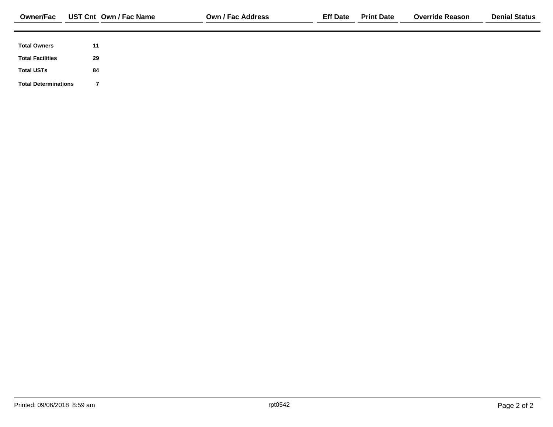| <b>Owner/Fac</b>            | UST Cnt Own / Fac Name | <b>Own / Fac Address</b> | <b>Eff Date</b> | <b>Print Date</b> | <b>Override Reason</b> | <b>Denial Status</b> |
|-----------------------------|------------------------|--------------------------|-----------------|-------------------|------------------------|----------------------|
|                             |                        |                          |                 |                   |                        |                      |
| <b>Total Owners</b>         | 11                     |                          |                 |                   |                        |                      |
| <b>Total Facilities</b>     | 29                     |                          |                 |                   |                        |                      |
| <b>Total USTs</b>           | 84                     |                          |                 |                   |                        |                      |
| <b>Total Determinations</b> |                        |                          |                 |                   |                        |                      |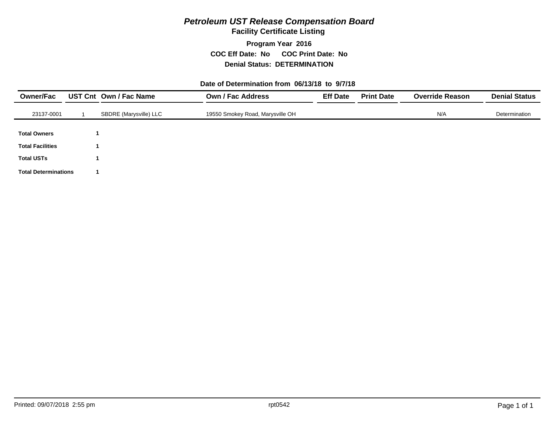**Facility Certificate Listing**

**Program Year 2016 COC Eff Date: No COC Print Date: No Denial Status: DETERMINATION**

#### **Date of Determination from 06/13/18 to 9/7/18**

| <b>Owner/Fac</b>            | UST Cnt Own / Fac Name | <b>Own / Fac Address</b>         | <b>Eff Date</b> | <b>Print Date</b> | <b>Override Reason</b> | <b>Denial Status</b> |
|-----------------------------|------------------------|----------------------------------|-----------------|-------------------|------------------------|----------------------|
| 23137-0001                  | SBDRE (Marysville) LLC | 19550 Smokey Road, Marysville OH |                 |                   | N/A                    | Determination        |
| <b>Total Owners</b>         |                        |                                  |                 |                   |                        |                      |
| <b>Total Facilities</b>     |                        |                                  |                 |                   |                        |                      |
| <b>Total USTs</b>           |                        |                                  |                 |                   |                        |                      |
| <b>Total Determinations</b> |                        |                                  |                 |                   |                        |                      |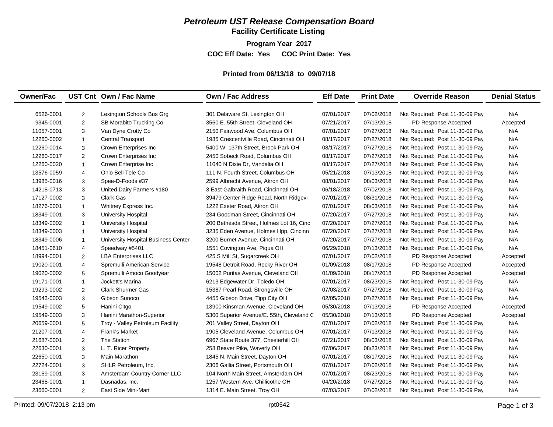**Facility Certificate Listing**

**Program Year 2017**

**COC Eff Date: Yes COC Print Date: Yes** 

#### **Printed from 06/13/18 to 09/07/18**

| <b>Owner/Fac</b> |                | UST Cnt Own / Fac Name              | <b>Own / Fac Address</b>                  | <b>Eff Date</b> | <b>Print Date</b> | <b>Override Reason</b>          | <b>Denial Status</b> |
|------------------|----------------|-------------------------------------|-------------------------------------------|-----------------|-------------------|---------------------------------|----------------------|
|                  |                |                                     |                                           |                 |                   |                                 |                      |
| 6526-0001        | $\overline{c}$ | Lexington Schools Bus Grg           | 301 Delaware St, Lexington OH             | 07/01/2017      | 07/02/2018        | Not Required: Post 11-30-09 Pay | N/A                  |
| 9345-0001        | 2              | SB Morabito Trucking Co             | 3560 E. 55th Street, Cleveland OH         | 07/21/2017      | 07/13/2018        | PD Response Accepted            | Accepted             |
| 11057-0001       | 3              | Van Dyne Crotty Co                  | 2150 Fairwood Ave, Columbus OH            | 07/01/2017      | 07/27/2018        | Not Required: Post 11-30-09 Pay | N/A                  |
| 12260-0002       | $\mathbf{1}$   | <b>Central Transport</b>            | 1985 Crescentville Road, Cincinnati OH    | 08/17/2017      | 07/27/2018        | Not Required: Post 11-30-09 Pay | N/A                  |
| 12260-0014       | 3              | Crown Enterprises Inc               | 5400 W. 137th Street, Brook Park OH       | 08/17/2017      | 07/27/2018        | Not Required: Post 11-30-09 Pay | N/A                  |
| 12260-0017       | 2              | Crown Enterprises Inc               | 2450 Sobeck Road, Columbus OH             | 08/17/2017      | 07/27/2018        | Not Required: Post 11-30-09 Pay | N/A                  |
| 12260-0020       | $\mathbf{1}$   | Crown Enterprise Inc                | 11040 N Dixie Dr, Vandalia OH             | 08/17/2017      | 07/27/2018        | Not Required: Post 11-30-09 Pay | N/A                  |
| 13576-0059       | $\overline{4}$ | Ohio Bell Tele Co                   | 111 N. Fourth Street, Columbus OH         | 05/21/2018      | 07/13/2018        | Not Required: Post 11-30-09 Pay | N/A                  |
| 13985-0016       | 3              | Spee-D-Foods #37                    | 2599 Albrecht Avenue, Akron OH            | 08/01/2017      | 08/03/2018        | Not Required: Post 11-30-09 Pay | N/A                  |
| 14218-0713       | 3              | United Dairy Farmers #180           | 3 East Galbraith Road, Cincinnati OH      | 06/18/2018      | 07/02/2018        | Not Required: Post 11-30-09 Pay | N/A                  |
| 17127-0002       | 3              | <b>Clark Gas</b>                    | 39479 Center Ridge Road, North Ridgevi    | 07/01/2017      | 08/31/2018        | Not Required: Post 11-30-09 Pay | N/A                  |
| 18276-0001       | $\overline{1}$ | Whitney Express Inc.                | 1222 Exeter Road, Akron OH                | 07/01/2017      | 08/03/2018        | Not Required: Post 11-30-09 Pay | N/A                  |
| 18349-0001       | 3              | <b>University Hospital</b>          | 234 Goodman Street. Cincinnati OH         | 07/20/2017      | 07/27/2018        | Not Required: Post 11-30-09 Pay | N/A                  |
| 18349-0002       | $\mathbf{1}$   | <b>University Hospital</b>          | 200 Bethesda Street, Holmes Lot 16, Cinc  | 07/20/2017      | 07/27/2018        | Not Required: Post 11-30-09 Pay | N/A                  |
| 18349-0003       | $\mathbf{1}$   | <b>University Hospital</b>          | 3235 Eden Avenue, Holmes Hpp, Cincinn     | 07/20/2017      | 07/27/2018        | Not Required: Post 11-30-09 Pay | N/A                  |
| 18349-0006       | $\mathbf{1}$   | University Hospital Business Center | 3200 Burnet Avenue, Cincinnati OH         | 07/20/2017      | 07/27/2018        | Not Required: Post 11-30-09 Pay | N/A                  |
| 18451-0610       | $\overline{4}$ | Speedway #5401                      | 1551 Covington Ave, Piqua OH              | 06/29/2018      | 07/13/2018        | Not Required: Post 11-30-09 Pay | N/A                  |
| 18994-0001       | 2              | <b>LBA Enterprises LLC</b>          | 425 S Mill St, Sugarcreek OH              | 07/01/2017      | 07/02/2018        | PD Response Accepted            | Accepted             |
| 19020-0001       | $\overline{4}$ | Spremulli American Service          | 19548 Detroit Road, Rocky River OH        | 01/09/2018      | 08/17/2018        | PD Response Accepted            | Accepted             |
| 19020-0002       | 5              | Spremulli Amoco Goodyear            | 15002 Puritas Avenue, Cleveland OH        | 01/09/2018      | 08/17/2018        | PD Response Accepted            | Accepted             |
| 19171-0001       | $\mathbf{1}$   | Jockett's Marina                    | 6213 Edgewater Dr, Toledo OH              | 07/01/2017      | 08/23/2018        | Not Required: Post 11-30-09 Pay | N/A                  |
| 19293-0002       | 2              | <b>Clark Shurmer Gas</b>            | 15387 Pearl Road, Strongsville OH         | 07/03/2017      | 07/27/2018        | Not Required: Post 11-30-09 Pay | N/A                  |
| 19543-0003       | 3              | Gibson Sunoco                       | 4455 Gibson Drive, Tipp City OH           | 02/05/2018      | 07/27/2018        | Not Required: Post 11-30-09 Pay | N/A                  |
| 19549-0002       | 5              | Hanini Citgo                        | 13900 Kinsman Avenue, Cleveland OH        | 05/30/2018      | 07/13/2018        | PD Response Accepted            | Accepted             |
| 19549-0003       | 3              | Hanini Marathon-Superior            | 5300 Superior Avenue/E. 55th, Cleveland C | 05/30/2018      | 07/13/2018        | PD Response Accepted            | Accepted             |
| 20659-0001       | 5              | Troy - Valley Petroleum Facility    | 201 Valley Street, Dayton OH              | 07/01/2017      | 07/02/2018        | Not Required: Post 11-30-09 Pay | N/A                  |
| 21207-0001       | $\overline{4}$ | <b>Frank's Market</b>               | 1905 Cleveland Avenue, Columbus OH        | 07/01/2017      | 07/13/2018        | Not Required: Post 11-30-09 Pay | N/A                  |
| 21687-0001       | 2              | The Station                         | 6967 State Route 377, Chesterhill OH      | 07/21/2017      | 08/03/2018        | Not Required: Post 11-30-09 Pay | N/A                  |
| 22630-0001       | $\mathbf{3}$   | L. T. Ricer Property                | 258 Beaver Pike, Waverly OH               | 07/06/2017      | 08/23/2018        | Not Required: Post 11-30-09 Pay | N/A                  |
| 22650-0001       | 3              | <b>Main Marathon</b>                | 1845 N. Main Street, Dayton OH            | 07/01/2017      | 08/17/2018        | Not Required: Post 11-30-09 Pay | N/A                  |
| 22724-0001       | 3              | SHLR Petroleum. Inc.                | 2306 Gallia Street, Portsmouth OH         | 07/01/2017      | 07/02/2018        | Not Required: Post 11-30-09 Pay | N/A                  |
| 23169-0001       | 3              | Amsterdam Country Corner LLC        | 104 North Main Street. Amsterdam OH       | 07/01/2017      | 08/23/2018        | Not Required: Post 11-30-09 Pay | N/A                  |
| 23468-0001       | $\mathbf{1}$   | Dasnadas, Inc.                      | 1257 Western Ave, Chillicothe OH          | 04/20/2018      | 07/27/2018        | Not Required: Post 11-30-09 Pay | N/A                  |
| 23660-0001       | 2              | East Side Mini-Mart                 | 1314 E. Main Street, Troy OH              | 07/03/2017      | 07/02/2018        | Not Required: Post 11-30-09 Pay | N/A                  |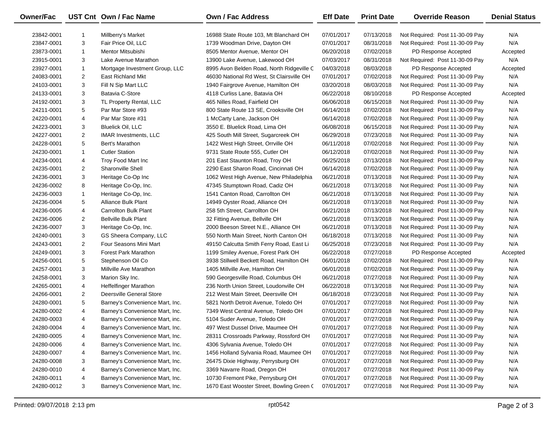| Owner/Fac  |                | UST Cnt Own / Fac Name          | Own / Fac Address                         | <b>Eff Date</b> | <b>Print Date</b> | <b>Override Reason</b>          | <b>Denial Status</b> |
|------------|----------------|---------------------------------|-------------------------------------------|-----------------|-------------------|---------------------------------|----------------------|
| 23842-0001 |                | Millberry's Market              | 16988 State Route 103, Mt Blanchard OH    | 07/01/2017      | 07/13/2018        | Not Required: Post 11-30-09 Pay | N/A                  |
| 23847-0001 | 3              | Fair Price Oil, LLC             | 1739 Woodman Drive, Dayton OH             | 07/01/2017      | 08/31/2018        | Not Required: Post 11-30-09 Pay | N/A                  |
| 23873-0001 | $\mathbf{1}$   | Mentor Mitsubishi               | 8505 Mentor Avenue, Mentor OH             | 06/20/2018      | 07/02/2018        | PD Response Accepted            | Accepted             |
| 23915-0001 | 3              | Lake Avenue Marathon            | 13900 Lake Avenue, Lakewood OH            | 07/03/2017      | 08/31/2018        | Not Required: Post 11-30-09 Pay | N/A                  |
| 23927-0001 | $\mathbf{1}$   | Mortgage Investment Group, LLC  | 8995 Avon Belden Road, North Ridgeville C | 04/03/2018      | 08/03/2018        | PD Response Accepted            | Accepted             |
| 24083-0001 | $\overline{2}$ | <b>East Richland Mkt</b>        | 46030 National Rd West, St Clairsville OH | 07/01/2017      | 07/02/2018        | Not Required: Post 11-30-09 Pay | N/A                  |
| 24103-0001 | 3              | Fill N Sip Mart LLC             | 1940 Fairgrove Avenue, Hamilton OH        | 03/20/2018      | 08/03/2018        | Not Required: Post 11-30-09 Pay | N/A                  |
| 24133-0001 | 3              | Batavia C-Store                 | 4118 Curliss Lane, Batavia OH             | 06/22/2018      | 08/10/2018        | PD Response Accepted            | Accepted             |
| 24192-0001 | 3              | TL Property Rental, LLC         | 465 Nilles Road, Fairfield OH             | 06/06/2018      | 06/15/2018        | Not Required: Post 11-30-09 Pay | N/A                  |
| 24211-0001 | 5              | Par Mar Store #93               | 800 State Route 13 SE, Crooksville OH     | 06/14/2018      | 07/02/2018        | Not Required: Post 11-30-09 Pay | N/A                  |
| 24220-0001 | 4              | Par Mar Store #31               | 1 McCarty Lane, Jackson OH                | 06/14/2018      | 07/02/2018        | Not Required: Post 11-30-09 Pay | N/A                  |
| 24223-0001 | 3              | <b>Bluelick Oil, LLC</b>        | 3550 E. Bluelick Road, Lima OH            | 06/08/2018      | 06/15/2018        | Not Required: Post 11-30-09 Pay | N/A                  |
| 24227-0001 | $\overline{2}$ | <b>IMAR Investments, LLC</b>    | 425 South Mill Street, Sugarcreek OH      | 06/29/2018      | 07/23/2018        | Not Required: Post 11-30-09 Pay | N/A                  |
| 24228-0001 | 5              | Bert's Marathon                 | 1422 West High Street, Orrville OH        | 06/11/2018      | 07/02/2018        | Not Required: Post 11-30-09 Pay | N/A                  |
| 24230-0001 | $\mathbf{1}$   | <b>Cutler Station</b>           | 9731 State Route 555, Cutler OH           | 06/12/2018      | 07/02/2018        | Not Required: Post 11-30-09 Pay | N/A                  |
| 24234-0001 | 4              | Troy Food Mart Inc              | 201 East Staunton Road, Troy OH           | 06/25/2018      | 07/13/2018        | Not Required: Post 11-30-09 Pay | N/A                  |
| 24235-0001 | $\overline{2}$ | Sharonville Shell               | 2290 East Sharon Road, Cincinnati OH      | 06/14/2018      | 07/02/2018        | Not Required: Post 11-30-09 Pay | N/A                  |
| 24236-0001 | 3              | Heritage Co-Op Inc              | 1062 West High Avenue, New Philadelphia   | 06/21/2018      | 07/13/2018        | Not Required: Post 11-30-09 Pay | N/A                  |
| 24236-0002 | 8              | Heritage Co-Op, Inc.            | 47345 Stumptown Road, Cadiz OH            | 06/21/2018      | 07/13/2018        | Not Required: Post 11-30-09 Pay | N/A                  |
| 24236-0003 | $\mathbf{1}$   | Heritage Co-Op, Inc.            | 1541 Canton Road, Carrollton OH           | 06/21/2018      | 07/13/2018        | Not Required: Post 11-30-09 Pay | N/A                  |
| 24236-0004 | 5              | Alliance Bulk Plant             | 14949 Oyster Road, Alliance OH            | 06/21/2018      | 07/13/2018        | Not Required: Post 11-30-09 Pay | N/A                  |
| 24236-0005 | 4              | <b>Carrollton Bulk Plant</b>    | 258 5th Street, Carrollton OH             | 06/21/2018      | 07/13/2018        | Not Required: Post 11-30-09 Pay | N/A                  |
| 24236-0006 | $\overline{2}$ | <b>Bellville Bulk Plant</b>     | 32 Fitting Avenue, Bellville OH           | 06/21/2018      | 07/13/2018        | Not Required: Post 11-30-09 Pay | N/A                  |
| 24236-0007 | 3              | Heritage Co-Op, Inc.            | 2000 Beeson Street N.E., Alliance OH      | 06/21/2018      | 07/13/2018        | Not Required: Post 11-30-09 Pay | N/A                  |
| 24240-0001 | 3              | GS Sheera Company, LLC          | 550 North Main Street, North Canton OH    | 06/18/2018      | 07/13/2018        | Not Required: Post 11-30-09 Pay | N/A                  |
| 24243-0001 | $\overline{2}$ | Four Seasons Mini Mart          | 49150 Calcutta Smith Ferry Road, East Li  | 06/25/2018      | 07/23/2018        | Not Required: Post 11-30-09 Pay | N/A                  |
| 24249-0001 | 3              | Forest Park Marathon            | 1199 Smiley Avenue, Forest Park OH        | 06/22/2018      | 07/27/2018        | PD Response Accepted            | Accepted             |
| 24256-0001 | 5              | Stephenson Oil Co               | 3938 Stillwell Beckett Road, Hamilton OH  | 06/01/2018      | 07/02/2018        | Not Required: Post 11-30-09 Pay | N/A                  |
| 24257-0001 | 3              | Millville Ave Marathon          | 1405 Millville Ave, Hamilton OH           | 06/01/2018      | 07/02/2018        | Not Required: Post 11-30-09 Pay | N/A                  |
| 24258-0001 | 3              | Marion Sky Inc.                 | 590 Georgesville Road, Columbus OH        | 06/21/2018      | 07/27/2018        | Not Required: Post 11-30-09 Pay | N/A                  |
| 24265-0001 | 4              | <b>Heffelfinger Marathon</b>    | 236 North Union Street, Loudonville OH    | 06/22/2018      | 07/13/2018        | Not Required: Post 11-30-09 Pay | N/A                  |
| 24266-0001 | $\overline{2}$ | Deersville General Store        | 212 West Main Street, Deersville OH       | 06/18/2018      | 07/23/2018        | Not Required: Post 11-30-09 Pay | N/A                  |
| 24280-0001 | 5              | Barney's Convenience Mart, Inc. | 5821 North Detroit Avenue, Toledo OH      | 07/01/2017      | 07/27/2018        | Not Required: Post 11-30-09 Pay | N/A                  |
| 24280-0002 | 4              | Barney's Convenience Mart, Inc. | 7349 West Central Avenue, Toledo OH       | 07/01/2017      | 07/27/2018        | Not Required: Post 11-30-09 Pay | N/A                  |
| 24280-0003 | 4              | Barney's Convenience Mart, inc. | 5104 Suder Avenue, Toledo OH              | 07/01/2017      | 07/27/2018        | Not Required: Post 11-30-09 Pay | N/A                  |
| 24280-0004 | 4              | Barney's Convenience Mart, Inc. | 497 West Dussel Drive, Maumee OH          | 07/01/2017      | 07/27/2018        | Not Required: Post 11-30-09 Pay | N/A                  |
| 24280-0005 | 4              | Barney's Convenience Mart, Inc. | 28311 Crossroads Parkway, Rossford OH     | 07/01/2017      | 07/27/2018        | Not Required: Post 11-30-09 Pay | N/A                  |
| 24280-0006 | 4              | Barney's Convenience Mart, Inc. | 4306 Sylvania Avenue, Toledo OH           | 07/01/2017      | 07/27/2018        | Not Required: Post 11-30-09 Pay | N/A                  |
| 24280-0007 | 4              | Barney's Convenience Mart, Inc. | 1456 Holland Sylvania Road, Maumee OH     | 07/01/2017      | 07/27/2018        | Not Required: Post 11-30-09 Pay | N/A                  |
| 24280-0008 | 3              | Barney's Convenience Mart, Inc. | 26475 Dixie Highway, Perrysburg OH        | 07/01/2017      | 07/27/2018        | Not Required: Post 11-30-09 Pay | N/A                  |
| 24280-0010 | 4              | Barney's Convenience Mart, Inc. | 3369 Navarre Road, Oregon OH              | 07/01/2017      | 07/27/2018        | Not Required: Post 11-30-09 Pay | N/A                  |
| 24280-0011 | 4              | Barney's Convenience Mart, Inc. | 10730 Fremont Pike, Perrysburg OH         | 07/01/2017      | 07/27/2018        | Not Required: Post 11-30-09 Pay | N/A                  |
| 24280-0012 | 3              | Barney's Convenience Mart, Inc. | 1670 East Wooster Street, Bowling Green ( | 07/01/2017      | 07/27/2018        | Not Required: Post 11-30-09 Pay | N/A                  |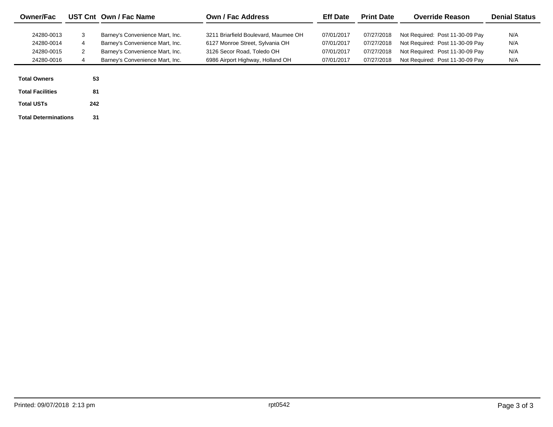| <b>Owner/Fac</b>                                     |                          | UST Cnt Own / Fac Name                                                                                                                   | Own / Fac Address                                                                                                                         | <b>Eff Date</b>                                      | <b>Print Date</b>                                    | <b>Override Reason</b>                                                                                                                   | <b>Denial Status</b>     |
|------------------------------------------------------|--------------------------|------------------------------------------------------------------------------------------------------------------------------------------|-------------------------------------------------------------------------------------------------------------------------------------------|------------------------------------------------------|------------------------------------------------------|------------------------------------------------------------------------------------------------------------------------------------------|--------------------------|
| 24280-0013<br>24280-0014<br>24280-0015<br>24280-0016 | 3<br>4<br>$\overline{2}$ | Barney's Convenience Mart, Inc.<br>Barney's Convenience Mart, Inc.<br>Barney's Convenience Mart, Inc.<br>Barney's Convenience Mart, Inc. | 3211 Briarfield Boulevard, Maumee OH<br>6127 Monroe Street, Sylvania OH<br>3126 Secor Road, Toledo OH<br>6986 Airport Highway, Holland OH | 07/01/2017<br>07/01/2017<br>07/01/2017<br>07/01/2017 | 07/27/2018<br>07/27/2018<br>07/27/2018<br>07/27/2018 | Not Required: Post 11-30-09 Pay<br>Not Required: Post 11-30-09 Pay<br>Not Required: Post 11-30-09 Pay<br>Not Required: Post 11-30-09 Pay | N/A<br>N/A<br>N/A<br>N/A |
| <b>Total Owners</b><br><b>Total Facilities</b>       | 53<br>81                 |                                                                                                                                          |                                                                                                                                           |                                                      |                                                      |                                                                                                                                          |                          |
| <b>Total USTs</b>                                    | 242                      |                                                                                                                                          |                                                                                                                                           |                                                      |                                                      |                                                                                                                                          |                          |

**Total Determinations**

**31**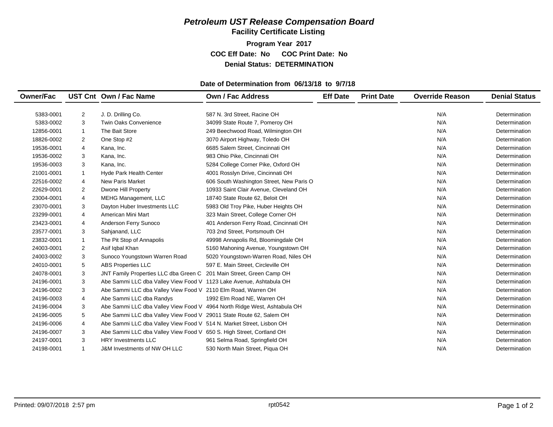**Facility Certificate Listing**

**Program Year 2017 COC Eff Date: No COC Print Date: No Denial Status: DETERMINATION**

#### **Date of Determination from 06/13/18 to 9/7/18**

| <b>Owner/Fac</b> |                | UST Cnt Own / Fac Name                                                   | <b>Own / Fac Address</b>                 | <b>Eff Date</b> | <b>Print Date</b> | <b>Override Reason</b> | <b>Denial Status</b> |
|------------------|----------------|--------------------------------------------------------------------------|------------------------------------------|-----------------|-------------------|------------------------|----------------------|
| 5383-0001        | 2              | J. D. Drilling Co.                                                       | 587 N. 3rd Street. Racine OH             |                 |                   | N/A                    | Determination        |
| 5383-0002        | 3              | <b>Twin Oaks Convenience</b>                                             | 34099 State Route 7, Pomeroy OH          |                 |                   | N/A                    | Determination        |
| 12856-0001       | 1              | The Bait Store                                                           | 249 Beechwood Road, Wilmington OH        |                 |                   | N/A                    | Determination        |
| 18826-0002       | 2              | One Stop #2                                                              | 3070 Airport Highway, Toledo OH          |                 |                   | N/A                    | Determination        |
| 19536-0001       | 4              | Kana, Inc.                                                               | 6685 Salem Street, Cincinnati OH         |                 |                   | N/A                    | Determination        |
| 19536-0002       | 3              | Kana, Inc.                                                               | 983 Ohio Pike, Cincinnati OH             |                 |                   | N/A                    | Determination        |
| 19536-0003       | 3              | Kana, Inc.                                                               | 5284 College Corner Pike, Oxford OH      |                 |                   | N/A                    | Determination        |
| 21001-0001       | $\mathbf{1}$   | Hyde Park Health Center                                                  | 4001 Rosslyn Drive, Cincinnati OH        |                 |                   | N/A                    | Determination        |
| 22516-0002       | 4              | New Paris Market                                                         | 606 South Washington Street, New Paris O |                 |                   | N/A                    | Determination        |
| 22629-0001       | 2              | Dwone Hill Property                                                      | 10933 Saint Clair Avenue, Cleveland OH   |                 |                   | N/A                    | Determination        |
| 23004-0001       | 4              | MEHG Management, LLC                                                     | 18740 State Route 62, Beloit OH          |                 |                   | N/A                    | Determination        |
| 23070-0001       | 3              | Dayton Huber Investments LLC                                             | 5983 Old Troy Pike, Huber Heights OH     |                 |                   | N/A                    | Determination        |
| 23299-0001       | $\overline{4}$ | American Mini Mart                                                       | 323 Main Street, College Corner OH       |                 |                   | N/A                    | Determination        |
| 23423-0001       | 4              | Anderson Ferry Sunoco                                                    | 401 Anderson Ferry Road, Cincinnati OH   |                 |                   | N/A                    | Determination        |
| 23577-0001       | 3              | Sahjanand, LLC                                                           | 703 2nd Street, Portsmouth OH            |                 |                   | N/A                    | Determination        |
| 23832-0001       | $\mathbf{1}$   | The Pit Stop of Annapolis                                                | 49998 Annapolis Rd, Bloomingdale OH      |                 |                   | N/A                    | Determination        |
| 24003-0001       | $\overline{2}$ | Asif Iqbal Khan                                                          | 5160 Mahoning Avenue, Youngstown OH      |                 |                   | N/A                    | Determination        |
| 24003-0002       | 3              | Sunoco Youngstown Warren Road                                            | 5020 Youngstown-Warren Road, Niles OH    |                 |                   | N/A                    | Determination        |
| 24010-0001       | 5              | <b>ABS Properties LLC</b>                                                | 597 E. Main Street, Circleville OH       |                 |                   | N/A                    | Determination        |
| 24078-0001       | 3              | JNT Family Properties LLC dba Green C 201 Main Street, Green Camp OH     |                                          |                 |                   | N/A                    | Determination        |
| 24196-0001       | 3              | Abe Sammi LLC dba Valley View Food V 1123 Lake Avenue, Ashtabula OH      |                                          |                 |                   | N/A                    | Determination        |
| 24196-0002       | 3              | Abe Sammi LLC dba Valley View Food V 2110 Elm Road, Warren OH            |                                          |                 |                   | N/A                    | Determination        |
| 24196-0003       | 4              | Abe Sammi LLC dba Randys                                                 | 1992 Elm Road NE, Warren OH              |                 |                   | N/A                    | Determination        |
| 24196-0004       | 3              | Abe Sammi LLC dba Valley View Food V 4964 North Ridge West, Ashtabula OH |                                          |                 |                   | N/A                    | Determination        |
| 24196-0005       | 5              | Abe Sammi LLC dba Valley View Food V 29011 State Route 62, Salem OH      |                                          |                 |                   | N/A                    | Determination        |
| 24196-0006       | $\overline{4}$ | Abe Sammi LLC dba Valley View Food V 514 N. Market Street, Lisbon OH     |                                          |                 |                   | N/A                    | Determination        |
| 24196-0007       | 3              | Abe Sammi LLC dba Valley View Food V 650 S. High Street, Cortland OH     |                                          |                 |                   | N/A                    | Determination        |
| 24197-0001       | 3              | <b>HRY Investments LLC</b>                                               | 961 Selma Road, Springfield OH           |                 |                   | N/A                    | Determination        |
| 24198-0001       | 1              | J&M Investments of NW OH LLC                                             | 530 North Main Street, Piqua OH          |                 |                   | N/A                    | Determination        |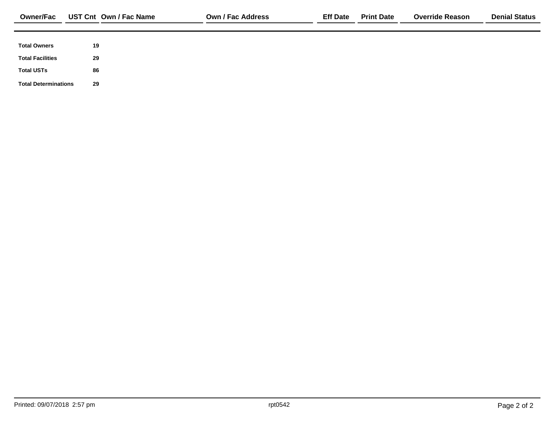| <b>Owner/Fac</b>            |    | UST Cnt Own / Fac Name | <b>Own / Fac Address</b> | <b>Eff Date</b> | <b>Print Date</b> | <b>Override Reason</b> | <b>Denial Status</b> |
|-----------------------------|----|------------------------|--------------------------|-----------------|-------------------|------------------------|----------------------|
|                             |    |                        |                          |                 |                   |                        |                      |
| <b>Total Owners</b>         | 19 |                        |                          |                 |                   |                        |                      |
| <b>Total Facilities</b>     | 29 |                        |                          |                 |                   |                        |                      |
| <b>Total USTs</b>           | 86 |                        |                          |                 |                   |                        |                      |
| <b>Total Determinations</b> | 29 |                        |                          |                 |                   |                        |                      |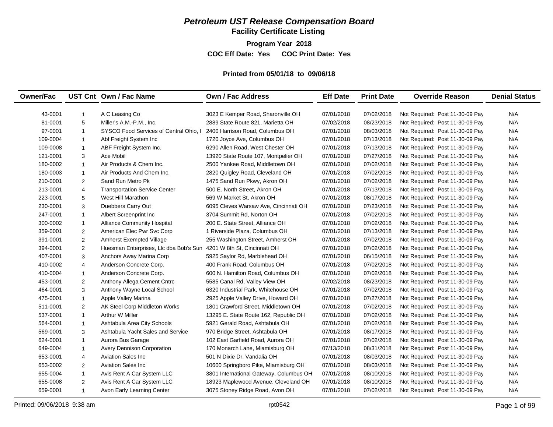**Facility Certificate Listing**

**Program Year 2018**

**COC Eff Date: Yes COC Print Date: Yes** 

#### **Printed from 05/01/18 to 09/06/18**

| <b>Owner/Fac</b> |                | UST Cnt Own / Fac Name                                              | <b>Own / Fac Address</b>                | <b>Eff Date</b> | <b>Print Date</b> | <b>Override Reason</b>          | <b>Denial Status</b> |
|------------------|----------------|---------------------------------------------------------------------|-----------------------------------------|-----------------|-------------------|---------------------------------|----------------------|
|                  |                |                                                                     |                                         |                 |                   |                                 |                      |
| 43-0001          | $\mathbf{1}$   | A C Leasing Co                                                      | 3023 E Kemper Road, Sharonville OH      | 07/01/2018      | 07/02/2018        | Not Required: Post 11-30-09 Pay | N/A                  |
| 81-0001          | 5              | Miller's A.M.-P.M., Inc.                                            | 2889 State Route 821, Marietta OH       | 07/02/2018      | 08/23/2018        | Not Required: Post 11-30-09 Pay | N/A                  |
| 97-0001          | $\overline{1}$ | SYSCO Food Services of Central Ohio, I                              | 2400 Harrison Road, Columbus OH         | 07/01/2018      | 08/03/2018        | Not Required: Post 11-30-09 Pay | N/A                  |
| 109-0004         | $\overline{1}$ | Abf Freight System Inc                                              | 1720 Joyce Ave, Columbus OH             | 07/01/2018      | 07/13/2018        | Not Required: Post 11-30-09 Pay | N/A                  |
| 109-0008         | $\mathbf{1}$   | ABF Freight System Inc.                                             | 6290 Allen Road, West Chester OH        | 07/01/2018      | 07/13/2018        | Not Required: Post 11-30-09 Pay | N/A                  |
| 121-0001         | 3              | Ace Mobil                                                           | 13920 State Route 107, Montpelier OH    | 07/01/2018      | 07/27/2018        | Not Required: Post 11-30-09 Pay | N/A                  |
| 180-0002         | $\overline{1}$ | Air Products & Chem Inc.                                            | 2500 Yankee Road, Middletown OH         | 07/01/2018      | 07/02/2018        | Not Required: Post 11-30-09 Pay | N/A                  |
| 180-0003         | $\mathbf{1}$   | Air Products And Chem Inc.                                          | 2820 Quigley Road, Cleveland OH         | 07/01/2018      | 07/02/2018        | Not Required: Post 11-30-09 Pay | N/A                  |
| 210-0001         | $\overline{2}$ | Sand Run Metro Pk                                                   | 1475 Sand Run Pkwy, Akron OH            | 07/01/2018      | 07/02/2018        | Not Required: Post 11-30-09 Pay | N/A                  |
| 213-0001         | $\overline{4}$ | <b>Transportation Service Center</b>                                | 500 E. North Street, Akron OH           | 07/01/2018      | 07/13/2018        | Not Required: Post 11-30-09 Pay | N/A                  |
| 223-0001         | 5              | West Hill Marathon                                                  | 569 W Market St, Akron OH               | 07/01/2018      | 08/17/2018        | Not Required: Post 11-30-09 Pay | N/A                  |
| 230-0001         | 3              | Duebbers Carry Out                                                  | 6095 Cleves Warsaw Ave, Cincinnati OH   | 07/01/2018      | 07/23/2018        | Not Required: Post 11-30-09 Pay | N/A                  |
| 247-0001         | $\overline{1}$ | Albert Screenprint Inc.                                             | 3704 Summit Rd, Norton OH               | 07/01/2018      | 07/02/2018        | Not Required: Post 11-30-09 Pay | N/A                  |
| 300-0002         | $\mathbf{1}$   | <b>Alliance Community Hospital</b>                                  | 200 E. State Street. Alliance OH        | 07/01/2018      | 07/02/2018        | Not Required: Post 11-30-09 Pay | N/A                  |
| 359-0001         | 2              | American Elec Pwr Svc Corp                                          | 1 Riverside Plaza, Columbus OH          | 07/01/2018      | 07/13/2018        | Not Required: Post 11-30-09 Pay | N/A                  |
| 391-0001         | 2              | Amherst Exempted Village                                            | 255 Washington Street, Amherst OH       | 07/01/2018      | 07/02/2018        | Not Required: Post 11-30-09 Pay | N/A                  |
| 394-0001         | $\overline{2}$ | Huesman Enterprises, Llc dba Bob's Sun 4201 W 8th St, Cincinnati OH |                                         | 07/01/2018      | 07/02/2018        | Not Required: Post 11-30-09 Pay | N/A                  |
| 407-0001         | 3              | Anchors Away Marina Corp                                            | 5925 Saylor Rd, Marblehead OH           | 07/01/2018      | 06/15/2018        | Not Required: Post 11-30-09 Pay | N/A                  |
| 410-0002         | $\overline{4}$ | Anderson Concrete Corp.                                             | 400 Frank Road, Columbus OH             | 07/01/2018      | 07/02/2018        | Not Required: Post 11-30-09 Pay | N/A                  |
| 410-0004         | $\mathbf{1}$   | Anderson Concrete Corp.                                             | 600 N. Hamilton Road, Columbus OH       | 07/01/2018      | 07/02/2018        | Not Required: Post 11-30-09 Pay | N/A                  |
| 453-0001         | $\overline{2}$ | Anthony Allega Cement Cntrc                                         | 5585 Canal Rd, Valley View OH           | 07/02/2018      | 08/23/2018        | Not Required: Post 11-30-09 Pay | N/A                  |
| 464-0001         | 3              | Anthony Wayne Local School                                          | 6320 Industrial Park, Whitehouse OH     | 07/01/2018      | 07/02/2018        | Not Required: Post 11-30-09 Pay | N/A                  |
| 475-0001         | $\mathbf{1}$   | Apple Valley Marina                                                 | 2925 Apple Valley Drive, Howard OH      | 07/01/2018      | 07/27/2018        | Not Required: Post 11-30-09 Pay | N/A                  |
| 511-0001         | $\overline{2}$ | AK Steel Corp Middleton Works                                       | 1801 Crawford Street, Middletown OH     | 07/01/2018      | 07/02/2018        | Not Required: Post 11-30-09 Pay | N/A                  |
| 537-0001         | $\mathbf{1}$   | Arthur W Miller                                                     | 13295 E. State Route 162, Republic OH   | 07/01/2018      | 07/02/2018        | Not Required: Post 11-30-09 Pay | N/A                  |
| 564-0001         | $\mathbf{1}$   | Ashtabula Area City Schools                                         | 5921 Gerald Road, Ashtabula OH          | 07/01/2018      | 07/02/2018        | Not Required: Post 11-30-09 Pay | N/A                  |
| 569-0001         | 3              | Ashtabula Yacht Sales and Service                                   | 970 Bridge Street, Ashtabula OH         | 07/01/2018      | 08/17/2018        | Not Required: Post 11-30-09 Pay | N/A                  |
| 624-0001         | $\mathbf{1}$   | Aurora Bus Garage                                                   | 102 East Garfield Road, Aurora OH       | 07/01/2018      | 07/02/2018        | Not Required: Post 11-30-09 Pay | N/A                  |
| 649-0004         | $\mathbf{1}$   | Avery Dennison Corporation                                          | 170 Monarch Lane, Miamisburg OH         | 07/13/2018      | 08/31/2018        | Not Required: Post 11-30-09 Pay | N/A                  |
| 653-0001         | $\overline{4}$ | <b>Aviation Sales Inc.</b>                                          | 501 N Dixie Dr, Vandalia OH             | 07/01/2018      | 08/03/2018        | Not Required: Post 11-30-09 Pay | N/A                  |
| 653-0002         | $\overline{2}$ | <b>Aviation Sales Inc.</b>                                          | 10600 Springboro Pike, Miamisburg OH    | 07/01/2018      | 08/03/2018        | Not Required: Post 11-30-09 Pay | N/A                  |
| 655-0004         | $\mathbf{1}$   | Avis Rent A Car System LLC                                          | 3801 International Gateway, Columbus OH | 07/01/2018      | 08/10/2018        | Not Required: Post 11-30-09 Pay | N/A                  |
| 655-0008         | 2              | Avis Rent A Car System LLC                                          | 18923 Maplewood Avenue, Cleveland OH    | 07/01/2018      | 08/10/2018        | Not Required: Post 11-30-09 Pay | N/A                  |
| 659-0001         | $\overline{1}$ | Avon Early Learning Center                                          | 3075 Stoney Ridge Road, Avon OH         | 07/01/2018      | 07/02/2018        | Not Required: Post 11-30-09 Pay | N/A                  |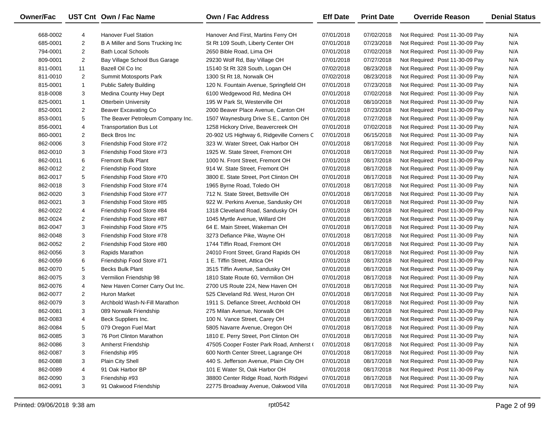| <b>Owner/Fac</b> |                         | UST Cnt Own / Fac Name            | Own / Fac Address                         | <b>Eff Date</b> | <b>Print Date</b> | <b>Override Reason</b>          | <b>Denial Status</b> |
|------------------|-------------------------|-----------------------------------|-------------------------------------------|-----------------|-------------------|---------------------------------|----------------------|
| 668-0002         | 4                       | <b>Hanover Fuel Station</b>       | Hanover And First, Martins Ferry OH       | 07/01/2018      | 07/02/2018        | Not Required: Post 11-30-09 Pay | N/A                  |
| 685-0001         | $\overline{c}$          | B A Miller and Sons Trucking Inc  | St Rt 109 South, Liberty Center OH        | 07/01/2018      | 07/23/2018        | Not Required: Post 11-30-09 Pay | N/A                  |
| 794-0001         | $\overline{c}$          | <b>Bath Local Schools</b>         | 2650 Bible Road, Lima OH                  | 07/01/2018      | 07/02/2018        | Not Required: Post 11-30-09 Pay | N/A                  |
| 809-0001         | $\overline{\mathbf{c}}$ | Bay Village School Bus Garage     | 29230 Wolf Rd, Bay Village OH             | 07/01/2018      | 07/27/2018        | Not Required: Post 11-30-09 Pay | N/A                  |
| 811-0001         | 11                      | Bazell Oil Co Inc                 | 15140 St Rt 328 South, Logan OH           | 07/02/2018      | 08/23/2018        | Not Required: Post 11-30-09 Pay | N/A                  |
| 811-0010         | $\overline{2}$          | Summit Motosports Park            | 1300 St Rt 18, Norwalk OH                 | 07/02/2018      | 08/23/2018        | Not Required: Post 11-30-09 Pay | N/A                  |
| 815-0001         | $\mathbf{1}$            | <b>Public Safety Building</b>     | 120 N. Fountain Avenue, Springfield OH    | 07/01/2018      | 07/23/2018        | Not Required: Post 11-30-09 Pay | N/A                  |
| 818-0008         | 3                       | Medina County Hwy Dept            | 6100 Wedgewood Rd, Medina OH              | 07/01/2018      | 07/02/2018        | Not Required: Post 11-30-09 Pay | N/A                  |
| 825-0001         | $\mathbf{1}$            | <b>Otterbein University</b>       | 195 W Park St, Westerville OH             | 07/01/2018      | 08/10/2018        | Not Required: Post 11-30-09 Pay | N/A                  |
| 852-0001         | $\overline{2}$          | <b>Beaver Excavating Co</b>       | 2000 Beaver Place Avenue, Canton OH       | 07/01/2018      | 07/23/2018        | Not Required: Post 11-30-09 Pay | N/A                  |
| 853-0001         | 5                       | The Beaver Petroleum Company Inc. | 1507 Waynesburg Drive S.E., Canton OH     | 07/01/2018      | 07/27/2018        | Not Required: Post 11-30-09 Pay | N/A                  |
| 856-0001         | 4                       | <b>Transportation Bus Lot</b>     | 1258 Hickory Drive, Beavercreek OH        | 07/01/2018      | 07/02/2018        | Not Required: Post 11-30-09 Pay | N/A                  |
| 860-0001         | $\overline{c}$          | Beck Bros Inc                     | 20-902 US Highway 6, Ridgeville Corners C | 07/01/2018      | 06/15/2018        | Not Required: Post 11-30-09 Pay | N/A                  |
| 862-0006         | 3                       | Friendship Food Store #72         | 323 W. Water Street, Oak Harbor OH        | 07/01/2018      | 08/17/2018        | Not Required: Post 11-30-09 Pay | N/A                  |
| 862-0010         | 3                       | Friendship Food Store #73         | 1925 W. State Street, Fremont OH          | 07/01/2018      | 08/17/2018        | Not Required: Post 11-30-09 Pay | N/A                  |
| 862-0011         | 6                       | <b>Fremont Bulk Plant</b>         | 1000 N. Front Street, Fremont OH          | 07/01/2018      | 08/17/2018        | Not Required: Post 11-30-09 Pay | N/A                  |
| 862-0012         | $\overline{c}$          | <b>Friendship Food Store</b>      | 914 W. State Street, Fremont OH           | 07/01/2018      | 08/17/2018        | Not Required: Post 11-30-09 Pay | N/A                  |
| 862-0017         | 5                       | Friendship Food Store #70         | 3800 E. State Street, Port Clinton OH     | 07/01/2018      | 08/17/2018        | Not Required: Post 11-30-09 Pay | N/A                  |
| 862-0018         | 3                       | Friendship Food Store #74         | 1965 Byrne Road, Toledo OH                | 07/01/2018      | 08/17/2018        | Not Required: Post 11-30-09 Pay | N/A                  |
| 862-0020         | 3                       | Friendship Food Store #77         | 712 N. State Street, Bettsville OH        | 07/01/2018      | 08/17/2018        | Not Required: Post 11-30-09 Pay | N/A                  |
| 862-0021         | 3                       | Friendship Food Store #85         | 922 W. Perkins Avenue, Sandusky OH        | 07/01/2018      | 08/17/2018        | Not Required: Post 11-30-09 Pay | N/A                  |
| 862-0022         | 4                       | Friendship Food Store #84         | 1318 Cleveland Road, Sandusky OH          | 07/01/2018      | 08/17/2018        | Not Required: Post 11-30-09 Pay | N/A                  |
| 862-0024         | $\overline{c}$          | Friendship Food Store #87         | 1045 Myrtle Avenue, Willard OH            | 07/01/2018      | 08/17/2018        | Not Required: Post 11-30-09 Pay | N/A                  |
| 862-0047         | 3                       | Freindship Food Store #75         | 64 E. Main Street, Wakeman OH             | 07/01/2018      | 08/17/2018        | Not Required: Post 11-30-09 Pay | N/A                  |
| 862-0048         | 3                       | Friendship Food Store #78         | 3273 Defiance Pike, Wayne OH              | 07/01/2018      | 08/17/2018        | Not Required: Post 11-30-09 Pay | N/A                  |
| 862-0052         | $\overline{2}$          | Friendship Food Store #80         | 1744 Tiffin Road, Fremont OH              | 07/01/2018      | 08/17/2018        | Not Required: Post 11-30-09 Pay | N/A                  |
| 862-0056         | 3                       | Rapids Marathon                   | 24010 Front Street, Grand Rapids OH       | 07/01/2018      | 08/17/2018        | Not Required: Post 11-30-09 Pay | N/A                  |
| 862-0059         | 6                       | Friendship Food Store #71         | 1 E. Tiffin Street, Attica OH             | 07/01/2018      | 08/17/2018        | Not Required: Post 11-30-09 Pay | N/A                  |
| 862-0070         | 5                       | <b>Becks Bulk Plant</b>           | 3515 Tiffin Avenue, Sandusky OH           | 07/01/2018      | 08/17/2018        | Not Required: Post 11-30-09 Pay | N/A                  |
| 862-0075         | 3                       | Vermilion Friendship 98           | 1810 State Route 60, Vermilion OH         | 07/01/2018      | 08/17/2018        | Not Required: Post 11-30-09 Pay | N/A                  |
| 862-0076         | 4                       | New Haven Corner Carry Out Inc.   | 2700 US Route 224, New Haven OH           | 07/01/2018      | 08/17/2018        | Not Required: Post 11-30-09 Pay | N/A                  |
| 862-0077         | $\overline{c}$          | <b>Huron Market</b>               | 525 Cleveland Rd. West, Huron OH          | 07/01/2018      | 08/17/2018        | Not Required: Post 11-30-09 Pay | N/A                  |
| 862-0079         | 3                       | Archbold Wash-N-Fill Marathon     | 1911 S. Defiance Street, Archbold OH      | 07/01/2018      | 08/17/2018        | Not Required: Post 11-30-09 Pay | N/A                  |
| 862-0081         | 3                       | 089 Norwalk Friendship            | 275 Milan Avenue, Norwalk OH              | 07/01/2018      | 08/17/2018        | Not Required: Post 11-30-09 Pay | N/A                  |
| 862-0083         | 4                       | Beck Suppliers Inc.               | 100 N. Vance Street, Carey OH             | 07/01/2018      | 08/17/2018        | Not Required: Post 11-30-09 Pay | N/A                  |
| 862-0084         | 5                       | 079 Oregon Fuel Mart              | 5805 Navarre Avenue, Oregon OH            | 07/01/2018      | 08/17/2018        | Not Required: Post 11-30-09 Pay | N/A                  |
| 862-0085         | 3                       | 76 Port Clinton Marathon          | 1810 E. Perry Street, Port Clinton OH     | 07/01/2018      | 08/17/2018        | Not Required: Post 11-30-09 Pay | N/A                  |
| 862-0086         | 3                       | Amherst Friendship                | 47505 Cooper Foster Park Road, Amherst (  | 07/01/2018      | 08/17/2018        | Not Required: Post 11-30-09 Pay | N/A                  |
| 862-0087         | 3                       | Friendship #95                    | 600 North Center Street, Lagrange OH      | 07/01/2018      | 08/17/2018        | Not Required: Post 11-30-09 Pay | N/A                  |
| 862-0088         | 3                       | Plain City Shell                  | 440 S. Jefferson Avenue, Plain City OH    | 07/01/2018      | 08/17/2018        | Not Required: Post 11-30-09 Pay | N/A                  |
| 862-0089         | 4                       | 91 Oak Harbor BP                  | 101 E Water St, Oak Harbor OH             | 07/01/2018      | 08/17/2018        | Not Required: Post 11-30-09 Pay | N/A                  |
| 862-0090         | 3                       | Friendship #93                    | 38800 Center Ridge Road, North Ridgevi    | 07/01/2018      | 08/17/2018        | Not Required: Post 11-30-09 Pay | N/A                  |
| 862-0091         | 3                       | 91 Oakwood Friendship             | 22775 Broadway Avenue, Oakwood Villa      | 07/01/2018      | 08/17/2018        | Not Required: Post 11-30-09 Pay | N/A                  |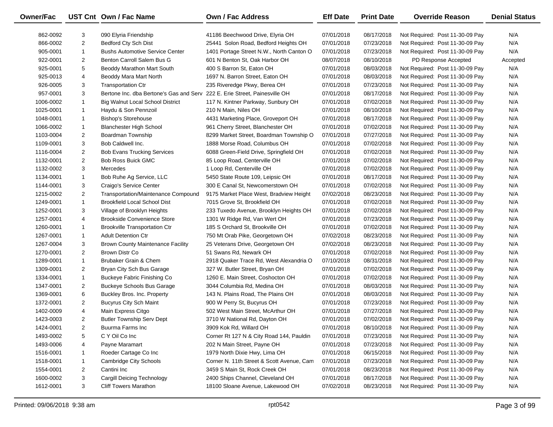| <b>Owner/Fac</b> |                | UST Cnt Own / Fac Name                   | <b>Own / Fac Address</b>                  | <b>Eff Date</b> | <b>Print Date</b> | <b>Override Reason</b>          | <b>Denial Status</b> |
|------------------|----------------|------------------------------------------|-------------------------------------------|-----------------|-------------------|---------------------------------|----------------------|
| 862-0092         | 3              | 090 Elyria Friendship                    | 41186 Beechwood Drive, Elyria OH          | 07/01/2018      | 08/17/2018        | Not Required: Post 11-30-09 Pay | N/A                  |
| 866-0002         | $\overline{2}$ | Bedford Cty Sch Dist                     | 25441 Solon Road, Bedford Heights OH      | 07/01/2018      | 07/23/2018        | Not Required: Post 11-30-09 Pay | N/A                  |
| 905-0001         | $\mathbf{1}$   | <b>Bushs Automotive Service Center</b>   | 1401 Portage Street N.W., North Canton O  | 07/01/2018      | 07/23/2018        | Not Required: Post 11-30-09 Pay | N/A                  |
| 922-0001         | $\overline{2}$ | Benton Carroll Salem Bus G               | 601 N Benton St, Oak Harbor OH            | 08/07/2018      | 08/10/2018        | PD Response Accepted            | Accepted             |
| 925-0001         | 5              | Beoddy Marathon Mart South               | 400 S Barron St, Eaton OH                 | 07/01/2018      | 08/03/2018        | Not Required: Post 11-30-09 Pay | N/A                  |
| 925-0013         | 4              | Beoddy Mara Mart North                   | 1697 N. Barron Street, Eaton OH           | 07/01/2018      | 08/03/2018        | Not Required: Post 11-30-09 Pay | N/A                  |
| 926-0005         | 3              | <b>Transportation Ctr</b>                | 235 Riveredge Pkwy, Berea OH              | 07/01/2018      | 07/23/2018        | Not Required: Post 11-30-09 Pay | N/A                  |
| 957-0001         | 3              | Bertone Inc. dba Bertone's Gas and Serv  | 222 E. Erie Street, Painesville OH        | 07/01/2018      | 08/17/2018        | Not Required: Post 11-30-09 Pay | N/A                  |
| 1006-0002        | $\mathbf{1}$   | Big Walnut Local School District         | 117 N. Kintner Parkway, Sunbury OH        | 07/01/2018      | 07/02/2018        | Not Required: Post 11-30-09 Pay | N/A                  |
| 1025-0001        | $\mathbf{1}$   | Haydu & Son Pennzoil                     | 210 N Main, Niles OH                      | 07/01/2018      | 08/10/2018        | Not Required: Post 11-30-09 Pay | N/A                  |
| 1048-0001        | $\mathbf{1}$   | <b>Bishop's Storehouse</b>               | 4431 Marketing Place, Groveport OH        | 07/01/2018      | 08/17/2018        | Not Required: Post 11-30-09 Pay | N/A                  |
| 1066-0002        | $\mathbf{1}$   | <b>Blanchester High School</b>           | 961 Cherry Street, Blanchester OH         | 07/01/2018      | 07/02/2018        | Not Required: Post 11-30-09 Pay | N/A                  |
| 1103-0004        | $\overline{2}$ | Boardman Township                        | 8299 Market Street, Boardman Township O   | 07/01/2018      | 07/27/2018        | Not Required: Post 11-30-09 Pay | N/A                  |
| 1109-0001        | 3              | Bob Caldwell Inc.                        | 1888 Morse Road, Columbus OH              | 07/01/2018      | 07/02/2018        | Not Required: Post 11-30-09 Pay | N/A                  |
| 1116-0004        | $\overline{2}$ | <b>Bob Evans Trucking Services</b>       | 6088 Green-Field Drive, Springfield OH    | 07/01/2018      | 07/02/2018        | Not Required: Post 11-30-09 Pay | N/A                  |
| 1132-0001        | $\overline{2}$ | <b>Bob Ross Buick GMC</b>                | 85 Loop Road, Centerville OH              | 07/01/2018      | 07/02/2018        | Not Required: Post 11-30-09 Pay | N/A                  |
| 1132-0002        | 3              | Mercedes                                 | 1 Loop Rd, Centerville OH                 | 07/01/2018      | 07/02/2018        | Not Required: Post 11-30-09 Pay | N/A                  |
| 1134-0001        | $\mathbf{1}$   | Bob Ruhe Ag Service, LLC                 | 5450 State Route 109, Leipsic OH          | 07/01/2018      | 08/17/2018        | Not Required: Post 11-30-09 Pay | N/A                  |
| 1144-0001        | 3              | Craigo's Service Center                  | 300 E Canal St, Newcomerstown OH          | 07/01/2018      | 07/02/2018        | Not Required: Post 11-30-09 Pay | N/A                  |
| 1215-0002        | $\overline{2}$ | Transportation/Maintenance Compound      | 9175 Market Place West, Bradview Height   | 07/02/2018      | 08/23/2018        | Not Required: Post 11-30-09 Pay | N/A                  |
| 1249-0001        | $\mathbf{1}$   | <b>Brookfield Local School Dist</b>      | 7015 Grove St, Brookfield OH              | 07/01/2018      | 07/02/2018        | Not Required: Post 11-30-09 Pay | N/A                  |
| 1252-0001        | 3              | Village of Brooklyn Heights              | 233 Tuxedo Avenue, Brooklyn Heights OH    | 07/01/2018      | 07/02/2018        | Not Required: Post 11-30-09 Pay | N/A                  |
| 1257-0001        | 4              | <b>Brookside Convenience Store</b>       | 1301 W Ridge Rd, Van Wert OH              | 07/01/2018      | 07/23/2018        | Not Required: Post 11-30-09 Pay | N/A                  |
| 1260-0001        | $\mathbf{1}$   | <b>Brookville Transportation Ctr</b>     | 185 S Orchard St, Brookville OH           | 07/01/2018      | 07/02/2018        | Not Required: Post 11-30-09 Pay | N/A                  |
| 1267-0001        | $\mathbf{1}$   | <b>Adult Detention Ctr</b>               | 750 Mt Orab Pike, Georgetown OH           | 07/02/2018      | 08/23/2018        | Not Required: Post 11-30-09 Pay | N/A                  |
| 1267-0004        | 3              | <b>Brown County Maintenance Facility</b> | 25 Veterans Drive, Georgetown OH          | 07/02/2018      | 08/23/2018        | Not Required: Post 11-30-09 Pay | N/A                  |
| 1270-0001        | $\overline{2}$ | Brown Distr Co                           | 51 Swans Rd, Newark OH                    | 07/01/2018      | 07/02/2018        | Not Required: Post 11-30-09 Pay | N/A                  |
| 1289-0001        | $\mathbf{1}$   | Brubaker Grain & Chem                    | 2918 Quaker Trace Rd, West Alexandria O   | 07/10/2018      | 08/31/2018        | Not Required: Post 11-30-09 Pay | N/A                  |
| 1309-0001        | $\overline{2}$ | Bryan City Sch Bus Garage                | 327 W. Butler Street, Bryan OH            | 07/01/2018      | 07/02/2018        | Not Required: Post 11-30-09 Pay | N/A                  |
| 1334-0001        | $\mathbf{1}$   | <b>Buckeye Fabric Finishing Co</b>       | 1260 E. Main Street, Coshocton OH         | 07/01/2018      | 07/02/2018        | Not Required: Post 11-30-09 Pay | N/A                  |
| 1347-0001        | $\overline{2}$ | <b>Buckeye Schools Bus Garage</b>        | 3044 Columbia Rd, Medina OH               | 07/01/2018      | 08/03/2018        | Not Required: Post 11-30-09 Pay | N/A                  |
| 1369-0001        | 6              | Buckley Bros. Inc. Property              | 143 N. Plains Road, The Plains OH         | 07/01/2018      | 08/03/2018        | Not Required: Post 11-30-09 Pay | N/A                  |
| 1372-0001        | $\overline{2}$ | <b>Bucyrus City Sch Maint</b>            | 900 W Perry St, Bucyrus OH                | 07/01/2018      | 07/23/2018        | Not Required: Post 11-30-09 Pay | N/A                  |
| 1402-0009        | 4              | Main Express Citgo                       | 502 West Main Street, McArthur OH         | 07/01/2018      | 07/27/2018        | Not Required: Post 11-30-09 Pay | N/A                  |
| 1423-0003        | $\overline{2}$ | <b>Butler Township Serv Dept</b>         | 3710 W National Rd, Dayton OH             | 07/01/2018      | 07/02/2018        | Not Required: Post 11-30-09 Pay | N/A                  |
| 1424-0001        | 2              | Buurma Farms Inc                         | 3909 Kok Rd, Willard OH                   | 07/01/2018      | 08/10/2018        | Not Required: Post 11-30-09 Pay | N/A                  |
| 1493-0002        | 5              | C Y Oil Co Inc                           | Corner Rt 127 N & City Road 144, Pauldin  | 07/01/2018      | 07/23/2018        | Not Required: Post 11-30-09 Pay | N/A                  |
| 1493-0006        | 4              | Payne Maramart                           | 202 N Main Street, Payne OH               | 07/01/2018      | 07/23/2018        | Not Required: Post 11-30-09 Pay | N/A                  |
| 1516-0001        | $\mathbf{1}$   | Roeder Cartage Co Inc                    | 1979 North Dixie Hwy, Lima OH             | 07/01/2018      | 06/15/2018        | Not Required: Post 11-30-09 Pay | N/A                  |
| 1518-0001        | $\mathbf{1}$   | <b>Cambridge City Schools</b>            | Corner N. 11th Street & Scott Avenue, Cam | 07/01/2018      | 07/23/2018        | Not Required: Post 11-30-09 Pay | N/A                  |
| 1554-0001        | 2              | Cantini Inc                              | 3459 S Main St, Rock Creek OH             | 07/01/2018      | 08/23/2018        | Not Required: Post 11-30-09 Pay | N/A                  |
| 1600-0002        | 3              | Cargill Deicing Technology               | 2400 Ships Channel, Cleveland OH          | 07/01/2018      | 08/17/2018        | Not Required: Post 11-30-09 Pay | N/A                  |
| 1612-0001        | 3              | <b>Cliff Towers Marathon</b>             | 18100 Sloane Avenue, Lakewood OH          | 07/02/2018      | 08/23/2018        | Not Required: Post 11-30-09 Pay | N/A                  |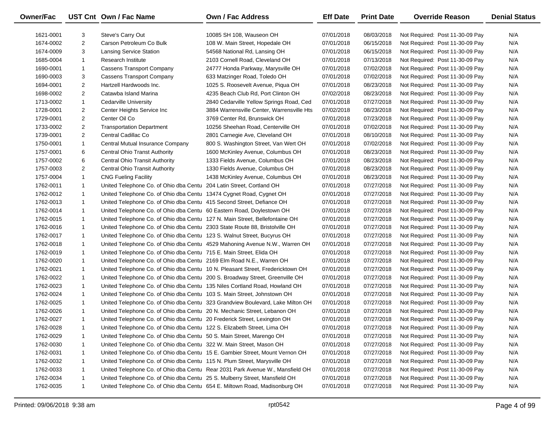| Owner/Fac |                | UST Cnt Own / Fac Name                                                       | Own / Fac Address                                                              | <b>Eff Date</b> | <b>Print Date</b> | <b>Override Reason</b>          | <b>Denial Status</b> |
|-----------|----------------|------------------------------------------------------------------------------|--------------------------------------------------------------------------------|-----------------|-------------------|---------------------------------|----------------------|
| 1621-0001 | 3              | Steve's Carry Out                                                            | 10085 SH 108, Wauseon OH                                                       | 07/01/2018      | 08/03/2018        | Not Required: Post 11-30-09 Pay | N/A                  |
| 1674-0002 | $\overline{2}$ | Carson Petroleum Co Bulk                                                     | 108 W. Main Street, Hopedale OH                                                | 07/01/2018      | 06/15/2018        | Not Required: Post 11-30-09 Pay | N/A                  |
| 1674-0009 | 3              | <b>Lansing Service Station</b>                                               | 54568 National Rd, Lansing OH                                                  | 07/01/2018      | 06/15/2018        | Not Required: Post 11-30-09 Pay | N/A                  |
| 1685-0004 | $\mathbf{1}$   | Research Institute                                                           | 2103 Cornell Road, Cleveland OH                                                | 07/01/2018      | 07/13/2018        | Not Required: Post 11-30-09 Pay | N/A                  |
| 1690-0001 | $\mathbf{1}$   | <b>Cassens Transport Company</b>                                             | 24777 Honda Parkway, Marysville OH                                             | 07/01/2018      | 07/02/2018        | Not Required: Post 11-30-09 Pay | N/A                  |
| 1690-0003 | 3              | <b>Cassens Transport Company</b>                                             | 633 Matzinger Road, Toledo OH                                                  | 07/01/2018      | 07/02/2018        | Not Required: Post 11-30-09 Pay | N/A                  |
| 1694-0001 | $\overline{2}$ | Hartzell Hardwoods Inc.                                                      | 1025 S. Roosevelt Avenue, Piqua OH                                             | 07/01/2018      | 08/23/2018        | Not Required: Post 11-30-09 Pay | N/A                  |
| 1698-0002 | $\overline{2}$ | Catawba Island Marina                                                        | 4235 Beach Club Rd, Port Clinton OH                                            | 07/02/2018      | 08/23/2018        | Not Required: Post 11-30-09 Pay | N/A                  |
| 1713-0002 | $\mathbf{1}$   | Cedarville University                                                        | 2840 Cedarville Yellow Springs Road, Ced                                       | 07/01/2018      | 07/27/2018        | Not Required: Post 11-30-09 Pay | N/A                  |
| 1728-0001 | $\overline{2}$ | Center Heights Service Inc                                                   | 3884 Warrensville Center, Warrensville Hts                                     | 07/02/2018      | 08/23/2018        | Not Required: Post 11-30-09 Pay | N/A                  |
| 1729-0001 | $\overline{2}$ | Center Oil Co                                                                | 3769 Center Rd, Brunswick OH                                                   | 07/01/2018      | 07/23/2018        | Not Required: Post 11-30-09 Pay | N/A                  |
| 1733-0002 | $\overline{2}$ | <b>Transportation Department</b>                                             | 10256 Sheehan Road, Centerville OH                                             | 07/01/2018      | 07/02/2018        | Not Required: Post 11-30-09 Pay | N/A                  |
| 1739-0001 | $\overline{2}$ | Central Cadillac Co                                                          | 2801 Carnegie Ave, Cleveland OH                                                | 07/01/2018      | 08/10/2018        | Not Required: Post 11-30-09 Pay | N/A                  |
| 1750-0001 | $\mathbf{1}$   | Central Mutual Insurance Company                                             | 800 S. Washington Street, Van Wert OH                                          | 07/01/2018      | 07/02/2018        | Not Required: Post 11-30-09 Pay | N/A                  |
| 1757-0001 | 6              | Central Ohio Transt Authority                                                | 1600 McKinley Avenue, Columbus OH                                              | 07/01/2018      | 08/23/2018        | Not Required: Post 11-30-09 Pay | N/A                  |
| 1757-0002 | 6              | Central Ohio Transit Authority                                               | 1333 Fields Avenue, Columbus OH                                                | 07/01/2018      | 08/23/2018        | Not Required: Post 11-30-09 Pay | N/A                  |
| 1757-0003 | $\overline{2}$ | <b>Central Ohio Transit Authority</b>                                        | 1330 Fields Avenue, Columbus OH                                                | 07/01/2018      | 08/23/2018        | Not Required: Post 11-30-09 Pay | N/A                  |
| 1757-0004 | $\mathbf{1}$   | <b>CNG Fueling Facility</b>                                                  | 1438 McKinley Avenue, Columbus OH                                              | 07/01/2018      | 08/23/2018        | Not Required: Post 11-30-09 Pay | N/A                  |
| 1762-0011 | $\mathbf{1}$   | United Telephone Co. of Ohio dba Centu                                       | 204 Latin Street, Cortland OH                                                  | 07/01/2018      | 07/27/2018        | Not Required: Post 11-30-09 Pay | N/A                  |
| 1762-0012 | $\mathbf{1}$   | United Telephone Co. of Ohio dba Centu 13474 Cygnet Road, Cygnet OH          |                                                                                | 07/01/2018      | 07/27/2018        | Not Required: Post 11-30-09 Pay | N/A                  |
| 1762-0013 | $\mathbf{1}$   | United Telephone Co. of Ohio dba Centu 415 Second Street, Defiance OH        |                                                                                | 07/01/2018      | 07/27/2018        | Not Required: Post 11-30-09 Pay | N/A                  |
| 1762-0014 | $\mathbf{1}$   | United Telephone Co. of Ohio dba Centu 60 Eastern Road, Doylestown OH        |                                                                                | 07/01/2018      | 07/27/2018        | Not Required: Post 11-30-09 Pay | N/A                  |
| 1762-0015 | $\mathbf{1}$   | United Telephone Co. of Ohio dba Centu 127 N. Main Street, Bellefontaine OH  |                                                                                | 07/01/2018      | 07/27/2018        | Not Required: Post 11-30-09 Pay | N/A                  |
| 1762-0016 | $\mathbf{1}$   | United Telephone Co. of Ohio dba Centu 2303 State Route 88, Bristolville OH  |                                                                                | 07/01/2018      | 07/27/2018        | Not Required: Post 11-30-09 Pay | N/A                  |
| 1762-0017 | $\mathbf{1}$   | United Telephone Co. of Ohio dba Centu 123 S. Walnut Street, Bucyrus OH      |                                                                                | 07/01/2018      | 07/27/2018        | Not Required: Post 11-30-09 Pay | N/A                  |
| 1762-0018 | $\mathbf{1}$   |                                                                              | United Telephone Co. of Ohio dba Centu 4529 Mahoning Avenue N.W., Warren OH    | 07/01/2018      | 07/27/2018        | Not Required: Post 11-30-09 Pay | N/A                  |
| 1762-0019 | $\mathbf{1}$   | United Telephone Co. of Ohio dba Centu 715 E. Main Street, Elida OH          |                                                                                | 07/01/2018      | 07/27/2018        | Not Required: Post 11-30-09 Pay | N/A                  |
| 1762-0020 | $\mathbf{1}$   | United Telephone Co. of Ohio dba Centu 2169 Elm Road N.E., Warren OH         |                                                                                | 07/01/2018      | 07/27/2018        | Not Required: Post 11-30-09 Pay | N/A                  |
| 1762-0021 | $\mathbf{1}$   |                                                                              | United Telephone Co. of Ohio dba Centu 10 N. Pleasant Street, Fredericktown OH | 07/01/2018      | 07/27/2018        | Not Required: Post 11-30-09 Pay | N/A                  |
| 1762-0022 | $\mathbf{1}$   | United Telephone Co. of Ohio dba Centu 200 S. Broadway Street, Greenville OH |                                                                                | 07/01/2018      | 07/27/2018        | Not Required: Post 11-30-09 Pay | N/A                  |
| 1762-0023 | $\mathbf{1}$   | United Telephone Co. of Ohio dba Centu 135 Niles Cortland Road, Howland OH   |                                                                                | 07/01/2018      | 07/27/2018        | Not Required: Post 11-30-09 Pay | N/A                  |
| 1762-0024 | $\mathbf{1}$   | United Telephone Co. of Ohio dba Centu 103 S. Main Street, Johnstown OH      |                                                                                | 07/01/2018      | 07/27/2018        | Not Required: Post 11-30-09 Pay | N/A                  |
| 1762-0025 | $\mathbf{1}$   |                                                                              | United Telephone Co. of Ohio dba Centu 323 Grandview Boulevard, Lake Milton OH | 07/01/2018      | 07/27/2018        | Not Required: Post 11-30-09 Pay | N/A                  |
| 1762-0026 | $\mathbf{1}$   | United Telephone Co. of Ohio dba Centu 20 N. Mechanic Street, Lebanon OH     |                                                                                | 07/01/2018      | 07/27/2018        | Not Required: Post 11-30-09 Pay | N/A                  |
| 1762-0027 | $\mathbf{1}$   | United Telephone Co. of Ohio dba Centu 20 Frederick Street, Lexington OH     |                                                                                | 07/01/2018      | 07/27/2018        | Not Required: Post 11-30-09 Pay | N/A                  |
| 1762-0028 |                | United Telephone Co. of Ohio dba Centu 122 S. Elizabeth Street, Lima OH      |                                                                                | 07/01/2018      | 07/27/2018        | Not Required: Post 11-30-09 Pay | N/A                  |
| 1762-0029 | -1             | United Telephone Co. of Ohio dba Centu 50 S. Main Street, Marengo OH         |                                                                                | 07/01/2018      | 07/27/2018        | Not Required: Post 11-30-09 Pay | N/A                  |
| 1762-0030 | 1              | United Telephone Co. of Ohio dba Centu 322 W. Main Street, Mason OH          |                                                                                | 07/01/2018      | 07/27/2018        | Not Required: Post 11-30-09 Pay | N/A                  |
| 1762-0031 | 1              | United Telephone Co. of Ohio dba Centu 15 E. Gambier Street, Mount Vernon OH |                                                                                | 07/01/2018      | 07/27/2018        | Not Required: Post 11-30-09 Pay | N/A                  |
| 1762-0032 | 1              | United Telephone Co. of Ohio dba Centu 115 N. Plum Street, Marysville OH     |                                                                                | 07/01/2018      | 07/27/2018        | Not Required: Post 11-30-09 Pay | N/A                  |
| 1762-0033 | 1              |                                                                              | United Telephone Co. of Ohio dba Centu Rear 2031 Park Avenue W., Mansfield OH  | 07/01/2018      | 07/27/2018        | Not Required: Post 11-30-09 Pay | N/A                  |
| 1762-0034 | 1              | United Telephone Co. of Ohio dba Centu 25 S. Mulberry Street, Mansfield OH   |                                                                                | 07/01/2018      | 07/27/2018        | Not Required: Post 11-30-09 Pay | N/A                  |
| 1762-0035 | $\mathbf{1}$   | United Telephone Co. of Ohio dba Centu 654 E. Miltown Road, Madisonburg OH   |                                                                                | 07/01/2018      | 07/27/2018        | Not Required: Post 11-30-09 Pay | N/A                  |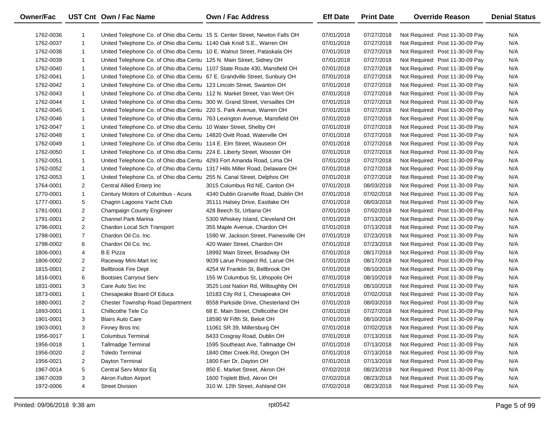| Owner/Fac |                | UST Cnt Own / Fac Name                                                      | <b>Own / Fac Address</b>               | <b>Eff Date</b> | <b>Print Date</b> | <b>Override Reason</b>          | <b>Denial Status</b> |
|-----------|----------------|-----------------------------------------------------------------------------|----------------------------------------|-----------------|-------------------|---------------------------------|----------------------|
| 1762-0036 | $\mathbf{1}$   | United Telephone Co. of Ohio dba Centu 15 S. Center Street, Newton Falls OH |                                        | 07/01/2018      | 07/27/2018        | Not Required: Post 11-30-09 Pay | N/A                  |
| 1762-0037 | $\mathbf{1}$   | United Telephone Co. of Ohio dba Centu 1140 Oak Knoll S.E., Warren OH       |                                        | 07/01/2018      | 07/27/2018        | Not Required: Post 11-30-09 Pay | N/A                  |
| 1762-0038 | $\mathbf{1}$   | United Telephone Co. of Ohio dba Centu 10 E. Walnut Street, Pataskala OH    |                                        | 07/01/2018      | 07/27/2018        | Not Required: Post 11-30-09 Pay | N/A                  |
| 1762-0039 | $\mathbf{1}$   | United Telephone Co. of Ohio dba Centu 125 N. Main Street, Sidney OH        |                                        | 07/01/2018      | 07/27/2018        | Not Required: Post 11-30-09 Pay | N/A                  |
| 1762-0040 | $\mathbf{1}$   | United Telephone Co. of Ohio dba Centu 1107 State Route 430, Mansfield OH   |                                        | 07/01/2018      | 07/27/2018        | Not Required: Post 11-30-09 Pay | N/A                  |
| 1762-0041 | $\mathbf{1}$   | United Telephone Co. of Ohio dba Centu 67 E. Grandville Street, Sunbury OH  |                                        | 07/01/2018      | 07/27/2018        | Not Required: Post 11-30-09 Pay | N/A                  |
| 1762-0042 | $\mathbf{1}$   | United Telephone Co. of Ohio dba Centu 123 Lincoln Street, Swanton OH       |                                        | 07/01/2018      | 07/27/2018        | Not Required: Post 11-30-09 Pay | N/A                  |
| 1762-0043 | $\mathbf{1}$   | United Telephone Co. of Ohio dba Centu 112 N. Market Street, Van Wert OH    |                                        | 07/01/2018      | 07/27/2018        | Not Required: Post 11-30-09 Pay | N/A                  |
| 1762-0044 | $\mathbf{1}$   | United Telephone Co. of Ohio dba Centu 300 W. Grand Street, Versailles OH   |                                        | 07/01/2018      | 07/27/2018        | Not Required: Post 11-30-09 Pay | N/A                  |
| 1762-0045 | $\mathbf{1}$   | United Telephone Co. of Ohio dba Centu 220 S. Park Avenue, Warren OH        |                                        | 07/01/2018      | 07/27/2018        | Not Required: Post 11-30-09 Pay | N/A                  |
| 1762-0046 | $\mathbf{1}$   | United Telephone Co. of Ohio dba Centu 763 Lexington Avenue, Mansfield OH   |                                        | 07/01/2018      | 07/27/2018        | Not Required: Post 11-30-09 Pay | N/A                  |
| 1762-0047 | $\mathbf{1}$   | United Telephone Co. of Ohio dba Centu 10 Water Street, Shelby OH           |                                        | 07/01/2018      | 07/27/2018        | Not Required: Post 11-30-09 Pay | N/A                  |
| 1762-0048 | $\mathbf{1}$   | United Telephone Co. of Ohio dba Centu 14820 Ovitt Road, Waterville OH      |                                        | 07/01/2018      | 07/27/2018        | Not Required: Post 11-30-09 Pay | N/A                  |
| 1762-0049 | $\mathbf{1}$   | United Telephone Co. of Ohio dba Centu 114 E. Elm Street, Wauseon OH        |                                        | 07/01/2018      | 07/27/2018        | Not Required: Post 11-30-09 Pay | N/A                  |
| 1762-0050 | $\mathbf{1}$   | United Telephone Co. of Ohio dba Centu 224 E. Liberty Street, Wooster OH    |                                        | 07/01/2018      | 07/27/2018        | Not Required: Post 11-30-09 Pay | N/A                  |
| 1762-0051 | $\mathbf{1}$   | United Telephone Co. of Ohio dba Centu 4293 Fort Amanda Road, Lima OH       |                                        | 07/01/2018      | 07/27/2018        | Not Required: Post 11-30-09 Pay | N/A                  |
| 1762-0052 | $\mathbf{1}$   | United Telephone Co. of Ohio dba Centu 1317 Hills Miller Road, Delaware OH  |                                        | 07/01/2018      | 07/27/2018        | Not Required: Post 11-30-09 Pay | N/A                  |
| 1762-0053 | $\mathbf{1}$   | United Telephone Co. of Ohio dba Centu 255 N. Canal Street, Delphos OH      |                                        | 07/01/2018      | 07/27/2018        | Not Required: Post 11-30-09 Pay | N/A                  |
| 1764-0001 | $\overline{2}$ | Central Allied Enterp Inc                                                   | 3015 Columbus Rd NE, Canton OH         | 07/01/2018      | 08/03/2018        | Not Required: Post 11-30-09 Pay | N/A                  |
| 1770-0001 | $\mathbf{1}$   | Century Motors of Columbus - Acura                                          | 4340 Dublin Granville Road, Dublin OH  | 07/01/2018      | 07/02/2018        | Not Required: Post 11-30-09 Pay | N/A                  |
| 1777-0001 | 5              | Chagrin Lagoons Yacht Club                                                  | 35111 Halsey Drive, Eastlake OH        | 07/01/2018      | 08/03/2018        | Not Required: Post 11-30-09 Pay | N/A                  |
| 1781-0001 | $\overline{2}$ | Champaign County Engineer                                                   | 428 Beech St, Urbana OH                | 07/01/2018      | 07/02/2018        | Not Required: Post 11-30-09 Pay | N/A                  |
| 1791-0001 | $\overline{2}$ | Channel Park Marina                                                         | 5300 Whiskey Island, Cleveland OH      | 07/01/2018      | 07/13/2018        | Not Required: Post 11-30-09 Pay | N/A                  |
| 1796-0001 | 2              | Chardon Local Sch Transport                                                 | 355 Maple Avenue, Chardon OH           | 07/01/2018      | 07/13/2018        | Not Required: Post 11-30-09 Pay | N/A                  |
| 1798-0001 | $\overline{7}$ | Chardon Oil Co. Inc.                                                        | 1590 W. Jackson Street, Painesville OH | 07/01/2018      | 07/23/2018        | Not Required: Post 11-30-09 Pay | N/A                  |
| 1798-0002 | 6              | Chardon Oil Co. Inc.                                                        | 420 Water Street, Chardon OH           | 07/01/2018      | 07/23/2018        | Not Required: Post 11-30-09 Pay | N/A                  |
| 1806-0001 | 4              | <b>B</b> E Pizza                                                            | 18992 Main Street, Broadway OH         | 07/01/2018      | 08/17/2018        | Not Required: Post 11-30-09 Pay | N/A                  |
| 1806-0002 | $\overline{2}$ | Raceway Mini-Mart Inc                                                       | 9039 Larue Prospect Rd, Larue OH       | 07/01/2018      | 08/17/2018        | Not Required: Post 11-30-09 Pay | N/A                  |
| 1815-0001 | $\overline{2}$ | <b>Bellbrook Fire Dept</b>                                                  | 4254 W Franklin St, Bellbrook OH       | 07/01/2018      | 08/10/2018        | Not Required: Post 11-30-09 Pay | N/A                  |
| 1816-0001 | 6              | <b>Bootsies Carryout Serv</b>                                               | 155 W Columbus St, Lithopolis OH       | 07/01/2018      | 08/10/2018        | Not Required: Post 11-30-09 Pay | N/A                  |
| 1831-0001 | 3              | Care Auto Svc Inc                                                           | 3525 Lost Nation Rd, Willoughby OH     | 07/01/2018      | 08/10/2018        | Not Required: Post 11-30-09 Pay | N/A                  |
| 1873-0001 | $\mathbf{1}$   | Chesapeake Board Of Educa                                                   | 10183 City Rd 1, Chesapeake OH         | 07/01/2018      | 07/02/2018        | Not Required: Post 11-30-09 Pay | N/A                  |
| 1880-0001 | $\overline{2}$ | <b>Chester Township Road Department</b>                                     | 8558 Parkside Drive, Chesterland OH    | 07/01/2018      | 08/03/2018        | Not Required: Post 11-30-09 Pay | N/A                  |
| 1893-0001 | $\mathbf{1}$   | Chillicothe Tele Co                                                         | 68 E. Main Street, Chillicothe OH      | 07/01/2018      | 07/27/2018        | Not Required: Post 11-30-09 Pay | N/A                  |
| 1901-0001 | 3              | <b>Blairs Auto Care</b>                                                     | 18590 W Fifth St, Beloit OH            | 07/01/2018      | 08/10/2018        | Not Required: Post 11-30-09 Pay | N/A                  |
| 1903-0001 | 3              | Finney Bros Inc                                                             | 11061 SR 39, Millersburg OH            | 07/01/2018      | 07/02/2018        | Not Required: Post 11-30-09 Pay | N/A                  |
| 1956-0017 | $\mathbf{1}$   | <b>Columbus Terminal</b>                                                    | 6433 Cosgray Road, Dublin OH           | 07/01/2018      | 07/13/2018        | Not Required: Post 11-30-09 Pay | N/A                  |
| 1956-0018 | $\mathbf{1}$   | <b>Tallmadge Terminal</b>                                                   | 1595 Southeast Ave, Tallmadge OH       | 07/01/2018      | 07/13/2018        | Not Required: Post 11-30-09 Pay | N/A                  |
| 1956-0020 | $\overline{c}$ | <b>Toledo Terminal</b>                                                      | 1840 Otter Creek Rd, Oregon OH         | 07/01/2018      | 07/13/2018        | Not Required: Post 11-30-09 Pay | N/A                  |
| 1956-0021 | $\overline{c}$ | Dayton Terminal                                                             | 1800 Farr Dr, Dayton OH                | 07/01/2018      | 07/13/2018        | Not Required: Post 11-30-09 Pay | N/A                  |
| 1967-0014 | 5              | Central Serv Motor Eq                                                       | 850 E. Market Street, Akron OH         | 07/02/2018      | 08/23/2018        | Not Required: Post 11-30-09 Pay | N/A                  |
| 1967-0039 | 3              | <b>Akron Fulton Airport</b>                                                 | 1600 Triplett Blvd, Akron OH           | 07/02/2018      | 08/23/2018        | Not Required: Post 11-30-09 Pay | N/A                  |
| 1972-0006 | 4              | <b>Street Division</b>                                                      | 310 W. 12th Street, Ashland OH         | 07/02/2018      | 08/23/2018        | Not Required: Post 11-30-09 Pay | N/A                  |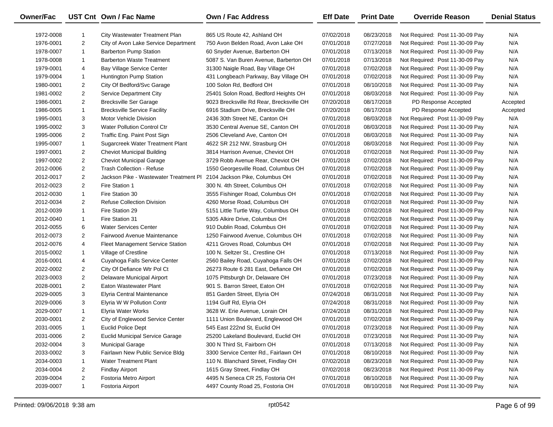| Owner/Fac |                | UST Cnt Own / Fac Name                                                | <b>Own / Fac Address</b>                 | <b>Eff Date</b> | <b>Print Date</b> | <b>Override Reason</b>          | <b>Denial Status</b> |
|-----------|----------------|-----------------------------------------------------------------------|------------------------------------------|-----------------|-------------------|---------------------------------|----------------------|
| 1972-0008 | 1              | City Wastewater Treatment Plan                                        | 865 US Route 42, Ashland OH              | 07/02/2018      | 08/23/2018        | Not Required: Post 11-30-09 Pay | N/A                  |
| 1976-0001 | $\overline{2}$ | City of Avon Lake Service Department                                  | 750 Avon Belden Road, Avon Lake OH       | 07/01/2018      | 07/27/2018        | Not Required: Post 11-30-09 Pay | N/A                  |
| 1978-0007 | $\mathbf{1}$   | <b>Barberton Pump Station</b>                                         | 60 Snyder Avenue, Barberton OH           | 07/01/2018      | 07/13/2018        | Not Required: Post 11-30-09 Pay | N/A                  |
| 1978-0008 | 1              | <b>Barberton Waste Treatment</b>                                      | 5087 S. Van Buren Avenue, Barberton OH   | 07/01/2018      | 07/13/2018        | Not Required: Post 11-30-09 Pay | N/A                  |
| 1979-0001 | 4              | Bay Village Service Center                                            | 31300 Naigle Road, Bay Village OH        | 07/01/2018      | 07/02/2018        | Not Required: Post 11-30-09 Pay | N/A                  |
| 1979-0004 | $\mathbf{1}$   | Huntington Pump Station                                               | 431 Longbeach Parkway, Bay Village OH    | 07/01/2018      | 07/02/2018        | Not Required: Post 11-30-09 Pay | N/A                  |
| 1980-0001 | $\overline{2}$ | City Of Bedford/Svc Garage                                            | 100 Solon Rd, Bedford OH                 | 07/01/2018      | 08/10/2018        | Not Required: Post 11-30-09 Pay | N/A                  |
| 1981-0002 | 2              | Service Department City                                               | 25401 Solon Road, Bedford Heights OH     | 07/01/2018      | 08/03/2018        | Not Required: Post 11-30-09 Pay | N/A                  |
| 1986-0001 | $\overline{2}$ | <b>Brecksville Ser Garage</b>                                         | 9023 Brecksville Rd Rear, Brecksville OH | 07/20/2018      | 08/17/2018        | PD Response Accepted            | Accepted             |
| 1986-0005 | $\mathbf{1}$   | <b>Brecksville Service Facility</b>                                   | 6916 Stadium Drive, Brecksville OH       | 07/20/2018      | 08/17/2018        | PD Response Accepted            | Accepted             |
| 1995-0001 | 3              | Motor Vehicle Division                                                | 2436 30th Street NE, Canton OH           | 07/01/2018      | 08/03/2018        | Not Required: Post 11-30-09 Pay | N/A                  |
| 1995-0002 | 3              | <b>Water Pollution Control Ctr</b>                                    | 3530 Central Avenue SE, Canton OH        | 07/01/2018      | 08/03/2018        | Not Required: Post 11-30-09 Pay | N/A                  |
| 1995-0006 | $\overline{2}$ | Traffic Eng. Paint Post Sign                                          | 2506 Cleveland Ave, Canton OH            | 07/01/2018      | 08/03/2018        | Not Required: Post 11-30-09 Pay | N/A                  |
| 1995-0007 | $\mathbf{1}$   | Sugarcreek Water Treatment Plant                                      | 4622 SR 212 NW, Strasburg OH             | 07/01/2018      | 08/03/2018        | Not Required: Post 11-30-09 Pay | N/A                  |
| 1997-0001 | $\overline{2}$ | <b>Cheviot Municipal Building</b>                                     | 3814 Harrison Avenue, Cheviot OH         | 07/01/2018      | 07/02/2018        | Not Required: Post 11-30-09 Pay | N/A                  |
| 1997-0002 | 2              | <b>Cheviot Municipal Garage</b>                                       | 3729 Robb Avenue Rear, Cheviot OH        | 07/01/2018      | 07/02/2018        | Not Required: Post 11-30-09 Pay | N/A                  |
| 2012-0006 | $\overline{2}$ | Trash Collection - Refuse                                             | 1550 Georgesville Road, Columbus OH      | 07/01/2018      | 07/02/2018        | Not Required: Post 11-30-09 Pay | N/A                  |
| 2012-0017 | 2              | Jackson Pike - Wastewater Treatment Pl 2104 Jackson Pike, Columbus OH |                                          | 07/01/2018      | 07/02/2018        | Not Required: Post 11-30-09 Pay | N/A                  |
| 2012-0023 | 2              | Fire Station 1                                                        | 300 N. 4th Street, Columbus OH           | 07/01/2018      | 07/02/2018        | Not Required: Post 11-30-09 Pay | N/A                  |
| 2012-0030 | $\mathbf{1}$   | Fire Station 30                                                       | 3555 Fishinger Road, Columbus OH         | 07/01/2018      | 07/02/2018        | Not Required: Post 11-30-09 Pay | N/A                  |
| 2012-0034 | 2              | <b>Refuse Collection Division</b>                                     | 4260 Morse Road, Columbus OH             | 07/01/2018      | 07/02/2018        | Not Required: Post 11-30-09 Pay | N/A                  |
| 2012-0039 | $\mathbf{1}$   | Fire Station 29                                                       | 5151 Little Turtle Way, Columbus OH      | 07/01/2018      | 07/02/2018        | Not Required: Post 11-30-09 Pay | N/A                  |
| 2012-0040 | $\mathbf{1}$   | Fire Station 31                                                       | 5305 Alkire Drive, Columbus OH           | 07/01/2018      | 07/02/2018        | Not Required: Post 11-30-09 Pay | N/A                  |
| 2012-0055 | 6              | <b>Water Services Center</b>                                          | 910 Dublin Road, Columbus OH             | 07/01/2018      | 07/02/2018        | Not Required: Post 11-30-09 Pay | N/A                  |
| 2012-0073 | 2              | Fairwood Avenue Maintenance                                           | 1250 Fairwood Avenue, Columbus OH        | 07/01/2018      | 07/02/2018        | Not Required: Post 11-30-09 Pay | N/A                  |
| 2012-0076 | 4              | Fleet Management Service Station                                      | 4211 Groves Road, Columbus OH            | 07/01/2018      | 07/02/2018        | Not Required: Post 11-30-09 Pay | N/A                  |
| 2015-0002 | $\mathbf{1}$   | Village of Crestline                                                  | 100 N. Seltzer St., Crestline OH         | 07/01/2018      | 07/13/2018        | Not Required: Post 11-30-09 Pay | N/A                  |
| 2016-0001 | 4              | Cuyahoga Falls Service Center                                         | 2560 Bailey Road, Cuyahoga Falls OH      | 07/01/2018      | 07/02/2018        | Not Required: Post 11-30-09 Pay | N/A                  |
| 2022-0002 | $\overline{2}$ | City Of Defiance Wtr Pol Ct                                           | 26273 Route 6 281 East, Defiance OH      | 07/01/2018      | 07/02/2018        | Not Required: Post 11-30-09 Pay | N/A                  |
| 2023-0003 | 2              | Delaware Municipal Airport                                            | 1075 Pittsburgh Dr, Delaware OH          | 07/01/2018      | 07/23/2018        | Not Required: Post 11-30-09 Pay | N/A                  |
| 2028-0001 | 2              | Eaton Wastewater Plant                                                | 901 S. Barron Street, Eaton OH           | 07/01/2018      | 07/02/2018        | Not Required: Post 11-30-09 Pay | N/A                  |
| 2029-0005 | 3              | Elyria Central Maintenance                                            | 851 Garden Street, Elyria OH             | 07/24/2018      | 08/31/2018        | Not Required: Post 11-30-09 Pay | N/A                  |
| 2029-0006 | 3              | Elyria W W Pollution Contr                                            | 1194 Gulf Rd, Elyria OH                  | 07/24/2018      | 08/31/2018        | Not Required: Post 11-30-09 Pay | N/A                  |
| 2029-0007 | $\mathbf{1}$   | Elyria Water Works                                                    | 3628 W. Erie Avenue, Lorain OH           | 07/24/2018      | 08/31/2018        | Not Required: Post 11-30-09 Pay | N/A                  |
| 2030-0001 | $\overline{2}$ | City of Englewood Service Center                                      | 1111 Union Boulevard, Englewood OH       | 07/01/2018      | 07/02/2018        | Not Required: Post 11-30-09 Pay | N/A                  |
| 2031-0005 | $\mathbf{1}$   | <b>Euclid Police Dept</b>                                             | 545 East 222nd St, Euclid OH             | 07/01/2018      | 07/23/2018        | Not Required: Post 11-30-09 Pay | N/A                  |
| 2031-0006 | 2              | <b>Euclid Municipal Service Garage</b>                                | 25200 Lakeland Boulevard, Euclid OH      | 07/01/2018      | 07/23/2018        | Not Required: Post 11-30-09 Pay | N/A                  |
| 2032-0004 | 3              | <b>Municipal Garage</b>                                               | 300 N Third St, Fairborn OH              | 07/01/2018      | 07/13/2018        | Not Required: Post 11-30-09 Pay | N/A                  |
| 2033-0002 | 3              | Fairlawn New Public Service Bldg                                      | 3300 Service Center Rd., Fairlawn OH     | 07/01/2018      | 08/10/2018        | Not Required: Post 11-30-09 Pay | N/A                  |
| 2034-0003 | 1              | <b>Water Treatment Plant</b>                                          | 110 N. Blanchard Street, Findlay OH      | 07/02/2018      | 08/23/2018        | Not Required: Post 11-30-09 Pay | N/A                  |
| 2034-0004 | 2              | <b>Findlay Airport</b>                                                | 1615 Gray Street, Findlay OH             | 07/02/2018      | 08/23/2018        | Not Required: Post 11-30-09 Pay | N/A                  |
| 2039-0004 | $\overline{2}$ | Fostoria Metro Airport                                                | 4495 N Seneca CR 25, Fostoria OH         | 07/01/2018      | 08/10/2018        | Not Required: Post 11-30-09 Pay | N/A                  |
| 2039-0007 | $\mathbf{1}$   | Fostoria Airport                                                      | 4497 County Road 25, Fostoria OH         | 07/01/2018      | 08/10/2018        | Not Required: Post 11-30-09 Pay | N/A                  |

 $\overline{\phantom{0}}$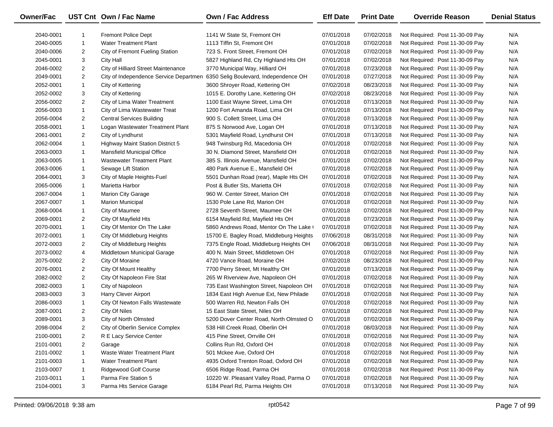| Owner/Fac |                | UST Cnt Own / Fac Name                 | Own / Fac Address                        | <b>Eff Date</b> | <b>Print Date</b> | <b>Override Reason</b>          | <b>Denial Status</b> |
|-----------|----------------|----------------------------------------|------------------------------------------|-----------------|-------------------|---------------------------------|----------------------|
| 2040-0001 | -1             | <b>Fremont Police Dept</b>             | 1141 W State St. Fremont OH              | 07/01/2018      | 07/02/2018        | Not Required: Post 11-30-09 Pay | N/A                  |
| 2040-0005 | $\mathbf{1}$   | <b>Water Treatment Plant</b>           | 1113 Tiffin St, Fremont OH               | 07/01/2018      | 07/02/2018        | Not Required: Post 11-30-09 Pay | N/A                  |
| 2040-0006 | $\overline{2}$ | City of Fremont Fueling Station        | 723 S. Front Street, Fremont OH          | 07/01/2018      | 07/02/2018        | Not Required: Post 11-30-09 Pay | N/A                  |
| 2045-0001 | 3              | <b>City Hall</b>                       | 5827 Highland Rd, Cty Highland Hts OH    | 07/01/2018      | 07/02/2018        | Not Required: Post 11-30-09 Pay | N/A                  |
| 2046-0002 | $\overline{2}$ | City of Hilliard Street Maintenance    | 3770 Municipal Way, Hilliard OH          | 07/01/2018      | 07/23/2018        | Not Required: Post 11-30-09 Pay | N/A                  |
| 2049-0001 | $\overline{2}$ | City of Independence Service Departmen | 6350 Selig Boulevard, Independence OH    | 07/01/2018      | 07/27/2018        | Not Required: Post 11-30-09 Pay | N/A                  |
| 2052-0001 | $\mathbf{1}$   | City of Kettering                      | 3600 Shroyer Road, Kettering OH          | 07/02/2018      | 08/23/2018        | Not Required: Post 11-30-09 Pay | N/A                  |
| 2052-0002 | 3              | City of Kettering                      | 1015 E. Dorothy Lane, Kettering OH       | 07/02/2018      | 08/23/2018        | Not Required: Post 11-30-09 Pay | N/A                  |
| 2056-0002 | $\overline{2}$ | City of Lima Water Treatment           | 1100 East Wayne Street, Lima OH          | 07/01/2018      | 07/13/2018        | Not Required: Post 11-30-09 Pay | N/A                  |
| 2056-0003 | $\mathbf{1}$   | City of Lima Wastewater Treat          | 1200 Fort Amanda Road, Lima OH           | 07/01/2018      | 07/13/2018        | Not Required: Post 11-30-09 Pay | N/A                  |
| 2056-0004 | $\overline{2}$ | <b>Central Services Building</b>       | 900 S. Collett Street, Lima OH           | 07/01/2018      | 07/13/2018        | Not Required: Post 11-30-09 Pay | N/A                  |
| 2058-0001 | $\mathbf{1}$   | Logan Wastewater Treatment Plant       | 875 S Norwood Ave, Logan OH              | 07/01/2018      | 07/13/2018        | Not Required: Post 11-30-09 Pay | N/A                  |
| 2061-0001 | $\overline{2}$ | City of Lyndhurst                      | 5301 Mayfield Road, Lyndhurst OH         | 07/01/2018      | 07/13/2018        | Not Required: Post 11-30-09 Pay | N/A                  |
| 2062-0004 | $\mathbf{1}$   | Highway Maint Station District 5       | 948 Twinsburg Rd, Macedonia OH           | 07/01/2018      | 07/02/2018        | Not Required: Post 11-30-09 Pay | N/A                  |
| 2063-0003 | $\mathbf{1}$   | Mansfield Municipal Office             | 30 N. Diamond Street, Mansfield OH       | 07/01/2018      | 07/02/2018        | Not Required: Post 11-30-09 Pay | N/A                  |
| 2063-0005 | $\mathbf{1}$   | <b>Wastewater Treatment Plant</b>      | 385 S. Illinois Avenue, Mansfield OH     | 07/01/2018      | 07/02/2018        | Not Required: Post 11-30-09 Pay | N/A                  |
| 2063-0006 | 1              | Sewage Lift Station                    | 480 Park Avenue E., Mansfield OH         | 07/01/2018      | 07/02/2018        | Not Required: Post 11-30-09 Pay | N/A                  |
| 2064-0001 | 3              | City of Maple Heights-Fuel             | 5501 Dunhan Road (rear), Maple Hts OH    | 07/01/2018      | 07/02/2018        | Not Required: Post 11-30-09 Pay | N/A                  |
| 2065-0006 | $\mathbf{1}$   | Marietta Harbor                        | Post & Butler Sts, Marietta OH           | 07/01/2018      | 07/02/2018        | Not Required: Post 11-30-09 Pay | N/A                  |
| 2067-0004 | $\mathbf{1}$   | <b>Marion City Garage</b>              | 960 W. Center Street, Marion OH          | 07/01/2018      | 07/02/2018        | Not Required: Post 11-30-09 Pay | N/A                  |
| 2067-0007 | $\mathbf{1}$   | <b>Marion Municipal</b>                | 1530 Pole Lane Rd, Marion OH             | 07/01/2018      | 07/02/2018        | Not Required: Post 11-30-09 Pay | N/A                  |
| 2068-0004 | 1              | City of Maumee                         | 2728 Seventh Street, Maumee OH           | 07/01/2018      | 07/02/2018        | Not Required: Post 11-30-09 Pay | N/A                  |
| 2069-0001 | $\overline{2}$ | City Of Mayfield Hts                   | 6154 Mayfield Rd, Mayfield Hts OH        | 07/01/2018      | 07/23/2018        | Not Required: Post 11-30-09 Pay | N/A                  |
| 2070-0001 | $\mathbf{1}$   | City Of Mentor On The Lake             | 5860 Andrews Road, Mentor On The Lake (  | 07/01/2018      | 07/02/2018        | Not Required: Post 11-30-09 Pay | N/A                  |
| 2072-0001 | $\mathbf{1}$   | City Of Middleburg Heights             | 15700 E. Bagley Road, Middleburg Heights | 07/06/2018      | 08/31/2018        | Not Required: Post 11-30-09 Pay | N/A                  |
| 2072-0003 | $\overline{2}$ | City of Middleburg Heights             | 7375 Engle Road, Middleburg Heights OH   | 07/06/2018      | 08/31/2018        | Not Required: Post 11-30-09 Pay | N/A                  |
| 2073-0002 | 4              | Middletown Municipal Garage            | 400 N. Main Street, Middletown OH        | 07/01/2018      | 07/02/2018        | Not Required: Post 11-30-09 Pay | N/A                  |
| 2075-0002 | $\overline{2}$ | City Of Moraine                        | 4720 Vance Road, Moraine OH              | 07/02/2018      | 08/23/2018        | Not Required: Post 11-30-09 Pay | N/A                  |
| 2076-0001 | $\overline{2}$ | City Of Mount Healthy                  | 7700 Perry Street, Mt Healthy OH         | 07/01/2018      | 07/13/2018        | Not Required: Post 11-30-09 Pay | N/A                  |
| 2082-0002 | $\overline{2}$ | City Of Napoleon Fire Stat             | 265 W Riverview Ave, Napoleon OH         | 07/01/2018      | 07/02/2018        | Not Required: Post 11-30-09 Pay | N/A                  |
| 2082-0003 | $\mathbf{1}$   | City of Napoleon                       | 735 East Washington Street, Napoleon OH  | 07/01/2018      | 07/02/2018        | Not Required: Post 11-30-09 Pay | N/A                  |
| 2083-0003 | 3              | Harry Clever Airport                   | 1834 East High Avenue Ext, New Philade   | 07/01/2018      | 07/02/2018        | Not Required: Post 11-30-09 Pay | N/A                  |
| 2086-0003 | $\mathbf{1}$   | City Of Newton Falls Wastewate         | 500 Warren Rd, Newton Falls OH           | 07/01/2018      | 07/02/2018        | Not Required: Post 11-30-09 Pay | N/A                  |
| 2087-0001 | $\overline{2}$ | City Of Niles                          | 15 East State Street, Niles OH           | 07/01/2018      | 07/02/2018        | Not Required: Post 11-30-09 Pay | N/A                  |
| 2089-0001 | 3              | City of North Olmsted                  | 5200 Dover Center Road, North Olmsted O  | 07/01/2018      | 07/02/2018        | Not Required: Post 11-30-09 Pay | N/A                  |
| 2098-0004 | 2              | City of Oberlin Service Complex        | 538 Hill Creek Road, Oberlin OH          | 07/01/2018      | 08/03/2018        | Not Required: Post 11-30-09 Pay | N/A                  |
| 2100-0001 | $\overline{2}$ | R E Lacy Service Center                | 415 Pine Street, Orrville OH             | 07/01/2018      | 07/02/2018        | Not Required: Post 11-30-09 Pay | N/A                  |
| 2101-0001 | $\overline{2}$ | Garage                                 | Collins Run Rd, Oxford OH                | 07/01/2018      | 07/02/2018        | Not Required: Post 11-30-09 Pay | N/A                  |
| 2101-0002 | $\mathbf{1}$   | Waste Water Treatment Plant            | 501 Mckee Ave, Oxford OH                 | 07/01/2018      | 07/02/2018        | Not Required: Post 11-30-09 Pay | N/A                  |
| 2101-0003 | 1              | <b>Water Treatment Plant</b>           | 4935 Oxford Trenton Road, Oxford OH      | 07/01/2018      | 07/02/2018        | Not Required: Post 11-30-09 Pay | N/A                  |
| 2103-0007 | 1              | <b>Ridgewood Golf Course</b>           | 6506 Ridge Road, Parma OH                | 07/01/2018      | 07/02/2018        | Not Required: Post 11-30-09 Pay | N/A                  |
| 2103-0011 | $\mathbf{1}$   | Parma Fire Station 5                   | 10220 W. Pleasant Valley Road, Parma O   | 07/01/2018      | 07/02/2018        | Not Required: Post 11-30-09 Pay | N/A                  |
| 2104-0001 | 3              | Parma Hts Service Garage               | 6184 Pearl Rd, Parma Heights OH          | 07/01/2018      | 07/13/2018        | Not Required: Post 11-30-09 Pay | N/A                  |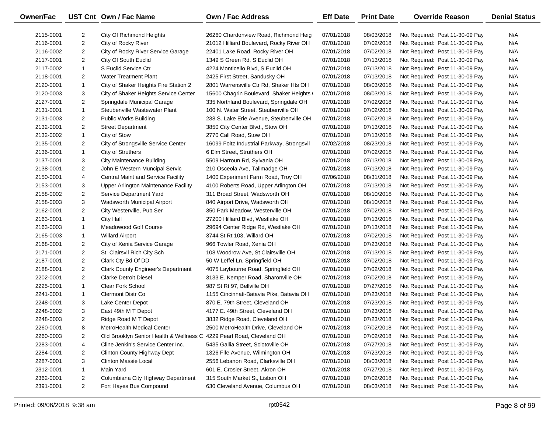| Owner/Fac              |                                  | UST Cnt Own / Fac Name                                                | Own / Fac Address                          | <b>Eff Date</b> | <b>Print Date</b> | <b>Override Reason</b>                                             | <b>Denial Status</b> |
|------------------------|----------------------------------|-----------------------------------------------------------------------|--------------------------------------------|-----------------|-------------------|--------------------------------------------------------------------|----------------------|
|                        |                                  |                                                                       | 26260 Chardonview Road, Richmond Heig      | 07/01/2018      | 08/03/2018        |                                                                    | N/A                  |
| 2115-0001<br>2116-0001 | $\overline{2}$<br>$\overline{2}$ | City Of Richmond Heights<br>City of Rocky River                       | 21012 Hilliard Boulevard, Rocky River OH   | 07/01/2018      | 07/02/2018        | Not Required: Post 11-30-09 Pay<br>Not Required: Post 11-30-09 Pay | N/A                  |
| 2116-0002              | $\overline{2}$                   |                                                                       | 22401 Lake Road, Rocky River OH            | 07/01/2018      | 07/02/2018        | Not Required: Post 11-30-09 Pay                                    | N/A                  |
|                        | $\overline{2}$                   | City of Rocky River Service Garage<br>City Of South Euclid            | 1349 S Green Rd, S Euclid OH               | 07/01/2018      | 07/13/2018        |                                                                    | N/A                  |
| 2117-0001              | $\mathbf{1}$                     | S Euclid Service Ctr                                                  |                                            |                 |                   | Not Required: Post 11-30-09 Pay                                    |                      |
| 2117-0002              |                                  |                                                                       | 4224 Monticello Blvd, S Euclid OH          | 07/01/2018      | 07/13/2018        | Not Required: Post 11-30-09 Pay                                    | N/A                  |
| 2118-0001              | $\overline{2}$                   | <b>Water Treatment Plant</b>                                          | 2425 First Street, Sandusky OH             | 07/01/2018      | 07/13/2018        | Not Required: Post 11-30-09 Pay                                    | N/A                  |
| 2120-0001              | $\mathbf{1}$                     | City of Shaker Heights Fire Station 2                                 | 2801 Warrensville Ctr Rd, Shaker Hts OH    | 07/01/2018      | 08/03/2018        | Not Required: Post 11-30-09 Pay                                    | N/A                  |
| 2120-0003              | 3                                | City of Shaker Heights Service Center                                 | 15600 Chagrin Boulevard, Shaker Heights (  | 07/01/2018      | 08/03/2018        | Not Required: Post 11-30-09 Pay                                    | N/A                  |
| 2127-0001              | $\overline{2}$                   | Springdale Municipal Garage                                           | 335 Northland Boulevard, Springdale OH     | 07/01/2018      | 07/02/2018        | Not Required: Post 11-30-09 Pay                                    | N/A                  |
| 2131-0001              | $\mathbf{1}$                     | Steubenville Wastewater Plant                                         | 100 N. Water Street, Steubenville OH       | 07/01/2018      | 07/02/2018        | Not Required: Post 11-30-09 Pay                                    | N/A                  |
| 2131-0003              | $\overline{2}$                   | Public Works Building                                                 | 238 S. Lake Erie Avenue, Steubenville OH   | 07/01/2018      | 07/02/2018        | Not Required: Post 11-30-09 Pay                                    | N/A                  |
| 2132-0001              | $\overline{2}$                   | <b>Street Department</b>                                              | 3850 City Center Blvd., Stow OH            | 07/01/2018      | 07/13/2018        | Not Required: Post 11-30-09 Pay                                    | N/A                  |
| 2132-0002              | $\mathbf{1}$                     | City of Stow                                                          | 2770 Call Road, Stow OH                    | 07/01/2018      | 07/13/2018        | Not Required: Post 11-30-09 Pay                                    | N/A                  |
| 2135-0001              | $\overline{2}$                   | City of Strongsville Service Center                                   | 16099 Foltz Industrial Parkway, Strongsvil | 07/02/2018      | 08/23/2018        | Not Required: Post 11-30-09 Pay                                    | N/A                  |
| 2136-0001              | $\mathbf{1}$                     | City of Struthers                                                     | 6 Elm Street, Struthers OH                 | 07/01/2018      | 07/02/2018        | Not Required: Post 11-30-09 Pay                                    | N/A                  |
| 2137-0001              | 3                                | <b>City Maintenance Building</b>                                      | 5509 Harroun Rd, Sylvania OH               | 07/01/2018      | 07/13/2018        | Not Required: Post 11-30-09 Pay                                    | N/A                  |
| 2138-0001              | $\overline{2}$                   | John E Western Muncipal Servic                                        | 210 Osceola Ave, Tallmadge OH              | 07/01/2018      | 07/13/2018        | Not Required: Post 11-30-09 Pay                                    | N/A                  |
| 2150-0001              | 4                                | <b>Central Maint and Service Facility</b>                             | 1400 Experiment Farm Road, Troy OH         | 07/06/2018      | 08/31/2018        | Not Required: Post 11-30-09 Pay                                    | N/A                  |
| 2153-0001              | 3                                | Upper Arlington Maintenance Facility                                  | 4100 Roberts Road, Upper Arlington OH      | 07/01/2018      | 07/13/2018        | Not Required: Post 11-30-09 Pay                                    | N/A                  |
| 2158-0002              | $\overline{2}$                   | Service Department Yard                                               | 311 Broad Street, Wadsworth OH             | 07/01/2018      | 08/10/2018        | Not Required: Post 11-30-09 Pay                                    | N/A                  |
| 2158-0003              | 3                                | Wadsworth Municipal Airport                                           | 840 Airport Drive, Wadsworth OH            | 07/01/2018      | 08/10/2018        | Not Required: Post 11-30-09 Pay                                    | N/A                  |
| 2162-0001              | $\overline{2}$                   | City Westerville, Pub Ser                                             | 350 Park Meadow, Westerville OH            | 07/01/2018      | 07/02/2018        | Not Required: Post 11-30-09 Pay                                    | N/A                  |
| 2163-0001              | $\mathbf{1}$                     | <b>City Hall</b>                                                      | 27200 Hilliard Blvd, Westlake OH           | 07/01/2018      | 07/13/2018        | Not Required: Post 11-30-09 Pay                                    | N/A                  |
| 2163-0003              | $\mathbf{1}$                     | Meadowood Golf Course                                                 | 29694 Center Ridge Rd, Westlake OH         | 07/01/2018      | 07/13/2018        | Not Required: Post 11-30-09 Pay                                    | N/A                  |
| 2165-0003              | $\mathbf{1}$                     | <b>Willard Airport</b>                                                | 3744 St Rt 103, Willard OH                 | 07/01/2018      | 07/02/2018        | Not Required: Post 11-30-09 Pay                                    | N/A                  |
| 2168-0001              | $\overline{2}$                   | City of Xenia Service Garage                                          | 966 Towler Road, Xenia OH                  | 07/01/2018      | 07/23/2018        | Not Required: Post 11-30-09 Pay                                    | N/A                  |
| 2171-0001              | $\overline{2}$                   | St Clairsvil Rich City Sch                                            | 108 Woodrow Ave, St Clairsville OH         | 07/01/2018      | 07/13/2018        | Not Required: Post 11-30-09 Pay                                    | N/A                  |
| 2187-0001              | $\overline{2}$                   | Clark Cty Bd Of DD                                                    | 50 W Leffel Ln, Springfield OH             | 07/01/2018      | 07/02/2018        | Not Required: Post 11-30-09 Pay                                    | N/A                  |
| 2188-0001              | $\overline{2}$                   | <b>Clark County Engineer's Department</b>                             | 4075 Laybourne Road, Springfield OH        | 07/01/2018      | 07/02/2018        | Not Required: Post 11-30-09 Pay                                    | N/A                  |
| 2202-0001              | $\overline{2}$                   | <b>Clarke Detroit Diesel</b>                                          | 3133 E. Kemper Road, Sharonville OH        | 07/01/2018      | 07/02/2018        | Not Required: Post 11-30-09 Pay                                    | N/A                  |
| 2225-0001              | $\mathbf{1}$                     | Clear Fork School                                                     | 987 St Rt 97, Bellville OH                 | 07/01/2018      | 07/27/2018        | Not Required: Post 11-30-09 Pay                                    | N/A                  |
| 2241-0001              | $\mathbf{1}$                     | <b>Clermont Distr Co</b>                                              | 1155 Cincinnati-Batavia Pike, Batavia OH   | 07/01/2018      | 07/23/2018        | Not Required: Post 11-30-09 Pay                                    | N/A                  |
| 2248-0001              | 3                                | Lake Center Depot                                                     | 870 E. 79th Street, Cleveland OH           | 07/01/2018      | 07/23/2018        | Not Required: Post 11-30-09 Pay                                    | N/A                  |
| 2248-0002              | 3                                | East 49th M T Depot                                                   | 4177 E. 49th Street, Cleveland OH          | 07/01/2018      | 07/23/2018        | Not Required: Post 11-30-09 Pay                                    | N/A                  |
| 2248-0003              | $\overline{2}$                   | Ridge Road M T Depot                                                  | 3832 Ridge Road, Cleveland OH              | 07/01/2018      | 07/23/2018        | Not Required: Post 11-30-09 Pay                                    | N/A                  |
| 2260-0001              | 8                                | MetroHealth Medical Center                                            | 2500 MetroHealth Drive, Cleveland OH       | 07/01/2018      | 07/02/2018        | Not Required: Post 11-30-09 Pay                                    | N/A                  |
| 2260-0003              | 2                                | Old Brooklyn Senior Health & Wellness C 4229 Pearl Road, Cleveland OH |                                            | 07/01/2018      | 07/02/2018        | Not Required: Post 11-30-09 Pay                                    | N/A                  |
| 2283-0001              | 4                                | Cline Jenkin's Service Center Inc.                                    | 5435 Gallia Street, Sciotoville OH         | 07/01/2018      | 07/27/2018        | Not Required: Post 11-30-09 Pay                                    | N/A                  |
| 2284-0001              | $\overline{2}$                   | Clinton County Highway Dept                                           | 1326 Fife Avenue, Wilmington OH            | 07/01/2018      | 07/23/2018        | Not Required: Post 11-30-09 Pay                                    | N/A                  |
| 2287-0001              | 3                                | Clinton Massie Local                                                  | 2556 Lebanon Road, Clarksville OH          | 07/01/2018      | 08/03/2018        | Not Required: Post 11-30-09 Pay                                    | N/A                  |
| 2312-0001              | 1                                | Main Yard                                                             | 601 E. Crosier Street, Akron OH            | 07/01/2018      | 07/27/2018        | Not Required: Post 11-30-09 Pay                                    | N/A                  |
| 2362-0001              | $\overline{2}$                   | Columbiana City Highway Department                                    | 315 South Market St, Lisbon OH             | 07/01/2018      | 07/02/2018        | Not Required: Post 11-30-09 Pay                                    | N/A                  |
| 2391-0001              | $\overline{2}$                   | Fort Hayes Bus Compound                                               | 630 Cleveland Avenue, Columbus OH          | 07/01/2018      | 08/03/2018        | Not Required: Post 11-30-09 Pay                                    | N/A                  |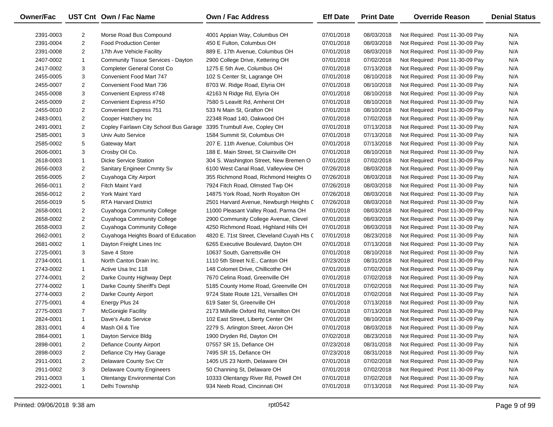| Owner/Fac |                | UST Cnt Own / Fac Name                    | Own / Fac Address                          | <b>Eff Date</b> | <b>Print Date</b> | <b>Override Reason</b>          | <b>Denial Status</b> |
|-----------|----------------|-------------------------------------------|--------------------------------------------|-----------------|-------------------|---------------------------------|----------------------|
| 2391-0003 | $\overline{2}$ | Morse Road Bus Compound                   | 4001 Appian Way, Columbus OH               | 07/01/2018      | 08/03/2018        | Not Required: Post 11-30-09 Pay | N/A                  |
| 2391-0004 | $\overline{2}$ | <b>Food Production Center</b>             | 450 E Fulton, Columbus OH                  | 07/01/2018      | 08/03/2018        | Not Required: Post 11-30-09 Pay | N/A                  |
| 2391-0008 | $\overline{2}$ | 17th Ave Vehicle Facility                 | 889 E. 17th Avenue, Columbus OH            | 07/01/2018      | 08/03/2018        | Not Required: Post 11-30-09 Pay | N/A                  |
| 2407-0002 | $\mathbf{1}$   | <b>Community Tissue Services - Dayton</b> | 2900 College Drive, Kettering OH           | 07/01/2018      | 07/02/2018        | Not Required: Post 11-30-09 Pay | N/A                  |
| 2417-0002 | 3              | Completer General Const Co                | 1275 E 5th Ave, Columbus OH                | 07/01/2018      | 07/13/2018        | Not Required: Post 11-30-09 Pay | N/A                  |
| 2455-0005 | 3              | Convenient Food Mart 747                  | 102 S Center St, Lagrange OH               | 07/01/2018      | 08/10/2018        | Not Required: Post 11-30-09 Pay | N/A                  |
| 2455-0007 | $\overline{2}$ | Convenient Food Mart 736                  | 8703 W. Ridge Road, Elyria OH              | 07/01/2018      | 08/10/2018        | Not Required: Post 11-30-09 Pay | N/A                  |
| 2455-0008 | 3              | Convenient Express #748                   | 42163 N Ridge Rd, Elyria OH                | 07/01/2018      | 08/10/2018        | Not Required: Post 11-30-09 Pay | N/A                  |
| 2455-0009 | 2              | Convenient Express #750                   | 7580 S Leavitt Rd, Amherst OH              | 07/01/2018      | 08/10/2018        | Not Required: Post 11-30-09 Pay | N/A                  |
| 2455-0010 | $\overline{2}$ | <b>Convenient Express 751</b>             | 533 N Main St, Grafton OH                  | 07/01/2018      | 08/10/2018        | Not Required: Post 11-30-09 Pay | N/A                  |
| 2483-0001 | $\overline{2}$ | Cooper Hatchery Inc                       | 22348 Road 140, Oakwood OH                 | 07/01/2018      | 07/02/2018        | Not Required: Post 11-30-09 Pay | N/A                  |
| 2491-0001 | 2              | Copley Fairlawn City School Bus Garage    | 3395 Trumbull Ave, Copley OH               | 07/01/2018      | 07/13/2018        | Not Required: Post 11-30-09 Pay | N/A                  |
| 2585-0001 | 3              | Univ Auto Service                         | 1584 Summit St, Columbus OH                | 07/01/2018      | 07/13/2018        | Not Required: Post 11-30-09 Pay | N/A                  |
| 2585-0002 | 5              | <b>Gateway Mart</b>                       | 207 E. 11th Avenue, Columbus OH            | 07/01/2018      | 07/13/2018        | Not Required: Post 11-30-09 Pay | N/A                  |
| 2606-0001 | 3              | Crosby Oil Co.                            | 188 E. Main Street, St Clairsville OH      | 07/01/2018      | 08/10/2018        | Not Required: Post 11-30-09 Pay | N/A                  |
| 2618-0003 | $\mathbf{1}$   | <b>Dicke Service Station</b>              | 304 S. Washington Street, New Bremen O     | 07/01/2018      | 07/02/2018        | Not Required: Post 11-30-09 Pay | N/A                  |
| 2656-0003 | $\overline{2}$ | Sanitary Engineer Cmmty Sv                | 6100 West Canal Road, Valleyview OH        | 07/26/2018      | 08/03/2018        | Not Required: Post 11-30-09 Pay | N/A                  |
| 2656-0005 | $\overline{2}$ | Cuyahoga City Airport                     | 355 Richmond Road, Richmond Heights O      | 07/26/2018      | 08/03/2018        | Not Required: Post 11-30-09 Pay | N/A                  |
| 2656-0011 | $\overline{2}$ | <b>Fitch Maint Yard</b>                   | 7924 Fitch Road, Olmsted Twp OH            | 07/26/2018      | 08/03/2018        | Not Required: Post 11-30-09 Pay | N/A                  |
| 2656-0012 | $\overline{2}$ | York Maint Yard                           | 14875 York Road, North Royalton OH         | 07/26/2018      | 08/03/2018        | Not Required: Post 11-30-09 Pay | N/A                  |
| 2656-0019 | 5              | <b>RTA Harvard District</b>               | 2501 Harvard Avenue, Newburgh Heights C    | 07/26/2018      | 08/03/2018        | Not Required: Post 11-30-09 Pay | N/A                  |
| 2658-0001 | 2              | Cuyahoga Community College                | 11000 Pleasant Valley Road, Parma OH       | 07/01/2018      | 08/03/2018        | Not Required: Post 11-30-09 Pay | N/A                  |
| 2658-0002 | $\overline{2}$ | Cuyahoga Community College                | 2900 Community College Avenue, Clevel      | 07/01/2018      | 08/03/2018        | Not Required: Post 11-30-09 Pay | N/A                  |
| 2658-0003 | $\overline{2}$ | Cuyahoga Community College                | 4250 Richmond Road, Highland Hills OH      | 07/01/2018      | 08/03/2018        | Not Required: Post 11-30-09 Pay | N/A                  |
| 2662-0001 | $\overline{2}$ | Cuyahoga Heights Board of Education       | 4820 E. 71st Street, Cleveland Cuyah Hts C | 07/01/2018      | 08/23/2018        | Not Required: Post 11-30-09 Pay | N/A                  |
| 2681-0002 | $\mathbf{1}$   | Dayton Freight Lines Inc                  | 6265 Executive Boulevard, Dayton OH        | 07/01/2018      | 07/13/2018        | Not Required: Post 11-30-09 Pay | N/A                  |
| 2725-0001 | 3              | Save 4 Store                              | 10637 South, Garrettsville OH              | 07/01/2018      | 08/10/2018        | Not Required: Post 11-30-09 Pay | N/A                  |
| 2734-0001 | $\mathbf{1}$   | North Canton Drain Inc.                   | 1110 5th Street N.E., Canton OH            | 07/23/2018      | 08/31/2018        | Not Required: Post 11-30-09 Pay | N/A                  |
| 2743-0002 | $\mathbf{1}$   | Active Usa Inc 118                        | 148 Colomet Drive, Chillicothe OH          | 07/01/2018      | 07/02/2018        | Not Required: Post 11-30-09 Pay | N/A                  |
| 2774-0001 | $\overline{2}$ | Darke County Highway Dept                 | 7670 Celina Road, Greenville OH            | 07/01/2018      | 07/02/2018        | Not Required: Post 11-30-09 Pay | N/A                  |
| 2774-0002 | $\mathbf{1}$   | Darke County Sheriff's Dept               | 5185 County Home Road, Greenville OH       | 07/01/2018      | 07/02/2018        | Not Required: Post 11-30-09 Pay | N/A                  |
| 2774-0003 | $\overline{2}$ | Darke County Airport                      | 9724 State Route 121, Versailles OH        | 07/01/2018      | 07/02/2018        | Not Required: Post 11-30-09 Pay | N/A                  |
| 2775-0001 | 4              | Energy Plus 24                            | 619 Sater St, Greenville OH                | 07/01/2018      | 07/13/2018        | Not Required: Post 11-30-09 Pay | N/A                  |
| 2775-0003 | $\overline{7}$ | <b>McGonigle Facility</b>                 | 2173 Millville Oxford Rd, Hamilton OH      | 07/01/2018      | 07/13/2018        | Not Required: Post 11-30-09 Pay | N/A                  |
| 2824-0001 | $\mathbf{1}$   | Dave's Auto Service                       | 102 East Street, Liberty Center OH         | 07/01/2018      | 08/10/2018        | Not Required: Post 11-30-09 Pay | N/A                  |
| 2831-0001 | 4              | Mash Oil & Tire                           | 2279 S. Arlington Street, Akron OH         | 07/01/2018      | 08/03/2018        | Not Required: Post 11-30-09 Pay | N/A                  |
| 2864-0001 | 1              | Dayton Service Bldg                       | 1900 Dryden Rd, Dayton OH                  | 07/02/2018      | 08/23/2018        | Not Required: Post 11-30-09 Pay | N/A                  |
| 2898-0001 | $\overline{a}$ | Defiance County Airport                   | 07557 SR 15, Defiance OH                   | 07/23/2018      | 08/31/2018        | Not Required: Post 11-30-09 Pay | N/A                  |
| 2898-0003 | $\overline{a}$ | Defiance Cty Hwy Garage                   | 7495 SR 15, Defiance OH                    | 07/23/2018      | 08/31/2018        | Not Required: Post 11-30-09 Pay | N/A                  |
| 2911-0001 | 2              | Delaware County Svc Ctr                   | 1405 US 23 North, Delaware OH              | 07/01/2018      | 07/02/2018        | Not Required: Post 11-30-09 Pay | N/A                  |
| 2911-0002 | 3              | <b>Delaware County Engineers</b>          | 50 Channing St, Delaware OH                | 07/01/2018      | 07/02/2018        | Not Required: Post 11-30-09 Pay | N/A                  |
| 2911-0003 | 1              | <b>Olentangy Environmental Con</b>        | 10333 Olentangy River Rd, Powell OH        | 07/01/2018      | 07/02/2018        | Not Required: Post 11-30-09 Pay | N/A                  |
| 2922-0001 | $\mathbf{1}$   | Delhi Township                            | 934 Neeb Road, Cincinnati OH               | 07/01/2018      | 07/13/2018        | Not Required: Post 11-30-09 Pay | N/A                  |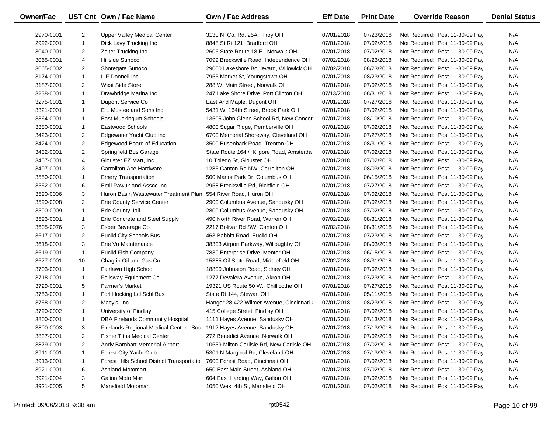| Owner/Fac |                | UST Cnt Own / Fac Name                                                  | Own / Fac Address                         | <b>Eff Date</b> | <b>Print Date</b> | <b>Override Reason</b>          | <b>Denial Status</b> |
|-----------|----------------|-------------------------------------------------------------------------|-------------------------------------------|-----------------|-------------------|---------------------------------|----------------------|
| 2970-0001 | $\overline{2}$ | Upper Valley Medical Center                                             | 3130 N. Co. Rd. 25A, Troy OH              | 07/01/2018      | 07/23/2018        | Not Required: Post 11-30-09 Pay | N/A                  |
| 2992-0001 | $\mathbf{1}$   | Dick Lavy Trucking Inc                                                  | 8848 St Rt 121, Bradford OH               | 07/01/2018      | 07/02/2018        | Not Required: Post 11-30-09 Pay | N/A                  |
| 3040-0001 | $\overline{2}$ | Zeiter Trucking Inc.                                                    | 2606 State Route 18 E., Norwalk OH        | 07/01/2018      | 07/02/2018        | Not Required: Post 11-30-09 Pay | N/A                  |
| 3065-0001 | 4              | Hillside Sunoco                                                         | 7099 Brecksville Road, Independence OH    | 07/02/2018      | 08/23/2018        | Not Required: Post 11-30-09 Pay | N/A                  |
| 3065-0002 | $\overline{2}$ | Shoregate Sunoco                                                        | 29000 Lakeshore Boulevard, Willowick OH   | 07/02/2018      | 08/23/2018        | Not Required: Post 11-30-09 Pay | N/A                  |
| 3174-0001 | $\mathbf{1}$   | L F Donnell Inc                                                         | 7955 Market St, Youngstown OH             | 07/01/2018      | 08/23/2018        | Not Required: Post 11-30-09 Pay | N/A                  |
| 3187-0001 | $\overline{2}$ | West Side Store                                                         | 288 W. Main Street, Norwalk OH            | 07/01/2018      | 07/02/2018        | Not Required: Post 11-30-09 Pay | N/A                  |
| 3238-0001 | $\mathbf{1}$   | Drawbridge Marina Inc                                                   | 247 Lake Shore Drive, Port Clinton OH     | 07/13/2018      | 08/31/2018        | Not Required: Post 11-30-09 Pay | N/A                  |
| 3275-0001 | $\mathbf{1}$   | Dupont Service Co                                                       | East And Maple, Dupont OH                 | 07/01/2018      | 07/27/2018        | Not Required: Post 11-30-09 Pay | N/A                  |
| 3321-0001 | $\mathbf{1}$   | E L Mustee and Sons Inc.                                                | 5431 W. 164th Street, Brook Park OH       | 07/01/2018      | 07/02/2018        | Not Required: Post 11-30-09 Pay | N/A                  |
| 3364-0001 | $\mathbf{1}$   | East Muskingum Schools                                                  | 13505 John Glenn School Rd, New Concor    | 07/01/2018      | 08/10/2018        | Not Required: Post 11-30-09 Pay | N/A                  |
| 3380-0001 | $\mathbf{1}$   | Eastwood Schools                                                        | 4800 Sugar Ridge, Pemberville OH          | 07/01/2018      | 07/02/2018        | Not Required: Post 11-30-09 Pay | N/A                  |
| 3423-0001 | $\overline{2}$ | Edgewater Yacht Club Inc                                                | 6700 Memorial Shoreway, Cleveland OH      | 07/01/2018      | 07/27/2018        | Not Required: Post 11-30-09 Pay | N/A                  |
| 3424-0001 | $\overline{2}$ | Edgewood Board of Education                                             | 3500 Busenbark Road, Trenton OH           | 07/01/2018      | 08/31/2018        | Not Required: Post 11-30-09 Pay | N/A                  |
| 3432-0001 | $\overline{2}$ | Springfield Bus Garage                                                  | State Route 164 / Kilgore Road, Amsterda  | 07/01/2018      | 07/02/2018        | Not Required: Post 11-30-09 Pay | N/A                  |
| 3457-0001 | 4              | Glouster EZ Mart, Inc.                                                  | 10 Toledo St, Glouster OH                 | 07/01/2018      | 07/02/2018        | Not Required: Post 11-30-09 Pay | N/A                  |
| 3497-0001 | 3              | Carrollton Ace Hardware                                                 | 1285 Canton Rd NW, Carrollton OH          | 07/01/2018      | 08/03/2018        | Not Required: Post 11-30-09 Pay | N/A                  |
| 3550-0001 | $\mathbf{1}$   | <b>Emery Transportation</b>                                             | 500 Manor Park Dr, Columbus OH            | 07/01/2018      | 06/15/2018        | Not Required: Post 11-30-09 Pay | N/A                  |
| 3552-0001 | 6              | Emil Pawuk and Assoc Inc                                                | 2958 Brecksville Rd, Richfield OH         | 07/01/2018      | 07/27/2018        | Not Required: Post 11-30-09 Pay | N/A                  |
| 3590-0006 | 3              | Huron Basin Wastewater Treatment Plan                                   | 554 River Road, Huron OH                  | 07/01/2018      | 07/02/2018        | Not Required: Post 11-30-09 Pay | N/A                  |
| 3590-0008 | $\overline{2}$ | Erie County Service Center                                              | 2900 Columbus Avenue, Sandusky OH         | 07/01/2018      | 07/02/2018        | Not Required: Post 11-30-09 Pay | N/A                  |
| 3590-0009 | $\mathbf{1}$   | Erie County Jail                                                        | 2800 Columbus Avenue, Sandusky OH         | 07/01/2018      | 07/02/2018        | Not Required: Post 11-30-09 Pay | N/A                  |
| 3593-0001 | $\mathbf{1}$   | Erie Concrete and Steel Supply                                          | 490 North River Road, Warren OH           | 07/02/2018      | 08/31/2018        | Not Required: Post 11-30-09 Pay | N/A                  |
| 3605-0076 | 3              | Esber Beverage Co                                                       | 2217 Bolivar Rd SW, Canton OH             | 07/02/2018      | 08/31/2018        | Not Required: Post 11-30-09 Pay | N/A                  |
| 3617-0001 | $\overline{2}$ | <b>Euclid City Schools Bus</b>                                          | 463 Babbitt Road, Euclid OH               | 07/01/2018      | 07/23/2018        | Not Required: Post 11-30-09 Pay | N/A                  |
| 3618-0001 | 3              | Erie Vu Maintenance                                                     | 38303 Airport Parkway, Willoughby OH      | 07/01/2018      | 08/03/2018        | Not Required: Post 11-30-09 Pay | N/A                  |
| 3619-0001 | $\mathbf{1}$   | <b>Euclid Fish Company</b>                                              | 7839 Enterprise Drive, Mentor OH          | 07/01/2018      | 06/15/2018        | Not Required: Post 11-30-09 Pay | N/A                  |
| 3677-0001 | 10             | Chagrin Oil and Gas Co.                                                 | 15385 Oil State Road, Middlefield OH      | 07/02/2018      | 08/31/2018        | Not Required: Post 11-30-09 Pay | N/A                  |
| 3703-0001 | $\mathbf{1}$   | Fairlawn High School                                                    | 18800 Johnston Road, Sidney OH            | 07/01/2018      | 07/02/2018        | Not Required: Post 11-30-09 Pay | N/A                  |
| 3718-0001 | $\mathbf{1}$   | Fallsway Equipment Co                                                   | 1277 Devalera Avenue, Akron OH            | 07/01/2018      | 07/23/2018        | Not Required: Post 11-30-09 Pay | N/A                  |
| 3729-0001 | 5              | <b>Farmer's Market</b>                                                  | 19321 US Route 50 W., Chillicothe OH      | 07/01/2018      | 07/27/2018        | Not Required: Post 11-30-09 Pay | N/A                  |
| 3753-0001 | $\mathbf{1}$   | Fdrl Hocking Lcl Schl Bus                                               | State Rt 144, Stewart OH                  | 07/01/2018      | 05/11/2018        | Not Required: Post 11-30-09 Pay | N/A                  |
| 3758-0001 | $\overline{2}$ | Macy's, Inc                                                             | Hanger 28 422 Wilmer Avenue, Cincinnati ( | 07/01/2018      | 08/23/2018        | Not Required: Post 11-30-09 Pay | N/A                  |
| 3790-0002 | $\mathbf{1}$   | University of Findlay                                                   | 415 College Street, Findlay OH            | 07/01/2018      | 07/02/2018        | Not Required: Post 11-30-09 Pay | N/A                  |
| 3800-0001 | $\mathbf{1}$   | DBA Firelands Community Hospital                                        | 1111 Hayes Avenue, Sandusky OH            | 07/01/2018      | 07/13/2018        | Not Required: Post 11-30-09 Pay | N/A                  |
| 3800-0003 | 3              | Firelands Regional Medical Center - Sout 1912 Hayes Avenue, Sandusky OH |                                           | 07/01/2018      | 07/13/2018        | Not Required: Post 11-30-09 Pay | N/A                  |
| 3837-0001 | 2              | <b>Fisher Titus Medical Center</b>                                      | 272 Benedict Avenue, Norwalk OH           | 07/01/2018      | 07/02/2018        | Not Required: Post 11-30-09 Pay | N/A                  |
| 3879-0001 | 2              | Andy Barnhart Memorial Airport                                          | 10639 Milton Carlisle Rd, New Carlisle OH | 07/01/2018      | 07/02/2018        | Not Required: Post 11-30-09 Pay | N/A                  |
| 3911-0001 | 1              | Forest City Yacht Club                                                  | 5301 N Marginal Rd, Cleveland OH          | 07/01/2018      | 07/13/2018        | Not Required: Post 11-30-09 Pay | N/A                  |
| 3913-0001 | 1              | Forest Hills School District Transportatio                              | 7600 Forest Road, Cincinnati OH           | 07/01/2018      | 07/02/2018        | Not Required: Post 11-30-09 Pay | N/A                  |
| 3921-0001 | 6              | <b>Ashland Motomart</b>                                                 | 650 East Main Street, Ashland OH          | 07/01/2018      | 07/02/2018        | Not Required: Post 11-30-09 Pay | N/A                  |
| 3921-0004 | 3              | Galion Moto Mart                                                        | 604 East Harding Way, Galion OH           | 07/01/2018      | 07/02/2018        | Not Required: Post 11-30-09 Pay | N/A                  |
| 3921-0005 | 5              | <b>Mansfield Motomart</b>                                               | 1050 West 4th St, Mansfield OH            | 07/01/2018      | 07/02/2018        | Not Required: Post 11-30-09 Pay | N/A                  |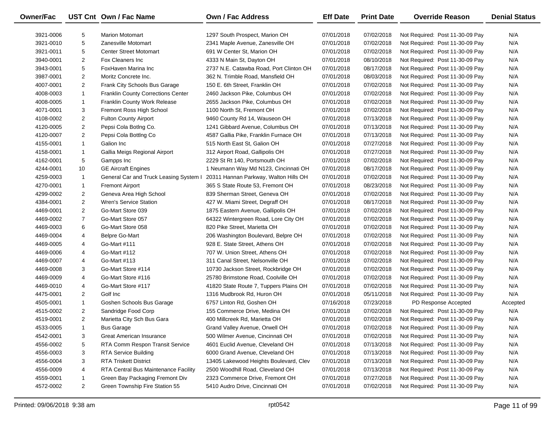| <b>Owner/Fac</b> |                | UST Cnt Own / Fac Name                 | Own / Fac Address                       | <b>Eff Date</b> | <b>Print Date</b> | <b>Override Reason</b>          | <b>Denial Status</b> |
|------------------|----------------|----------------------------------------|-----------------------------------------|-----------------|-------------------|---------------------------------|----------------------|
| 3921-0006        | 5              | <b>Marion Motomart</b>                 | 1297 South Prospect, Marion OH          | 07/01/2018      | 07/02/2018        | Not Required: Post 11-30-09 Pay | N/A                  |
| 3921-0010        | 5              | Zanesville Motomart                    | 2341 Maple Avenue, Zanesville OH        | 07/01/2018      | 07/02/2018        | Not Required: Post 11-30-09 Pay | N/A                  |
| 3921-0011        | 5              | <b>Center Street Motomart</b>          | 691 W Center St, Marion OH              | 07/01/2018      | 07/02/2018        | Not Required: Post 11-30-09 Pay | N/A                  |
| 3940-0001        | $\overline{2}$ | Fox Cleaners Inc                       | 4333 N Main St, Dayton OH               | 07/01/2018      | 08/10/2018        | Not Required: Post 11-30-09 Pay | N/A                  |
| 3943-0001        | 5              | FoxHaven Marina Inc                    | 2737 N.E. Catawba Road, Port Clinton OH | 07/01/2018      | 08/17/2018        | Not Required: Post 11-30-09 Pay | N/A                  |
| 3987-0001        | $\overline{2}$ | Moritz Concrete Inc.                   | 362 N. Trimble Road, Mansfield OH       | 07/01/2018      | 08/03/2018        | Not Required: Post 11-30-09 Pay | N/A                  |
| 4007-0001        | $\overline{2}$ | Frank City Schools Bus Garage          | 150 E. 6th Street, Franklin OH          | 07/01/2018      | 07/02/2018        | Not Required: Post 11-30-09 Pay | N/A                  |
| 4008-0003        | $\mathbf{1}$   | Franklin County Corrections Center     | 2460 Jackson Pike, Columbus OH          | 07/01/2018      | 07/02/2018        | Not Required: Post 11-30-09 Pay | N/A                  |
| 4008-0005        | 1              | Franklin County Work Release           | 2655 Jackson Pike, Columbus OH          | 07/01/2018      | 07/02/2018        | Not Required: Post 11-30-09 Pay | N/A                  |
| 4071-0001        | 3              | Fremont Ross High School               | 1100 North St, Fremont OH               | 07/01/2018      | 07/02/2018        | Not Required: Post 11-30-09 Pay | N/A                  |
| 4108-0002        | 2              | <b>Fulton County Airport</b>           | 9460 County Rd 14, Wauseon OH           | 07/01/2018      | 07/13/2018        | Not Required: Post 11-30-09 Pay | N/A                  |
| 4120-0005        | $\overline{2}$ | Pepsi Cola BotIng Co.                  | 1241 Gibbard Avenue, Columbus OH        | 07/01/2018      | 07/13/2018        | Not Required: Post 11-30-09 Pay | N/A                  |
| 4120-0007        | $\overline{2}$ | Pepsi Cola Botting Co                  | 4587 Gallia Pike, Franklin Furnace OH   | 07/01/2018      | 07/13/2018        | Not Required: Post 11-30-09 Pay | N/A                  |
| 4155-0001        | $\mathbf{1}$   | Galion Inc                             | 515 North East St, Galion OH            | 07/01/2018      | 07/27/2018        | Not Required: Post 11-30-09 Pay | N/A                  |
| 4158-0001        | $\mathbf{1}$   | Gallia Meigs Regional Airport          | 312 Airport Road, Gallipolis OH         | 07/01/2018      | 07/27/2018        | Not Required: Post 11-30-09 Pay | N/A                  |
| 4162-0001        | 5              | Gampps Inc                             | 2229 St Rt 140, Portsmouth OH           | 07/01/2018      | 07/02/2018        | Not Required: Post 11-30-09 Pay | N/A                  |
| 4244-0001        | 10             | <b>GE Aircraft Engines</b>             | 1 Neumann Way Md N123, Cincinnati OH    | 07/01/2018      | 08/17/2018        | Not Required: Post 11-30-09 Pay | N/A                  |
| 4259-0003        | $\mathbf{1}$   | General Car and Truck Leasing System I | 20311 Hannan Parkway, Walton Hills OH   | 07/01/2018      | 07/02/2018        | Not Required: Post 11-30-09 Pay | N/A                  |
| 4270-0001        | 1              | <b>Fremont Airport</b>                 | 365 S State Route 53, Fremont OH        | 07/01/2018      | 08/23/2018        | Not Required: Post 11-30-09 Pay | N/A                  |
| 4299-0002        | 2              | Geneva Area High School                | 839 Sherman Street, Geneva OH           | 07/01/2018      | 07/02/2018        | Not Required: Post 11-30-09 Pay | N/A                  |
| 4384-0001        | $\overline{2}$ | <b>Wren's Service Station</b>          | 427 W. Miami Street, Degraff OH         | 07/01/2018      | 08/17/2018        | Not Required: Post 11-30-09 Pay | N/A                  |
| 4469-0001        | $\overline{2}$ | Go-Mart Store 039                      | 1875 Eastern Avenue, Gallipolis OH      | 07/01/2018      | 07/02/2018        | Not Required: Post 11-30-09 Pay | N/A                  |
| 4469-0002        | $\overline{7}$ | Go-Mart Store 057                      | 64322 Wintergreen Road, Lore City OH    | 07/01/2018      | 07/02/2018        | Not Required: Post 11-30-09 Pay | N/A                  |
| 4469-0003        | 6              | Go-Mart Store 058                      | 820 Pike Street, Marietta OH            | 07/01/2018      | 07/02/2018        | Not Required: Post 11-30-09 Pay | N/A                  |
| 4469-0004        | 4              | <b>Belpre Go-Mart</b>                  | 206 Washington Boulevard, Belpre OH     | 07/01/2018      | 07/02/2018        | Not Required: Post 11-30-09 Pay | N/A                  |
| 4469-0005        | 4              | Go-Mart #111                           | 928 E. State Street, Athens OH          | 07/01/2018      | 07/02/2018        | Not Required: Post 11-30-09 Pay | N/A                  |
| 4469-0006        | 4              | Go-Mart #112                           | 707 W. Union Street, Athens OH          | 07/01/2018      | 07/02/2018        | Not Required: Post 11-30-09 Pay | N/A                  |
| 4469-0007        | 4              | Go-Mart #113                           | 311 Canal Street, Nelsonville OH        | 07/01/2018      | 07/02/2018        | Not Required: Post 11-30-09 Pay | N/A                  |
| 4469-0008        | 3              | Go-Mart Store #114                     | 10730 Jackson Street, Rockbridge OH     | 07/01/2018      | 07/02/2018        | Not Required: Post 11-30-09 Pay | N/A                  |
| 4469-0009        | 4              | Go-Mart Store #116                     | 25780 Brimstone Road, Coolville OH      | 07/01/2018      | 07/02/2018        | Not Required: Post 11-30-09 Pay | N/A                  |
| 4469-0010        | 4              | Go-Mart Store #117                     | 41820 State Route 7, Tuppers Plains OH  | 07/01/2018      | 07/02/2018        | Not Required: Post 11-30-09 Pay | N/A                  |
| 4475-0001        | $\overline{2}$ | Golf Inc                               | 1316 Mudbrook Rd, Huron OH              | 07/01/2018      | 05/11/2018        | Not Required: Post 11-30-09 Pay | N/A                  |
| 4505-0001        | $\mathbf{1}$   | Goshen Schools Bus Garage              | 6757 Linton Rd, Goshen OH               | 07/16/2018      | 07/23/2018        | PD Response Accepted            | Accepted             |
| 4515-0002        | $\overline{2}$ | Sandridge Food Corp                    | 155 Commerce Drive, Medina OH           | 07/01/2018      | 07/02/2018        | Not Required: Post 11-30-09 Pay | N/A                  |
| 4519-0001        | $\overline{2}$ | Marietta City Sch Bus Gara             | 400 Millcreek Rd, Marietta OH           | 07/01/2018      | 07/02/2018        | Not Required: Post 11-30-09 Pay | N/A                  |
| 4533-0005        | -1             | <b>Bus Garage</b>                      | Grand Valley Avenue, Orwell OH          | 07/01/2018      | 07/02/2018        | Not Required: Post 11-30-09 Pay | N/A                  |
| 4542-0001        | 3              | Great American Insurance               | 500 Wilmer Avenue, Cincinnati OH        | 07/01/2018      | 07/02/2018        | Not Required: Post 11-30-09 Pay | N/A                  |
| 4556-0002        | 5              | RTA Comm Respon Transit Service        | 4601 Euclid Avenue, Cleveland OH        | 07/01/2018      | 07/13/2018        | Not Required: Post 11-30-09 Pay | N/A                  |
| 4556-0003        | 3              | RTA Service Building                   | 6000 Grand Avenue, Cleveland OH         | 07/01/2018      | 07/13/2018        | Not Required: Post 11-30-09 Pay | N/A                  |
| 4556-0004        | 3              | <b>RTA Triskett District</b>           | 13405 Lakewood Heights Boulevard, Clev  | 07/01/2018      | 07/13/2018        | Not Required: Post 11-30-09 Pay | N/A                  |
| 4556-0009        | 4              | RTA Central Bus Maintenance Facility   | 2500 Woodhill Road, Cleveland OH        | 07/01/2018      | 07/13/2018        | Not Required: Post 11-30-09 Pay | N/A                  |
| 4559-0001        | 1              | Green Bay Packaging Fremont Div        | 2323 Commerce Drive, Fremont OH         | 07/01/2018      | 07/27/2018        | Not Required: Post 11-30-09 Pay | N/A                  |
| 4572-0002        | $\overline{2}$ | Green Township Fire Station 55         | 5410 Audro Drive, Cincinnati OH         | 07/01/2018      | 07/02/2018        | Not Required: Post 11-30-09 Pay | N/A                  |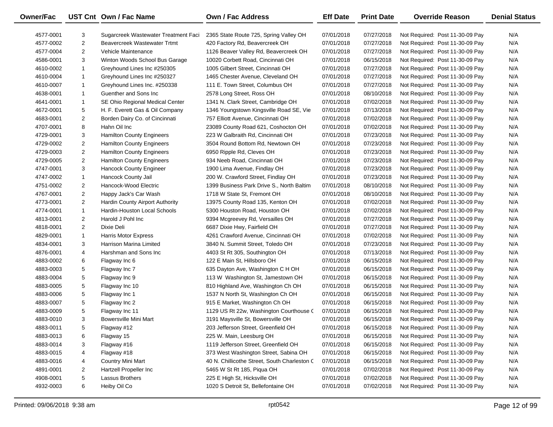| <b>Owner/Fac</b> |                | UST Cnt Own / Fac Name               | <b>Own / Fac Address</b>                     | <b>Eff Date</b> | <b>Print Date</b> | <b>Override Reason</b>          | <b>Denial Status</b> |
|------------------|----------------|--------------------------------------|----------------------------------------------|-----------------|-------------------|---------------------------------|----------------------|
| 4577-0001        | 3              | Sugarcreek Wastewater Treatment Faci | 2365 State Route 725, Spring Valley OH       | 07/01/2018      | 07/27/2018        | Not Required: Post 11-30-09 Pay | N/A                  |
| 4577-0002        | $\overline{c}$ | Beavercreek Wastewater Trtmt         | 420 Factory Rd, Beavercreek OH               | 07/01/2018      | 07/27/2018        | Not Required: Post 11-30-09 Pay | N/A                  |
| 4577-0004        | $\overline{2}$ | Vehicle Maintenance                  | 1126 Beaver Valley Rd, Beavercreek OH        | 07/01/2018      | 07/27/2018        | Not Required: Post 11-30-09 Pay | N/A                  |
| 4586-0001        | 3              | Winton Woods School Bus Garage       | 10020 Corbett Road, Cincinnati OH            | 07/01/2018      | 06/15/2018        | Not Required: Post 11-30-09 Pay | N/A                  |
| 4610-0002        | $\mathbf{1}$   | Greyhound Lines Inc #250305          | 1005 Gilbert Street, Cincinnati OH           | 07/01/2018      | 07/27/2018        | Not Required: Post 11-30-09 Pay | N/A                  |
| 4610-0004        | $\mathbf{1}$   | Greyhound Lines Inc #250327          | 1465 Chester Avenue, Cleveland OH            | 07/01/2018      | 07/27/2018        | Not Required: Post 11-30-09 Pay | N/A                  |
| 4610-0007        | $\mathbf{1}$   | Greyhound Lines Inc. #250338         | 111 E. Town Street, Columbus OH              | 07/01/2018      | 07/27/2018        | Not Required: Post 11-30-09 Pay | N/A                  |
| 4638-0001        | $\mathbf{1}$   | Guenther and Sons Inc                | 2578 Long Street, Ross OH                    | 07/01/2018      | 08/10/2018        | Not Required: Post 11-30-09 Pay | N/A                  |
| 4641-0001        | $\mathbf{1}$   | SE Ohio Regional Medical Center      | 1341 N. Clark Street, Cambridge OH           | 07/01/2018      | 07/02/2018        | Not Required: Post 11-30-09 Pay | N/A                  |
| 4672-0001        | 5              | H. F. Everett Gas & Oil Company      | 1346 Youngstown Kingsville Road SE, Vie      | 07/01/2018      | 07/13/2018        | Not Required: Post 11-30-09 Pay | N/A                  |
| 4683-0001        | $\overline{2}$ | Borden Dairy Co. of Cincinnati       | 757 Elliott Avenue, Cincinnati OH            | 07/01/2018      | 07/02/2018        | Not Required: Post 11-30-09 Pay | N/A                  |
| 4707-0001        | 8              | Hahn Oil Inc                         | 23089 County Road 621, Coshocton OH          | 07/01/2018      | 07/02/2018        | Not Required: Post 11-30-09 Pay | N/A                  |
| 4729-0001        | 3              | <b>Hamilton County Engineers</b>     | 223 W Galbraith Rd, Cincinnati OH            | 07/01/2018      | 07/23/2018        | Not Required: Post 11-30-09 Pay | N/A                  |
| 4729-0002        | $\overline{2}$ | <b>Hamilton County Engineers</b>     | 3504 Round Bottom Rd, Newtown OH             | 07/01/2018      | 07/23/2018        | Not Required: Post 11-30-09 Pay | N/A                  |
| 4729-0003        | $\overline{2}$ | <b>Hamilton County Engineers</b>     | 6950 Ripple Rd, Cleves OH                    | 07/01/2018      | 07/23/2018        | Not Required: Post 11-30-09 Pay | N/A                  |
| 4729-0005        | $\overline{2}$ | <b>Hamilton County Engineers</b>     | 934 Neeb Road, Cincinnati OH                 | 07/01/2018      | 07/23/2018        | Not Required: Post 11-30-09 Pay | N/A                  |
| 4747-0001        | 3              | Hancock County Engineer              | 1900 Lima Avenue, Findlay OH                 | 07/01/2018      | 07/23/2018        | Not Required: Post 11-30-09 Pay | N/A                  |
| 4747-0002        | $\mathbf{1}$   | Hancock County Jail                  | 200 W. Crawford Street, Findlay OH           | 07/01/2018      | 07/23/2018        | Not Required: Post 11-30-09 Pay | N/A                  |
| 4751-0002        | $\overline{2}$ | Hancock-Wood Electric                | 1399 Business Park Drive S., North Baltim    | 07/01/2018      | 08/10/2018        | Not Required: Post 11-30-09 Pay | N/A                  |
| 4767-0001        | $\overline{2}$ | Happy Jack's Car Wash                | 1718 W State St, Fremont OH                  | 07/01/2018      | 08/10/2018        | Not Required: Post 11-30-09 Pay | N/A                  |
| 4773-0001        | $\overline{2}$ | Hardin County Airport Authority      | 13975 County Road 135, Kenton OH             | 07/01/2018      | 07/02/2018        | Not Required: Post 11-30-09 Pay | N/A                  |
| 4774-0001        | $\mathbf{1}$   | Hardin-Houston Local Schools         | 5300 Houston Road, Houston OH                | 07/01/2018      | 07/02/2018        | Not Required: Post 11-30-09 Pay | N/A                  |
| 4813-0001        | $\overline{2}$ | Harold J Pohl Inc                    | 9394 Mcgreevey Rd, Versailles OH             | 07/01/2018      | 07/27/2018        | Not Required: Post 11-30-09 Pay | N/A                  |
| 4818-0001        | $\overline{2}$ | Dixie Deli                           | 6687 Dixie Hwy, Fairfield OH                 | 07/01/2018      | 07/27/2018        | Not Required: Post 11-30-09 Pay | N/A                  |
| 4829-0001        | $\mathbf{1}$   | <b>Harris Motor Express</b>          | 4261 Crawford Avenue, Cincinnati OH          | 07/01/2018      | 07/02/2018        | Not Required: Post 11-30-09 Pay | N/A                  |
| 4834-0001        | 3              | Harrison Marina Limited              | 3840 N. Summit Street, Toledo OH             | 07/01/2018      | 07/23/2018        | Not Required: Post 11-30-09 Pay | N/A                  |
| 4876-0001        | 4              | Harshman and Sons Inc                | 4403 St Rt 305, Southington OH               | 07/01/2018      | 07/13/2018        | Not Required: Post 11-30-09 Pay | N/A                  |
| 4883-0002        | 6              | Flagway Inc 6                        | 122 E Main St, Hillsboro OH                  | 07/01/2018      | 06/15/2018        | Not Required: Post 11-30-09 Pay | N/A                  |
| 4883-0003        | 5              | Flagway Inc 7                        | 635 Dayton Ave, Washington C H OH            | 07/01/2018      | 06/15/2018        | Not Required: Post 11-30-09 Pay | N/A                  |
| 4883-0004        | 5              | Flagway Inc 9                        | 113 W Washington St, Jamestown OH            | 07/01/2018      | 06/15/2018        | Not Required: Post 11-30-09 Pay | N/A                  |
| 4883-0005        | 5              | Flagway Inc 10                       | 810 Highland Ave, Washington Ch OH           | 07/01/2018      | 06/15/2018        | Not Required: Post 11-30-09 Pay | N/A                  |
| 4883-0006        | 5              | Flagway Inc 1                        | 1537 N North St, Washington Ch OH            | 07/01/2018      | 06/15/2018        | Not Required: Post 11-30-09 Pay | N/A                  |
| 4883-0007        | 5              | Flagway Inc 2                        | 915 E Market, Washington Ch OH               | 07/01/2018      | 06/15/2018        | Not Required: Post 11-30-09 Pay | N/A                  |
| 4883-0009        | 5              | Flagway Inc 11                       | 1129 US Rt 22w, Washington Courthouse (      | 07/01/2018      | 06/15/2018        | Not Required: Post 11-30-09 Pay | N/A                  |
| 4883-0010        | 3              | Bowersville Mini Mart                | 3191 Maysville St, Bowersville OH            | 07/01/2018      | 06/15/2018        | Not Required: Post 11-30-09 Pay | N/A                  |
| 4883-0011        | 5              | Flagway #12                          | 203 Jefferson Street, Greenfield OH          | 07/01/2018      | 06/15/2018        | Not Required: Post 11-30-09 Pay | N/A                  |
| 4883-0013        | 6              | Flagway 15                           | 225 W. Main, Leesburg OH                     | 07/01/2018      | 06/15/2018        | Not Required: Post 11-30-09 Pay | N/A                  |
| 4883-0014        | 3              | Flagway #16                          | 1119 Jefferson Street, Greenfield OH         | 07/01/2018      | 06/15/2018        | Not Required: Post 11-30-09 Pay | N/A                  |
| 4883-0015        | 4              | Flagway #18                          | 373 West Washington Street, Sabina OH        | 07/01/2018      | 06/15/2018        | Not Required: Post 11-30-09 Pay | N/A                  |
| 4883-0016        | 4              | <b>Country Mini Mart</b>             | 40 N. Chillicothe Street, South Charleston C | 07/01/2018      | 06/15/2018        | Not Required: Post 11-30-09 Pay | N/A                  |
| 4891-0001        | $\overline{2}$ | Hartzell Propeller Inc               | 5465 W St Rt 185, Piqua OH                   | 07/01/2018      | 07/02/2018        | Not Required: Post 11-30-09 Pay | N/A                  |
| 4908-0001        | 5              | Lassus Brothers                      | 225 E High St, Hicksville OH                 | 07/01/2018      | 07/02/2018        | Not Required: Post 11-30-09 Pay | N/A                  |
| 4932-0003        | 6              | Heiby Oil Co                         | 1020 S Detroit St, Bellefontaine OH          | 07/01/2018      | 07/02/2018        | Not Required: Post 11-30-09 Pay | N/A                  |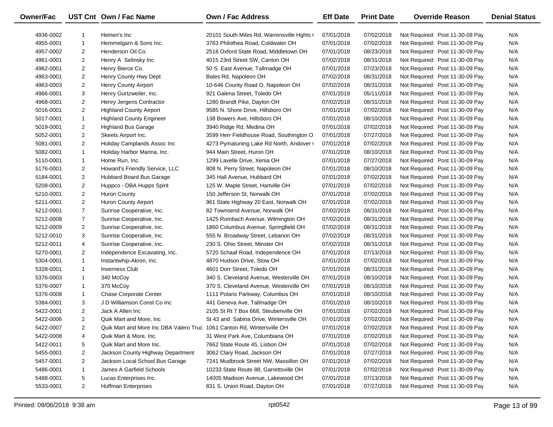| Owner/Fac |                | UST Cnt Own / Fac Name                                                 | <b>Own / Fac Address</b>                   | <b>Eff Date</b> | <b>Print Date</b> | <b>Override Reason</b>          | <b>Denial Status</b> |
|-----------|----------------|------------------------------------------------------------------------|--------------------------------------------|-----------------|-------------------|---------------------------------|----------------------|
| 4936-0002 | 1              | Heinen's Inc                                                           | 20101 South Miles Rd, Warrensville Hghts ( | 07/01/2018      | 07/02/2018        | Not Required: Post 11-30-09 Pay | N/A                  |
| 4955-0001 | $\mathbf{1}$   | Hemmelgarn & Sons Inc.                                                 | 3763 Philothea Road, Coldwater OH          | 07/01/2018      | 07/02/2018        | Not Required: Post 11-30-09 Pay | N/A                  |
| 4957-0002 | $\overline{2}$ | Henderson Oil Co.                                                      | 2518 Oxford State Road, Middletown OH      | 07/01/2018      | 08/23/2018        | Not Required: Post 11-30-09 Pay | N/A                  |
| 4961-0001 | $\overline{2}$ | Henry A Selinsky Inc                                                   | 4015 23rd Street SW, Canton OH             | 07/02/2018      | 08/31/2018        | Not Required: Post 11-30-09 Pay | N/A                  |
| 4962-0001 | $\overline{2}$ | Henry Bierce Co.                                                       | 50 S. East Avenue, Tallmadge OH            | 07/01/2018      | 07/23/2018        | Not Required: Post 11-30-09 Pay | N/A                  |
| 4963-0001 | $\overline{2}$ | Henry County Hwy Dept                                                  | Bales Rd, Napoleon OH                      | 07/02/2018      | 08/31/2018        | Not Required: Post 11-30-09 Pay | N/A                  |
| 4963-0003 | $\overline{2}$ | Henry County Airport                                                   | 10-646 County Road O, Napoleon OH          | 07/02/2018      | 08/31/2018        | Not Required: Post 11-30-09 Pay | N/A                  |
| 4966-0001 | 3              | Henry Gurtzweiler, Inc.                                                | 921 Galena Street, Toledo OH               | 07/01/2018      | 05/11/2018        | Not Required: Post 11-30-09 Pay | N/A                  |
| 4968-0001 | $\overline{c}$ | Henry Jergens Contractor                                               | 1280 Brandt Pike, Dayton OH                | 07/02/2018      | 08/31/2018        | Not Required: Post 11-30-09 Pay | N/A                  |
| 5016-0001 | $\overline{2}$ | <b>Highland County Airport</b>                                         | 9585 N. Shore Drive, Hillsboro OH          | 07/01/2018      | 07/02/2018        | Not Required: Post 11-30-09 Pay | N/A                  |
| 5017-0001 | $\mathbf{1}$   | <b>Highland County Engineer</b>                                        | 138 Bowers Ave, Hillsboro OH               | 07/01/2018      | 08/10/2018        | Not Required: Post 11-30-09 Pay | N/A                  |
| 5019-0001 | $\overline{2}$ | <b>Highland Bus Garage</b>                                             | 3940 Ridge Rd, Medina OH                   | 07/01/2018      | 07/02/2018        | Not Required: Post 11-30-09 Pay | N/A                  |
| 5052-0001 | $\overline{2}$ | Skeets Airport Inc.                                                    | 3599 Herr Fieldhouse Road, Southington O   | 07/01/2018      | 07/27/2018        | Not Required: Post 11-30-09 Pay | N/A                  |
| 5081-0001 | $\overline{2}$ | Holiday Camplands Assoc Inc                                            | 4273 Pymatuning Lake Rd North, Andover (   | 07/01/2018      | 07/02/2018        | Not Required: Post 11-30-09 Pay | N/A                  |
| 5082-0001 | $\mathbf{1}$   | Holiday Harbor Marina, Inc.                                            | 944 Main Street, Huron OH                  | 07/01/2018      | 08/10/2018        | Not Required: Post 11-30-09 Pay | N/A                  |
| 5110-0001 | $\mathbf{1}$   | Home Run, Inc.                                                         | 1299 Lavelle Drive, Xenia OH               | 07/01/2018      | 07/27/2018        | Not Required: Post 11-30-09 Pay | N/A                  |
| 5176-0001 | $\overline{2}$ | Howard's Friendly Service, LLC                                         | 808 N. Perry Street, Napoleon OH           | 07/01/2018      | 08/10/2018        | Not Required: Post 11-30-09 Pay | N/A                  |
| 5184-0001 | $\overline{2}$ | Hubbard Board Bus Garage                                               | 345 Hall Avenue, Hubbard OH                | 07/01/2018      | 07/02/2018        | Not Required: Post 11-30-09 Pay | N/A                  |
| 5208-0001 | $\overline{2}$ | Huppco - DBA Hupps Spirit                                              | 125 W. Maple Street, Hartville OH          | 07/01/2018      | 07/02/2018        | Not Required: Post 11-30-09 Pay | N/A                  |
| 5210-0001 | $\overline{2}$ | Huron County                                                           | 150 Jefferson St, Norwalk OH               | 07/01/2018      | 07/02/2018        | Not Required: Post 11-30-09 Pay | N/A                  |
| 5211-0001 | $\overline{2}$ | Huron County Airport                                                   | 961 State Highway 20 East, Norwalk OH      | 07/01/2018      | 07/02/2018        | Not Required: Post 11-30-09 Pay | N/A                  |
| 5212-0001 | $\overline{7}$ | Sunrise Cooperative, Inc.                                              | 82 Townsend Avenue, Norwalk OH             | 07/02/2018      | 08/31/2018        | Not Required: Post 11-30-09 Pay | N/A                  |
| 5212-0008 | $\overline{7}$ | Sunrise Cooperative, Inc.                                              | 1425 Rombach Avenue, Wilmington OH         | 07/02/2018      | 08/31/2018        | Not Required: Post 11-30-09 Pay | N/A                  |
| 5212-0009 | $\overline{2}$ | Sunrise Cooperative, Inc.                                              | 1860 Columbus Avenue, Springfield OH       | 07/02/2018      | 08/31/2018        | Not Required: Post 11-30-09 Pay | N/A                  |
| 5212-0010 | 3              | Sunrise Cooperative, Inc.                                              | 555 N. Broadway Street, Lebanon OH         | 07/02/2018      | 08/31/2018        | Not Required: Post 11-30-09 Pay | N/A                  |
| 5212-0011 | 4              | Sunrise Cooperative, Inc.                                              | 230 S. Ohio Street, Minster OH             | 07/02/2018      | 08/31/2018        | Not Required: Post 11-30-09 Pay | N/A                  |
| 5270-0001 | $\overline{2}$ | Independence Excavating, Inc.                                          | 5720 Schaaf Road, Independence OH          | 07/01/2018      | 07/13/2018        | Not Required: Post 11-30-09 Pay | N/A                  |
| 5304-0001 | $\mathbf{1}$   | Instantwhip-Akron, Inc.                                                | 4870 Hudson Drive, Stow OH                 | 07/01/2018      | 07/02/2018        | Not Required: Post 11-30-09 Pay | N/A                  |
| 5328-0001 | $\mathbf{1}$   | <b>Inverness Club</b>                                                  | 4601 Dorr Street, Toledo OH                | 07/01/2018      | 08/31/2018        | Not Required: Post 11-30-09 Pay | N/A                  |
| 5376-0003 | $\mathbf{1}$   | 340 McCoy                                                              | 340 S. Cleveland Avenue, Westerville OH    | 07/01/2018      | 08/10/2018        | Not Required: Post 11-30-09 Pay | N/A                  |
| 5376-0007 | $\mathbf{1}$   | 370 McCoy                                                              | 370 S. Cleveland Avenue, Westerville OH    | 07/01/2018      | 08/10/2018        | Not Required: Post 11-30-09 Pay | N/A                  |
| 5376-0008 | $\mathbf{1}$   | <b>Chase Corporate Center</b>                                          | 1111 Polaris Parkway, Columbus OH          | 07/01/2018      | 08/10/2018        | Not Required: Post 11-30-09 Pay | N/A                  |
| 5384-0001 | 3              | J D Williamson Const Co Inc                                            | 441 Geneva Ave, Tallmadge OH               | 07/01/2018      | 08/10/2018        | Not Required: Post 11-30-09 Pay | N/A                  |
| 5422-0001 | $\overline{2}$ | Jack A Allen Inc                                                       | 2105 St Rt 7 Box 668, Steubenville OH      | 07/01/2018      | 07/02/2018        | Not Required: Post 11-30-09 Pay | N/A                  |
| 5422-0006 | $\overline{c}$ | Quik Mart and More, Inc.                                               | St 43 and Sabina Drive, Wintersville OH    | 07/01/2018      | 07/02/2018        | Not Required: Post 11-30-09 Pay | N/A                  |
| 5422-0007 | $\overline{2}$ | Quik Mart and More Inc DBA Valero Truc 1061 Canton Rd, Wintersville OH |                                            | 07/01/2018      | 07/02/2018        | Not Required: Post 11-30-09 Pay | N/A                  |
| 5422-0008 | 4              | Quik Mart & More, Inc.                                                 | 31 West Park Ave, Columbiana OH            | 07/01/2018      | 07/02/2018        | Not Required: Post 11-30-09 Pay | N/A                  |
| 5422-0011 | 5              | Quik Mart and More Inc.                                                | 7662 State Route 45, Lisbon OH             | 07/01/2018      | 07/02/2018        | Not Required: Post 11-30-09 Pay | N/A                  |
| 5455-0001 | $\overline{a}$ | Jackson County Highway Department                                      | 3062 Clary Road, Jackson OH                | 07/01/2018      | 07/27/2018        | Not Required: Post 11-30-09 Pay | N/A                  |
| 5457-0001 | $\overline{2}$ | Jackson Local School Bus Garage                                        | 7241 Mudbrook Street NW, Massillon OH      | 07/01/2018      | 07/02/2018        | Not Required: Post 11-30-09 Pay | N/A                  |
| 5486-0001 | 1              | James A Garfield Schools                                               | 10233 State Route 88, Garrettsville OH     | 07/01/2018      | 07/02/2018        | Not Required: Post 11-30-09 Pay | N/A                  |
| 5488-0001 | 5              | Lucas Enterprises Inc.                                                 | 14005 Madison Avenue, Lakewood OH          | 07/01/2018      | 07/13/2018        | Not Required: Post 11-30-09 Pay | N/A                  |
| 5533-0001 | $\overline{a}$ | <b>Huffman Enterprises</b>                                             | 831 S. Union Road, Dayton OH               | 07/01/2018      | 07/27/2018        | Not Required: Post 11-30-09 Pay | N/A                  |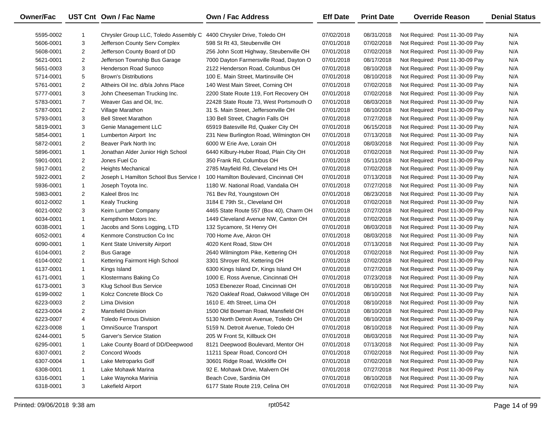| Owner/Fac |                | UST Cnt Own / Fac Name                 | <b>Own / Fac Address</b>                | <b>Eff Date</b> | <b>Print Date</b> | <b>Override Reason</b>          | <b>Denial Status</b> |
|-----------|----------------|----------------------------------------|-----------------------------------------|-----------------|-------------------|---------------------------------|----------------------|
| 5595-0002 | 1              | Chrysler Group LLC, Toledo Assembly C  | 4400 Chrysler Drive, Toledo OH          | 07/02/2018      | 08/31/2018        | Not Required: Post 11-30-09 Pay | N/A                  |
| 5606-0001 | 3              | Jefferson County Serv Complex          | 598 St Rt 43, Steubenville OH           | 07/01/2018      | 07/02/2018        | Not Required: Post 11-30-09 Pay | N/A                  |
| 5608-0001 | $\overline{2}$ | Jefferson County Board of DD           | 256 John Scott Highway, Steubenville OH | 07/01/2018      | 07/02/2018        | Not Required: Post 11-30-09 Pay | N/A                  |
| 5621-0001 | $\overline{2}$ | Jefferson Township Bus Garage          | 7000 Dayton Farmersville Road, Dayton O | 07/01/2018      | 08/17/2018        | Not Required: Post 11-30-09 Pay | N/A                  |
| 5651-0003 | 3              | Henderson Road Sunoco                  | 2122 Henderson Road, Columbus OH        | 07/01/2018      | 08/10/2018        | Not Required: Post 11-30-09 Pay | N/A                  |
| 5714-0001 | 5              | <b>Brown's Distributions</b>           | 100 E. Main Street, Martinsville OH     | 07/01/2018      | 08/10/2018        | Not Required: Post 11-30-09 Pay | N/A                  |
| 5761-0001 | $\overline{2}$ | Altheirs Oil Inc. d/b/a Johns Place    | 140 West Main Street, Corning OH        | 07/01/2018      | 07/02/2018        | Not Required: Post 11-30-09 Pay | N/A                  |
| 5777-0001 | 3              | John Cheeseman Trucking Inc.           | 2200 State Route 119, Fort Recovery OH  | 07/01/2018      | 07/02/2018        | Not Required: Post 11-30-09 Pay | N/A                  |
| 5783-0001 | $\overline{7}$ | Weaver Gas and Oil, Inc.               | 22428 State Route 73, West Portsmouth O | 07/01/2018      | 08/03/2018        | Not Required: Post 11-30-09 Pay | N/A                  |
| 5787-0001 | $\overline{2}$ | Village Marathon                       | 31 S. Main Street, Jeffersonville OH    | 07/01/2018      | 08/10/2018        | Not Required: Post 11-30-09 Pay | N/A                  |
| 5793-0001 | 3              | <b>Bell Street Marathon</b>            | 130 Bell Street, Chagrin Falls OH       | 07/01/2018      | 07/27/2018        | Not Required: Post 11-30-09 Pay | N/A                  |
| 5819-0001 | 3              | Genie Management LLC                   | 65919 Batesville Rd, Quaker City OH     | 07/01/2018      | 06/15/2018        | Not Required: Post 11-30-09 Pay | N/A                  |
| 5854-0001 | $\mathbf{1}$   | Lumberton Airport Inc                  | 231 New Burlington Road, Wilmington OH  | 07/01/2018      | 07/13/2018        | Not Required: Post 11-30-09 Pay | N/A                  |
| 5872-0001 | 2              | Beaver Park North Inc                  | 6000 W Erie Ave, Lorain OH              | 07/01/2018      | 08/03/2018        | Not Required: Post 11-30-09 Pay | N/A                  |
| 5896-0001 | $\mathbf{1}$   | Jonathan Alder Junior High School      | 6440 Kilbury-Huber Road, Plain City OH  | 07/01/2018      | 07/02/2018        | Not Required: Post 11-30-09 Pay | N/A                  |
| 5901-0001 | 2              | Jones Fuel Co                          | 350 Frank Rd, Columbus OH               | 07/01/2018      | 05/11/2018        | Not Required: Post 11-30-09 Pay | N/A                  |
| 5917-0001 | $\overline{c}$ | Heights Mechanical                     | 2785 Mayfield Rd, Cleveland Hts OH      | 07/01/2018      | 07/02/2018        | Not Required: Post 11-30-09 Pay | N/A                  |
| 5922-0001 | 2              | Joseph L Hamilton School Bus Service I | 100 Hamilton Boulevard, Cincinnati OH   | 07/01/2018      | 07/13/2018        | Not Required: Post 11-30-09 Pay | N/A                  |
| 5936-0001 | 1              | Joseph Toyota Inc.                     | 1180 W. National Road, Vandalia OH      | 07/01/2018      | 07/27/2018        | Not Required: Post 11-30-09 Pay | N/A                  |
| 5983-0001 | 2              | Kaleel Bros Inc                        | 761 Bev Rd, Youngstown OH               | 07/01/2018      | 08/23/2018        | Not Required: Post 11-30-09 Pay | N/A                  |
| 6012-0002 | $\mathbf{1}$   | <b>Kealy Trucking</b>                  | 3184 E 79th St., Cleveland OH           | 07/01/2018      | 07/02/2018        | Not Required: Post 11-30-09 Pay | N/A                  |
| 6021-0002 | 3              | Keim Lumber Company                    | 4465 State Route 557 (Box 40), Charm OH | 07/01/2018      | 07/27/2018        | Not Required: Post 11-30-09 Pay | N/A                  |
| 6034-0001 | $\mathbf{1}$   | Kempthorn Motors Inc.                  | 1449 Cleveland Avenue NW, Canton OH     | 07/01/2018      | 07/02/2018        | Not Required: Post 11-30-09 Pay | N/A                  |
| 6038-0001 | $\mathbf{1}$   | Jacobs and Sons Logging, LTD           | 132 Sycamore, St Henry OH               | 07/01/2018      | 08/03/2018        | Not Required: Post 11-30-09 Pay | N/A                  |
| 6052-0001 | 4              | Kenmore Construction Co Inc            | 700 Home Ave, Akron OH                  | 07/01/2018      | 08/03/2018        | Not Required: Post 11-30-09 Pay | N/A                  |
| 6090-0001 | $\mathbf{1}$   | Kent State University Airport          | 4020 Kent Road, Stow OH                 | 07/01/2018      | 07/13/2018        | Not Required: Post 11-30-09 Pay | N/A                  |
| 6104-0001 | $\overline{2}$ | <b>Bus Garage</b>                      | 2640 Wilmingtom Pike, Kettering OH      | 07/01/2018      | 07/02/2018        | Not Required: Post 11-30-09 Pay | N/A                  |
| 6104-0002 | $\mathbf{1}$   | Kettering Fairmont High School         | 3301 Shroyer Rd, Kettering OH           | 07/01/2018      | 07/02/2018        | Not Required: Post 11-30-09 Pay | N/A                  |
| 6137-0001 | $\mathbf{1}$   | Kings Island                           | 6300 Kings Island Dr, Kings Island OH   | 07/01/2018      | 07/27/2018        | Not Required: Post 11-30-09 Pay | N/A                  |
| 6171-0001 | $\mathbf{1}$   | Klostermans Baking Co                  | 1000 E. Ross Avenue, Cincinnati OH      | 07/01/2018      | 07/23/2018        | Not Required: Post 11-30-09 Pay | N/A                  |
| 6173-0001 | 3              | Klug School Bus Service                | 1053 Ebenezer Road, Cincinnati OH       | 07/01/2018      | 08/10/2018        | Not Required: Post 11-30-09 Pay | N/A                  |
| 6199-0002 | $\mathbf{1}$   | Kolcz Concrete Block Co                | 7620 Oakleaf Road, Oakwood Village OH   | 07/01/2018      | 08/10/2018        | Not Required: Post 11-30-09 Pay | N/A                  |
| 6223-0003 | 2              | Lima Division                          | 1610 E. 4th Street, Lima OH             | 07/01/2018      | 08/10/2018        | Not Required: Post 11-30-09 Pay | N/A                  |
| 6223-0004 | 2              | <b>Mansfield Division</b>              | 1500 Old Bowman Road, Mansfield OH      | 07/01/2018      | 08/10/2018        | Not Required: Post 11-30-09 Pay | N/A                  |
| 6223-0007 | $\overline{4}$ | <b>Toledo Ferrous Division</b>         | 5130 North Detroit Avenue, Toledo OH    | 07/01/2018      | 08/10/2018        | Not Required: Post 11-30-09 Pay | N/A                  |
| 6223-0008 | 1              | <b>OmniSource Transport</b>            | 5159 N. Detroit Avenue, Toledo OH       | 07/01/2018      | 08/10/2018        | Not Required: Post 11-30-09 Pay | N/A                  |
| 6244-0001 | 5              | Garver's Service Station               | 205 W Front St, Killbuck OH             | 07/01/2018      | 08/03/2018        | Not Required: Post 11-30-09 Pay | N/A                  |
| 6295-0001 | 1              | Lake County Board of DD/Deepwood       | 8121 Deepwood Boulevard, Mentor OH      | 07/01/2018      | 07/13/2018        | Not Required: Post 11-30-09 Pay | N/A                  |
| 6307-0001 | 2              | Concord Woods                          | 11211 Spear Road, Concord OH            | 07/01/2018      | 07/02/2018        | Not Required: Post 11-30-09 Pay | N/A                  |
| 6307-0004 | 1              | Lake Metroparks Golf                   | 30601 Ridge Road, Wickliffe OH          | 07/01/2018      | 07/02/2018        | Not Required: Post 11-30-09 Pay | N/A                  |
| 6308-0001 | $\mathbf{1}$   | Lake Mohawk Marina                     | 92 E. Mohawk Drive, Malvern OH          | 07/01/2018      | 07/27/2018        | Not Required: Post 11-30-09 Pay | N/A                  |
| 6316-0001 | 1              | Lake Waynoka Marinia                   | Beach Cove, Sardinia OH                 | 07/01/2018      | 08/10/2018        | Not Required: Post 11-30-09 Pay | N/A                  |
| 6318-0001 | 3              | Lakefield Airport                      | 6177 State Route 219, Celina OH         | 07/01/2018      | 07/02/2018        | Not Required: Post 11-30-09 Pay | N/A                  |

 $\overline{\phantom{0}}$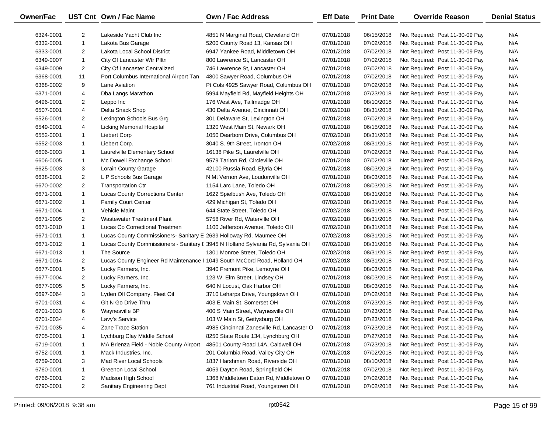| <b>Owner/Fac</b> |                | UST Cnt Own / Fac Name                                                    | Own / Fac Address                                                               | <b>Eff Date</b> | <b>Print Date</b> | <b>Override Reason</b>          | <b>Denial Status</b> |
|------------------|----------------|---------------------------------------------------------------------------|---------------------------------------------------------------------------------|-----------------|-------------------|---------------------------------|----------------------|
| 6324-0001        | $\overline{2}$ | Lakeside Yacht Club Inc                                                   | 4851 N Marginal Road, Cleveland OH                                              | 07/01/2018      | 06/15/2018        | Not Required: Post 11-30-09 Pay | N/A                  |
| 6332-0001        | $\mathbf{1}$   | Lakota Bus Garage                                                         | 5200 County Road 13, Kansas OH                                                  | 07/01/2018      | 07/02/2018        | Not Required: Post 11-30-09 Pay | N/A                  |
| 6333-0001        | $\overline{2}$ | Lakota Local School District                                              | 6947 Yankee Road, Middletown OH                                                 | 07/01/2018      | 07/02/2018        | Not Required: Post 11-30-09 Pay | N/A                  |
| 6349-0007        | $\mathbf{1}$   | City Of Lancaster Wtr Plltn                                               | 800 Lawrence St, Lancaster OH                                                   | 07/01/2018      | 07/02/2018        | Not Required: Post 11-30-09 Pay | N/A                  |
| 6349-0009        | $\overline{2}$ | City Of Lancaster Centralized                                             | 746 Lawrence St, Lancaster OH                                                   | 07/01/2018      | 07/02/2018        | Not Required: Post 11-30-09 Pay | N/A                  |
| 6368-0001        | 11             | Port Columbus International Airport Tan                                   | 4800 Sawyer Road, Columbus OH                                                   | 07/01/2018      | 07/02/2018        | Not Required: Post 11-30-09 Pay | N/A                  |
| 6368-0002        | 9              | Lane Aviation                                                             | Pt Cols 4925 Sawyer Road, Columbus OH                                           | 07/01/2018      | 07/02/2018        | Not Required: Post 11-30-09 Pay | N/A                  |
| 6371-0001        | 4              | Dba Langs Marathon                                                        | 5994 Mayfield Rd, Mayfield Heights OH                                           | 07/01/2018      | 07/23/2018        | Not Required: Post 11-30-09 Pay | N/A                  |
| 6496-0001        | $\overline{2}$ | Leppo Inc                                                                 | 176 West Ave, Tallmadge OH                                                      | 07/01/2018      | 08/10/2018        | Not Required: Post 11-30-09 Pay | N/A                  |
| 6507-0001        | 4              | Delta Snack Shop                                                          | 430 Delta Avenue, Cincinnati OH                                                 | 07/02/2018      | 08/31/2018        | Not Required: Post 11-30-09 Pay | N/A                  |
| 6526-0001        | $\overline{2}$ | Lexington Schools Bus Grg                                                 | 301 Delaware St, Lexington OH                                                   | 07/01/2018      | 07/02/2018        | Not Required: Post 11-30-09 Pay | N/A                  |
| 6549-0001        | 4              | <b>Licking Memorial Hospital</b>                                          | 1320 West Main St, Newark OH                                                    | 07/01/2018      | 06/15/2018        | Not Required: Post 11-30-09 Pay | N/A                  |
| 6552-0001        | $\mathbf{1}$   | <b>Liebert Corp</b>                                                       | 1050 Dearborn Drive, Columbus OH                                                | 07/02/2018      | 08/31/2018        | Not Required: Post 11-30-09 Pay | N/A                  |
| 6552-0003        | $\mathbf{1}$   | Liebert Corp.                                                             | 3040 S. 9th Street, Ironton OH                                                  | 07/02/2018      | 08/31/2018        | Not Required: Post 11-30-09 Pay | N/A                  |
| 6606-0003        | $\mathbf{1}$   | Laurelville Elementary School                                             | 16138 Pike St, Laurelville OH                                                   | 07/01/2018      | 07/02/2018        | Not Required: Post 11-30-09 Pay | N/A                  |
| 6606-0005        | $\mathbf{1}$   | Mc Dowell Exchange School                                                 | 9579 Tarlton Rd, Circleville OH                                                 | 07/01/2018      | 07/02/2018        | Not Required: Post 11-30-09 Pay | N/A                  |
| 6625-0003        | 3              | Lorain County Garage                                                      | 42100 Russia Road, Elyria OH                                                    | 07/01/2018      | 08/03/2018        | Not Required: Post 11-30-09 Pay | N/A                  |
| 6638-0001        | $\overline{2}$ | L P Schools Bus Garage                                                    | N Mt Vernon Ave, Loudonville OH                                                 | 07/01/2018      | 08/03/2018        | Not Required: Post 11-30-09 Pay | N/A                  |
| 6670-0002        | $\overline{2}$ | <b>Transportation Ctr</b>                                                 | 1154 Larc Lane, Toledo OH                                                       | 07/01/2018      | 08/03/2018        | Not Required: Post 11-30-09 Pay | N/A                  |
| 6671-0001        | $\mathbf{1}$   | <b>Lucas County Corrections Center</b>                                    | 1622 Spielbush Ave, Toledo OH                                                   | 07/02/2018      | 08/31/2018        | Not Required: Post 11-30-09 Pay | N/A                  |
| 6671-0002        | $\mathbf{1}$   | Family Court Center                                                       | 429 Michigan St, Toledo OH                                                      | 07/02/2018      | 08/31/2018        | Not Required: Post 11-30-09 Pay | N/A                  |
| 6671-0004        | $\mathbf{1}$   | <b>Vehicle Maint</b>                                                      | 644 State Street, Toledo OH                                                     | 07/02/2018      | 08/31/2018        | Not Required: Post 11-30-09 Pay | N/A                  |
| 6671-0005        | $\overline{2}$ | <b>Wastewater Treatment Plant</b>                                         | 5758 River Rd, Waterville OH                                                    | 07/02/2018      | 08/31/2018        | Not Required: Post 11-30-09 Pay | N/A                  |
| 6671-0010        | $\mathbf{1}$   | Lucas Co Correctional Treatmen                                            | 1100 Jefferson Avenue, Toledo OH                                                | 07/02/2018      | 08/31/2018        | Not Required: Post 11-30-09 Pay | N/A                  |
| 6671-0011        | $\mathbf{1}$   | Lucas County Commissioners- Sanitary E 2639 Holloway Rd, Maumee OH        |                                                                                 | 07/02/2018      | 08/31/2018        | Not Required: Post 11-30-09 Pay | N/A                  |
| 6671-0012        | $\mathbf{1}$   |                                                                           | Lucas County Commissioners - Sanitary I 3945 N Holland Sylvania Rd, Sylvania OH | 07/02/2018      | 08/31/2018        | Not Required: Post 11-30-09 Pay | N/A                  |
| 6671-0013        | $\mathbf{1}$   | The Source                                                                | 1301 Monroe Street, Toledo OH                                                   | 07/02/2018      | 08/31/2018        | Not Required: Post 11-30-09 Pay | N/A                  |
| 6671-0014        | $\overline{2}$ | Lucas County Engineer Rd Maintenance   1049 South McCord Road, Holland OH |                                                                                 | 07/02/2018      | 08/31/2018        | Not Required: Post 11-30-09 Pay | N/A                  |
| 6677-0001        | 5              | Lucky Farmers, Inc.                                                       | 3940 Fremont Pike, Lemoyne OH                                                   | 07/01/2018      | 08/03/2018        | Not Required: Post 11-30-09 Pay | N/A                  |
| 6677-0004        | $\overline{2}$ | Lucky Farmers, Inc.                                                       | 123 W. Elm Street, Lindsey OH                                                   | 07/01/2018      | 08/03/2018        | Not Required: Post 11-30-09 Pay | N/A                  |
| 6677-0005        | 5              | Lucky Farmers, Inc.                                                       | 640 N Locust, Oak Harbor OH                                                     | 07/01/2018      | 08/03/2018        | Not Required: Post 11-30-09 Pay | N/A                  |
| 6697-0064        | 3              | Lyden Oll Company, Fleet Oil                                              | 3710 Leharps Drive, Youngstown OH                                               | 07/01/2018      | 07/02/2018        | Not Required: Post 11-30-09 Pay | N/A                  |
| 6701-0031        | 4              | Git N Go Drive Thru                                                       | 403 E Main St, Somerset OH                                                      | 07/01/2018      | 07/23/2018        | Not Required: Post 11-30-09 Pay | N/A                  |
| 6701-0033        | 6              | Waynesville BP                                                            | 400 S Main Street, Waynesville OH                                               | 07/01/2018      | 07/23/2018        | Not Required: Post 11-30-09 Pay | N/A                  |
| 6701-0034        | 4              | Lavy's Service                                                            | 103 W Main St, Gettysburg OH                                                    | 07/01/2018      | 07/23/2018        | Not Required: Post 11-30-09 Pay | N/A                  |
| 6701-0035        | 4              | Zane Trace Station                                                        | 4985 Cincinnati Zanesville Rd, Lancaster O                                      | 07/01/2018      | 07/23/2018        | Not Required: Post 11-30-09 Pay | N/A                  |
| 6705-0001        |                | Lychburg Clay Middle School                                               | 8250 State Route 134, Lynchburg OH                                              | 07/01/2018      | 07/27/2018        | Not Required: Post 11-30-09 Pay | N/A                  |
| 6719-0001        | 1              | MA Brienza Field - Noble County Airport                                   | 48501 County Road 14A, Caldwell OH                                              | 07/01/2018      | 07/23/2018        | Not Required: Post 11-30-09 Pay | N/A                  |
| 6752-0001        | 1              | Mack Industries, Inc.                                                     | 201 Columbia Road, Valley City OH                                               | 07/01/2018      | 07/02/2018        | Not Required: Post 11-30-09 Pay | N/A                  |
| 6759-0001        | 3              | Mad River Local Schools                                                   | 1837 Harshman Road, Riverside OH                                                | 07/01/2018      | 08/10/2018        | Not Required: Post 11-30-09 Pay | N/A                  |
| 6760-0001        | $\mathbf{1}$   | Greenon Local School                                                      | 4059 Dayton Road, Springfield OH                                                | 07/01/2018      | 07/02/2018        | Not Required: Post 11-30-09 Pay | N/A                  |
| 6766-0001        | 2              | Madison High School                                                       | 1368 Middletown Eaton Rd, Middletown O                                          | 07/01/2018      | 07/02/2018        | Not Required: Post 11-30-09 Pay | N/A                  |
| 6790-0001        | $\overline{2}$ | Sanitary Engineering Dept                                                 | 761 Industrial Road, Youngstown OH                                              | 07/01/2018      | 07/02/2018        | Not Required: Post 11-30-09 Pay | N/A                  |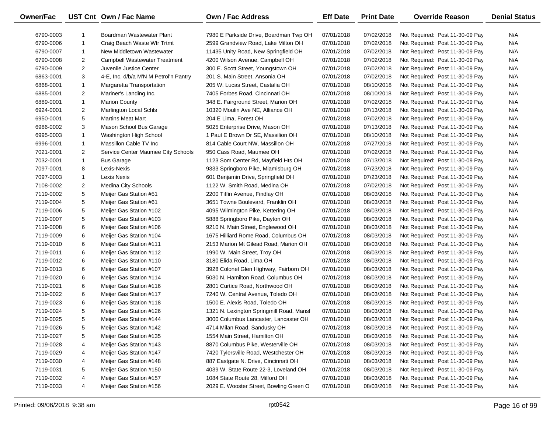| <b>Owner/Fac</b> |                | UST Cnt Own / Fac Name                | <b>Own / Fac Address</b>                 | <b>Eff Date</b> | <b>Print Date</b> | <b>Override Reason</b>          | <b>Denial Status</b> |
|------------------|----------------|---------------------------------------|------------------------------------------|-----------------|-------------------|---------------------------------|----------------------|
| 6790-0003        | -1             | Boardman Wastewater Plant             | 7980 E Parkside Drive, Boardman Twp OH   | 07/01/2018      | 07/02/2018        | Not Required: Post 11-30-09 Pay | N/A                  |
| 6790-0006        | $\mathbf{1}$   | Craig Beach Waste Wtr Trtmt           | 2599 Grandview Road, Lake Milton OH      | 07/01/2018      | 07/02/2018        | Not Required: Post 11-30-09 Pay | N/A                  |
| 6790-0007        | $\mathbf{1}$   | New Middletown Wastewater             | 11435 Unity Road, New Springfield OH     | 07/01/2018      | 07/02/2018        | Not Required: Post 11-30-09 Pay | N/A                  |
| 6790-0008        | $\overline{2}$ | <b>Campbell Wastewater Treatment</b>  | 4200 Wilson Avenue, Campbell OH          | 07/01/2018      | 07/02/2018        | Not Required: Post 11-30-09 Pay | N/A                  |
| 6790-0009        | $\overline{2}$ | Juvenile Justice Center               | 300 E. Scott Street, Youngstown OH       | 07/01/2018      | 07/02/2018        | Not Required: Post 11-30-09 Pay | N/A                  |
| 6863-0001        | 3              | 4-E, Inc. d/b/a M'N M Petrol'n Pantry | 201 S. Main Street, Ansonia OH           | 07/01/2018      | 07/02/2018        | Not Required: Post 11-30-09 Pay | N/A                  |
| 6868-0001        | $\mathbf{1}$   | Margaretta Transportation             | 205 W. Lucas Street, Castalia OH         | 07/01/2018      | 08/10/2018        | Not Required: Post 11-30-09 Pay | N/A                  |
| 6885-0001        | $\overline{2}$ | Mariner's Landing Inc.                | 7405 Forbes Road, Cincinnati OH          | 07/01/2018      | 08/10/2018        | Not Required: Post 11-30-09 Pay | N/A                  |
| 6889-0001        | $\mathbf{1}$   | <b>Marion County</b>                  | 348 E. Fairground Street, Marion OH      | 07/01/2018      | 07/02/2018        | Not Required: Post 11-30-09 Pay | N/A                  |
| 6924-0001        | $\overline{2}$ | Marlington Local Schls                | 10320 Moulin Ave NE, Alliance OH         | 07/01/2018      | 07/13/2018        | Not Required: Post 11-30-09 Pay | N/A                  |
| 6950-0001        | 5              | <b>Martins Meat Mart</b>              | 204 E Lima, Forest OH                    | 07/01/2018      | 07/02/2018        | Not Required: Post 11-30-09 Pay | N/A                  |
| 6986-0002        | 3              | Mason School Bus Garage               | 5025 Enterprise Drive, Mason OH          | 07/01/2018      | 07/13/2018        | Not Required: Post 11-30-09 Pay | N/A                  |
| 6995-0003        | $\mathbf{1}$   | Washington High School                | 1 Paul E Brown Dr SE, Massilion OH       | 07/01/2018      | 08/10/2018        | Not Required: Post 11-30-09 Pay | N/A                  |
| 6996-0001        | $\mathbf{1}$   | Massillon Cable TV Inc                | 814 Cable Court NW, Massillon OH         | 07/01/2018      | 07/27/2018        | Not Required: Post 11-30-09 Pay | N/A                  |
| 7021-0001        | $\overline{2}$ | Service Center Maumee City Schools    | 950 Cass Road, Maumee OH                 | 07/01/2018      | 07/02/2018        | Not Required: Post 11-30-09 Pay | N/A                  |
| 7032-0001        | $\mathbf{1}$   | <b>Bus Garage</b>                     | 1123 Som Center Rd, Mayfield Hts OH      | 07/01/2018      | 07/13/2018        | Not Required: Post 11-30-09 Pay | N/A                  |
| 7097-0001        | 8              | Lexis-Nexis                           | 9333 Springboro Pike, Miamisburg OH      | 07/01/2018      | 07/23/2018        | Not Required: Post 11-30-09 Pay | N/A                  |
| 7097-0003        | $\mathbf{1}$   | Lexis Nexis                           | 601 Benjamin Drive, Springfield OH       | 07/01/2018      | 07/23/2018        | Not Required: Post 11-30-09 Pay | N/A                  |
| 7108-0002        | $\overline{2}$ | <b>Medina City Schools</b>            | 1122 W. Smith Road, Medina OH            | 07/01/2018      | 07/02/2018        | Not Required: Post 11-30-09 Pay | N/A                  |
| 7119-0002        | 5              | Meijer Gas Station #51                | 2200 Tiffin Avenue, Findlay OH           | 07/01/2018      | 08/03/2018        | Not Required: Post 11-30-09 Pay | N/A                  |
| 7119-0004        | 5              | Meijer Gas Station #61                | 3651 Towne Boulevard, Franklin OH        | 07/01/2018      | 08/03/2018        | Not Required: Post 11-30-09 Pay | N/A                  |
| 7119-0006        | 5              | Meijer Gas Station #102               | 4095 Wilmington Pike, Kettering OH       | 07/01/2018      | 08/03/2018        | Not Required: Post 11-30-09 Pay | N/A                  |
| 7119-0007        | 5              | Meijer Gas Station #103               | 5888 Springboro Pike, Dayton OH          | 07/01/2018      | 08/03/2018        | Not Required: Post 11-30-09 Pay | N/A                  |
| 7119-0008        | 6              | Meijer Gas Station #106               | 9210 N. Main Street, Englewood OH        | 07/01/2018      | 08/03/2018        | Not Required: Post 11-30-09 Pay | N/A                  |
| 7119-0009        | 6              | Meijer Gas Station #104               | 1675 Hilliard Rome Road, Columbus OH     | 07/01/2018      | 08/03/2018        | Not Required: Post 11-30-09 Pay | N/A                  |
| 7119-0010        | 6              | Meijer Gas Station #111               | 2153 Marion Mt Gilead Road, Marion OH    | 07/01/2018      | 08/03/2018        | Not Required: Post 11-30-09 Pay | N/A                  |
| 7119-0011        | 6              | Meijer Gas Station #112               | 1990 W. Main Street, Troy OH             | 07/01/2018      | 08/03/2018        | Not Required: Post 11-30-09 Pay | N/A                  |
| 7119-0012        | 6              | Meijer Gas Station #110               | 3180 Elida Road, Lima OH                 | 07/01/2018      | 08/03/2018        | Not Required: Post 11-30-09 Pay | N/A                  |
| 7119-0013        | 6              | Meijer Gas Station #107               | 3928 Colonel Glen Highway, Fairborn OH   | 07/01/2018      | 08/03/2018        | Not Required: Post 11-30-09 Pay | N/A                  |
| 7119-0020        | 6              | Meijer Gas Station #114               | 5030 N. Hamilton Road, Columbus OH       | 07/01/2018      | 08/03/2018        | Not Required: Post 11-30-09 Pay | N/A                  |
| 7119-0021        | 6              | Meijer Gas Station #116               | 2801 Curtice Road, Northwood OH          | 07/01/2018      | 08/03/2018        | Not Required: Post 11-30-09 Pay | N/A                  |
| 7119-0022        | 6              | Meijer Gas Station #117               | 7240 W. Central Avenue, Toledo OH        | 07/01/2018      | 08/03/2018        | Not Required: Post 11-30-09 Pay | N/A                  |
| 7119-0023        | 6              | Meijer Gas Station #118               | 1500 E. Alexis Road, Toledo OH           | 07/01/2018      | 08/03/2018        | Not Required: Post 11-30-09 Pay | N/A                  |
| 7119-0024        | 5              | Meijer Gas Station #126               | 1321 N. Lexington Springmill Road, Mansf | 07/01/2018      | 08/03/2018        | Not Required: Post 11-30-09 Pay | N/A                  |
| 7119-0025        | 5              | Meijer Gas Station #144               | 3000 Columbus Lancaster, Lancaster OH    | 07/01/2018      | 08/03/2018        | Not Required: Post 11-30-09 Pay | N/A                  |
| 7119-0026        | 5              | Meijer Gas Station #142               | 4714 Milan Road, Sandusky OH             | 07/01/2018      | 08/03/2018        | Not Required: Post 11-30-09 Pay | N/A                  |
| 7119-0027        | 5              | Meijer Gas Station #135               | 1554 Main Street, Hamilton OH            | 07/01/2018      | 08/03/2018        | Not Required: Post 11-30-09 Pay | N/A                  |
| 7119-0028        | 4              | Meijer Gas Station #143               | 8870 Columbus Pike, Westerville OH       | 07/01/2018      | 08/03/2018        | Not Required: Post 11-30-09 Pay | N/A                  |
| 7119-0029        | 4              | Meijer Gas Station #147               | 7420 Tylersville Road, Westchester OH    | 07/01/2018      | 08/03/2018        | Not Required: Post 11-30-09 Pay | N/A                  |
| 7119-0030        | 4              | Meijer Gas Station #148               | 887 Eastgate N. Drive, Cincinnati OH     | 07/01/2018      | 08/03/2018        | Not Required: Post 11-30-09 Pay | N/A                  |
| 7119-0031        | 5              | Meijer Gas Station #150               | 4039 W. State Route 22-3, Loveland OH    | 07/01/2018      | 08/03/2018        | Not Required: Post 11-30-09 Pay | N/A                  |
| 7119-0032        | 4              | Meijer Gas Station #157               | 1084 State Route 28, Milford OH          | 07/01/2018      | 08/03/2018        | Not Required: Post 11-30-09 Pay | N/A                  |
| 7119-0033        | 4              | Meijer Gas Station #156               | 2029 E. Wooster Street, Bowling Green O  | 07/01/2018      | 08/03/2018        | Not Required: Post 11-30-09 Pay | N/A                  |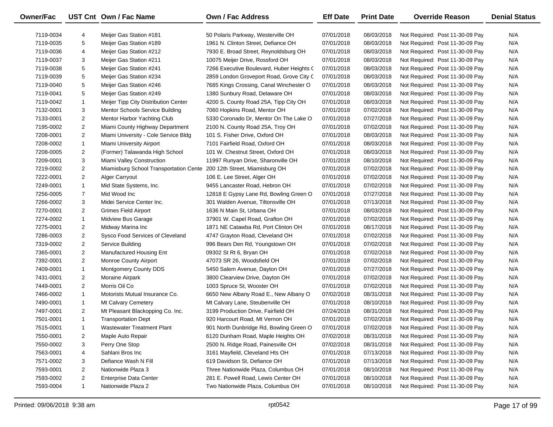| Owner/Fac |                | UST Cnt Own / Fac Name                 | Own / Fac Address                         | <b>Eff Date</b> | <b>Print Date</b> | <b>Override Reason</b>          | <b>Denial Status</b> |
|-----------|----------------|----------------------------------------|-------------------------------------------|-----------------|-------------------|---------------------------------|----------------------|
| 7119-0034 | 4              | Meijer Gas Station #181                | 50 Polaris Parkway, Westerville OH        | 07/01/2018      | 08/03/2018        | Not Required: Post 11-30-09 Pay | N/A                  |
| 7119-0035 | 5              | Meijer Gas Station #189                | 1961 N. Clinton Street, Defiance OH       | 07/01/2018      | 08/03/2018        | Not Required: Post 11-30-09 Pay | N/A                  |
| 7119-0036 | 4              | Meijer Gas Station #212                | 7930 E. Broad Street, Reynoldsburg OH     | 07/01/2018      | 08/03/2018        | Not Required: Post 11-30-09 Pay | N/A                  |
| 7119-0037 | 3              | Meijer Gas Station #211                | 10075 Meijer Drive, Rossford OH           | 07/01/2018      | 08/03/2018        | Not Required: Post 11-30-09 Pay | N/A                  |
| 7119-0038 | 5              | Meijer Gas Station #241                | 7266 Executive Boulevard, Huber Heights ( | 07/01/2018      | 08/03/2018        | Not Required: Post 11-30-09 Pay | N/A                  |
| 7119-0039 | 5              | Meijer Gas Station #234                | 2859 London Groveport Road, Grove City C  | 07/01/2018      | 08/03/2018        | Not Required: Post 11-30-09 Pay | N/A                  |
| 7119-0040 | 5              | Meijer Gas Station #246                | 7685 Kings Crossing, Canal Winchester O   | 07/01/2018      | 08/03/2018        | Not Required: Post 11-30-09 Pay | N/A                  |
| 7119-0041 | 5              | Meijer Gas Station #249                | 1380 Sunbury Road, Delaware OH            | 07/01/2018      | 08/03/2018        | Not Required: Post 11-30-09 Pay | N/A                  |
| 7119-0042 | $\mathbf{1}$   | Meijer Tipp City Distribution Center   | 4200 S. County Road 25A, Tipp City OH     | 07/01/2018      | 08/03/2018        | Not Required: Post 11-30-09 Pay | N/A                  |
| 7132-0001 | 3              | Mentor Schools Service Building        | 7060 Hopkins Road, Mentor OH              | 07/01/2018      | 07/02/2018        | Not Required: Post 11-30-09 Pay | N/A                  |
| 7133-0001 | 2              | Mentor Harbor Yachting Club            | 5330 Coronado Dr, Mentor On The Lake O    | 07/01/2018      | 07/27/2018        | Not Required: Post 11-30-09 Pay | N/A                  |
| 7195-0002 | $\overline{2}$ | Miami County Highway Department        | 2100 N. County Road 25A, Troy OH          | 07/01/2018      | 07/02/2018        | Not Required: Post 11-30-09 Pay | N/A                  |
| 7208-0001 | $\overline{2}$ | Miami University - Cole Service Bldg   | 101 S. Fisher Drive, Oxford OH            | 07/01/2018      | 08/03/2018        | Not Required: Post 11-30-09 Pay | N/A                  |
| 7208-0002 | $\mathbf{1}$   | <b>Miami University Airport</b>        | 7101 Fairfield Road, Oxford OH            | 07/01/2018      | 08/03/2018        | Not Required: Post 11-30-09 Pay | N/A                  |
| 7208-0005 | $\overline{2}$ | (Former) Talawanda High School         | 101 W. Chestnut Street, Oxford OH         | 07/01/2018      | 08/03/2018        | Not Required: Post 11-30-09 Pay | N/A                  |
| 7209-0001 | 3              | Miami Valley Construction              | 11997 Runyan Drive, Sharonville OH        | 07/01/2018      | 08/10/2018        | Not Required: Post 11-30-09 Pay | N/A                  |
| 7219-0002 | $\overline{a}$ | Miamisburg School Transportation Cente | 200 12th Street, Miamisburg OH            | 07/01/2018      | 07/02/2018        | Not Required: Post 11-30-09 Pay | N/A                  |
| 7222-0001 | $\overline{2}$ | Alger Carryout                         | 106 E. Lee Street, Alger OH               | 07/01/2018      | 07/02/2018        | Not Required: Post 11-30-09 Pay | N/A                  |
| 7249-0001 | $\mathbf{1}$   | Mid State Systems, Inc.                | 9455 Lancaster Road, Hebron OH            | 07/01/2018      | 07/02/2018        | Not Required: Post 11-30-09 Pay | N/A                  |
| 7256-0005 | $\overline{7}$ | Mid Wood Inc                           | 12818 E Gypsy Lane Rd, Bowling Green O    | 07/01/2018      | 07/27/2018        | Not Required: Post 11-30-09 Pay | N/A                  |
| 7266-0002 | 3              | Midei Service Center Inc.              | 301 Walden Avenue, Tiltonsville OH        | 07/01/2018      | 07/13/2018        | Not Required: Post 11-30-09 Pay | N/A                  |
| 7270-0001 | $\overline{2}$ | <b>Grimes Field Airport</b>            | 1636 N Main St, Urbana OH                 | 07/01/2018      | 08/03/2018        | Not Required: Post 11-30-09 Pay | N/A                  |
| 7274-0002 | $\mathbf{1}$   | Midview Bus Garage                     | 37901 W. Capel Road, Grafton OH           | 07/01/2018      | 07/02/2018        | Not Required: Post 11-30-09 Pay | N/A                  |
| 7275-0001 | $\overline{2}$ | Midway Marina Inc                      | 1871 NE Catawba Rd, Port Clinton OH       | 07/01/2018      | 08/17/2018        | Not Required: Post 11-30-09 Pay | N/A                  |
| 7286-0003 | $\overline{2}$ | Sysco Food Services of Cleveland       | 4747 Grayton Road, Cleveland OH           | 07/01/2018      | 07/02/2018        | Not Required: Post 11-30-09 Pay | N/A                  |
| 7319-0002 | $\overline{a}$ | Service Building                       | 996 Bears Den Rd, Youngstown OH           | 07/01/2018      | 07/02/2018        | Not Required: Post 11-30-09 Pay | N/A                  |
| 7365-0001 | $\overline{a}$ | Manufactured Housing Ent               | 09302 St Rt 6, Bryan OH                   | 07/01/2018      | 07/02/2018        | Not Required: Post 11-30-09 Pay | N/A                  |
| 7392-0001 | $\overline{2}$ | Monroe County Airport                  | 47073 SR 26, Woodsfield OH                | 07/01/2018      | 07/02/2018        | Not Required: Post 11-30-09 Pay | N/A                  |
| 7409-0001 | $\mathbf{1}$   | Montgomery County DDS                  | 5450 Salem Avenue, Dayton OH              | 07/01/2018      | 07/27/2018        | Not Required: Post 11-30-09 Pay | N/A                  |
| 7431-0001 | 2              | Moraine Airpark                        | 3800 Clearview Drive, Dayton OH           | 07/01/2018      | 07/02/2018        | Not Required: Post 11-30-09 Pay | N/A                  |
| 7449-0001 | $\overline{2}$ | Morris Oil Co                          | 1003 Spruce St, Wooster OH                | 07/01/2018      | 07/02/2018        | Not Required: Post 11-30-09 Pay | N/A                  |
| 7466-0002 | $\mathbf{1}$   | Motorists Mutual Insurance Co.         | 6650 New Albany Road E., New Albany O     | 07/02/2018      | 08/31/2018        | Not Required: Post 11-30-09 Pay | N/A                  |
| 7490-0001 | $\mathbf{1}$   | Mt Calvary Cemetery                    | Mt Calvary Lane, Steubenville OH          | 07/01/2018      | 08/10/2018        | Not Required: Post 11-30-09 Pay | N/A                  |
| 7497-0001 | $\overline{2}$ | Mt Pleasant Blackopping Co. Inc.       | 3199 Production Drive, Fairfield OH       | 07/24/2018      | 08/31/2018        | Not Required: Post 11-30-09 Pay | N/A                  |
| 7501-0001 | $\mathbf{1}$   | <b>Transportation Dept</b>             | 920 Harcourt Road, Mt Vernon OH           | 07/01/2018      | 07/02/2018        | Not Required: Post 11-30-09 Pay | N/A                  |
| 7515-0001 | 1              | Wastewater Treatment Plant             | 901 North Dunbridge Rd, Bowling Green O   | 07/01/2018      | 07/02/2018        | Not Required: Post 11-30-09 Pay | N/A                  |
| 7550-0001 | 2              | Maple Auto Repair                      | 6120 Dunham Road, Maple Heights OH        | 07/02/2018      | 08/31/2018        | Not Required: Post 11-30-09 Pay | N/A                  |
| 7550-0002 | 3              | Perry One Stop                         | 2500 N. Ridge Road, Painesville OH        | 07/02/2018      | 08/31/2018        | Not Required: Post 11-30-09 Pay | N/A                  |
| 7563-0001 | 4              | Sahlani Bros Inc                       | 3161 Mayfield, Cleveland Hts OH           | 07/01/2018      | 07/13/2018        | Not Required: Post 11-30-09 Pay | N/A                  |
| 7571-0002 | 3              | Defiance Wash N Fill                   | 619 Davidson St, Defiance OH              | 07/01/2018      | 07/13/2018        | Not Required: Post 11-30-09 Pay | N/A                  |
| 7593-0001 | 2              | Nationwide Plaza 3                     | Three Nationwide Plaza, Columbus OH       | 07/01/2018      | 08/10/2018        | Not Required: Post 11-30-09 Pay | N/A                  |
| 7593-0002 | 2              | <b>Enterprise Data Center</b>          | 281 E. Powell Road, Lewis Center OH       | 07/01/2018      | 08/10/2018        | Not Required: Post 11-30-09 Pay | N/A                  |
| 7593-0004 | $\mathbf{1}$   | Nationwide Plaza 2                     | Two Nationwide Plaza, Columbus OH         | 07/01/2018      | 08/10/2018        | Not Required: Post 11-30-09 Pay | N/A                  |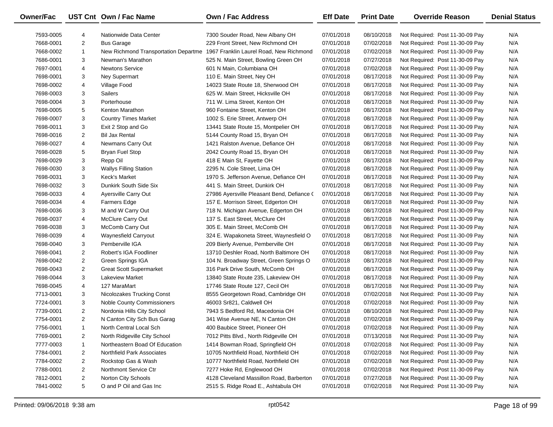| Owner/Fac |                | UST Cnt Own / Fac Name               | Own / Fac Address                          | <b>Eff Date</b> | <b>Print Date</b> | <b>Override Reason</b>          | <b>Denial Status</b> |
|-----------|----------------|--------------------------------------|--------------------------------------------|-----------------|-------------------|---------------------------------|----------------------|
| 7593-0005 | 4              | Nationwide Data Center               | 7300 Souder Road, New Albany OH            | 07/01/2018      | 08/10/2018        | Not Required: Post 11-30-09 Pay | N/A                  |
| 7668-0001 | $\overline{2}$ | <b>Bus Garage</b>                    | 229 Front Street, New Richmond OH          | 07/01/2018      | 07/02/2018        | Not Required: Post 11-30-09 Pay | N/A                  |
| 7668-0002 | $\mathbf{1}$   | New Richmond Transportation Departme | 1967 Franklin Laurel Road, New Richmond    | 07/01/2018      | 07/02/2018        | Not Required: Post 11-30-09 Pay | N/A                  |
| 7686-0001 | 3              | Newman's Marathon                    | 525 N. Main Street, Bowling Green OH       | 07/01/2018      | 07/27/2018        | Not Required: Post 11-30-09 Pay | N/A                  |
| 7697-0001 | 4              | <b>Newtons Service</b>               | 601 N Main, Columbiana OH                  | 07/01/2018      | 07/02/2018        | Not Required: Post 11-30-09 Pay | N/A                  |
| 7698-0001 | 3              | <b>Ney Supermart</b>                 | 110 E. Main Street, Ney OH                 | 07/01/2018      | 08/17/2018        | Not Required: Post 11-30-09 Pay | N/A                  |
| 7698-0002 | 4              | Village Food                         | 14023 State Route 18, Sherwood OH          | 07/01/2018      | 08/17/2018        | Not Required: Post 11-30-09 Pay | N/A                  |
| 7698-0003 | 3              | <b>Sailers</b>                       | 625 W. Main Street, Hicksville OH          | 07/01/2018      | 08/17/2018        | Not Required: Post 11-30-09 Pay | N/A                  |
| 7698-0004 | 3              | Porterhouse                          | 711 W. Lima Street, Kenton OH              | 07/01/2018      | 08/17/2018        | Not Required: Post 11-30-09 Pay | N/A                  |
| 7698-0005 | 5              | Kenton Marathon                      | 960 Fontaine Street, Kenton OH             | 07/01/2018      | 08/17/2018        | Not Required: Post 11-30-09 Pay | N/A                  |
| 7698-0007 | 3              | <b>Country Times Market</b>          | 1002 S. Erie Street, Antwerp OH            | 07/01/2018      | 08/17/2018        | Not Required: Post 11-30-09 Pay | N/A                  |
| 7698-0011 | 3              | Exit 2 Stop and Go                   | 13441 State Route 15, Montpelier OH        | 07/01/2018      | 08/17/2018        | Not Required: Post 11-30-09 Pay | N/A                  |
| 7698-0016 | $\overline{2}$ | <b>Bil Jax Rental</b>                | 5144 County Road 15, Bryan OH              | 07/01/2018      | 08/17/2018        | Not Required: Post 11-30-09 Pay | N/A                  |
| 7698-0027 | 4              | Newmans Carry Out                    | 1421 Ralston Avenue, Defiance OH           | 07/01/2018      | 08/17/2018        | Not Required: Post 11-30-09 Pay | N/A                  |
| 7698-0028 | 5              | <b>Bryan Fuel Stop</b>               | 2042 County Road 15, Bryan OH              | 07/01/2018      | 08/17/2018        | Not Required: Post 11-30-09 Pay | N/A                  |
| 7698-0029 | 3              | Repp Oil                             | 418 E Main St, Fayette OH                  | 07/01/2018      | 08/17/2018        | Not Required: Post 11-30-09 Pay | N/A                  |
| 7698-0030 | 3              | <b>Wallys Filling Station</b>        | 2295 N. Cole Street, Lima OH               | 07/01/2018      | 08/17/2018        | Not Required: Post 11-30-09 Pay | N/A                  |
| 7698-0031 | 3              | Keck's Market                        | 1970 S. Jefferson Avenue, Defiance OH      | 07/01/2018      | 08/17/2018        | Not Required: Post 11-30-09 Pay | N/A                  |
| 7698-0032 | 3              | Dunkirk South Side Six               | 441 S. Main Street, Dunkirk OH             | 07/01/2018      | 08/17/2018        | Not Required: Post 11-30-09 Pay | N/A                  |
| 7698-0033 | 4              | Ayersville Carry Out                 | 27986 Ayersville Pleasant Bend, Defiance ( | 07/01/2018      | 08/17/2018        | Not Required: Post 11-30-09 Pay | N/A                  |
| 7698-0034 | 4              | <b>Farmers Edge</b>                  | 157 E. Morrison Street, Edgerton OH        | 07/01/2018      | 08/17/2018        | Not Required: Post 11-30-09 Pay | N/A                  |
| 7698-0036 | 3              | M and W Carry Out                    | 718 N. Michigan Avenue, Edgerton OH        | 07/01/2018      | 08/17/2018        | Not Required: Post 11-30-09 Pay | N/A                  |
| 7698-0037 | 4              | McClure Carry Out                    | 137 S. East Street, McClure OH             | 07/01/2018      | 08/17/2018        | Not Required: Post 11-30-09 Pay | N/A                  |
| 7698-0038 | 3              | McComb Carry Out                     | 305 E. Main Street, McComb OH              | 07/01/2018      | 08/17/2018        | Not Required: Post 11-30-09 Pay | N/A                  |
| 7698-0039 | 4              | Waynesfield Carryout                 | 324 E. Wapakoneta Street, Waynesfield O    | 07/01/2018      | 08/17/2018        | Not Required: Post 11-30-09 Pay | N/A                  |
| 7698-0040 | 3              | Pemberville IGA                      | 209 Bierly Avenue, Pemberville OH          | 07/01/2018      | 08/17/2018        | Not Required: Post 11-30-09 Pay | N/A                  |
| 7698-0041 | $\overline{2}$ | Robert's IGA Foodliner               | 13710 Deshler Road, North Baltimore OH     | 07/01/2018      | 08/17/2018        | Not Required: Post 11-30-09 Pay | N/A                  |
| 7698-0042 | $\overline{2}$ | Green Springs IGA                    | 104 N. Broadway Street, Green Springs O    | 07/01/2018      | 08/17/2018        | Not Required: Post 11-30-09 Pay | N/A                  |
| 7698-0043 | $\overline{2}$ | <b>Great Scott Supermarket</b>       | 316 Park Drive South, McComb OH            | 07/01/2018      | 08/17/2018        | Not Required: Post 11-30-09 Pay | N/A                  |
| 7698-0044 | 3              | <b>Lakeview Market</b>               | 13840 State Route 235, Lakeview OH         | 07/01/2018      | 08/17/2018        | Not Required: Post 11-30-09 Pay | N/A                  |
| 7698-0045 | 4              | 127 MaraMart                         | 17746 State Route 127, Cecil OH            | 07/01/2018      | 08/17/2018        | Not Required: Post 11-30-09 Pay | N/A                  |
| 7713-0001 | 3              | Nicolozakes Trucking Const           | 8555 Georgetown Road, Cambridge OH         | 07/01/2018      | 07/02/2018        | Not Required: Post 11-30-09 Pay | N/A                  |
| 7724-0001 | 3              | Noble County Commissioners           | 46003 Sr821, Caldwell OH                   | 07/01/2018      | 07/02/2018        | Not Required: Post 11-30-09 Pay | N/A                  |
| 7739-0001 | $\overline{2}$ | Nordonia Hills City School           | 7943 S Bedford Rd, Macedonia OH            | 07/01/2018      | 08/10/2018        | Not Required: Post 11-30-09 Pay | N/A                  |
| 7754-0001 | $\overline{2}$ | N Canton City Sch Bus Garag          | 341 Wise Avenue NE, N Canton OH            | 07/01/2018      | 07/02/2018        | Not Required: Post 11-30-09 Pay | N/A                  |
| 7756-0001 | -1             | North Central Local Sch              | 400 Baubice Street, Pioneer OH             | 07/01/2018      | 07/02/2018        | Not Required: Post 11-30-09 Pay | N/A                  |
| 7769-0001 | 2              | North Ridgeville City School         | 7012 Pitts Blvd., North Ridgeville OH      | 07/01/2018      | 07/13/2018        | Not Required: Post 11-30-09 Pay | N/A                  |
| 7777-0003 | $\mathbf{1}$   | Northeastern Boad Of Education       | 1414 Bowman Road, Springfield OH           | 07/01/2018      | 07/02/2018        | Not Required: Post 11-30-09 Pay | N/A                  |
| 7784-0001 | 2              | Northfield Park Associates           | 10705 Northfield Road, Northfield OH       | 07/01/2018      | 07/02/2018        | Not Required: Post 11-30-09 Pay | N/A                  |
| 7784-0002 | $\overline{a}$ | Rockstop Gas & Wash                  | 10777 Northfield Road, Northfield OH       | 07/01/2018      | 07/02/2018        | Not Required: Post 11-30-09 Pay | N/A                  |
| 7788-0001 | 2              | Northmont Service Ctr                | 7277 Hoke Rd, Englewood OH                 | 07/01/2018      | 07/02/2018        | Not Required: Post 11-30-09 Pay | N/A                  |
| 7812-0001 | $\overline{2}$ | Norton City Schools                  | 4128 Cleveland Massillon Road, Barberton   | 07/01/2018      | 07/27/2018        | Not Required: Post 11-30-09 Pay | N/A                  |
| 7841-0002 | 5              | O and P Oil and Gas Inc              | 2515 S. Ridge Road E., Ashtabula OH        | 07/01/2018      | 07/02/2018        | Not Required: Post 11-30-09 Pay | N/A                  |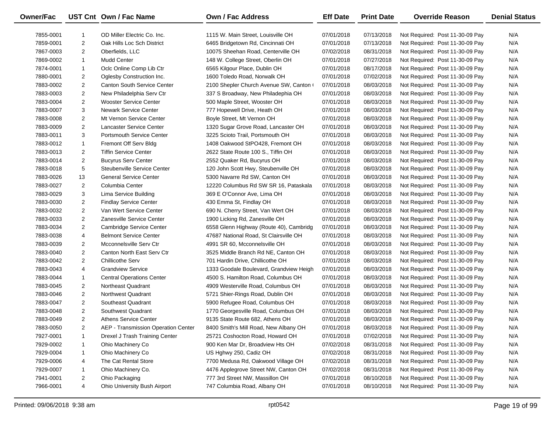| Owner/Fac |                | UST Cnt Own / Fac Name              | Own / Fac Address                       | <b>Eff Date</b> | <b>Print Date</b> | <b>Override Reason</b>          | <b>Denial Status</b> |
|-----------|----------------|-------------------------------------|-----------------------------------------|-----------------|-------------------|---------------------------------|----------------------|
| 7855-0001 | -1             | OD Miller Electric Co. Inc.         | 1115 W. Main Street, Louisville OH      | 07/01/2018      | 07/13/2018        | Not Required: Post 11-30-09 Pay | N/A                  |
| 7859-0001 | $\overline{2}$ | Oak Hills Loc Sch District          | 6465 Bridgetown Rd, Cincinnati OH       | 07/01/2018      | 07/13/2018        | Not Required: Post 11-30-09 Pay | N/A                  |
| 7867-0003 | $\overline{2}$ | Oberfields, LLC                     | 10075 Sheehan Road, Centerville OH      | 07/02/2018      | 08/31/2018        | Not Required: Post 11-30-09 Pay | N/A                  |
| 7869-0002 | $\mathbf{1}$   | <b>Mudd Center</b>                  | 148 W. College Street, Oberlin OH       | 07/01/2018      | 07/27/2018        | Not Required: Post 11-30-09 Pay | N/A                  |
| 7874-0001 | $\mathbf{1}$   | Oclc Online Comp Lib Ctr            | 6565 Kilgour Place, Dublin OH           | 07/01/2018      | 08/17/2018        | Not Required: Post 11-30-09 Pay | N/A                  |
| 7880-0001 | $\overline{2}$ | Oglesby Construction Inc.           | 1600 Toledo Road, Norwalk OH            | 07/01/2018      | 07/02/2018        | Not Required: Post 11-30-09 Pay | N/A                  |
| 7883-0002 | $\overline{2}$ | <b>Canton South Service Center</b>  | 2100 Shepler Church Avenue SW, Canton ( | 07/01/2018      | 08/03/2018        | Not Required: Post 11-30-09 Pay | N/A                  |
| 7883-0003 | $\overline{2}$ | New Philadelphia Serv Ctr           | 337 S Broadway, New Philadephia OH      | 07/01/2018      | 08/03/2018        | Not Required: Post 11-30-09 Pay | N/A                  |
| 7883-0004 | $\overline{2}$ | Wooster Service Center              | 500 Maple Street, Wooster OH            | 07/01/2018      | 08/03/2018        | Not Required: Post 11-30-09 Pay | N/A                  |
| 7883-0007 | 3              | <b>Newark Service Center</b>        | 777 Hopewell Drive, Heath OH            | 07/01/2018      | 08/03/2018        | Not Required: Post 11-30-09 Pay | N/A                  |
| 7883-0008 | $\overline{2}$ | Mt Vernon Service Center            | Boyle Street, Mt Vernon OH              | 07/01/2018      | 08/03/2018        | Not Required: Post 11-30-09 Pay | N/A                  |
| 7883-0009 | $\overline{2}$ | <b>Lancaster Service Center</b>     | 1320 Sugar Grove Road, Lancaster OH     | 07/01/2018      | 08/03/2018        | Not Required: Post 11-30-09 Pay | N/A                  |
| 7883-0011 | 3              | <b>Portsmouth Service Center</b>    | 3225 Scioto Trail, Portsmouth OH        | 07/01/2018      | 08/03/2018        | Not Required: Post 11-30-09 Pay | N/A                  |
| 7883-0012 | $\mathbf{1}$   | Fremont Off Serv Bldg               | 1408 Oakwood StPO428, Fremont OH        | 07/01/2018      | 08/03/2018        | Not Required: Post 11-30-09 Pay | N/A                  |
| 7883-0013 | $\overline{2}$ | <b>Tiffin Service Center</b>        | 2622 State Route 100 S., Tiffin OH      | 07/01/2018      | 08/03/2018        | Not Required: Post 11-30-09 Pay | N/A                  |
| 7883-0014 | $\overline{2}$ | <b>Bucyrus Serv Center</b>          | 2552 Quaker Rd, Bucyrus OH              | 07/01/2018      | 08/03/2018        | Not Required: Post 11-30-09 Pay | N/A                  |
| 7883-0018 | 5              | Steubenville Service Center         | 120 John Scott Hwy, Steubenville OH     | 07/01/2018      | 08/03/2018        | Not Required: Post 11-30-09 Pay | N/A                  |
| 7883-0026 | 13             | <b>General Service Center</b>       | 5300 Navarre Rd SW, Canton OH           | 07/01/2018      | 08/03/2018        | Not Required: Post 11-30-09 Pay | N/A                  |
| 7883-0027 | $\overline{2}$ | Columbia Center                     | 12220 Columbus Rd SW SR 16, Pataskala   | 07/01/2018      | 08/03/2018        | Not Required: Post 11-30-09 Pay | N/A                  |
| 7883-0029 | 3              | Lima Service Building               | 369 E O'Connor Ave, Lima OH             | 07/01/2018      | 08/03/2018        | Not Required: Post 11-30-09 Pay | N/A                  |
| 7883-0030 | $\overline{2}$ | <b>Findlay Service Center</b>       | 430 Emma St, Findlay OH                 | 07/01/2018      | 08/03/2018        | Not Required: Post 11-30-09 Pay | N/A                  |
| 7883-0032 | $\overline{2}$ | Van Wert Service Center             | 690 N. Cherry Street, Van Wert OH       | 07/01/2018      | 08/03/2018        | Not Required: Post 11-30-09 Pay | N/A                  |
| 7883-0033 | $\overline{2}$ | Zanesville Service Center           | 1900 Licking Rd, Zanesville OH          | 07/01/2018      | 08/03/2018        | Not Required: Post 11-30-09 Pay | N/A                  |
| 7883-0034 | $\overline{2}$ | Cambridge Service Center            | 6558 Glenn Highway (Route 40), Cambridg | 07/01/2018      | 08/03/2018        | Not Required: Post 11-30-09 Pay | N/A                  |
| 7883-0038 | 4              | <b>Belmont Service Center</b>       | 47687 National Road, St Clairsville OH  | 07/01/2018      | 08/03/2018        | Not Required: Post 11-30-09 Pay | N/A                  |
| 7883-0039 | $\overline{2}$ | Mcconnelsville Serv Ctr             | 4991 SR 60, Mcconnelsville OH           | 07/01/2018      | 08/03/2018        | Not Required: Post 11-30-09 Pay | N/A                  |
| 7883-0040 | $\overline{2}$ | Canton North East Serv Ctr          | 3525 Middle Branch Rd NE, Canton OH     | 07/01/2018      | 08/03/2018        | Not Required: Post 11-30-09 Pay | N/A                  |
| 7883-0042 | $\overline{2}$ | <b>Chillicothe Serv</b>             | 701 Hardin Drive, Chillicothe OH        | 07/01/2018      | 08/03/2018        | Not Required: Post 11-30-09 Pay | N/A                  |
| 7883-0043 | 4              | <b>Grandview Service</b>            | 1333 Goodale Boulevard, Grandview Heigh | 07/01/2018      | 08/03/2018        | Not Required: Post 11-30-09 Pay | N/A                  |
| 7883-0044 | $\mathbf{1}$   | <b>Central Operations Center</b>    | 4500 S. Hamilton Road, Columbus OH      | 07/01/2018      | 08/03/2018        | Not Required: Post 11-30-09 Pay | N/A                  |
| 7883-0045 | $\overline{2}$ | Northeast Quadrant                  | 4909 Westerville Road, Columbus OH      | 07/01/2018      | 08/03/2018        | Not Required: Post 11-30-09 Pay | N/A                  |
| 7883-0046 | $\overline{2}$ | Northwest Quadrant                  | 5721 Shier-Rings Road, Dublin OH        | 07/01/2018      | 08/03/2018        | Not Required: Post 11-30-09 Pay | N/A                  |
| 7883-0047 | $\overline{2}$ | Southeast Quadrant                  | 5900 Refugee Road, Columbus OH          | 07/01/2018      | 08/03/2018        | Not Required: Post 11-30-09 Pay | N/A                  |
| 7883-0048 | $\overline{2}$ | Southwest Quadrant                  | 1770 Georgesville Road, Columbus OH     | 07/01/2018      | 08/03/2018        | Not Required: Post 11-30-09 Pay | N/A                  |
| 7883-0049 | $\overline{2}$ | <b>Athens Service Center</b>        | 9135 State Route 682, Athens OH         | 07/01/2018      | 08/03/2018        | Not Required: Post 11-30-09 Pay | N/A                  |
| 7883-0050 | 2              | AEP - Transmission Operation Center | 8400 Smith's Mill Road, New Albany OH   | 07/01/2018      | 08/03/2018        | Not Required: Post 11-30-09 Pay | N/A                  |
| 7927-0001 | 1              | Drexel J Trash Training Center      | 25721 Coshocton Road, Howard OH         | 07/01/2018      | 07/02/2018        | Not Required: Post 11-30-09 Pay | N/A                  |
| 7929-0002 | 1              | Ohio Machinery Co                   | 900 Ken Mar Dr, Broadview Hts OH        | 07/02/2018      | 08/31/2018        | Not Required: Post 11-30-09 Pay | N/A                  |
| 7929-0004 | -1             | Ohio Machinery Co                   | US Hghwy 250, Cadiz OH                  | 07/02/2018      | 08/31/2018        | Not Required: Post 11-30-09 Pay | N/A                  |
| 7929-0006 | 4              | The Cat Rental Store                | 7700 Medusa Rd, Oakwood Village OH      | 07/02/2018      | 08/31/2018        | Not Required: Post 11-30-09 Pay | N/A                  |
| 7929-0007 | 1              | Ohio Machinery Co.                  | 4476 Applegrove Street NW, Canton OH    | 07/02/2018      | 08/31/2018        | Not Required: Post 11-30-09 Pay | N/A                  |
| 7941-0001 | 2              | Ohio Packaging                      | 777 3rd Street NW, Massillon OH         | 07/01/2018      | 08/10/2018        | Not Required: Post 11-30-09 Pay | N/A                  |
| 7966-0001 | 4              | Ohio University Bush Airport        | 747 Columbia Road, Albany OH            | 07/01/2018      | 08/10/2018        | Not Required: Post 11-30-09 Pay | N/A                  |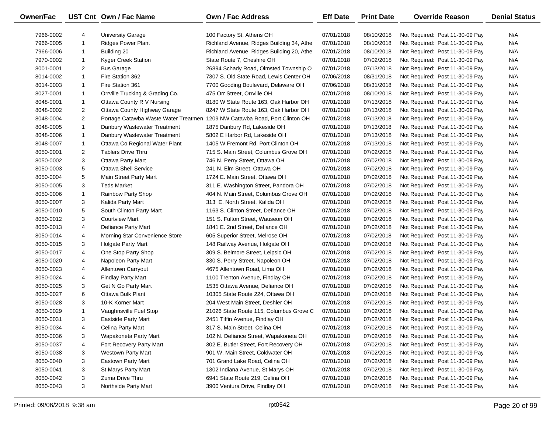| <b>Owner/Fac</b> |                | UST Cnt Own / Fac Name          | <b>Own / Fac Address</b>                                                   | <b>Eff Date</b> | <b>Print Date</b> | <b>Override Reason</b>          | <b>Denial Status</b> |
|------------------|----------------|---------------------------------|----------------------------------------------------------------------------|-----------------|-------------------|---------------------------------|----------------------|
| 7966-0002        | 4              | University Garage               | 100 Factory St, Athens OH                                                  | 07/01/2018      | 08/10/2018        | Not Required: Post 11-30-09 Pay | N/A                  |
| 7966-0005        | $\mathbf{1}$   | <b>Ridges Power Plant</b>       | Richland Avenue, Ridges Building 34, Athe                                  | 07/01/2018      | 08/10/2018        | Not Required: Post 11-30-09 Pay | N/A                  |
| 7966-0006        | $\mathbf{1}$   | Building 20                     | Richland Avenue, Ridges Building 20, Athe                                  | 07/01/2018      | 08/10/2018        | Not Required: Post 11-30-09 Pay | N/A                  |
| 7970-0002        | $\mathbf{1}$   | Kyger Creek Station             | State Route 7, Cheshire OH                                                 | 07/01/2018      | 07/02/2018        | Not Required: Post 11-30-09 Pay | N/A                  |
| 8001-0001        | $\overline{2}$ | <b>Bus Garage</b>               | 26894 Schady Road, Olmsted Township O                                      | 07/01/2018      | 07/13/2018        | Not Required: Post 11-30-09 Pay | N/A                  |
| 8014-0002        | $\mathbf{1}$   | Fire Station 362                | 7307 S. Old State Road, Lewis Center OH                                    | 07/06/2018      | 08/31/2018        | Not Required: Post 11-30-09 Pay | N/A                  |
| 8014-0003        | $\mathbf{1}$   | Fire Station 361                | 7700 Gooding Boulevard, Delaware OH                                        | 07/06/2018      | 08/31/2018        | Not Required: Post 11-30-09 Pay | N/A                  |
| 8027-0001        | $\mathbf{1}$   | Orrville Trucking & Grading Co. | 475 Orr Street, Orrville OH                                                | 07/01/2018      | 08/10/2018        | Not Required: Post 11-30-09 Pay | N/A                  |
| 8048-0001        | $\mathbf{1}$   | Ottawa County R V Nursing       | 8180 W State Route 163, Oak Harbor OH                                      | 07/01/2018      | 07/13/2018        | Not Required: Post 11-30-09 Pay | N/A                  |
| 8048-0002        | $\overline{2}$ | Ottawa County Highway Garage    | 8247 W State Route 163, Oak Harbor OH                                      | 07/01/2018      | 07/13/2018        | Not Required: Post 11-30-09 Pay | N/A                  |
| 8048-0004        | $\overline{2}$ |                                 | Portage Catawba Waste Water Treatmen 1209 NW Catawba Road, Port Clinton OH | 07/01/2018      | 07/13/2018        | Not Required: Post 11-30-09 Pay | N/A                  |
| 8048-0005        | $\mathbf{1}$   | Danbury Wastewater Treatment    | 1875 Danbury Rd, Lakeside OH                                               | 07/01/2018      | 07/13/2018        | Not Required: Post 11-30-09 Pay | N/A                  |
| 8048-0006        | $\mathbf{1}$   | Danbury Wastewater Treatment    | 5802 E Harbor Rd, Lakeside OH                                              | 07/01/2018      | 07/13/2018        | Not Required: Post 11-30-09 Pay | N/A                  |
| 8048-0007        | $\mathbf{1}$   | Ottawa Co Regional Water Plant  | 1405 W Fremont Rd, Port Clinton OH                                         | 07/01/2018      | 07/13/2018        | Not Required: Post 11-30-09 Pay | N/A                  |
| 8050-0001        | $\overline{2}$ | <b>Tablers Drive Thru</b>       | 715 S. Main Street, Columbus Grove OH                                      | 07/01/2018      | 07/02/2018        | Not Required: Post 11-30-09 Pay | N/A                  |
| 8050-0002        | 3              | <b>Ottawa Party Mart</b>        | 746 N. Perry Street, Ottawa OH                                             | 07/01/2018      | 07/02/2018        | Not Required: Post 11-30-09 Pay | N/A                  |
| 8050-0003        | 5              | <b>Ottawa Shell Service</b>     | 241 N. Elm Street, Ottawa OH                                               | 07/01/2018      | 07/02/2018        | Not Required: Post 11-30-09 Pay | N/A                  |
| 8050-0004        | 5              | Main Street Party Mart          | 1724 E. Main Street, Ottawa OH                                             | 07/01/2018      | 07/02/2018        | Not Required: Post 11-30-09 Pay | N/A                  |
| 8050-0005        | 3              | <b>Teds Market</b>              | 311 E. Washington Street, Pandora OH                                       | 07/01/2018      | 07/02/2018        | Not Required: Post 11-30-09 Pay | N/A                  |
| 8050-0006        | $\mathbf{1}$   | Rainbow Party Shop              | 404 N. Main Street, Columbus Grove OH                                      | 07/01/2018      | 07/02/2018        | Not Required: Post 11-30-09 Pay | N/A                  |
| 8050-0007        | 3              | Kalida Party Mart               | 313 E. North Street, Kalida OH                                             | 07/01/2018      | 07/02/2018        | Not Required: Post 11-30-09 Pay | N/A                  |
| 8050-0010        | 5              | South Clinton Party Mart        | 1163 S. Clinton Street, Defiance OH                                        | 07/01/2018      | 07/02/2018        | Not Required: Post 11-30-09 Pay | N/A                  |
| 8050-0012        | 3              | <b>Courtview Mart</b>           | 151 S. Fulton Street, Wauseon OH                                           | 07/01/2018      | 07/02/2018        | Not Required: Post 11-30-09 Pay | N/A                  |
| 8050-0013        | 4              | Defiance Party Mart             | 1841 E. 2nd Street, Defiance OH                                            | 07/01/2018      | 07/02/2018        | Not Required: Post 11-30-09 Pay | N/A                  |
| 8050-0014        | 4              | Morning Star Convenience Store  | 605 Superior Street, Melrose OH                                            | 07/01/2018      | 07/02/2018        | Not Required: Post 11-30-09 Pay | N/A                  |
| 8050-0015        | 3              | <b>Holgate Party Mart</b>       | 148 Railway Avenue, Holgate OH                                             | 07/01/2018      | 07/02/2018        | Not Required: Post 11-30-09 Pay | N/A                  |
| 8050-0017        | 4              | One Stop Party Shop             | 309 S. Belmore Street, Leipsic OH                                          | 07/01/2018      | 07/02/2018        | Not Required: Post 11-30-09 Pay | N/A                  |
| 8050-0020        | 4              | Napoleon Party Mart             | 330 S. Perry Street, Napoleon OH                                           | 07/01/2018      | 07/02/2018        | Not Required: Post 11-30-09 Pay | N/A                  |
| 8050-0023        | 4              | Allentown Carryout              | 4675 Allentown Road, Lima OH                                               | 07/01/2018      | 07/02/2018        | Not Required: Post 11-30-09 Pay | N/A                  |
| 8050-0024        | 4              | Findlay Party Mart              | 1100 Trenton Avenue, Findlay OH                                            | 07/01/2018      | 07/02/2018        | Not Required: Post 11-30-09 Pay | N/A                  |
| 8050-0025        | 3              | Get N Go Party Mart             | 1535 Ottawa Avenue, Defiance OH                                            | 07/01/2018      | 07/02/2018        | Not Required: Post 11-30-09 Pay | N/A                  |
| 8050-0027        | 6              | Ottawa Bulk Plant               | 10305 State Route 224, Ottawa OH                                           | 07/01/2018      | 07/02/2018        | Not Required: Post 11-30-09 Pay | N/A                  |
| 8050-0028        | 3              | 10-K Korner Mart                | 204 West Main Street, Deshler OH                                           | 07/01/2018      | 07/02/2018        | Not Required: Post 11-30-09 Pay | N/A                  |
| 8050-0029        | $\mathbf{1}$   | Vaughnsville Fuel Stop          | 21026 State Route 115, Columbus Grove C                                    | 07/01/2018      | 07/02/2018        | Not Required: Post 11-30-09 Pay | N/A                  |
| 8050-0031        | 3              | <b>Eastside Party Mart</b>      | 2451 Tiffin Avenue, Findlay OH                                             | 07/01/2018      | 07/02/2018        | Not Required: Post 11-30-09 Pay | N/A                  |
| 8050-0034        | 4              | Celina Party Mart               | 317 S. Main Street, Celina OH                                              | 07/01/2018      | 07/02/2018        | Not Required: Post 11-30-09 Pay | N/A                  |
| 8050-0036        | 3              | Wapakoneta Party Mart           | 102 N. Defiance Street, Wapakoneta OH                                      | 07/01/2018      | 07/02/2018        | Not Required: Post 11-30-09 Pay | N/A                  |
| 8050-0037        | 4              | Fort Recovery Party Mart        | 302 E. Butler Street, Fort Recovery OH                                     | 07/01/2018      | 07/02/2018        | Not Required: Post 11-30-09 Pay | N/A                  |
| 8050-0038        | 3              | <b>Westown Party Mart</b>       | 901 W. Main Street, Coldwater OH                                           | 07/01/2018      | 07/02/2018        | Not Required: Post 11-30-09 Pay | N/A                  |
| 8050-0040        | 3              | Eastown Party Mart              | 701 Grand Lake Road, Celina OH                                             | 07/01/2018      | 07/02/2018        | Not Required: Post 11-30-09 Pay | N/A                  |
| 8050-0041        | 3              | St Marys Party Mart             | 1302 Indiana Avenue, St Marys OH                                           | 07/01/2018      | 07/02/2018        | Not Required: Post 11-30-09 Pay | N/A                  |
| 8050-0042        | 3              | Zuma Drive Thru                 | 6941 State Route 219, Celina OH                                            | 07/01/2018      | 07/02/2018        | Not Required: Post 11-30-09 Pay | N/A                  |
| 8050-0043        | 3              | Northside Party Mart            | 3900 Ventura Drive, Findlay OH                                             | 07/01/2018      | 07/02/2018        | Not Required: Post 11-30-09 Pay | N/A                  |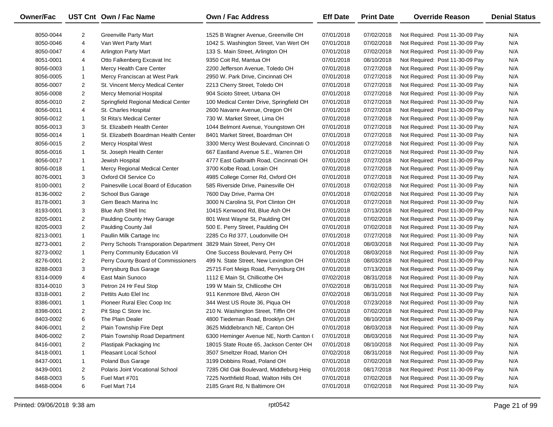| <b>Owner/Fac</b> |                | UST Cnt Own / Fac Name                 | Own / Fac Address                        | <b>Eff Date</b> | <b>Print Date</b> | <b>Override Reason</b>          | <b>Denial Status</b> |
|------------------|----------------|----------------------------------------|------------------------------------------|-----------------|-------------------|---------------------------------|----------------------|
| 8050-0044        | $\overline{2}$ | <b>Greenville Party Mart</b>           | 1525 B Wagner Avenue, Greenville OH      | 07/01/2018      | 07/02/2018        | Not Required: Post 11-30-09 Pay | N/A                  |
| 8050-0046        | 4              | Van Wert Party Mart                    | 1042 S. Washington Street, Van Wert OH   | 07/01/2018      | 07/02/2018        | Not Required: Post 11-30-09 Pay | N/A                  |
| 8050-0047        | 4              | <b>Arlington Party Mart</b>            | 133 S. Main Street, Arlington OH         | 07/01/2018      | 07/02/2018        | Not Required: Post 11-30-09 Pay | N/A                  |
| 8051-0001        | 4              | Otto Falkenberg Excavat Inc            | 9350 Coit Rd, Mantua OH                  | 07/01/2018      | 08/10/2018        | Not Required: Post 11-30-09 Pay | N/A                  |
| 8056-0003        | $\mathbf{1}$   | Mercy Health Care Center               | 2200 Jefferson Avenue, Toledo OH         | 07/01/2018      | 07/27/2018        | Not Required: Post 11-30-09 Pay | N/A                  |
| 8056-0005        | $\mathbf{1}$   | Mercy Franciscan at West Park          | 2950 W. Park Drive, Cincinnati OH        | 07/01/2018      | 07/27/2018        | Not Required: Post 11-30-09 Pay | N/A                  |
| 8056-0007        | $\overline{2}$ | St. Vincent Mercy Medical Center       | 2213 Cherry Street, Toledo OH            | 07/01/2018      | 07/27/2018        | Not Required: Post 11-30-09 Pay | N/A                  |
| 8056-0008        | $\overline{2}$ | Mercy Memorial Hospital                | 904 Scioto Street, Urbana OH             | 07/01/2018      | 07/27/2018        | Not Required: Post 11-30-09 Pay | N/A                  |
| 8056-0010        | $\overline{2}$ | Springfield Regional Medical Center    | 100 Medical Center Drive, Springfield OH | 07/01/2018      | 07/27/2018        | Not Required: Post 11-30-09 Pay | N/A                  |
| 8056-0011        | 4              | St. Charles Hospital                   | 2600 Navarre Avenue, Oregon OH           | 07/01/2018      | 07/27/2018        | Not Required: Post 11-30-09 Pay | N/A                  |
| 8056-0012        | $\mathbf{1}$   | <b>St Rita's Medical Center</b>        | 730 W. Market Street, Lima OH            | 07/01/2018      | 07/27/2018        | Not Required: Post 11-30-09 Pay | N/A                  |
| 8056-0013        | 3              | St. Elizabeth Health Center            | 1044 Belmont Avenue, Youngstown OH       | 07/01/2018      | 07/27/2018        | Not Required: Post 11-30-09 Pay | N/A                  |
| 8056-0014        | $\mathbf{1}$   | St. Elizabeth Boardman Health Center   | 8401 Market Street, Boardman OH          | 07/01/2018      | 07/27/2018        | Not Required: Post 11-30-09 Pay | N/A                  |
| 8056-0015        | $\overline{2}$ | <b>Mercy Hospital West</b>             | 3300 Mercy West Boulevard, Cincinnati O  | 07/01/2018      | 07/27/2018        | Not Required: Post 11-30-09 Pay | N/A                  |
| 8056-0016        | $\mathbf{1}$   | St. Joseph Health Center               | 667 Eastland Avenue S.E., Warren OH      | 07/01/2018      | 07/27/2018        | Not Required: Post 11-30-09 Pay | N/A                  |
| 8056-0017        | $\mathbf{1}$   | Jewish Hospital                        | 4777 East Galbraith Road, Cincinnati OH  | 07/01/2018      | 07/27/2018        | Not Required: Post 11-30-09 Pay | N/A                  |
| 8056-0018        | $\mathbf{1}$   | Mercy Regional Medical Center          | 3700 Kolbe Road, Lorain OH               | 07/01/2018      | 07/27/2018        | Not Required: Post 11-30-09 Pay | N/A                  |
| 8076-0001        | 3              | Oxford Oil Service Co                  | 4985 College Corner Rd, Oxford OH        | 07/01/2018      | 07/27/2018        | Not Required: Post 11-30-09 Pay | N/A                  |
| 8100-0001        | $\overline{2}$ | Painesville Local Board of Education   | 585 Riverside Drive, Painesville OH      | 07/01/2018      | 07/02/2018        | Not Required: Post 11-30-09 Pay | N/A                  |
| 8136-0002        | $\overline{2}$ | School Bus Garage                      | 7600 Day Drive, Parma OH                 | 07/01/2018      | 07/02/2018        | Not Required: Post 11-30-09 Pay | N/A                  |
| 8178-0001        | 3              | Gem Beach Marina Inc                   | 3000 N Carolina St, Port Clinton OH      | 07/01/2018      | 07/27/2018        | Not Required: Post 11-30-09 Pay | N/A                  |
| 8193-0001        | 3              | Blue Ash Shell Inc                     | 10415 Kenwood Rd, Blue Ash OH            | 07/01/2018      | 07/13/2018        | Not Required: Post 11-30-09 Pay | N/A                  |
| 8205-0001        | $\overline{2}$ | Paulding County Hwy Garage             | 801 West Wayne St, Paulding OH           | 07/01/2018      | 07/02/2018        | Not Required: Post 11-30-09 Pay | N/A                  |
| 8205-0003        | $\overline{2}$ | Paulding County Jail                   | 500 E. Perry Street, Paulding OH         | 07/01/2018      | 07/02/2018        | Not Required: Post 11-30-09 Pay | N/A                  |
| 8213-0001        | $\mathbf{1}$   | Paullin Milk Cartage Inc               | 2285 Co Rd 377, Loudonville OH           | 07/01/2018      | 07/27/2018        | Not Required: Post 11-30-09 Pay | N/A                  |
| 8273-0001        | $\overline{2}$ | Perry Schools Transporation Department | 3829 Main Street, Perry OH               | 07/01/2018      | 08/03/2018        | Not Required: Post 11-30-09 Pay | N/A                  |
| 8273-0002        | $\mathbf{1}$   | Perry Community Education Vil          | One Success Boulevard, Perry OH          | 07/01/2018      | 08/03/2018        | Not Required: Post 11-30-09 Pay | N/A                  |
| 8276-0001        | $\overline{2}$ | Perry County Board of Commissioners    | 499 N. State Street, New Lexington OH    | 07/01/2018      | 08/03/2018        | Not Required: Post 11-30-09 Pay | N/A                  |
| 8288-0003        | 3              | Perrysburg Bus Garage                  | 25715 Fort Meigs Road, Perrysburg OH     | 07/01/2018      | 07/13/2018        | Not Required: Post 11-30-09 Pay | N/A                  |
| 8314-0009        | 4              | East Main Sunoco                       | 1112 E Main St, Chillicothe OH           | 07/02/2018      | 08/31/2018        | Not Required: Post 11-30-09 Pay | N/A                  |
| 8314-0010        | 3              | Petron 24 Hr Feul Stop                 | 199 W Main St, Chillicothe OH            | 07/02/2018      | 08/31/2018        | Not Required: Post 11-30-09 Pay | N/A                  |
| 8318-0001        | $\overline{2}$ | Pettits Auto Elel Inc                  | 911 Kenmore Blvd, Akron OH               | 07/02/2018      | 08/31/2018        | Not Required: Post 11-30-09 Pay | N/A                  |
| 8386-0001        | $\mathbf{1}$   | Pioneer Rural Elec Coop Inc            | 344 West US Route 36, Piqua OH           | 07/01/2018      | 07/23/2018        | Not Required: Post 11-30-09 Pay | N/A                  |
| 8398-0001        | $\overline{2}$ | Pit Stop C Store Inc.                  | 210 N. Washington Street, Tiffin OH      | 07/01/2018      | 07/02/2018        | Not Required: Post 11-30-09 Pay | N/A                  |
| 8403-0002        | 6              | The Plain Dealer                       | 4800 Tiedeman Road, Brooklyn OH          | 07/01/2018      | 08/10/2018        | Not Required: Post 11-30-09 Pay | N/A                  |
| 8406-0001        | $\overline{2}$ | Plain Township Fire Dept               | 3625 Middlebranch NE, Canton OH          | 07/01/2018      | 08/03/2018        | Not Required: Post 11-30-09 Pay | N/A                  |
| 8406-0002        | $\overline{2}$ | Plain Township Road Department         | 6300 Heminger Avenue NE, North Canton (  | 07/01/2018      | 08/03/2018        | Not Required: Post 11-30-09 Pay | N/A                  |
| 8416-0001        | $\overline{2}$ | Plastipak Packaging Inc                | 18015 State Route 65, Jackson Center OH  | 07/01/2018      | 08/10/2018        | Not Required: Post 11-30-09 Pay | N/A                  |
| 8418-0001        | 1              | Pleasant Local School                  | 3507 Smeltzer Road, Marion OH            | 07/02/2018      | 08/31/2018        | Not Required: Post 11-30-09 Pay | N/A                  |
| 8437-0001        | 1              | Poland Bus Garage                      | 3199 Dobbins Road, Poland OH             | 07/01/2018      | 07/02/2018        | Not Required: Post 11-30-09 Pay | N/A                  |
| 8439-0001        | $\overline{2}$ | Polaris Joint Vocational School        | 7285 Old Oak Boulevard, Middleburg Heig  | 07/01/2018      | 08/17/2018        | Not Required: Post 11-30-09 Pay | N/A                  |
| 8468-0003        | 5              | Fuel Mart #701                         | 7225 Northfield Road, Walton Hills OH    | 07/01/2018      | 07/02/2018        | Not Required: Post 11-30-09 Pay | N/A                  |
| 8468-0004        | 6              | Fuel Mart 714                          | 2185 Grant Rd, N Baltimore OH            | 07/01/2018      | 07/02/2018        | Not Required: Post 11-30-09 Pay | N/A                  |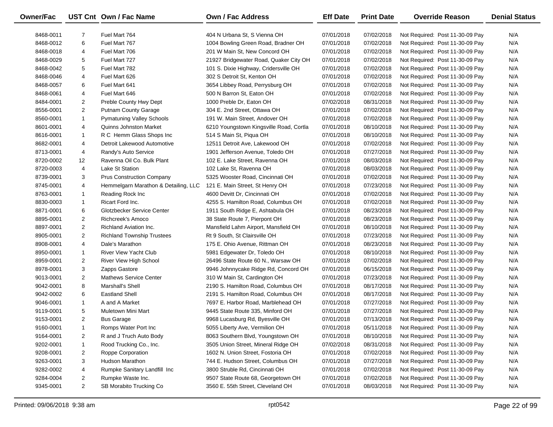| Owner/Fac |                | UST Cnt Own / Fac Name               | Own / Fac Address                       | <b>Eff Date</b> | <b>Print Date</b> | <b>Override Reason</b>          | <b>Denial Status</b> |
|-----------|----------------|--------------------------------------|-----------------------------------------|-----------------|-------------------|---------------------------------|----------------------|
| 8468-0011 | $\overline{7}$ | Fuel Mart 764                        | 404 N Urbana St, S Vienna OH            | 07/01/2018      | 07/02/2018        | Not Required: Post 11-30-09 Pay | N/A                  |
| 8468-0012 | 6              | Fuel Mart 767                        | 1004 Bowling Green Road, Bradner OH     | 07/01/2018      | 07/02/2018        | Not Required: Post 11-30-09 Pay | N/A                  |
| 8468-0018 | 4              | Fuel Mart 706                        | 201 W Main St, New Concord OH           | 07/01/2018      | 07/02/2018        | Not Required: Post 11-30-09 Pay | N/A                  |
| 8468-0029 | 5              | Fuel Mart 727                        | 21927 Bridgewater Road, Quaker City OH  | 07/01/2018      | 07/02/2018        | Not Required: Post 11-30-09 Pay | N/A                  |
| 8468-0042 | 5              | Fuel Mart 782                        | 101 S. Dixie Highway, Cridersville OH   | 07/01/2018      | 07/02/2018        | Not Required: Post 11-30-09 Pay | N/A                  |
| 8468-0046 | 4              | Fuel Mart 626                        | 302 S Detroit St, Kenton OH             | 07/01/2018      | 07/02/2018        | Not Required: Post 11-30-09 Pay | N/A                  |
| 8468-0057 | 6              | Fuel Mart 641                        | 3654 Libbey Road, Perrysburg OH         | 07/01/2018      | 07/02/2018        | Not Required: Post 11-30-09 Pay | N/A                  |
| 8468-0061 | 4              | Fuel Mart 646                        | 500 N Barron St, Eaton OH               | 07/01/2018      | 07/02/2018        | Not Required: Post 11-30-09 Pay | N/A                  |
| 8484-0001 | $\overline{2}$ | Preble County Hwy Dept               | 1000 Preble Dr, Eaton OH                | 07/02/2018      | 08/31/2018        | Not Required: Post 11-30-09 Pay | N/A                  |
| 8556-0001 | $\overline{2}$ | <b>Putnam County Garage</b>          | 304 E. 2nd Street, Ottawa OH            | 07/01/2018      | 07/02/2018        | Not Required: Post 11-30-09 Pay | N/A                  |
| 8560-0001 | $\mathbf{1}$   | <b>Pymatuning Valley Schools</b>     | 191 W. Main Street, Andover OH          | 07/01/2018      | 07/02/2018        | Not Required: Post 11-30-09 Pay | N/A                  |
| 8601-0001 | 4              | <b>Quinns Johnston Market</b>        | 6210 Youngstown Kingsville Road, Cortla | 07/01/2018      | 08/10/2018        | Not Required: Post 11-30-09 Pay | N/A                  |
| 8616-0001 | $\mathbf{1}$   | R C Hemm Glass Shops Inc             | 514 S Main St, Piqua OH                 | 07/01/2018      | 08/10/2018        | Not Required: Post 11-30-09 Pay | N/A                  |
| 8682-0001 | 4              | Detroit Lakewood Automotive          | 12511 Detroit Ave, Lakewood OH          | 07/01/2018      | 07/02/2018        | Not Required: Post 11-30-09 Pay | N/A                  |
| 8713-0001 | 4              | Randy's Auto Service                 | 1901 Jefferson Avenue, Toledo OH        | 07/01/2018      | 07/27/2018        | Not Required: Post 11-30-09 Pay | N/A                  |
| 8720-0002 | 12             | Ravenna Oil Co. Bulk Plant           | 102 E. Lake Street, Ravenna OH          | 07/01/2018      | 08/03/2018        | Not Required: Post 11-30-09 Pay | N/A                  |
| 8720-0003 | 4              | Lake St Station                      | 102 Lake St, Ravenna OH                 | 07/01/2018      | 08/03/2018        | Not Required: Post 11-30-09 Pay | N/A                  |
| 8739-0001 | 3              | <b>Prus Construction Company</b>     | 5325 Wooster Road, Cincinnati OH        | 07/01/2018      | 07/02/2018        | Not Required: Post 11-30-09 Pay | N/A                  |
| 8745-0001 | 4              | Hemmelgarn Marathon & Detailing, LLC | 121 E. Main Street, St Henry OH         | 07/01/2018      | 07/23/2018        | Not Required: Post 11-30-09 Pay | N/A                  |
| 8763-0001 | $\mathbf{1}$   | Reading Rock Inc                     | 4600 Devitt Dr, Cincinnati OH           | 07/01/2018      | 07/02/2018        | Not Required: Post 11-30-09 Pay | N/A                  |
| 8830-0003 | $\mathbf{1}$   | Ricart Ford Inc.                     | 4255 S. Hamilton Road, Columbus OH      | 07/01/2018      | 07/02/2018        | Not Required: Post 11-30-09 Pay | N/A                  |
| 8871-0001 | 6              | Glotzbecker Service Center           | 1911 South Ridge E, Ashtabula OH        | 07/01/2018      | 08/23/2018        | Not Required: Post 11-30-09 Pay | N/A                  |
| 8895-0001 | $\overline{2}$ | Richcreek's Amoco                    | 38 State Route 7, Pierpont OH           | 07/01/2018      | 08/23/2018        | Not Required: Post 11-30-09 Pay | N/A                  |
| 8897-0001 | $\overline{2}$ | <b>Richland Aviation Inc.</b>        | Mansfield Lahm Airport, Mansfield OH    | 07/01/2018      | 08/10/2018        | Not Required: Post 11-30-09 Pay | N/A                  |
| 8905-0001 | $\overline{a}$ | <b>Richland Township Trustees</b>    | Rt 9 South, St Clairsville OH           | 07/01/2018      | 07/23/2018        | Not Required: Post 11-30-09 Pay | N/A                  |
| 8908-0001 | 4              | Dale's Marathon                      | 175 E. Ohio Avenue, Rittman OH          | 07/01/2018      | 08/23/2018        | Not Required: Post 11-30-09 Pay | N/A                  |
| 8950-0001 | $\mathbf{1}$   | River View Yacht Club                | 5981 Edgewater Dr, Toledo OH            | 07/01/2018      | 08/10/2018        | Not Required: Post 11-30-09 Pay | N/A                  |
| 8959-0001 | 2              | River View High School               | 26496 State Route 60 N., Warsaw OH      | 07/01/2018      | 07/02/2018        | Not Required: Post 11-30-09 Pay | N/A                  |
| 8978-0001 | 3              | Zapps Gastore                        | 9946 Johnnycake Ridge Rd, Concord OH    | 07/01/2018      | 06/15/2018        | Not Required: Post 11-30-09 Pay | N/A                  |
| 9013-0001 | $\overline{2}$ | <b>Mathews Service Center</b>        | 310 W Main St, Cardington OH            | 07/01/2018      | 07/23/2018        | Not Required: Post 11-30-09 Pay | N/A                  |
| 9042-0001 | 8              | Marshall's Shell                     | 2190 S. Hamilton Road, Columbus OH      | 07/01/2018      | 08/17/2018        | Not Required: Post 11-30-09 Pay | N/A                  |
| 9042-0002 | 6              | <b>Eastland Shell</b>                | 2191 S. Hamilton Road, Columbus OH      | 07/01/2018      | 08/17/2018        | Not Required: Post 11-30-09 Pay | N/A                  |
| 9046-0001 | $\mathbf{1}$   | A and A Market                       | 7697 E. Harbor Road, Marblehead OH      | 07/01/2018      | 07/27/2018        | Not Required: Post 11-30-09 Pay | N/A                  |
| 9119-0001 | 5              | Muletown Mini Mart                   | 9445 State Route 335, Minford OH        | 07/01/2018      | 07/27/2018        | Not Required: Post 11-30-09 Pay | N/A                  |
| 9153-0001 | $\overline{2}$ | <b>Bus Garage</b>                    | 9968 Lucasburg Rd, Byesville OH         | 07/01/2018      | 07/13/2018        | Not Required: Post 11-30-09 Pay | N/A                  |
| 9160-0001 | -1             | Romps Water Port Inc                 | 5055 Liberty Ave, Vermilion OH          | 07/01/2018      | 05/11/2018        | Not Required: Post 11-30-09 Pay | N/A                  |
| 9164-0001 | 2              | R and J Truch Auto Body              | 8063 Southern Blvd, Youngstown OH       | 07/01/2018      | 08/10/2018        | Not Required: Post 11-30-09 Pay | N/A                  |
| 9202-0001 | 1              | Rood Trucking Co., Inc.              | 3505 Union Street, Mineral Ridge OH     | 07/02/2018      | 08/31/2018        | Not Required: Post 11-30-09 Pay | N/A                  |
| 9208-0001 | 2              | Roppe Corporation                    | 1602 N. Union Street, Fostoria OH       | 07/01/2018      | 07/02/2018        | Not Required: Post 11-30-09 Pay | N/A                  |
| 9263-0001 | 3              | <b>Hudson Marathon</b>               | 744 E. Hudson Street, Columbus OH       | 07/01/2018      | 07/27/2018        | Not Required: Post 11-30-09 Pay | N/A                  |
| 9282-0002 | 4              | Rumpke Sanitary Landfill Inc         | 3800 Struble Rd, Cincinnati OH          | 07/01/2018      | 07/02/2018        | Not Required: Post 11-30-09 Pay | N/A                  |
| 9284-0004 | 2              | Rumpke Waste Inc.                    | 9507 State Route 68, Georgetown OH      | 07/01/2018      | 07/02/2018        | Not Required: Post 11-30-09 Pay | N/A                  |
| 9345-0001 | $\overline{2}$ | SB Morabito Trucking Co              | 3560 E. 55th Street, Cleveland OH       | 07/01/2018      | 08/03/2018        | Not Required: Post 11-30-09 Pay | N/A                  |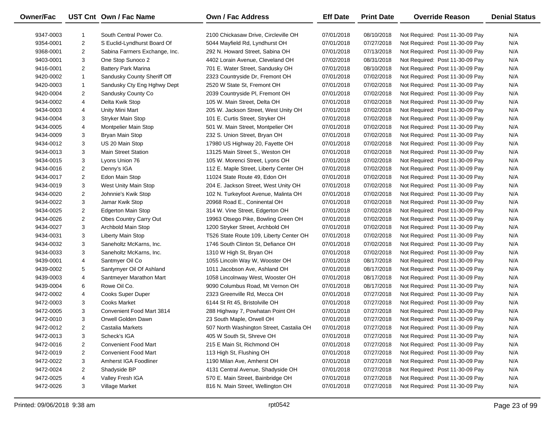| <b>Owner/Fac</b> |                | UST Cnt Own / Fac Name        | <b>Own / Fac Address</b>                 | <b>Eff Date</b> | <b>Print Date</b> | <b>Override Reason</b>          | <b>Denial Status</b> |
|------------------|----------------|-------------------------------|------------------------------------------|-----------------|-------------------|---------------------------------|----------------------|
| 9347-0003        | 1              | South Central Power Co.       | 2100 Chickasaw Drive, Circleville OH     | 07/01/2018      | 08/10/2018        | Not Required: Post 11-30-09 Pay | N/A                  |
| 9354-0001        | 2              | S Euclid-Lyndhurst Board Of   | 5044 Mayfield Rd, Lyndhurst OH           | 07/01/2018      | 07/27/2018        | Not Required: Post 11-30-09 Pay | N/A                  |
| 9368-0001        | 2              | Sabina Farmers Exchange, Inc. | 292 N. Howard Street, Sabina OH          | 07/01/2018      | 07/13/2018        | Not Required: Post 11-30-09 Pay | N/A                  |
| 9403-0001        | 3              | One Stop Sunoco 2             | 4402 Lorain Avenue, Cleveland OH         | 07/02/2018      | 08/31/2018        | Not Required: Post 11-30-09 Pay | N/A                  |
| 9416-0001        | 2              | <b>Battery Park Marina</b>    | 701 E. Water Street, Sandusky OH         | 07/01/2018      | 08/10/2018        | Not Required: Post 11-30-09 Pay | N/A                  |
| 9420-0002        | $\mathbf{1}$   | Sandusky County Sheriff Off   | 2323 Countryside Dr, Fremont OH          | 07/01/2018      | 07/02/2018        | Not Required: Post 11-30-09 Pay | N/A                  |
| 9420-0003        | $\mathbf{1}$   | Sandusky Cty Eng Hghwy Dept   | 2520 W State St, Fremont OH              | 07/01/2018      | 07/02/2018        | Not Required: Post 11-30-09 Pay | N/A                  |
| 9420-0004        | 2              | Sandusky County Co            | 2039 Countryside PI, Fremont OH          | 07/01/2018      | 07/02/2018        | Not Required: Post 11-30-09 Pay | N/A                  |
| 9434-0002        | 4              | Delta Kwik Stop               | 105 W. Main Street, Delta OH             | 07/01/2018      | 07/02/2018        | Not Required: Post 11-30-09 Pay | N/A                  |
| 9434-0003        | 4              | Unity Mini Mart               | 205 W. Jackson Street, West Unity OH     | 07/01/2018      | 07/02/2018        | Not Required: Post 11-30-09 Pay | N/A                  |
| 9434-0004        | 3              | <b>Stryker Main Stop</b>      | 101 E. Curtis Street, Stryker OH         | 07/01/2018      | 07/02/2018        | Not Required: Post 11-30-09 Pay | N/A                  |
| 9434-0005        | 4              | Montpelier Main Stop          | 501 W. Main Street, Montpelier OH        | 07/01/2018      | 07/02/2018        | Not Required: Post 11-30-09 Pay | N/A                  |
| 9434-0009        | 3              | Bryan Main Stop               | 232 S. Union Street, Bryan OH            | 07/01/2018      | 07/02/2018        | Not Required: Post 11-30-09 Pay | N/A                  |
| 9434-0012        | 3              | US 20 Main Stop               | 17980 US Highway 20, Fayette OH          | 07/01/2018      | 07/02/2018        | Not Required: Post 11-30-09 Pay | N/A                  |
| 9434-0013        | 3              | <b>Main Street Station</b>    | 13125 Main Street S., Weston OH          | 07/01/2018      | 07/02/2018        | Not Required: Post 11-30-09 Pay | N/A                  |
| 9434-0015        | 3              | Lyons Union 76                | 105 W. Morenci Street, Lyons OH          | 07/01/2018      | 07/02/2018        | Not Required: Post 11-30-09 Pay | N/A                  |
| 9434-0016        | $\overline{2}$ | Denny's IGA                   | 112 E. Maple Street, Liberty Center OH   | 07/01/2018      | 07/02/2018        | Not Required: Post 11-30-09 Pay | N/A                  |
| 9434-0017        | $\overline{2}$ | Edon Main Stop                | 11024 State Route 49, Edon OH            | 07/01/2018      | 07/02/2018        | Not Required: Post 11-30-09 Pay | N/A                  |
| 9434-0019        | 3              | West Unity Main Stop          | 204 E. Jackson Street, West Unity OH     | 07/01/2018      | 07/02/2018        | Not Required: Post 11-30-09 Pay | N/A                  |
| 9434-0020        | 2              | Johnnie's Kwik Stop           | 102 N. Turkeyfoot Avenue, Malinta OH     | 07/01/2018      | 07/02/2018        | Not Required: Post 11-30-09 Pay | N/A                  |
| 9434-0022        | 3              | Jamar Kwik Stop               | 20968 Road E., Coninental OH             | 07/01/2018      | 07/02/2018        | Not Required: Post 11-30-09 Pay | N/A                  |
| 9434-0025        | $\overline{2}$ | <b>Edgerton Main Stop</b>     | 314 W. Vine Street, Edgerton OH          | 07/01/2018      | 07/02/2018        | Not Required: Post 11-30-09 Pay | N/A                  |
| 9434-0026        | 2              | Obes Country Carry Out        | 19963 Otsego Pike, Bowling Green OH      | 07/01/2018      | 07/02/2018        | Not Required: Post 11-30-09 Pay | N/A                  |
| 9434-0027        | 3              | Archbold Main Stop            | 1200 Stryker Street, Archbold OH         | 07/01/2018      | 07/02/2018        | Not Required: Post 11-30-09 Pay | N/A                  |
| 9434-0031        | 3              | Liberty Main Stop             | T526 State Route 109, Liberty Center OH  | 07/01/2018      | 07/02/2018        | Not Required: Post 11-30-09 Pay | N/A                  |
| 9434-0032        | 3              | Saneholtz McKarns, Inc.       | 1746 South Clinton St, Defiance OH       | 07/01/2018      | 07/02/2018        | Not Required: Post 11-30-09 Pay | N/A                  |
| 9434-0033        | 3              | Saneholtz McKarns, Inc.       | 1310 W High St, Bryan OH                 | 07/01/2018      | 07/02/2018        | Not Required: Post 11-30-09 Pay | N/A                  |
| 9439-0001        | 4              | Santmyer Oil Co               | 1055 Lincoln Way W, Wooster OH           | 07/01/2018      | 08/17/2018        | Not Required: Post 11-30-09 Pay | N/A                  |
| 9439-0002        | 5              | Santymyer Oil Of Ashland      | 1011 Jacobson Ave, Ashland OH            | 07/01/2018      | 08/17/2018        | Not Required: Post 11-30-09 Pay | N/A                  |
| 9439-0003        | 4              | Santmeyer Marathon Mart       | 1058 Lincolnway West, Wooster OH         | 07/01/2018      | 08/17/2018        | Not Required: Post 11-30-09 Pay | N/A                  |
| 9439-0004        | 6              | Rowe Oil Co.                  | 9090 Columbus Road, Mt Vernon OH         | 07/01/2018      | 08/17/2018        | Not Required: Post 11-30-09 Pay | N/A                  |
| 9472-0002        | 4              | Cooks Super Duper             | 2323 Greenville Rd, Mecca OH             | 07/01/2018      | 07/27/2018        | Not Required: Post 11-30-09 Pay | N/A                  |
| 9472-0003        | 3              | <b>Cooks Market</b>           | 6144 St Rt 45, Bristolville OH           | 07/01/2018      | 07/27/2018        | Not Required: Post 11-30-09 Pay | N/A                  |
| 9472-0005        | 3              | Convenient Food Mart 3814     | 288 Highway 7, Powhatan Point OH         | 07/01/2018      | 07/27/2018        | Not Required: Post 11-30-09 Pay | N/A                  |
| 9472-0010        | 3              | <b>Orwell Golden Dawn</b>     | 23 South Maple, Orwell OH                | 07/01/2018      | 07/27/2018        | Not Required: Post 11-30-09 Pay | N/A                  |
| 9472-0012        | 2              | Castalia Markets              | 507 North Washington Street, Castalia OH | 07/01/2018      | 07/27/2018        | Not Required: Post 11-30-09 Pay | N/A                  |
| 9472-0013        | 3              | Scheck's IGA                  | 405 W South St, Shreve OH                | 07/01/2018      | 07/27/2018        | Not Required: Post 11-30-09 Pay | N/A                  |
| 9472-0016        | 2              | <b>Convenient Food Mart</b>   | 215 E Main St, Richmond OH               | 07/01/2018      | 07/27/2018        | Not Required: Post 11-30-09 Pay | N/A                  |
| 9472-0019        | 2              | <b>Convenient Food Mart</b>   | 113 High St, Flushing OH                 | 07/01/2018      | 07/27/2018        | Not Required: Post 11-30-09 Pay | N/A                  |
| 9472-0022        | 3              | Amherst IGA Foodliner         | 1190 Milan Ave, Amherst OH               | 07/01/2018      | 07/27/2018        | Not Required: Post 11-30-09 Pay | N/A                  |
| 9472-0024        | 2              | Shadyside BP                  | 4131 Central Avenue, Shadyside OH        | 07/01/2018      | 07/27/2018        | Not Required: Post 11-30-09 Pay | N/A                  |
| 9472-0025        | 4              | Valley Fresh IGA              | 570 E. Main Street, Bainbridge OH        | 07/01/2018      | 07/27/2018        | Not Required: Post 11-30-09 Pay | N/A                  |
| 9472-0026        | 3              | Village Market                | 816 N. Main Street, Wellington OH        | 07/01/2018      | 07/27/2018        | Not Required: Post 11-30-09 Pay | N/A                  |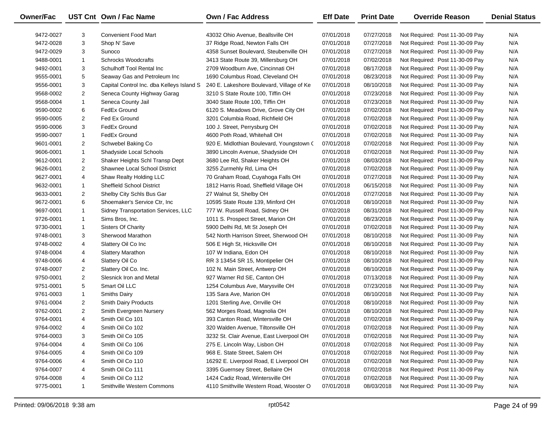| Owner/Fac |                | UST Cnt Own / Fac Name                    | Own / Fac Address                         | <b>Eff Date</b> | <b>Print Date</b> | <b>Override Reason</b>          | <b>Denial Status</b> |
|-----------|----------------|-------------------------------------------|-------------------------------------------|-----------------|-------------------|---------------------------------|----------------------|
| 9472-0027 | 3              | <b>Convenient Food Mart</b>               | 43032 Ohio Avenue, Beallsville OH         | 07/01/2018      | 07/27/2018        | Not Required: Post 11-30-09 Pay | N/A                  |
| 9472-0028 | 3              | Shop N' Save                              | 37 Ridge Road, Newton Falls OH            | 07/01/2018      | 07/27/2018        | Not Required: Post 11-30-09 Pay | N/A                  |
| 9472-0029 | 3              | Sunoco                                    | 4358 Sunset Boulevard, Steubenville OH    | 07/01/2018      | 07/27/2018        | Not Required: Post 11-30-09 Pay | N/A                  |
| 9488-0001 | $\mathbf{1}$   | <b>Schrocks Woodcrafts</b>                | 3413 State Route 39, Millersburg OH       | 07/01/2018      | 07/02/2018        | Not Required: Post 11-30-09 Pay | N/A                  |
| 9492-0001 | 3              | Schulhoff Tool Rental Inc                 | 2709 Woodburn Ave, Cincinnati OH          | 07/01/2018      | 08/17/2018        | Not Required: Post 11-30-09 Pay | N/A                  |
| 9555-0001 | 5              | Seaway Gas and Petroleum Inc              | 1690 Columbus Road, Cleveland OH          | 07/01/2018      | 08/23/2018        | Not Required: Post 11-30-09 Pay | N/A                  |
| 9556-0001 | 3              | Capital Control Inc. dba Kelleys Island S | 240 E. Lakeshore Boulevard, Village of Ke | 07/01/2018      | 08/10/2018        | Not Required: Post 11-30-09 Pay | N/A                  |
| 9568-0002 | $\overline{2}$ | Seneca County Highway Garag               | 3210 S State Route 100, Tiffin OH         | 07/01/2018      | 07/23/2018        | Not Required: Post 11-30-09 Pay | N/A                  |
| 9568-0004 | $\mathbf{1}$   | Seneca County Jail                        | 3040 State Route 100, Tiffin OH           | 07/01/2018      | 07/23/2018        | Not Required: Post 11-30-09 Pay | N/A                  |
| 9590-0002 | 6              | FedEx Ground                              | 6120 S. Meadows Drive, Grove City OH      | 07/01/2018      | 07/02/2018        | Not Required: Post 11-30-09 Pay | N/A                  |
| 9590-0005 | $\overline{2}$ | Fed Ex Ground                             | 3201 Columbia Road, Richfield OH          | 07/01/2018      | 07/02/2018        | Not Required: Post 11-30-09 Pay | N/A                  |
| 9590-0006 | 3              | FedEx Ground                              | 100 J. Street, Perrysburg OH              | 07/01/2018      | 07/02/2018        | Not Required: Post 11-30-09 Pay | N/A                  |
| 9590-0007 | $\mathbf{1}$   | FedEx Ground                              | 4600 Poth Road, Whitehall OH              | 07/01/2018      | 07/02/2018        | Not Required: Post 11-30-09 Pay | N/A                  |
| 9601-0001 | $\overline{2}$ | Schwebel Baking Co                        | 920 E. Midlothian Boulevard, Youngstown ( | 07/01/2018      | 07/02/2018        | Not Required: Post 11-30-09 Pay | N/A                  |
| 9606-0001 | $\mathbf{1}$   | Shadyside Local Schools                   | 3890 Lincoln Avenue, Shadyside OH         | 07/01/2018      | 07/02/2018        | Not Required: Post 11-30-09 Pay | N/A                  |
| 9612-0001 | $\overline{2}$ | Shaker Heights Schl Transp Dept           | 3680 Lee Rd, Shaker Heights OH            | 07/01/2018      | 08/03/2018        | Not Required: Post 11-30-09 Pay | N/A                  |
| 9626-0001 | $\overline{2}$ | Shawnee Local School District             | 3255 Zurmehly Rd, Lima OH                 | 07/01/2018      | 07/02/2018        | Not Required: Post 11-30-09 Pay | N/A                  |
| 9627-0001 | 4              | Shaw Realty Holding LLC                   | 70 Graham Road, Cuyahoga Falls OH         | 07/01/2018      | 07/27/2018        | Not Required: Post 11-30-09 Pay | N/A                  |
| 9632-0001 | $\mathbf{1}$   | <b>Sheffield School District</b>          | 1812 Harris Road, Sheffield Village OH    | 07/01/2018      | 06/15/2018        | Not Required: Post 11-30-09 Pay | N/A                  |
| 9633-0001 | $\overline{2}$ | Shelby City Schls Bus Gar                 | 27 Walnut St, Shelby OH                   | 07/01/2018      | 07/27/2018        | Not Required: Post 11-30-09 Pay | N/A                  |
| 9672-0001 | 6              | Shoemaker's Service Ctr, Inc.             | 10595 State Route 139, Minford OH         | 07/01/2018      | 08/10/2018        | Not Required: Post 11-30-09 Pay | N/A                  |
| 9697-0001 | $\mathbf{1}$   | Sidney Transportation Services, LLC       | 777 W. Russell Road, Sidney OH            | 07/02/2018      | 08/31/2018        | Not Required: Post 11-30-09 Pay | N/A                  |
| 9726-0001 | $\mathbf{1}$   | Sims Bros, Inc.                           | 1011 S. Prospect Street, Marion OH        | 07/01/2018      | 08/23/2018        | Not Required: Post 11-30-09 Pay | N/A                  |
| 9730-0001 | $\mathbf{1}$   | <b>Sisters Of Charity</b>                 | 5900 Delhi Rd, Mt St Joseph OH            | 07/01/2018      | 07/02/2018        | Not Required: Post 11-30-09 Pay | N/A                  |
| 9748-0001 | 3              | Sherwood Marathon                         | 542 North Harrison Street, Sherwood OH    | 07/01/2018      | 08/10/2018        | Not Required: Post 11-30-09 Pay | N/A                  |
| 9748-0002 | 4              | Slattery Oil Co Inc                       | 506 E High St, Hicksville OH              | 07/01/2018      | 08/10/2018        | Not Required: Post 11-30-09 Pay | N/A                  |
| 9748-0004 | 4              | <b>Slattery Marathon</b>                  | 107 W Indiana, Edon OH                    | 07/01/2018      | 08/10/2018        | Not Required: Post 11-30-09 Pay | N/A                  |
| 9748-0006 | 4              | Slattery Oil Co                           | RR 3 13454 SR 15, Montipelier OH          | 07/01/2018      | 08/10/2018        | Not Required: Post 11-30-09 Pay | N/A                  |
| 9748-0007 | $\overline{2}$ | Slattery Oil Co. Inc.                     | 102 N. Main Street, Antwerp OH            | 07/01/2018      | 08/10/2018        | Not Required: Post 11-30-09 Pay | N/A                  |
| 9750-0001 | $\overline{2}$ | Slesnick Iron and Metal                   | 927 Warner Rd SE, Canton OH               | 07/01/2018      | 07/13/2018        | Not Required: Post 11-30-09 Pay | N/A                  |
| 9751-0001 | 5              | Smart Oil LLC                             | 1254 Columbus Ave, Marysville OH          | 07/01/2018      | 07/23/2018        | Not Required: Post 11-30-09 Pay | N/A                  |
| 9761-0003 | $\mathbf{1}$   | <b>Smiths Dairy</b>                       | 135 Sara Ave, Marion OH                   | 07/01/2018      | 08/10/2018        | Not Required: Post 11-30-09 Pay | N/A                  |
| 9761-0004 | $\overline{2}$ | Smith Dairy Products                      | 1201 Sterling Ave, Orrville OH            | 07/01/2018      | 08/10/2018        | Not Required: Post 11-30-09 Pay | N/A                  |
| 9762-0001 | $\overline{2}$ | Smith Evergreen Nursery                   | 562 Morges Road, Magnolia OH              | 07/01/2018      | 08/10/2018        | Not Required: Post 11-30-09 Pay | N/A                  |
| 9764-0001 | 4              | Smith Oil Co 101                          | 393 Canton Road, Wintersville OH          | 07/01/2018      | 07/02/2018        | Not Required: Post 11-30-09 Pay | N/A                  |
| 9764-0002 | 4              | Smith Oil Co 102                          | 320 Walden Avenue, Tiltonsville OH        | 07/01/2018      | 07/02/2018        | Not Required: Post 11-30-09 Pay | N/A                  |
| 9764-0003 | 3              | Smith Oil Co 105                          | 3232 St. Clair Avenue, East Liverpool OH  | 07/01/2018      | 07/02/2018        | Not Required: Post 11-30-09 Pay | N/A                  |
| 9764-0004 | 4              | Smith Oil Co 106                          | 275 E. Lincoln Way, Lisbon OH             | 07/01/2018      | 07/02/2018        | Not Required: Post 11-30-09 Pay | N/A                  |
| 9764-0005 | 4              | Smith Oil Co 109                          | 968 E. State Street, Salem OH             | 07/01/2018      | 07/02/2018        | Not Required: Post 11-30-09 Pay | N/A                  |
| 9764-0006 | 4              | Smith Oil Co 110                          | 16292 E. Liverpool Road, E Liverpool OH   | 07/01/2018      | 07/02/2018        | Not Required: Post 11-30-09 Pay | N/A                  |
| 9764-0007 | 4              | Smith Oil Co 111                          | 3395 Guernsey Street, Bellaire OH         | 07/01/2018      | 07/02/2018        | Not Required: Post 11-30-09 Pay | N/A                  |
| 9764-0008 | 4              | Smith Oil Co 112                          | 1424 Cadiz Road, Wintersville OH          | 07/01/2018      | 07/02/2018        | Not Required: Post 11-30-09 Pay | N/A                  |
| 9775-0001 | $\mathbf{1}$   | Smithville Western Commons                | 4110 Smithville Western Road, Wooster O   | 07/01/2018      | 08/03/2018        | Not Required: Post 11-30-09 Pay | N/A                  |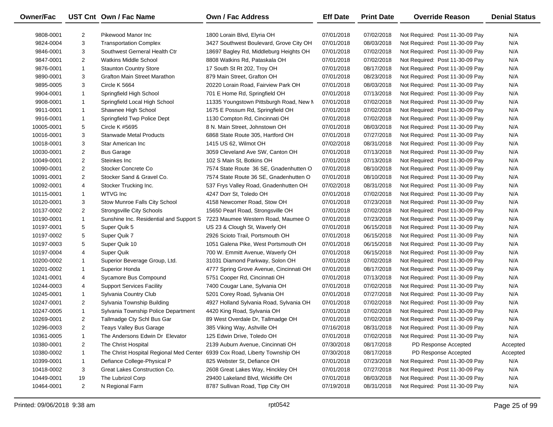| Owner/Fac  |                | UST Cnt Own / Fac Name                  | <b>Own / Fac Address</b>                | <b>Eff Date</b> | <b>Print Date</b> | <b>Override Reason</b>          | <b>Denial Status</b> |
|------------|----------------|-----------------------------------------|-----------------------------------------|-----------------|-------------------|---------------------------------|----------------------|
| 9808-0001  | 2              | Pikewood Manor Inc                      | 1800 Lorain Blvd, Elyria OH             | 07/01/2018      | 07/02/2018        | Not Required: Post 11-30-09 Pay | N/A                  |
| 9824-0004  | 3              | <b>Transportation Complex</b>           | 3427 Southwest Boulevard, Grove City OH | 07/01/2018      | 08/03/2018        | Not Required: Post 11-30-09 Pay | N/A                  |
| 9846-0001  | 3              | Southwest Gerneral Health Ctr           | 18697 Bagley Rd, Middleburg Heights OH  | 07/01/2018      | 07/02/2018        | Not Required: Post 11-30-09 Pay | N/A                  |
| 9847-0001  | $\overline{2}$ | <b>Watkins Middle School</b>            | 8808 Watkins Rd, Pataskala OH           | 07/01/2018      | 07/02/2018        | Not Required: Post 11-30-09 Pay | N/A                  |
| 9876-0001  | $\mathbf{1}$   | <b>Staunton Country Store</b>           | 17 South St Rt 202, Troy OH             | 07/01/2018      | 08/17/2018        | Not Required: Post 11-30-09 Pay | N/A                  |
| 9890-0001  | 3              | <b>Grafton Main Street Marathon</b>     | 879 Main Street, Grafton OH             | 07/01/2018      | 08/23/2018        | Not Required: Post 11-30-09 Pay | N/A                  |
| 9895-0005  | 3              | Circle K 5664                           | 20220 Lorain Road, Fairview Park OH     | 07/01/2018      | 08/03/2018        | Not Required: Post 11-30-09 Pay | N/A                  |
| 9904-0001  | 1              | Springfield High School                 | 701 E Home Rd, Springfield OH           | 07/01/2018      | 07/13/2018        | Not Required: Post 11-30-09 Pay | N/A                  |
| 9908-0001  | 1              | Springfield Local High School           | 11335 Youngstown Pittsburgh Road, New M | 07/01/2018      | 07/02/2018        | Not Required: Post 11-30-09 Pay | N/A                  |
| 9911-0001  | 1              | Shawnee High School                     | 1675 E Possum Rd, Springfield OH        | 07/01/2018      | 07/02/2018        | Not Required: Post 11-30-09 Pay | N/A                  |
| 9916-0001  | 1              | Springfield Twp Police Dept             | 1130 Compton Rd, Cincinnati OH          | 07/01/2018      | 07/02/2018        | Not Required: Post 11-30-09 Pay | N/A                  |
| 10005-0001 | 5              | Circle K #5695                          | 8 N. Main Street, Johnstown OH          | 07/01/2018      | 08/03/2018        | Not Required: Post 11-30-09 Pay | N/A                  |
| 10016-0001 | 3              | <b>Stanwade Metal Products</b>          | 6868 State Route 305, Hartford OH       | 07/01/2018      | 07/27/2018        | Not Required: Post 11-30-09 Pay | N/A                  |
| 10018-0001 | 3              | Star American Inc                       | 1415 US 62, Wilmot OH                   | 07/02/2018      | 08/31/2018        | Not Required: Post 11-30-09 Pay | N/A                  |
| 10030-0001 | $\overline{2}$ | <b>Bus Garage</b>                       | 3059 Cleveland Ave SW, Canton OH        | 07/01/2018      | 07/13/2018        | Not Required: Post 11-30-09 Pay | N/A                  |
| 10049-0001 | $\overline{2}$ | Steinkes Inc                            | 102 S Main St, Botkins OH               | 07/01/2018      | 07/13/2018        | Not Required: Post 11-30-09 Pay | N/A                  |
| 10090-0001 | $\overline{2}$ | Stocker Concrete Co                     | 7574 State Route 36 SE, Gnadenhutten O  | 07/01/2018      | 08/10/2018        | Not Required: Post 11-30-09 Pay | N/A                  |
| 10091-0001 | $\overline{2}$ | Stocker Sand & Gravel Co.               | 7574 State Route 36 SE, Gnadenhutten O  | 07/01/2018      | 08/10/2018        | Not Required: Post 11-30-09 Pay | N/A                  |
| 10092-0001 | 4              | Stocker Trucking Inc.                   | 537 Frys Valley Road, Gnadenhutten OH   | 07/02/2018      | 08/31/2018        | Not Required: Post 11-30-09 Pay | N/A                  |
| 10115-0001 | $\mathbf{1}$   | <b>WTVG</b> Inc                         | 4247 Dorr St, Toledo OH                 | 07/01/2018      | 07/02/2018        | Not Required: Post 11-30-09 Pay | N/A                  |
| 10120-0001 | 3              | Stow Munroe Falls City School           | 4158 Newcomer Road, Stow OH             | 07/01/2018      | 07/23/2018        | Not Required: Post 11-30-09 Pay | N/A                  |
| 10137-0002 | $\overline{2}$ | <b>Strongsville City Schools</b>        | 15650 Pearl Road, Strongsville OH       | 07/01/2018      | 07/02/2018        | Not Required: Post 11-30-09 Pay | N/A                  |
| 10190-0001 | $\mathbf{1}$   | Sunshine Inc. Residential and Support S | 7223 Maumee Western Road, Maumee O      | 07/01/2018      | 07/23/2018        | Not Required: Post 11-30-09 Pay | N/A                  |
| 10197-0001 | 5              | Super Quik 5                            | US 23 & Clough St, Waverly OH           | 07/01/2018      | 06/15/2018        | Not Required: Post 11-30-09 Pay | N/A                  |
| 10197-0002 | 5              | Super Quik 7                            | 2926 Scioto Trail, Portsmouth OH        | 07/01/2018      | 06/15/2018        | Not Required: Post 11-30-09 Pay | N/A                  |
| 10197-0003 | 5              | Super Quik 10                           | 1051 Galena Pike, West Portsmouth OH    | 07/01/2018      | 06/15/2018        | Not Required: Post 11-30-09 Pay | N/A                  |
| 10197-0004 | 4              | Super Quik                              | 700 W. Emmitt Avenue, Waverly OH        | 07/01/2018      | 06/15/2018        | Not Required: Post 11-30-09 Pay | N/A                  |
| 10200-0002 | 1              | Superior Beverage Group, Ltd.           | 31031 Diamond Parkway, Solon OH         | 07/01/2018      | 07/02/2018        | Not Required: Post 11-30-09 Pay | N/A                  |
| 10201-0002 | $\mathbf{1}$   | Superior Honda                          | 4777 Spring Grove Avenue, Cincinnati OH | 07/01/2018      | 08/17/2018        | Not Required: Post 11-30-09 Pay | N/A                  |
| 10241-0001 | 4              | Sycamore Bus Compound                   | 5751 Cooper Rd, Cincinnati OH           | 07/01/2018      | 07/13/2018        | Not Required: Post 11-30-09 Pay | N/A                  |
| 10244-0003 | 4              | <b>Support Services Facility</b>        | 7400 Cougar Lane, Sylvania OH           | 07/01/2018      | 07/02/2018        | Not Required: Post 11-30-09 Pay | N/A                  |
| 10245-0001 | $\mathbf{1}$   | Sylvania Country Club                   | 5201 Corey Road, Sylvania OH            | 07/01/2018      | 07/27/2018        | Not Required: Post 11-30-09 Pay | N/A                  |
| 10247-0001 | $\overline{2}$ | Sylvania Township Building              | 4927 Holland Sylvania Road, Sylvania OH | 07/01/2018      | 07/02/2018        | Not Required: Post 11-30-09 Pay | N/A                  |
| 10247-0005 | $\mathbf{1}$   | Sylvania Township Police Department     | 4420 King Road, Sylvania OH             | 07/01/2018      | 07/02/2018        | Not Required: Post 11-30-09 Pay | N/A                  |
| 10269-0001 | $\overline{2}$ | Tallmadge Cty Schl Bus Gar              | 89 West Overdale Dr, Tallmadge OH       | 07/01/2018      | 07/02/2018        | Not Required: Post 11-30-09 Pay | N/A                  |
| 10296-0003 | 2              | Teays Valley Bus Garage                 | 385 Viking Way, Ashville OH             | 07/16/2018      | 08/31/2018        | Not Required: Post 11-30-09 Pay | N/A                  |
| 10361-0005 | 1              | The Andersons Edwin Dr Elevator         | 125 Edwin Drive, Toledo OH              | 07/01/2018      | 07/02/2018        | Not Required: Post 11-30-09 Pay | N/A                  |
| 10380-0001 | 2              | The Christ Hospital                     | 2139 Auburn Avenue, Cincinnati OH       | 07/30/2018      | 08/17/2018        | PD Response Accepted            | Accepted             |
| 10380-0002 | 1              | The Christ Hospital Regional Med Center | 6939 Cox Road, Liberty Township OH      | 07/30/2018      | 08/17/2018        | PD Response Accepted            | Accepted             |
| 10399-0001 | 1              | Defiance College-Physical P             | 825 Webster St, Defiance OH             | 07/01/2018      | 07/23/2018        | Not Required: Post 11-30-09 Pay | N/A                  |
| 10418-0002 | 3              | Great Lakes Construction Co.            | 2608 Great Lakes Way, Hinckley OH       | 07/01/2018      | 07/27/2018        | Not Required: Post 11-30-09 Pay | N/A                  |
| 10449-0001 | 19             | The Lubrizol Corp                       | 29400 Lakeland Blvd, Wickliffe OH       | 07/01/2018      | 08/03/2018        | Not Required: Post 11-30-09 Pay | N/A                  |
| 10464-0001 | $\overline{2}$ | N Regional Farm                         | 8787 Sullivan Road, Tipp City OH        | 07/19/2018      | 08/31/2018        | Not Required: Post 11-30-09 Pay | N/A                  |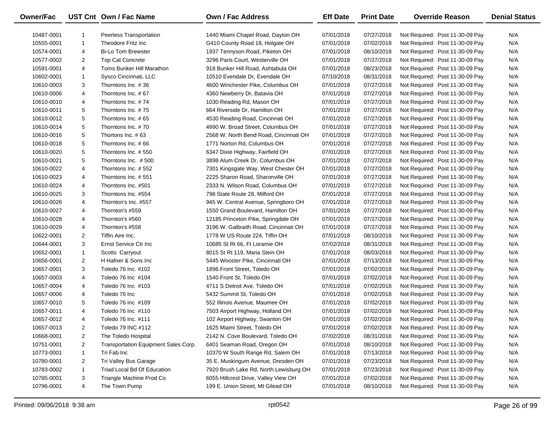| Owner/Fac  |                | UST Cnt Own / Fac Name                   | <b>Own / Fac Address</b>               | <b>Eff Date</b> | <b>Print Date</b> | <b>Override Reason</b>          | <b>Denial Status</b> |
|------------|----------------|------------------------------------------|----------------------------------------|-----------------|-------------------|---------------------------------|----------------------|
| 10487-0001 |                | Peerless Transportation                  | 1440 Miami Chapel Road, Dayton OH      | 07/01/2018      | 07/27/2018        | Not Required: Post 11-30-09 Pay | N/A                  |
| 10555-0001 | $\mathbf{1}$   | Theodore Fritz Inc                       | G410 County Road 18, Holgate OH        | 07/01/2018      | 07/02/2018        | Not Required: Post 11-30-09 Pay | N/A                  |
| 10574-0001 | 4              | <b>Bi-Lo Tom Brewster</b>                | 1937 Tennyson Road, Piketon OH         | 07/01/2018      | 08/10/2018        | Not Required: Post 11-30-09 Pay | N/A                  |
| 10577-0002 | $\overline{2}$ | <b>Top Cat Concrete</b>                  | 3296 Paris Court, Westerville OH       | 07/01/2018      | 07/27/2018        | Not Required: Post 11-30-09 Pay | N/A                  |
|            |                | Toms Bunker Hill Marathon                | 918 Bunker Hill Road, Ashtabula OH     |                 |                   |                                 | N/A                  |
| 10591-0001 | 4              |                                          |                                        | 07/01/2018      | 08/23/2018        | Not Required: Post 11-30-09 Pay | N/A                  |
| 10602-0001 | 1              | Sysco Cincinnati, LLC                    | 10510 Evendale Dr, Evendale OH         | 07/10/2018      | 08/31/2018        | Not Required: Post 11-30-09 Pay |                      |
| 10610-0003 | 3              | Thorntons Inc. #36<br>Thorntons Inc. #67 | 4600 Winchester Pike, Columbus OH      | 07/01/2018      | 07/27/2018        | Not Required: Post 11-30-09 Pay | N/A                  |
| 10610-0006 | 4              |                                          | 4360 Newberry Dr, Batavia OH           | 07/01/2018      | 07/27/2018        | Not Required: Post 11-30-09 Pay | N/A                  |
| 10610-0010 | 4              | Thorntons Inc. #74                       | 1030 Reading Rd, Mason OH              | 07/01/2018      | 07/27/2018        | Not Required: Post 11-30-09 Pay | N/A                  |
| 10610-0011 | 5              | Thorntons Inc. #75                       | 664 Riverside Dr, Hamilton OH          | 07/01/2018      | 07/27/2018        | Not Required: Post 11-30-09 Pay | N/A                  |
| 10610-0012 | 5              | Thorntons Inc. #65                       | 4530 Reading Road, Cincinnati OH       | 07/01/2018      | 07/27/2018        | Not Required: Post 11-30-09 Pay | N/A                  |
| 10610-0014 | 5              | Thorntons Inc. #70                       | 4990 W. Broad Street, Columbus OH      | 07/01/2018      | 07/27/2018        | Not Required: Post 11-30-09 Pay | N/A                  |
| 10610-0016 | 5              | Thortons Inc. #63                        | 2568 W. North Bend Road, Cincinnati OH | 07/01/2018      | 07/27/2018        | Not Required: Post 11-30-09 Pay | N/A                  |
| 10610-0018 | 5              | Thorntons Inc. #66                       | 1771 Norton Rd, Columbus OH            | 07/01/2018      | 07/27/2018        | Not Required: Post 11-30-09 Pay | N/A                  |
| 10610-0020 | 5              | Thorntons Inc. #550                      | 6347 Dixie Highway, Fairfield OH       | 07/01/2018      | 07/27/2018        | Not Required: Post 11-30-09 Pay | N/A                  |
| 10610-0021 | 5              | Thorntons Inc. #500                      | 3898 Alum Creek Dr, Columbus OH        | 07/01/2018      | 07/27/2018        | Not Required: Post 11-30-09 Pay | N/A                  |
| 10610-0022 | 4              | Thorntons Inc. #552                      | 7301 Kingsgate Way, West Chester OH    | 07/01/2018      | 07/27/2018        | Not Required: Post 11-30-09 Pay | N/A                  |
| 10610-0023 | 4              | Thorntons Inc. #551                      | 2225 Sharon Road, Sharonville OH       | 07/01/2018      | 07/27/2018        | Not Required: Post 11-30-09 Pay | N/A                  |
| 10610-0024 | 4              | Thorntons Inc. #501                      | 2333 N. Wilson Road, Columbus OH       | 07/01/2018      | 07/27/2018        | Not Required: Post 11-30-09 Pay | N/A                  |
| 10610-0025 | 3              | Thorntons Inc. #554                      | 798 State Route 28, Milford OH         | 07/01/2018      | 07/27/2018        | Not Required: Post 11-30-09 Pay | N/A                  |
| 10610-0026 | 4              | Thornton's Inc. #557                     | 945 W. Central Avenue, Springboro OH   | 07/01/2018      | 07/27/2018        | Not Required: Post 11-30-09 Pay | N/A                  |
| 10610-0027 | 4              | Thornton's #559                          | 1550 Grand Boulevard, Hamilton OH      | 07/01/2018      | 07/27/2018        | Not Required: Post 11-30-09 Pay | N/A                  |
| 10610-0028 | 4              | Thornton's #560                          | 12185 Princeton Pike, Springdale OH    | 07/01/2018      | 07/27/2018        | Not Required: Post 11-30-09 Pay | N/A                  |
| 10610-0029 | 4              | Thornton's #558                          | 3196 W. Galbraith Road, Cincinnati OH  | 07/01/2018      | 07/27/2018        | Not Required: Post 11-30-09 Pay | N/A                  |
| 10622-0001 | $\overline{2}$ | Tiffin Aire Inc.                         | 1778 W US Route 224, Tiffin OH         | 07/01/2018      | 08/10/2018        | Not Required: Post 11-30-09 Pay | N/A                  |
| 10644-0001 | 3              | Ernst Service Ctr Inc                    | 10685 St Rt 66, Ft Loramie OH          | 07/02/2018      | 08/31/2018        | Not Required: Post 11-30-09 Pay | N/A                  |
| 10652-0001 | $\mathbf{1}$   | Scotts Carryout                          | 8015 St Rt 119, Maria Stein OH         | 07/01/2018      | 08/03/2018        | Not Required: Post 11-30-09 Pay | N/A                  |
| 10656-0001 | $\overline{2}$ | H Hafner & Sons Inc                      | 5445 Wooster Pike, Cincinnati OH       | 07/01/2018      | 07/13/2018        | Not Required: Post 11-30-09 Pay | N/A                  |
| 10657-0001 | 3              | Toledo 76 Inc. #102                      | 1896 Front Street, Toledo OH           | 07/01/2018      | 07/02/2018        | Not Required: Post 11-30-09 Pay | N/A                  |
| 10657-0003 | 4              | Toledo 76 Inc #104                       | 1540 Front St, Toledo OH               | 07/01/2018      | 07/02/2018        | Not Required: Post 11-30-09 Pay | N/A                  |
| 10657-0004 | 4              | Toledo 76 Inc #103                       | 4711 S Detroit Ave, Toledo OH          | 07/01/2018      | 07/02/2018        | Not Required: Post 11-30-09 Pay | N/A                  |
| 10657-0006 | 4              | Toledo 76 Inc                            | 5432 Summit St, Toledo OH              | 07/01/2018      | 07/02/2018        | Not Required: Post 11-30-09 Pay | N/A                  |
| 10657-0010 | 5              | Toledo 76 Inc #109                       | 552 Illinois Avenue, Maumee OH         | 07/01/2018      | 07/02/2018        | Not Required: Post 11-30-09 Pay | N/A                  |
| 10657-0011 | 4              | Toledo 76 Inc #110                       | 7503 Airport Highway, Holland OH       | 07/01/2018      | 07/02/2018        | Not Required: Post 11-30-09 Pay | N/A                  |
| 10657-0012 | 4              | Toledo 76 Inc. #111                      | 102 Airport Highway, Swanton OH        | 07/01/2018      | 07/02/2018        | Not Required: Post 11-30-09 Pay | N/A                  |
| 10657-0013 | 2              | Toledo 79 INC #112                       | 1625 Miami Street, Toledo OH           | 07/01/2018      | 07/02/2018        | Not Required: Post 11-30-09 Pay | N/A                  |
| 10668-0001 | 2              | The Toledo Hospital                      | 2142 N. Cove Boulevard, Toledo OH      | 07/02/2018      | 08/31/2018        | Not Required: Post 11-30-09 Pay | N/A                  |
| 10751-0001 | 2              | Transportation Equipment Sales Corp.     | 6401 Seaman Road, Oregon OH            | 07/01/2018      | 08/10/2018        | Not Required: Post 11-30-09 Pay | N/A                  |
| 10773-0001 | $\mathbf{1}$   | Tri Fab Inc                              | 10370 W South Range Rd, Salem OH       | 07/01/2018      | 07/13/2018        | Not Required: Post 11-30-09 Pay | N/A                  |
| 10780-0001 | 2              | Tri Valley Bus Garage                    | 35 E. Muskingum Avenue, Dresden OH     | 07/01/2018      | 07/23/2018        | Not Required: Post 11-30-09 Pay | N/A                  |
| 10783-0002 | 1              | Triad Local Bd Of Education              | 7920 Brush Lake Rd, North Lewisburg OH | 07/01/2018      | 07/23/2018        | Not Required: Post 11-30-09 Pay | N/A                  |
| 10785-0001 | 3              | Triangle Machine Prod Co                 | 6055 Hillcrest Drive, Valley View OH   | 07/01/2018      | 07/02/2018        | Not Required: Post 11-30-09 Pay | N/A                  |
| 10796-0001 | 4              | The Town Pump                            | 199 E. Union Street, Mt Gilead OH      | 07/01/2018      | 08/10/2018        | Not Required: Post 11-30-09 Pay | N/A                  |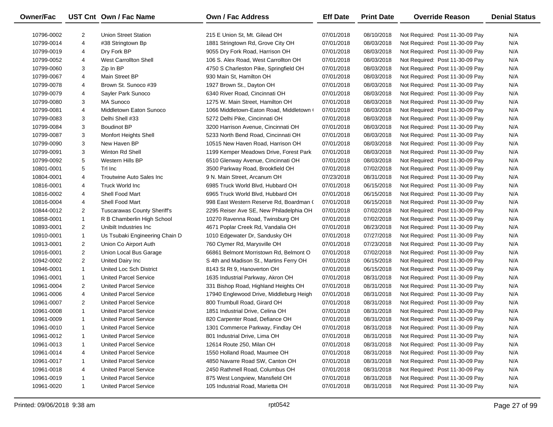| Owner/Fac  |                | UST Cnt Own / Fac Name             | <b>Own / Fac Address</b>                 | <b>Eff Date</b> | <b>Print Date</b> | <b>Override Reason</b>          | <b>Denial Status</b> |
|------------|----------------|------------------------------------|------------------------------------------|-----------------|-------------------|---------------------------------|----------------------|
| 10796-0002 | 2              | <b>Union Street Station</b>        | 215 E Union St, Mt. Gilead OH            | 07/01/2018      | 08/10/2018        | Not Required: Post 11-30-09 Pay | N/A                  |
| 10799-0014 | 4              | #38 Stringtown Bp                  | 1881 Stringtown Rd, Grove City OH        | 07/01/2018      | 08/03/2018        | Not Required: Post 11-30-09 Pay | N/A                  |
| 10799-0019 | 4              | Dry Fork BP                        | 9055 Dry Fork Road, Harrison OH          | 07/01/2018      | 08/03/2018        | Not Required: Post 11-30-09 Pay | N/A                  |
| 10799-0052 | 4              | West Carrollton Shell              | 106 S. Alex Road, West Carrollton OH     | 07/01/2018      | 08/03/2018        | Not Required: Post 11-30-09 Pay | N/A                  |
| 10799-0060 | 3              | Zip In BP                          | 4750 S Charleston Pike, Springfield OH   | 07/01/2018      | 08/03/2018        | Not Required: Post 11-30-09 Pay | N/A                  |
| 10799-0067 | 4              | Main Street BP                     | 930 Main St, Hamilton OH                 | 07/01/2018      | 08/03/2018        | Not Required: Post 11-30-09 Pay | N/A                  |
| 10799-0078 | 4              | Brown St. Sunoco #39               | 1927 Brown St., Dayton OH                | 07/01/2018      | 08/03/2018        | Not Required: Post 11-30-09 Pay | N/A                  |
| 10799-0079 | 4              | Sayler Park Sunoco                 | 6340 River Road, Cincinnati OH           | 07/01/2018      | 08/03/2018        | Not Required: Post 11-30-09 Pay | N/A                  |
| 10799-0080 | 3              | MA Sunoco                          | 1275 W. Main Street, Hamilton OH         | 07/01/2018      | 08/03/2018        | Not Required: Post 11-30-09 Pay | N/A                  |
| 10799-0081 | 4              | Middletown Eaton Sunoco            | 1066 Middletown-Eaton Road, Middletown ( | 07/01/2018      | 08/03/2018        | Not Required: Post 11-30-09 Pay | N/A                  |
| 10799-0083 | 3              | Delhi Shell #33                    | 5272 Delhi Pike, Cincinnati OH           | 07/01/2018      | 08/03/2018        | Not Required: Post 11-30-09 Pay | N/A                  |
| 10799-0084 | 3              | <b>Boudinot BP</b>                 | 3200 Harrison Avenue, Cincinnati OH      | 07/01/2018      | 08/03/2018        | Not Required: Post 11-30-09 Pay | N/A                  |
| 10799-0087 | 3              | Monfort Heights Shell              | 5233 North Bend Road, Cincinnati OH      | 07/01/2018      | 08/03/2018        | Not Required: Post 11-30-09 Pay | N/A                  |
| 10799-0090 | 3              | New Haven BP                       | 10515 New Haven Road, Harrison OH        | 07/01/2018      | 08/03/2018        | Not Required: Post 11-30-09 Pay | N/A                  |
| 10799-0091 | 3              | Winton Rd Shell                    | 1199 Kemper Meadows Drive, Forest Park   | 07/01/2018      | 08/03/2018        | Not Required: Post 11-30-09 Pay | N/A                  |
| 10799-0092 | 5              | Western Hills BP                   | 6510 Glenway Avenue, Cincinnati OH       | 07/01/2018      | 08/03/2018        | Not Required: Post 11-30-09 Pay | N/A                  |
| 10801-0001 | 5              | Trl Inc                            | 3500 Parkway Road, Brookfield OH         | 07/01/2018      | 07/02/2018        | Not Required: Post 11-30-09 Pay | N/A                  |
| 10804-0001 | 4              | Troutwine Auto Sales Inc           | 9 N. Main Street, Arcanum OH             | 07/23/2018      | 08/31/2018        | Not Required: Post 11-30-09 Pay | N/A                  |
| 10816-0001 | 4              | Truck World Inc                    | 6985 Truck World Blvd, Hubbard OH        | 07/01/2018      | 06/15/2018        | Not Required: Post 11-30-09 Pay | N/A                  |
| 10816-0002 | 4              | Shell Food Mart                    | 6965 Truck World Blvd, Hubbard OH        | 07/01/2018      | 06/15/2018        | Not Required: Post 11-30-09 Pay | N/A                  |
| 10816-0004 | 4              | Shell Food Mart                    | 998 East Western Reserve Rd, Boardman (  | 07/01/2018      | 06/15/2018        | Not Required: Post 11-30-09 Pay | N/A                  |
| 10844-0012 | $\overline{2}$ | <b>Tuscarawas County Sheriff's</b> | 2295 Reiser Ave SE, New Philadelphia OH  | 07/01/2018      | 07/02/2018        | Not Required: Post 11-30-09 Pay | N/A                  |
| 10858-0001 | $\mathbf{1}$   | R B Chamberlin High School         | 10270 Ravenna Road, Twinsburg OH         | 07/01/2018      | 07/02/2018        | Not Required: Post 11-30-09 Pay | N/A                  |
| 10893-0001 | $\overline{2}$ | Unibilt Industries Inc.            | 4671 Poplar Creek Rd, Vandalia OH        | 07/01/2018      | 08/23/2018        | Not Required: Post 11-30-09 Pay | N/A                  |
| 10910-0001 | $\mathbf{1}$   | Us Tsubaki Engineering Chain D     | 1010 Edgewater Dr, Sandusky OH           | 07/01/2018      | 07/27/2018        | Not Required: Post 11-30-09 Pay | N/A                  |
| 10913-0001 | $\overline{2}$ | Union Co Airport Auth              | 760 Clymer Rd, Marysville OH             | 07/01/2018      | 07/23/2018        | Not Required: Post 11-30-09 Pay | N/A                  |
| 10916-0001 | $\overline{2}$ | Union Local Bus Garage             | 66861 Belmont Morristown Rd, Belmont O   | 07/01/2018      | 07/02/2018        | Not Required: Post 11-30-09 Pay | N/A                  |
| 10942-0002 | $\overline{2}$ | United Dairy Inc                   | S 4th and Madison St., Martins Ferry OH  | 07/01/2018      | 06/15/2018        | Not Required: Post 11-30-09 Pay | N/A                  |
| 10946-0001 | $\mathbf{1}$   | United Loc Sch District            | 8143 St Rt 9, Hanoverton OH              | 07/01/2018      | 06/15/2018        | Not Required: Post 11-30-09 Pay | N/A                  |
| 10961-0001 | $\mathbf{1}$   | <b>United Parcel Service</b>       | 1635 Industrial Parkway, Akron OH        | 07/01/2018      | 08/31/2018        | Not Required: Post 11-30-09 Pay | N/A                  |
| 10961-0004 | 2              | <b>United Parcel Service</b>       | 331 Bishop Road, Highland Heights OH     | 07/01/2018      | 08/31/2018        | Not Required: Post 11-30-09 Pay | N/A                  |
| 10961-0006 | 4              | <b>United Parcel Service</b>       | 17940 Englewood Drive, Middleburg Heigh  | 07/01/2018      | 08/31/2018        | Not Required: Post 11-30-09 Pay | N/A                  |
| 10961-0007 | 2              | <b>United Parcel Service</b>       | 800 Trumbull Road, Girard OH             | 07/01/2018      | 08/31/2018        | Not Required: Post 11-30-09 Pay | N/A                  |
| 10961-0008 | $\mathbf{1}$   | <b>United Parcel Service</b>       | 1851 Industrial Drive, Celina OH         | 07/01/2018      | 08/31/2018        | Not Required: Post 11-30-09 Pay | N/A                  |
| 10961-0009 | $\mathbf{1}$   | <b>United Parcel Service</b>       | 820 Carpenter Road, Defiance OH          | 07/01/2018      | 08/31/2018        | Not Required: Post 11-30-09 Pay | N/A                  |
| 10961-0010 | 1              | United Parcel Service              | 1301 Commerce Parkway, Findlay OH        | 07/01/2018      | 08/31/2018        | Not Required: Post 11-30-09 Pay | N/A                  |
| 10961-0012 | $\mathbf{1}$   | <b>United Parcel Service</b>       | 801 Industrial Drive, Lima OH            | 07/01/2018      | 08/31/2018        | Not Required: Post 11-30-09 Pay | N/A                  |
| 10961-0013 | $\mathbf{1}$   | <b>United Parcel Service</b>       | 12614 Route 250, Milan OH                | 07/01/2018      | 08/31/2018        | Not Required: Post 11-30-09 Pay | N/A                  |
| 10961-0014 | 4              | United Parcel Service              | 1550 Holland Road, Maumee OH             | 07/01/2018      | 08/31/2018        | Not Required: Post 11-30-09 Pay | N/A                  |
| 10961-0017 | 1              | <b>United Parcel Service</b>       | 4850 Navarre Road SW, Canton OH          | 07/01/2018      | 08/31/2018        | Not Required: Post 11-30-09 Pay | N/A                  |
| 10961-0018 | 4              | <b>United Parcel Service</b>       | 2450 Rathmell Road, Columbus OH          | 07/01/2018      | 08/31/2018        | Not Required: Post 11-30-09 Pay | N/A                  |
| 10961-0019 | $\mathbf{1}$   | <b>United Parcel Service</b>       | 875 West Longview, Mansfield OH          | 07/01/2018      | 08/31/2018        | Not Required: Post 11-30-09 Pay | N/A                  |
| 10961-0020 | $\mathbf{1}$   | <b>United Parcel Service</b>       | 105 Industrial Road, Marietta OH         | 07/01/2018      | 08/31/2018        | Not Required: Post 11-30-09 Pay | N/A                  |
|            |                |                                    |                                          |                 |                   |                                 |                      |

 $\overline{\phantom{0}}$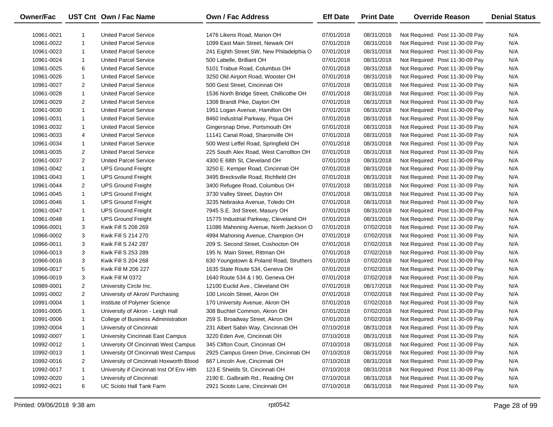| Owner/Fac  |                | UST Cnt Own / Fac Name                    | <b>Own / Fac Address</b>                 | <b>Eff Date</b> | <b>Print Date</b> | <b>Override Reason</b>          | <b>Denial Status</b> |
|------------|----------------|-------------------------------------------|------------------------------------------|-----------------|-------------------|---------------------------------|----------------------|
| 10961-0021 | 1              | <b>United Parcel Service</b>              | 1476 Likens Road, Marion OH              | 07/01/2018      | 08/31/2018        | Not Required: Post 11-30-09 Pay | N/A                  |
| 10961-0022 | $\mathbf{1}$   | <b>United Parcel Service</b>              | 1099 East Main Street, Newark OH         | 07/01/2018      | 08/31/2018        | Not Required: Post 11-30-09 Pay | N/A                  |
| 10961-0023 | $\mathbf{1}$   | <b>United Parcel Service</b>              | 241 Eighth Street SW, New Philadelphia O | 07/01/2018      | 08/31/2018        | Not Required: Post 11-30-09 Pay | N/A                  |
| 10961-0024 | $\mathbf{1}$   | <b>United Parcel Service</b>              | 500 Labelle, Brilliant OH                | 07/01/2018      | 08/31/2018        | Not Required: Post 11-30-09 Pay | N/A                  |
| 10961-0025 | 6              | <b>United Parcel Service</b>              | 5101 Trabue Road, Columbus OH            | 07/01/2018      | 08/31/2018        | Not Required: Post 11-30-09 Pay | N/A                  |
| 10961-0026 | $\mathbf{1}$   | <b>United Parcel Service</b>              | 3250 Old Airport Road, Wooster OH        | 07/01/2018      | 08/31/2018        | Not Required: Post 11-30-09 Pay | N/A                  |
| 10961-0027 | 2              | <b>United Parcel Service</b>              | 500 Gest Street, Cincinnati OH           | 07/01/2018      | 08/31/2018        | Not Required: Post 11-30-09 Pay | N/A                  |
| 10961-0028 | $\mathbf{1}$   | <b>United Parcel Service</b>              | 1536 North Bridge Street, Chillicothe OH | 07/01/2018      | 08/31/2018        | Not Required: Post 11-30-09 Pay | N/A                  |
| 10961-0029 | 2              | <b>United Parcel Service</b>              | 1308 Brandt Pike, Dayton OH              | 07/01/2018      | 08/31/2018        | Not Required: Post 11-30-09 Pay | N/A                  |
| 10961-0030 | $\mathbf{1}$   | <b>United Parcel Service</b>              | 1951 Logan Avenue, Hamilton OH           | 07/01/2018      | 08/31/2018        | Not Required: Post 11-30-09 Pay | N/A                  |
| 10961-0031 | $\mathbf{1}$   | <b>United Parcel Service</b>              | 8460 Industrial Parkway, Piqua OH        | 07/01/2018      | 08/31/2018        | Not Required: Post 11-30-09 Pay | N/A                  |
| 10961-0032 | $\mathbf{1}$   | <b>United Parcel Service</b>              | Gingersnap Drive, Portsmouth OH          | 07/01/2018      | 08/31/2018        | Not Required: Post 11-30-09 Pay | N/A                  |
| 10961-0033 | 4              | <b>United Parcel Service</b>              | 11141 Canal Road, Sharonville OH         | 07/01/2018      | 08/31/2018        | Not Required: Post 11-30-09 Pay | N/A                  |
| 10961-0034 | $\mathbf{1}$   | <b>United Parcel Service</b>              | 500 West Leffel Road, Springfield OH     | 07/01/2018      | 08/31/2018        | Not Required: Post 11-30-09 Pay | N/A                  |
| 10961-0035 | 2              | <b>United Parcel Service</b>              | 225 South Alex Road, West Carrollton OH  | 07/01/2018      | 08/31/2018        | Not Required: Post 11-30-09 Pay | N/A                  |
| 10961-0037 | $\overline{2}$ | <b>United Parcel Service</b>              | 4300 E 68th St, Cleveland OH             | 07/01/2018      | 08/31/2018        | Not Required: Post 11-30-09 Pay | N/A                  |
| 10961-0042 | $\mathbf{1}$   | <b>UPS Ground Freight</b>                 | 3250 E. Kemper Road, Cincinnati OH       | 07/01/2018      | 08/31/2018        | Not Required: Post 11-30-09 Pay | N/A                  |
| 10961-0043 | $\mathbf{1}$   | <b>UPS Ground Freight</b>                 | 3495 Brecksville Road, Richfield OH      | 07/01/2018      | 08/31/2018        | Not Required: Post 11-30-09 Pay | N/A                  |
| 10961-0044 | 2              | <b>UPS Ground Freight</b>                 | 3400 Refugee Road, Columbus OH           | 07/01/2018      | 08/31/2018        | Not Required: Post 11-30-09 Pay | N/A                  |
| 10961-0045 | $\mathbf{1}$   | <b>UPS Ground Freight</b>                 | 3730 Valley Street, Dayton OH            | 07/01/2018      | 08/31/2018        | Not Required: Post 11-30-09 Pay | N/A                  |
| 10961-0046 | $\mathbf{1}$   | <b>UPS Ground Freight</b>                 | 3235 Nebraska Avenue, Toledo OH          | 07/01/2018      | 08/31/2018        | Not Required: Post 11-30-09 Pay | N/A                  |
| 10961-0047 | $\mathbf{1}$   | <b>UPS Ground Freight</b>                 | 7945 S.E. 3rd Street, Masury OH          | 07/01/2018      | 08/31/2018        | Not Required: Post 11-30-09 Pay | N/A                  |
| 10961-0048 | $\mathbf{1}$   | <b>UPS Ground Freight</b>                 | 15775 Industrial Parkway, Cleveland OH   | 07/01/2018      | 08/31/2018        | Not Required: Post 11-30-09 Pay | N/A                  |
| 10966-0001 | 3              | Kwik Fill S 208 269                       | 11086 Mahoning Avenue, North Jackson O   | 07/01/2018      | 07/02/2018        | Not Required: Post 11-30-09 Pay | N/A                  |
| 10966-0002 | 3              | Kwik Fill S 214 270                       | 4994 Mahoning Avenue, Champion OH        | 07/01/2018      | 07/02/2018        | Not Required: Post 11-30-09 Pay | N/A                  |
| 10966-0011 | 3              | Kwik Fill S 242 287                       | 209 S. Second Street, Coshocton OH       | 07/01/2018      | 07/02/2018        | Not Required: Post 11-30-09 Pay | N/A                  |
| 10966-0013 | 3              | Kwik Fill S 253 289                       | 195 N. Main Street, Rittman OH           | 07/01/2018      | 07/02/2018        | Not Required: Post 11-30-09 Pay | N/A                  |
| 10966-0016 | 3              | Kwik Fill S 204 268                       | 630 Youngstown & Poland Road, Struthers  | 07/01/2018      | 07/02/2018        | Not Required: Post 11-30-09 Pay | N/A                  |
| 10966-0017 | 5              | Kwik Fill M 206 227                       | 1635 State Route 534, Geneva OH          | 07/01/2018      | 07/02/2018        | Not Required: Post 11-30-09 Pay | N/A                  |
| 10966-0019 | 3              | Kwik Fill M 0372                          | 1640 Route 534 & I 90, Geneva OH         | 07/01/2018      | 07/02/2018        | Not Required: Post 11-30-09 Pay | N/A                  |
| 10989-0001 | $\overline{2}$ | University Circle Inc.                    | 12100 Euclid Ave., Cleveland OH          | 07/01/2018      | 08/17/2018        | Not Required: Post 11-30-09 Pay | N/A                  |
| 10991-0002 | $\overline{2}$ | University of Akron/ Purchasing           | 100 Lincoln Street, Akron OH             | 07/01/2018      | 07/02/2018        | Not Required: Post 11-30-09 Pay | N/A                  |
| 10991-0004 | $\mathbf{1}$   | Institute of Polymer Science              | 170 University Avenue, Akron OH          | 07/01/2018      | 07/02/2018        | Not Required: Post 11-30-09 Pay | N/A                  |
| 10991-0005 | $\mathbf{1}$   | University of Akron - Leigh Hall          | 308 Buchtel Common, Akron OH             | 07/01/2018      | 07/02/2018        | Not Required: Post 11-30-09 Pay | N/A                  |
| 10991-0006 | $\mathbf{1}$   | College of Business Administration        | 259 S. Broadway Street, Akron OH         | 07/01/2018      | 07/02/2018        | Not Required: Post 11-30-09 Pay | N/A                  |
| 10992-0004 | 1              | University of Cincinnati                  | 231 Albert Sabin Way, Cincinnati OH      | 07/10/2018      | 08/31/2018        | Not Required: Post 11-30-09 Pay | N/A                  |
| 10992-0007 | 1              | University Cincinnati East Campus         | 3220 Eden Ave, Cincinnati OH             | 07/10/2018      | 08/31/2018        | Not Required: Post 11-30-09 Pay | N/A                  |
| 10992-0012 | $\mathbf{1}$   | University Of Cincinnati West Campus      | 345 Clifton Court, Cincinnati OH         | 07/10/2018      | 08/31/2018        | Not Required: Post 11-30-09 Pay | N/A                  |
| 10992-0013 | $\mathbf{1}$   | University Of Cincinnati West Campus      | 2925 Campus Green Drive, Cincinnati OH   | 07/10/2018      | 08/31/2018        | Not Required: Post 11-30-09 Pay | N/A                  |
| 10992-0016 | 2              | University of Cincinnati Hoxworth Blood   | 667 Lincoln Ave, Cincinnati OH           | 07/10/2018      | 08/31/2018        | Not Required: Post 11-30-09 Pay | N/A                  |
| 10992-0017 | 1              | University if Cincinnati Inst Of Env Hith | 123 E Shields St, Cincinnati OH          | 07/10/2018      | 08/31/2018        | Not Required: Post 11-30-09 Pay | N/A                  |
| 10992-0020 | 1              | University of Cincinnati                  | 2190 E. Galbraith Rd., Reading OH        | 07/10/2018      | 08/31/2018        | Not Required: Post 11-30-09 Pay | N/A                  |
| 10992-0021 | 6              | UC Scioto Hall Tank Farm                  | 2921 Scioto Lane, Cincinnati OH          | 07/10/2018      | 08/31/2018        | Not Required: Post 11-30-09 Pay | N/A                  |

 $\overline{\phantom{0}}$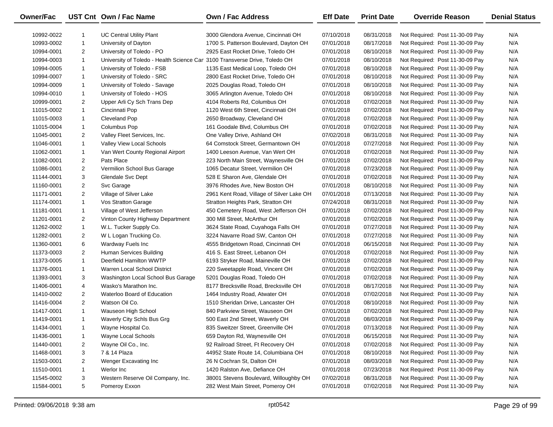| Owner/Fac  |                | UST Cnt Own / Fac Name                                                     | Own / Fac Address                         | <b>Eff Date</b> | <b>Print Date</b> | <b>Override Reason</b>          | <b>Denial Status</b> |
|------------|----------------|----------------------------------------------------------------------------|-------------------------------------------|-----------------|-------------------|---------------------------------|----------------------|
| 10992-0022 |                | <b>UC Central Utility Plant</b>                                            | 3000 Glendora Avenue, Cincinnati OH       | 07/10/2018      | 08/31/2018        | Not Required: Post 11-30-09 Pay | N/A                  |
| 10993-0002 | $\mathbf{1}$   | University of Dayton                                                       | 1700 S. Patterson Boulevard, Dayton OH    | 07/01/2018      | 08/17/2018        | Not Required: Post 11-30-09 Pay | N/A                  |
| 10994-0001 | $\overline{2}$ | University of Toledo - PO                                                  | 2925 East Rocket Drive, Toledo OH         | 07/01/2018      | 08/10/2018        | Not Required: Post 11-30-09 Pay | N/A                  |
| 10994-0003 | $\mathbf{1}$   | University of Toledo - Health Science Car 3100 Transverse Drive, Toledo OH |                                           | 07/01/2018      | 08/10/2018        | Not Required: Post 11-30-09 Pay | N/A                  |
| 10994-0005 | $\mathbf{1}$   | University of Toledo - FSB                                                 | 1135 East Medical Loop, Toledo OH         | 07/01/2018      | 08/10/2018        | Not Required: Post 11-30-09 Pay | N/A                  |
| 10994-0007 | $\mathbf{1}$   | University of Toledo - SRC                                                 | 2800 East Rocket Drive, Toledo OH         | 07/01/2018      | 08/10/2018        | Not Required: Post 11-30-09 Pay | N/A                  |
| 10994-0009 | $\mathbf{1}$   | University of Toledo - Savage                                              | 2025 Douglas Road, Toledo OH              | 07/01/2018      | 08/10/2018        | Not Required: Post 11-30-09 Pay | N/A                  |
| 10994-0010 | $\mathbf{1}$   | University of Toledo - HOS                                                 | 3065 Arlington Avenue, Toledo OH          | 07/01/2018      | 08/10/2018        | Not Required: Post 11-30-09 Pay | N/A                  |
| 10999-0001 | $\overline{2}$ | Upper Arli Cy Sch Trans Dep                                                | 4104 Roberts Rd, Columbus OH              | 07/01/2018      | 07/02/2018        | Not Required: Post 11-30-09 Pay | N/A                  |
| 11015-0002 | $\mathbf{1}$   | Cincinnati Pop                                                             | 1120 West 6th Street, Cincinnati OH       | 07/01/2018      | 07/02/2018        | Not Required: Post 11-30-09 Pay | N/A                  |
| 11015-0003 | $\mathbf{1}$   | Cleveland Pop                                                              | 2650 Broadway, Cleveland OH               | 07/01/2018      | 07/02/2018        | Not Required: Post 11-30-09 Pay | N/A                  |
| 11015-0004 | $\mathbf{1}$   | Columbus Pop                                                               | 161 Goodale Blvd, Columbus OH             | 07/01/2018      | 07/02/2018        | Not Required: Post 11-30-09 Pay | N/A                  |
| 11045-0001 | $\overline{2}$ | Valley Fleet Services, Inc.                                                | One Valley Drive, Ashland OH              | 07/02/2018      | 08/31/2018        | Not Required: Post 11-30-09 Pay | N/A                  |
| 11046-0001 | $\mathbf{1}$   | Valley View Local Schools                                                  | 64 Comstock Street, Germantown OH         | 07/01/2018      | 07/27/2018        | Not Required: Post 11-30-09 Pay | N/A                  |
| 11062-0001 | $\mathbf{1}$   | Van Wert County Regional Airport                                           | 1400 Leeson Avenue, Van Wert OH           | 07/01/2018      | 07/02/2018        | Not Required: Post 11-30-09 Pay | N/A                  |
| 11082-0001 | $\overline{2}$ | Pats Place                                                                 | 223 North Main Street, Waynesville OH     | 07/01/2018      | 07/02/2018        | Not Required: Post 11-30-09 Pay | N/A                  |
| 11086-0001 | $\overline{2}$ | Vermilion School Bus Garage                                                | 1065 Decatur Street, Vermilion OH         | 07/01/2018      | 07/23/2018        | Not Required: Post 11-30-09 Pay | N/A                  |
| 11144-0001 | 3              | Glendale Svc Dept                                                          | 528 E Sharon Ave, Glendale OH             | 07/01/2018      | 07/02/2018        | Not Required: Post 11-30-09 Pay | N/A                  |
| 11160-0001 | $\overline{2}$ | Svc Garage                                                                 | 3976 Rhodes Ave, New Boston OH            | 07/01/2018      | 08/10/2018        | Not Required: Post 11-30-09 Pay | N/A                  |
| 11171-0001 | $\overline{2}$ | Village of Silver Lake                                                     | 2961 Kent Road, Village of Silver Lake OH | 07/01/2018      | 07/13/2018        | Not Required: Post 11-30-09 Pay | N/A                  |
| 11174-0001 | $\mathbf{1}$   | Vos Stratton Garage                                                        | Stratton Heights Park, Stratton OH        | 07/24/2018      | 08/31/2018        | Not Required: Post 11-30-09 Pay | N/A                  |
| 11181-0001 | $\mathbf{1}$   | Village of West Jefferson                                                  | 450 Cemetery Road, West Jefferson OH      | 07/01/2018      | 07/02/2018        | Not Required: Post 11-30-09 Pay | N/A                  |
| 11201-0001 | $\overline{2}$ | Vinton County Highway Department                                           | 300 Mill Street, McArthur OH              | 07/01/2018      | 07/02/2018        | Not Required: Post 11-30-09 Pay | N/A                  |
| 11262-0002 | $\mathbf{1}$   | W.L. Tucker Supply Co.                                                     | 3624 State Road, Cuyahoga Falls OH        | 07/01/2018      | 07/27/2018        | Not Required: Post 11-30-09 Pay | N/A                  |
| 11282-0001 | $\overline{2}$ | W L Logan Trucking Co.                                                     | 3224 Navarre Road SW, Canton OH           | 07/01/2018      | 07/27/2018        | Not Required: Post 11-30-09 Pay | N/A                  |
| 11360-0001 | 6              | Wardway Fuels Inc                                                          | 4555 Bridgetown Road, Cincinnati OH       | 07/01/2018      | 06/15/2018        | Not Required: Post 11-30-09 Pay | N/A                  |
| 11373-0003 | $\overline{2}$ | Human Services Building                                                    | 416 S. East Street, Lebanon OH            | 07/01/2018      | 07/02/2018        | Not Required: Post 11-30-09 Pay | N/A                  |
| 11373-0005 | $\mathbf{1}$   | Deerfield Hamilton WWTP                                                    | 6193 Stryker Road, Maineville OH          | 07/01/2018      | 07/02/2018        | Not Required: Post 11-30-09 Pay | N/A                  |
| 11376-0001 | $\mathbf{1}$   | Warren Local School District                                               | 220 Sweetapple Road, Vincent OH           | 07/01/2018      | 07/02/2018        | Not Required: Post 11-30-09 Pay | N/A                  |
| 11393-0001 | 3              | Washington Local School Bus Garage                                         | 5201 Douglas Road, Toledo OH              | 07/01/2018      | 07/02/2018        | Not Required: Post 11-30-09 Pay | N/A                  |
| 11406-0001 | 4              | Wasko's Marathon Inc.                                                      | 8177 Brecksville Road, Brecksville OH     | 07/01/2018      | 08/17/2018        | Not Required: Post 11-30-09 Pay | N/A                  |
| 11410-0002 | $\overline{2}$ | Waterloo Board of Education                                                | 1464 Industry Road, Atwater OH            | 07/01/2018      | 07/02/2018        | Not Required: Post 11-30-09 Pay | N/A                  |
| 11416-0004 | $\overline{2}$ | Watson Oil Co.                                                             | 1510 Sheridan Drive, Lancaster OH         | 07/01/2018      | 08/10/2018        | Not Required: Post 11-30-09 Pay | N/A                  |
| 11417-0001 | $\mathbf{1}$   | Wauseon High School                                                        | 840 Parkview Street, Wauseon OH           | 07/01/2018      | 07/02/2018        | Not Required: Post 11-30-09 Pay | N/A                  |
| 11419-0001 | $\mathbf{1}$   | Waverly City Schls Bus Grg                                                 | 500 East 2nd Street, Waverly OH           | 07/01/2018      | 08/03/2018        | Not Required: Post 11-30-09 Pay | N/A                  |
| 11434-0001 |                | Wayne Hospital Co.                                                         | 835 Sweitzer Street, Greenville OH        | 07/01/2018      | 07/13/2018        | Not Required: Post 11-30-09 Pay | N/A                  |
| 11436-0001 | -1             | Wayne Local Schools                                                        | 659 Dayton Rd, Waynesville OH             | 07/01/2018      | 06/15/2018        | Not Required: Post 11-30-09 Pay | N/A                  |
| 11440-0001 | 2              | Wayne Oil Co., Inc.                                                        | 92 Railroad Street, Ft Recovery OH        | 07/01/2018      | 07/02/2018        | Not Required: Post 11-30-09 Pay | N/A                  |
| 11468-0001 | 3              | 7 & 14 Plaza                                                               | 44952 State Route 14, Columbiana OH       | 07/01/2018      | 08/10/2018        | Not Required: Post 11-30-09 Pay | N/A                  |
| 11503-0001 | $\overline{2}$ | Wenger Excavating Inc                                                      | 26 N Cochran St, Dalton OH                | 07/01/2018      | 08/03/2018        | Not Required: Post 11-30-09 Pay | N/A                  |
| 11510-0001 | $\mathbf{1}$   | Werlor Inc                                                                 | 1420 Ralston Ave, Defiance OH             | 07/01/2018      | 07/23/2018        | Not Required: Post 11-30-09 Pay | N/A                  |
| 11545-0002 | 3              | Western Reserve Oil Company, Inc.                                          | 38001 Stevens Boulevard, Willoughby OH    | 07/02/2018      | 08/31/2018        | Not Required: Post 11-30-09 Pay | N/A                  |
| 11584-0001 | 5              | Pomeroy Exxon                                                              | 282 West Main Street, Pomeroy OH          | 07/01/2018      | 07/02/2018        | Not Required: Post 11-30-09 Pay | N/A                  |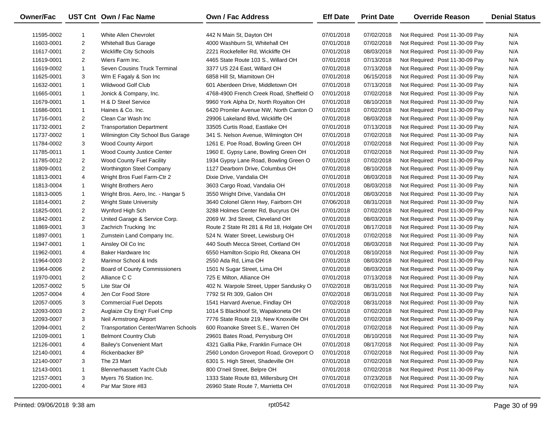| Owner/Fac  |                | UST Cnt Own / Fac Name                      | Own / Fac Address                        | <b>Eff Date</b> | <b>Print Date</b> | <b>Override Reason</b>          | <b>Denial Status</b> |
|------------|----------------|---------------------------------------------|------------------------------------------|-----------------|-------------------|---------------------------------|----------------------|
| 11595-0002 | -1             | White Allen Chevrolet                       | 442 N Main St, Dayton OH                 | 07/01/2018      | 07/02/2018        | Not Required: Post 11-30-09 Pay | N/A                  |
| 11603-0001 | $\overline{2}$ | <b>Whitehall Bus Garage</b>                 | 4000 Washburn St, Whitehall OH           | 07/01/2018      | 07/02/2018        | Not Required: Post 11-30-09 Pay | N/A                  |
| 11617-0001 | $\overline{2}$ | <b>Wickliffe City Schools</b>               | 2221 Rockefeller Rd, Wickliffe OH        | 07/01/2018      | 08/03/2018        | Not Required: Post 11-30-09 Pay | N/A                  |
| 11619-0001 | $\overline{2}$ | Wiers Farm Inc.                             | 4465 State Route 103 S., Willard OH      | 07/01/2018      | 07/13/2018        | Not Required: Post 11-30-09 Pay | N/A                  |
| 11619-0002 | $\mathbf{1}$   | Seven Cousins Truck Terminal                | 3377 US 224 East, Willard OH             | 07/01/2018      | 07/13/2018        | Not Required: Post 11-30-09 Pay | N/A                  |
| 11625-0001 | 3              | Wm E Fagaly & Son Inc                       | 6858 Hill St, Miamitown OH               | 07/01/2018      | 06/15/2018        | Not Required: Post 11-30-09 Pay | N/A                  |
| 11632-0001 | $\mathbf{1}$   | <b>Wildwood Golf Club</b>                   | 601 Aberdeen Drive, Middletown OH        | 07/01/2018      | 07/13/2018        | Not Required: Post 11-30-09 Pay | N/A                  |
| 11665-0001 | $\mathbf{1}$   | Jonick & Company, Inc.                      | 4768-4900 French Creek Road, Sheffield O | 07/01/2018      | 07/02/2018        | Not Required: Post 11-30-09 Pay | N/A                  |
| 11679-0001 | $\mathbf{1}$   | H & D Steel Service                         | 9960 York Alpha Dr, North Royalton OH    | 07/01/2018      | 08/10/2018        | Not Required: Post 11-30-09 Pay | N/A                  |
| 11686-0001 | $\mathbf{1}$   | Haines & Co. Inc.                           | 6420 Promler Avenue NW, North Canton O   | 07/01/2018      | 07/02/2018        | Not Required: Post 11-30-09 Pay | N/A                  |
| 11716-0001 | $\overline{2}$ | Clean Car Wash Inc                          | 29906 Lakeland Blvd, Wickliffe OH        | 07/01/2018      | 08/03/2018        | Not Required: Post 11-30-09 Pay | N/A                  |
| 11732-0001 | $\overline{2}$ | <b>Transportation Department</b>            | 33505 Curtis Road, Eastlake OH           | 07/01/2018      | 07/13/2018        | Not Required: Post 11-30-09 Pay | N/A                  |
| 11737-0002 | $\mathbf{1}$   | Wilmington City School Bus Garage           | 341 S. Nelson Avenue, Wilmington OH      | 07/01/2018      | 07/02/2018        | Not Required: Post 11-30-09 Pay | N/A                  |
| 11784-0002 | 3              | <b>Wood County Airport</b>                  | 1261 E. Poe Road, Bowling Green OH       | 07/01/2018      | 07/02/2018        | Not Required: Post 11-30-09 Pay | N/A                  |
| 11785-0011 | $\mathbf{1}$   | Wood County Justice Center                  | 1960 E. Gypsy Lane, Bowling Green OH     | 07/01/2018      | 07/02/2018        | Not Required: Post 11-30-09 Pay | N/A                  |
| 11785-0012 | $\overline{2}$ | <b>Wood County Fuel Facility</b>            | 1934 Gypsy Lane Road, Bowling Green O    | 07/01/2018      | 07/02/2018        | Not Required: Post 11-30-09 Pay | N/A                  |
| 11809-0001 | $\overline{2}$ | Worthington Steel Company                   | 1127 Dearborn Drive, Columbus OH         | 07/01/2018      | 08/10/2018        | Not Required: Post 11-30-09 Pay | N/A                  |
| 11813-0001 | 4              | Wright Bros Fuel Farm-Ctr 2                 | Dixie Drive, Vandalia OH                 | 07/01/2018      | 08/03/2018        | Not Required: Post 11-30-09 Pay | N/A                  |
| 11813-0004 | $\mathbf{1}$   | Wright Brothers Aero                        | 3603 Cargo Road, Vandalia OH             | 07/01/2018      | 08/03/2018        | Not Required: Post 11-30-09 Pay | N/A                  |
| 11813-0005 | $\mathbf{1}$   | Wright Bros. Aero, Inc. - Hangar 5          | 3550 Wright Drive, Vandalia OH           | 07/01/2018      | 08/03/2018        | Not Required: Post 11-30-09 Pay | N/A                  |
| 11814-0001 | $\overline{2}$ | Wright State University                     | 3640 Colonel Glenn Hwy, Fairborn OH      | 07/06/2018      | 08/31/2018        | Not Required: Post 11-30-09 Pay | N/A                  |
| 11825-0001 | $\overline{2}$ | Wynford High Sch                            | 3288 Holmes Center Rd, Bucyrus OH        | 07/01/2018      | 07/02/2018        | Not Required: Post 11-30-09 Pay | N/A                  |
| 11842-0001 | 2              | United Garage & Service Corp.               | 2069 W. 3rd Street, Cleveland OH         | 07/01/2018      | 08/03/2018        | Not Required: Post 11-30-09 Pay | N/A                  |
| 11869-0001 | 3              | Zachrich Trucking Inc                       | Route 2 State Rt 281 & Rd 18, Holgate OH | 07/01/2018      | 08/17/2018        | Not Required: Post 11-30-09 Pay | N/A                  |
| 11897-0001 | $\mathbf{1}$   | Zumstein Land Company Inc.                  | 524 N. Water Street, Lewisburg OH        | 07/01/2018      | 07/02/2018        | Not Required: Post 11-30-09 Pay | N/A                  |
| 11947-0001 | $\mathbf{1}$   | Ainsley Oil Co Inc                          | 440 South Mecca Street, Cortland OH      | 07/01/2018      | 08/03/2018        | Not Required: Post 11-30-09 Pay | N/A                  |
| 11962-0001 | 4              | Baker Hardware Inc                          | 6550 Hamilton-Scipio Rd, Okeana OH       | 07/01/2018      | 08/10/2018        | Not Required: Post 11-30-09 Pay | N/A                  |
| 11964-0003 | $\overline{2}$ | Marimor School & Inds                       | 2550 Ada Rd, Lima OH                     | 07/01/2018      | 08/03/2018        | Not Required: Post 11-30-09 Pay | N/A                  |
| 11964-0006 | $\overline{2}$ | Board of County Commissioners               | 1501 N Sugar Street, Lima OH             | 07/01/2018      | 08/03/2018        | Not Required: Post 11-30-09 Pay | N/A                  |
| 11970-0001 | $\overline{2}$ | Alliance C C                                | 725 E Milton, Alliance OH                | 07/01/2018      | 07/13/2018        | Not Required: Post 11-30-09 Pay | N/A                  |
| 12057-0002 | 5              | Lite Star Oil                               | 402 N. Warpole Street, Upper Sandusky O  | 07/02/2018      | 08/31/2018        | Not Required: Post 11-30-09 Pay | N/A                  |
| 12057-0004 | 4              | Jen Cor Food Store                          | 7792 St Rt 309, Galion OH                | 07/02/2018      | 08/31/2018        | Not Required: Post 11-30-09 Pay | N/A                  |
| 12057-0005 | 3              | <b>Commercial Fuel Depots</b>               | 1541 Harvard Avenue, Findlay OH          | 07/02/2018      | 08/31/2018        | Not Required: Post 11-30-09 Pay | N/A                  |
| 12093-0003 | $\overline{2}$ | Auglaize Cty Eng'r Fuel Cmp                 | 1014 S Blackhoof St, Wapakoneta OH       | 07/01/2018      | 07/02/2018        | Not Required: Post 11-30-09 Pay | N/A                  |
| 12093-0007 | 3              | Neil Armstrong Airport                      | 7776 State Route 219, New Knoxville OH   | 07/01/2018      | 07/02/2018        | Not Required: Post 11-30-09 Pay | N/A                  |
| 12094-0001 | 2              | <b>Transportation Center/Warren Schools</b> | 600 Roanoke Street S.E., Warren OH       | 07/01/2018      | 07/02/2018        | Not Required: Post 11-30-09 Pay | N/A                  |
| 12109-0001 | 1              | <b>Belmont Country Club</b>                 | 29601 Bates Road, Perrysburg OH          | 07/01/2018      | 08/10/2018        | Not Required: Post 11-30-09 Pay | N/A                  |
| 12126-0001 | 4              | <b>Bailey's Convenient Mart</b>             | 4321 Gallia Pike, Franklin Furnace OH    | 07/01/2018      | 08/17/2018        | Not Required: Post 11-30-09 Pay | N/A                  |
| 12140-0001 | 4              | Rickenbacker BP                             | 2560 London Groveport Road, Groveport O  | 07/01/2018      | 07/02/2018        | Not Required: Post 11-30-09 Pay | N/A                  |
| 12140-0007 | 3              | The 23 Mart                                 | 6301 S. High Street, Shadeville OH       | 07/01/2018      | 07/02/2018        | Not Required: Post 11-30-09 Pay | N/A                  |
| 12143-0001 | 1              | <b>Blennerhassett Yacht Club</b>            | 800 O'neil Street, Belpre OH             | 07/01/2018      | 07/02/2018        | Not Required: Post 11-30-09 Pay | N/A                  |
| 12157-0001 | 3              | Myers 76 Station Inc.                       | 1333 State Route 83, Millersburg OH      | 07/01/2018      | 07/23/2018        | Not Required: Post 11-30-09 Pay | N/A                  |
| 12200-0001 | 4              | Par Mar Store #83                           | 26960 State Route 7, Marrietta OH        | 07/01/2018      | 07/02/2018        | Not Required: Post 11-30-09 Pay | N/A                  |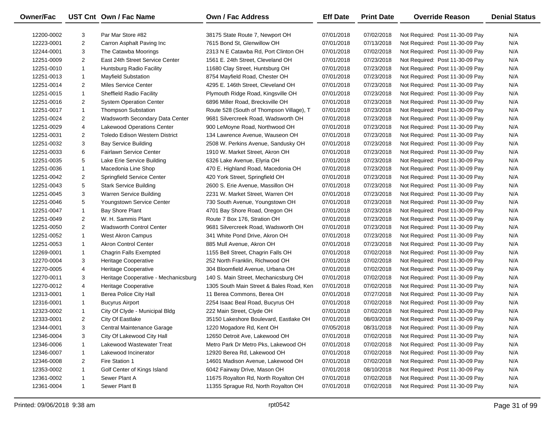| Owner/Fac  |                | UST Cnt Own / Fac Name                | Own / Fac Address                        | <b>Eff Date</b> | <b>Print Date</b> | <b>Override Reason</b>          | <b>Denial Status</b> |
|------------|----------------|---------------------------------------|------------------------------------------|-----------------|-------------------|---------------------------------|----------------------|
| 12200-0002 | 3              | Par Mar Store #82                     | 38175 State Route 7, Newport OH          | 07/01/2018      | 07/02/2018        | Not Required: Post 11-30-09 Pay | N/A                  |
| 12223-0001 | $\overline{2}$ | Carron Asphalt Paving Inc             | 7615 Bond St, Glenwillow OH              | 07/01/2018      | 07/13/2018        | Not Required: Post 11-30-09 Pay | N/A                  |
| 12244-0001 | 3              | The Catawba Moorings                  | 2313 N E Catawba Rd, Port Clinton OH     | 07/01/2018      | 07/02/2018        | Not Required: Post 11-30-09 Pay | N/A                  |
| 12251-0009 | $\overline{2}$ | East 24th Street Service Center       | 1561 E. 24th Street, Cleveland OH        | 07/01/2018      | 07/23/2018        | Not Required: Post 11-30-09 Pay | N/A                  |
| 12251-0010 | $\mathbf{1}$   | Huntsburg Radio Facility              | 11680 Clay Street, Huntsburg OH          | 07/01/2018      | 07/23/2018        | Not Required: Post 11-30-09 Pay | N/A                  |
| 12251-0013 | $\mathbf{1}$   | <b>Mayfield Substation</b>            | 8754 Mayfield Road, Chester OH           | 07/01/2018      | 07/23/2018        | Not Required: Post 11-30-09 Pay | N/A                  |
| 12251-0014 | $\overline{2}$ | Miles Service Center                  | 4295 E. 146th Street, Cleveland OH       | 07/01/2018      | 07/23/2018        | Not Required: Post 11-30-09 Pay | N/A                  |
| 12251-0015 | $\mathbf{1}$   | <b>Sheffield Radio Facility</b>       | Plymouth Ridge Road, Kingsville OH       | 07/01/2018      | 07/23/2018        | Not Required: Post 11-30-09 Pay | N/A                  |
| 12251-0016 | $\overline{2}$ | <b>System Operation Center</b>        | 6896 Miller Road, Brecksville OH         | 07/01/2018      | 07/23/2018        | Not Required: Post 11-30-09 Pay | N/A                  |
| 12251-0017 | $\mathbf{1}$   | <b>Thompson Substation</b>            | Route 528 (South of Thompson Village), T | 07/01/2018      | 07/23/2018        | Not Required: Post 11-30-09 Pay | N/A                  |
| 12251-0024 | $\overline{2}$ | Wadsworth Secondary Data Center       | 9681 Silvercreek Road, Wadsworth OH      | 07/01/2018      | 07/23/2018        | Not Required: Post 11-30-09 Pay | N/A                  |
| 12251-0029 | 4              | Lakewood Operations Center            | 900 LeMoyne Road, Northwood OH           | 07/01/2018      | 07/23/2018        | Not Required: Post 11-30-09 Pay | N/A                  |
| 12251-0031 | $\overline{2}$ | <b>Toledo Edison Western District</b> | 134 Lawrence Avenue, Wauseon OH          | 07/01/2018      | 07/23/2018        | Not Required: Post 11-30-09 Pay | N/A                  |
| 12251-0032 | 3              | <b>Bay Service Building</b>           | 2508 W. Perkins Avenue, Sandusky OH      | 07/01/2018      | 07/23/2018        | Not Required: Post 11-30-09 Pay | N/A                  |
| 12251-0033 | 6              | Fairlawn Service Center               | 1910 W. Market Street, Akron OH          | 07/01/2018      | 07/23/2018        | Not Required: Post 11-30-09 Pay | N/A                  |
| 12251-0035 | 5              | Lake Erie Service Building            | 6326 Lake Avenue, Elyria OH              | 07/01/2018      | 07/23/2018        | Not Required: Post 11-30-09 Pay | N/A                  |
| 12251-0036 | 1              | Macedonia Line Shop                   | 470 E. Highland Road, Macedonia OH       | 07/01/2018      | 07/23/2018        | Not Required: Post 11-30-09 Pay | N/A                  |
| 12251-0042 | $\overline{2}$ | Springfield Service Center            | 420 York Street, Springfield OH          | 07/01/2018      | 07/23/2018        | Not Required: Post 11-30-09 Pay | N/A                  |
| 12251-0043 | 5              | <b>Stark Service Building</b>         | 2600 S. Erie Avenue, Massillon OH        | 07/01/2018      | 07/23/2018        | Not Required: Post 11-30-09 Pay | N/A                  |
| 12251-0045 | 3              | Warren Service Building               | 2231 W. Market Street, Warren OH         | 07/01/2018      | 07/23/2018        | Not Required: Post 11-30-09 Pay | N/A                  |
| 12251-0046 | 5              | Youngstown Service Center             | 730 South Avenue, Youngstown OH          | 07/01/2018      | 07/23/2018        | Not Required: Post 11-30-09 Pay | N/A                  |
| 12251-0047 | $\mathbf{1}$   | <b>Bay Shore Plant</b>                | 4701 Bay Shore Road, Oregon OH           | 07/01/2018      | 07/23/2018        | Not Required: Post 11-30-09 Pay | N/A                  |
| 12251-0049 | $\overline{2}$ | W. H. Sammis Plant                    | Route 7 Box 176, Stration OH             | 07/01/2018      | 07/23/2018        | Not Required: Post 11-30-09 Pay | N/A                  |
| 12251-0050 | $\overline{2}$ | <b>Wadsworth Control Center</b>       | 9681 Silvercreek Road, Wadsworth OH      | 07/01/2018      | 07/23/2018        | Not Required: Post 11-30-09 Pay | N/A                  |
| 12251-0052 | $\mathbf{1}$   | <b>West Akron Campus</b>              | 341 White Pond Drive, Akron OH           | 07/01/2018      | 07/23/2018        | Not Required: Post 11-30-09 Pay | N/A                  |
| 12251-0053 | $\mathbf{1}$   | <b>Akron Control Center</b>           | 885 Mull Avenue, Akron OH                | 07/01/2018      | 07/23/2018        | Not Required: Post 11-30-09 Pay | N/A                  |
| 12269-0001 | 1              | Chagrin Falls Exempted                | 1155 Bell Street, Chagrin Falls OH       | 07/01/2018      | 07/02/2018        | Not Required: Post 11-30-09 Pay | N/A                  |
| 12270-0004 | 3              | Heritage Cooperative                  | 252 North Franklin, Richwood OH          | 07/01/2018      | 07/02/2018        | Not Required: Post 11-30-09 Pay | N/A                  |
| 12270-0005 | 4              | Heritage Cooperative                  | 304 Bloomfield Avenue, Urbana OH         | 07/01/2018      | 07/02/2018        | Not Required: Post 11-30-09 Pay | N/A                  |
| 12270-0011 | 3              | Heritage Cooperative - Mechanicsburg  | 140 S. Main Street, Mechanicsburg OH     | 07/01/2018      | 07/02/2018        | Not Required: Post 11-30-09 Pay | N/A                  |
| 12270-0012 | 4              | Heritage Cooperative                  | 1305 South Main Street & Bales Road, Ken | 07/01/2018      | 07/02/2018        | Not Required: Post 11-30-09 Pay | N/A                  |
| 12313-0001 | $\mathbf{1}$   | Berea Police City Hall                | 11 Berea Commons, Berea OH               | 07/01/2018      | 07/27/2018        | Not Required: Post 11-30-09 Pay | N/A                  |
| 12316-0001 | $\mathbf{1}$   | <b>Bucyrus Airport</b>                | 2254 Isaac Beal Road, Bucyrus OH         | 07/01/2018      | 07/02/2018        | Not Required: Post 11-30-09 Pay | N/A                  |
| 12323-0002 | $\mathbf{1}$   | City Of Clyde - Municipal Bldg        | 222 Main Street, Clyde OH                | 07/01/2018      | 07/02/2018        | Not Required: Post 11-30-09 Pay | N/A                  |
| 12333-0001 | $\overline{2}$ | City Of Eastlake                      | 35150 Lakeshore Boulevard, Eastlake OH   | 07/01/2018      | 08/03/2018        | Not Required: Post 11-30-09 Pay | N/A                  |
| 12344-0001 | 3              | Central Maintenance Garage            | 1220 Mogadore Rd, Kent OH                | 07/05/2018      | 08/31/2018        | Not Required: Post 11-30-09 Pay | N/A                  |
| 12346-0004 | 3              | City Of Lakewood City Hall            | 12650 Detroit Ave, Lakewood OH           | 07/01/2018      | 07/02/2018        | Not Required: Post 11-30-09 Pay | N/A                  |
| 12346-0006 | 1              | Lakewood Wastewater Treat             | Metro Park Dr Metro Pks, Lakewood OH     | 07/01/2018      | 07/02/2018        | Not Required: Post 11-30-09 Pay | N/A                  |
| 12346-0007 | 1              | Lakewood Incinerator                  | 12920 Berea Rd, Lakewood OH              | 07/01/2018      | 07/02/2018        | Not Required: Post 11-30-09 Pay | N/A                  |
| 12346-0008 | 2              | Fire Station 1                        | 14601 Madison Avenue, Lakewood OH        | 07/01/2018      | 07/02/2018        | Not Required: Post 11-30-09 Pay | N/A                  |
| 12353-0002 | 1              | Golf Center of Kings Island           | 6042 Fairway Drive, Mason OH             | 07/01/2018      | 08/10/2018        | Not Required: Post 11-30-09 Pay | N/A                  |
| 12361-0002 | -1             | Sewer Plant A                         | 11675 Royalton Rd, North Royalton OH     | 07/01/2018      | 07/02/2018        | Not Required: Post 11-30-09 Pay | N/A                  |
| 12361-0004 | $\mathbf{1}$   | Sewer Plant B                         | 11355 Sprague Rd, North Royalton OH      | 07/01/2018      | 07/02/2018        | Not Required: Post 11-30-09 Pay | N/A                  |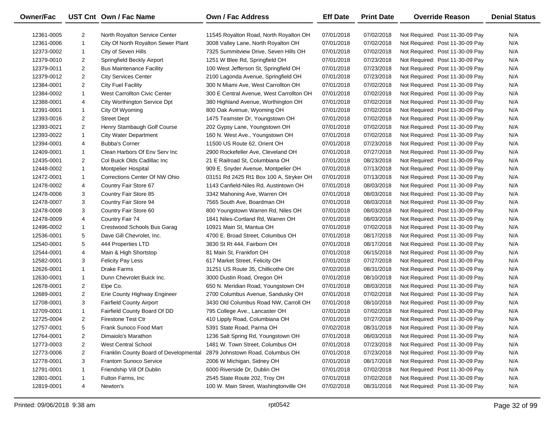| Owner/Fac  |                | UST Cnt Own / Fac Name                 | <b>Own / Fac Address</b>                 | <b>Eff Date</b> | <b>Print Date</b> | <b>Override Reason</b>          | <b>Denial Status</b> |
|------------|----------------|----------------------------------------|------------------------------------------|-----------------|-------------------|---------------------------------|----------------------|
| 12361-0005 | 2              | North Royalton Service Center          | 11545 Royalton Road, North Royalton OH   | 07/01/2018      | 07/02/2018        | Not Required: Post 11-30-09 Pay | N/A                  |
| 12361-0006 | $\mathbf{1}$   | City Of North Royalton Sewer Plant     | 3008 Valley Lane, North Royalton OH      | 07/01/2018      | 07/02/2018        | Not Required: Post 11-30-09 Pay | N/A                  |
| 12373-0002 | $\mathbf{1}$   | City of Seven Hills                    | 7325 Summitview Drive, Seven Hills OH    | 07/01/2018      | 07/02/2018        | Not Required: Post 11-30-09 Pay | N/A                  |
| 12379-0010 | $\overline{2}$ | Springfield Beckly Airport             | 1251 W Blee Rd, Springfield OH           | 07/01/2018      | 07/23/2018        | Not Required: Post 11-30-09 Pay | N/A                  |
| 12379-0011 | $\overline{2}$ | <b>Bus Maintenance Facility</b>        | 100 West Jefferson St, Springfield OH    | 07/01/2018      | 07/23/2018        | Not Required: Post 11-30-09 Pay | N/A                  |
| 12379-0012 | $\overline{2}$ | <b>City Services Center</b>            | 2100 Lagonda Avenue, Springfield OH      | 07/01/2018      | 07/23/2018        | Not Required: Post 11-30-09 Pay | N/A                  |
| 12384-0001 | $\overline{2}$ | <b>City Fuel Facility</b>              | 300 N Miami Ave, West Carrollton OH      | 07/01/2018      | 07/02/2018        | Not Required: Post 11-30-09 Pay | N/A                  |
| 12384-0002 | $\mathbf{1}$   | <b>West Carrollton Civic Center</b>    | 300 E Central Avenue, West Carrollton OH | 07/01/2018      | 07/02/2018        | Not Required: Post 11-30-09 Pay | N/A                  |
| 12388-0001 | 4              | City Worthington Service Dpt           | 380 Highland Avenue, Worthington OH      | 07/01/2018      | 07/02/2018        | Not Required: Post 11-30-09 Pay | N/A                  |
| 12391-0001 | $\mathbf{1}$   | City Of Wyoming                        | 800 Oak Avenue, Wyoming OH               | 07/01/2018      | 07/02/2018        | Not Required: Post 11-30-09 Pay | N/A                  |
| 12393-0016 | $\overline{2}$ | <b>Street Dept</b>                     | 1475 Teamster Dr, Youngstown OH          | 07/01/2018      | 07/02/2018        | Not Required: Post 11-30-09 Pay | N/A                  |
| 12393-0021 | $\overline{2}$ | Henry Stambaugh Golf Course            | 202 Gypsy Lane, Youngstown OH            | 07/01/2018      | 07/02/2018        | Not Required: Post 11-30-09 Pay | N/A                  |
| 12393-0022 | $\mathbf{1}$   | <b>City Water Department</b>           | 160 N. West Ave., Youngstown OH          | 07/01/2018      | 07/02/2018        | Not Required: Post 11-30-09 Pay | N/A                  |
| 12394-0001 | 4              | <b>Bubba's Corner</b>                  | 11500 US Route 62, Orient OH             | 07/01/2018      | 07/23/2018        | Not Required: Post 11-30-09 Pay | N/A                  |
| 12409-0001 | $\mathbf{1}$   | Clean Harbors Of Env Serv Inc          | 2900 Rockefeller Ave, Cleveland OH       | 07/01/2018      | 07/27/2018        | Not Required: Post 11-30-09 Pay | N/A                  |
| 12435-0001 | $\overline{2}$ | Col Buick Olds Cadillac Inc            | 21 E Railroad St, Columbiana OH          | 07/01/2018      | 08/23/2018        | Not Required: Post 11-30-09 Pay | N/A                  |
| 12448-0002 | $\mathbf{1}$   | Montpelier Hospital                    | 909 E. Snyder Avenue, Montpelier OH      | 07/01/2018      | 07/13/2018        | Not Required: Post 11-30-09 Pay | N/A                  |
| 12472-0001 | 1              | Corrections Center Of NW Ohio          | 03151 Rd 2425 Rt1 Box 100 A, Stryker OH  | 07/01/2018      | 07/13/2018        | Not Required: Post 11-30-09 Pay | N/A                  |
| 12478-0002 | 4              | Country Fair Store 67                  | 1143 Canfield-Niles Rd, Austintown OH    | 07/01/2018      | 08/03/2018        | Not Required: Post 11-30-09 Pay | N/A                  |
| 12478-0006 | 3              | Country Fair Store 85                  | 3342 Mahoning Ave, Warren OH             | 07/01/2018      | 08/03/2018        | Not Required: Post 11-30-09 Pay | N/A                  |
| 12478-0007 | 3              | Country Fair Store 94                  | 7565 South Ave, Boardman OH              | 07/01/2018      | 08/03/2018        | Not Required: Post 11-30-09 Pay | N/A                  |
| 12478-0008 | 3              | Country Fair Store 60                  | 800 Youngstown Warren Rd, Niles OH       | 07/01/2018      | 08/03/2018        | Not Required: Post 11-30-09 Pay | N/A                  |
| 12478-0009 | 4              | Country Fair 74                        | 1841 Niles-Cortland Rd, Warren OH        | 07/01/2018      | 08/03/2018        | Not Required: Post 11-30-09 Pay | N/A                  |
| 12496-0002 | 1              | Crestwood Schools Bus Garag            | 10921 Main St, Mantua OH                 | 07/01/2018      | 07/02/2018        | Not Required: Post 11-30-09 Pay | N/A                  |
| 12536-0001 | 5              | Dave Gill Chevrolet, Inc.              | 4700 E. Broad Street, Columbus OH        | 07/01/2018      | 08/17/2018        | Not Required: Post 11-30-09 Pay | N/A                  |
| 12540-0001 | 5              | 444 Properties LTD                     | 3830 St Rt 444, Fairborn OH              | 07/01/2018      | 08/17/2018        | Not Required: Post 11-30-09 Pay | N/A                  |
| 12544-0001 | 4              | Main & High Shortstop                  | 81 Main St, Frankfort OH                 | 07/01/2018      | 06/15/2018        | Not Required: Post 11-30-09 Pay | N/A                  |
| 12582-0001 | 3              | <b>Felicity Pay Less</b>               | 617 Market Street, Felicity OH           | 07/01/2018      | 07/27/2018        | Not Required: Post 11-30-09 Pay | N/A                  |
| 12626-0001 | $\mathbf{1}$   | <b>Drake Farms</b>                     | 31251 US Route 35, Chillicothe OH        | 07/02/2018      | 08/31/2018        | Not Required: Post 11-30-09 Pay | N/A                  |
| 12630-0001 | $\mathbf{1}$   | Dunn Chevrolet Buick Inc.              | 3000 Dustin Road, Oregon OH              | 07/01/2018      | 08/10/2018        | Not Required: Post 11-30-09 Pay | N/A                  |
| 12678-0001 | $\overline{2}$ | Elpe Co.                               | 650 N. Meridian Road, Youngstown OH      | 07/01/2018      | 08/03/2018        | Not Required: Post 11-30-09 Pay | N/A                  |
| 12689-0001 | $\overline{2}$ | Erie County Highway Engineer           | 2700 Columbus Avenue, Sandusky OH        | 07/01/2018      | 07/02/2018        | Not Required: Post 11-30-09 Pay | N/A                  |
| 12708-0001 | 3              | <b>Fairfield County Airport</b>        | 3430 Old Columbus Road NW, Carroll OH    | 07/01/2018      | 08/10/2018        | Not Required: Post 11-30-09 Pay | N/A                  |
| 12709-0001 | $\mathbf{1}$   | Fairfield County Board Of DD           | 795 College Ave., Lancaster OH           | 07/01/2018      | 07/02/2018        | Not Required: Post 11-30-09 Pay | N/A                  |
| 12725-0004 | $\overline{2}$ | <b>Firestone Test Ctr</b>              | 410 Lipply Road, Columbiana OH           | 07/01/2018      | 07/27/2018        | Not Required: Post 11-30-09 Pay | N/A                  |
| 12757-0001 | 5              | Frank Sunoco Food Mart                 | 5391 State Road, Parma OH                | 07/02/2018      | 08/31/2018        | Not Required: Post 11-30-09 Pay | N/A                  |
| 12764-0001 | 2              | Dimaiolo's Marathon                    | 1236 Salt Spring Rd, Youngstown OH       | 07/01/2018      | 08/03/2018        | Not Required: Post 11-30-09 Pay | N/A                  |
| 12773-0003 | 2              | <b>West Central School</b>             | 1481 W. Town Street, Columbus OH         | 07/01/2018      | 07/23/2018        | Not Required: Post 11-30-09 Pay | N/A                  |
| 12773-0006 | 2              | Franklin County Board of Developmental | 2879 Johnstown Road, Columbus OH         | 07/01/2018      | 07/23/2018        | Not Required: Post 11-30-09 Pay | N/A                  |
| 12778-0001 | 3              | Frantom Sunoco Service                 | 2006 W Michigan, Sidney OH               | 07/01/2018      | 08/17/2018        | Not Required: Post 11-30-09 Pay | N/A                  |
| 12791-0001 | 1              | Friendship Vill Of Dublin              | 6000 Riverside Dr, Dublin OH             | 07/01/2018      | 07/02/2018        | Not Required: Post 11-30-09 Pay | N/A                  |
| 12801-0001 | 1              | Fulton Farms, Inc.                     | 2545 State Route 202, Troy OH            | 07/01/2018      | 07/02/2018        | Not Required: Post 11-30-09 Pay | N/A                  |
| 12819-0001 | 4              | Newton's                               | 100 W. Main Street, Washingtonville OH   | 07/02/2018      | 08/31/2018        | Not Required: Post 11-30-09 Pay | N/A                  |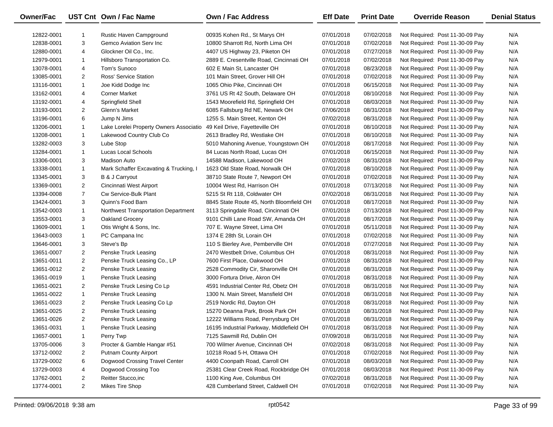| Owner/Fac  |                | UST Cnt Own / Fac Name                  | Own / Fac Address                        | <b>Eff Date</b> | <b>Print Date</b> | <b>Override Reason</b>          | <b>Denial Status</b> |
|------------|----------------|-----------------------------------------|------------------------------------------|-----------------|-------------------|---------------------------------|----------------------|
| 12822-0001 | -1             | Rustic Haven Campground                 | 00935 Kohen Rd., St Marys OH             | 07/01/2018      | 07/02/2018        | Not Required: Post 11-30-09 Pay | N/A                  |
| 12838-0001 | 3              | Gemco Aviation Serv Inc                 | 10800 Sharrott Rd, North Lima OH         | 07/01/2018      | 07/02/2018        | Not Required: Post 11-30-09 Pay | N/A                  |
| 12880-0001 | 4              | Glockner Oil Co., Inc.                  | 4407 US Highway 23, Piketon OH           | 07/01/2018      | 07/27/2018        | Not Required: Post 11-30-09 Pay | N/A                  |
| 12979-0001 | $\mathbf{1}$   | Hillsboro Transportation Co.            | 2889 E. Cresentville Road, Cincinnati OH | 07/01/2018      | 07/02/2018        | Not Required: Post 11-30-09 Pay | N/A                  |
| 13078-0001 | 4              | Tom's Sunoco                            | 602 E Main St, Lancaster OH              | 07/01/2018      | 08/23/2018        | Not Required: Post 11-30-09 Pay | N/A                  |
| 13085-0001 | $\overline{2}$ | Ross' Service Station                   | 101 Main Street, Grover Hill OH          | 07/01/2018      | 07/02/2018        | Not Required: Post 11-30-09 Pay | N/A                  |
| 13116-0001 | $\mathbf{1}$   | Joe Kidd Dodge Inc                      | 1065 Ohio Pike, Cincinnati OH            | 07/01/2018      | 06/15/2018        | Not Required: Post 11-30-09 Pay | N/A                  |
| 13162-0001 | 4              | <b>Corner Market</b>                    | 3761 US Rt 42 South, Delaware OH         | 07/01/2018      | 08/10/2018        | Not Required: Post 11-30-09 Pay | N/A                  |
| 13192-0001 | 4              | Springfield Shell                       | 1543 Moorefield Rd, Springfield OH       | 07/01/2018      | 08/03/2018        | Not Required: Post 11-30-09 Pay | N/A                  |
| 13193-0001 | $\overline{2}$ | Glenn's Market                          | 6085 Fallsburg Rd NE, Newark OH          | 07/06/2018      | 08/31/2018        | Not Required: Post 11-30-09 Pay | N/A                  |
| 13196-0001 | 6              | Jump N Jims                             | 1255 S. Main Street, Kenton OH           | 07/02/2018      | 08/31/2018        | Not Required: Post 11-30-09 Pay | N/A                  |
| 13206-0001 | $\mathbf{1}$   | Lake Lorelei Property Owners Associatio | 49 Keil Drive, Fayetteville OH           | 07/01/2018      | 08/10/2018        | Not Required: Post 11-30-09 Pay | N/A                  |
| 13208-0001 | $\mathbf{1}$   | Lakewood Country Club Co                | 2613 Bradley Rd, Westlake OH             | 07/01/2018      | 08/10/2018        | Not Required: Post 11-30-09 Pay | N/A                  |
| 13282-0003 | 3              | Lube Stop                               | 5010 Mahoning Avenue, Youngstown OH      | 07/01/2018      | 08/17/2018        | Not Required: Post 11-30-09 Pay | N/A                  |
| 13284-0001 | $\mathbf{1}$   | Lucas Local Schools                     | 84 Lucas North Road, Lucas OH            | 07/01/2018      | 06/15/2018        | Not Required: Post 11-30-09 Pay | N/A                  |
| 13306-0001 | 3              | <b>Madison Auto</b>                     | 14588 Madison, Lakewood OH               | 07/02/2018      | 08/31/2018        | Not Required: Post 11-30-09 Pay | N/A                  |
| 13338-0001 | $\mathbf{1}$   | Mark Schaffer Excavating & Trucking, I  | 1623 Old State Road, Norwalk OH          | 07/01/2018      | 08/10/2018        | Not Required: Post 11-30-09 Pay | N/A                  |
| 13345-0001 | 3              | B & J Carryout                          | 38710 State Route 7, Newport OH          | 07/01/2018      | 07/02/2018        | Not Required: Post 11-30-09 Pay | N/A                  |
| 13369-0001 | 2              | Cincinnati West Airport                 | 10004 West Rd, Harrison OH               | 07/01/2018      | 07/13/2018        | Not Required: Post 11-30-09 Pay | N/A                  |
| 13394-0008 | $\overline{7}$ | Cw Service-Bulk Plant                   | 5215 St Rt 118, Coldwater OH             | 07/02/2018      | 08/31/2018        | Not Required: Post 11-30-09 Pay | N/A                  |
| 13424-0001 | 3              | Quinn's Food Barn                       | 8845 State Route 45, North Bloomfield OH | 07/01/2018      | 08/17/2018        | Not Required: Post 11-30-09 Pay | N/A                  |
| 13542-0003 | $\mathbf{1}$   | Northwest Transportation Department     | 3113 Springdale Road, Cincinnati OH      | 07/01/2018      | 07/13/2018        | Not Required: Post 11-30-09 Pay | N/A                  |
| 13553-0001 | 3              | Oakland Grocery                         | 9101 Chilli Lane Road SW, Amanda OH      | 07/01/2018      | 08/17/2018        | Not Required: Post 11-30-09 Pay | N/A                  |
| 13609-0001 | $\mathbf{1}$   | Otis Wright & Sons, Inc.                | 707 E. Wayne Street, Lima OH             | 07/01/2018      | 05/11/2018        | Not Required: Post 11-30-09 Pay | N/A                  |
| 13643-0003 | $\mathbf{1}$   | PC Campana Inc                          | 1374 E 28th St, Lorain OH                | 07/01/2018      | 07/02/2018        | Not Required: Post 11-30-09 Pay | N/A                  |
| 13646-0001 | 3              | Steve's Bp                              | 110 S Bierley Ave, Pemberville OH        | 07/01/2018      | 07/27/2018        | Not Required: Post 11-30-09 Pay | N/A                  |
| 13651-0007 | $\overline{2}$ | Penske Truck Leasing                    | 2470 Westbelt Drive, Columbus OH         | 07/01/2018      | 08/31/2018        | Not Required: Post 11-30-09 Pay | N/A                  |
| 13651-0011 | $\overline{c}$ | Penske Truck Leasing Co., LP            | 7600 First Place, Oakwood OH             | 07/01/2018      | 08/31/2018        | Not Required: Post 11-30-09 Pay | N/A                  |
| 13651-0012 | 2              | Penske Truck Leasing                    | 2528 Commodity Cir, Sharonville OH       | 07/01/2018      | 08/31/2018        | Not Required: Post 11-30-09 Pay | N/A                  |
| 13651-0019 | $\mathbf{1}$   | Penske Truck Leasing                    | 3000 Fortura Drive, Akron OH             | 07/01/2018      | 08/31/2018        | Not Required: Post 11-30-09 Pay | N/A                  |
| 13651-0021 | 2              | Penske Truck Lesing Co Lp               | 4591 Industrial Center Rd, Obetz OH      | 07/01/2018      | 08/31/2018        | Not Required: Post 11-30-09 Pay | N/A                  |
| 13651-0022 | $\mathbf{1}$   | Penske Truck Leasing                    | 1300 N. Main Street, Mansfield OH        | 07/01/2018      | 08/31/2018        | Not Required: Post 11-30-09 Pay | N/A                  |
| 13651-0023 | $\overline{2}$ | Penske Truck Leasing Co Lp              | 2519 Nordic Rd, Dayton OH                | 07/01/2018      | 08/31/2018        | Not Required: Post 11-30-09 Pay | N/A                  |
| 13651-0025 | $\overline{a}$ | Penske Truck Leasing                    | 15270 Deanna Park, Brook Park OH         | 07/01/2018      | 08/31/2018        | Not Required: Post 11-30-09 Pay | N/A                  |
| 13651-0026 | $\overline{2}$ | Penske Truck Leasing                    | 12222 Williams Road, Perrysburg OH       | 07/01/2018      | 08/31/2018        | Not Required: Post 11-30-09 Pay | N/A                  |
| 13651-0031 |                | Penske Truck Leasing                    | 16195 Industrial Parkway, Middlefield OH | 07/01/2018      | 08/31/2018        | Not Required: Post 11-30-09 Pay | N/A                  |
| 13657-0001 | 1              | Perry Twp                               | 7125 Sawmill Rd, Dublin OH               | 07/09/2018      | 08/31/2018        | Not Required: Post 11-30-09 Pay | N/A                  |
| 13705-0006 | 3              | Procter & Gamble Hangar #51             | 700 Wilmer Avenue, Cincinnati OH         | 07/02/2018      | 08/31/2018        | Not Required: Post 11-30-09 Pay | N/A                  |
| 13712-0002 | 2              | Putnam County Airport                   | 10218 Road 5-H, Ottawa OH                | 07/01/2018      | 07/02/2018        | Not Required: Post 11-30-09 Pay | N/A                  |
| 13729-0002 | 6              | Dogwood Crossing Travel Center          | 4400 Coonpath Road, Carroll OH           | 07/01/2018      | 08/03/2018        | Not Required: Post 11-30-09 Pay | N/A                  |
| 13729-0003 | 4              | Dogwood Crossing Too                    | 25381 Clear Creek Road, Rockbridge OH    | 07/01/2018      | 08/03/2018        | Not Required: Post 11-30-09 Pay | N/A                  |
| 13762-0001 | 2              | Reitter Stucco, inc                     | 1100 King Ave, Columbus OH               | 07/02/2018      | 08/31/2018        | Not Required: Post 11-30-09 Pay | N/A                  |
| 13774-0001 | $\overline{2}$ | Mikes Tire Shop                         | 428 Cumberland Street, Caldwell OH       | 07/01/2018      | 07/02/2018        | Not Required: Post 11-30-09 Pay | N/A                  |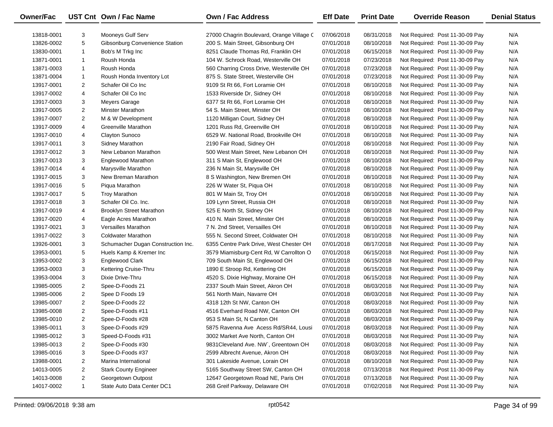| <b>Owner/Fac</b> |                | UST Cnt Own / Fac Name             | Own / Fac Address                         | <b>Eff Date</b> | <b>Print Date</b> | <b>Override Reason</b>          | <b>Denial Status</b> |
|------------------|----------------|------------------------------------|-------------------------------------------|-----------------|-------------------|---------------------------------|----------------------|
| 13818-0001       | 3              | Mooneys Gulf Serv                  | 27000 Chagrin Boulevard, Orange Village C | 07/06/2018      | 08/31/2018        | Not Required: Post 11-30-09 Pay | N/A                  |
| 13826-0002       | 5              | Gibsonburg Convenience Station     | 200 S. Main Street, Gibsonburg OH         | 07/01/2018      | 08/10/2018        | Not Required: Post 11-30-09 Pay | N/A                  |
| 13830-0001       | $\mathbf{1}$   | Bob's M Trkg Inc                   | 8251 Claude Thomas Rd, Franklin OH        | 07/01/2018      | 06/15/2018        | Not Required: Post 11-30-09 Pay | N/A                  |
| 13871-0001       | $\mathbf{1}$   | Roush Honda                        | 104 W. Schrock Road, Westerville OH       | 07/01/2018      | 07/23/2018        | Not Required: Post 11-30-09 Pay | N/A                  |
| 13871-0003       | $\mathbf{1}$   | Roush Honda                        | 560 Charring Cross Drive, Westerville OH  | 07/01/2018      | 07/23/2018        | Not Required: Post 11-30-09 Pay | N/A                  |
| 13871-0004       | $\mathbf{1}$   | Roush Honda Inventory Lot          | 875 S. State Street, Westerville OH       | 07/01/2018      | 07/23/2018        | Not Required: Post 11-30-09 Pay | N/A                  |
| 13917-0001       | $\overline{2}$ | Schafer Oil Co Inc                 | 9109 St Rt 66, Fort Loramie OH            | 07/01/2018      | 08/10/2018        | Not Required: Post 11-30-09 Pay | N/A                  |
| 13917-0002       | 4              | Schafer Oil Co Inc                 | 1533 Riverside Dr, Sidney OH              | 07/01/2018      | 08/10/2018        | Not Required: Post 11-30-09 Pay | N/A                  |
| 13917-0003       | 3              | Meyers Garage                      | 6377 St Rt 66, Fort Loramie OH            | 07/01/2018      | 08/10/2018        | Not Required: Post 11-30-09 Pay | N/A                  |
| 13917-0005       | $\overline{2}$ | <b>Minster Marathon</b>            | 54 S. Main Street, Minster OH             | 07/01/2018      | 08/10/2018        | Not Required: Post 11-30-09 Pay | N/A                  |
| 13917-0007       | $\overline{2}$ | M & W Development                  | 1120 Milligan Court, Sidney OH            | 07/01/2018      | 08/10/2018        | Not Required: Post 11-30-09 Pay | N/A                  |
| 13917-0009       | 4              | Greenville Marathon                | 1201 Russ Rd, Greenville OH               | 07/01/2018      | 08/10/2018        | Not Required: Post 11-30-09 Pay | N/A                  |
| 13917-0010       | 4              | Clayton Sunoco                     | 6529 W. National Road, Brookville OH      | 07/01/2018      | 08/10/2018        | Not Required: Post 11-30-09 Pay | N/A                  |
| 13917-0011       | 3              | Sidney Marathon                    | 2190 Fair Road, Sidney OH                 | 07/01/2018      | 08/10/2018        | Not Required: Post 11-30-09 Pay | N/A                  |
| 13917-0012       | 3              | New Lebanon Marathon               | 500 West Main Street, New Lebanon OH      | 07/01/2018      | 08/10/2018        | Not Required: Post 11-30-09 Pay | N/A                  |
| 13917-0013       | 3              | Englewood Marathon                 | 311 S Main St, Englewood OH               | 07/01/2018      | 08/10/2018        | Not Required: Post 11-30-09 Pay | N/A                  |
| 13917-0014       | 4              | Marysville Marathon                | 236 N Main St, Marysville OH              | 07/01/2018      | 08/10/2018        | Not Required: Post 11-30-09 Pay | N/A                  |
| 13917-0015       | 3              | New Breman Marathon                | 8 S Washington, New Bremen OH             | 07/01/2018      | 08/10/2018        | Not Required: Post 11-30-09 Pay | N/A                  |
| 13917-0016       | 5              | Piqua Marathon                     | 226 W Water St, Piqua OH                  | 07/01/2018      | 08/10/2018        | Not Required: Post 11-30-09 Pay | N/A                  |
| 13917-0017       | 5              | <b>Troy Marathon</b>               | 801 W Main St, Troy OH                    | 07/01/2018      | 08/10/2018        | Not Required: Post 11-30-09 Pay | N/A                  |
| 13917-0018       | 3              | Schafer Oil Co. Inc.               | 109 Lynn Street, Russia OH                | 07/01/2018      | 08/10/2018        | Not Required: Post 11-30-09 Pay | N/A                  |
| 13917-0019       | 4              | <b>Brooklyn Street Marathon</b>    | 525 E North St, Sidney OH                 | 07/01/2018      | 08/10/2018        | Not Required: Post 11-30-09 Pay | N/A                  |
| 13917-0020       | 4              | Eagle Acres Marathon               | 410 N. Main Street, Minster OH            | 07/01/2018      | 08/10/2018        | Not Required: Post 11-30-09 Pay | N/A                  |
| 13917-0021       | 3              | Versailles Marathon                | 7 N. 2nd Street, Versailles OH            | 07/01/2018      | 08/10/2018        | Not Required: Post 11-30-09 Pay | N/A                  |
| 13917-0022       | 3              | <b>Coldwater Marathon</b>          | 555 N. Second Street, Coldwater OH        | 07/01/2018      | 08/10/2018        | Not Required: Post 11-30-09 Pay | N/A                  |
| 13926-0001       | 3              | Schumacher Dugan Construction Inc. | 6355 Centre Park Drive, West Chester OH   | 07/01/2018      | 08/17/2018        | Not Required: Post 11-30-09 Pay | N/A                  |
| 13953-0001       | 5              | Huels Kamp & Kremer Inc            | 3579 Miamisburg-Cent Rd, W Carrollton O   | 07/01/2018      | 06/15/2018        | Not Required: Post 11-30-09 Pay | N/A                  |
| 13953-0002       | 3              | Englewood Clark                    | 709 South Main St, Englewood OH           | 07/01/2018      | 06/15/2018        | Not Required: Post 11-30-09 Pay | N/A                  |
| 13953-0003       | 3              | Kettering Cruise-Thru              | 1890 E Stroop Rd, Kettering OH            | 07/01/2018      | 06/15/2018        | Not Required: Post 11-30-09 Pay | N/A                  |
| 13953-0004       | 3              | Dixie Drive-Thru                   | 4520 S. Dixie Highway, Moraine OH         | 07/01/2018      | 06/15/2018        | Not Required: Post 11-30-09 Pay | N/A                  |
| 13985-0005       | $\overline{2}$ | Spee-D-Foods 21                    | 2337 South Main Street, Akron OH          | 07/01/2018      | 08/03/2018        | Not Required: Post 11-30-09 Pay | N/A                  |
| 13985-0006       | $\overline{2}$ | Spee D Foods 19                    | 561 North Main, Navarre OH                | 07/01/2018      | 08/03/2018        | Not Required: Post 11-30-09 Pay | N/A                  |
| 13985-0007       | $\overline{2}$ | Spee-D-Foods 22                    | 4318 12th St NW, Canton OH                | 07/01/2018      | 08/03/2018        | Not Required: Post 11-30-09 Pay | N/A                  |
| 13985-0008       | $\overline{2}$ | Spee-D-Foods #11                   | 4516 Everhard Road NW, Canton OH          | 07/01/2018      | 08/03/2018        | Not Required: Post 11-30-09 Pay | N/A                  |
| 13985-0010       | $\overline{2}$ | Spee-D-Foods #28                   | 953 S Main St, N Canton OH                | 07/01/2018      | 08/03/2018        | Not Required: Post 11-30-09 Pay | N/A                  |
| 13985-0011       | 3              | Spee-D-Foods #29                   | 5875 Ravenna Ave Acess Rd/SR44, Lousi     | 07/01/2018      | 08/03/2018        | Not Required: Post 11-30-09 Pay | N/A                  |
| 13985-0012       | 3              | Speed-D-Foods #31                  | 3002 Market Ave North, Canton OH          | 07/01/2018      | 08/03/2018        | Not Required: Post 11-30-09 Pay | N/A                  |
| 13985-0013       | 2              | Spee-D-Foods #30                   | 9831 Cleveland Ave. NW, Greentown OH      | 07/01/2018      | 08/03/2018        | Not Required: Post 11-30-09 Pay | N/A                  |
| 13985-0016       | 3              | Spee-D-Foods #37                   | 2599 Albrecht Avenue, Akron OH            | 07/01/2018      | 08/03/2018        | Not Required: Post 11-30-09 Pay | N/A                  |
| 13988-0001       | 2              | Marina International               | 301 Lakeside Avenue, Lorain OH            | 07/01/2018      | 08/10/2018        | Not Required: Post 11-30-09 Pay | N/A                  |
| 14013-0005       | $\overline{2}$ | <b>Stark County Engineer</b>       | 5165 Southway Street SW, Canton OH        | 07/01/2018      | 07/13/2018        | Not Required: Post 11-30-09 Pay | N/A                  |
| 14013-0008       | $\overline{a}$ | Georgetown Outpost                 | 12647 Georgetown Road NE, Paris OH        | 07/01/2018      | 07/13/2018        | Not Required: Post 11-30-09 Pay | N/A                  |
| 14017-0002       | $\mathbf{1}$   | State Auto Data Center DC1         | 268 Greif Parkway, Delaware OH            | 07/01/2018      | 07/02/2018        | Not Required: Post 11-30-09 Pay | N/A                  |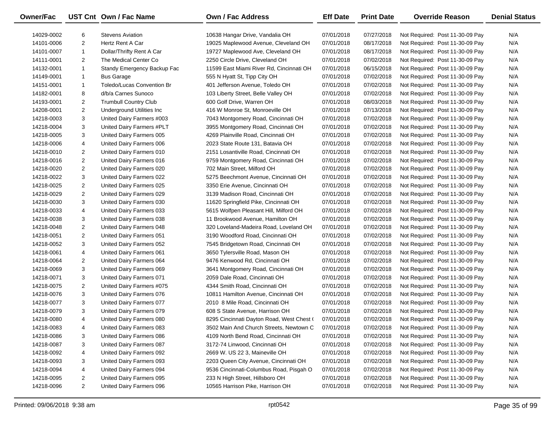| <b>Owner/Fac</b> |                | UST Cnt Own / Fac Name       | <b>Own / Fac Address</b>                  | <b>Eff Date</b> | <b>Print Date</b> | <b>Override Reason</b>          | <b>Denial Status</b> |
|------------------|----------------|------------------------------|-------------------------------------------|-----------------|-------------------|---------------------------------|----------------------|
| 14029-0002       | 6              | <b>Stevens Aviation</b>      | 10638 Hangar Drive, Vandalia OH           | 07/01/2018      | 07/27/2018        | Not Required: Post 11-30-09 Pay | N/A                  |
| 14101-0006       | $\overline{2}$ | Hertz Rent A Car             | 19025 Maplewood Avenue, Cleveland OH      | 07/01/2018      | 08/17/2018        | Not Required: Post 11-30-09 Pay | N/A                  |
| 14101-0007       | $\mathbf{1}$   | Dollar/Thrifty Rent A Car    | 19727 Maplewood Ave, Cleveland OH         | 07/01/2018      | 08/17/2018        | Not Required: Post 11-30-09 Pay | N/A                  |
| 14111-0001       | 2              | The Medical Center Co        | 2250 Circle Drive, Cleveland OH           | 07/01/2018      | 07/02/2018        | Not Required: Post 11-30-09 Pay | N/A                  |
| 14132-0001       | $\mathbf{1}$   | Standy Emergency Backup Fac  | 11599 East Miami River Rd, Cincinnati OH  | 07/01/2018      | 06/15/2018        | Not Required: Post 11-30-09 Pay | N/A                  |
| 14149-0001       | $\mathbf{1}$   | <b>Bus Garage</b>            | 555 N Hyatt St, Tipp City OH              | 07/01/2018      | 07/02/2018        | Not Required: Post 11-30-09 Pay | N/A                  |
| 14151-0001       | $\mathbf{1}$   | Toledo/Lucas Convention Br   | 401 Jefferson Avenue, Toledo OH           | 07/01/2018      | 07/02/2018        | Not Required: Post 11-30-09 Pay | N/A                  |
| 14182-0001       | 8              | d/b/a Carnes Sunoco          | 103 Liberty Street, Belle Valley OH       | 07/01/2018      | 07/02/2018        | Not Required: Post 11-30-09 Pay | N/A                  |
| 14193-0001       | $\overline{2}$ | <b>Trumbull Country Club</b> | 600 Golf Drive, Warren OH                 | 07/01/2018      | 08/03/2018        | Not Required: Post 11-30-09 Pay | N/A                  |
| 14208-0001       | 2              | Underground Utilities Inc    | 416 W Monroe St, Monroeville OH           | 07/01/2018      | 07/13/2018        | Not Required: Post 11-30-09 Pay | N/A                  |
| 14218-0003       | 3              | United Dairy Farmers #003    | 7043 Montgomery Road, Cincinnati OH       | 07/01/2018      | 07/02/2018        | Not Required: Post 11-30-09 Pay | N/A                  |
| 14218-0004       | 3              | United Dairy Farmers #PLT    | 3955 Montgomery Road, Cincinnati OH       | 07/01/2018      | 07/02/2018        | Not Required: Post 11-30-09 Pay | N/A                  |
| 14218-0005       | 3              | United Dairy Farmers 005     | 4269 Plainville Road, Cincinnati OH       | 07/01/2018      | 07/02/2018        | Not Required: Post 11-30-09 Pay | N/A                  |
| 14218-0006       | 4              | United Dairy Farmers 006     | 2023 State Route 131, Batavia OH          | 07/01/2018      | 07/02/2018        | Not Required: Post 11-30-09 Pay | N/A                  |
| 14218-0010       | 2              | United Dairy Farmers 010     | 2151 Losantiville Road, Cincinnati OH     | 07/01/2018      | 07/02/2018        | Not Required: Post 11-30-09 Pay | N/A                  |
| 14218-0016       | 2              | United Dairy Farmers 016     | 9759 Montgomery Road, Cincinnati OH       | 07/01/2018      | 07/02/2018        | Not Required: Post 11-30-09 Pay | N/A                  |
| 14218-0020       | 2              | United Dairy Farmers 020     | 702 Main Street, Milford OH               | 07/01/2018      | 07/02/2018        | Not Required: Post 11-30-09 Pay | N/A                  |
| 14218-0022       | 3              | United Dairy Farmers 022     | 5275 Beechmont Avenue, Cincinnati OH      | 07/01/2018      | 07/02/2018        | Not Required: Post 11-30-09 Pay | N/A                  |
| 14218-0025       | 2              | United Dairy Farmers 025     | 3350 Erie Avenue, Cincinnati OH           | 07/01/2018      | 07/02/2018        | Not Required: Post 11-30-09 Pay | N/A                  |
| 14218-0029       | 2              | United Dairy Farmers 029     | 3139 Madison Road, Cincinnati OH          | 07/01/2018      | 07/02/2018        | Not Required: Post 11-30-09 Pay | N/A                  |
| 14218-0030       | 3              | United Dairy Farmers 030     | 11620 Springfield Pike, Cincinnati OH     | 07/01/2018      | 07/02/2018        | Not Required: Post 11-30-09 Pay | N/A                  |
| 14218-0033       | 4              | United Dairy Farmers 033     | 5615 Wolfpen Pleasant Hill, Milford OH    | 07/01/2018      | 07/02/2018        | Not Required: Post 11-30-09 Pay | N/A                  |
| 14218-0038       | 3              | United Dairy Farmers 038     | 11 Brookwood Avenue, Hamilton OH          | 07/01/2018      | 07/02/2018        | Not Required: Post 11-30-09 Pay | N/A                  |
| 14218-0048       | 2              | United Dairy Farmers 048     | 320 Loveland-Madeira Road, Loveland OH    | 07/01/2018      | 07/02/2018        | Not Required: Post 11-30-09 Pay | N/A                  |
| 14218-0051       | 2              | United Dairy Farmers 051     | 3190 Woodford Road, Cincinnati OH         | 07/01/2018      | 07/02/2018        | Not Required: Post 11-30-09 Pay | N/A                  |
| 14218-0052       | 3              | United Dairy Farmers 052     | 7545 Bridgetown Road, Cincinnati OH       | 07/01/2018      | 07/02/2018        | Not Required: Post 11-30-09 Pay | N/A                  |
| 14218-0061       | 4              | United Dairy Farmers 061     | 3650 Tylersville Road, Mason OH           | 07/01/2018      | 07/02/2018        | Not Required: Post 11-30-09 Pay | N/A                  |
| 14218-0064       | 2              | United Dairy Farmers 064     | 9476 Kenwood Rd, Cincinnati OH            | 07/01/2018      | 07/02/2018        | Not Required: Post 11-30-09 Pay | N/A                  |
| 14218-0069       | 3              | United Dairy Farmers 069     | 3641 Montgomery Road, Cincinnati OH       | 07/01/2018      | 07/02/2018        | Not Required: Post 11-30-09 Pay | N/A                  |
| 14218-0071       | 3              | United Dairy Farmers 071     | 2059 Dale Road, Cincinnati OH             | 07/01/2018      | 07/02/2018        | Not Required: Post 11-30-09 Pay | N/A                  |
| 14218-0075       | 2              | United Dairy Farmers #075    | 4344 Smith Road, Cincinnati OH            | 07/01/2018      | 07/02/2018        | Not Required: Post 11-30-09 Pay | N/A                  |
| 14218-0076       | 3              | United Dairy Farmers 076     | 10811 Hamilton Avenue, Cincinnati OH      | 07/01/2018      | 07/02/2018        | Not Required: Post 11-30-09 Pay | N/A                  |
| 14218-0077       | 3              | United Dairy Farmers 077     | 2010 8 Mile Road, Cincinnati OH           | 07/01/2018      | 07/02/2018        | Not Required: Post 11-30-09 Pay | N/A                  |
| 14218-0079       | 3              | United Dairy Farmers 079     | 608 S State Avenue, Harrison OH           | 07/01/2018      | 07/02/2018        | Not Required: Post 11-30-09 Pay | N/A                  |
| 14218-0080       | 4              | United Dairy Farmers 080     | 8295 Cincinnati Dayton Road, West Chest ( | 07/01/2018      | 07/02/2018        | Not Required: Post 11-30-09 Pay | N/A                  |
| 14218-0083       | 4              | United Dairy Farmers 083     | 3502 Main And Church Streets, Newtown C   | 07/01/2018      | 07/02/2018        | Not Required: Post 11-30-09 Pay | N/A                  |
| 14218-0086       | 3              | United Dairy Farmers 086     | 4109 North Bend Road, Cincinnati OH       | 07/01/2018      | 07/02/2018        | Not Required: Post 11-30-09 Pay | N/A                  |
| 14218-0087       | 3              | United Dairy Farmers 087     | 3172-74 Linwood, Cincinnati OH            | 07/01/2018      | 07/02/2018        | Not Required: Post 11-30-09 Pay | N/A                  |
| 14218-0092       | 4              | United Dairy Farmers 092     | 2669 W. US 22 3, Maineville OH            | 07/01/2018      | 07/02/2018        | Not Required: Post 11-30-09 Pay | N/A                  |
| 14218-0093       | 3              | United Dairy Farmers 093     | 2203 Queen City Avenue, Cincinnati OH     | 07/01/2018      | 07/02/2018        | Not Required: Post 11-30-09 Pay | N/A                  |
| 14218-0094       | 4              | United Dairy Farmers 094     | 9536 Cincinnati-Columbus Road, Pisgah O   | 07/01/2018      | 07/02/2018        | Not Required: Post 11-30-09 Pay | N/A                  |
| 14218-0095       | 2              | United Dairy Farmers 095     | 233 N High Street, Hillsboro OH           | 07/01/2018      | 07/02/2018        | Not Required: Post 11-30-09 Pay | N/A                  |
| 14218-0096       | $\overline{2}$ | United Dairy Farmers 096     | 10565 Harrison Pike, Harrison OH          | 07/01/2018      | 07/02/2018        | Not Required: Post 11-30-09 Pay | N/A                  |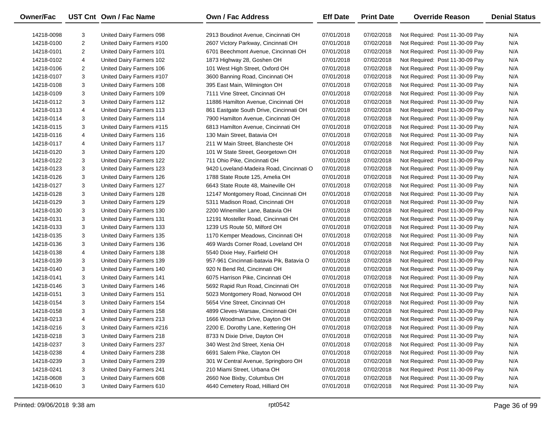| Owner/Fac  |                | UST Cnt Own / Fac Name    | <b>Own / Fac Address</b>                  | <b>Eff Date</b> | <b>Print Date</b> | <b>Override Reason</b>          | <b>Denial Status</b> |
|------------|----------------|---------------------------|-------------------------------------------|-----------------|-------------------|---------------------------------|----------------------|
| 14218-0098 | 3              | United Dairy Farmers 098  | 2913 Boudinot Avenue, Cincinnati OH       | 07/01/2018      | 07/02/2018        | Not Required: Post 11-30-09 Pay | N/A                  |
| 14218-0100 | 2              | United Dairy Farmers #100 | 2607 Victory Parkway, Cincinnati OH       | 07/01/2018      | 07/02/2018        | Not Required: Post 11-30-09 Pay | N/A                  |
| 14218-0101 | $\overline{2}$ | United Dairy Farmers 101  | 6701 Beechmont Avenue, Cincinnati OH      | 07/01/2018      | 07/02/2018        | Not Required: Post 11-30-09 Pay | N/A                  |
| 14218-0102 | 4              | United Dairy Farmers 102  | 1873 Highway 28, Goshen OH                | 07/01/2018      | 07/02/2018        | Not Required: Post 11-30-09 Pay | N/A                  |
| 14218-0106 | 2              | United Dairy Farmers 106  | 101 West High Street, Oxford OH           | 07/01/2018      | 07/02/2018        | Not Required: Post 11-30-09 Pay | N/A                  |
| 14218-0107 | 3              | United Dairy Farmers #107 | 3600 Banning Road, Cincinnati OH          | 07/01/2018      | 07/02/2018        | Not Required: Post 11-30-09 Pay | N/A                  |
| 14218-0108 | 3              | United Dairy Farmers 108  | 395 East Main, Wilmington OH              | 07/01/2018      | 07/02/2018        | Not Required: Post 11-30-09 Pay | N/A                  |
| 14218-0109 | 3              | United Dairy Farmers 109  | 7111 Vine Street, Cincinnati OH           | 07/01/2018      | 07/02/2018        | Not Required: Post 11-30-09 Pay | N/A                  |
| 14218-0112 | 3              | United Dairy Farmers 112  | 11886 Hamilton Avenue, Cincinnati OH      | 07/01/2018      | 07/02/2018        | Not Required: Post 11-30-09 Pay | N/A                  |
| 14218-0113 | 4              | United Dairy Farmers 113  | 861 Eastgate South Drive, Cincinnati OH   | 07/01/2018      | 07/02/2018        | Not Required: Post 11-30-09 Pay | N/A                  |
| 14218-0114 | 3              | United Dairy Farmers 114  | 7900 Hamilton Avenue, Cincinnati OH       | 07/01/2018      | 07/02/2018        | Not Required: Post 11-30-09 Pay | N/A                  |
| 14218-0115 | 3              | United Dairy Farmers #115 | 6813 Hamilton Avenue, Cincinnati OH       | 07/01/2018      | 07/02/2018        | Not Required: Post 11-30-09 Pay | N/A                  |
| 14218-0116 | 4              | United Dairy Farmers 116  | 130 Main Street, Batavia OH               | 07/01/2018      | 07/02/2018        | Not Required: Post 11-30-09 Pay | N/A                  |
| 14218-0117 | 4              | United Dairy Farmers 117  | 211 W Main Street, Blancheste OH          | 07/01/2018      | 07/02/2018        | Not Required: Post 11-30-09 Pay | N/A                  |
| 14218-0120 | 3              | United Dairy Farmers 120  | 101 W State Street, Georgetown OH         | 07/01/2018      | 07/02/2018        | Not Required: Post 11-30-09 Pay | N/A                  |
| 14218-0122 | 3              | United Dairy Farmers 122  | 711 Ohio Pike, Cincinnati OH              | 07/01/2018      | 07/02/2018        | Not Required: Post 11-30-09 Pay | N/A                  |
| 14218-0123 | 3              | United Dairy Farmers 123  | 9420 Loveland-Madeira Road, Cincinnati O  | 07/01/2018      | 07/02/2018        | Not Required: Post 11-30-09 Pay | N/A                  |
| 14218-0126 | 3              | United Dairy Farmers 126  | 1788 State Route 125, Amelia OH           | 07/01/2018      | 07/02/2018        | Not Required: Post 11-30-09 Pay | N/A                  |
| 14218-0127 | 3              | United Dairy Farmers 127  | 6643 State Route 48, Maineville OH        | 07/01/2018      | 07/02/2018        | Not Required: Post 11-30-09 Pay | N/A                  |
| 14218-0128 | 3              | United Dairy Farmers 128  | 12147 Montgomery Road, Cincinnati OH      | 07/01/2018      | 07/02/2018        | Not Required: Post 11-30-09 Pay | N/A                  |
| 14218-0129 | 3              | United Dairy Farmers 129  | 5311 Madison Road, Cincinnati OH          | 07/01/2018      | 07/02/2018        | Not Required: Post 11-30-09 Pay | N/A                  |
| 14218-0130 | 3              | United Dairy Farmers 130  | 2200 Winemiller Lane, Batavia OH          | 07/01/2018      | 07/02/2018        | Not Required: Post 11-30-09 Pay | N/A                  |
| 14218-0131 | 3              | United Dairy Farmers 131  | 12191 Mosteller Road, Cincinnati OH       | 07/01/2018      | 07/02/2018        | Not Required: Post 11-30-09 Pay | N/A                  |
| 14218-0133 | 3              | United Dairy Farmers 133  | 1239 US Route 50, Milford OH              | 07/01/2018      | 07/02/2018        | Not Required: Post 11-30-09 Pay | N/A                  |
| 14218-0135 | 3              | United Dairy Farmers 135  | 1170 Kemper Meadows, Cincinnati OH        | 07/01/2018      | 07/02/2018        | Not Required: Post 11-30-09 Pay | N/A                  |
| 14218-0136 | 3              | United Dairy Farmers 136  | 469 Wards Corner Road, Loveland OH        | 07/01/2018      | 07/02/2018        | Not Required: Post 11-30-09 Pay | N/A                  |
| 14218-0138 | 4              | United Dairy Farmers 138  | 5540 Dixie Hwy, Fairfield OH              | 07/01/2018      | 07/02/2018        | Not Required: Post 11-30-09 Pay | N/A                  |
| 14218-0139 | 3              | United Dairy Farmers 139  | 957-961 Cincinnati-batavia Pik, Batavia O | 07/01/2018      | 07/02/2018        | Not Required: Post 11-30-09 Pay | N/A                  |
| 14218-0140 | 3              | United Dairy Farmers 140  | 920 N Bend Rd, Cincinnati OH              | 07/01/2018      | 07/02/2018        | Not Required: Post 11-30-09 Pay | N/A                  |
| 14218-0141 | 3              | United Dairy Farmers 141  | 6075 Harrison Pike, Cincinnati OH         | 07/01/2018      | 07/02/2018        | Not Required: Post 11-30-09 Pay | N/A                  |
| 14218-0146 | 3              | United Dairy Farmers 146  | 5692 Rapid Run Road, Cincinnati OH        | 07/01/2018      | 07/02/2018        | Not Required: Post 11-30-09 Pay | N/A                  |
| 14218-0151 | 3              | United Dairy Farmers 151  | 5023 Montgomery Road, Norwood OH          | 07/01/2018      | 07/02/2018        | Not Required: Post 11-30-09 Pay | N/A                  |
| 14218-0154 | 3              | United Dairy Farmers 154  | 5654 Vine Street, Cincinnati OH           | 07/01/2018      | 07/02/2018        | Not Required: Post 11-30-09 Pay | N/A                  |
| 14218-0158 | 3              | United Dairy Farmers 158  | 4899 Cleves-Warsaw, Cincinnati OH         | 07/01/2018      | 07/02/2018        | Not Required: Post 11-30-09 Pay | N/A                  |
| 14218-0213 | 4              | United Dairy Farmers 213  | 1666 Woodman Drive, Dayton OH             | 07/01/2018      | 07/02/2018        | Not Required: Post 11-30-09 Pay | N/A                  |
| 14218-0216 | 3              | United Dairy Farmers #216 | 2200 E. Dorothy Lane, Kettering OH        | 07/01/2018      | 07/02/2018        | Not Required: Post 11-30-09 Pay | N/A                  |
| 14218-0218 | 3              | United Dairy Farmers 218  | 8733 N Dixie Drive, Dayton OH             | 07/01/2018      | 07/02/2018        | Not Required: Post 11-30-09 Pay | N/A                  |
| 14218-0237 | 3              | United Dairy Farmers 237  | 340 West 2nd Street, Xenia OH             | 07/01/2018      | 07/02/2018        | Not Required: Post 11-30-09 Pay | N/A                  |
| 14218-0238 | 4              | United Dairy Farmers 238  | 6691 Salem Pike, Clayton OH               | 07/01/2018      | 07/02/2018        | Not Required: Post 11-30-09 Pay | N/A                  |
| 14218-0239 | 3              | United Dairy Farmers 239  | 301 W Central Avenue, Springboro OH       | 07/01/2018      | 07/02/2018        | Not Required: Post 11-30-09 Pay | N/A                  |
| 14218-0241 | 3              | United Dairy Farmers 241  | 210 Miami Street, Urbana OH               | 07/01/2018      | 07/02/2018        | Not Required: Post 11-30-09 Pay | N/A                  |
| 14218-0608 | 3              | United Dairy Farmers 608  | 2660 Noe Bixby, Columbus OH               | 07/01/2018      | 07/02/2018        | Not Required: Post 11-30-09 Pay | N/A                  |
| 14218-0610 | 3              | United Dairy Farmers 610  | 4640 Cemetery Road, Hilliard OH           | 07/01/2018      | 07/02/2018        | Not Required: Post 11-30-09 Pay | N/A                  |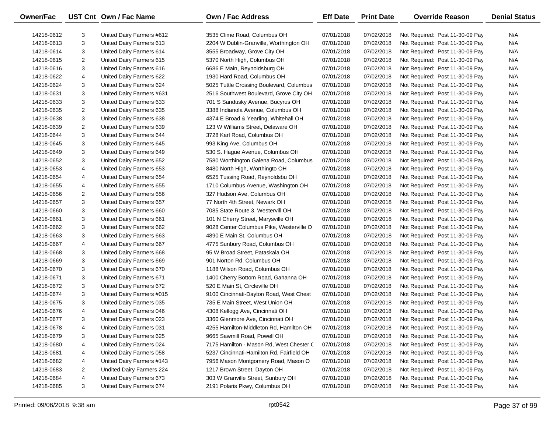| Owner/Fac  |   | UST Cnt Own / Fac Name    | <b>Own / Fac Address</b>                  | <b>Eff Date</b> | <b>Print Date</b> | <b>Override Reason</b>          | <b>Denial Status</b> |
|------------|---|---------------------------|-------------------------------------------|-----------------|-------------------|---------------------------------|----------------------|
| 14218-0612 | 3 | United Dairy Farmers #612 | 3535 Clime Road, Columbus OH              | 07/01/2018      | 07/02/2018        | Not Required: Post 11-30-09 Pay | N/A                  |
| 14218-0613 | 3 | United Dairy Farmers 613  | 2204 W Dublin-Granville, Worthington OH   | 07/01/2018      | 07/02/2018        | Not Required: Post 11-30-09 Pay | N/A                  |
| 14218-0614 | 3 | United Dairy Farmers 614  | 3555 Broadway, Grove City OH              | 07/01/2018      | 07/02/2018        | Not Required: Post 11-30-09 Pay | N/A                  |
| 14218-0615 | 2 | United Dairy Farmers 615  | 5370 North High, Columbus OH              | 07/01/2018      | 07/02/2018        | Not Required: Post 11-30-09 Pay | N/A                  |
| 14218-0616 | 3 | United Dairy Farmers 616  | 6686 E Main, Reynoldsburg OH              | 07/01/2018      | 07/02/2018        | Not Required: Post 11-30-09 Pay | N/A                  |
| 14218-0622 | 4 | United Dairy Farmers 622  | 1930 Hard Road, Columbus OH               | 07/01/2018      | 07/02/2018        | Not Required: Post 11-30-09 Pay | N/A                  |
| 14218-0624 | 3 | United Dairy Farmers 624  | 5025 Tuttle Crossing Boulevard, Columbus  | 07/01/2018      | 07/02/2018        | Not Required: Post 11-30-09 Pay | N/A                  |
| 14218-0631 | 3 | United Dairy Farmers #631 | 2516 Southwest Boulevard, Grove City OH   | 07/01/2018      | 07/02/2018        | Not Required: Post 11-30-09 Pay | N/A                  |
| 14218-0633 | 3 | United Dairy Farmers 633  | 701 S Sandusky Avenue, Bucyrus OH         | 07/01/2018      | 07/02/2018        | Not Required: Post 11-30-09 Pay | N/A                  |
| 14218-0635 | 2 | United Dairy Farmers 635  | 3388 Indianola Avenue, Columbus OH        | 07/01/2018      | 07/02/2018        | Not Required: Post 11-30-09 Pay | N/A                  |
| 14218-0638 | 3 | United Dairy Farmers 638  | 4374 E Broad & Yearling, Whitehall OH     | 07/01/2018      | 07/02/2018        | Not Required: Post 11-30-09 Pay | N/A                  |
| 14218-0639 | 2 | United Dairy Farmers 639  | 123 W Williams Street, Delaware OH        | 07/01/2018      | 07/02/2018        | Not Required: Post 11-30-09 Pay | N/A                  |
| 14218-0644 | 3 | United Dairy Farmers 644  | 3728 Karl Road, Columbus OH               | 07/01/2018      | 07/02/2018        | Not Required: Post 11-30-09 Pay | N/A                  |
| 14218-0645 | 3 | United Dairy Farmers 645  | 993 King Ave, Columbus OH                 | 07/01/2018      | 07/02/2018        | Not Required: Post 11-30-09 Pay | N/A                  |
| 14218-0649 | 3 | United Dairy Farmers 649  | 530 S. Hague Avenue, Columbus OH          | 07/01/2018      | 07/02/2018        | Not Required: Post 11-30-09 Pay | N/A                  |
| 14218-0652 | 3 | United Dairy Farmers 652  | 7580 Worthington Galena Road, Columbus    | 07/01/2018      | 07/02/2018        | Not Required: Post 11-30-09 Pay | N/A                  |
| 14218-0653 | 4 | United Dairy Farmers 653  | 8480 North High, Worthingto OH            | 07/01/2018      | 07/02/2018        | Not Required: Post 11-30-09 Pay | N/A                  |
| 14218-0654 | 4 | United Dairy Farmers 654  | 6525 Tussing Road, Reynoldsbu OH          | 07/01/2018      | 07/02/2018        | Not Required: Post 11-30-09 Pay | N/A                  |
| 14218-0655 | 4 | United Dairy Farmers 655  | 1710 Columbus Avenue, Washington OH       | 07/01/2018      | 07/02/2018        | Not Required: Post 11-30-09 Pay | N/A                  |
| 14218-0656 | 2 | United Dairy Farmers 656  | 327 Hudson Ave, Columbus OH               | 07/01/2018      | 07/02/2018        | Not Required: Post 11-30-09 Pay | N/A                  |
| 14218-0657 | 3 | United Dairy Farmers 657  | 77 North 4th Street, Newark OH            | 07/01/2018      | 07/02/2018        | Not Required: Post 11-30-09 Pay | N/A                  |
| 14218-0660 | 3 | United Dairy Farmers 660  | 7085 State Route 3, Westervill OH         | 07/01/2018      | 07/02/2018        | Not Required: Post 11-30-09 Pay | N/A                  |
| 14218-0661 | 3 | United Dairy Farmers 661  | 101 N Cherry Street, Marysville OH        | 07/01/2018      | 07/02/2018        | Not Required: Post 11-30-09 Pay | N/A                  |
| 14218-0662 | 3 | United Dairy Farmers 662  | 9028 Center Columbus Pike, Westerville O  | 07/01/2018      | 07/02/2018        | Not Required: Post 11-30-09 Pay | N/A                  |
| 14218-0663 | 3 | United Dairy Farmers 663  | 4890 E Main St, Columbus OH               | 07/01/2018      | 07/02/2018        | Not Required: Post 11-30-09 Pay | N/A                  |
| 14218-0667 | 4 | United Dairy Farmers 667  | 4775 Sunbury Road, Columbus OH            | 07/01/2018      | 07/02/2018        | Not Required: Post 11-30-09 Pay | N/A                  |
| 14218-0668 | 3 | United Dairy Farmers 668  | 95 W Broad Street, Pataskala OH           | 07/01/2018      | 07/02/2018        | Not Required: Post 11-30-09 Pay | N/A                  |
| 14218-0669 | 3 | United Dairy Farmers 669  | 901 Norton Rd, Columbus OH                | 07/01/2018      | 07/02/2018        | Not Required: Post 11-30-09 Pay | N/A                  |
| 14218-0670 | 3 | United Dairy Farmers 670  | 1188 Wilson Road, Columbus OH             | 07/01/2018      | 07/02/2018        | Not Required: Post 11-30-09 Pay | N/A                  |
| 14218-0671 | 3 | United Dairy Farmers 671  | 1400 Cherry Bottom Road, Gahanna OH       | 07/01/2018      | 07/02/2018        | Not Required: Post 11-30-09 Pay | N/A                  |
| 14218-0672 | 3 | United Dairy Farmers 672  | 520 E Main St, Circleville OH             | 07/01/2018      | 07/02/2018        | Not Required: Post 11-30-09 Pay | N/A                  |
| 14218-0674 | 3 | United Dairy Farmers #015 | 9100 Cincinnati-Dayton Road, West Chest   | 07/01/2018      | 07/02/2018        | Not Required: Post 11-30-09 Pay | N/A                  |
| 14218-0675 | 3 | United Dairy Farmers 035  | 735 E Main Street, West Union OH          | 07/01/2018      | 07/02/2018        | Not Required: Post 11-30-09 Pay | N/A                  |
| 14218-0676 | 4 | United Dairy Farmers 046  | 4308 Kellogg Ave, Cincinnati OH           | 07/01/2018      | 07/02/2018        | Not Required: Post 11-30-09 Pay | N/A                  |
| 14218-0677 | 3 | United Dairy Farmers 023  | 3360 Glenmore Ave, Cincinnati OH          | 07/01/2018      | 07/02/2018        | Not Required: Post 11-30-09 Pay | N/A                  |
| 14218-0678 | 4 | United Dairy Farmers 031  | 4255 Hamilton-Middleton Rd, Hamilton OH   | 07/01/2018      | 07/02/2018        | Not Required: Post 11-30-09 Pay | N/A                  |
| 14218-0679 | 3 | United Dairy Farmers 625  | 9665 Sawmill Road, Powell OH              | 07/01/2018      | 07/02/2018        | Not Required: Post 11-30-09 Pay | N/A                  |
| 14218-0680 | 4 | United Dairy Farmers 024  | 7175 Hamilton - Mason Rd, West Chester C  | 07/01/2018      | 07/02/2018        | Not Required: Post 11-30-09 Pay | N/A                  |
| 14218-0681 | 4 | United Dairy Farmers 058  | 5237 Cincinnati-Hamilton Rd, Fairfield OH | 07/01/2018      | 07/02/2018        | Not Required: Post 11-30-09 Pay | N/A                  |
| 14218-0682 | 4 | United Dairy Farmers #143 | 7956 Mason Montgomery Road, Mason O       | 07/01/2018      | 07/02/2018        | Not Required: Post 11-30-09 Pay | N/A                  |
| 14218-0683 | 2 | Undited Dairy Farmers 224 | 1217 Brown Street, Dayton OH              | 07/01/2018      | 07/02/2018        | Not Required: Post 11-30-09 Pay | N/A                  |
| 14218-0684 | 4 | United Dairy Farmers 673  | 303 W Granville Street, Sunbury OH        | 07/01/2018      | 07/02/2018        | Not Required: Post 11-30-09 Pay | N/A                  |
| 14218-0685 | 3 | United Dairy Farmers 674  | 2191 Polaris Pkwy, Columbus OH            | 07/01/2018      | 07/02/2018        | Not Required: Post 11-30-09 Pay | N/A                  |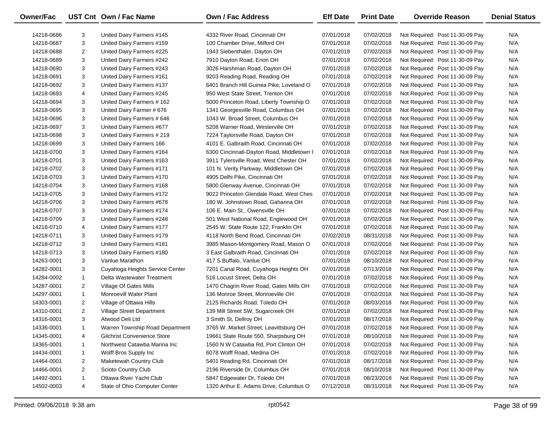| Owner/Fac  |                | UST Cnt Own / Fac Name             | <b>Own / Fac Address</b>                  | <b>Eff Date</b> | <b>Print Date</b> | <b>Override Reason</b>          | <b>Denial Status</b> |
|------------|----------------|------------------------------------|-------------------------------------------|-----------------|-------------------|---------------------------------|----------------------|
| 14218-0686 | 3              | United Dairy Farmers #145          | 4332 River Road, Cincinnati OH            | 07/01/2018      | 07/02/2018        | Not Required: Post 11-30-09 Pay | N/A                  |
| 14218-0687 | 3              | United Dairy Farmers #159          | 100 Chamber Drive, Milford OH             | 07/01/2018      | 07/02/2018        | Not Required: Post 11-30-09 Pay | N/A                  |
| 14218-0688 | $\overline{2}$ | United Dairy Farmers #225          | 1943 Siebenthaler, Dayton OH              | 07/01/2018      | 07/02/2018        | Not Required: Post 11-30-09 Pay | N/A                  |
| 14218-0689 | 3              | United Dairy Farmers #242          | 7910 Dayton Road, Enon OH                 | 07/01/2018      | 07/02/2018        | Not Required: Post 11-30-09 Pay | N/A                  |
| 14218-0690 | 3              | United Dairy Farmers #243          | 3026 Harshman Road, Dayton OH             | 07/01/2018      | 07/02/2018        | Not Required: Post 11-30-09 Pay | N/A                  |
| 14218-0691 | 3              | United Dairy Farmers #161          | 9203 Reading Road, Reading OH             | 07/01/2018      | 07/02/2018        | Not Required: Post 11-30-09 Pay | N/A                  |
| 14218-0692 | 3              | United Dairy Farmers #137          | 6401 Branch Hill Guinea Pike, Loveland O  | 07/01/2018      | 07/02/2018        | Not Required: Post 11-30-09 Pay | N/A                  |
| 14218-0693 | 4              | United Dairy Farmers #245          | 950 West State Street, Trenton OH         | 07/01/2018      | 07/02/2018        | Not Required: Post 11-30-09 Pay | N/A                  |
| 14218-0694 | 3              | United Dairy Farmers # 162         | 5000 Princeton Road, Liberty Township O   | 07/01/2018      | 07/02/2018        | Not Required: Post 11-30-09 Pay | N/A                  |
| 14218-0695 | 3              | United Dairy Farmer # 676          | 1341 Georgesville Road, Columbus OH       | 07/01/2018      | 07/02/2018        | Not Required: Post 11-30-09 Pay | N/A                  |
| 14218-0696 | 3              | United Dairy Farmers # 646         | 1043 W. Broad Street, Columbus OH         | 07/01/2018      | 07/02/2018        | Not Required: Post 11-30-09 Pay | N/A                  |
| 14218-0697 | 3              | United Dairy Farmers #677          | 5208 Warner Road, Westerville OH          | 07/01/2018      | 07/02/2018        | Not Required: Post 11-30-09 Pay | N/A                  |
| 14218-0698 | 3              | United Dairy Farmers # 219         | 7224 Taylorsville Road, Dayton OH         | 07/01/2018      | 07/02/2018        | Not Required: Post 11-30-09 Pay | N/A                  |
| 14218-0699 | 3              | United Dairy Farmers 166           | 4101 E. Galbraith Road, Cincinnati OH     | 07/01/2018      | 07/02/2018        | Not Required: Post 11-30-09 Pay | N/A                  |
| 14218-0700 | 3              | United Dairy Farmers #164          | 6300 Cincinnati-Dayton Road, Middletown ( | 07/01/2018      | 07/02/2018        | Not Required: Post 11-30-09 Pay | N/A                  |
| 14218-0701 | 3              | United Dairy Farmers #163          | 3911 Tylersville Road, West Chester OH    | 07/01/2018      | 07/02/2018        | Not Required: Post 11-30-09 Pay | N/A                  |
| 14218-0702 | 3              | United Dairy Farmers #171          | 101 N. Verity Parkway, Middletown OH      | 07/01/2018      | 07/02/2018        | Not Required: Post 11-30-09 Pay | N/A                  |
| 14218-0703 | 3              | United Dairy Farmers #170          | 4905 Delhi Pike, Cincinnati OH            | 07/01/2018      | 07/02/2018        | Not Required: Post 11-30-09 Pay | N/A                  |
| 14218-0704 | 3              | United Dairy Farmers #168          | 5800 Glenway Avenue, Cincinnati OH        | 07/01/2018      | 07/02/2018        | Not Required: Post 11-30-09 Pay | N/A                  |
| 14218-0705 | 3              | United Dairy Farmers #172          | 9022 Princeton Glendale Road, West Ches   | 07/01/2018      | 07/02/2018        | Not Required: Post 11-30-09 Pay | N/A                  |
| 14218-0706 | 3              | United Dairy Farmers #678          | 180 W. Johnstown Road, Gahanna OH         | 07/01/2018      | 07/02/2018        | Not Required: Post 11-30-09 Pay | N/A                  |
| 14218-0707 | 3              | United Dairy Farmers #174          | 106 E. Main St., Owensville OH            | 07/01/2018      | 07/02/2018        | Not Required: Post 11-30-09 Pay | N/A                  |
| 14218-0709 | 3              | United Dairy Farmers #248          | 501 West National Road, Englewood OH      | 07/01/2018      | 07/02/2018        | Not Required: Post 11-30-09 Pay | N/A                  |
| 14218-0710 | 4              | United Dairy Farmers #177          | 2545 W. State Route 122, Franklin OH      | 07/01/2018      | 07/02/2018        | Not Required: Post 11-30-09 Pay | N/A                  |
| 14218-0711 | 3              | United Dairy Farmers #179          | 4118 North Bend Road, Cincinnati OH       | 07/02/2018      | 08/31/2018        | Not Required: Post 11-30-09 Pay | N/A                  |
| 14218-0712 | 3              | United Dairy Farmers #181          | 3985 Mason-Montgomery Road, Mason O       | 07/01/2018      | 07/02/2018        | Not Required: Post 11-30-09 Pay | N/A                  |
| 14218-0713 | 3              | United Dairy Farmers #180          | 3 East Galbraith Road, Cincinnati OH      | 07/01/2018      | 07/02/2018        | Not Required: Post 11-30-09 Pay | N/A                  |
| 14263-0001 | 3              | Vanlue Marathon                    | 417 S Buffalo, Vanlue OH                  | 07/01/2018      | 08/10/2018        | Not Required: Post 11-30-09 Pay | N/A                  |
| 14282-0001 | 3              | Cuyahoga Heights Service Center    | 7201 Canal Road, Cuyahoga Heights OH      | 07/01/2018      | 07/13/2018        | Not Required: Post 11-30-09 Pay | N/A                  |
| 14284-0002 | $\mathbf{1}$   | Delta Wastewater Treatment         | 516 Locust Street, Delta OH               | 07/01/2018      | 07/02/2018        | Not Required: Post 11-30-09 Pay | N/A                  |
| 14287-0001 | $\overline{2}$ | Village Of Gates Mills             | 1470 Chagrin River Road, Gates Mills OH   | 07/01/2018      | 07/02/2018        | Not Required: Post 11-30-09 Pay | N/A                  |
| 14297-0001 | $\mathbf{1}$   | <b>Monroevill Water Plant</b>      | 136 Monroe Street, Monroeville OH         | 07/01/2018      | 07/02/2018        | Not Required: Post 11-30-09 Pay | N/A                  |
| 14303-0001 | $\overline{2}$ | Village of Ottawa Hills            | 2125 Richards Road, Toledo OH             | 07/01/2018      | 08/03/2018        | Not Required: Post 11-30-09 Pay | N/A                  |
| 14310-0001 | $\overline{2}$ | Village Street Department          | 139 Mill Street SW, Sugarcreek OH         | 07/01/2018      | 07/02/2018        | Not Required: Post 11-30-09 Pay | N/A                  |
| 14316-0001 | 3              | Atwood Deli Ltd                    | 3 Smith St, Dellroy OH                    | 07/01/2018      | 08/17/2018        | Not Required: Post 11-30-09 Pay | N/A                  |
| 14336-0001 | 1              | Warren Township Road Department    | 3765 W. Market Street, Leavittsburg OH    | 07/01/2018      | 07/02/2018        | Not Required: Post 11-30-09 Pay | N/A                  |
| 14345-0001 | 4              | <b>Gilchrist Convenience Store</b> | 19661 State Route 550, Sharpsburg OH      | 07/01/2018      | 08/10/2018        | Not Required: Post 11-30-09 Pay | N/A                  |
| 14365-0001 | $\mathbf{1}$   | Northwest Catawba Marina Inc       | 1560 N W Catawba Rd, Port Clinton OH      | 07/01/2018      | 07/02/2018        | Not Required: Post 11-30-09 Pay | N/A                  |
| 14434-0001 | 1              | Wolff Bros Supply Inc              | 6078 Wolff Road, Medina OH                | 07/01/2018      | 07/02/2018        | Not Required: Post 11-30-09 Pay | N/A                  |
| 14464-0001 | 2              | Maketewah Country Club             | 5401 Reading Rd, Cincinnati OH            | 07/01/2018      | 08/17/2018        | Not Required: Post 11-30-09 Pay | N/A                  |
| 14466-0001 | 2              | Scioto Country Club                | 2196 Riverside Dr, Columbus OH            | 07/01/2018      | 08/10/2018        | Not Required: Post 11-30-09 Pay | N/A                  |
| 14492-0001 | $\mathbf{1}$   | Ottawa River Yacht Club            | 5847 Edgewater Dr, Toledo OH              | 07/01/2018      | 08/23/2018        | Not Required: Post 11-30-09 Pay | N/A                  |
| 14502-0003 | 4              | State of Ohio Computer Center      | 1320 Arthur E. Adams Drive, Columbus O    | 07/12/2018      | 08/31/2018        | Not Required: Post 11-30-09 Pay | N/A                  |

—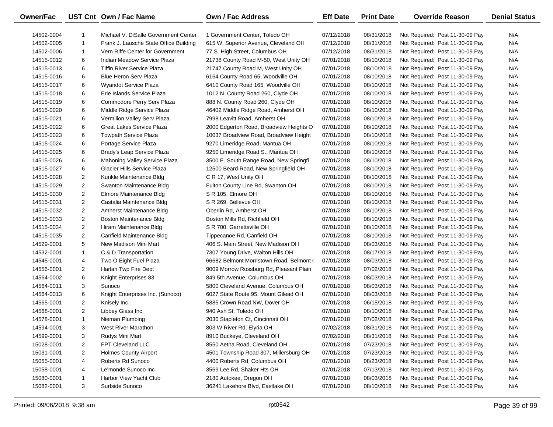| <b>Owner/Fac</b> |                | UST Cnt Own / Fac Name                 | <b>Own / Fac Address</b>                 | <b>Eff Date</b> | <b>Print Date</b> | <b>Override Reason</b>          | <b>Denial Status</b> |
|------------------|----------------|----------------------------------------|------------------------------------------|-----------------|-------------------|---------------------------------|----------------------|
| 14502-0004       | 1.             | Michael V. DiSalle Government Center   | 1 Government Center, Toledo OH           | 07/12/2018      | 08/31/2018        | Not Required: Post 11-30-09 Pay | N/A                  |
| 14502-0005       | $\mathbf{1}$   | Frank J. Lausche State Office Building | 615 W. Superior Avenue, Cleveland OH     | 07/12/2018      | 08/31/2018        | Not Required: Post 11-30-09 Pay | N/A                  |
| 14502-0006       | 1              | Vern Riffe Center for Government       | 77 S. High Street, Columbus OH           | 07/12/2018      | 08/31/2018        | Not Required: Post 11-30-09 Pay | N/A                  |
| 14515-0012       | 6              | Indian Meadow Service Plaza            | 21738 County Road M-50, West Unity OH    | 07/01/2018      | 08/10/2018        | Not Required: Post 11-30-09 Pay | N/A                  |
| 14515-0013       | 6              | <b>Tiffin River Service Plaza</b>      | 21747 County Road M, West Unity OH       | 07/01/2018      | 08/10/2018        | Not Required: Post 11-30-09 Pay | N/A                  |
| 14515-0016       | 6              | <b>Blue Heron Serv Plaza</b>           | 6164 County Road 65, Woodville OH        | 07/01/2018      | 08/10/2018        | Not Required: Post 11-30-09 Pay | N/A                  |
| 14515-0017       | 6              | <b>Wyandot Service Plaza</b>           | 6410 County Road 165, Woodville OH       | 07/01/2018      | 08/10/2018        | Not Required: Post 11-30-09 Pay | N/A                  |
| 14515-0018       | 6              | Erie Islands Service Plaza             | 1012 N. County Road 260, Clyde OH        | 07/01/2018      | 08/10/2018        | Not Required: Post 11-30-09 Pay | N/A                  |
| 14515-0019       | 6              | Commodore Perry Serv Plaza             | 888 N. County Road 260, Clyde OH         | 07/01/2018      | 08/10/2018        | Not Required: Post 11-30-09 Pay | N/A                  |
| 14515-0020       | 6              | Middle Ridge Service Plaza             | 46402 Middle Ridge Road, Amherst OH      | 07/01/2018      | 08/10/2018        | Not Required: Post 11-30-09 Pay | N/A                  |
| 14515-0021       | 6              | Vermilion Valley Serv Plaza            | 7998 Leavitt Road, Amherst OH            | 07/01/2018      | 08/10/2018        | Not Required: Post 11-30-09 Pay | N/A                  |
| 14515-0022       | 6              | Great Lakes Service Plaza              | 2000 Edgerton Road, Broadview Heights O  | 07/01/2018      | 08/10/2018        | Not Required: Post 11-30-09 Pay | N/A                  |
| 14515-0023       | 6              | <b>Towpath Service Plaza</b>           | 10037 Broadview Road, Broadview Height   | 07/01/2018      | 08/10/2018        | Not Required: Post 11-30-09 Pay | N/A                  |
| 14515-0024       | 6              | Portage Service Plaza                  | 9270 Limeridge Road, Mantua OH           | 07/01/2018      | 08/10/2018        | Not Required: Post 11-30-09 Pay | N/A                  |
| 14515-0025       | 6              | Brady's Leap Service Plaza             | 9250 Limeridge Road S., Mantua OH        | 07/01/2018      | 08/10/2018        | Not Required: Post 11-30-09 Pay | N/A                  |
| 14515-0026       | 6              | Mahoning Valley Service Plaza          | 3500 E. South Range Road, New Springfi   | 07/01/2018      | 08/10/2018        | Not Required: Post 11-30-09 Pay | N/A                  |
| 14515-0027       | 6              | <b>Glacier Hills Service Plaza</b>     | 12500 Beard Road, New Springfield OH     | 07/01/2018      | 08/10/2018        | Not Required: Post 11-30-09 Pay | N/A                  |
| 14515-0028       | $\overline{2}$ | Kunkle Maintenance Bldg                | C R 17, West Unity OH                    | 07/01/2018      | 08/10/2018        | Not Required: Post 11-30-09 Pay | N/A                  |
| 14515-0029       | $\overline{2}$ | Swanton Maintenance Bldg               | Fulton County Line Rd, Swanton OH        | 07/01/2018      | 08/10/2018        | Not Required: Post 11-30-09 Pay | N/A                  |
| 14515-0030       | $\overline{c}$ | Elmore Maintenance Bldg                | S R 105, Elmore OH                       | 07/01/2018      | 08/10/2018        | Not Required: Post 11-30-09 Pay | N/A                  |
| 14515-0031       | $\overline{2}$ | Castalia Maintenance Bldg              | S R 269, Bellevue OH                     | 07/01/2018      | 08/10/2018        | Not Required: Post 11-30-09 Pay | N/A                  |
| 14515-0032       | $\overline{2}$ | Amherst Maintenance Bldg               | Oberlin Rd, Amherst OH                   | 07/01/2018      | 08/10/2018        | Not Required: Post 11-30-09 Pay | N/A                  |
| 14515-0033       | $\overline{2}$ | Boston Maintenance Bldg                | Boston Mills Rd, Richfield OH            | 07/01/2018      | 08/10/2018        | Not Required: Post 11-30-09 Pay | N/A                  |
| 14515-0034       | $\overline{2}$ | Hiram Maintenance Bldg                 | S R 700, Garrettsville OH                | 07/01/2018      | 08/10/2018        | Not Required: Post 11-30-09 Pay | N/A                  |
| 14515-0035       | $\overline{2}$ | Canfield Maintenance Bldg              | Tippecanoe Rd, Canfield OH               | 07/01/2018      | 08/10/2018        | Not Required: Post 11-30-09 Pay | N/A                  |
| 14529-0001       | 5              | New Madison Mini Mart                  | 406 S. Main Street, New Madison OH       | 07/01/2018      | 08/03/2018        | Not Required: Post 11-30-09 Pay | N/A                  |
| 14532-0001       | $\mathbf{1}$   | C & D Transportation                   | 7307 Young Drive, Walton Hills OH        | 07/01/2018      | 08/17/2018        | Not Required: Post 11-30-09 Pay | N/A                  |
| 14545-0001       | 4              | Two O Eight Fuel Plaza                 | 66682 Belmont Morristown Road, Belmont ( | 07/01/2018      | 08/03/2018        | Not Required: Post 11-30-09 Pay | N/A                  |
| 14556-0001       | $\overline{2}$ | Harlan Twp Fire Dept                   | 9009 Morrow Rossburg Rd, Pleasant Plain  | 07/01/2018      | 07/02/2018        | Not Required: Post 11-30-09 Pay | N/A                  |
| 14564-0002       | 6              | Knight Enterprises 83                  | 849 5th Avenue, Columbus OH              | 07/01/2018      | 08/03/2018        | Not Required: Post 11-30-09 Pay | N/A                  |
| 14564-0011       | 3              | Sunoco                                 | 5800 Cleveland Avenue, Columbus OH       | 07/01/2018      | 08/03/2018        | Not Required: Post 11-30-09 Pay | N/A                  |
| 14564-0013       | 6              | Knight Enterprises Inc. (Sunoco)       | 6027 State Route 95, Mount Gilead OH     | 07/01/2018      | 08/03/2018        | Not Required: Post 11-30-09 Pay | N/A                  |
| 14565-0001       | $\overline{2}$ | Knisely Inc                            | 5885 Crown Road NW, Dover OH             | 07/01/2018      | 06/15/2018        | Not Required: Post 11-30-09 Pay | N/A                  |
| 14568-0001       | $\overline{c}$ | Libbey Glass Inc                       | 940 Ash St, Toledo OH                    | 07/01/2018      | 08/10/2018        | Not Required: Post 11-30-09 Pay | N/A                  |
| 14578-0001       | $\mathbf{1}$   | Nieman Plumbing                        | 2030 Stapleton Ct, Cincinnati OH         | 07/01/2018      | 07/02/2018        | Not Required: Post 11-30-09 Pay | N/A                  |
| 14594-0001       | 3              | West River Marathon                    | 803 W River Rd, Elyria OH                | 07/02/2018      | 08/31/2018        | Not Required: Post 11-30-09 Pay | N/A                  |
| 14599-0001       | 3              | Rudys Mini Mart                        | 8910 Buckeye, Cleveland OH               | 07/02/2018      | 08/31/2018        | Not Required: Post 11-30-09 Pay | N/A                  |
| 15028-0001       | 2              | FPT Cleveland LLC                      | 8550 Aetna Road, Cleveland OH            | 07/01/2018      | 07/23/2018        | Not Required: Post 11-30-09 Pay | N/A                  |
| 15031-0001       | 2              | <b>Holmes County Airport</b>           | 4501 Township Road 307, Millersburg OH   | 07/01/2018      | 07/23/2018        | Not Required: Post 11-30-09 Pay | N/A                  |
| 15055-0001       | 4              | Roberts Rd Sunoco                      | 4400 Roberts Rd, Columbus OH             | 07/01/2018      | 08/23/2018        | Not Required: Post 11-30-09 Pay | N/A                  |
| 15058-0001       | 4              | Le'monde Sunoco Inc                    | 3569 Lee Rd, Shaker Hts OH               | 07/01/2018      | 07/13/2018        | Not Required: Post 11-30-09 Pay | N/A                  |
| 15080-0001       | $\mathbf 1$    | Harbor View Yacht Club                 | 2180 Autokee, Oregon OH                  | 07/01/2018      | 08/03/2018        | Not Required: Post 11-30-09 Pay | N/A                  |
| 15082-0001       | 3              | Surfside Sunoco                        | 36241 Lakehore Blvd, Eastlake OH         | 07/01/2018      | 08/10/2018        | Not Required: Post 11-30-09 Pay | N/A                  |

—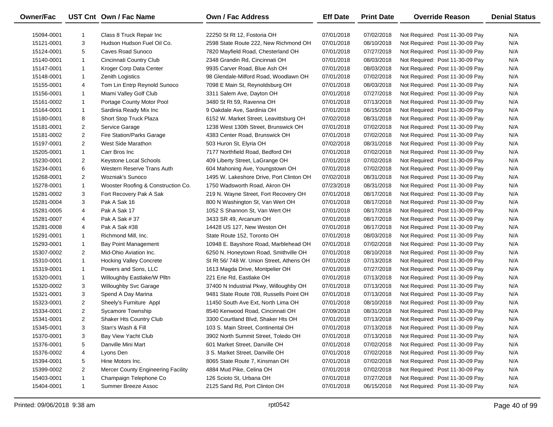| <b>Owner/Fac</b> |                         | UST Cnt Own / Fac Name             | <b>Own / Fac Address</b>                 | <b>Eff Date</b> | <b>Print Date</b> | <b>Override Reason</b>          | <b>Denial Status</b> |
|------------------|-------------------------|------------------------------------|------------------------------------------|-----------------|-------------------|---------------------------------|----------------------|
| 15094-0001       | 1                       | Class 8 Truck Repair Inc           | 22250 St Rt 12, Fostoria OH              | 07/01/2018      | 07/02/2018        | Not Required: Post 11-30-09 Pay | N/A                  |
| 15121-0001       | 3                       | Hudson Hudson Fuel Oil Co.         | 2598 State Route 222, New Richmond OH    | 07/01/2018      | 08/10/2018        | Not Required: Post 11-30-09 Pay | N/A                  |
| 15124-0001       | 5                       | Caves Road Sunoco                  | 7820 Mayfield Road, Chesterland OH       | 07/01/2018      | 07/27/2018        | Not Required: Post 11-30-09 Pay | N/A                  |
| 15140-0001       | $\mathbf{1}$            | Cincinnati Country Club            | 2348 Grandin Rd, Cincinnati OH           | 07/01/2018      | 08/03/2018        | Not Required: Post 11-30-09 Pay | N/A                  |
| 15147-0001       | $\mathbf{1}$            | Kroger Corp Data Center            | 9935 Carver Road, Blue Ash OH            | 07/01/2018      | 08/03/2018        | Not Required: Post 11-30-09 Pay | N/A                  |
| 15148-0001       | $\mathbf{1}$            | <b>Zenith Logistics</b>            | 98 Glendale-Milford Road, Woodlawn OH    | 07/01/2018      | 07/02/2018        | Not Required: Post 11-30-09 Pay | N/A                  |
| 15155-0001       | 4                       | Tom Lin Entrp Reynold Sunoco       | 7098 E Main St, Reynoldsburg OH          | 07/01/2018      | 08/03/2018        | Not Required: Post 11-30-09 Pay | N/A                  |
| 15156-0001       | $\mathbf{1}$            | Miami Valley Golf Club             | 3311 Salem Ave, Dayton OH                | 07/01/2018      | 07/27/2018        | Not Required: Post 11-30-09 Pay | N/A                  |
| 15161-0002       | $\mathbf{1}$            | Portage County Motor Pool          | 3480 St Rt 59, Ravenna OH                | 07/01/2018      | 07/13/2018        | Not Required: Post 11-30-09 Pay | N/A                  |
| 15164-0001       | $\mathbf{1}$            | Sardinia Ready Mix Inc             | 9 Oakdale Ave, Sardinia OH               | 07/01/2018      | 06/15/2018        | Not Required: Post 11-30-09 Pay | N/A                  |
| 15180-0001       | 8                       | Short Stop Truck Plaza             | 6152 W. Market Street, Leavittsburg OH   | 07/02/2018      | 08/31/2018        | Not Required: Post 11-30-09 Pay | N/A                  |
| 15181-0001       | $\overline{2}$          | Service Garage                     | 1238 West 130th Street, Brunswick OH     | 07/01/2018      | 07/02/2018        | Not Required: Post 11-30-09 Pay | N/A                  |
| 15181-0002       | $\overline{2}$          | Fire Station/Parks Garage          | 4383 Center Road, Brunswick OH           | 07/01/2018      | 07/02/2018        | Not Required: Post 11-30-09 Pay | N/A                  |
| 15197-0001       | $\overline{\mathbf{c}}$ | West Side Marathon                 | 503 Huron St, Elyria OH                  | 07/02/2018      | 08/31/2018        | Not Required: Post 11-30-09 Pay | N/A                  |
| 15205-0001       | $\mathbf{1}$            | Carr Bros Inc                      | 7177 Northfield Road, Bedford OH         | 07/01/2018      | 07/02/2018        | Not Required: Post 11-30-09 Pay | N/A                  |
| 15230-0001       | $\overline{2}$          | <b>Keystone Local Schools</b>      | 409 Liberty Street, LaGrange OH          | 07/01/2018      | 07/02/2018        | Not Required: Post 11-30-09 Pay | N/A                  |
| 15234-0001       | 6                       | Western Reserve Trans Auth         | 604 Mahoning Ave, Youngstown OH          | 07/01/2018      | 07/02/2018        | Not Required: Post 11-30-09 Pay | N/A                  |
| 15268-0001       | $\overline{2}$          | <b>Wozniak's Sunoco</b>            | 1495 W. Lakeshore Drive, Port Clinton OH | 07/02/2018      | 08/31/2018        | Not Required: Post 11-30-09 Pay | N/A                  |
| 15278-0001       | $\mathbf{1}$            | Wooster Roofing & Construction Co. | 1750 Wadsworth Road, Akron OH            | 07/23/2018      | 08/31/2018        | Not Required: Post 11-30-09 Pay | N/A                  |
| 15281-0002       | 3                       | Fort Recovery Pak A Sak            | 219 N. Wayne Street, Fort Recovery OH    | 07/01/2018      | 08/17/2018        | Not Required: Post 11-30-09 Pay | N/A                  |
| 15281-0004       | 3                       | Pak A Sak 16                       | 800 N Washington St, Van Wert OH         | 07/01/2018      | 08/17/2018        | Not Required: Post 11-30-09 Pay | N/A                  |
| 15281-0005       | 4                       | Pak A Sak 17                       | 1052 S Shannon St, Van Wert OH           | 07/01/2018      | 08/17/2018        | Not Required: Post 11-30-09 Pay | N/A                  |
| 15281-0007       | 4                       | Pak A Sak # 37                     | 3433 SR 49, Arcanum OH                   | 07/01/2018      | 08/17/2018        | Not Required: Post 11-30-09 Pay | N/A                  |
| 15281-0008       | 4                       | Pak A Sak #38                      | 14428 US 127, New Weston OH              | 07/01/2018      | 08/17/2018        | Not Required: Post 11-30-09 Pay | N/A                  |
| 15291-0001       | $\mathbf{1}$            | Richmond Mill, Inc.                | State Route 152, Toronto OH              | 07/01/2018      | 08/03/2018        | Not Required: Post 11-30-09 Pay | N/A                  |
| 15293-0001       | $\mathbf{1}$            | <b>Bay Point Management</b>        | 10948 E. Bayshore Road, Marblehead OH    | 07/01/2018      | 07/02/2018        | Not Required: Post 11-30-09 Pay | N/A                  |
| 15307-0002       | $\overline{2}$          | Mid-Ohio Aviation Inc.             | 6250 N. Honeytown Road, Smithville OH    | 07/01/2018      | 08/10/2018        | Not Required: Post 11-30-09 Pay | N/A                  |
| 15310-0001       | $\mathbf{1}$            | <b>Hocking Valley Concrete</b>     | St Rt 56/748 W. Union Street, Athens OH  | 07/01/2018      | 07/13/2018        | Not Required: Post 11-30-09 Pay | N/A                  |
| 15319-0001       | $\mathbf{1}$            | Powers and Sons, LLC               | 1613 Magda Drive, Montpelier OH          | 07/01/2018      | 07/27/2018        | Not Required: Post 11-30-09 Pay | N/A                  |
| 15320-0001       | $\mathbf{1}$            | Willoughby Eastlake/W Plltn        | 221 Erie Rd, Eastlake OH                 | 07/01/2018      | 07/13/2018        | Not Required: Post 11-30-09 Pay | N/A                  |
| 15320-0002       | 3                       | Willoughby Svc Garage              | 37400 N Industrial Pkwy, Willoughby OH   | 07/01/2018      | 07/13/2018        | Not Required: Post 11-30-09 Pay | N/A                  |
| 15321-0001       | 3                       | Spend A Day Marina                 | 9481 State Route 708, Russells Point OH  | 07/01/2018      | 07/13/2018        | Not Required: Post 11-30-09 Pay | N/A                  |
| 15323-0001       | $\overline{2}$          | Sheely's Furniture Appl            | 11450 South Ave Ext, North Lima OH       | 07/01/2018      | 08/10/2018        | Not Required: Post 11-30-09 Pay | N/A                  |
| 15334-0001       | $\overline{2}$          | Sycamore Township                  | 8540 Kenwood Road, Cincinnati OH         | 07/09/2018      | 08/31/2018        | Not Required: Post 11-30-09 Pay | N/A                  |
| 15341-0001       | $\overline{\mathbf{c}}$ | Shaker Hts Country Club            | 3300 Courtland Blvd, Shaker Hts OH       | 07/01/2018      | 07/13/2018        | Not Required: Post 11-30-09 Pay | N/A                  |
| 15345-0001       | 3                       | Stan's Wash & Fill                 | 103 S. Main Street, Continental OH       | 07/01/2018      | 07/13/2018        | Not Required: Post 11-30-09 Pay | N/A                  |
| 15370-0001       | 3                       | Bay View Yacht Club                | 3902 North Summit Street, Toledo OH      | 07/01/2018      | 07/13/2018        | Not Required: Post 11-30-09 Pay | N/A                  |
| 15376-0001       | 5                       | Danville Mini Mart                 | 601 Market Street, Danville OH           | 07/01/2018      | 07/02/2018        | Not Required: Post 11-30-09 Pay | N/A                  |
| 15376-0002       | 4                       | Lyons Den                          | 3 S. Market Street, Danville OH          | 07/01/2018      | 07/02/2018        | Not Required: Post 11-30-09 Pay | N/A                  |
| 15394-0001       | 5                       | Hine Motors Inc.                   | 8065 State Route 7, Kinsman OH           | 07/01/2018      | 07/02/2018        | Not Required: Post 11-30-09 Pay | N/A                  |
| 15399-0002       | $\overline{2}$          | Mercer County Engineering Facility | 4884 Mud Pike, Celina OH                 | 07/01/2018      | 07/02/2018        | Not Required: Post 11-30-09 Pay | N/A                  |
| 15403-0001       | $\mathbf{1}$            | Champaign Telephone Co             | 126 Scioto St, Urbana OH                 | 07/01/2018      | 07/27/2018        | Not Required: Post 11-30-09 Pay | N/A                  |
| 15404-0001       | $\mathbf{1}$            | Summer Breeze Assoc                | 2125 Sand Rd, Port Clinton OH            | 07/01/2018      | 06/15/2018        | Not Required: Post 11-30-09 Pay | N/A                  |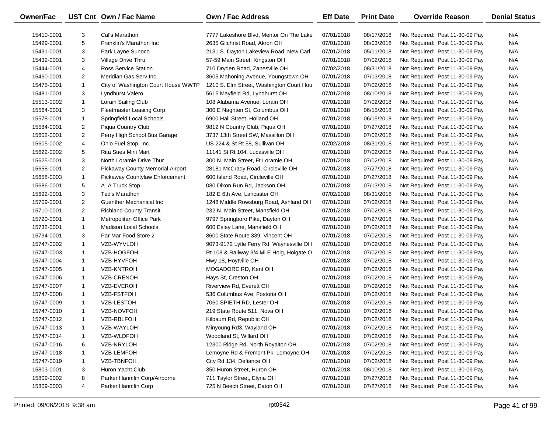| <b>Owner/Fac</b> |                | UST Cnt Own / Fac Name              | <b>Own / Fac Address</b>                  | <b>Eff Date</b> | <b>Print Date</b> | <b>Override Reason</b>          | <b>Denial Status</b> |
|------------------|----------------|-------------------------------------|-------------------------------------------|-----------------|-------------------|---------------------------------|----------------------|
| 15410-0001       | 3              | Cal's Marathon                      | 7777 Lakeshore Blvd, Mentor On The Lake   | 07/01/2018      | 08/17/2018        | Not Required: Post 11-30-09 Pay | N/A                  |
| 15429-0001       | 5              | Franklin's Marathon Inc             | 2635 Gilchrist Road, Akron OH             | 07/01/2018      | 08/03/2018        | Not Required: Post 11-30-09 Pay | N/A                  |
| 15431-0001       | 3              | Park Layne Sunoco                   | 2131 S. Dayton Lakeview Road, New Carl    | 07/01/2018      | 05/11/2018        | Not Required: Post 11-30-09 Pay | N/A                  |
| 15432-0001       | 3              | Village Drive Thru                  | 57-59 Main Street, Kingston OH            | 07/01/2018      | 07/02/2018        | Not Required: Post 11-30-09 Pay | N/A                  |
| 15444-0001       | 4              | <b>Ross Service Station</b>         | 710 Dryden Road, Zanesville OH            | 07/02/2018      | 08/31/2018        | Not Required: Post 11-30-09 Pay | N/A                  |
| 15460-0001       | $\overline{2}$ | Meridian Gas Serv Inc               | 3605 Mahoning Avenue, Youngstown OH       | 07/01/2018      | 07/13/2018        | Not Required: Post 11-30-09 Pay | N/A                  |
| 15475-0001       | $\mathbf{1}$   | City of Washington Court House WWTP | 1210 S. Elm Street, Washington Court Hou  | 07/01/2018      | 07/02/2018        | Not Required: Post 11-30-09 Pay | N/A                  |
| 15481-0001       | 3              | Lyndhurst Valero                    | 5615 Mayfield Rd, Lyndhurst OH            | 07/01/2018      | 08/10/2018        | Not Required: Post 11-30-09 Pay | N/A                  |
| 15513-0002       | $\mathbf{1}$   | Lorain Sailing Club                 | 108 Alabama Avenue, Lorain OH             | 07/01/2018      | 07/02/2018        | Not Required: Post 11-30-09 Pay | N/A                  |
| 15564-0001       | 3              | <b>Fleetmaster Leasing Corp</b>     | 300 E Naghten St, Columbus OH             | 07/01/2018      | 06/15/2018        | Not Required: Post 11-30-09 Pay | N/A                  |
| 15578-0001       | $\mathbf{1}$   | Springfield Local Schools           | 6900 Hall Street, Holland OH              | 07/01/2018      | 06/15/2018        | Not Required: Post 11-30-09 Pay | N/A                  |
| 15584-0001       | $\overline{2}$ | Piqua Country Club                  | 9812 N Country Club, Piqua OH             | 07/01/2018      | 07/27/2018        | Not Required: Post 11-30-09 Pay | N/A                  |
| 15602-0001       | $\overline{2}$ | Perry High School Bus Garage        | 3737 13th Street SW, Massillon OH         | 07/01/2018      | 07/02/2018        | Not Required: Post 11-30-09 Pay | N/A                  |
| 15605-0002       | 4              | Ohio Fuel Stop, Inc.                | US 224 & St Rt 58, Sullivan OH            | 07/02/2018      | 08/31/2018        | Not Required: Post 11-30-09 Pay | N/A                  |
| 15622-0002       | 5              | Rita Sues Mini Mart                 | 11141 St Rt 104, Lucasville OH            | 07/01/2018      | 07/02/2018        | Not Required: Post 11-30-09 Pay | N/A                  |
| 15625-0001       | 3              | North Loramie Drive Thur            | 300 N. Main Street, Ft Loramie OH         | 07/01/2018      | 07/02/2018        | Not Required: Post 11-30-09 Pay | N/A                  |
| 15658-0001       | $\overline{2}$ | Pickaway County Memorial Airport    | 28181 McCrady Road, Circleville OH        | 07/01/2018      | 07/27/2018        | Not Required: Post 11-30-09 Pay | N/A                  |
| 15658-0003       | $\mathbf{1}$   | Pickaway Countylaw Enforcement      | 600 Island Road, Circleville OH           | 07/01/2018      | 07/27/2018        | Not Required: Post 11-30-09 Pay | N/A                  |
| 15686-0001       | 5              | A A Truck Stop                      | 080 Dixon Run Rd, Jackson OH              | 07/01/2018      | 07/13/2018        | Not Required: Post 11-30-09 Pay | N/A                  |
| 15692-0001       | 3              | Ted's Marathon                      | 182 E 6th Ave, Lancaster OH               | 07/02/2018      | 08/31/2018        | Not Required: Post 11-30-09 Pay | N/A                  |
| 15709-0001       | $\overline{2}$ | Guenther Mechanical Inc             | 1248 Middle Rowsburg Road, Ashland OH     | 07/01/2018      | 07/02/2018        | Not Required: Post 11-30-09 Pay | N/A                  |
| 15710-0001       | $\overline{2}$ | <b>Richland County Transit</b>      | 232 N. Main Street, Mansfield OH          | 07/01/2018      | 07/02/2018        | Not Required: Post 11-30-09 Pay | N/A                  |
| 15720-0001       | $\mathbf{1}$   | Metropolitan Office Park            | 9797 Springboro Pike, Dayton OH           | 07/01/2018      | 07/27/2018        | Not Required: Post 11-30-09 Pay | N/A                  |
| 15732-0001       | $\mathbf{1}$   | <b>Madison Local Schools</b>        | 600 Esley Lane, Mansfield OH              | 07/01/2018      | 07/02/2018        | Not Required: Post 11-30-09 Pay | N/A                  |
| 15734-0001       | 3              | Par Mar Food Store 2                | 8600 State Route 339, Vincent OH          | 07/01/2018      | 07/02/2018        | Not Required: Post 11-30-09 Pay | N/A                  |
| 15747-0002       | $\mathbf{1}$   | VZB-WYVLOH                          | 9073-9172 Lytle Ferry Rd, Waynesville OH  | 07/01/2018      | 07/02/2018        | Not Required: Post 11-30-09 Pay | N/A                  |
| 15747-0003       | 1              | VZB-HOGFOH                          | Rt 108 & Railway 3/4 Mi E Holg, Holgate O | 07/01/2018      | 07/02/2018        | Not Required: Post 11-30-09 Pay | N/A                  |
| 15747-0004       | 1              | VZB-HYVFOH                          | Hwy 18, Hoytville OH                      | 07/01/2018      | 07/02/2018        | Not Required: Post 11-30-09 Pay | N/A                  |
| 15747-0005       | 1              | VZB-KNTROH                          | MOGADORE RD, Kent OH                      | 07/01/2018      | 07/02/2018        | Not Required: Post 11-30-09 Pay | N/A                  |
| 15747-0006       | 1              | VZB-CRENOH                          | Hays St, Creston OH                       | 07/01/2018      | 07/02/2018        | Not Required: Post 11-30-09 Pay | N/A                  |
| 15747-0007       | 1              | VZB-EVEROH                          | Riverview Rd, Everett OH                  | 07/01/2018      | 07/02/2018        | Not Required: Post 11-30-09 Pay | N/A                  |
| 15747-0008       | 1              | VZB-FSTFOH                          | 536 Columbus Ave, Fostoria OH             | 07/01/2018      | 07/02/2018        | Not Required: Post 11-30-09 Pay | N/A                  |
| 15747-0009       | 1              | VZB-LESTOH                          | 7060 SPIETH RD, Lester OH                 | 07/01/2018      | 07/02/2018        | Not Required: Post 11-30-09 Pay | N/A                  |
| 15747-0010       | $\mathbf{1}$   | VZB-NOVFOH                          | 219 State Route 511, Nova OH              | 07/01/2018      | 07/02/2018        | Not Required: Post 11-30-09 Pay | N/A                  |
| 15747-0012       | $\mathbf{1}$   | VZB-RBLFOH                          | Kilbaum Rd, Republic OH                   | 07/01/2018      | 07/02/2018        | Not Required: Post 11-30-09 Pay | N/A                  |
| 15747-0013       | -1             | VZB-WAYLOH                          | Minyoung Rd3, Wayland OH                  | 07/01/2018      | 07/02/2018        | Not Required: Post 11-30-09 Pay | N/A                  |
| 15747-0014       | -1             | VZB-WLDFOH                          | Woodland St, Willard OH                   | 07/01/2018      | 07/02/2018        | Not Required: Post 11-30-09 Pay | N/A                  |
| 15747-0016       | 6              | VZB-NRYLOH                          | 12300 Ridge Rd, North Royalton OH         | 07/01/2018      | 07/02/2018        | Not Required: Post 11-30-09 Pay | N/A                  |
| 15747-0018       | 1              | VZB-LEMFOH                          | Lemoyne Rd & Fremont Pk, Lemoyne OH       | 07/01/2018      | 07/02/2018        | Not Required: Post 11-30-09 Pay | N/A                  |
| 15747-0019       | 1              | VZB-TBNFOH                          | City Rd 134, Defiance OH                  | 07/01/2018      | 07/02/2018        | Not Required: Post 11-30-09 Pay | N/A                  |
| 15803-0001       | 3              | Huron Yacht Club                    | 350 Huron Street, Huron OH                | 07/01/2018      | 08/10/2018        | Not Required: Post 11-30-09 Pay | N/A                  |
| 15809-0002       | 8              | Parker Hannifin Corp/Airborne       | 711 Taylor Street, Elyria OH              | 07/01/2018      | 07/27/2018        | Not Required: Post 11-30-09 Pay | N/A                  |
| 15809-0003       | 4              | Parker Hannifin Corp                | 725 N Beech Street, Eaton OH              | 07/01/2018      | 07/27/2018        | Not Required: Post 11-30-09 Pay | N/A                  |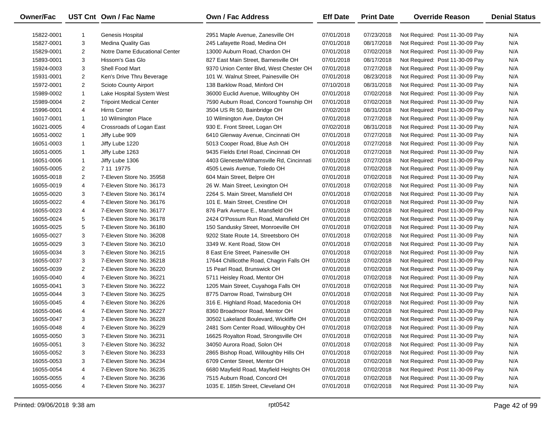| Owner/Fac  |                | UST Cnt Own / Fac Name         | Own / Fac Address                         | <b>Eff Date</b> | <b>Print Date</b> | <b>Override Reason</b>          | <b>Denial Status</b> |
|------------|----------------|--------------------------------|-------------------------------------------|-----------------|-------------------|---------------------------------|----------------------|
| 15822-0001 |                | Genesis Hospital               | 2951 Maple Avenue, Zanesville OH          | 07/01/2018      | 07/23/2018        | Not Required: Post 11-30-09 Pay | N/A                  |
| 15827-0001 | 3              | <b>Medina Quality Gas</b>      | 245 Lafayette Road, Medina OH             | 07/01/2018      | 08/17/2018        | Not Required: Post 11-30-09 Pay | N/A                  |
| 15829-0001 | $\overline{2}$ | Notre Dame Educational Center  | 13000 Auburn Road, Chardon OH             | 07/01/2018      | 07/02/2018        | Not Required: Post 11-30-09 Pay | N/A                  |
| 15893-0001 | 3              | Hissom's Gas Glo               | 827 East Main Street, Barnesville OH      | 07/01/2018      | 08/17/2018        | Not Required: Post 11-30-09 Pay | N/A                  |
| 15924-0003 | 3              | Shell Food Mart                | 9370 Union Center Blvd, West Chester OH   | 07/01/2018      | 07/27/2018        | Not Required: Post 11-30-09 Pay | N/A                  |
| 15931-0001 | $\overline{2}$ | Ken's Drive Thru Beverage      | 101 W. Walnut Street, Painesville OH      | 07/01/2018      | 08/23/2018        | Not Required: Post 11-30-09 Pay | N/A                  |
| 15972-0001 | $\overline{2}$ | Scioto County Airport          | 138 Barklow Road, Minford OH              | 07/10/2018      | 08/31/2018        | Not Required: Post 11-30-09 Pay | N/A                  |
| 15989-0002 | $\mathbf{1}$   | Lake Hospital System West      | 36000 Euclid Avenue, Willoughby OH        | 07/01/2018      | 07/02/2018        | Not Required: Post 11-30-09 Pay | N/A                  |
| 15989-0004 | $\overline{2}$ | <b>Tripoint Medical Center</b> | 7590 Auburn Road, Concord Township OH     | 07/01/2018      | 07/02/2018        | Not Required: Post 11-30-09 Pay | N/A                  |
| 15996-0001 | 4              | Hirns Corner                   | 3504 US Rt 50, Bainbridge OH              | 07/02/2018      | 08/31/2018        | Not Required: Post 11-30-09 Pay | N/A                  |
| 16017-0001 | $\mathbf{1}$   | 10 Wilmington Place            | 10 Wilmington Ave, Dayton OH              | 07/01/2018      | 07/27/2018        | Not Required: Post 11-30-09 Pay | N/A                  |
| 16021-0005 | 4              | Crossroads of Logan East       | 930 E. Front Street, Logan OH             | 07/02/2018      | 08/31/2018        | Not Required: Post 11-30-09 Pay | N/A                  |
| 16051-0002 | $\mathbf{1}$   | Jiffy Lube 909                 | 6410 Glenway Avenue, Cincinnati OH        | 07/01/2018      | 07/27/2018        | Not Required: Post 11-30-09 Pay | N/A                  |
| 16051-0003 | $\mathbf{1}$   | Jiffy Lube 1220                | 5013 Cooper Road, Blue Ash OH             | 07/01/2018      | 07/27/2018        | Not Required: Post 11-30-09 Pay | N/A                  |
| 16051-0005 | $\mathbf{1}$   | Jiffy Lube 1263                | 9435 Fields Ertel Road, Cincinnati OH     | 07/01/2018      | 07/27/2018        | Not Required: Post 11-30-09 Pay | N/A                  |
| 16051-0006 | $\mathbf{1}$   | Jiffy Lube 1306                | 4403 Gleneste/Withamsville Rd, Cincinnati | 07/01/2018      | 07/27/2018        | Not Required: Post 11-30-09 Pay | N/A                  |
| 16055-0005 | $\overline{2}$ | 7 11 19775                     | 4505 Lewis Avenue, Toledo OH              | 07/01/2018      | 07/02/2018        | Not Required: Post 11-30-09 Pay | N/A                  |
| 16055-0018 | $\overline{2}$ | 7-Eleven Store No. 35958       | 604 Main Street, Belpre OH                | 07/01/2018      | 07/02/2018        | Not Required: Post 11-30-09 Pay | N/A                  |
| 16055-0019 | 4              | 7-Eleven Store No. 36173       | 26 W. Main Street, Lexington OH           | 07/01/2018      | 07/02/2018        | Not Required: Post 11-30-09 Pay | N/A                  |
| 16055-0020 | 3              | 7-Eleven Store No. 36174       | 2264 S. Main Street, Mansfield OH         | 07/01/2018      | 07/02/2018        | Not Required: Post 11-30-09 Pay | N/A                  |
| 16055-0022 | 4              | 7-Eleven Store No. 36176       | 101 E. Main Street, Crestline OH          | 07/01/2018      | 07/02/2018        | Not Required: Post 11-30-09 Pay | N/A                  |
| 16055-0023 | 4              | 7-Eleven Store No. 36177       | 876 Park Avenue E., Mansfield OH          | 07/01/2018      | 07/02/2018        | Not Required: Post 11-30-09 Pay | N/A                  |
| 16055-0024 | 5              | 7-Eleven Store No. 36178       | 2424 O'Possum Run Road, Mansfield OH      | 07/01/2018      | 07/02/2018        | Not Required: Post 11-30-09 Pay | N/A                  |
| 16055-0025 | 5              | 7-Eleven Store No. 36180       | 150 Sandusky Street, Monroeville OH       | 07/01/2018      | 07/02/2018        | Not Required: Post 11-30-09 Pay | N/A                  |
| 16055-0027 | 3              | 7-Eleven Store No. 36208       | 9202 State Route 14, Streetsboro OH       | 07/01/2018      | 07/02/2018        | Not Required: Post 11-30-09 Pay | N/A                  |
| 16055-0029 | 3              | 7-Eleven Store No. 36210       | 3349 W. Kent Road, Stow OH                | 07/01/2018      | 07/02/2018        | Not Required: Post 11-30-09 Pay | N/A                  |
| 16055-0034 | 3              | 7-Eleven Store No. 36215       | 8 East Erie Street, Painesville OH        | 07/01/2018      | 07/02/2018        | Not Required: Post 11-30-09 Pay | N/A                  |
| 16055-0037 | 3              | 7-Eleven Store No. 36218       | 17644 Chillicothe Road, Chagrin Falls OH  | 07/01/2018      | 07/02/2018        | Not Required: Post 11-30-09 Pay | N/A                  |
| 16055-0039 | $\overline{2}$ | 7-Eleven Store No. 36220       | 15 Pearl Road, Brunswick OH               | 07/01/2018      | 07/02/2018        | Not Required: Post 11-30-09 Pay | N/A                  |
| 16055-0040 | 4              | 7-Eleven Store No. 36221       | 5711 Heisley Road, Mentor OH              | 07/01/2018      | 07/02/2018        | Not Required: Post 11-30-09 Pay | N/A                  |
| 16055-0041 | 3              | 7-Eleven Store No. 36222       | 1205 Main Street, Cuyahoga Falls OH       | 07/01/2018      | 07/02/2018        | Not Required: Post 11-30-09 Pay | N/A                  |
| 16055-0044 | 3              | 7-Eleven Store No. 36225       | 8775 Darrow Road, Twinsburg OH            | 07/01/2018      | 07/02/2018        | Not Required: Post 11-30-09 Pay | N/A                  |
| 16055-0045 | 4              | 7-Eleven Store No. 36226       | 316 E. Highland Road, Macedonia OH        | 07/01/2018      | 07/02/2018        | Not Required: Post 11-30-09 Pay | N/A                  |
| 16055-0046 | 4              | 7-Eleven Store No. 36227       | 8360 Broadmoor Road, Mentor OH            | 07/01/2018      | 07/02/2018        | Not Required: Post 11-30-09 Pay | N/A                  |
| 16055-0047 | 3              | 7-Eleven Store No. 36228       | 30502 Lakeland Boulevard, Wickliffe OH    | 07/01/2018      | 07/02/2018        | Not Required: Post 11-30-09 Pay | N/A                  |
| 16055-0048 | 4              | 7-Eleven Store No. 36229       | 2481 Som Center Road, Willoughby OH       | 07/01/2018      | 07/02/2018        | Not Required: Post 11-30-09 Pay | N/A                  |
| 16055-0050 | 3              | 7-Eleven Store No. 36231       | 16625 Royalton Road, Strongsville OH      | 07/01/2018      | 07/02/2018        | Not Required: Post 11-30-09 Pay | N/A                  |
| 16055-0051 | 3              | 7-Eleven Store No. 36232       | 34050 Aurora Road, Solon OH               | 07/01/2018      | 07/02/2018        | Not Required: Post 11-30-09 Pay | N/A                  |
| 16055-0052 | 3              | 7-Eleven Store No. 36233       | 2865 Bishop Road, Willoughby Hills OH     | 07/01/2018      | 07/02/2018        | Not Required: Post 11-30-09 Pay | N/A                  |
| 16055-0053 | 3              | 7-Eleven Store No. 36234       | 6709 Center Street, Mentor OH             | 07/01/2018      | 07/02/2018        | Not Required: Post 11-30-09 Pay | N/A                  |
| 16055-0054 | 4              | 7-Eleven Store No. 36235       | 6680 Mayfield Road, Mayfield Heights OH   | 07/01/2018      | 07/02/2018        | Not Required: Post 11-30-09 Pay | N/A                  |
| 16055-0055 | 4              | 7-Eleven Store No. 36236       | 7515 Auburn Road, Concord OH              | 07/01/2018      | 07/02/2018        | Not Required: Post 11-30-09 Pay | N/A                  |
| 16055-0056 | 4              | 7-Eleven Store No. 36237       | 1035 E. 185th Street, Cleveland OH        | 07/01/2018      | 07/02/2018        | Not Required: Post 11-30-09 Pay | N/A                  |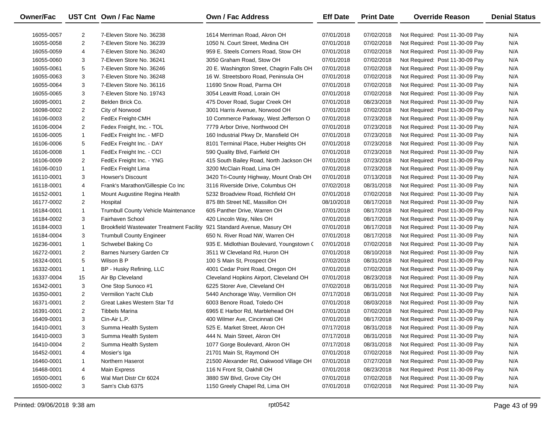| Owner/Fac                |                | UST Cnt Own / Fac Name                                                  | <b>Own / Fac Address</b>                                          | <b>Eff Date</b>          | <b>Print Date</b>        | <b>Override Reason</b>                                             | <b>Denial Status</b> |
|--------------------------|----------------|-------------------------------------------------------------------------|-------------------------------------------------------------------|--------------------------|--------------------------|--------------------------------------------------------------------|----------------------|
|                          | $\overline{2}$ | 7-Eleven Store No. 36238                                                |                                                                   | 07/01/2018               |                          |                                                                    | N/A                  |
| 16055-0057<br>16055-0058 | 2              | 7-Eleven Store No. 36239                                                | 1614 Merriman Road, Akron OH<br>1050 N. Court Street, Medina OH   | 07/01/2018               | 07/02/2018<br>07/02/2018 | Not Required: Post 11-30-09 Pay<br>Not Required: Post 11-30-09 Pay | N/A                  |
|                          | 4              | 7-Eleven Store No. 36240                                                | 959 E. Steels Corners Road, Stow OH                               | 07/01/2018               |                          |                                                                    | N/A                  |
| 16055-0059               | 3              | 7-Eleven Store No. 36241                                                | 3050 Graham Road, Stow OH                                         | 07/01/2018               | 07/02/2018               | Not Required: Post 11-30-09 Pay                                    | N/A                  |
| 16055-0060               | 5              | 7-Eleven Store No. 36246                                                |                                                                   |                          | 07/02/2018               | Not Required: Post 11-30-09 Pay                                    | N/A                  |
| 16055-0061               | 3              | 7-Eleven Store No. 36248                                                | 20 E. Washington Street, Chagrin Falls OH                         | 07/01/2018               | 07/02/2018               | Not Required: Post 11-30-09 Pay                                    | N/A                  |
| 16055-0063               | 3              | 7-Eleven Store No. 36116                                                | 16 W. Streetsboro Road, Peninsula OH<br>11690 Snow Road, Parma OH | 07/01/2018<br>07/01/2018 | 07/02/2018<br>07/02/2018 | Not Required: Post 11-30-09 Pay                                    | N/A                  |
| 16055-0064               | 3              | 7-Eleven Store No. 19743                                                | 3054 Leavitt Road, Lorain OH                                      |                          |                          | Not Required: Post 11-30-09 Pay<br>Not Required: Post 11-30-09 Pay | N/A                  |
| 16055-0065               |                | Belden Brick Co.                                                        |                                                                   | 07/01/2018<br>07/01/2018 | 07/02/2018               |                                                                    | N/A                  |
| 16095-0001               | $\overline{2}$ |                                                                         | 475 Dover Road, Sugar Creek OH                                    |                          | 08/23/2018               | Not Required: Post 11-30-09 Pay                                    |                      |
| 16098-0002               | $\overline{2}$ | City of Norwood                                                         | 3001 Harris Avenue, Norwood OH                                    | 07/01/2018               | 07/02/2018               | Not Required: Post 11-30-09 Pay                                    | N/A                  |
| 16106-0003               | $\overline{2}$ | FedEx Freight-CMH                                                       | 10 Commerce Parkway, West Jefferson O                             | 07/01/2018               | 07/23/2018               | Not Required: Post 11-30-09 Pay                                    | N/A                  |
| 16106-0004               | $\overline{2}$ | Fedex Freight, Inc. - TOL                                               | 7779 Arbor Drive, Northwood OH                                    | 07/01/2018               | 07/23/2018               | Not Required: Post 11-30-09 Pay                                    | N/A                  |
| 16106-0005               | $\mathbf{1}$   | FedEx Freight Inc. - MFD                                                | 160 Industrial Pkwy Dr, Mansfield OH                              | 07/01/2018               | 07/23/2018               | Not Required: Post 11-30-09 Pay                                    | N/A                  |
| 16106-0006               | 5              | FedEx Freight Inc. - DAY                                                | 8101 Terminal Place, Huber Heights OH                             | 07/01/2018               | 07/23/2018               | Not Required: Post 11-30-09 Pay                                    | N/A                  |
| 16106-0008               | $\mathbf{1}$   | FedEx Freight Inc. - CCI                                                | 590 Quality Blvd, Fairfield OH                                    | 07/01/2018               | 07/23/2018               | Not Required: Post 11-30-09 Pay                                    | N/A                  |
| 16106-0009               | $\overline{2}$ | FedEx Freight Inc. - YNG                                                | 415 South Bailey Road, North Jackson OH                           | 07/01/2018               | 07/23/2018               | Not Required: Post 11-30-09 Pay                                    | N/A                  |
| 16106-0010               | $\mathbf{1}$   | FedEx Freight Lima                                                      | 3200 McClain Road, Lima OH                                        | 07/01/2018               | 07/23/2018               | Not Required: Post 11-30-09 Pay                                    | N/A                  |
| 16110-0001               | 3              | Howser's Discount                                                       | 3420 Tri-County Highway, Mount Orab OH                            | 07/01/2018               | 07/13/2018               | Not Required: Post 11-30-09 Pay                                    | N/A                  |
| 16118-0001               | 4              | Frank's Marathon/Gillespie Co Inc                                       | 3116 Riverside Drive, Columbus OH                                 | 07/02/2018               | 08/31/2018               | Not Required: Post 11-30-09 Pay                                    | N/A                  |
| 16152-0001               | $\mathbf{1}$   | Mount Augustine Regina Health                                           | 5232 Broadview Road, Richfield OH                                 | 07/01/2018               | 07/02/2018               | Not Required: Post 11-30-09 Pay                                    | N/A                  |
| 16177-0002               | $\overline{2}$ | Hospital                                                                | 875 8th Street NE, Massillon OH                                   | 08/10/2018               | 08/17/2018               | Not Required: Post 11-30-09 Pay                                    | N/A                  |
| 16184-0001               | $\mathbf{1}$   | <b>Trumbull County Vehicle Maintenance</b>                              | 605 Panther Drive, Warren OH                                      | 07/01/2018               | 08/17/2018               | Not Required: Post 11-30-09 Pay                                    | N/A                  |
| 16184-0002               | 3              | Fairhaven School                                                        | 420 Lincoln Way, Niles OH                                         | 07/01/2018               | 08/17/2018               | Not Required: Post 11-30-09 Pay                                    | N/A                  |
| 16184-0003               | $\mathbf{1}$   | Brookfield Wastewater Treatment Facility 921 Standard Avenue, Masury OH |                                                                   | 07/01/2018               | 08/17/2018               | Not Required: Post 11-30-09 Pay                                    | N/A                  |
| 16184-0004               | 3              | <b>Trumbull County Engineer</b>                                         | 650 N. River Road NW, Warren OH                                   | 07/01/2018               | 08/17/2018               | Not Required: Post 11-30-09 Pay                                    | N/A                  |
| 16236-0001               | $\mathbf{1}$   | Schwebel Baking Co                                                      | 935 E. Midlothian Boulevard, Youngstown (                         | 07/01/2018               | 07/02/2018               | Not Required: Post 11-30-09 Pay                                    | N/A                  |
| 16272-0001               | $\overline{2}$ | Barnes Nursery Garden Ctr                                               | 3511 W Cleveland Rd, Huron OH                                     | 07/01/2018               | 08/10/2018               | Not Required: Post 11-30-09 Pay                                    | N/A                  |
| 16324-0001               | 5              | Wilson B P                                                              | 100 S Main St, Prospect OH                                        | 07/02/2018               | 08/31/2018               | Not Required: Post 11-30-09 Pay                                    | N/A                  |
| 16332-0001               | $\mathbf{1}$   | BP - Husky Refining, LLC                                                | 4001 Cedar Point Road, Oregon OH                                  | 07/01/2018               | 07/02/2018               | Not Required: Post 11-30-09 Pay                                    | N/A                  |
| 16337-0004               | 15             | Air Bp Cleveland                                                        | Cleveland Hopkins Airport, Cleveland OH                           | 07/01/2018               | 08/23/2018               | Not Required: Post 11-30-09 Pay                                    | N/A                  |
| 16342-0001               | 3              | One Stop Sunoco #1                                                      | 6225 Storer Ave, Cleveland OH                                     | 07/02/2018               | 08/31/2018               | Not Required: Post 11-30-09 Pay                                    | N/A                  |
| 16350-0001               | 2              | Vermilion Yacht Club                                                    | 5440 Anchorage Way, Vermilion OH                                  | 07/17/2018               | 08/31/2018               | Not Required: Post 11-30-09 Pay                                    | N/A                  |
| 16371-0001               | $\overline{2}$ | Great Lakes Western Star Td                                             | 6003 Benore Road, Toledo OH                                       | 07/01/2018               | 08/03/2018               | Not Required: Post 11-30-09 Pay                                    | N/A                  |
| 16391-0001               | $\overline{2}$ | Tibbels Marina                                                          | 6965 E Harbor Rd, Marblehead OH                                   | 07/01/2018               | 07/02/2018               | Not Required: Post 11-30-09 Pay                                    | N/A                  |
| 16409-0001               | 3              | Cin-Air L.P.                                                            | 400 Wilmer Ave, Cincinnati OH                                     | 07/01/2018               | 08/17/2018               | Not Required: Post 11-30-09 Pay                                    | N/A                  |
| 16410-0001               | 3              | Summa Health System                                                     | 525 E. Market Street, Akron OH                                    | 07/17/2018               | 08/31/2018               | Not Required: Post 11-30-09 Pay                                    | N/A                  |
| 16410-0003               | 3              | Summa Health System                                                     | 444 N. Main Street, Akron OH                                      | 07/17/2018               | 08/31/2018               | Not Required: Post 11-30-09 Pay                                    | N/A                  |
| 16410-0004               | 2              | Summa Health System                                                     | 1077 Gorge Boulevard, Akron OH                                    | 07/17/2018               | 08/31/2018               | Not Required: Post 11-30-09 Pay                                    | N/A                  |
| 16452-0001               | 4              | Mosier's Iga                                                            | 21701 Main St, Raymond OH                                         | 07/01/2018               | 07/02/2018               | Not Required: Post 11-30-09 Pay                                    | N/A                  |
| 16460-0001               | 1              | Northern Haserot                                                        | 21500 Alexander Rd, Oakwood Village OH                            | 07/01/2018               | 07/27/2018               | Not Required: Post 11-30-09 Pay                                    | N/A                  |
| 16468-0001               | 4              | <b>Main Express</b>                                                     | 116 N Front St, Oakhill OH                                        | 07/01/2018               | 08/23/2018               | Not Required: Post 11-30-09 Pay                                    | N/A                  |
| 16500-0001               | 6              | Wal Mart Distr Ctr 6024                                                 | 3880 SW Blvd, Grove City OH                                       | 07/01/2018               | 07/02/2018               | Not Required: Post 11-30-09 Pay                                    | N/A                  |
| 16500-0002               | 3              | Sam's Club 6375                                                         | 1150 Greely Chapel Rd, Lima OH                                    | 07/01/2018               | 07/02/2018               | Not Required: Post 11-30-09 Pay                                    | N/A                  |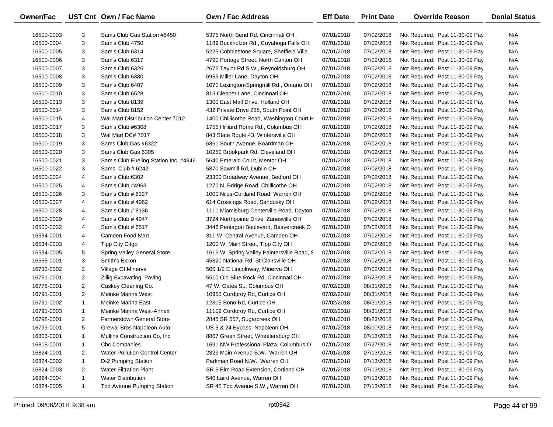| Owner/Fac  |                | UST Cnt Own / Fac Name                | Own / Fac Address                            | <b>Eff Date</b> | <b>Print Date</b> | <b>Override Reason</b>          | <b>Denial Status</b> |
|------------|----------------|---------------------------------------|----------------------------------------------|-----------------|-------------------|---------------------------------|----------------------|
| 16500-0003 | 3              | Sams Club Gas Station #6450           | 5375 North Bend Rd, Cincinnati OH            | 07/01/2018      | 07/02/2018        | Not Required: Post 11-30-09 Pay | N/A                  |
| 16500-0004 | 3              | Sam's Club 4750                       | 1189 Buckholzer Rd., Cuyahoga Falls OH       | 07/01/2018      | 07/02/2018        | Not Required: Post 11-30-09 Pay | N/A                  |
| 16500-0005 | 3              | Sam's Club 6314                       | 5225 Cobblestone Square, Sheffield Villa     | 07/01/2018      | 07/02/2018        | Not Required: Post 11-30-09 Pay | N/A                  |
| 16500-0006 | 3              | Sam's Club 6317                       | 4790 Portage Street, North Canton OH         | 07/01/2018      | 07/02/2018        | Not Required: Post 11-30-09 Pay | N/A                  |
| 16500-0007 | 3              | Sam's Club 6326                       | 2675 Taylor Rd S.W., Reynoldsburg OH         | 07/01/2018      | 07/02/2018        | Not Required: Post 11-30-09 Pay | N/A                  |
| 16500-0008 | 3              | Sam's Club 6380                       | 6955 Miller Lane, Dayton OH                  | 07/01/2018      | 07/02/2018        | Not Required: Post 11-30-09 Pay | N/A                  |
| 16500-0009 | 3              | Sam's Club 6407                       | 1070 Lexington-Springmill Rd., Ontario OH    | 07/01/2018      | 07/02/2018        | Not Required: Post 11-30-09 Pay | N/A                  |
| 16500-0010 | 3              | Sam's Club 6528                       | 815 Clepper Lane, Cincinnati OH              | 07/01/2018      | 07/02/2018        | Not Required: Post 11-30-09 Pay | N/A                  |
| 16500-0013 | 3              | Sam's Club 8139                       | 1300 East Mall Drive, Holland OH             | 07/01/2018      | 07/02/2018        | Not Required: Post 11-30-09 Pay | N/A                  |
| 16500-0014 | 3              | Sam's Club 8152                       | 432 Private Drive 288, South Point OH        | 07/01/2018      | 07/02/2018        | Not Required: Post 11-30-09 Pay | N/A                  |
| 16500-0015 | 4              | Wal Mart Distribution Center 7012     | 1400 Chillicothe Road, Washington Court H    | 07/01/2018      | 07/02/2018        | Not Required: Post 11-30-09 Pay | N/A                  |
| 16500-0017 | 3              | Sam's Club #6308                      | 1755 Hilliard Rome Rd., Columbus OH          | 07/01/2018      | 07/02/2018        | Not Required: Post 11-30-09 Pay | N/A                  |
| 16500-0018 | 3              | Wal Mart DC# 7017                     | 843 State Route 43, Wintersville OH          | 07/01/2018      | 07/02/2018        | Not Required: Post 11-30-09 Pay | N/A                  |
| 16500-0019 | 3              | Sams Club Gas #6322                   | 6361 South Avenue, Boardman OH               | 07/01/2018      | 07/02/2018        | Not Required: Post 11-30-09 Pay | N/A                  |
| 16500-0020 | 3              | Sams Club Gas 6305                    | 10250 Brookpark Rd, Cleveland OH             | 07/01/2018      | 07/02/2018        | Not Required: Post 11-30-09 Pay | N/A                  |
| 16500-0021 | 3              | Sam's Club Fueling Station Inc. #4846 | 5640 Emerald Court, Mentor OH                | 07/01/2018      | 07/02/2018        | Not Required: Post 11-30-09 Pay | N/A                  |
| 16500-0022 | 3              | Sams Club # 6242                      | 5870 Sawmill Rd, Dublin OH                   | 07/01/2018      | 07/02/2018        | Not Required: Post 11-30-09 Pay | N/A                  |
| 16500-0024 | 4              | Sam's Club 6302                       | 23300 Broadway Avenue, Bedford OH            | 07/01/2018      | 07/02/2018        | Not Required: Post 11-30-09 Pay | N/A                  |
| 16500-0025 | 4              | Sam's Club #4963                      | 1270 N. Bridge Road, Chillicothe OH          | 07/01/2018      | 07/02/2018        | Not Required: Post 11-30-09 Pay | N/A                  |
| 16500-0026 | 3              | Sam's Club # 6327                     | 1000 Niles-Cortland Road, Warren OH          | 07/01/2018      | 07/02/2018        | Not Required: Post 11-30-09 Pay | N/A                  |
| 16500-0027 | 4              | Sam's Club # 4962                     | 614 Crossings Road, Sandusky OH              | 07/01/2018      | 07/02/2018        | Not Required: Post 11-30-09 Pay | N/A                  |
| 16500-0028 | 4              | Sam's Club # 8136                     | 1111 Miamisburg Centerville Road, Dayton     | 07/01/2018      | 07/02/2018        | Not Required: Post 11-30-09 Pay | N/A                  |
| 16500-0029 | 4              | Sam's Club # 4947                     | 3724 Northpointe Drive, Zanesville OH        | 07/01/2018      | 07/02/2018        | Not Required: Post 11-30-09 Pay | N/A                  |
| 16500-0032 | 4              | Sam's Club # 6517                     | 3446 Pentagon Boulevard, Beavercreek O       | 07/01/2018      | 07/02/2018        | Not Required: Post 11-30-09 Pay | N/A                  |
| 16534-0001 | 4              | Camden Food Mart                      | 311 W. Central Avenue, Camden OH             | 07/01/2018      | 07/02/2018        | Not Required: Post 11-30-09 Pay | N/A                  |
| 16534-0003 | 4              | Tipp City Citgo                       | 1200 W. Main Street, Tipp City OH            | 07/01/2018      | 07/02/2018        | Not Required: Post 11-30-09 Pay | N/A                  |
| 16534-0005 | 5              | <b>Spring Valley General Store</b>    | 1616 W. Spring Valley Paintersville Road, S. | 07/01/2018      | 07/02/2018        | Not Required: Post 11-30-09 Pay | N/A                  |
| 16555-0001 | 3              | Smith's Exxon                         | 45820 National Rd, St Clairsville OH         | 07/01/2018      | 07/02/2018        | Not Required: Post 11-30-09 Pay | N/A                  |
| 16733-0002 | $\overline{2}$ | Village Of Minerva                    | 505 1/2 E Lincolnway, Minerva OH             | 07/01/2018      | 07/02/2018        | Not Required: Post 11-30-09 Pay | N/A                  |
| 16751-0001 | $\overline{2}$ | <b>Zillig Excavating Paving</b>       | 5510 Old Blue Rock Rd, Cincinnati OH         | 07/01/2018      | 07/23/2018        | Not Required: Post 11-30-09 Pay | N/A                  |
| 16778-0001 | $\overline{2}$ | Caskey Cleaning Co.                   | 47 W. Gates St., Columbus OH                 | 07/02/2018      | 08/31/2018        | Not Required: Post 11-30-09 Pay | N/A                  |
| 16791-0001 | $\overline{2}$ | Meinke Marina West                    | 10955 Corduroy Rd, Curtice OH                | 07/02/2018      | 08/31/2018        | Not Required: Post 11-30-09 Pay | N/A                  |
| 16791-0002 | $\mathbf{1}$   | Meinke Marina East                    | 12805 Bono Rd, Curtice OH                    | 07/02/2018      | 08/31/2018        | Not Required: Post 11-30-09 Pay | N/A                  |
| 16791-0003 | $\mathbf{1}$   | Meinke Marina West-Annex              | 11109 Cordoroy Rd, Curtice OH                | 07/02/2018      | 08/31/2018        | Not Required: Post 11-30-09 Pay | N/A                  |
| 16798-0001 | $\overline{2}$ | <b>Farmerstown General Store</b>      | 2845 SR 557, Sugarcreek OH                   | 07/01/2018      | 08/23/2018        | Not Required: Post 11-30-09 Pay | N/A                  |
| 16799-0001 | 5              | Grewal Bros Napoleon Auto             | US 6 & 24 Bypass, Napoleon OH                | 07/01/2018      | 08/10/2018        | Not Required: Post 11-30-09 Pay | N/A                  |
| 16806-0001 | 1              | Mullins Construction Co, Inc.         | 8867 Green Street, Wheelersburg OH           | 07/01/2018      | 07/13/2018        | Not Required: Post 11-30-09 Pay | N/A                  |
| 16818-0001 | 1              | <b>Cbc Companies</b>                  | 1691 NW Professional Plaza, Columbus O       | 07/01/2018      | 07/27/2018        | Not Required: Post 11-30-09 Pay | N/A                  |
| 16824-0001 | 2              | <b>Water Pollution Control Center</b> | 2323 Main Avenue S.W., Warren OH             | 07/01/2018      | 07/13/2018        | Not Required: Post 11-30-09 Pay | N/A                  |
| 16824-0002 | $\mathbf{1}$   | D-2 Pumping Station                   | Parkman Road N.W., Warren OH                 | 07/01/2018      | 07/13/2018        | Not Required: Post 11-30-09 Pay | N/A                  |
| 16824-0003 | 2              | <b>Water Filtration Plant</b>         | SR 5 Elm Road Extension, Cortland OH         | 07/01/2018      | 07/13/2018        | Not Required: Post 11-30-09 Pay | N/A                  |
| 16824-0004 | $\mathbf{1}$   | <b>Water Distribution</b>             | 540 Laird Avenue, Warren OH                  | 07/01/2018      | 07/13/2018        | Not Required: Post 11-30-09 Pay | N/A                  |
| 16824-0005 | $\mathbf{1}$   | <b>Tod Avenue Pumping Station</b>     | SR 45 Tod Avenue S.W., Warren OH             | 07/01/2018      | 07/13/2018        | Not Required: Post 11-30-09 Pay | N/A                  |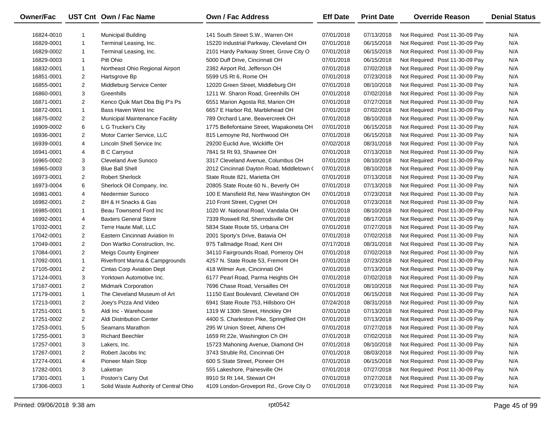| <b>Owner/Fac</b> |                | UST Cnt Own / Fac Name                | Own / Fac Address                         | <b>Eff Date</b> | <b>Print Date</b> | <b>Override Reason</b>          | <b>Denial Status</b> |
|------------------|----------------|---------------------------------------|-------------------------------------------|-----------------|-------------------|---------------------------------|----------------------|
| 16824-0010       | 1              | <b>Municipal Building</b>             | 141 South Street S.W., Warren OH          | 07/01/2018      | 07/13/2018        | Not Required: Post 11-30-09 Pay | N/A                  |
| 16829-0001       | $\mathbf{1}$   | Terminal Leasing, Inc.                | 15220 Industrial Parkway, Cleveland OH    | 07/01/2018      | 06/15/2018        | Not Required: Post 11-30-09 Pay | N/A                  |
| 16829-0002       | $\mathbf{1}$   | Terminal Leasing, Inc.                | 2101 Hardy Parkway Street, Grove City O   | 07/01/2018      | 06/15/2018        | Not Required: Post 11-30-09 Pay | N/A                  |
| 16829-0003       | 1              | Pitt Ohio                             | 5000 Duff Drive, Cincinnati OH            | 07/01/2018      | 06/15/2018        | Not Required: Post 11-30-09 Pay | N/A                  |
| 16832-0001       | $\mathbf{1}$   | Northeast Ohio Regional Airport       | 2382 Airport Rd, Jefferson OH             | 07/01/2018      | 07/02/2018        | Not Required: Post 11-30-09 Pay | N/A                  |
| 16851-0001       | $\overline{2}$ | Hartsgrove Bp                         | 5599 US Rt 6, Rome OH                     | 07/01/2018      | 07/23/2018        | Not Required: Post 11-30-09 Pay | N/A                  |
| 16855-0001       | $\overline{2}$ | Middleburg Service Center             | 12020 Green Street, Middleburg OH         | 07/01/2018      | 08/10/2018        | Not Required: Post 11-30-09 Pay | N/A                  |
| 16860-0001       | 3              | Greenhills                            | 1211 W. Sharon Road, Greenhills OH        | 07/01/2018      | 07/02/2018        | Not Required: Post 11-30-09 Pay | N/A                  |
| 16871-0001       | $\overline{2}$ | Kenco Quik Mart Dba Big P's Ps        | 6551 Marion Agosta Rd, Marion OH          | 07/01/2018      | 07/27/2018        | Not Required: Post 11-30-09 Pay | N/A                  |
| 16872-0001       | $\mathbf{1}$   | Bass Haven West Inc                   | 6657 E Harbor Rd, Marblehead OH           | 07/01/2018      | 07/02/2018        | Not Required: Post 11-30-09 Pay | N/A                  |
| 16875-0002       | $\overline{2}$ | <b>Municipal Maintenance Facility</b> | 789 Orchard Lane, Beavercreek OH          | 07/01/2018      | 08/10/2018        | Not Required: Post 11-30-09 Pay | N/A                  |
| 16909-0002       | 6              | L G Trucker's City                    | 1775 Bellefontaine Street, Wapakoneta OH  | 07/01/2018      | 06/15/2018        | Not Required: Post 11-30-09 Pay | N/A                  |
| 16936-0001       | $\overline{2}$ | Motor Carrier Service, LLC            | 815 Lemoyne Rd, Northwood OH              | 07/01/2018      | 06/15/2018        | Not Required: Post 11-30-09 Pay | N/A                  |
| 16939-0001       | 4              | Lincoln Shell Service Inc             | 29200 Euclid Ave, Wickliffe OH            | 07/02/2018      | 08/31/2018        | Not Required: Post 11-30-09 Pay | N/A                  |
| 16941-0001       | 4              | <b>B C Carryout</b>                   | 7841 St Rt 93, Shawnee OH                 | 07/01/2018      | 07/13/2018        | Not Required: Post 11-30-09 Pay | N/A                  |
| 16965-0002       | 3              | Cleveland Ave Sunoco                  | 3317 Cleveland Avenue, Columbus OH        | 07/01/2018      | 08/10/2018        | Not Required: Post 11-30-09 Pay | N/A                  |
| 16965-0003       | 3              | <b>Blue Ball Shell</b>                | 2012 Cincinnati Dayton Road, Middletown ( | 07/01/2018      | 08/10/2018        | Not Required: Post 11-30-09 Pay | N/A                  |
| 16973-0001       | $\overline{2}$ | <b>Robert Sherlock</b>                | State Route 821, Marietta OH              | 07/01/2018      | 07/13/2018        | Not Required: Post 11-30-09 Pay | N/A                  |
| 16973-0004       | 6              | Sherlock Oil Company, Inc.            | 20805 State Route 60 N., Beverly OH       | 07/01/2018      | 07/13/2018        | Not Required: Post 11-30-09 Pay | N/A                  |
| 16981-0001       | 4              | Niedermier Sunoco                     | 100 E Mansfield Rd, New Washington OH     | 07/01/2018      | 07/23/2018        | Not Required: Post 11-30-09 Pay | N/A                  |
| 16982-0001       | $\overline{2}$ | BH & H Snacks & Gas                   | 210 Front Street, Cygnet OH               | 07/01/2018      | 07/23/2018        | Not Required: Post 11-30-09 Pay | N/A                  |
| 16985-0001       | $\mathbf{1}$   | Beau Townsend Ford Inc                | 1020 W. National Road, Vandalia OH        | 07/01/2018      | 08/10/2018        | Not Required: Post 11-30-09 Pay | N/A                  |
| 16992-0001       | 4              | <b>Baxters General Store</b>          | 7339 Roswell Rd, Sherrodsville OH         | 07/01/2018      | 08/17/2018        | Not Required: Post 11-30-09 Pay | N/A                  |
| 17032-0001       | $\overline{2}$ | Terre Haute Mall, LLC                 | 5834 State Route 55, Urbana OH            | 07/01/2018      | 07/27/2018        | Not Required: Post 11-30-09 Pay | N/A                  |
| 17042-0001       | $\overline{2}$ | Eastern Cincinnati Aviation In        | 2001 Sporty's Drive, Batavia OH           | 07/01/2018      | 07/02/2018        | Not Required: Post 11-30-09 Pay | N/A                  |
| 17049-0001       | $\overline{2}$ | Don Wartko Construction, Inc.         | 975 Tallmadge Road, Kent OH               | 07/17/2018      | 08/31/2018        | Not Required: Post 11-30-09 Pay | N/A                  |
| 17084-0001       | $\overline{2}$ | <b>Meigs County Engineer</b>          | 34110 Fairgrounds Road, Pomeroy OH        | 07/01/2018      | 07/02/2018        | Not Required: Post 11-30-09 Pay | N/A                  |
| 17092-0001       | $\mathbf{1}$   | Riverfront Marina & Campgrounds       | 4257 N. State Route 53, Fremont OH        | 07/01/2018      | 07/23/2018        | Not Required: Post 11-30-09 Pay | N/A                  |
| 17105-0001       | $\overline{2}$ | <b>Cintas Corp Aviation Dept</b>      | 418 Wilmer Ave, Cincinnati OH             | 07/01/2018      | 07/13/2018        | Not Required: Post 11-30-09 Pay | N/A                  |
| 17124-0001       | 3              | Yorktown Automotive Inc.              | 6177 Pearl Road, Parma Heights OH         | 07/01/2018      | 07/02/2018        | Not Required: Post 11-30-09 Pay | N/A                  |
| 17167-0001       | $\overline{2}$ | <b>Midmark Corporation</b>            | 7696 Chase Road, Versailles OH            | 07/01/2018      | 08/10/2018        | Not Required: Post 11-30-09 Pay | N/A                  |
| 17179-0001       | $\mathbf{1}$   | The Cleveland Museum of Art           | 11150 East Boulevard, Cleveland OH        | 07/01/2018      | 06/15/2018        | Not Required: Post 11-30-09 Pay | N/A                  |
| 17213-0001       | $\overline{2}$ | Joey's Pizza And Video                | 6941 State Route 753, Hillsboro OH        | 07/24/2018      | 08/31/2018        | Not Required: Post 11-30-09 Pay | N/A                  |
| 17251-0001       | 5              | Aldi Inc - Warehouse                  | 1319 W 130th Street, Hinckley OH          | 07/01/2018      | 07/13/2018        | Not Required: Post 11-30-09 Pay | N/A                  |
| 17251-0002       | $\mathbf{2}$   | Aldi Distribution Center              | 4400 S. Charleston Pike, Springfiled OH   | 07/01/2018      | 07/13/2018        | Not Required: Post 11-30-09 Pay | N/A                  |
| 17253-0001       | 5              | Seamans Marathon                      | 295 W Union Street, Athens OH             | 07/01/2018      | 07/27/2018        | Not Required: Post 11-30-09 Pay | N/A                  |
| 17255-0001       | 3              | <b>Richard Beechler</b>               | 1659 Rt 22e, Washington Ch OH             | 07/01/2018      | 07/02/2018        | Not Required: Post 11-30-09 Pay | N/A                  |
| 17257-0001       | 3              | Lakers, Inc.                          | 15723 Mahoning Avenue, Diamond OH         | 07/01/2018      | 08/10/2018        | Not Required: Post 11-30-09 Pay | N/A                  |
| 17267-0001       | 2              | Robert Jacobs Inc                     | 3743 Struble Rd, Cincinnati OH            | 07/01/2018      | 08/03/2018        | Not Required: Post 11-30-09 Pay | N/A                  |
| 17274-0001       | 4              | Pioneer Main Stop                     | 600 S State Street, Pioneer OH            | 07/01/2018      | 06/15/2018        | Not Required: Post 11-30-09 Pay | N/A                  |
| 17282-0001       | 3              | Laketran                              | 555 Lakeshore, Painesville OH             | 07/01/2018      | 07/27/2018        | Not Required: Post 11-30-09 Pay | N/A                  |
| 17301-0001       | -1             | Poston's Carry Out                    | 8910 St Rt 144, Stewart OH                | 07/01/2018      | 07/27/2018        | Not Required: Post 11-30-09 Pay | N/A                  |
| 17306-0003       | 1              | Solid Waste Authority of Central Ohio | 4109 London-Groveport Rd., Grove City O   | 07/01/2018      | 07/23/2018        | Not Required: Post 11-30-09 Pay | N/A                  |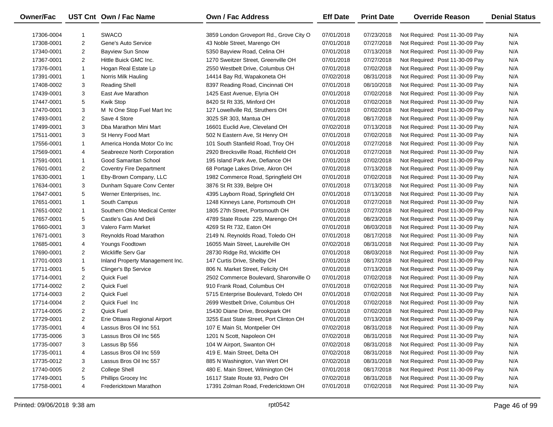| Owner/Fac  |                | UST Cnt Own / Fac Name          | Own / Fac Address                       | <b>Eff Date</b> | <b>Print Date</b> | <b>Override Reason</b>          | <b>Denial Status</b> |
|------------|----------------|---------------------------------|-----------------------------------------|-----------------|-------------------|---------------------------------|----------------------|
| 17306-0004 | -1             | <b>SWACO</b>                    | 3859 London Groveport Rd., Grove City O | 07/01/2018      | 07/23/2018        | Not Required: Post 11-30-09 Pay | N/A                  |
| 17308-0001 | $\overline{c}$ | Gene's Auto Service             | 43 Noble Street, Marengo OH             | 07/01/2018      | 07/27/2018        | Not Required: Post 11-30-09 Pay | N/A                  |
| 17340-0001 | $\overline{2}$ | <b>Bayview Sun Snow</b>         | 5350 Bayview Road, Celina OH            | 07/01/2018      | 07/13/2018        | Not Required: Post 11-30-09 Pay | N/A                  |
| 17367-0001 | $\overline{2}$ | Hittle Buick GMC Inc.           | 1270 Sweitzer Street, Greenville OH     | 07/01/2018      | 07/27/2018        | Not Required: Post 11-30-09 Pay | N/A                  |
| 17376-0001 | $\mathbf{1}$   | Hogan Real Estate Lp            | 2550 Westbelt Drive, Columbus OH        | 07/01/2018      | 07/02/2018        | Not Required: Post 11-30-09 Pay | N/A                  |
| 17391-0001 | $\mathbf{1}$   | Norris Milk Hauling             | 14414 Bay Rd, Wapakoneta OH             | 07/02/2018      | 08/31/2018        | Not Required: Post 11-30-09 Pay | N/A                  |
| 17408-0002 | 3              | <b>Reading Shell</b>            | 8397 Reading Road, Cincinnati OH        | 07/01/2018      | 08/10/2018        | Not Required: Post 11-30-09 Pay | N/A                  |
| 17439-0001 | 3              | East Ave Marathon               | 1425 East Avenue, Elyria OH             | 07/01/2018      | 07/02/2018        | Not Required: Post 11-30-09 Pay | N/A                  |
| 17447-0001 | 5              | Kwik Stop                       | 8420 St Rt 335, Minford OH              | 07/01/2018      | 07/02/2018        | Not Required: Post 11-30-09 Pay | N/A                  |
| 17470-0001 | 3              | M N One Stop Fuel Mart Inc      | 127 Lowellville Rd, Struthers OH        | 07/01/2018      | 07/02/2018        | Not Required: Post 11-30-09 Pay | N/A                  |
| 17493-0001 | $\overline{2}$ | Save 4 Store                    | 3025 SR 303, Mantua OH                  | 07/01/2018      | 08/17/2018        | Not Required: Post 11-30-09 Pay | N/A                  |
| 17499-0001 | 3              | Dba Marathon Mini Mart          | 16601 Euclid Ave, Cleveland OH          | 07/02/2018      | 07/13/2018        | Not Required: Post 11-30-09 Pay | N/A                  |
| 17511-0001 | 3              | St Henry Food Mart              | 502 N Eastern Ave, St Henry OH          | 07/01/2018      | 07/02/2018        | Not Required: Post 11-30-09 Pay | N/A                  |
| 17556-0001 | $\mathbf{1}$   | America Honda Motor Co Inc      | 101 South Stanfield Road, Troy OH       | 07/01/2018      | 07/27/2018        | Not Required: Post 11-30-09 Pay | N/A                  |
| 17569-0001 | 4              | Seabreeze North Corporation     | 2920 Brecksville Road, Richfield OH     | 07/01/2018      | 07/27/2018        | Not Required: Post 11-30-09 Pay | N/A                  |
| 17591-0001 | $\mathbf{1}$   | Good Samaritan School           | 195 Island Park Ave, Defiance OH        | 07/01/2018      | 07/02/2018        | Not Required: Post 11-30-09 Pay | N/A                  |
| 17601-0001 | $\overline{2}$ | <b>Coventry Fire Department</b> | 68 Portage Lakes Drive, Akron OH        | 07/01/2018      | 07/13/2018        | Not Required: Post 11-30-09 Pay | N/A                  |
| 17630-0001 | $\mathbf{1}$   | Eby-Brown Company, LLC          | 1982 Commerce Road, Springfield OH      | 07/01/2018      | 07/02/2018        | Not Required: Post 11-30-09 Pay | N/A                  |
| 17634-0001 | 3              | Dunham Square Conv Center       | 3876 St Rt 339, Belpre OH               | 07/01/2018      | 07/13/2018        | Not Required: Post 11-30-09 Pay | N/A                  |
| 17647-0001 | 5              | Werner Enterprises, Inc.        | 4395 Layborn Road, Springfield OH       | 07/01/2018      | 07/13/2018        | Not Required: Post 11-30-09 Pay | N/A                  |
| 17651-0001 | $\mathbf{1}$   | South Campus                    | 1248 Kinneys Lane, Portsmouth OH        | 07/01/2018      | 07/27/2018        | Not Required: Post 11-30-09 Pay | N/A                  |
| 17651-0002 | $\mathbf{1}$   | Southern Ohio Medical Center    | 1805 27th Street, Portsmouth OH         | 07/01/2018      | 07/27/2018        | Not Required: Post 11-30-09 Pay | N/A                  |
| 17657-0001 | 5              | Castle's Gas And Deli           | 4789 State Route 229, Marengo OH        | 07/01/2018      | 08/23/2018        | Not Required: Post 11-30-09 Pay | N/A                  |
| 17660-0001 | 3              | Valero Farm Market              | 4269 St Rt 732, Eaton OH                | 07/01/2018      | 08/03/2018        | Not Required: Post 11-30-09 Pay | N/A                  |
| 17671-0001 | 3              | Reynolds Road Marathon          | 2149 N. Reynolds Road, Toledo OH        | 07/01/2018      | 08/17/2018        | Not Required: Post 11-30-09 Pay | N/A                  |
| 17685-0001 | 4              | Youngs Foodtown                 | 16055 Main Street, Laurelville OH       | 07/02/2018      | 08/31/2018        | Not Required: Post 11-30-09 Pay | N/A                  |
| 17690-0001 | $\overline{2}$ | Wickliffe Serv Gar              | 28730 Ridge Rd, Wickliffe OH            | 07/01/2018      | 08/03/2018        | Not Required: Post 11-30-09 Pay | N/A                  |
| 17701-0003 | $\mathbf{1}$   | Inland Property Management Inc. | 147 Curtis Drive, Shelby OH             | 07/01/2018      | 08/17/2018        | Not Required: Post 11-30-09 Pay | N/A                  |
| 17711-0001 | 5              | Clinger's Bp Service            | 806 N. Market Street, Felicity OH       | 07/01/2018      | 07/13/2018        | Not Required: Post 11-30-09 Pay | N/A                  |
| 17714-0001 | $\overline{2}$ | Quick Fuel                      | 2502 Commerce Boulevard, Sharonville O  | 07/01/2018      | 07/02/2018        | Not Required: Post 11-30-09 Pay | N/A                  |
| 17714-0002 | $\overline{2}$ | Quick Fuel                      | 910 Frank Road, Columbus OH             | 07/01/2018      | 07/02/2018        | Not Required: Post 11-30-09 Pay | N/A                  |
| 17714-0003 | $\overline{2}$ | Quick Fuel                      | 5715 Enterprise Boulevard, Toledo OH    | 07/01/2018      | 07/02/2018        | Not Required: Post 11-30-09 Pay | N/A                  |
| 17714-0004 | $\overline{2}$ | Quick Fuel Inc                  | 2699 Westbelt Drive, Columbus OH        | 07/01/2018      | 07/02/2018        | Not Required: Post 11-30-09 Pay | N/A                  |
| 17714-0005 | $\overline{2}$ | Quick Fuel                      | 15430 Diane Drive, Brookpark OH         | 07/01/2018      | 07/02/2018        | Not Required: Post 11-30-09 Pay | N/A                  |
| 17729-0001 | $\overline{2}$ | Erie Ottawa Regional Airport    | 3255 East State Street, Port Clinton OH | 07/01/2018      | 07/13/2018        | Not Required: Post 11-30-09 Pay | N/A                  |
| 17735-0001 | 4              | Lassus Bros Oil Inc 551         | 107 E Main St, Montpelier OH            | 07/02/2018      | 08/31/2018        | Not Required: Post 11-30-09 Pay | N/A                  |
| 17735-0006 | 3              | Lassus Bros Oil Inc 565         | 1201 N Scott, Napoleon OH               | 07/02/2018      | 08/31/2018        | Not Required: Post 11-30-09 Pay | N/A                  |
| 17735-0007 | 3              | Lassus Bp 556                   | 104 W Airport, Swanton OH               | 07/02/2018      | 08/31/2018        | Not Required: Post 11-30-09 Pay | N/A                  |
| 17735-0011 | 4              | Lassus Bros Oil Inc 559         | 419 E. Main Street, Delta OH            | 07/02/2018      | 08/31/2018        | Not Required: Post 11-30-09 Pay | N/A                  |
| 17735-0012 | 3              | Lassus Bros Oil Inc 557         | 885 N Washington, Van Wert OH           | 07/02/2018      | 08/31/2018        | Not Required: Post 11-30-09 Pay | N/A                  |
| 17740-0005 | 2              | <b>College Shell</b>            | 480 E. Main Street, Wilmington OH       | 07/01/2018      | 08/17/2018        | Not Required: Post 11-30-09 Pay | N/A                  |
| 17749-0001 | 5              | Phillips Grocey Inc             | 16117 State Route 93, Pedro OH          | 07/02/2018      | 08/31/2018        | Not Required: Post 11-30-09 Pay | N/A                  |
| 17758-0001 | 4              | Fredericktown Marathon          | 17391 Zolman Road, Fredericktown OH     | 07/01/2018      | 07/02/2018        | Not Required: Post 11-30-09 Pay | N/A                  |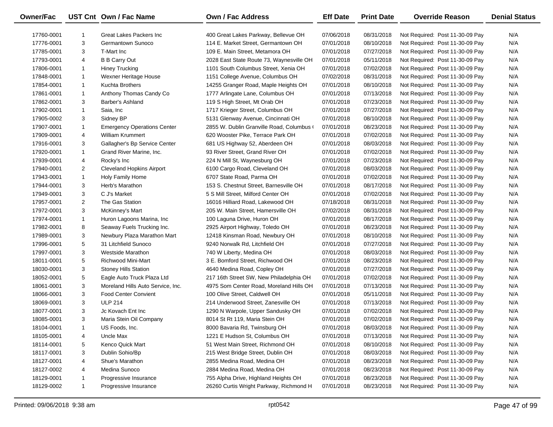| <b>Owner/Fac</b> |                | UST Cnt Own / Fac Name             | Own / Fac Address                        | <b>Eff Date</b> | <b>Print Date</b> | <b>Override Reason</b>          | <b>Denial Status</b> |
|------------------|----------------|------------------------------------|------------------------------------------|-----------------|-------------------|---------------------------------|----------------------|
| 17760-0001       | -1             | Great Lakes Packers Inc            | 400 Great Lakes Parkway, Bellevue OH     | 07/06/2018      | 08/31/2018        | Not Required: Post 11-30-09 Pay | N/A                  |
| 17776-0001       | 3              | Germantown Sunoco                  | 114 E. Market Street, Germantown OH      | 07/01/2018      | 08/10/2018        | Not Required: Post 11-30-09 Pay | N/A                  |
| 17785-0001       | 3              | T-Mart Inc                         | 109 E. Main Street, Metamora OH          | 07/01/2018      | 07/27/2018        | Not Required: Post 11-30-09 Pay | N/A                  |
| 17793-0001       | 4              | <b>B B Carry Out</b>               | 2028 East State Route 73, Waynesville OH | 07/01/2018      | 05/11/2018        | Not Required: Post 11-30-09 Pay | N/A                  |
| 17806-0001       | $\mathbf{1}$   | Hiney Trucking                     | 1101 South Columbus Street, Xenia OH     | 07/01/2018      | 07/02/2018        | Not Required: Post 11-30-09 Pay | N/A                  |
| 17848-0001       | $\mathbf{1}$   | Wexner Heritage House              | 1151 College Avenue, Columbus OH         | 07/02/2018      | 08/31/2018        | Not Required: Post 11-30-09 Pay | N/A                  |
| 17854-0001       | $\mathbf{1}$   | Kuchta Brothers                    | 14255 Granger Road, Maple Heights OH     | 07/01/2018      | 08/10/2018        | Not Required: Post 11-30-09 Pay | N/A                  |
| 17861-0001       | $\mathbf{1}$   | Anthony Thomas Candy Co            | 1777 Arlingate Lane, Columbus OH         | 07/01/2018      | 07/13/2018        | Not Required: Post 11-30-09 Pay | N/A                  |
| 17862-0001       | 3              | Barber's Ashland                   | 119 S High Street, Mt Orab OH            | 07/01/2018      | 07/23/2018        | Not Required: Post 11-30-09 Pay | N/A                  |
| 17902-0001       | $\mathbf{1}$   | Saia, Inc                          | 1717 Krieger Street, Columbus OH         | 07/01/2018      | 07/27/2018        | Not Required: Post 11-30-09 Pay | N/A                  |
| 17905-0002       | 3              | Sidney BP                          | 5131 Glenway Avenue, Cincinnati OH       | 07/01/2018      | 08/10/2018        | Not Required: Post 11-30-09 Pay | N/A                  |
| 17907-0001       | $\mathbf{1}$   | <b>Emergency Operations Center</b> | 2855 W. Dublin Granville Road, Columbus  | 07/01/2018      | 08/23/2018        | Not Required: Post 11-30-09 Pay | N/A                  |
| 17909-0001       | 4              | <b>William Krummert</b>            | 620 Wooster Pike, Terrace Park OH        | 07/01/2018      | 07/02/2018        | Not Required: Post 11-30-09 Pay | N/A                  |
| 17916-0001       | 3              | Gallagher's Bp Service Center      | 681 US Highway 52, Aberdeen OH           | 07/01/2018      | 08/03/2018        | Not Required: Post 11-30-09 Pay | N/A                  |
| 17920-0001       | $\mathbf{1}$   | Grand River Marine, Inc.           | 93 River Street, Grand River OH          | 07/01/2018      | 07/02/2018        | Not Required: Post 11-30-09 Pay | N/A                  |
| 17939-0001       | 4              | Rocky's Inc                        | 224 N Mill St, Waynesburg OH             | 07/01/2018      | 07/23/2018        | Not Required: Post 11-30-09 Pay | N/A                  |
| 17940-0001       | $\overline{2}$ | <b>Cleveland Hopkins Airport</b>   | 6100 Cargo Road, Cleveland OH            | 07/01/2018      | 08/03/2018        | Not Required: Post 11-30-09 Pay | N/A                  |
| 17943-0001       | $\mathbf{1}$   | Holy Family Home                   | 6707 State Road, Parma OH                | 07/01/2018      | 07/02/2018        | Not Required: Post 11-30-09 Pay | N/A                  |
| 17944-0001       | 3              | Herb's Marathon                    | 153 S. Chestnut Street, Barnesville OH   | 07/01/2018      | 08/17/2018        | Not Required: Post 11-30-09 Pay | N/A                  |
| 17949-0001       | 3              | C J's Market                       | 5 S Mill Street, Milford Center OH       | 07/01/2018      | 07/02/2018        | Not Required: Post 11-30-09 Pay | N/A                  |
| 17957-0001       | $\overline{2}$ | The Gas Station                    | 16016 Hilliard Road, Lakewood OH         | 07/18/2018      | 08/31/2018        | Not Required: Post 11-30-09 Pay | N/A                  |
| 17972-0001       | 3              | McKinney's Mart                    | 205 W. Main Street, Hamersville OH       | 07/02/2018      | 08/31/2018        | Not Required: Post 11-30-09 Pay | N/A                  |
| 17974-0001       | $\mathbf{1}$   | Huron Lagoons Marina, Inc.         | 100 Laguna Drive, Huron OH               | 07/01/2018      | 08/17/2018        | Not Required: Post 11-30-09 Pay | N/A                  |
| 17982-0001       | 8              | Seaway Fuels Trucking Inc.         | 2925 Airport Highway, Toledo OH          | 07/01/2018      | 08/23/2018        | Not Required: Post 11-30-09 Pay | N/A                  |
| 17989-0001       | 3              | Newbury Plaza Marathon Mart        | 12418 Kinsman Road, Newbury OH           | 07/01/2018      | 08/10/2018        | Not Required: Post 11-30-09 Pay | N/A                  |
| 17996-0001       | 5              | 31 Litchfield Sunoco               | 9240 Norwalk Rd, Litchfield OH           | 07/01/2018      | 07/27/2018        | Not Required: Post 11-30-09 Pay | N/A                  |
| 17997-0001       | 3              | Westside Marathon                  | 740 W Liberty, Medina OH                 | 07/01/2018      | 08/03/2018        | Not Required: Post 11-30-09 Pay | N/A                  |
| 18011-0001       | 5              | <b>Richwood Mini-Mart</b>          | 3 E. Bomford Street, Richwood OH         | 07/01/2018      | 08/23/2018        | Not Required: Post 11-30-09 Pay | N/A                  |
| 18030-0001       | 3              | <b>Stoney Hills Station</b>        | 4640 Medina Road, Copley OH              | 07/01/2018      | 07/27/2018        | Not Required: Post 11-30-09 Pay | N/A                  |
| 18052-0001       | 5              | Eagle Auto Truck Plaza Ltd         | 217 16th Street SW, New Philadelphia OH  | 07/01/2018      | 07/02/2018        | Not Required: Post 11-30-09 Pay | N/A                  |
| 18061-0001       | 3              | Moreland Hills Auto Service, Inc.  | 4975 Som Center Road, Moreland Hills OH  | 07/01/2018      | 07/13/2018        | Not Required: Post 11-30-09 Pay | N/A                  |
| 18066-0001       | 3              | <b>Food Center Convient</b>        | 100 Olive Street, Caldwell OH            | 07/01/2018      | 05/11/2018        | Not Required: Post 11-30-09 Pay | N/A                  |
| 18069-0001       | 3              | <b>ULP 214</b>                     | 214 Underwood Street, Zanesville OH      | 07/01/2018      | 07/13/2018        | Not Required: Post 11-30-09 Pay | N/A                  |
| 18077-0001       | 3              | Jc Kovach Ent Inc                  | 1290 N Warpole, Upper Sandusky OH        | 07/01/2018      | 07/02/2018        | Not Required: Post 11-30-09 Pay | N/A                  |
| 18085-0001       | 3              | Maria Stein Oil Company            | 8014 St Rt 119, Maria Stein OH           | 07/01/2018      | 07/02/2018        | Not Required: Post 11-30-09 Pay | N/A                  |
| 18104-0001       | -1             | US Foods, Inc.                     | 8000 Bavaria Rd, Twinsburg OH            | 07/01/2018      | 08/03/2018        | Not Required: Post 11-30-09 Pay | N/A                  |
| 18105-0001       | 4              | Uncle Max                          | 1221 E Hudson St, Columbus OH            | 07/01/2018      | 07/13/2018        | Not Required: Post 11-30-09 Pay | N/A                  |
| 18114-0001       | 5              | Kenco Quick Mart                   | 51 West Main Street, Richmond OH         | 07/01/2018      | 08/10/2018        | Not Required: Post 11-30-09 Pay | N/A                  |
| 18117-0001       | 3              | Dublin Sohio/Bp                    | 215 West Bridge Street, Dublin OH        | 07/01/2018      | 08/03/2018        | Not Required: Post 11-30-09 Pay | N/A                  |
| 18127-0001       | 4              | Shue's Marathon                    | 2855 Medina Road, Medina OH              | 07/01/2018      | 08/23/2018        | Not Required: Post 11-30-09 Pay | N/A                  |
| 18127-0002       | 4              | Medina Sunoco                      | 2884 Medina Road, Medina OH              | 07/01/2018      | 08/23/2018        | Not Required: Post 11-30-09 Pay | N/A                  |
| 18129-0001       | 1              | Progressive Insurance              | 755 Alpha Drive, Highland Heights OH     | 07/01/2018      | 08/23/2018        | Not Required: Post 11-30-09 Pay | N/A                  |
| 18129-0002       | 1              | Progressive Insurance              | 26260 Curtis Wright Parkway, Richmond H  | 07/01/2018      | 08/23/2018        | Not Required: Post 11-30-09 Pay | N/A                  |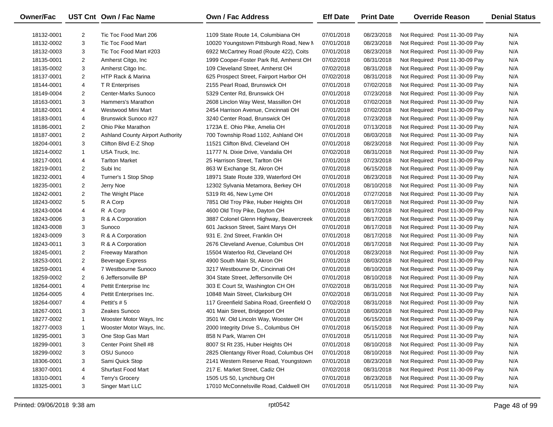| Owner/Fac  |                | UST Cnt Own / Fac Name                  | <b>Own / Fac Address</b>                 | <b>Eff Date</b> | <b>Print Date</b> | <b>Override Reason</b>          | <b>Denial Status</b> |
|------------|----------------|-----------------------------------------|------------------------------------------|-----------------|-------------------|---------------------------------|----------------------|
| 18132-0001 | $\overline{2}$ | Tic Toc Food Mart 206                   | 1109 State Route 14, Columbiana OH       | 07/01/2018      | 08/23/2018        | Not Required: Post 11-30-09 Pay | N/A                  |
| 18132-0002 | 3              | <b>Tic Toc Food Mart</b>                | 10020 Youngstown Pittsburgh Road, New M  | 07/01/2018      | 08/23/2018        | Not Required: Post 11-30-09 Pay | N/A                  |
| 18132-0003 | 3              | Tic Toc Food Mart #203                  | 6922 McCartney Road (Route 422), Coits   | 07/01/2018      | 08/23/2018        | Not Required: Post 11-30-09 Pay | N/A                  |
| 18135-0001 | 2              | Amherst Citgo, Inc.                     | 1999 Cooper-Foster Park Rd, Amherst OH   | 07/02/2018      | 08/31/2018        | Not Required: Post 11-30-09 Pay | N/A                  |
| 18135-0002 | 3              | Amherst Citgo Inc.                      | 109 Cleveland Street, Amherst OH         | 07/02/2018      | 08/31/2018        | Not Required: Post 11-30-09 Pay | N/A                  |
| 18137-0001 | $\overline{2}$ | HTP Rack & Marina                       | 625 Prospect Street, Fairport Harbor OH  | 07/02/2018      | 08/31/2018        | Not Required: Post 11-30-09 Pay | N/A                  |
| 18144-0001 | 4              | T R Enterprises                         | 2155 Pearl Road, Brunswick OH            | 07/01/2018      | 07/02/2018        | Not Required: Post 11-30-09 Pay | N/A                  |
| 18149-0004 | $\overline{2}$ | Center-Marks Sunoco                     | 5329 Center Rd, Brunswick OH             | 07/01/2018      | 07/23/2018        | Not Required: Post 11-30-09 Pay | N/A                  |
| 18163-0001 | 3              | Hammers's Marathon                      | 2608 Linclon Way West, Massillon OH      | 07/01/2018      | 07/02/2018        | Not Required: Post 11-30-09 Pay | N/A                  |
| 18182-0001 | 4              | Westwood Mini Mart                      | 2454 Harrison Avenue, Cincinnati OH      | 07/01/2018      | 07/02/2018        | Not Required: Post 11-30-09 Pay | N/A                  |
| 18183-0001 | 4              | Brunswick Sunoco #27                    | 3240 Center Road, Brunswick OH           | 07/01/2018      | 07/23/2018        | Not Required: Post 11-30-09 Pay | N/A                  |
| 18186-0001 | 2              | Ohio Pike Marathon                      | 1723A E. Ohio Pike, Amelia OH            | 07/01/2018      | 07/13/2018        | Not Required: Post 11-30-09 Pay | N/A                  |
| 18187-0001 | $\overline{2}$ | <b>Ashland County Airport Authority</b> | 700 Township Road 1102, Ashland OH       | 07/01/2018      | 08/03/2018        | Not Required: Post 11-30-09 Pay | N/A                  |
| 18204-0001 | 3              | Clifton Blvd E-Z Shop                   | 11521 Clifton Blvd, Cleveland OH         | 07/01/2018      | 08/23/2018        | Not Required: Post 11-30-09 Pay | N/A                  |
| 18214-0002 | $\mathbf{1}$   | USA Truck, Inc.                         | 11777 N. Dixie Drive, Vandalia OH        | 07/02/2018      | 08/31/2018        | Not Required: Post 11-30-09 Pay | N/A                  |
| 18217-0001 | 4              | <b>Tarlton Market</b>                   | 25 Harrison Street, Tarlton OH           | 07/01/2018      | 07/23/2018        | Not Required: Post 11-30-09 Pay | N/A                  |
| 18219-0001 | $\overline{2}$ | Subi Inc                                | 863 W Exchange St, Akron OH              | 07/01/2018      | 06/15/2018        | Not Required: Post 11-30-09 Pay | N/A                  |
| 18232-0001 | 4              | Turner's 1 Stop Shop                    | 18971 State Route 339, Waterford OH      | 07/01/2018      | 08/23/2018        | Not Required: Post 11-30-09 Pay | N/A                  |
| 18235-0001 | 2              | Jerry Noe                               | 12302 Sylvania Metamora, Berkey OH       | 07/01/2018      | 08/10/2018        | Not Required: Post 11-30-09 Pay | N/A                  |
| 18242-0001 | $\overline{2}$ | The Wright Place                        | 5319 Rt 46, New Lyme OH                  | 07/01/2018      | 07/27/2018        | Not Required: Post 11-30-09 Pay | N/A                  |
| 18243-0002 | 5              | R A Corp                                | 7851 Old Troy Pike, Huber Heights OH     | 07/01/2018      | 08/17/2018        | Not Required: Post 11-30-09 Pay | N/A                  |
| 18243-0004 | 4              | R A Corp                                | 4600 Old Troy Pike, Dayton OH            | 07/01/2018      | 08/17/2018        | Not Required: Post 11-30-09 Pay | N/A                  |
| 18243-0006 | 3              | R & A Corporation                       | 3887 Colonel Glenn Highway, Beavercreek  | 07/01/2018      | 08/17/2018        | Not Required: Post 11-30-09 Pay | N/A                  |
| 18243-0008 | 3              | Sunoco                                  | 601 Jackson Street, Saint Marys OH       | 07/01/2018      | 08/17/2018        | Not Required: Post 11-30-09 Pay | N/A                  |
| 18243-0009 | 3              | R & A Corporation                       | 931 E. 2nd Street, Franklin OH           | 07/01/2018      | 08/17/2018        | Not Required: Post 11-30-09 Pay | N/A                  |
| 18243-0011 | 3              | R & A Corporation                       | 2676 Cleveland Avenue, Columbus OH       | 07/01/2018      | 08/17/2018        | Not Required: Post 11-30-09 Pay | N/A                  |
| 18245-0001 | $\overline{2}$ | Freeway Marathon                        | 15504 Waterloo Rd, Cleveland OH          | 07/01/2018      | 08/23/2018        | Not Required: Post 11-30-09 Pay | N/A                  |
| 18253-0001 | $\overline{2}$ | <b>Beverage Express</b>                 | 4900 South Main St, Akron OH             | 07/01/2018      | 08/03/2018        | Not Required: Post 11-30-09 Pay | N/A                  |
| 18259-0001 | 4              | 7 Westbourne Sunoco                     | 3217 Westbourne Dr, Cincinnati OH        | 07/01/2018      | 08/10/2018        | Not Required: Post 11-30-09 Pay | N/A                  |
| 18259-0002 | $\overline{2}$ | 6 Jeffersonville BP                     | 304 State Street, Jeffersonville OH      | 07/01/2018      | 08/10/2018        | Not Required: Post 11-30-09 Pay | N/A                  |
| 18264-0001 | 4              | Pettit Enterprise Inc                   | 303 E Court St, Washington CH OH         | 07/02/2018      | 08/31/2018        | Not Required: Post 11-30-09 Pay | N/A                  |
| 18264-0005 | 4              | Pettit Enterprises Inc.                 | 10848 Main Street, Clarksburg OH         | 07/02/2018      | 08/31/2018        | Not Required: Post 11-30-09 Pay | N/A                  |
| 18264-0007 | 4              | Pettit's #5                             | 117 Greenfield Sabina Road, Greenfield O | 07/02/2018      | 08/31/2018        | Not Required: Post 11-30-09 Pay | N/A                  |
| 18267-0001 | 3              | Zeakes Sunoco                           | 401 Main Street, Bridgeport OH           | 07/01/2018      | 08/03/2018        | Not Required: Post 11-30-09 Pay | N/A                  |
| 18277-0002 | $\mathbf{1}$   | Wooster Motor Ways, Inc.                | 3501 W. Old Lincoln Way, Wooster OH      | 07/01/2018      | 06/15/2018        | Not Required: Post 11-30-09 Pay | N/A                  |
| 18277-0003 | $\mathbf{1}$   | Wooster Motor Ways, Inc.                | 2000 Integrity Drive S., Columbus OH     | 07/01/2018      | 06/15/2018        | Not Required: Post 11-30-09 Pay | N/A                  |
| 18295-0001 | 3              | One Stop Gas Mart                       | 858 N Park, Warren OH                    | 07/01/2018      | 05/11/2018        | Not Required: Post 11-30-09 Pay | N/A                  |
| 18299-0001 | 3              | Center Point Shell #8                   | 8007 St Rt 235, Huber Heights OH         | 07/01/2018      | 08/10/2018        | Not Required: Post 11-30-09 Pay | N/A                  |
| 18299-0002 | 3              | OSU Sunoco                              | 2825 Olentangy River Road, Columbus OH   | 07/01/2018      | 08/10/2018        | Not Required: Post 11-30-09 Pay | N/A                  |
| 18306-0001 | 3              | Sami Quick Stop                         | 2141 Western Reserve Road, Youngstown    | 07/01/2018      | 08/23/2018        | Not Required: Post 11-30-09 Pay | N/A                  |
| 18307-0001 | 4              | Shurfast Food Mart                      | 217 E. Market Street, Cadiz OH           | 07/02/2018      | 08/31/2018        | Not Required: Post 11-30-09 Pay | N/A                  |
| 18310-0001 | 4              | Terry's Grocery                         | 1505 US 50, Lynchburg OH                 | 07/01/2018      | 08/23/2018        | Not Required: Post 11-30-09 Pay | N/A                  |
| 18325-0001 | 3              | Singer Mart LLC                         | 17010 McConnelsville Road, Caldwell OH   | 07/01/2018      | 05/11/2018        | Not Required: Post 11-30-09 Pay | N/A                  |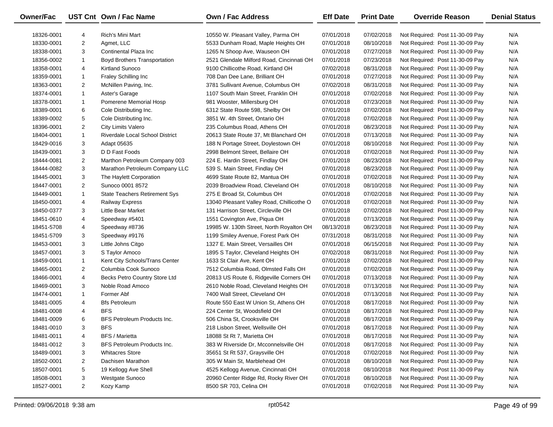| Owner/Fac  |                | UST Cnt Own / Fac Name              | Own / Fac Address                         | <b>Eff Date</b> | <b>Print Date</b> | <b>Override Reason</b>          | <b>Denial Status</b> |
|------------|----------------|-------------------------------------|-------------------------------------------|-----------------|-------------------|---------------------------------|----------------------|
| 18326-0001 | 4              | Rich's Mini Mart                    | 10550 W. Pleasant Valley, Parma OH        | 07/01/2018      | 07/02/2018        | Not Required: Post 11-30-09 Pay | N/A                  |
| 18330-0001 | $\overline{2}$ | Agmet, LLC                          | 5533 Dunham Road, Maple Heights OH        | 07/01/2018      | 08/10/2018        | Not Required: Post 11-30-09 Pay | N/A                  |
| 18338-0001 | 3              | Continental Plaza Inc               | 1265 N Shoop Ave, Wauseon OH              | 07/01/2018      | 07/27/2018        | Not Required: Post 11-30-09 Pay | N/A                  |
| 18356-0002 | $\mathbf{1}$   | <b>Boyd Brothers Transportation</b> | 2521 Glendale Milford Road, Cincinnati OH | 07/01/2018      | 07/23/2018        | Not Required: Post 11-30-09 Pay | N/A                  |
| 18358-0001 | 4              | Kirtland Sunoco                     | 9100 Chillicothe Road, Kirtland OH        | 07/02/2018      | 08/31/2018        | Not Required: Post 11-30-09 Pay | N/A                  |
| 18359-0001 | $\mathbf{1}$   | Fraley Schilling Inc                | 708 Dan Dee Lane, Brilliant OH            | 07/01/2018      | 07/27/2018        | Not Required: Post 11-30-09 Pay | N/A                  |
| 18363-0001 | $\overline{2}$ | McNillen Paving, Inc.               | 3781 Sullivant Avenue, Columbus OH        | 07/02/2018      | 08/31/2018        | Not Required: Post 11-30-09 Pay | N/A                  |
| 18374-0001 | $\mathbf{1}$   | Aster's Garage                      | 1107 South Main Street, Franklin OH       | 07/01/2018      | 07/02/2018        | Not Required: Post 11-30-09 Pay | N/A                  |
| 18378-0001 | $\mathbf{1}$   | Pomerene Memorial Hosp              | 981 Wooster, Millersburg OH               | 07/01/2018      | 07/23/2018        | Not Required: Post 11-30-09 Pay | N/A                  |
| 18389-0001 | 6              | Cole Distributing Inc.              | 6312 State Route 598, Shelby OH           | 07/01/2018      | 07/02/2018        | Not Required: Post 11-30-09 Pay | N/A                  |
| 18389-0002 | 5              | Cole Distributing Inc.              | 3851 W. 4th Street, Ontario OH            | 07/01/2018      | 07/02/2018        | Not Required: Post 11-30-09 Pay | N/A                  |
| 18396-0001 | $\overline{2}$ | City Limits Valero                  | 235 Columbus Road, Athens OH              | 07/01/2018      | 08/23/2018        | Not Required: Post 11-30-09 Pay | N/A                  |
| 18404-0001 | $\mathbf{1}$   | Riverdale Local School District     | 20613 State Route 37, Mt Blanchard OH     | 07/01/2018      | 07/13/2018        | Not Required: Post 11-30-09 Pay | N/A                  |
| 18429-0016 | 3              | Adapt 05635                         | 188 N Portage Street, Doylestown OH       | 07/01/2018      | 08/10/2018        | Not Required: Post 11-30-09 Pay | N/A                  |
| 18439-0001 | 3              | D D Fast Foods                      | 2998 Belmont Street, Bellaire OH          | 07/01/2018      | 07/02/2018        | Not Required: Post 11-30-09 Pay | N/A                  |
| 18444-0081 | $\overline{2}$ | Marthon Petroleum Company 003       | 224 E. Hardin Street, Findlay OH          | 07/01/2018      | 08/23/2018        | Not Required: Post 11-30-09 Pay | N/A                  |
| 18444-0082 | 3              | Marathon Petroleum Company LLC      | 539 S. Main Street, Findlay OH            | 07/01/2018      | 08/23/2018        | Not Required: Post 11-30-09 Pay | N/A                  |
| 18445-0001 | 3              | The Haylett Corporation             | 4699 State Route 82, Mantua OH            | 07/01/2018      | 07/02/2018        | Not Required: Post 11-30-09 Pay | N/A                  |
| 18447-0001 | $\overline{2}$ | Sunoco 0001 8572                    | 2039 Broadview Road, Cleveland OH         | 07/01/2018      | 08/10/2018        | Not Required: Post 11-30-09 Pay | N/A                  |
| 18449-0001 | $\mathbf{1}$   | State Teachers Retirement Sys       | 275 E Broad St, Columbus OH               | 07/01/2018      | 07/02/2018        | Not Required: Post 11-30-09 Pay | N/A                  |
| 18450-0001 | 4              | <b>Railway Express</b>              | 13040 Pleasant Valley Road, Chillicothe O | 07/01/2018      | 07/02/2018        | Not Required: Post 11-30-09 Pay | N/A                  |
| 18450-0377 | 3              | <b>Little Bear Market</b>           | 131 Harrison Street, Circleville OH       | 07/01/2018      | 07/02/2018        | Not Required: Post 11-30-09 Pay | N/A                  |
| 18451-0610 | 4              | Speedway #5401                      | 1551 Covington Ave, Piqua OH              | 07/01/2018      | 07/13/2018        | Not Required: Post 11-30-09 Pay | N/A                  |
| 18451-5708 | 4              | Speedway #8736                      | 19985 W. 130th Street, North Royalton OH  | 08/13/2018      | 08/23/2018        | Not Required: Post 11-30-09 Pay | N/A                  |
| 18451-5709 | 3              | Speedway #9176                      | 1199 Smiley Avenue, Forest Park OH        | 07/31/2018      | 08/31/2018        | Not Required: Post 11-30-09 Pay | N/A                  |
| 18453-0001 | 3              | Little Johns Citgo                  | 1327 E. Main Street, Versailles OH        | 07/01/2018      | 06/15/2018        | Not Required: Post 11-30-09 Pay | N/A                  |
| 18457-0001 | 3              | S Taylor Amoco                      | 1895 S Taylor, Cleveland Heights OH       | 07/02/2018      | 08/31/2018        | Not Required: Post 11-30-09 Pay | N/A                  |
| 18459-0001 | $\mathbf{1}$   | Kent City Schools/Trans Center      | 1633 St Clair Ave, Kent OH                | 07/01/2018      | 07/02/2018        | Not Required: Post 11-30-09 Pay | N/A                  |
| 18465-0001 | $\overline{2}$ | Columbia Cook Sunoco                | 7512 Columbia Road, Olmsted Falls OH      | 07/01/2018      | 07/02/2018        | Not Required: Post 11-30-09 Pay | N/A                  |
| 18466-0001 | 4              | Becks Petro Country Store Ltd       | 20813 US Route 6, Ridgeville Corners OH   | 07/01/2018      | 07/13/2018        | Not Required: Post 11-30-09 Pay | N/A                  |
| 18469-0001 | 3              | Noble Road Amoco                    | 2610 Noble Road, Cleveland Heights OH     | 07/01/2018      | 07/13/2018        | Not Required: Post 11-30-09 Pay | N/A                  |
| 18474-0001 | $\mathbf{1}$   | Former Abf                          | 7400 Wall Street, Cleveland OH            | 07/01/2018      | 07/13/2018        | Not Required: Post 11-30-09 Pay | N/A                  |
| 18481-0005 | 4              | <b>Bfs Petroleum</b>                | Route 550 East W Union St, Athens OH      | 07/01/2018      | 08/17/2018        | Not Required: Post 11-30-09 Pay | N/A                  |
| 18481-0008 | 4              | <b>BFS</b>                          | 224 Center St, Woodsfield OH              | 07/01/2018      | 08/17/2018        | Not Required: Post 11-30-09 Pay | N/A                  |
| 18481-0009 | 6              | BFS Petroleum Products Inc.         | 506 China St, Crooksville OH              | 07/01/2018      | 08/17/2018        | Not Required: Post 11-30-09 Pay | N/A                  |
| 18481-0010 | 3              | <b>BFS</b>                          | 218 Lisbon Street, Wellsville OH          | 07/01/2018      | 08/17/2018        | Not Required: Post 11-30-09 Pay | N/A                  |
| 18481-0011 | 4              | <b>BFS</b> / Marietta               | 18088 St Rt 7, Marietta OH                | 07/01/2018      | 08/17/2018        | Not Required: Post 11-30-09 Pay | N/A                  |
| 18481-0012 | 3              | BFS Petroleum Products Inc.         | 383 W Riverside Dr, Mcconnelsville OH     | 07/01/2018      | 08/17/2018        | Not Required: Post 11-30-09 Pay | N/A                  |
| 18489-0001 | 3              | <b>Whitacres Store</b>              | 35651 St Rt 537, Graysville OH            | 07/01/2018      | 07/02/2018        | Not Required: Post 11-30-09 Pay | N/A                  |
| 18502-0001 | 2              | Dachisen Marathon                   | 305 W Main St, Marblehead OH              | 07/01/2018      | 08/10/2018        | Not Required: Post 11-30-09 Pay | N/A                  |
| 18507-0001 | 5              | 19 Kellogg Ave Shell                | 4525 Kellogg Avenue, Cincinnati OH        | 07/01/2018      | 08/10/2018        | Not Required: Post 11-30-09 Pay | N/A                  |
| 18508-0001 | 3              | Westgate Sunoco                     | 20960 Center Ridge Rd, Rocky River OH     | 07/01/2018      | 08/10/2018        | Not Required: Post 11-30-09 Pay | N/A                  |
| 18527-0001 | $\overline{2}$ | Kozy Kamp                           | 8500 SR 703, Celina OH                    | 07/01/2018      | 07/02/2018        | Not Required: Post 11-30-09 Pay | N/A                  |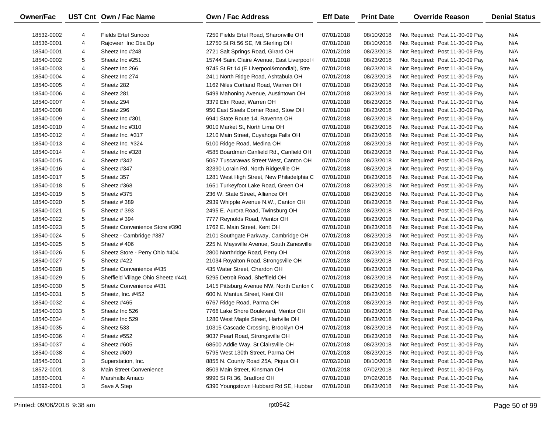| Owner/Fac  |   | UST Cnt Own / Fac Name             | <b>Own / Fac Address</b>                    | <b>Eff Date</b> | <b>Print Date</b> | <b>Override Reason</b>          | <b>Denial Status</b> |
|------------|---|------------------------------------|---------------------------------------------|-----------------|-------------------|---------------------------------|----------------------|
| 18532-0002 | 4 | <b>Fields Ertel Sunoco</b>         | 7250 Fields Ertel Road, Sharonville OH      | 07/01/2018      | 08/10/2018        | Not Required: Post 11-30-09 Pay | N/A                  |
| 18536-0001 | 4 | Rajoveer Inc Dba Bp                | 12750 St Rt 56 SE, Mt Sterling OH           | 07/01/2018      | 08/10/2018        | Not Required: Post 11-30-09 Pay | N/A                  |
| 18540-0001 | 4 | Sheetz Inc #248                    | 2721 Salt Springs Road, Girard OH           | 07/01/2018      | 08/23/2018        | Not Required: Post 11-30-09 Pay | N/A                  |
| 18540-0002 | 5 | Sheetz Inc #251                    | 15744 Saint Claire Avenue, East Liverpool ( | 07/01/2018      | 08/23/2018        | Not Required: Post 11-30-09 Pay | N/A                  |
| 18540-0003 | 4 | Sheetz Inc 266                     | 9745 St Rt 14 (E Liverpool&mondial), Stre   | 07/01/2018      | 08/23/2018        | Not Required: Post 11-30-09 Pay | N/A                  |
| 18540-0004 | 4 | Sheetz Inc 274                     | 2411 North Ridge Road, Ashtabula OH         | 07/01/2018      | 08/23/2018        | Not Required: Post 11-30-09 Pay | N/A                  |
| 18540-0005 | 4 | Sheetz 282                         | 1162 Niles Cortland Road, Warren OH         | 07/01/2018      | 08/23/2018        | Not Required: Post 11-30-09 Pay | N/A                  |
| 18540-0006 | 4 | Sheetz 281                         | 5499 Mahoning Avenue, Austintown OH         | 07/01/2018      | 08/23/2018        | Not Required: Post 11-30-09 Pay | N/A                  |
| 18540-0007 | 4 | Sheetz 294                         | 3379 Elm Road, Warren OH                    | 07/01/2018      | 08/23/2018        | Not Required: Post 11-30-09 Pay | N/A                  |
| 18540-0008 | 4 | Sheetz 296                         | 950 East Steels Corner Road, Stow OH        | 07/01/2018      | 08/23/2018        | Not Required: Post 11-30-09 Pay | N/A                  |
| 18540-0009 | 4 | Sheetz Inc #301                    | 6941 State Route 14, Ravenna OH             | 07/01/2018      | 08/23/2018        | Not Required: Post 11-30-09 Pay | N/A                  |
| 18540-0010 | 4 | Sheetz Inc #310                    | 9010 Market St, North Lima OH               | 07/01/2018      | 08/23/2018        | Not Required: Post 11-30-09 Pay | N/A                  |
| 18540-0012 | 4 | Sheetz Inc. #317                   | 1210 Main Street, Cuyahoga Falls OH         | 07/01/2018      | 08/23/2018        | Not Required: Post 11-30-09 Pay | N/A                  |
| 18540-0013 | 4 | Sheetz Inc. #324                   | 5100 Ridge Road, Medina OH                  | 07/01/2018      | 08/23/2018        | Not Required: Post 11-30-09 Pay | N/A                  |
| 18540-0014 | 4 | Sheetz Inc #328                    | 4585 Boardman Canfield Rd., Canfield OH     | 07/01/2018      | 08/23/2018        | Not Required: Post 11-30-09 Pay | N/A                  |
| 18540-0015 | 4 | Sheetz #342                        | 5057 Tuscarawas Street West, Canton OH      | 07/01/2018      | 08/23/2018        | Not Required: Post 11-30-09 Pay | N/A                  |
| 18540-0016 | 4 | Sheetz #347                        | 32390 Lorain Rd, North Ridgeville OH        | 07/01/2018      | 08/23/2018        | Not Required: Post 11-30-09 Pay | N/A                  |
| 18540-0017 | 5 | Sheetz 357                         | 1281 West High Street, New Philadelphia C   | 07/01/2018      | 08/23/2018        | Not Required: Post 11-30-09 Pay | N/A                  |
| 18540-0018 | 5 | Sheetz #368                        | 1651 Turkeyfoot Lake Road, Green OH         | 07/01/2018      | 08/23/2018        | Not Required: Post 11-30-09 Pay | N/A                  |
| 18540-0019 | 5 | Sheetz #375                        | 236 W. State Street, Alliance OH            | 07/01/2018      | 08/23/2018        | Not Required: Post 11-30-09 Pay | N/A                  |
| 18540-0020 | 5 | Sheetz # 389                       | 2939 Whipple Avenue N.W., Canton OH         | 07/01/2018      | 08/23/2018        | Not Required: Post 11-30-09 Pay | N/A                  |
| 18540-0021 | 5 | Sheetz # 393                       | 2495 E. Aurora Road, Twinsburg OH           | 07/01/2018      | 08/23/2018        | Not Required: Post 11-30-09 Pay | N/A                  |
| 18540-0022 | 5 | Sheetz #394                        | 7777 Reynolds Road, Mentor OH               | 07/01/2018      | 08/23/2018        | Not Required: Post 11-30-09 Pay | N/A                  |
| 18540-0023 | 5 | Sheetz Convenience Store #390      | 1762 E. Main Street, Kent OH                | 07/01/2018      | 08/23/2018        | Not Required: Post 11-30-09 Pay | N/A                  |
| 18540-0024 | 5 | Sheetz - Cambridge #387            | 2101 Southgate Parkway, Cambridge OH        | 07/01/2018      | 08/23/2018        | Not Required: Post 11-30-09 Pay | N/A                  |
| 18540-0025 | 5 | Sheetz #406                        | 225 N. Maysville Avenue, South Zanesville   | 07/01/2018      | 08/23/2018        | Not Required: Post 11-30-09 Pay | N/A                  |
| 18540-0026 | 5 | Sheetz Store - Perry Ohio #404     | 2800 Northridge Road, Perry OH              | 07/01/2018      | 08/23/2018        | Not Required: Post 11-30-09 Pay | N/A                  |
| 18540-0027 | 5 | Sheetz #422                        | 21034 Royalton Road, Strongsville OH        | 07/01/2018      | 08/23/2018        | Not Required: Post 11-30-09 Pay | N/A                  |
| 18540-0028 | 5 | Sheetz Convenience #435            | 435 Water Street, Chardon OH                | 07/01/2018      | 08/23/2018        | Not Required: Post 11-30-09 Pay | N/A                  |
| 18540-0029 | 5 | Sheffield Village Ohio Sheetz #441 | 5295 Detroit Road, Sheffield OH             | 07/01/2018      | 08/23/2018        | Not Required: Post 11-30-09 Pay | N/A                  |
| 18540-0030 | 5 | Sheetz Convenience #431            | 1415 Pittsburg Avenue NW, North Canton C    | 07/01/2018      | 08/23/2018        | Not Required: Post 11-30-09 Pay | N/A                  |
| 18540-0031 | 5 | Sheetz, Inc. #452                  | 600 N. Mantua Street, Kent OH               | 07/01/2018      | 08/23/2018        | Not Required: Post 11-30-09 Pay | N/A                  |
| 18540-0032 | 4 | Sheetz #465                        | 6767 Ridge Road, Parma OH                   | 07/01/2018      | 08/23/2018        | Not Required: Post 11-30-09 Pay | N/A                  |
| 18540-0033 | 5 | Sheetz Inc 526                     | 7766 Lake Shore Boulevard, Mentor OH        | 07/01/2018      | 08/23/2018        | Not Required: Post 11-30-09 Pay | N/A                  |
| 18540-0034 | 4 | Sheetz Inc 529                     | 1280 West Maple Street, Hartville OH        | 07/01/2018      | 08/23/2018        | Not Required: Post 11-30-09 Pay | N/A                  |
| 18540-0035 | 4 | Sheetz 533                         | 10315 Cascade Crossing, Brooklyn OH         | 07/01/2018      | 08/23/2018        | Not Required: Post 11-30-09 Pay | N/A                  |
| 18540-0036 | 4 | Sheetz #552                        | 9037 Pearl Road, Strongsville OH            | 07/01/2018      | 08/23/2018        | Not Required: Post 11-30-09 Pay | N/A                  |
| 18540-0037 | 4 | Sheetz #605                        | 68500 Addie Way, St Clairsville OH          | 07/01/2018      | 08/23/2018        | Not Required: Post 11-30-09 Pay | N/A                  |
| 18540-0038 | 4 | Sheetz #609                        | 5795 West 130th Street, Parma OH            | 07/01/2018      | 08/23/2018        | Not Required: Post 11-30-09 Pay | N/A                  |
| 18545-0001 | 3 | Superstation, Inc.                 | 8855 N. County Road 25A, Piqua OH           | 07/02/2018      | 08/10/2018        | Not Required: Post 11-30-09 Pay | N/A                  |
| 18572-0001 | 3 | Main Street Convenience            | 8509 Main Street, Kinsman OH                | 07/01/2018      | 07/02/2018        | Not Required: Post 11-30-09 Pay | N/A                  |
| 18580-0001 | 4 | <b>Marshalls Amaco</b>             | 9990 St Rt 36, Bradford OH                  | 07/01/2018      | 07/02/2018        | Not Required: Post 11-30-09 Pay | N/A                  |
| 18592-0001 | 3 | Save A Step                        | 6390 Youngstown Hubbard Rd SE, Hubbar       | 07/01/2018      | 08/23/2018        | Not Required: Post 11-30-09 Pay | N/A                  |
|            |   |                                    |                                             |                 |                   |                                 |                      |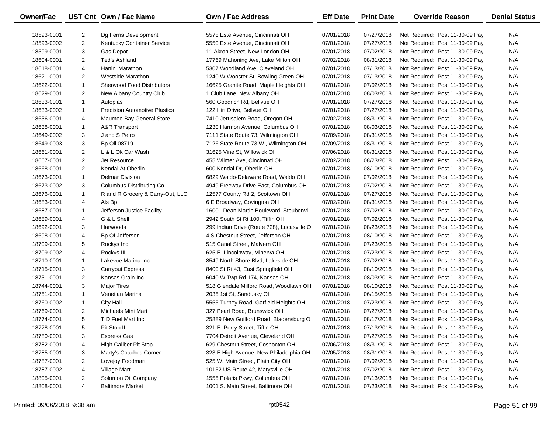| N/A<br>18593-0001<br>2<br>Dg Ferris Development<br>5578 Este Avenue, Cincinnati OH<br>07/01/2018<br>07/27/2018<br>Not Required: Post 11-30-09 Pay<br>N/A<br>2<br>07/01/2018<br>07/27/2018<br>18593-0002<br><b>Kentucky Container Service</b><br>5550 Este Avenue, Cincinnati OH<br>Not Required: Post 11-30-09 Pay<br>N/A<br>3<br>11 Akron Street, New London OH<br>07/01/2018<br>07/02/2018<br>18599-0001<br>Gas Depot<br>Not Required: Post 11-30-09 Pay<br>$\overline{2}$<br>08/31/2018<br>N/A<br>18604-0001<br>Ted's Ashland<br>17769 Mahoning Ave, Lake Milton OH<br>07/02/2018<br>Not Required: Post 11-30-09 Pay<br>N/A<br>4<br>07/13/2018<br>18618-0001<br>Hanini Marathon<br>5307 Woodland Ave, Cleveland OH<br>07/01/2018<br>Not Required: Post 11-30-09 Pay<br>$\overline{2}$<br>07/13/2018<br>N/A<br>18621-0001<br><b>Westside Marathon</b><br>1240 W Wooster St, Bowling Green OH<br>07/01/2018<br>Not Required: Post 11-30-09 Pay<br>N/A<br>$\mathbf{1}$<br><b>Sherwood Food Distributors</b><br>07/02/2018<br>18622-0001<br>16625 Granite Road, Maple Heights OH<br>07/01/2018<br>Not Required: Post 11-30-09 Pay<br>$\overline{2}$<br>08/03/2018<br>N/A<br>18629-0001<br>New Albany Country Club<br>1 Club Lane, New Albany OH<br>07/01/2018<br>Not Required: Post 11-30-09 Pay<br>N/A<br>$\mathbf{1}$<br>07/27/2018<br>18633-0001<br>560 Goodrich Rd, Bellvue OH<br>07/01/2018<br>Not Required: Post 11-30-09 Pay<br>Autoplas<br>$\mathbf{1}$<br>07/01/2018<br>07/27/2018<br>N/A<br>18633-0002<br><b>Precision Automotive Plastics</b><br>122 Hirt Drive, Bellvue OH<br>Not Required: Post 11-30-09 Pay<br>4<br>08/31/2018<br>N/A<br>18636-0001<br>Maumee Bay General Store<br>7410 Jerusalem Road, Oregon OH<br>07/02/2018<br>Not Required: Post 11-30-09 Pay<br>$\mathbf{1}$<br>08/03/2018<br>N/A<br>18638-0001<br>A&R Transport<br>1230 Harmon Avenue, Columbus OH<br>07/01/2018<br>Not Required: Post 11-30-09 Pay<br>3<br>J and S Petro<br>08/31/2018<br>N/A<br>18649-0002<br>7111 State Route 73, Wilmington OH<br>07/09/2018<br>Not Required: Post 11-30-09 Pay<br>3<br>08/31/2018<br>N/A<br>18649-0003<br><b>Bp Oil 08719</b><br>7126 State Route 73 W., Wilmington OH<br>07/09/2018<br>Not Required: Post 11-30-09 Pay<br>2<br>08/31/2018<br>N/A<br>18661-0001<br>L & L Ok Car Wash<br>31625 Vine St, Willowick OH<br>07/06/2018<br>Not Required: Post 11-30-09 Pay<br>$\overline{\mathbf{c}}$<br>08/23/2018<br>N/A<br>18667-0001<br>Jet Resource<br>455 Wilmer Ave, Cincinnati OH<br>07/02/2018<br>Not Required: Post 11-30-09 Pay<br>2<br>Kendal At Oberlin<br>08/10/2018<br>N/A<br>18668-0001<br>600 Kendal Dr, Oberlin OH<br>07/01/2018<br>Not Required: Post 11-30-09 Pay<br>$\mathbf{1}$<br><b>Delmar Division</b><br>07/01/2018<br>07/02/2018<br>N/A<br>18673-0001<br>6829 Waldo-Delaware Road, Waldo OH<br>Not Required: Post 11-30-09 Pay<br>3<br>07/02/2018<br>N/A<br>18673-0002<br>Columbus Distributing Co.<br>4949 Freeway Drive East, Columbus OH<br>07/01/2018<br>Not Required: Post 11-30-09 Pay<br>$\mathbf{1}$<br>07/27/2018<br>N/A<br>18676-0001<br>R and R Grocery & Carry-Out, LLC<br>12577 County Rd 2, Scottown OH<br>07/01/2018<br>Not Required: Post 11-30-09 Pay<br>08/31/2018<br>N/A<br>18683-0001<br>4<br>Als Bp<br>6 E Broadway, Covington OH<br>07/02/2018<br>Not Required: Post 11-30-09 Pay<br>07/01/2018<br>07/02/2018<br>N/A<br>18687-0001<br>1<br>Jefferson Justice Facility<br>16001 Dean Martin Boulevard, Steubenvi<br>Not Required: Post 11-30-09 Pay<br>07/02/2018<br>N/A<br>18689-0001<br>4<br>G & L Shell<br>2942 South St Rt 100, Tiffin OH<br>07/01/2018<br>Not Required: Post 11-30-09 Pay<br>3<br>08/23/2018<br>N/A<br>18692-0001<br>Harwoods<br>299 Indian Drive (Route 728), Lucasville O<br>07/01/2018<br>Not Required: Post 11-30-09 Pay<br>4 S Chestnut Street, Jefferson OH<br>08/10/2018<br>N/A<br>18698-0001<br>4<br>Bp Of Jefferson<br>07/01/2018<br>Not Required: Post 11-30-09 Pay<br>515 Canal Street, Malvern OH<br>07/23/2018<br>N/A<br>18709-0001<br>5<br>Rockys Inc.<br>07/01/2018<br>Not Required: Post 11-30-09 Pay<br>07/23/2018<br>N/A<br>18709-0002<br>4<br>Rockys III<br>625 E. Lincolnway, Minerva OH<br>07/01/2018<br>Not Required: Post 11-30-09 Pay<br>$\mathbf{1}$<br>07/01/2018<br>07/02/2018<br>N/A<br>18710-0001<br>Lakevue Marina Inc<br>8549 North Shore Blvd, Lakeside OH<br>Not Required: Post 11-30-09 Pay<br>3<br>08/10/2018<br>N/A<br>18715-0001<br><b>Carryout Express</b><br>8400 St Rt 43, East Springfield OH<br>07/01/2018<br>Not Required: Post 11-30-09 Pay<br>$\overline{2}$<br>Kansas Grain Inc<br>08/03/2018<br>N/A<br>18731-0001<br>6040 W Twp Rd 174, Kansas OH<br>07/01/2018<br>Not Required: Post 11-30-09 Pay<br>3<br>08/10/2018<br>N/A<br>18744-0001<br><b>Major Tires</b><br>518 Glendale Milford Road, Woodlawn OH<br>07/01/2018<br>Not Required: Post 11-30-09 Pay<br>$\mathbf{1}$<br>N/A<br>18751-0001<br>Venetian Marina<br>2035 1st St, Sandusky OH<br>07/01/2018<br>06/15/2018<br>Not Required: Post 11-30-09 Pay<br>$\mathbf{1}$<br>07/23/2018<br>N/A<br>18760-0002<br><b>City Hall</b><br>5555 Turney Road, Garfield Heights OH<br>07/01/2018<br>Not Required: Post 11-30-09 Pay<br>$\overline{2}$<br>327 Pearl Road, Brunswick OH<br>N/A<br>18769-0001<br>Michaels Mini Mart<br>07/01/2018<br>07/27/2018<br>Not Required: Post 11-30-09 Pay<br>5<br>08/17/2018<br>N/A<br>18774-0001<br>T D Fuel Mart Inc.<br>25889 New Guilford Road, Bladensburg O<br>07/01/2018<br>Not Required: Post 11-30-09 Pay<br>18778-0001<br>5<br>Pit Stop II<br>321 E. Perry Street, Tiffin OH<br>07/01/2018<br>07/13/2018<br>Not Required: Post 11-30-09 Pay<br>N/A<br>07/01/2018<br>07/27/2018<br>N/A<br>18780-0001<br>3<br>Express Gas<br>7704 Detroit Avenue, Cleveland OH<br>Not Required: Post 11-30-09 Pay<br>N/A<br><b>High Caliber Pit Stop</b><br>629 Chestnut Street, Coshocton OH<br>07/06/2018<br>08/31/2018<br>Not Required: Post 11-30-09 Pay<br>18782-0001<br>4<br>3<br>Marty's Coaches Corner<br>323 E High Avenue, New Philadelphia OH<br>07/05/2018<br>08/31/2018<br>Not Required: Post 11-30-09 Pay<br>N/A<br>18785-0001<br>N/A<br>2<br>Lovejoy Foodmart<br>525 W. Main Street, Plain City OH<br>07/01/2018<br>07/02/2018<br>Not Required: Post 11-30-09 Pay<br>18787-0001<br>4<br>10152 US Route 42, Marysville OH<br>07/01/2018<br>07/02/2018<br>Not Required: Post 11-30-09 Pay<br>N/A<br>18787-0002<br>Village Mart<br>2<br>Solomon Oil Company<br>1555 Polaris Pkwy, Columbus OH<br>07/01/2018<br>07/13/2018<br>Not Required: Post 11-30-09 Pay<br>N/A<br>18805-0001<br>18808-0001<br>4<br><b>Baltimore Market</b><br>1001 S. Main Street, Baltimore OH<br>07/01/2018<br>07/23/2018<br>Not Required: Post 11-30-09 Pay | Owner/Fac | UST Cnt Own / Fac Name | <b>Own / Fac Address</b> | <b>Eff Date</b> | <b>Print Date</b> | <b>Override Reason</b> | <b>Denial Status</b> |
|------------------------------------------------------------------------------------------------------------------------------------------------------------------------------------------------------------------------------------------------------------------------------------------------------------------------------------------------------------------------------------------------------------------------------------------------------------------------------------------------------------------------------------------------------------------------------------------------------------------------------------------------------------------------------------------------------------------------------------------------------------------------------------------------------------------------------------------------------------------------------------------------------------------------------------------------------------------------------------------------------------------------------------------------------------------------------------------------------------------------------------------------------------------------------------------------------------------------------------------------------------------------------------------------------------------------------------------------------------------------------------------------------------------------------------------------------------------------------------------------------------------------------------------------------------------------------------------------------------------------------------------------------------------------------------------------------------------------------------------------------------------------------------------------------------------------------------------------------------------------------------------------------------------------------------------------------------------------------------------------------------------------------------------------------------------------------------------------------------------------------------------------------------------------------------------------------------------------------------------------------------------------------------------------------------------------------------------------------------------------------------------------------------------------------------------------------------------------------------------------------------------------------------------------------------------------------------------------------------------------------------------------------------------------------------------------------------------------------------------------------------------------------------------------------------------------------------------------------------------------------------------------------------------------------------------------------------------------------------------------------------------------------------------------------------------------------------------------------------------------------------------------------------------------------------------------------------------------------------------------------------------------------------------------------------------------------------------------------------------------------------------------------------------------------------------------------------------------------------------------------------------------------------------------------------------------------------------------------------------------------------------------------------------------------------------------------------------------------------------------------------------------------------------------------------------------------------------------------------------------------------------------------------------------------------------------------------------------------------------------------------------------------------------------------------------------------------------------------------------------------------------------------------------------------------------------------------------------------------------------------------------------------------------------------------------------------------------------------------------------------------------------------------------------------------------------------------------------------------------------------------------------------------------------------------------------------------------------------------------------------------------------------------------------------------------------------------------------------------------------------------------------------------------------------------------------------------------------------------------------------------------------------------------------------------------------------------------------------------------------------------------------------------------------------------------------------------------------------------------------------------------------------------------------------------------------------------------------------------------------------------------------------------------------------------------------------------------------------------------------------------------------------------------------------------------------------------------------------------------------------------------------------------------------------------------------------------------------------------------------------------------------------------------------------------------------------------------------------------------------------------------------------------------------------------------------------------------------------------------------------------------------------------------------------------------------------------------------------------------------------------------------------------------------------------------------------------------------------------------------------------------------------------------------------------------------------------------------------------------------------------------------------------------------------------------------------------------------------------------------------------------------------------------------------------------------------------------------------------------------------------------------------------------------------------------------------------------------------------------------------------------------------------------------------------------------------------------------------------------------------------------|-----------|------------------------|--------------------------|-----------------|-------------------|------------------------|----------------------|
|                                                                                                                                                                                                                                                                                                                                                                                                                                                                                                                                                                                                                                                                                                                                                                                                                                                                                                                                                                                                                                                                                                                                                                                                                                                                                                                                                                                                                                                                                                                                                                                                                                                                                                                                                                                                                                                                                                                                                                                                                                                                                                                                                                                                                                                                                                                                                                                                                                                                                                                                                                                                                                                                                                                                                                                                                                                                                                                                                                                                                                                                                                                                                                                                                                                                                                                                                                                                                                                                                                                                                                                                                                                                                                                                                                                                                                                                                                                                                                                                                                                                                                                                                                                                                                                                                                                                                                                                                                                                                                                                                                                                                                                                                                                                                                                                                                                                                                                                                                                                                                                                                                                                                                                                                                                                                                                                                                                                                                                                                                                                                                                                                                                                                                                                                                                                                                                                                                                                                                                                                                                                                                                                                                                                                                                                                                                                                                                                                                                                                                                                                                                                                                                                                                                                                                  |           |                        |                          |                 |                   |                        |                      |
|                                                                                                                                                                                                                                                                                                                                                                                                                                                                                                                                                                                                                                                                                                                                                                                                                                                                                                                                                                                                                                                                                                                                                                                                                                                                                                                                                                                                                                                                                                                                                                                                                                                                                                                                                                                                                                                                                                                                                                                                                                                                                                                                                                                                                                                                                                                                                                                                                                                                                                                                                                                                                                                                                                                                                                                                                                                                                                                                                                                                                                                                                                                                                                                                                                                                                                                                                                                                                                                                                                                                                                                                                                                                                                                                                                                                                                                                                                                                                                                                                                                                                                                                                                                                                                                                                                                                                                                                                                                                                                                                                                                                                                                                                                                                                                                                                                                                                                                                                                                                                                                                                                                                                                                                                                                                                                                                                                                                                                                                                                                                                                                                                                                                                                                                                                                                                                                                                                                                                                                                                                                                                                                                                                                                                                                                                                                                                                                                                                                                                                                                                                                                                                                                                                                                                                  |           |                        |                          |                 |                   |                        |                      |
|                                                                                                                                                                                                                                                                                                                                                                                                                                                                                                                                                                                                                                                                                                                                                                                                                                                                                                                                                                                                                                                                                                                                                                                                                                                                                                                                                                                                                                                                                                                                                                                                                                                                                                                                                                                                                                                                                                                                                                                                                                                                                                                                                                                                                                                                                                                                                                                                                                                                                                                                                                                                                                                                                                                                                                                                                                                                                                                                                                                                                                                                                                                                                                                                                                                                                                                                                                                                                                                                                                                                                                                                                                                                                                                                                                                                                                                                                                                                                                                                                                                                                                                                                                                                                                                                                                                                                                                                                                                                                                                                                                                                                                                                                                                                                                                                                                                                                                                                                                                                                                                                                                                                                                                                                                                                                                                                                                                                                                                                                                                                                                                                                                                                                                                                                                                                                                                                                                                                                                                                                                                                                                                                                                                                                                                                                                                                                                                                                                                                                                                                                                                                                                                                                                                                                                  |           |                        |                          |                 |                   |                        |                      |
|                                                                                                                                                                                                                                                                                                                                                                                                                                                                                                                                                                                                                                                                                                                                                                                                                                                                                                                                                                                                                                                                                                                                                                                                                                                                                                                                                                                                                                                                                                                                                                                                                                                                                                                                                                                                                                                                                                                                                                                                                                                                                                                                                                                                                                                                                                                                                                                                                                                                                                                                                                                                                                                                                                                                                                                                                                                                                                                                                                                                                                                                                                                                                                                                                                                                                                                                                                                                                                                                                                                                                                                                                                                                                                                                                                                                                                                                                                                                                                                                                                                                                                                                                                                                                                                                                                                                                                                                                                                                                                                                                                                                                                                                                                                                                                                                                                                                                                                                                                                                                                                                                                                                                                                                                                                                                                                                                                                                                                                                                                                                                                                                                                                                                                                                                                                                                                                                                                                                                                                                                                                                                                                                                                                                                                                                                                                                                                                                                                                                                                                                                                                                                                                                                                                                                                  |           |                        |                          |                 |                   |                        |                      |
|                                                                                                                                                                                                                                                                                                                                                                                                                                                                                                                                                                                                                                                                                                                                                                                                                                                                                                                                                                                                                                                                                                                                                                                                                                                                                                                                                                                                                                                                                                                                                                                                                                                                                                                                                                                                                                                                                                                                                                                                                                                                                                                                                                                                                                                                                                                                                                                                                                                                                                                                                                                                                                                                                                                                                                                                                                                                                                                                                                                                                                                                                                                                                                                                                                                                                                                                                                                                                                                                                                                                                                                                                                                                                                                                                                                                                                                                                                                                                                                                                                                                                                                                                                                                                                                                                                                                                                                                                                                                                                                                                                                                                                                                                                                                                                                                                                                                                                                                                                                                                                                                                                                                                                                                                                                                                                                                                                                                                                                                                                                                                                                                                                                                                                                                                                                                                                                                                                                                                                                                                                                                                                                                                                                                                                                                                                                                                                                                                                                                                                                                                                                                                                                                                                                                                                  |           |                        |                          |                 |                   |                        |                      |
|                                                                                                                                                                                                                                                                                                                                                                                                                                                                                                                                                                                                                                                                                                                                                                                                                                                                                                                                                                                                                                                                                                                                                                                                                                                                                                                                                                                                                                                                                                                                                                                                                                                                                                                                                                                                                                                                                                                                                                                                                                                                                                                                                                                                                                                                                                                                                                                                                                                                                                                                                                                                                                                                                                                                                                                                                                                                                                                                                                                                                                                                                                                                                                                                                                                                                                                                                                                                                                                                                                                                                                                                                                                                                                                                                                                                                                                                                                                                                                                                                                                                                                                                                                                                                                                                                                                                                                                                                                                                                                                                                                                                                                                                                                                                                                                                                                                                                                                                                                                                                                                                                                                                                                                                                                                                                                                                                                                                                                                                                                                                                                                                                                                                                                                                                                                                                                                                                                                                                                                                                                                                                                                                                                                                                                                                                                                                                                                                                                                                                                                                                                                                                                                                                                                                                                  |           |                        |                          |                 |                   |                        |                      |
|                                                                                                                                                                                                                                                                                                                                                                                                                                                                                                                                                                                                                                                                                                                                                                                                                                                                                                                                                                                                                                                                                                                                                                                                                                                                                                                                                                                                                                                                                                                                                                                                                                                                                                                                                                                                                                                                                                                                                                                                                                                                                                                                                                                                                                                                                                                                                                                                                                                                                                                                                                                                                                                                                                                                                                                                                                                                                                                                                                                                                                                                                                                                                                                                                                                                                                                                                                                                                                                                                                                                                                                                                                                                                                                                                                                                                                                                                                                                                                                                                                                                                                                                                                                                                                                                                                                                                                                                                                                                                                                                                                                                                                                                                                                                                                                                                                                                                                                                                                                                                                                                                                                                                                                                                                                                                                                                                                                                                                                                                                                                                                                                                                                                                                                                                                                                                                                                                                                                                                                                                                                                                                                                                                                                                                                                                                                                                                                                                                                                                                                                                                                                                                                                                                                                                                  |           |                        |                          |                 |                   |                        |                      |
|                                                                                                                                                                                                                                                                                                                                                                                                                                                                                                                                                                                                                                                                                                                                                                                                                                                                                                                                                                                                                                                                                                                                                                                                                                                                                                                                                                                                                                                                                                                                                                                                                                                                                                                                                                                                                                                                                                                                                                                                                                                                                                                                                                                                                                                                                                                                                                                                                                                                                                                                                                                                                                                                                                                                                                                                                                                                                                                                                                                                                                                                                                                                                                                                                                                                                                                                                                                                                                                                                                                                                                                                                                                                                                                                                                                                                                                                                                                                                                                                                                                                                                                                                                                                                                                                                                                                                                                                                                                                                                                                                                                                                                                                                                                                                                                                                                                                                                                                                                                                                                                                                                                                                                                                                                                                                                                                                                                                                                                                                                                                                                                                                                                                                                                                                                                                                                                                                                                                                                                                                                                                                                                                                                                                                                                                                                                                                                                                                                                                                                                                                                                                                                                                                                                                                                  |           |                        |                          |                 |                   |                        |                      |
|                                                                                                                                                                                                                                                                                                                                                                                                                                                                                                                                                                                                                                                                                                                                                                                                                                                                                                                                                                                                                                                                                                                                                                                                                                                                                                                                                                                                                                                                                                                                                                                                                                                                                                                                                                                                                                                                                                                                                                                                                                                                                                                                                                                                                                                                                                                                                                                                                                                                                                                                                                                                                                                                                                                                                                                                                                                                                                                                                                                                                                                                                                                                                                                                                                                                                                                                                                                                                                                                                                                                                                                                                                                                                                                                                                                                                                                                                                                                                                                                                                                                                                                                                                                                                                                                                                                                                                                                                                                                                                                                                                                                                                                                                                                                                                                                                                                                                                                                                                                                                                                                                                                                                                                                                                                                                                                                                                                                                                                                                                                                                                                                                                                                                                                                                                                                                                                                                                                                                                                                                                                                                                                                                                                                                                                                                                                                                                                                                                                                                                                                                                                                                                                                                                                                                                  |           |                        |                          |                 |                   |                        |                      |
|                                                                                                                                                                                                                                                                                                                                                                                                                                                                                                                                                                                                                                                                                                                                                                                                                                                                                                                                                                                                                                                                                                                                                                                                                                                                                                                                                                                                                                                                                                                                                                                                                                                                                                                                                                                                                                                                                                                                                                                                                                                                                                                                                                                                                                                                                                                                                                                                                                                                                                                                                                                                                                                                                                                                                                                                                                                                                                                                                                                                                                                                                                                                                                                                                                                                                                                                                                                                                                                                                                                                                                                                                                                                                                                                                                                                                                                                                                                                                                                                                                                                                                                                                                                                                                                                                                                                                                                                                                                                                                                                                                                                                                                                                                                                                                                                                                                                                                                                                                                                                                                                                                                                                                                                                                                                                                                                                                                                                                                                                                                                                                                                                                                                                                                                                                                                                                                                                                                                                                                                                                                                                                                                                                                                                                                                                                                                                                                                                                                                                                                                                                                                                                                                                                                                                                  |           |                        |                          |                 |                   |                        |                      |
|                                                                                                                                                                                                                                                                                                                                                                                                                                                                                                                                                                                                                                                                                                                                                                                                                                                                                                                                                                                                                                                                                                                                                                                                                                                                                                                                                                                                                                                                                                                                                                                                                                                                                                                                                                                                                                                                                                                                                                                                                                                                                                                                                                                                                                                                                                                                                                                                                                                                                                                                                                                                                                                                                                                                                                                                                                                                                                                                                                                                                                                                                                                                                                                                                                                                                                                                                                                                                                                                                                                                                                                                                                                                                                                                                                                                                                                                                                                                                                                                                                                                                                                                                                                                                                                                                                                                                                                                                                                                                                                                                                                                                                                                                                                                                                                                                                                                                                                                                                                                                                                                                                                                                                                                                                                                                                                                                                                                                                                                                                                                                                                                                                                                                                                                                                                                                                                                                                                                                                                                                                                                                                                                                                                                                                                                                                                                                                                                                                                                                                                                                                                                                                                                                                                                                                  |           |                        |                          |                 |                   |                        |                      |
|                                                                                                                                                                                                                                                                                                                                                                                                                                                                                                                                                                                                                                                                                                                                                                                                                                                                                                                                                                                                                                                                                                                                                                                                                                                                                                                                                                                                                                                                                                                                                                                                                                                                                                                                                                                                                                                                                                                                                                                                                                                                                                                                                                                                                                                                                                                                                                                                                                                                                                                                                                                                                                                                                                                                                                                                                                                                                                                                                                                                                                                                                                                                                                                                                                                                                                                                                                                                                                                                                                                                                                                                                                                                                                                                                                                                                                                                                                                                                                                                                                                                                                                                                                                                                                                                                                                                                                                                                                                                                                                                                                                                                                                                                                                                                                                                                                                                                                                                                                                                                                                                                                                                                                                                                                                                                                                                                                                                                                                                                                                                                                                                                                                                                                                                                                                                                                                                                                                                                                                                                                                                                                                                                                                                                                                                                                                                                                                                                                                                                                                                                                                                                                                                                                                                                                  |           |                        |                          |                 |                   |                        |                      |
|                                                                                                                                                                                                                                                                                                                                                                                                                                                                                                                                                                                                                                                                                                                                                                                                                                                                                                                                                                                                                                                                                                                                                                                                                                                                                                                                                                                                                                                                                                                                                                                                                                                                                                                                                                                                                                                                                                                                                                                                                                                                                                                                                                                                                                                                                                                                                                                                                                                                                                                                                                                                                                                                                                                                                                                                                                                                                                                                                                                                                                                                                                                                                                                                                                                                                                                                                                                                                                                                                                                                                                                                                                                                                                                                                                                                                                                                                                                                                                                                                                                                                                                                                                                                                                                                                                                                                                                                                                                                                                                                                                                                                                                                                                                                                                                                                                                                                                                                                                                                                                                                                                                                                                                                                                                                                                                                                                                                                                                                                                                                                                                                                                                                                                                                                                                                                                                                                                                                                                                                                                                                                                                                                                                                                                                                                                                                                                                                                                                                                                                                                                                                                                                                                                                                                                  |           |                        |                          |                 |                   |                        |                      |
|                                                                                                                                                                                                                                                                                                                                                                                                                                                                                                                                                                                                                                                                                                                                                                                                                                                                                                                                                                                                                                                                                                                                                                                                                                                                                                                                                                                                                                                                                                                                                                                                                                                                                                                                                                                                                                                                                                                                                                                                                                                                                                                                                                                                                                                                                                                                                                                                                                                                                                                                                                                                                                                                                                                                                                                                                                                                                                                                                                                                                                                                                                                                                                                                                                                                                                                                                                                                                                                                                                                                                                                                                                                                                                                                                                                                                                                                                                                                                                                                                                                                                                                                                                                                                                                                                                                                                                                                                                                                                                                                                                                                                                                                                                                                                                                                                                                                                                                                                                                                                                                                                                                                                                                                                                                                                                                                                                                                                                                                                                                                                                                                                                                                                                                                                                                                                                                                                                                                                                                                                                                                                                                                                                                                                                                                                                                                                                                                                                                                                                                                                                                                                                                                                                                                                                  |           |                        |                          |                 |                   |                        |                      |
|                                                                                                                                                                                                                                                                                                                                                                                                                                                                                                                                                                                                                                                                                                                                                                                                                                                                                                                                                                                                                                                                                                                                                                                                                                                                                                                                                                                                                                                                                                                                                                                                                                                                                                                                                                                                                                                                                                                                                                                                                                                                                                                                                                                                                                                                                                                                                                                                                                                                                                                                                                                                                                                                                                                                                                                                                                                                                                                                                                                                                                                                                                                                                                                                                                                                                                                                                                                                                                                                                                                                                                                                                                                                                                                                                                                                                                                                                                                                                                                                                                                                                                                                                                                                                                                                                                                                                                                                                                                                                                                                                                                                                                                                                                                                                                                                                                                                                                                                                                                                                                                                                                                                                                                                                                                                                                                                                                                                                                                                                                                                                                                                                                                                                                                                                                                                                                                                                                                                                                                                                                                                                                                                                                                                                                                                                                                                                                                                                                                                                                                                                                                                                                                                                                                                                                  |           |                        |                          |                 |                   |                        |                      |
|                                                                                                                                                                                                                                                                                                                                                                                                                                                                                                                                                                                                                                                                                                                                                                                                                                                                                                                                                                                                                                                                                                                                                                                                                                                                                                                                                                                                                                                                                                                                                                                                                                                                                                                                                                                                                                                                                                                                                                                                                                                                                                                                                                                                                                                                                                                                                                                                                                                                                                                                                                                                                                                                                                                                                                                                                                                                                                                                                                                                                                                                                                                                                                                                                                                                                                                                                                                                                                                                                                                                                                                                                                                                                                                                                                                                                                                                                                                                                                                                                                                                                                                                                                                                                                                                                                                                                                                                                                                                                                                                                                                                                                                                                                                                                                                                                                                                                                                                                                                                                                                                                                                                                                                                                                                                                                                                                                                                                                                                                                                                                                                                                                                                                                                                                                                                                                                                                                                                                                                                                                                                                                                                                                                                                                                                                                                                                                                                                                                                                                                                                                                                                                                                                                                                                                  |           |                        |                          |                 |                   |                        |                      |
|                                                                                                                                                                                                                                                                                                                                                                                                                                                                                                                                                                                                                                                                                                                                                                                                                                                                                                                                                                                                                                                                                                                                                                                                                                                                                                                                                                                                                                                                                                                                                                                                                                                                                                                                                                                                                                                                                                                                                                                                                                                                                                                                                                                                                                                                                                                                                                                                                                                                                                                                                                                                                                                                                                                                                                                                                                                                                                                                                                                                                                                                                                                                                                                                                                                                                                                                                                                                                                                                                                                                                                                                                                                                                                                                                                                                                                                                                                                                                                                                                                                                                                                                                                                                                                                                                                                                                                                                                                                                                                                                                                                                                                                                                                                                                                                                                                                                                                                                                                                                                                                                                                                                                                                                                                                                                                                                                                                                                                                                                                                                                                                                                                                                                                                                                                                                                                                                                                                                                                                                                                                                                                                                                                                                                                                                                                                                                                                                                                                                                                                                                                                                                                                                                                                                                                  |           |                        |                          |                 |                   |                        |                      |
|                                                                                                                                                                                                                                                                                                                                                                                                                                                                                                                                                                                                                                                                                                                                                                                                                                                                                                                                                                                                                                                                                                                                                                                                                                                                                                                                                                                                                                                                                                                                                                                                                                                                                                                                                                                                                                                                                                                                                                                                                                                                                                                                                                                                                                                                                                                                                                                                                                                                                                                                                                                                                                                                                                                                                                                                                                                                                                                                                                                                                                                                                                                                                                                                                                                                                                                                                                                                                                                                                                                                                                                                                                                                                                                                                                                                                                                                                                                                                                                                                                                                                                                                                                                                                                                                                                                                                                                                                                                                                                                                                                                                                                                                                                                                                                                                                                                                                                                                                                                                                                                                                                                                                                                                                                                                                                                                                                                                                                                                                                                                                                                                                                                                                                                                                                                                                                                                                                                                                                                                                                                                                                                                                                                                                                                                                                                                                                                                                                                                                                                                                                                                                                                                                                                                                                  |           |                        |                          |                 |                   |                        |                      |
|                                                                                                                                                                                                                                                                                                                                                                                                                                                                                                                                                                                                                                                                                                                                                                                                                                                                                                                                                                                                                                                                                                                                                                                                                                                                                                                                                                                                                                                                                                                                                                                                                                                                                                                                                                                                                                                                                                                                                                                                                                                                                                                                                                                                                                                                                                                                                                                                                                                                                                                                                                                                                                                                                                                                                                                                                                                                                                                                                                                                                                                                                                                                                                                                                                                                                                                                                                                                                                                                                                                                                                                                                                                                                                                                                                                                                                                                                                                                                                                                                                                                                                                                                                                                                                                                                                                                                                                                                                                                                                                                                                                                                                                                                                                                                                                                                                                                                                                                                                                                                                                                                                                                                                                                                                                                                                                                                                                                                                                                                                                                                                                                                                                                                                                                                                                                                                                                                                                                                                                                                                                                                                                                                                                                                                                                                                                                                                                                                                                                                                                                                                                                                                                                                                                                                                  |           |                        |                          |                 |                   |                        |                      |
|                                                                                                                                                                                                                                                                                                                                                                                                                                                                                                                                                                                                                                                                                                                                                                                                                                                                                                                                                                                                                                                                                                                                                                                                                                                                                                                                                                                                                                                                                                                                                                                                                                                                                                                                                                                                                                                                                                                                                                                                                                                                                                                                                                                                                                                                                                                                                                                                                                                                                                                                                                                                                                                                                                                                                                                                                                                                                                                                                                                                                                                                                                                                                                                                                                                                                                                                                                                                                                                                                                                                                                                                                                                                                                                                                                                                                                                                                                                                                                                                                                                                                                                                                                                                                                                                                                                                                                                                                                                                                                                                                                                                                                                                                                                                                                                                                                                                                                                                                                                                                                                                                                                                                                                                                                                                                                                                                                                                                                                                                                                                                                                                                                                                                                                                                                                                                                                                                                                                                                                                                                                                                                                                                                                                                                                                                                                                                                                                                                                                                                                                                                                                                                                                                                                                                                  |           |                        |                          |                 |                   |                        |                      |
|                                                                                                                                                                                                                                                                                                                                                                                                                                                                                                                                                                                                                                                                                                                                                                                                                                                                                                                                                                                                                                                                                                                                                                                                                                                                                                                                                                                                                                                                                                                                                                                                                                                                                                                                                                                                                                                                                                                                                                                                                                                                                                                                                                                                                                                                                                                                                                                                                                                                                                                                                                                                                                                                                                                                                                                                                                                                                                                                                                                                                                                                                                                                                                                                                                                                                                                                                                                                                                                                                                                                                                                                                                                                                                                                                                                                                                                                                                                                                                                                                                                                                                                                                                                                                                                                                                                                                                                                                                                                                                                                                                                                                                                                                                                                                                                                                                                                                                                                                                                                                                                                                                                                                                                                                                                                                                                                                                                                                                                                                                                                                                                                                                                                                                                                                                                                                                                                                                                                                                                                                                                                                                                                                                                                                                                                                                                                                                                                                                                                                                                                                                                                                                                                                                                                                                  |           |                        |                          |                 |                   |                        |                      |
|                                                                                                                                                                                                                                                                                                                                                                                                                                                                                                                                                                                                                                                                                                                                                                                                                                                                                                                                                                                                                                                                                                                                                                                                                                                                                                                                                                                                                                                                                                                                                                                                                                                                                                                                                                                                                                                                                                                                                                                                                                                                                                                                                                                                                                                                                                                                                                                                                                                                                                                                                                                                                                                                                                                                                                                                                                                                                                                                                                                                                                                                                                                                                                                                                                                                                                                                                                                                                                                                                                                                                                                                                                                                                                                                                                                                                                                                                                                                                                                                                                                                                                                                                                                                                                                                                                                                                                                                                                                                                                                                                                                                                                                                                                                                                                                                                                                                                                                                                                                                                                                                                                                                                                                                                                                                                                                                                                                                                                                                                                                                                                                                                                                                                                                                                                                                                                                                                                                                                                                                                                                                                                                                                                                                                                                                                                                                                                                                                                                                                                                                                                                                                                                                                                                                                                  |           |                        |                          |                 |                   |                        |                      |
|                                                                                                                                                                                                                                                                                                                                                                                                                                                                                                                                                                                                                                                                                                                                                                                                                                                                                                                                                                                                                                                                                                                                                                                                                                                                                                                                                                                                                                                                                                                                                                                                                                                                                                                                                                                                                                                                                                                                                                                                                                                                                                                                                                                                                                                                                                                                                                                                                                                                                                                                                                                                                                                                                                                                                                                                                                                                                                                                                                                                                                                                                                                                                                                                                                                                                                                                                                                                                                                                                                                                                                                                                                                                                                                                                                                                                                                                                                                                                                                                                                                                                                                                                                                                                                                                                                                                                                                                                                                                                                                                                                                                                                                                                                                                                                                                                                                                                                                                                                                                                                                                                                                                                                                                                                                                                                                                                                                                                                                                                                                                                                                                                                                                                                                                                                                                                                                                                                                                                                                                                                                                                                                                                                                                                                                                                                                                                                                                                                                                                                                                                                                                                                                                                                                                                                  |           |                        |                          |                 |                   |                        |                      |
|                                                                                                                                                                                                                                                                                                                                                                                                                                                                                                                                                                                                                                                                                                                                                                                                                                                                                                                                                                                                                                                                                                                                                                                                                                                                                                                                                                                                                                                                                                                                                                                                                                                                                                                                                                                                                                                                                                                                                                                                                                                                                                                                                                                                                                                                                                                                                                                                                                                                                                                                                                                                                                                                                                                                                                                                                                                                                                                                                                                                                                                                                                                                                                                                                                                                                                                                                                                                                                                                                                                                                                                                                                                                                                                                                                                                                                                                                                                                                                                                                                                                                                                                                                                                                                                                                                                                                                                                                                                                                                                                                                                                                                                                                                                                                                                                                                                                                                                                                                                                                                                                                                                                                                                                                                                                                                                                                                                                                                                                                                                                                                                                                                                                                                                                                                                                                                                                                                                                                                                                                                                                                                                                                                                                                                                                                                                                                                                                                                                                                                                                                                                                                                                                                                                                                                  |           |                        |                          |                 |                   |                        |                      |
|                                                                                                                                                                                                                                                                                                                                                                                                                                                                                                                                                                                                                                                                                                                                                                                                                                                                                                                                                                                                                                                                                                                                                                                                                                                                                                                                                                                                                                                                                                                                                                                                                                                                                                                                                                                                                                                                                                                                                                                                                                                                                                                                                                                                                                                                                                                                                                                                                                                                                                                                                                                                                                                                                                                                                                                                                                                                                                                                                                                                                                                                                                                                                                                                                                                                                                                                                                                                                                                                                                                                                                                                                                                                                                                                                                                                                                                                                                                                                                                                                                                                                                                                                                                                                                                                                                                                                                                                                                                                                                                                                                                                                                                                                                                                                                                                                                                                                                                                                                                                                                                                                                                                                                                                                                                                                                                                                                                                                                                                                                                                                                                                                                                                                                                                                                                                                                                                                                                                                                                                                                                                                                                                                                                                                                                                                                                                                                                                                                                                                                                                                                                                                                                                                                                                                                  |           |                        |                          |                 |                   |                        |                      |
|                                                                                                                                                                                                                                                                                                                                                                                                                                                                                                                                                                                                                                                                                                                                                                                                                                                                                                                                                                                                                                                                                                                                                                                                                                                                                                                                                                                                                                                                                                                                                                                                                                                                                                                                                                                                                                                                                                                                                                                                                                                                                                                                                                                                                                                                                                                                                                                                                                                                                                                                                                                                                                                                                                                                                                                                                                                                                                                                                                                                                                                                                                                                                                                                                                                                                                                                                                                                                                                                                                                                                                                                                                                                                                                                                                                                                                                                                                                                                                                                                                                                                                                                                                                                                                                                                                                                                                                                                                                                                                                                                                                                                                                                                                                                                                                                                                                                                                                                                                                                                                                                                                                                                                                                                                                                                                                                                                                                                                                                                                                                                                                                                                                                                                                                                                                                                                                                                                                                                                                                                                                                                                                                                                                                                                                                                                                                                                                                                                                                                                                                                                                                                                                                                                                                                                  |           |                        |                          |                 |                   |                        |                      |
|                                                                                                                                                                                                                                                                                                                                                                                                                                                                                                                                                                                                                                                                                                                                                                                                                                                                                                                                                                                                                                                                                                                                                                                                                                                                                                                                                                                                                                                                                                                                                                                                                                                                                                                                                                                                                                                                                                                                                                                                                                                                                                                                                                                                                                                                                                                                                                                                                                                                                                                                                                                                                                                                                                                                                                                                                                                                                                                                                                                                                                                                                                                                                                                                                                                                                                                                                                                                                                                                                                                                                                                                                                                                                                                                                                                                                                                                                                                                                                                                                                                                                                                                                                                                                                                                                                                                                                                                                                                                                                                                                                                                                                                                                                                                                                                                                                                                                                                                                                                                                                                                                                                                                                                                                                                                                                                                                                                                                                                                                                                                                                                                                                                                                                                                                                                                                                                                                                                                                                                                                                                                                                                                                                                                                                                                                                                                                                                                                                                                                                                                                                                                                                                                                                                                                                  |           |                        |                          |                 |                   |                        |                      |
|                                                                                                                                                                                                                                                                                                                                                                                                                                                                                                                                                                                                                                                                                                                                                                                                                                                                                                                                                                                                                                                                                                                                                                                                                                                                                                                                                                                                                                                                                                                                                                                                                                                                                                                                                                                                                                                                                                                                                                                                                                                                                                                                                                                                                                                                                                                                                                                                                                                                                                                                                                                                                                                                                                                                                                                                                                                                                                                                                                                                                                                                                                                                                                                                                                                                                                                                                                                                                                                                                                                                                                                                                                                                                                                                                                                                                                                                                                                                                                                                                                                                                                                                                                                                                                                                                                                                                                                                                                                                                                                                                                                                                                                                                                                                                                                                                                                                                                                                                                                                                                                                                                                                                                                                                                                                                                                                                                                                                                                                                                                                                                                                                                                                                                                                                                                                                                                                                                                                                                                                                                                                                                                                                                                                                                                                                                                                                                                                                                                                                                                                                                                                                                                                                                                                                                  |           |                        |                          |                 |                   |                        |                      |
|                                                                                                                                                                                                                                                                                                                                                                                                                                                                                                                                                                                                                                                                                                                                                                                                                                                                                                                                                                                                                                                                                                                                                                                                                                                                                                                                                                                                                                                                                                                                                                                                                                                                                                                                                                                                                                                                                                                                                                                                                                                                                                                                                                                                                                                                                                                                                                                                                                                                                                                                                                                                                                                                                                                                                                                                                                                                                                                                                                                                                                                                                                                                                                                                                                                                                                                                                                                                                                                                                                                                                                                                                                                                                                                                                                                                                                                                                                                                                                                                                                                                                                                                                                                                                                                                                                                                                                                                                                                                                                                                                                                                                                                                                                                                                                                                                                                                                                                                                                                                                                                                                                                                                                                                                                                                                                                                                                                                                                                                                                                                                                                                                                                                                                                                                                                                                                                                                                                                                                                                                                                                                                                                                                                                                                                                                                                                                                                                                                                                                                                                                                                                                                                                                                                                                                  |           |                        |                          |                 |                   |                        |                      |
|                                                                                                                                                                                                                                                                                                                                                                                                                                                                                                                                                                                                                                                                                                                                                                                                                                                                                                                                                                                                                                                                                                                                                                                                                                                                                                                                                                                                                                                                                                                                                                                                                                                                                                                                                                                                                                                                                                                                                                                                                                                                                                                                                                                                                                                                                                                                                                                                                                                                                                                                                                                                                                                                                                                                                                                                                                                                                                                                                                                                                                                                                                                                                                                                                                                                                                                                                                                                                                                                                                                                                                                                                                                                                                                                                                                                                                                                                                                                                                                                                                                                                                                                                                                                                                                                                                                                                                                                                                                                                                                                                                                                                                                                                                                                                                                                                                                                                                                                                                                                                                                                                                                                                                                                                                                                                                                                                                                                                                                                                                                                                                                                                                                                                                                                                                                                                                                                                                                                                                                                                                                                                                                                                                                                                                                                                                                                                                                                                                                                                                                                                                                                                                                                                                                                                                  |           |                        |                          |                 |                   |                        |                      |
|                                                                                                                                                                                                                                                                                                                                                                                                                                                                                                                                                                                                                                                                                                                                                                                                                                                                                                                                                                                                                                                                                                                                                                                                                                                                                                                                                                                                                                                                                                                                                                                                                                                                                                                                                                                                                                                                                                                                                                                                                                                                                                                                                                                                                                                                                                                                                                                                                                                                                                                                                                                                                                                                                                                                                                                                                                                                                                                                                                                                                                                                                                                                                                                                                                                                                                                                                                                                                                                                                                                                                                                                                                                                                                                                                                                                                                                                                                                                                                                                                                                                                                                                                                                                                                                                                                                                                                                                                                                                                                                                                                                                                                                                                                                                                                                                                                                                                                                                                                                                                                                                                                                                                                                                                                                                                                                                                                                                                                                                                                                                                                                                                                                                                                                                                                                                                                                                                                                                                                                                                                                                                                                                                                                                                                                                                                                                                                                                                                                                                                                                                                                                                                                                                                                                                                  |           |                        |                          |                 |                   |                        |                      |
|                                                                                                                                                                                                                                                                                                                                                                                                                                                                                                                                                                                                                                                                                                                                                                                                                                                                                                                                                                                                                                                                                                                                                                                                                                                                                                                                                                                                                                                                                                                                                                                                                                                                                                                                                                                                                                                                                                                                                                                                                                                                                                                                                                                                                                                                                                                                                                                                                                                                                                                                                                                                                                                                                                                                                                                                                                                                                                                                                                                                                                                                                                                                                                                                                                                                                                                                                                                                                                                                                                                                                                                                                                                                                                                                                                                                                                                                                                                                                                                                                                                                                                                                                                                                                                                                                                                                                                                                                                                                                                                                                                                                                                                                                                                                                                                                                                                                                                                                                                                                                                                                                                                                                                                                                                                                                                                                                                                                                                                                                                                                                                                                                                                                                                                                                                                                                                                                                                                                                                                                                                                                                                                                                                                                                                                                                                                                                                                                                                                                                                                                                                                                                                                                                                                                                                  |           |                        |                          |                 |                   |                        |                      |
|                                                                                                                                                                                                                                                                                                                                                                                                                                                                                                                                                                                                                                                                                                                                                                                                                                                                                                                                                                                                                                                                                                                                                                                                                                                                                                                                                                                                                                                                                                                                                                                                                                                                                                                                                                                                                                                                                                                                                                                                                                                                                                                                                                                                                                                                                                                                                                                                                                                                                                                                                                                                                                                                                                                                                                                                                                                                                                                                                                                                                                                                                                                                                                                                                                                                                                                                                                                                                                                                                                                                                                                                                                                                                                                                                                                                                                                                                                                                                                                                                                                                                                                                                                                                                                                                                                                                                                                                                                                                                                                                                                                                                                                                                                                                                                                                                                                                                                                                                                                                                                                                                                                                                                                                                                                                                                                                                                                                                                                                                                                                                                                                                                                                                                                                                                                                                                                                                                                                                                                                                                                                                                                                                                                                                                                                                                                                                                                                                                                                                                                                                                                                                                                                                                                                                                  |           |                        |                          |                 |                   |                        |                      |
|                                                                                                                                                                                                                                                                                                                                                                                                                                                                                                                                                                                                                                                                                                                                                                                                                                                                                                                                                                                                                                                                                                                                                                                                                                                                                                                                                                                                                                                                                                                                                                                                                                                                                                                                                                                                                                                                                                                                                                                                                                                                                                                                                                                                                                                                                                                                                                                                                                                                                                                                                                                                                                                                                                                                                                                                                                                                                                                                                                                                                                                                                                                                                                                                                                                                                                                                                                                                                                                                                                                                                                                                                                                                                                                                                                                                                                                                                                                                                                                                                                                                                                                                                                                                                                                                                                                                                                                                                                                                                                                                                                                                                                                                                                                                                                                                                                                                                                                                                                                                                                                                                                                                                                                                                                                                                                                                                                                                                                                                                                                                                                                                                                                                                                                                                                                                                                                                                                                                                                                                                                                                                                                                                                                                                                                                                                                                                                                                                                                                                                                                                                                                                                                                                                                                                                  |           |                        |                          |                 |                   |                        |                      |
|                                                                                                                                                                                                                                                                                                                                                                                                                                                                                                                                                                                                                                                                                                                                                                                                                                                                                                                                                                                                                                                                                                                                                                                                                                                                                                                                                                                                                                                                                                                                                                                                                                                                                                                                                                                                                                                                                                                                                                                                                                                                                                                                                                                                                                                                                                                                                                                                                                                                                                                                                                                                                                                                                                                                                                                                                                                                                                                                                                                                                                                                                                                                                                                                                                                                                                                                                                                                                                                                                                                                                                                                                                                                                                                                                                                                                                                                                                                                                                                                                                                                                                                                                                                                                                                                                                                                                                                                                                                                                                                                                                                                                                                                                                                                                                                                                                                                                                                                                                                                                                                                                                                                                                                                                                                                                                                                                                                                                                                                                                                                                                                                                                                                                                                                                                                                                                                                                                                                                                                                                                                                                                                                                                                                                                                                                                                                                                                                                                                                                                                                                                                                                                                                                                                                                                  |           |                        |                          |                 |                   |                        |                      |
|                                                                                                                                                                                                                                                                                                                                                                                                                                                                                                                                                                                                                                                                                                                                                                                                                                                                                                                                                                                                                                                                                                                                                                                                                                                                                                                                                                                                                                                                                                                                                                                                                                                                                                                                                                                                                                                                                                                                                                                                                                                                                                                                                                                                                                                                                                                                                                                                                                                                                                                                                                                                                                                                                                                                                                                                                                                                                                                                                                                                                                                                                                                                                                                                                                                                                                                                                                                                                                                                                                                                                                                                                                                                                                                                                                                                                                                                                                                                                                                                                                                                                                                                                                                                                                                                                                                                                                                                                                                                                                                                                                                                                                                                                                                                                                                                                                                                                                                                                                                                                                                                                                                                                                                                                                                                                                                                                                                                                                                                                                                                                                                                                                                                                                                                                                                                                                                                                                                                                                                                                                                                                                                                                                                                                                                                                                                                                                                                                                                                                                                                                                                                                                                                                                                                                                  |           |                        |                          |                 |                   |                        |                      |
|                                                                                                                                                                                                                                                                                                                                                                                                                                                                                                                                                                                                                                                                                                                                                                                                                                                                                                                                                                                                                                                                                                                                                                                                                                                                                                                                                                                                                                                                                                                                                                                                                                                                                                                                                                                                                                                                                                                                                                                                                                                                                                                                                                                                                                                                                                                                                                                                                                                                                                                                                                                                                                                                                                                                                                                                                                                                                                                                                                                                                                                                                                                                                                                                                                                                                                                                                                                                                                                                                                                                                                                                                                                                                                                                                                                                                                                                                                                                                                                                                                                                                                                                                                                                                                                                                                                                                                                                                                                                                                                                                                                                                                                                                                                                                                                                                                                                                                                                                                                                                                                                                                                                                                                                                                                                                                                                                                                                                                                                                                                                                                                                                                                                                                                                                                                                                                                                                                                                                                                                                                                                                                                                                                                                                                                                                                                                                                                                                                                                                                                                                                                                                                                                                                                                                                  |           |                        |                          |                 |                   |                        |                      |
|                                                                                                                                                                                                                                                                                                                                                                                                                                                                                                                                                                                                                                                                                                                                                                                                                                                                                                                                                                                                                                                                                                                                                                                                                                                                                                                                                                                                                                                                                                                                                                                                                                                                                                                                                                                                                                                                                                                                                                                                                                                                                                                                                                                                                                                                                                                                                                                                                                                                                                                                                                                                                                                                                                                                                                                                                                                                                                                                                                                                                                                                                                                                                                                                                                                                                                                                                                                                                                                                                                                                                                                                                                                                                                                                                                                                                                                                                                                                                                                                                                                                                                                                                                                                                                                                                                                                                                                                                                                                                                                                                                                                                                                                                                                                                                                                                                                                                                                                                                                                                                                                                                                                                                                                                                                                                                                                                                                                                                                                                                                                                                                                                                                                                                                                                                                                                                                                                                                                                                                                                                                                                                                                                                                                                                                                                                                                                                                                                                                                                                                                                                                                                                                                                                                                                                  |           |                        |                          |                 |                   |                        |                      |
|                                                                                                                                                                                                                                                                                                                                                                                                                                                                                                                                                                                                                                                                                                                                                                                                                                                                                                                                                                                                                                                                                                                                                                                                                                                                                                                                                                                                                                                                                                                                                                                                                                                                                                                                                                                                                                                                                                                                                                                                                                                                                                                                                                                                                                                                                                                                                                                                                                                                                                                                                                                                                                                                                                                                                                                                                                                                                                                                                                                                                                                                                                                                                                                                                                                                                                                                                                                                                                                                                                                                                                                                                                                                                                                                                                                                                                                                                                                                                                                                                                                                                                                                                                                                                                                                                                                                                                                                                                                                                                                                                                                                                                                                                                                                                                                                                                                                                                                                                                                                                                                                                                                                                                                                                                                                                                                                                                                                                                                                                                                                                                                                                                                                                                                                                                                                                                                                                                                                                                                                                                                                                                                                                                                                                                                                                                                                                                                                                                                                                                                                                                                                                                                                                                                                                                  |           |                        |                          |                 |                   |                        |                      |
|                                                                                                                                                                                                                                                                                                                                                                                                                                                                                                                                                                                                                                                                                                                                                                                                                                                                                                                                                                                                                                                                                                                                                                                                                                                                                                                                                                                                                                                                                                                                                                                                                                                                                                                                                                                                                                                                                                                                                                                                                                                                                                                                                                                                                                                                                                                                                                                                                                                                                                                                                                                                                                                                                                                                                                                                                                                                                                                                                                                                                                                                                                                                                                                                                                                                                                                                                                                                                                                                                                                                                                                                                                                                                                                                                                                                                                                                                                                                                                                                                                                                                                                                                                                                                                                                                                                                                                                                                                                                                                                                                                                                                                                                                                                                                                                                                                                                                                                                                                                                                                                                                                                                                                                                                                                                                                                                                                                                                                                                                                                                                                                                                                                                                                                                                                                                                                                                                                                                                                                                                                                                                                                                                                                                                                                                                                                                                                                                                                                                                                                                                                                                                                                                                                                                                                  |           |                        |                          |                 |                   |                        |                      |
|                                                                                                                                                                                                                                                                                                                                                                                                                                                                                                                                                                                                                                                                                                                                                                                                                                                                                                                                                                                                                                                                                                                                                                                                                                                                                                                                                                                                                                                                                                                                                                                                                                                                                                                                                                                                                                                                                                                                                                                                                                                                                                                                                                                                                                                                                                                                                                                                                                                                                                                                                                                                                                                                                                                                                                                                                                                                                                                                                                                                                                                                                                                                                                                                                                                                                                                                                                                                                                                                                                                                                                                                                                                                                                                                                                                                                                                                                                                                                                                                                                                                                                                                                                                                                                                                                                                                                                                                                                                                                                                                                                                                                                                                                                                                                                                                                                                                                                                                                                                                                                                                                                                                                                                                                                                                                                                                                                                                                                                                                                                                                                                                                                                                                                                                                                                                                                                                                                                                                                                                                                                                                                                                                                                                                                                                                                                                                                                                                                                                                                                                                                                                                                                                                                                                                                  |           |                        |                          |                 |                   |                        |                      |
|                                                                                                                                                                                                                                                                                                                                                                                                                                                                                                                                                                                                                                                                                                                                                                                                                                                                                                                                                                                                                                                                                                                                                                                                                                                                                                                                                                                                                                                                                                                                                                                                                                                                                                                                                                                                                                                                                                                                                                                                                                                                                                                                                                                                                                                                                                                                                                                                                                                                                                                                                                                                                                                                                                                                                                                                                                                                                                                                                                                                                                                                                                                                                                                                                                                                                                                                                                                                                                                                                                                                                                                                                                                                                                                                                                                                                                                                                                                                                                                                                                                                                                                                                                                                                                                                                                                                                                                                                                                                                                                                                                                                                                                                                                                                                                                                                                                                                                                                                                                                                                                                                                                                                                                                                                                                                                                                                                                                                                                                                                                                                                                                                                                                                                                                                                                                                                                                                                                                                                                                                                                                                                                                                                                                                                                                                                                                                                                                                                                                                                                                                                                                                                                                                                                                                                  |           |                        |                          |                 |                   |                        |                      |
|                                                                                                                                                                                                                                                                                                                                                                                                                                                                                                                                                                                                                                                                                                                                                                                                                                                                                                                                                                                                                                                                                                                                                                                                                                                                                                                                                                                                                                                                                                                                                                                                                                                                                                                                                                                                                                                                                                                                                                                                                                                                                                                                                                                                                                                                                                                                                                                                                                                                                                                                                                                                                                                                                                                                                                                                                                                                                                                                                                                                                                                                                                                                                                                                                                                                                                                                                                                                                                                                                                                                                                                                                                                                                                                                                                                                                                                                                                                                                                                                                                                                                                                                                                                                                                                                                                                                                                                                                                                                                                                                                                                                                                                                                                                                                                                                                                                                                                                                                                                                                                                                                                                                                                                                                                                                                                                                                                                                                                                                                                                                                                                                                                                                                                                                                                                                                                                                                                                                                                                                                                                                                                                                                                                                                                                                                                                                                                                                                                                                                                                                                                                                                                                                                                                                                                  |           |                        |                          |                 |                   |                        | N/A                  |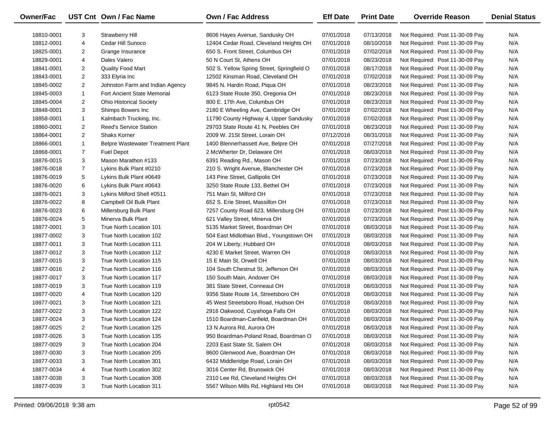| <b>Owner/Fac</b> |                | UST Cnt Own / Fac Name                   | <b>Own / Fac Address</b>                   | <b>Eff Date</b> | <b>Print Date</b> | <b>Override Reason</b>          | <b>Denial Status</b> |
|------------------|----------------|------------------------------------------|--------------------------------------------|-----------------|-------------------|---------------------------------|----------------------|
| 18810-0001       | 3              | <b>Strawberry Hill</b>                   | 8606 Hayes Avenue, Sandusky OH             | 07/01/2018      | 07/13/2018        | Not Required: Post 11-30-09 Pay | N/A                  |
| 18812-0001       | 4              | Cedar Hill Sunoco                        | 12404 Cedar Road, Cleveland Heights OH     | 07/01/2018      | 08/10/2018        | Not Required: Post 11-30-09 Pay | N/A                  |
| 18825-0001       | 2              | Grange Insurance                         | 650 S. Front Street, Columbus OH           | 07/01/2018      | 07/02/2018        | Not Required: Post 11-30-09 Pay | N/A                  |
| 18829-0001       | 4              | Dales Valero                             | 50 N Court St, Athens OH                   | 07/01/2018      | 08/23/2018        | Not Required: Post 11-30-09 Pay | N/A                  |
| 18841-0001       | $\overline{2}$ | Quality Food Mart                        | 502 S. Yellow Spring Street, Springfield O | 07/01/2018      | 08/17/2018        | Not Required: Post 11-30-09 Pay | N/A                  |
| 18843-0001       | $\overline{2}$ | 333 Elyria Inc                           | 12502 Kinsman Road, Cleveland OH           | 07/01/2018      | 07/02/2018        | Not Required: Post 11-30-09 Pay | N/A                  |
| 18845-0002       | $\overline{2}$ | Johnston Farm and Indian Agency          | 9845 N. Hardin Road, Piqua OH              | 07/01/2018      | 08/23/2018        | Not Required: Post 11-30-09 Pay | N/A                  |
| 18845-0003       | $\mathbf{1}$   | <b>Fort Ancient State Memorial</b>       | 6123 State Route 350, Oregonia OH          | 07/01/2018      | 08/23/2018        | Not Required: Post 11-30-09 Pay | N/A                  |
| 18845-0004       | $\overline{2}$ | <b>Ohio Historical Society</b>           | 800 E. 17th Ave, Columbus OH               | 07/01/2018      | 08/23/2018        | Not Required: Post 11-30-09 Pay | N/A                  |
| 18848-0001       | 3              | Shimps Bowers Inc                        | 2180 E Wheeling Ave, Cambridge OH          | 07/01/2018      | 07/02/2018        | Not Required: Post 11-30-09 Pay | N/A                  |
| 18858-0001       | $\mathbf{1}$   | Kalmbach Trucking, Inc.                  | 11790 County Highway 4, Upper Sandusky     | 07/01/2018      | 07/02/2018        | Not Required: Post 11-30-09 Pay | N/A                  |
| 18860-0001       | $\overline{2}$ | <b>Reed's Service Station</b>            | 29703 State Route 41 N, Peebles OH         | 07/01/2018      | 08/23/2018        | Not Required: Post 11-30-09 Pay | N/A                  |
| 18864-0001       | $\overline{2}$ | <b>Shaks Korner</b>                      | 2009 W. 21St Street, Lorain OH             | 07/12/2018      | 08/31/2018        | Not Required: Post 11-30-09 Pay | N/A                  |
| 18866-0001       | $\mathbf{1}$   | <b>Belpre Wastewater Treatment Plant</b> | 1400 Blennerhassett Ave, Belpre OH         | 07/01/2018      | 07/27/2018        | Not Required: Post 11-30-09 Pay | N/A                  |
| 18868-0001       | $\overline{7}$ | <b>Fuel Depot</b>                        | 2 McWherter Dr, Delaware OH                | 07/01/2018      | 08/03/2018        | Not Required: Post 11-30-09 Pay | N/A                  |
| 18876-0015       | 3              | Mason Marathon #133                      | 6391 Reading Rd., Mason OH                 | 07/01/2018      | 07/23/2018        | Not Required: Post 11-30-09 Pay | N/A                  |
| 18876-0018       | $\overline{7}$ | Lykins Bulk Plant #0210                  | 210 S. Wright Avenue, Blanchester OH       | 07/01/2018      | 07/23/2018        | Not Required: Post 11-30-09 Pay | N/A                  |
| 18876-0019       | 5              | Lykins Bulk Plant #0649                  | 143 Pine Street, Gallipolis OH             | 07/01/2018      | 07/23/2018        | Not Required: Post 11-30-09 Pay | N/A                  |
| 18876-0020       | 6              | Lykins Bulk Plant #0643                  | 3250 State Route 133, Bethel OH            | 07/01/2018      | 07/23/2018        | Not Required: Post 11-30-09 Pay | N/A                  |
| 18876-0021       | 3              | Lykins Milford Shell #0511               | 751 Main St, Milford OH                    | 07/01/2018      | 07/23/2018        | Not Required: Post 11-30-09 Pay | N/A                  |
| 18876-0022       | 8              | Campbell Oil Bulk Plant                  | 652 S. Erie Street, Massillon OH           | 07/01/2018      | 07/23/2018        | Not Required: Post 11-30-09 Pay | N/A                  |
| 18876-0023       | 6              | Millersburg Bulk Plant                   | 7257 County Road 623, Millersburg OH       | 07/01/2018      | 07/23/2018        | Not Required: Post 11-30-09 Pay | N/A                  |
| 18876-0024       | 5              | Minerva Bulk Plant                       | 621 Valley Street, Minerva OH              | 07/01/2018      | 07/23/2018        | Not Required: Post 11-30-09 Pay | N/A                  |
| 18877-0001       | 3              | True North Location 101                  | 5135 Market Street, Boardman OH            | 07/01/2018      | 08/03/2018        | Not Required: Post 11-30-09 Pay | N/A                  |
| 18877-0002       | 3              | True North Location 102                  | 504 East Midlothian Blvd., Youngstown OH   | 07/01/2018      | 08/03/2018        | Not Required: Post 11-30-09 Pay | N/A                  |
| 18877-0011       | 3              | True North Location 111                  | 204 W Liberty, Hubbard OH                  | 07/01/2018      | 08/03/2018        | Not Required: Post 11-30-09 Pay | N/A                  |
| 18877-0012       | 3              | True North Location 112                  | 4230 E Market Street, Warren OH            | 07/01/2018      | 08/03/2018        | Not Required: Post 11-30-09 Pay | N/A                  |
| 18877-0015       | 3              | True North Location 115                  | 15 E Main St, Orwell OH                    | 07/01/2018      | 08/03/2018        | Not Required: Post 11-30-09 Pay | N/A                  |
| 18877-0016       | 2              | True North Location 116                  | 104 South Chestnut St, Jefferson OH        | 07/01/2018      | 08/03/2018        | Not Required: Post 11-30-09 Pay | N/A                  |
| 18877-0017       | 3              | True North Location 117                  | 150 South Main, Andover OH                 | 07/01/2018      | 08/03/2018        | Not Required: Post 11-30-09 Pay | N/A                  |
| 18877-0019       | 3              | True North Location 119                  | 381 State Street, Conneaut OH              | 07/01/2018      | 08/03/2018        | Not Required: Post 11-30-09 Pay | N/A                  |
| 18877-0020       | 4              | True North Location 120                  | 9356 State Route 14, Streetsboro OH        | 07/01/2018      | 08/03/2018        | Not Required: Post 11-30-09 Pay | N/A                  |
| 18877-0021       | 3              | True North Location 121                  | 45 West Streetsboro Road, Hudson OH        | 07/01/2018      | 08/03/2018        | Not Required: Post 11-30-09 Pay | N/A                  |
| 18877-0022       | 3              | True North Location 122                  | 2916 Oakwood, Cuyahoga Falls OH            | 07/01/2018      | 08/03/2018        | Not Required: Post 11-30-09 Pay | N/A                  |
| 18877-0024       | 3              | True North Location 124                  | 1510 Boardman-Canfield, Boardman OH        | 07/01/2018      | 08/03/2018        | Not Required: Post 11-30-09 Pay | N/A                  |
| 18877-0025       | 2              | True North Location 125                  | 13 N Aurora Rd, Aurora OH                  | 07/01/2018      | 08/03/2018        | Not Required: Post 11-30-09 Pay | N/A                  |
| 18877-0026       | 3              | True North Location 135                  | 950 Boardman-Poland Road, Boardman O       | 07/01/2018      | 08/03/2018        | Not Required: Post 11-30-09 Pay | N/A                  |
| 18877-0029       | 3              | True North Location 204                  | 2203 East State St, Salem OH               | 07/01/2018      | 08/03/2018        | Not Required: Post 11-30-09 Pay | N/A                  |
| 18877-0030       | 3              | True North Location 205                  | 8600 Glenwood Ave, Boardman OH             | 07/01/2018      | 08/03/2018        | Not Required: Post 11-30-09 Pay | N/A                  |
| 18877-0033       | 3              | True North Location 301                  | 6432 Middleridge Road, Lorain OH           | 07/01/2018      | 08/03/2018        | Not Required: Post 11-30-09 Pay | N/A                  |
| 18877-0034       | 4              | True North Location 302                  | 3016 Center Rd, Brunswick OH               | 07/01/2018      | 08/03/2018        | Not Required: Post 11-30-09 Pay | N/A                  |
| 18877-0038       | 3              | True North Location 308                  | 2310 Lee Rd, Cleveland Heights OH          | 07/01/2018      | 08/03/2018        | Not Required: Post 11-30-09 Pay | N/A                  |
| 18877-0039       | 3              | True North Location 311                  | 5567 Wilson Mills Rd, Highland Hts OH      | 07/01/2018      | 08/03/2018        | Not Required: Post 11-30-09 Pay | N/A                  |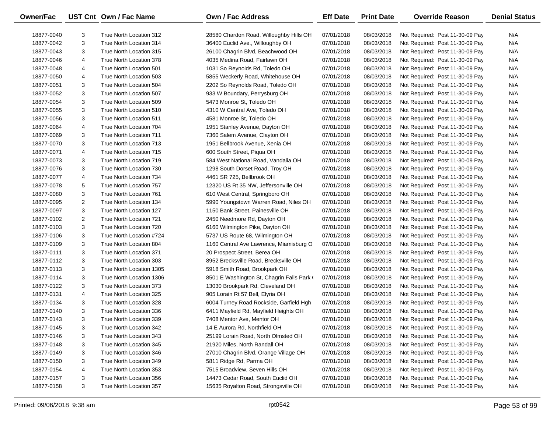| Owner/Fac  |   | UST Cnt Own / Fac Name   | <b>Own / Fac Address</b>                   | <b>Eff Date</b> | <b>Print Date</b> | <b>Override Reason</b>          | <b>Denial Status</b> |
|------------|---|--------------------------|--------------------------------------------|-----------------|-------------------|---------------------------------|----------------------|
| 18877-0040 | 3 | True North Location 312  | 28580 Chardon Road, Willoughby Hills OH    | 07/01/2018      | 08/03/2018        | Not Required: Post 11-30-09 Pay | N/A                  |
| 18877-0042 | 3 | True North Location 314  | 36400 Euclid Ave., Willoughby OH           | 07/01/2018      | 08/03/2018        | Not Required: Post 11-30-09 Pay | N/A                  |
| 18877-0043 | 3 | True North Location 315  | 26100 Chagrin Blvd, Beachwood OH           | 07/01/2018      | 08/03/2018        | Not Required: Post 11-30-09 Pay | N/A                  |
| 18877-0046 | 4 | True North Location 378  | 4035 Medina Road, Fairlawn OH              | 07/01/2018      | 08/03/2018        | Not Required: Post 11-30-09 Pay | N/A                  |
| 18877-0048 | 4 | True North Location 501  | 1031 So Reynolds Rd, Toledo OH             | 07/01/2018      | 08/03/2018        | Not Required: Post 11-30-09 Pay | N/A                  |
| 18877-0050 | 4 | True North Location 503  | 5855 Weckerly Road, Whitehouse OH          | 07/01/2018      | 08/03/2018        | Not Required: Post 11-30-09 Pay | N/A                  |
| 18877-0051 | 3 | True North Location 504  | 2202 So Reynolds Road, Toledo OH           | 07/01/2018      | 08/03/2018        | Not Required: Post 11-30-09 Pay | N/A                  |
| 18877-0052 | 3 | True North Location 507  | 933 W Boundary, Perrysburg OH              | 07/01/2018      | 08/03/2018        | Not Required: Post 11-30-09 Pay | N/A                  |
| 18877-0054 | 3 | True North Location 509  | 5473 Monroe St, Toledo OH                  | 07/01/2018      | 08/03/2018        | Not Required: Post 11-30-09 Pay | N/A                  |
| 18877-0055 | 3 | True North Location 510  | 4310 W Central Ave, Toledo OH              | 07/01/2018      | 08/03/2018        | Not Required: Post 11-30-09 Pay | N/A                  |
| 18877-0056 | 3 | True North Location 511  | 4581 Monroe St, Toledo OH                  | 07/01/2018      | 08/03/2018        | Not Required: Post 11-30-09 Pay | N/A                  |
| 18877-0064 | 4 | True North Location 704  | 1951 Stanley Avenue, Dayton OH             | 07/01/2018      | 08/03/2018        | Not Required: Post 11-30-09 Pay | N/A                  |
| 18877-0069 | 3 | True North Location 711  | 7360 Salem Avenue, Clayton OH              | 07/01/2018      | 08/03/2018        | Not Required: Post 11-30-09 Pay | N/A                  |
| 18877-0070 | 3 | True North Location 713  | 1951 Bellbrook Avenue, Xenia OH            | 07/01/2018      | 08/03/2018        | Not Required: Post 11-30-09 Pay | N/A                  |
| 18877-0071 | 4 | True North Location 715  | 600 South Street, Piqua OH                 | 07/01/2018      | 08/03/2018        | Not Required: Post 11-30-09 Pay | N/A                  |
| 18877-0073 | 3 | True North Location 719  | 584 West National Road, Vandalia OH        | 07/01/2018      | 08/03/2018        | Not Required: Post 11-30-09 Pay | N/A                  |
| 18877-0076 | 3 | True North Location 730  | 1298 South Dorset Road, Troy OH            | 07/01/2018      | 08/03/2018        | Not Required: Post 11-30-09 Pay | N/A                  |
| 18877-0077 | 4 | True North Location 734  | 4461 SR 725, Bellbrook OH                  | 07/01/2018      | 08/03/2018        | Not Required: Post 11-30-09 Pay | N/A                  |
| 18877-0078 | 5 | True North Location 757  | 12320 US Rt 35 NW, Jeffersonville OH       | 07/01/2018      | 08/03/2018        | Not Required: Post 11-30-09 Pay | N/A                  |
| 18877-0080 | 3 | True North Location 761  | 610 West Central, Springboro OH            | 07/01/2018      | 08/03/2018        | Not Required: Post 11-30-09 Pay | N/A                  |
| 18877-0095 | 2 | True North Location 134  | 5990 Youngstown Warren Road, Niles OH      | 07/01/2018      | 08/03/2018        | Not Required: Post 11-30-09 Pay | N/A                  |
| 18877-0097 | 3 | True North Location 127  | 1150 Bank Street, Painesville OH           | 07/01/2018      | 08/03/2018        | Not Required: Post 11-30-09 Pay | N/A                  |
| 18877-0102 | 2 | True North Location 721  | 2450 Needmore Rd, Dayton OH                | 07/01/2018      | 08/03/2018        | Not Required: Post 11-30-09 Pay | N/A                  |
| 18877-0103 | 3 | True North Location 720  | 6160 Wilmington Pike, Dayton OH            | 07/01/2018      | 08/03/2018        | Not Required: Post 11-30-09 Pay | N/A                  |
| 18877-0106 | 3 | True North Location #724 | 5737 US Route 68, Wilmington OH            | 07/01/2018      | 08/03/2018        | Not Required: Post 11-30-09 Pay | N/A                  |
| 18877-0109 | 3 | True North Location 804  | 1160 Central Ave Lawrence, Miamisburg O    | 07/01/2018      | 08/03/2018        | Not Required: Post 11-30-09 Pay | N/A                  |
| 18877-0111 | 3 | True North Location 371  | 20 Prospect Street, Berea OH               | 07/01/2018      | 08/03/2018        | Not Required: Post 11-30-09 Pay | N/A                  |
| 18877-0112 | 3 | True North Location 303  | 8952 Brecksville Road, Brecksville OH      | 07/01/2018      | 08/03/2018        | Not Required: Post 11-30-09 Pay | N/A                  |
| 18877-0113 | 3 | True North Location 1305 | 5918 Smith Road, Brookpark OH              | 07/01/2018      | 08/03/2018        | Not Required: Post 11-30-09 Pay | N/A                  |
| 18877-0114 | 3 | True North Location 1306 | 8501 E Washington St, Chagrin Falls Park ( | 07/01/2018      | 08/03/2018        | Not Required: Post 11-30-09 Pay | N/A                  |
| 18877-0122 | 3 | True North Location 373  | 13030 Brookpark Rd, Cleveland OH           | 07/01/2018      | 08/03/2018        | Not Required: Post 11-30-09 Pay | N/A                  |
| 18877-0131 | 4 | True North Location 325  | 905 Lorain Rt 57 Bell, Elyria OH           | 07/01/2018      | 08/03/2018        | Not Required: Post 11-30-09 Pay | N/A                  |
| 18877-0134 | 3 | True North Location 328  | 6004 Turney Road Rockside, Garfield Hgh    | 07/01/2018      | 08/03/2018        | Not Required: Post 11-30-09 Pay | N/A                  |
| 18877-0140 | 3 | True North Location 336  | 6411 Mayfield Rd, Mayfield Heights OH      | 07/01/2018      | 08/03/2018        | Not Required: Post 11-30-09 Pay | N/A                  |
| 18877-0143 | 3 | True North Location 339  | 7408 Mentor Ave, Mentor OH                 | 07/01/2018      | 08/03/2018        | Not Required: Post 11-30-09 Pay | N/A                  |
| 18877-0145 | 3 | True North Location 342  | 14 E Aurora Rd, Northfield OH              | 07/01/2018      | 08/03/2018        | Not Required: Post 11-30-09 Pay | N/A                  |
| 18877-0146 | 3 | True North Location 343  | 25199 Lorain Road, North Olmsted OH        | 07/01/2018      | 08/03/2018        | Not Required: Post 11-30-09 Pay | N/A                  |
| 18877-0148 | 3 | True North Location 345  | 21920 Miles, North Randall OH              | 07/01/2018      | 08/03/2018        | Not Required: Post 11-30-09 Pay | N/A                  |
| 18877-0149 | 3 | True North Location 346  | 27010 Chagrin Blvd, Orange Village OH      | 07/01/2018      | 08/03/2018        | Not Required: Post 11-30-09 Pay | N/A                  |
| 18877-0150 | 3 | True North Location 349  | 5811 Ridge Rd, Parma OH                    | 07/01/2018      | 08/03/2018        | Not Required: Post 11-30-09 Pay | N/A                  |
| 18877-0154 | 4 | True North Location 353  | 7515 Broadview, Seven Hills OH             | 07/01/2018      | 08/03/2018        | Not Required: Post 11-30-09 Pay | N/A                  |
| 18877-0157 | 3 | True North Location 356  | 14473 Cedar Road, South Euclid OH          | 07/01/2018      | 08/03/2018        | Not Required: Post 11-30-09 Pay | N/A                  |
| 18877-0158 | 3 | True North Location 357  | 15635 Royalton Road, Strongsville OH       | 07/01/2018      | 08/03/2018        | Not Required: Post 11-30-09 Pay | N/A                  |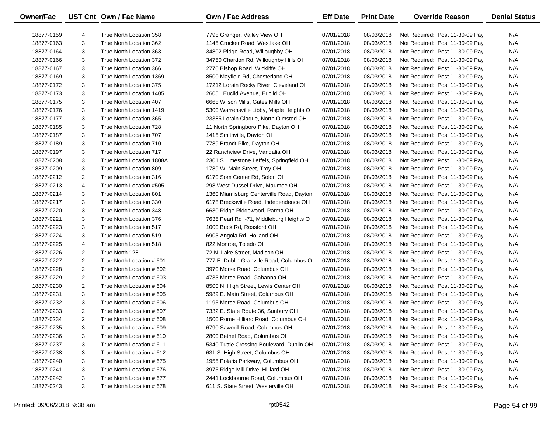| Owner/Fac  |                | UST Cnt Own / Fac Name    | <b>Own / Fac Address</b>                  | <b>Eff Date</b> | <b>Print Date</b> | <b>Override Reason</b>          | <b>Denial Status</b> |
|------------|----------------|---------------------------|-------------------------------------------|-----------------|-------------------|---------------------------------|----------------------|
| 18877-0159 | 4              | True North Location 358   | 7798 Granger, Valley View OH              | 07/01/2018      | 08/03/2018        | Not Required: Post 11-30-09 Pay | N/A                  |
| 18877-0163 | 3              | True North Location 362   | 1145 Crocker Road, Westlake OH            | 07/01/2018      | 08/03/2018        | Not Required: Post 11-30-09 Pay | N/A                  |
| 18877-0164 | 3              | True North Location 363   | 34802 Ridge Road, Willoughby OH           | 07/01/2018      | 08/03/2018        | Not Required: Post 11-30-09 Pay | N/A                  |
| 18877-0166 | 3              | True North Location 372   | 34750 Chardon Rd, Willoughby Hills OH     | 07/01/2018      | 08/03/2018        | Not Required: Post 11-30-09 Pay | N/A                  |
| 18877-0167 | 3              | True North Location 366   | 2770 Bishop Road, Wickliffe OH            | 07/01/2018      | 08/03/2018        | Not Required: Post 11-30-09 Pay | N/A                  |
| 18877-0169 | 3              | True North Location 1369  | 8500 Mayfield Rd, Chesterland OH          | 07/01/2018      | 08/03/2018        | Not Required: Post 11-30-09 Pay | N/A                  |
| 18877-0172 | 3              | True North Location 375   | 17212 Lorain Rocky River, Cleveland OH    | 07/01/2018      | 08/03/2018        | Not Required: Post 11-30-09 Pay | N/A                  |
| 18877-0173 | 3              | True North Location 1405  | 26051 Euclid Avenue, Euclid OH            | 07/01/2018      | 08/03/2018        | Not Required: Post 11-30-09 Pay | N/A                  |
| 18877-0175 | 3              | True North Location 407   | 6668 Wilson Mills, Gates Mills OH         | 07/01/2018      | 08/03/2018        | Not Required: Post 11-30-09 Pay | N/A                  |
| 18877-0176 | 3              | True North Location 1419  | 5300 Warrensville Libby, Maple Heights O  | 07/01/2018      | 08/03/2018        | Not Required: Post 11-30-09 Pay | N/A                  |
| 18877-0177 | 3              | True North Location 365   | 23385 Lorain Clague, North Olmsted OH     | 07/01/2018      | 08/03/2018        | Not Required: Post 11-30-09 Pay | N/A                  |
| 18877-0185 | 3              | True North Location 728   | 11 North Springboro Pike, Dayton OH       | 07/01/2018      | 08/03/2018        | Not Required: Post 11-30-09 Pay | N/A                  |
| 18877-0187 | 3              | True North Location 707   | 1415 Smithville, Dayton OH                | 07/01/2018      | 08/03/2018        | Not Required: Post 11-30-09 Pay | N/A                  |
| 18877-0189 | 3              | True North Location 710   | 7789 Brandt Pike, Dayton OH               | 07/01/2018      | 08/03/2018        | Not Required: Post 11-30-09 Pay | N/A                  |
| 18877-0197 | 3              | True North Location 717   | 22 Ranchview Drive, Vandalia OH           | 07/01/2018      | 08/03/2018        | Not Required: Post 11-30-09 Pay | N/A                  |
| 18877-0208 | 3              | True North Location 1808A | 2301 S Limestone Leffels, Springfield OH  | 07/01/2018      | 08/03/2018        | Not Required: Post 11-30-09 Pay | N/A                  |
| 18877-0209 | 3              | True North Location 809   | 1789 W. Main Street, Troy OH              | 07/01/2018      | 08/03/2018        | Not Required: Post 11-30-09 Pay | N/A                  |
| 18877-0212 | $\overline{2}$ | True North Location 316   | 6170 Som Center Rd, Solon OH              | 07/01/2018      | 08/03/2018        | Not Required: Post 11-30-09 Pay | N/A                  |
| 18877-0213 | 4              | True North Location #505  | 298 West Dussel Drive, Maumee OH          | 07/01/2018      | 08/03/2018        | Not Required: Post 11-30-09 Pay | N/A                  |
| 18877-0214 | 3              | True North Location 801   | 1360 Miamisburg Centerville Road, Dayton  | 07/01/2018      | 08/03/2018        | Not Required: Post 11-30-09 Pay | N/A                  |
| 18877-0217 | 3              | True North Location 330   | 6178 Brecksville Road, Independence OH    | 07/01/2018      | 08/03/2018        | Not Required: Post 11-30-09 Pay | N/A                  |
| 18877-0220 | 3              | True North Location 348   | 6630 Ridge Ridgewood, Parma OH            | 07/01/2018      | 08/03/2018        | Not Required: Post 11-30-09 Pay | N/A                  |
| 18877-0221 | 3              | True North Location 376   | 7635 Pearl Rd I-71, Middleburg Heights O  | 07/01/2018      | 08/03/2018        | Not Required: Post 11-30-09 Pay | N/A                  |
| 18877-0223 | 3              | True North Location 517   | 1000 Buck Rd, Rossford OH                 | 07/01/2018      | 08/03/2018        | Not Required: Post 11-30-09 Pay | N/A                  |
| 18877-0224 | 3              | True North Location 519   | 6903 Angola Rd, Holland OH                | 07/01/2018      | 08/03/2018        | Not Required: Post 11-30-09 Pay | N/A                  |
| 18877-0225 | 4              | True North Location 518   | 822 Monroe, Toledo OH                     | 07/01/2018      | 08/03/2018        | Not Required: Post 11-30-09 Pay | N/A                  |
| 18877-0226 | 2              | True North 128            | 72 N. Lake Street, Madison OH             | 07/01/2018      | 08/03/2018        | Not Required: Post 11-30-09 Pay | N/A                  |
| 18877-0227 | $\overline{2}$ | True North Location #601  | 777 E. Dublin Granville Road, Columbus O  | 07/01/2018      | 08/03/2018        | Not Required: Post 11-30-09 Pay | N/A                  |
| 18877-0228 | $\overline{2}$ | True North Location # 602 | 3970 Morse Road, Columbus OH              | 07/01/2018      | 08/03/2018        | Not Required: Post 11-30-09 Pay | N/A                  |
| 18877-0229 | $\overline{2}$ | True North Location # 603 | 4733 Morse Road, Gahanna OH               | 07/01/2018      | 08/03/2018        | Not Required: Post 11-30-09 Pay | N/A                  |
| 18877-0230 | $\overline{2}$ | True North Location #604  | 8500 N. High Street, Lewis Center OH      | 07/01/2018      | 08/03/2018        | Not Required: Post 11-30-09 Pay | N/A                  |
| 18877-0231 | 3              | True North Location # 605 | 5989 E. Main Street, Columbus OH          | 07/01/2018      | 08/03/2018        | Not Required: Post 11-30-09 Pay | N/A                  |
| 18877-0232 | 3              | True North Location #606  | 1195 Morse Road, Columbus OH              | 07/01/2018      | 08/03/2018        | Not Required: Post 11-30-09 Pay | N/A                  |
| 18877-0233 | $\overline{2}$ | True North Location #607  | 7332 E. State Route 36, Sunbury OH        | 07/01/2018      | 08/03/2018        | Not Required: Post 11-30-09 Pay | N/A                  |
| 18877-0234 | $\overline{2}$ | True North Location # 608 | 1500 Rome Hilliard Road, Columbus OH      | 07/01/2018      | 08/03/2018        | Not Required: Post 11-30-09 Pay | N/A                  |
| 18877-0235 | 3              | True North Location # 609 | 6790 Sawmill Road, Columbus OH            | 07/01/2018      | 08/03/2018        | Not Required: Post 11-30-09 Pay | N/A                  |
| 18877-0236 | 3              | True North Location # 610 | 2800 Bethel Road, Columbus OH             | 07/01/2018      | 08/03/2018        | Not Required: Post 11-30-09 Pay | N/A                  |
| 18877-0237 | 3              | True North Location # 611 | 5340 Tuttle Crossing Boulevard, Dublin OH | 07/01/2018      | 08/03/2018        | Not Required: Post 11-30-09 Pay | N/A                  |
| 18877-0238 | 3              | True North Location # 612 | 631 S. High Street, Columbus OH           | 07/01/2018      | 08/03/2018        | Not Required: Post 11-30-09 Pay | N/A                  |
| 18877-0240 | 3              | True North Location # 675 | 1955 Polaris Parkway, Columbus OH         | 07/01/2018      | 08/03/2018        | Not Required: Post 11-30-09 Pay | N/A                  |
| 18877-0241 | 3              | True North Location #676  | 3975 Ridge Mill Drive, Hilliard OH        | 07/01/2018      | 08/03/2018        | Not Required: Post 11-30-09 Pay | N/A                  |
| 18877-0242 | 3              | True North Location #677  | 2441 Lockbourne Road, Columbus OH         | 07/01/2018      | 08/03/2018        | Not Required: Post 11-30-09 Pay | N/A                  |
| 18877-0243 | 3              | True North Location #678  | 611 S. State Street, Westerville OH       | 07/01/2018      | 08/03/2018        | Not Required: Post 11-30-09 Pay | N/A                  |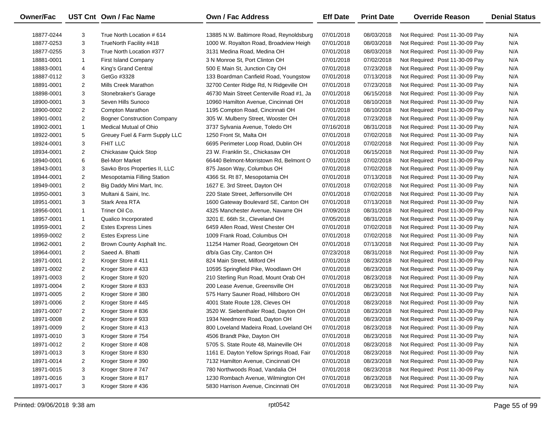| <b>Owner/Fac</b> |                | UST Cnt Own / Fac Name             | <b>Own / Fac Address</b>                  | <b>Eff Date</b> | <b>Print Date</b> | <b>Override Reason</b>          | <b>Denial Status</b> |
|------------------|----------------|------------------------------------|-------------------------------------------|-----------------|-------------------|---------------------------------|----------------------|
| 18877-0244       | 3              | True North Location # 614          | 13885 N.W. Baltimore Road, Reynoldsburg   | 07/01/2018      | 08/03/2018        | Not Required: Post 11-30-09 Pay | N/A                  |
| 18877-0253       | 3              | TrueNorth Facility #418            | 1000 W. Royalton Road, Broadview Heigh    | 07/01/2018      | 08/03/2018        | Not Required: Post 11-30-09 Pay | N/A                  |
| 18877-0255       | 3              | True North Location #377           | 3131 Medina Road, Medina OH               | 07/01/2018      | 08/03/2018        | Not Required: Post 11-30-09 Pay | N/A                  |
| 18881-0001       | $\mathbf{1}$   | <b>First Island Company</b>        | 3 N Monroe St, Port Clinton OH            | 07/01/2018      | 07/02/2018        | Not Required: Post 11-30-09 Pay | N/A                  |
| 18883-0001       | 4              | King's Grand Central               | 500 E Main St, Junction City OH           | 07/01/2018      | 07/23/2018        | Not Required: Post 11-30-09 Pay | N/A                  |
| 18887-0112       | 3              | GetGo #3328                        | 133 Boardman Canfield Road, Youngstow     | 07/01/2018      | 07/13/2018        | Not Required: Post 11-30-09 Pay | N/A                  |
| 18891-0001       | $\overline{2}$ | Mills Creek Marathon               | 32700 Center Ridge Rd, N Ridgeville OH    | 07/01/2018      | 07/23/2018        | Not Required: Post 11-30-09 Pay | N/A                  |
| 18898-0001       | 3              | Stonebraker's Garage               | 46730 Main Street Centerville Road #1, Ja | 07/01/2018      | 06/15/2018        | Not Required: Post 11-30-09 Pay | N/A                  |
| 18900-0001       | 3              | Seven Hills Sunoco                 | 10960 Hamilton Avenue, Cincinnati OH      | 07/01/2018      | 08/10/2018        | Not Required: Post 11-30-09 Pay | N/A                  |
| 18900-0002       | $\overline{2}$ | Compton Marathon                   | 1195 Compton Road, Cincinnati OH          | 07/01/2018      | 08/10/2018        | Not Required: Post 11-30-09 Pay | N/A                  |
| 18901-0001       | $\overline{2}$ | <b>Bogner Construction Company</b> | 305 W. Mulberry Street, Wooster OH        | 07/01/2018      | 07/23/2018        | Not Required: Post 11-30-09 Pay | N/A                  |
| 18902-0001       | $\mathbf{1}$   | Medical Mutual of Ohio             | 3737 Sylvania Avenue, Toledo OH           | 07/16/2018      | 08/31/2018        | Not Required: Post 11-30-09 Pay | N/A                  |
| 18922-0001       | 5              | Greuey Fuel & Farm Supply LLC      | 1250 Front St, Malta OH                   | 07/01/2018      | 07/02/2018        | Not Required: Post 11-30-09 Pay | N/A                  |
| 18924-0001       | 3              | FHIT LLC                           | 6695 Perimeter Loop Road, Dublin OH       | 07/01/2018      | 07/02/2018        | Not Required: Post 11-30-09 Pay | N/A                  |
| 18934-0001       | $\overline{2}$ | Chickasaw Quick Stop               | 23 W. Franklin St., Chickasaw OH          | 07/01/2018      | 06/15/2018        | Not Required: Post 11-30-09 Pay | N/A                  |
| 18940-0001       | 6              | <b>Bel-Morr Market</b>             | 66440 Belmont-Morristown Rd, Belmont O    | 07/01/2018      | 07/02/2018        | Not Required: Post 11-30-09 Pay | N/A                  |
| 18943-0001       | 3              | Savko Bros Properties II, LLC      | 875 Jason Way, Columbus OH                | 07/01/2018      | 07/02/2018        | Not Required: Post 11-30-09 Pay | N/A                  |
| 18944-0001       | $\overline{2}$ | Mesopotamia Filling Station        | 4366 St. Rt 87, Mesopotamia OH            | 07/01/2018      | 07/13/2018        | Not Required: Post 11-30-09 Pay | N/A                  |
| 18949-0001       | $\overline{2}$ | Big Daddy Mini Mart, Inc.          | 1627 E. 3rd Street, Dayton OH             | 07/01/2018      | 07/02/2018        | Not Required: Post 11-30-09 Pay | N/A                  |
| 18950-0001       | 3              | Multani & Saini, Inc.              | 220 State Street, Jeffersonville OH       | 07/01/2018      | 07/02/2018        | Not Required: Post 11-30-09 Pay | N/A                  |
| 18951-0001       | 3              | Stark Area RTA                     | 1600 Gateway Boulevard SE, Canton OH      | 07/01/2018      | 07/13/2018        | Not Required: Post 11-30-09 Pay | N/A                  |
| 18956-0001       | $\mathbf{1}$   | Triner Oil Co.                     | 4325 Manchester Avenue, Navarre OH        | 07/09/2018      | 08/31/2018        | Not Required: Post 11-30-09 Pay | N/A                  |
| 18957-0001       | $\mathbf{1}$   | Qualico Incorporated               | 3201 E. 66th St., Cleveland OH            | 07/05/2018      | 08/31/2018        | Not Required: Post 11-30-09 Pay | N/A                  |
| 18959-0001       | $\overline{2}$ | <b>Estes Express Lines</b>         | 6459 Allen Road, West Chester OH          | 07/01/2018      | 07/02/2018        | Not Required: Post 11-30-09 Pay | N/A                  |
| 18959-0002       | $\overline{2}$ | <b>Estes Express Line</b>          | 1009 Frank Road, Columbus OH              | 07/01/2018      | 07/02/2018        | Not Required: Post 11-30-09 Pay | N/A                  |
| 18962-0001       | $\overline{2}$ | Brown County Asphalt Inc.          | 11254 Hamer Road, Georgetown OH           | 07/01/2018      | 07/13/2018        | Not Required: Post 11-30-09 Pay | N/A                  |
| 18964-0001       | $\overline{2}$ | Saeed A. Bhatti                    | d/b/a Gas City, Canton OH                 | 07/23/2018      | 08/31/2018        | Not Required: Post 11-30-09 Pay | N/A                  |
| 18971-0001       | $\overline{2}$ | Kroger Store #411                  | 824 Main Street, Milford OH               | 07/01/2018      | 08/23/2018        | Not Required: Post 11-30-09 Pay | N/A                  |
| 18971-0002       | $\overline{2}$ | Kroger Store #433                  | 10595 Springfield Pike, Woodlawn OH       | 07/01/2018      | 08/23/2018        | Not Required: Post 11-30-09 Pay | N/A                  |
| 18971-0003       | $\overline{2}$ | Kroger Store #920                  | 210 Sterling Run Road, Mount Orab OH      | 07/01/2018      | 08/23/2018        | Not Required: Post 11-30-09 Pay | N/A                  |
| 18971-0004       | $\overline{2}$ | Kroger Store #833                  | 200 Lease Avenue, Greensville OH          | 07/01/2018      | 08/23/2018        | Not Required: Post 11-30-09 Pay | N/A                  |
| 18971-0005       | $\overline{2}$ | Kroger Store #380                  | 575 Harry Sauner Road, Hillsboro OH       | 07/01/2018      | 08/23/2018        | Not Required: Post 11-30-09 Pay | N/A                  |
| 18971-0006       | $\overline{2}$ | Kroger Store #445                  | 4001 State Route 128, Cleves OH           | 07/01/2018      | 08/23/2018        | Not Required: Post 11-30-09 Pay | N/A                  |
| 18971-0007       | $\overline{2}$ | Kroger Store #836                  | 3520 W. Siebenthaler Road, Dayton OH      | 07/01/2018      | 08/23/2018        | Not Required: Post 11-30-09 Pay | N/A                  |
| 18971-0008       | $\overline{c}$ | Kroger Store # 933                 | 1934 Needmore Road, Dayton OH             | 07/01/2018      | 08/23/2018        | Not Required: Post 11-30-09 Pay | N/A                  |
| 18971-0009       | $\overline{c}$ | Kroger Store #413                  | 800 Loveland Madeira Road, Loveland OH    | 07/01/2018      | 08/23/2018        | Not Required: Post 11-30-09 Pay | N/A                  |
| 18971-0010       | 3              | Kroger Store #754                  | 4506 Brandt Pike, Dayton OH               | 07/01/2018      | 08/23/2018        | Not Required: Post 11-30-09 Pay | N/A                  |
| 18971-0012       | 2              | Kroger Store #408                  | 5705 S. State Route 48, Maineville OH     | 07/01/2018      | 08/23/2018        | Not Required: Post 11-30-09 Pay | N/A                  |
| 18971-0013       | 3              | Kroger Store #830                  | 1161 E. Dayton Yellow Springs Road, Fair  | 07/01/2018      | 08/23/2018        | Not Required: Post 11-30-09 Pay | N/A                  |
| 18971-0014       | $\overline{2}$ | Kroger Store #390                  | 7132 Hamilton Avenue, Cincinnati OH       | 07/01/2018      | 08/23/2018        | Not Required: Post 11-30-09 Pay | N/A                  |
| 18971-0015       | 3              | Kroger Store #747                  | 780 Northwoods Road, Vandalia OH          | 07/01/2018      | 08/23/2018        | Not Required: Post 11-30-09 Pay | N/A                  |
| 18971-0016       | 3              | Kroger Store #817                  | 1230 Rombach Avenue, Wilmington OH        | 07/01/2018      | 08/23/2018        | Not Required: Post 11-30-09 Pay | N/A                  |
| 18971-0017       | 3              | Kroger Store #436                  | 5830 Harrison Avenue, Cincinnati OH       | 07/01/2018      | 08/23/2018        | Not Required: Post 11-30-09 Pay | N/A                  |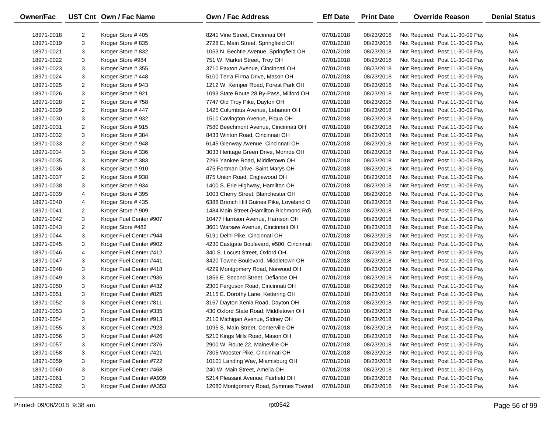| Owner/Fac  |                | UST Cnt Own / Fac Name   | <b>Own / Fac Address</b>                  | <b>Eff Date</b> | <b>Print Date</b> | <b>Override Reason</b>          | <b>Denial Status</b> |
|------------|----------------|--------------------------|-------------------------------------------|-----------------|-------------------|---------------------------------|----------------------|
| 18971-0018 | 2              | Kroger Store #405        | 8241 Vine Street, Cincinnati OH           | 07/01/2018      | 08/23/2018        | Not Required: Post 11-30-09 Pay | N/A                  |
| 18971-0019 | 3              | Kroger Store #835        | 2728 E. Main Street, Springfield OH       | 07/01/2018      | 08/23/2018        | Not Required: Post 11-30-09 Pay | N/A                  |
| 18971-0021 | 3              | Kroger Store #832        | 1053 N. Bechtle Avenue, Springfield OH    | 07/01/2018      | 08/23/2018        | Not Required: Post 11-30-09 Pay | N/A                  |
| 18971-0022 | 3              | Kroger Store #984        | 751 W. Market Street, Troy OH             | 07/01/2018      | 08/23/2018        | Not Required: Post 11-30-09 Pay | N/A                  |
| 18971-0023 | 3              | Kroger Store #355        | 3710 Paxton Avenue, Cincinnati OH         | 07/01/2018      | 08/23/2018        | Not Required: Post 11-30-09 Pay | N/A                  |
| 18971-0024 | 3              | Kroger Store #448        | 5100 Terra Firma Drive, Mason OH          | 07/01/2018      | 08/23/2018        | Not Required: Post 11-30-09 Pay | N/A                  |
| 18971-0025 | $\overline{2}$ | Kroger Store #943        | 1212 W. Kemper Road, Forest Park OH       | 07/01/2018      | 08/23/2018        | Not Required: Post 11-30-09 Pay | N/A                  |
| 18971-0026 | 3              | Kroger Store #921        | 1093 State Route 28 By-Pass, Milford OH   | 07/01/2018      | 08/23/2018        | Not Required: Post 11-30-09 Pay | N/A                  |
| 18971-0028 | $\overline{2}$ | Kroger Store #758        | 7747 Old Troy Pike, Dayton OH             | 07/01/2018      | 08/23/2018        | Not Required: Post 11-30-09 Pay | N/A                  |
| 18971-0029 | $\overline{c}$ | Kroger Store #447        | 1425 Columbus Avenue, Lebanon OH          | 07/01/2018      | 08/23/2018        | Not Required: Post 11-30-09 Pay | N/A                  |
| 18971-0030 | 3              | Kroger Store #932        | 1510 Covington Avenue, Piqua OH           | 07/01/2018      | 08/23/2018        | Not Required: Post 11-30-09 Pay | N/A                  |
| 18971-0031 | $\overline{c}$ | Kroger Store #915        | 7580 Beechmont Avenue, Cincinnati OH      | 07/01/2018      | 08/23/2018        | Not Required: Post 11-30-09 Pay | N/A                  |
| 18971-0032 | 3              | Kroger Store #384        | 8433 Winton Road, Cincinnati OH           | 07/01/2018      | 08/23/2018        | Not Required: Post 11-30-09 Pay | N/A                  |
| 18971-0033 | $\overline{c}$ | Kroger Store #948        | 6145 Glenway Avenue, Cincinnati OH        | 07/01/2018      | 08/23/2018        | Not Required: Post 11-30-09 Pay | N/A                  |
| 18971-0034 | 3              | Kroger Store #336        | 3033 Heritage Green Drive, Monroe OH      | 07/01/2018      | 08/23/2018        | Not Required: Post 11-30-09 Pay | N/A                  |
| 18971-0035 | 3              | Kroger Store #383        | 7296 Yankee Road, Middletown OH           | 07/01/2018      | 08/23/2018        | Not Required: Post 11-30-09 Pay | N/A                  |
| 18971-0036 | 3              | Kroger Store #910        | 475 Fortman Drive, Saint Marys OH         | 07/01/2018      | 08/23/2018        | Not Required: Post 11-30-09 Pay | N/A                  |
| 18971-0037 | $\overline{c}$ | Kroger Store #938        | 875 Union Road, Englewood OH              | 07/01/2018      | 08/23/2018        | Not Required: Post 11-30-09 Pay | N/A                  |
| 18971-0038 | 3              | Kroger Store #934        | 1400 S. Erie Highway, Hamilton OH         | 07/01/2018      | 08/23/2018        | Not Required: Post 11-30-09 Pay | N/A                  |
| 18971-0039 | 4              | Kroger Store #395        | 1003 Cherry Street, Blanchester OH        | 07/01/2018      | 08/23/2018        | Not Required: Post 11-30-09 Pay | N/A                  |
| 18971-0040 | 4              | Kroger Store #435        | 6388 Branch Hill Guinea Pike, Loveland O  | 07/01/2018      | 08/23/2018        | Not Required: Post 11-30-09 Pay | N/A                  |
| 18971-0041 | $\overline{c}$ | Kroger Store #909        | 1484 Main Street (Hamilton Richmond Rd),  | 07/01/2018      | 08/23/2018        | Not Required: Post 11-30-09 Pay | N/A                  |
| 18971-0042 | 3              | Kroger Fuel Center #907  | 10477 Harrison Avenue, Harrison OH        | 07/01/2018      | 08/23/2018        | Not Required: Post 11-30-09 Pay | N/A                  |
| 18971-0043 | $\overline{c}$ | Kroger Store #482        | 3601 Warsaw Avenue, Cincinnati OH         | 07/01/2018      | 08/23/2018        | Not Required: Post 11-30-09 Pay | N/A                  |
| 18971-0044 | 3              | Kroger Fuel Center #944  | 5191 Delhi Pike, Cincinnati OH            | 07/01/2018      | 08/23/2018        | Not Required: Post 11-30-09 Pay | N/A                  |
| 18971-0045 | 3              | Kroger Fuel Center #902  | 4230 Eastgate Boulevard, #500, Cincinnati | 07/01/2018      | 08/23/2018        | Not Required: Post 11-30-09 Pay | N/A                  |
| 18971-0046 | 4              | Kroger Fuel Center #412  | 340 S. Locust Street, Oxford OH           | 07/01/2018      | 08/23/2018        | Not Required: Post 11-30-09 Pay | N/A                  |
| 18971-0047 | 3              | Kroger Fuel Center #441  | 3420 Towne Boulevard, Middletown OH       | 07/01/2018      | 08/23/2018        | Not Required: Post 11-30-09 Pay | N/A                  |
| 18971-0048 | 3              | Kroger Fuel Center #418  | 4229 Montgomery Road, Norwood OH          | 07/01/2018      | 08/23/2018        | Not Required: Post 11-30-09 Pay | N/A                  |
| 18971-0049 | 3              | Kroger Fuel Center #936  | 1856 E. Second Street, Defiance OH        | 07/01/2018      | 08/23/2018        | Not Required: Post 11-30-09 Pay | N/A                  |
| 18971-0050 | 3              | Kroger Fuel Center #432  | 2300 Ferguson Road, Cincinnati OH         | 07/01/2018      | 08/23/2018        | Not Required: Post 11-30-09 Pay | N/A                  |
| 18971-0051 | 3              | Kroger Fuel Center #825  | 2115 E. Dorothy Lane, Kettering OH        | 07/01/2018      | 08/23/2018        | Not Required: Post 11-30-09 Pay | N/A                  |
| 18971-0052 | 3              | Kroger Fuel Center #811  | 3167 Dayton Xenia Road, Dayton OH         | 07/01/2018      | 08/23/2018        | Not Required: Post 11-30-09 Pay | N/A                  |
| 18971-0053 | 3              | Kroger Fuel Center #335  | 430 Oxford State Road, Middletown OH      | 07/01/2018      | 08/23/2018        | Not Required: Post 11-30-09 Pay | N/A                  |
| 18971-0054 | 3              | Kroger Fuel Center #913  | 2110 Michigan Avenue, Sidney OH           | 07/01/2018      | 08/23/2018        | Not Required: Post 11-30-09 Pay | N/A                  |
| 18971-0055 | 3              | Kroger Fuel Center #923  | 1095 S. Main Street, Centerville OH       | 07/01/2018      | 08/23/2018        | Not Required: Post 11-30-09 Pay | N/A                  |
| 18971-0056 | 3              | Kroger Fuel Center #426  | 5210 Kings Mills Road, Mason OH           | 07/01/2018      | 08/23/2018        | Not Required: Post 11-30-09 Pay | N/A                  |
| 18971-0057 | 3              | Kroger Fuel Center #376  | 2900 W. Route 22, Maineville OH           | 07/01/2018      | 08/23/2018        | Not Required: Post 11-30-09 Pay | N/A                  |
| 18971-0058 | 3              | Kroger Fuel Center #421  | 7305 Wooster Pike, Cincinnati OH          | 07/01/2018      | 08/23/2018        | Not Required: Post 11-30-09 Pay | N/A                  |
| 18971-0059 | 3              | Kroger Fuel Center #722  | 10101 Landing Way, Miamisburg OH          | 07/01/2018      | 08/23/2018        | Not Required: Post 11-30-09 Pay | N/A                  |
| 18971-0060 | 3              | Kroger Fuel Center #468  | 240 W. Main Street, Amelia OH             | 07/01/2018      | 08/23/2018        | Not Required: Post 11-30-09 Pay | N/A                  |
| 18971-0061 | 3              | Kroger Fuel Center #A939 | 5214 Pleasant Avenue, Fairfield OH        | 07/01/2018      | 08/23/2018        | Not Required: Post 11-30-09 Pay | N/A                  |
| 18971-0062 | 3              | Kroger Fuel Center #A353 | 12080 Montgomery Road, Symmes Townsh      | 07/01/2018      | 08/23/2018        | Not Required: Post 11-30-09 Pay | N/A                  |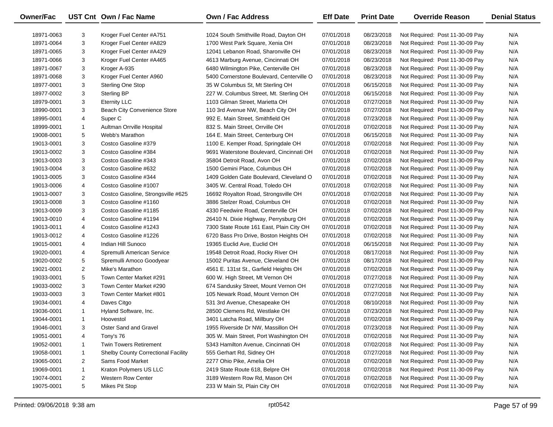| Owner/Fac  |                | UST Cnt Own / Fac Name              | <b>Own / Fac Address</b>                  | <b>Eff Date</b> | <b>Print Date</b> | <b>Override Reason</b>          | <b>Denial Status</b> |
|------------|----------------|-------------------------------------|-------------------------------------------|-----------------|-------------------|---------------------------------|----------------------|
| 18971-0063 | 3              | Kroger Fuel Center #A751            | 1024 South Smithville Road, Dayton OH     | 07/01/2018      | 08/23/2018        | Not Required: Post 11-30-09 Pay | N/A                  |
| 18971-0064 | 3              | Kroger Fuel Center #A829            | 1700 West Park Square, Xenia OH           | 07/01/2018      | 08/23/2018        | Not Required: Post 11-30-09 Pay | N/A                  |
| 18971-0065 | 3              | Kroger Fuel Center #A429            | 12041 Lebanon Road, Sharonville OH        | 07/01/2018      | 08/23/2018        | Not Required: Post 11-30-09 Pay | N/A                  |
| 18971-0066 | 3              | Kroger Fuel Center #A465            | 4613 Marburg Avenue, Cincinnati OH        | 07/01/2018      | 08/23/2018        | Not Required: Post 11-30-09 Pay | N/A                  |
| 18971-0067 | 3              | Kroger A-935                        | 6480 Wilmington Pike, Centerville OH      | 07/01/2018      | 08/23/2018        | Not Required: Post 11-30-09 Pay | N/A                  |
| 18971-0068 | 3              | Kroger Fuel Center A960             | 5400 Cornerstone Boulevard, Centerville O | 07/01/2018      | 08/23/2018        | Not Required: Post 11-30-09 Pay | N/A                  |
| 18977-0001 | 3              | <b>Sterling One Stop</b>            | 35 W Columbus St, Mt Sterling OH          | 07/01/2018      | 06/15/2018        | Not Required: Post 11-30-09 Pay | N/A                  |
| 18977-0002 | 3              | <b>Sterling BP</b>                  | 227 W. Columbus Street, Mt. Sterling OH   | 07/01/2018      | 06/15/2018        | Not Required: Post 11-30-09 Pay | N/A                  |
| 18979-0001 | 3              | <b>Eternity LLC</b>                 | 1103 Gilman Street, Marietta OH           | 07/01/2018      | 07/27/2018        | Not Required: Post 11-30-09 Pay | N/A                  |
| 18990-0001 | 3              | Beach City Convenience Store        | 110 3rd Avenue NW, Beach City OH          | 07/01/2018      | 07/27/2018        | Not Required: Post 11-30-09 Pay | N/A                  |
| 18995-0001 | 4              | Super <sub>C</sub>                  | 992 E. Main Street, Smithfield OH         | 07/01/2018      | 07/23/2018        | Not Required: Post 11-30-09 Pay | N/A                  |
| 18999-0001 | $\mathbf{1}$   | Aultman Orrville Hospital           | 832 S. Main Street, Orrville OH           | 07/01/2018      | 07/02/2018        | Not Required: Post 11-30-09 Pay | N/A                  |
| 19008-0001 | 5              | Webb's Marathon                     | 164 E. Main Street, Centerburg OH         | 07/01/2018      | 06/15/2018        | Not Required: Post 11-30-09 Pay | N/A                  |
| 19013-0001 | 3              | Costco Gasoline #379                | 1100 E. Kemper Road, Springdale OH        | 07/01/2018      | 07/02/2018        | Not Required: Post 11-30-09 Pay | N/A                  |
| 19013-0002 | 3              | Costco Gasoline #384                | 9691 Waterstone Boulevard, Cincinnati OH  | 07/01/2018      | 07/02/2018        | Not Required: Post 11-30-09 Pay | N/A                  |
| 19013-0003 | 3              | Costco Gasoline #343                | 35804 Detroit Road, Avon OH               | 07/01/2018      | 07/02/2018        | Not Required: Post 11-30-09 Pay | N/A                  |
| 19013-0004 | 3              | Costco Gasoline #632                | 1500 Gemini Place, Columbus OH            | 07/01/2018      | 07/02/2018        | Not Required: Post 11-30-09 Pay | N/A                  |
| 19013-0005 | 3              | Costco Gasoline #344                | 1409 Golden Gate Boulevard, Cleveland O   | 07/01/2018      | 07/02/2018        | Not Required: Post 11-30-09 Pay | N/A                  |
| 19013-0006 | 4              | Costco Gasoline #1007               | 3405 W. Central Road, Toledo OH           | 07/01/2018      | 07/02/2018        | Not Required: Post 11-30-09 Pay | N/A                  |
| 19013-0007 | 3              | Costco Gasoline, Strongsville #625  | 16692 Royalton Road, Strongsville OH      | 07/01/2018      | 07/02/2018        | Not Required: Post 11-30-09 Pay | N/A                  |
| 19013-0008 | 3              | Costco Gasoline #1160               | 3886 Stelzer Road, Columbus OH            | 07/01/2018      | 07/02/2018        | Not Required: Post 11-30-09 Pay | N/A                  |
| 19013-0009 | 3              | Costco Gasoline #1185               | 4330 Feedwire Road, Centerville OH        | 07/01/2018      | 07/02/2018        | Not Required: Post 11-30-09 Pay | N/A                  |
| 19013-0010 | 4              | Costco Gasoline #1194               | 26410 N. Dixie Highway, Perrysburg OH     | 07/01/2018      | 07/02/2018        | Not Required: Post 11-30-09 Pay | N/A                  |
| 19013-0011 | 4              | Costco Gasoline #1243               | 7300 State Route 161 East, Plain City OH  | 07/01/2018      | 07/02/2018        | Not Required: Post 11-30-09 Pay | N/A                  |
| 19013-0012 | 4              | Costco Gasoline #1226               | 6720 Bass Pro Drive, Boston Heights OH    | 07/01/2018      | 07/02/2018        | Not Required: Post 11-30-09 Pay | N/A                  |
| 19015-0001 | 4              | Indian Hill Sunoco                  | 19365 Euclid Ave, Euclid OH               | 07/01/2018      | 06/15/2018        | Not Required: Post 11-30-09 Pay | N/A                  |
| 19020-0001 | 4              | Spremulli American Service          | 19548 Detroit Road, Rocky River OH        | 07/01/2018      | 08/17/2018        | Not Required: Post 11-30-09 Pay | N/A                  |
| 19020-0002 | 5              | Spremulli Amoco Goodyear            | 15002 Puritas Avenue, Cleveland OH        | 07/01/2018      | 08/17/2018        | Not Required: Post 11-30-09 Pay | N/A                  |
| 19021-0001 | $\overline{2}$ | Mike's Marathon                     | 4561 E. 131st St., Garfield Heights OH    | 07/01/2018      | 07/02/2018        | Not Required: Post 11-30-09 Pay | N/A                  |
| 19033-0001 | 5              | Town Center Market #291             | 600 W. High Street, Mt Vernon OH          | 07/01/2018      | 07/27/2018        | Not Required: Post 11-30-09 Pay | N/A                  |
| 19033-0002 | 3              | Town Center Market #290             | 674 Sandusky Street, Mount Vernon OH      | 07/01/2018      | 07/27/2018        | Not Required: Post 11-30-09 Pay | N/A                  |
| 19033-0003 | 3              | Town Center Market #801             | 105 Newark Road, Mount Vernon OH          | 07/01/2018      | 07/27/2018        | Not Required: Post 11-30-09 Pay | N/A                  |
| 19034-0001 | 4              | Daves Citgo                         | 531 3rd Avenue, Chesapeake OH             | 07/01/2018      | 08/10/2018        | Not Required: Post 11-30-09 Pay | N/A                  |
| 19036-0001 | $\mathbf{1}$   | Hyland Software, Inc.               | 28500 Clemens Rd, Westlake OH             | 07/01/2018      | 07/23/2018        | Not Required: Post 11-30-09 Pay | N/A                  |
| 19044-0001 | $\mathbf{1}$   | Hoovestol                           | 3401 Latcha Road, Millbury OH             | 07/01/2018      | 07/02/2018        | Not Required: Post 11-30-09 Pay | N/A                  |
| 19046-0001 | 3              | Oster Sand and Gravel               | 1955 Riverside Dr NW, Massillon OH        | 07/01/2018      | 07/23/2018        | Not Required: Post 11-30-09 Pay | N/A                  |
| 19051-0001 | 4              | Tony's 76                           | 305 W. Main Street, Port Washington OH    | 07/01/2018      | 07/02/2018        | Not Required: Post 11-30-09 Pay | N/A                  |
| 19052-0001 | 1              | Twin Towers Retirement              | 5343 Hamilton Avenue, Cincinnati OH       | 07/01/2018      | 07/02/2018        | Not Required: Post 11-30-09 Pay | N/A                  |
| 19058-0001 | 1              | Shelby County Correctional Facility | 555 Gerhart Rd, Sidney OH                 | 07/01/2018      | 07/27/2018        | Not Required: Post 11-30-09 Pay | N/A                  |
| 19065-0001 | 2              | Sams Food Market                    | 2277 Ohio Pike, Amelia OH                 | 07/01/2018      | 07/02/2018        | Not Required: Post 11-30-09 Pay | N/A                  |
| 19069-0001 | $\mathbf{1}$   | Kraton Polymers US LLC              | 2419 State Route 618, Belpre OH           | 07/01/2018      | 07/02/2018        | Not Required: Post 11-30-09 Pay | N/A                  |
| 19074-0001 | $\overline{2}$ | <b>Western Row Center</b>           | 3189 Western Row Rd, Mason OH             | 07/01/2018      | 07/02/2018        | Not Required: Post 11-30-09 Pay | N/A                  |
| 19075-0001 | 5              | Mikes Pit Stop                      | 233 W Main St, Plain City OH              | 07/01/2018      | 07/02/2018        | Not Required: Post 11-30-09 Pay | N/A                  |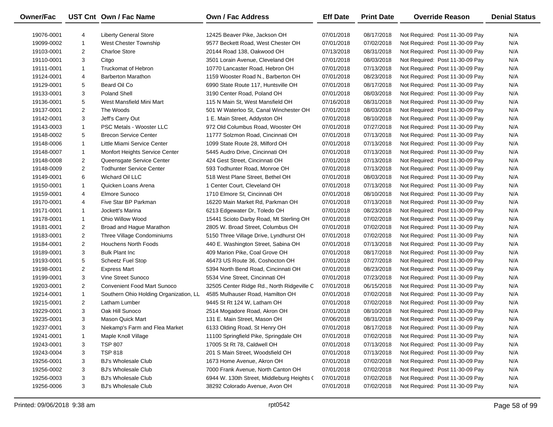| <b>Owner/Fac</b> |                | UST Cnt Own / Fac Name                 | <b>Own / Fac Address</b>                   | <b>Eff Date</b> | <b>Print Date</b> | <b>Override Reason</b>          | <b>Denial Status</b> |
|------------------|----------------|----------------------------------------|--------------------------------------------|-----------------|-------------------|---------------------------------|----------------------|
| 19076-0001       | 4              | <b>Liberty General Store</b>           | 12425 Beaver Pike, Jackson OH              | 07/01/2018      | 08/17/2018        | Not Required: Post 11-30-09 Pay | N/A                  |
| 19099-0002       | $\mathbf{1}$   | West Chester Township                  | 9577 Beckett Road, West Chester OH         | 07/01/2018      | 07/02/2018        | Not Required: Post 11-30-09 Pay | N/A                  |
| 19103-0001       | $\overline{2}$ | <b>Charloe Store</b>                   | 20144 Road 138, Oakwood OH                 | 07/13/2018      | 08/31/2018        | Not Required: Post 11-30-09 Pay | N/A                  |
| 19110-0001       | 3              | Citgo                                  | 3501 Lorain Avenue, Cleveland OH           | 07/01/2018      | 08/03/2018        | Not Required: Post 11-30-09 Pay | N/A                  |
| 19111-0001       | $\mathbf{1}$   | <b>Truckomat of Hebron</b>             | 10770 Lancaster Road, Hebron OH            | 07/01/2018      | 07/13/2018        | Not Required: Post 11-30-09 Pay | N/A                  |
| 19124-0001       | 4              | <b>Barberton Marathon</b>              | 1159 Wooster Road N., Barberton OH         | 07/01/2018      | 08/23/2018        | Not Required: Post 11-30-09 Pay | N/A                  |
| 19129-0001       | 5              | Beard Oil Co                           | 6990 State Route 117, Huntsville OH        | 07/01/2018      | 08/17/2018        | Not Required: Post 11-30-09 Pay | N/A                  |
| 19133-0001       | 3              | <b>Poland Shell</b>                    | 3190 Center Road, Poland OH                | 07/01/2018      | 08/03/2018        | Not Required: Post 11-30-09 Pay | N/A                  |
| 19136-0001       | 5              | West Mansfield Mini Mart               | 115 N Main St, West Mansfield OH           | 07/16/2018      | 08/31/2018        | Not Required: Post 11-30-09 Pay | N/A                  |
| 19137-0001       | $\overline{2}$ | The Woods                              | 501 W Waterloo St, Canal Winchester OH     | 07/01/2018      | 08/03/2018        | Not Required: Post 11-30-09 Pay | N/A                  |
| 19142-0001       | 3              | Jeff's Carry Out                       | 1 E. Main Street, Addyston OH              | 07/01/2018      | 08/10/2018        | Not Required: Post 11-30-09 Pay | N/A                  |
| 19143-0003       | $\mathbf{1}$   | <b>PSC Metals - Wooster LLC</b>        | 972 Old Columbus Road, Wooster OH          | 07/01/2018      | 07/27/2018        | Not Required: Post 11-30-09 Pay | N/A                  |
| 19148-0002       | 5              | <b>Brecon Service Center</b>           | 11777 Solzmon Road, Cincinnati OH          | 07/01/2018      | 07/13/2018        | Not Required: Post 11-30-09 Pay | N/A                  |
| 19148-0006       | $\mathbf{1}$   | Little Miami Service Center            | 1099 State Route 28, Milford OH            | 07/01/2018      | 07/13/2018        | Not Required: Post 11-30-09 Pay | N/A                  |
| 19148-0007       | $\mathbf{1}$   | Monfort Heights Service Center         | 5445 Audro Drive, Cincinnati OH            | 07/01/2018      | 07/13/2018        | Not Required: Post 11-30-09 Pay | N/A                  |
| 19148-0008       | $\overline{2}$ | Queensgate Service Center              | 424 Gest Street, Cincinnati OH             | 07/01/2018      | 07/13/2018        | Not Required: Post 11-30-09 Pay | N/A                  |
| 19148-0009       | $\overline{c}$ | <b>Todhunter Service Center</b>        | 593 Todhunter Road, Monroe OH              | 07/01/2018      | 07/13/2018        | Not Required: Post 11-30-09 Pay | N/A                  |
| 19149-0001       | 6              | Wichard Oil LLC                        | 518 West Plane Street, Bethel OH           | 07/01/2018      | 08/03/2018        | Not Required: Post 11-30-09 Pay | N/A                  |
| 19150-0001       | $\mathbf{1}$   | Quicken Loans Arena                    | 1 Center Court, Cleveland OH               | 07/01/2018      | 07/13/2018        | Not Required: Post 11-30-09 Pay | N/A                  |
| 19159-0001       | 4              | Elmore Sunoco                          | 1710 Elmore St, Cincinnati OH              | 07/01/2018      | 08/10/2018        | Not Required: Post 11-30-09 Pay | N/A                  |
| 19170-0001       | 4              | Five Star BP Parkman                   | 16220 Main Market Rd, Parkman OH           | 07/01/2018      | 07/13/2018        | Not Required: Post 11-30-09 Pay | N/A                  |
| 19171-0001       | $\mathbf{1}$   | Jockett's Marina                       | 6213 Edgewater Dr, Toledo OH               | 07/01/2018      | 08/23/2018        | Not Required: Post 11-30-09 Pay | N/A                  |
| 19178-0001       | $\mathbf{1}$   | Ohio Willow Wood                       | 15441 Scioto Darby Road, Mt Sterling OH    | 07/01/2018      | 07/02/2018        | Not Required: Post 11-30-09 Pay | N/A                  |
| 19181-0001       | 2              | Broad and Hague Marathon               | 2805 W. Broad Street, Columbus OH          | 07/01/2018      | 07/02/2018        | Not Required: Post 11-30-09 Pay | N/A                  |
| 19183-0001       | $\overline{2}$ | Three Village Condominiums             | 5150 Three Village Drive, Lyndhurst OH     | 07/01/2018      | 07/02/2018        | Not Required: Post 11-30-09 Pay | N/A                  |
| 19184-0001       | $\overline{2}$ | <b>Houchens North Foods</b>            | 440 E. Washington Street, Sabina OH        | 07/01/2018      | 07/13/2018        | Not Required: Post 11-30-09 Pay | N/A                  |
| 19189-0001       | 3              | <b>Bulk Plant Inc.</b>                 | 409 Marion Pike, Coal Grove OH             | 07/01/2018      | 08/17/2018        | Not Required: Post 11-30-09 Pay | N/A                  |
| 19193-0001       | 5              | <b>Scheetz Fuel Stop</b>               | 46473 US Route 36, Coshocton OH            | 07/01/2018      | 07/27/2018        | Not Required: Post 11-30-09 Pay | N/A                  |
| 19198-0001       | $\overline{2}$ | <b>Express Mart</b>                    | 5394 North Bend Road, Cincinnati OH        | 07/01/2018      | 08/23/2018        | Not Required: Post 11-30-09 Pay | N/A                  |
| 19199-0001       | 3              | Vine Street Sunoco                     | 5534 Vine Street, Cincinnati OH            | 07/01/2018      | 07/23/2018        | Not Required: Post 11-30-09 Pay | N/A                  |
| 19203-0001       | 2              | <b>Convenient Food Mart Sunoco</b>     | 32505 Center Ridge Rd., North Ridgeville C | 07/01/2018      | 06/15/2018        | Not Required: Post 11-30-09 Pay | N/A                  |
| 19214-0001       | $\mathbf{1}$   | Southern Ohio Holding Organization, LL | 4585 Mulhauser Road, Hamilton OH           | 07/01/2018      | 07/02/2018        | Not Required: Post 11-30-09 Pay | N/A                  |
| 19215-0001       | $\overline{2}$ | Latham Lumber                          | 9445 St Rt 124 W, Latham OH                | 07/01/2018      | 07/02/2018        | Not Required: Post 11-30-09 Pay | N/A                  |
| 19229-0001       | 3              | Oak Hill Sunoco                        | 2514 Mogadore Road, Akron OH               | 07/01/2018      | 08/10/2018        | Not Required: Post 11-30-09 Pay | N/A                  |
| 19235-0001       | 3              | Mason Quick Mart                       | 131 E. Main Street, Mason OH               | 07/06/2018      | 08/31/2018        | Not Required: Post 11-30-09 Pay | N/A                  |
| 19237-0001       | 3              | Niekamp's Farm and Flea Market         | 6133 Olding Road, St Henry OH              | 07/01/2018      | 08/17/2018        | Not Required: Post 11-30-09 Pay | N/A                  |
| 19241-0001       | $\mathbf{1}$   | Maple Knoll Village                    | 11100 Springfield Pike, Springdale OH      | 07/01/2018      | 07/02/2018        | Not Required: Post 11-30-09 Pay | N/A                  |
| 19243-0001       | 3              | <b>TSP 807</b>                         | 17005 St Rt 78, Caldwell OH                | 07/01/2018      | 07/13/2018        | Not Required: Post 11-30-09 Pay | N/A                  |
| 19243-0004       | 3              | <b>TSP 818</b>                         | 201 S Main Street, Woodsfield OH           | 07/01/2018      | 07/13/2018        | Not Required: Post 11-30-09 Pay | N/A                  |
| 19256-0001       | 3              | BJ's Wholesale Club                    | 1673 Home Avenue, Akron OH                 | 07/01/2018      | 07/02/2018        | Not Required: Post 11-30-09 Pay | N/A                  |
| 19256-0002       | 3              | <b>BJ's Wholesale Club</b>             | 7000 Frank Avenue, North Canton OH         | 07/01/2018      | 07/02/2018        | Not Required: Post 11-30-09 Pay | N/A                  |
| 19256-0003       | 3              | <b>BJ's Wholesale Club</b>             | 6944 W. 130th Street, Middleburg Heights ( | 07/01/2018      | 07/02/2018        | Not Required: Post 11-30-09 Pay | N/A                  |
| 19256-0006       | 3              | <b>BJ's Wholesale Club</b>             | 38292 Colorado Avenue, Avon OH             | 07/01/2018      | 07/02/2018        | Not Required: Post 11-30-09 Pay | N/A                  |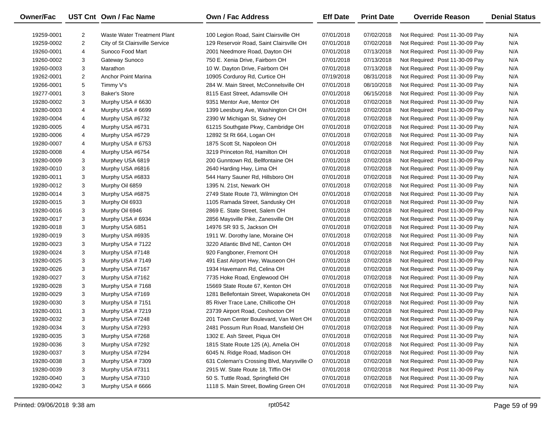| <b>Owner/Fac</b> |                | UST Cnt Own / Fac Name         | Own / Fac Address                         | <b>Eff Date</b> | <b>Print Date</b> | <b>Override Reason</b>          | <b>Denial Status</b> |
|------------------|----------------|--------------------------------|-------------------------------------------|-----------------|-------------------|---------------------------------|----------------------|
| 19259-0001       | $\overline{2}$ | Waste Water Treatment Plant    | 100 Legion Road, Saint Clairsville OH     | 07/01/2018      | 07/02/2018        | Not Required: Post 11-30-09 Pay | N/A                  |
| 19259-0002       | $\overline{2}$ | City of St Clairsville Service | 129 Reservoir Road, Saint Clairsville OH  | 07/01/2018      | 07/02/2018        | Not Required: Post 11-30-09 Pay | N/A                  |
| 19260-0001       | 4              | Sunoco Food Mart               | 2001 Needmore Road, Dayton OH             | 07/01/2018      | 07/13/2018        | Not Required: Post 11-30-09 Pay | N/A                  |
| 19260-0002       | 3              | Gateway Sunoco                 | 750 E. Xenia Drive, Fairborn OH           | 07/01/2018      | 07/13/2018        | Not Required: Post 11-30-09 Pay | N/A                  |
| 19260-0003       | 3              | Marathon                       | 10 W. Dayton Drive, Fairborn OH           | 07/01/2018      | 07/13/2018        | Not Required: Post 11-30-09 Pay | N/A                  |
| 19262-0001       | $\overline{2}$ | <b>Anchor Point Marina</b>     | 10905 Corduroy Rd, Curtice OH             | 07/19/2018      | 08/31/2018        | Not Required: Post 11-30-09 Pay | N/A                  |
| 19266-0001       | 5              | Timmy V's                      | 284 W. Main Street, McConnelsville OH     | 07/01/2018      | 08/10/2018        | Not Required: Post 11-30-09 Pay | N/A                  |
| 19277-0001       | 3              | <b>Baker's Store</b>           | 8115 East Street, Adamsville OH           | 07/01/2018      | 06/15/2018        | Not Required: Post 11-30-09 Pay | N/A                  |
| 19280-0002       | 3              | Murphy USA # 6630              | 9351 Mentor Ave, Mentor OH                | 07/01/2018      | 07/02/2018        | Not Required: Post 11-30-09 Pay | N/A                  |
| 19280-0003       | 4              | Murphy USA # 6699              | 1399 Leesburg Ave, Washington CH OH       | 07/01/2018      | 07/02/2018        | Not Required: Post 11-30-09 Pay | N/A                  |
| 19280-0004       | 4              | Murphy USA #6732               | 2390 W Michigan St, Sidney OH             | 07/01/2018      | 07/02/2018        | Not Required: Post 11-30-09 Pay | N/A                  |
| 19280-0005       | 4              | Murphy USA #6731               | 61215 Southgate Pkwy, Cambridge OH        | 07/01/2018      | 07/02/2018        | Not Required: Post 11-30-09 Pay | N/A                  |
| 19280-0006       | 4              | Murphy USA #6729               | 12892 St Rt 664, Logan OH                 | 07/01/2018      | 07/02/2018        | Not Required: Post 11-30-09 Pay | N/A                  |
| 19280-0007       | 4              | Murphy USA # 6753              | 1875 Scott St, Napoleon OH                | 07/01/2018      | 07/02/2018        | Not Required: Post 11-30-09 Pay | N/A                  |
| 19280-0008       | 4              | Murphy USA #6754               | 3219 Princeton Rd, Hamilton OH            | 07/01/2018      | 07/02/2018        | Not Required: Post 11-30-09 Pay | N/A                  |
| 19280-0009       | 3              | Murphey USA 6819               | 200 Gunntown Rd, Bellfontaine OH          | 07/01/2018      | 07/02/2018        | Not Required: Post 11-30-09 Pay | N/A                  |
| 19280-0010       | 3              | Murphy USA #6816               | 2640 Harding Hwy, Lima OH                 | 07/01/2018      | 07/02/2018        | Not Required: Post 11-30-09 Pay | N/A                  |
| 19280-0011       | 3              | Murphy USA #6833               | 544 Harry Sauner Rd, Hillsboro OH         | 07/01/2018      | 07/02/2018        | Not Required: Post 11-30-09 Pay | N/A                  |
| 19280-0012       | 3              | Murphy Oil 6859                | 1395 N. 21st, Newark OH                   | 07/01/2018      | 07/02/2018        | Not Required: Post 11-30-09 Pay | N/A                  |
| 19280-0014       | 3              | Murphy USA #6875               | 2749 State Route 73, Wilmington OH        | 07/01/2018      | 07/02/2018        | Not Required: Post 11-30-09 Pay | N/A                  |
| 19280-0015       | 3              | Murphy Oil 6933                | 1105 Ramada Street, Sandusky OH           | 07/01/2018      | 07/02/2018        | Not Required: Post 11-30-09 Pay | N/A                  |
| 19280-0016       | 3              | Murphy Oil 6946                | 2869 E. State Street, Salem OH            | 07/01/2018      | 07/02/2018        | Not Required: Post 11-30-09 Pay | N/A                  |
| 19280-0017       | 3              | Murphy USA # 6934              | 2856 Maysville Pike, Zanesville OH        | 07/01/2018      | 07/02/2018        | Not Required: Post 11-30-09 Pay | N/A                  |
| 19280-0018       | 3              | Murphy USA 6851                | 14976 SR 93 S, Jackson OH                 | 07/01/2018      | 07/02/2018        | Not Required: Post 11-30-09 Pay | N/A                  |
| 19280-0019       | 3              | Murphy USA #6935               | 1911 W. Dorothy lane, Moraine OH          | 07/01/2018      | 07/02/2018        | Not Required: Post 11-30-09 Pay | N/A                  |
| 19280-0023       | 3              | Murphy USA #7122               | 3220 Atlantic Blvd NE, Canton OH          | 07/01/2018      | 07/02/2018        | Not Required: Post 11-30-09 Pay | N/A                  |
| 19280-0024       | 3              | Murphy USA #7148               | 920 Fangboner, Fremont OH                 | 07/01/2018      | 07/02/2018        | Not Required: Post 11-30-09 Pay | N/A                  |
| 19280-0025       | 3              | Murphy USA #7149               | 491 East Airport Hwy, Wauseon OH          | 07/01/2018      | 07/02/2018        | Not Required: Post 11-30-09 Pay | N/A                  |
| 19280-0026       | 3              | Murphy USA #7167               | 1934 Havemann Rd, Celina OH               | 07/01/2018      | 07/02/2018        | Not Required: Post 11-30-09 Pay | N/A                  |
| 19280-0027       | 3              | Murphy USA #7162               | 7735 Hoke Road, Englewood OH              | 07/01/2018      | 07/02/2018        | Not Required: Post 11-30-09 Pay | N/A                  |
| 19280-0028       | 3              | Murphy USA #7168               | 15669 State Route 67, Kenton OH           | 07/01/2018      | 07/02/2018        | Not Required: Post 11-30-09 Pay | N/A                  |
| 19280-0029       | 3              | Murphy USA #7169               | 1281 Bellefontain Street, Wapakoneta OH   | 07/01/2018      | 07/02/2018        | Not Required: Post 11-30-09 Pay | N/A                  |
| 19280-0030       | 3              | Murphy USA #7151               | 85 River Trace Lane, Chillicothe OH       | 07/01/2018      | 07/02/2018        | Not Required: Post 11-30-09 Pay | N/A                  |
| 19280-0031       | 3              | Murphy USA #7219               | 23739 Airport Road, Coshocton OH          | 07/01/2018      | 07/02/2018        | Not Required: Post 11-30-09 Pay | N/A                  |
| 19280-0032       | 3              | Murphy USA #7248               | 201 Town Center Boulevard, Van Wert OH    | 07/01/2018      | 07/02/2018        | Not Required: Post 11-30-09 Pay | N/A                  |
| 19280-0034       | 3              | Murphy USA #7293               | 2481 Possum Run Road, Mansfield OH        | 07/01/2018      | 07/02/2018        | Not Required: Post 11-30-09 Pay | N/A                  |
| 19280-0035       | 3              | Murphy USA #7268               | 1302 E. Ash Street, Piqua OH              | 07/01/2018      | 07/02/2018        | Not Required: Post 11-30-09 Pay | N/A                  |
| 19280-0036       | 3              | Murphy USA #7292               | 1815 State Route 125 (A), Amelia OH       | 07/01/2018      | 07/02/2018        | Not Required: Post 11-30-09 Pay | N/A                  |
| 19280-0037       | 3              | Murphy USA #7294               | 6045 N. Ridge Road, Madison OH            | 07/01/2018      | 07/02/2018        | Not Required: Post 11-30-09 Pay | N/A                  |
| 19280-0038       | 3              | Murphy USA #7309               | 631 Coleman's Crossing Blvd, Marysville O | 07/01/2018      | 07/02/2018        | Not Required: Post 11-30-09 Pay | N/A                  |
| 19280-0039       | 3              | Murphy USA #7311               | 2915 W. State Route 18, Tiffin OH         | 07/01/2018      | 07/02/2018        | Not Required: Post 11-30-09 Pay | N/A                  |
| 19280-0040       | 3              | Murphy USA #7310               | 50 S. Tuttle Road, Springfield OH         | 07/01/2018      | 07/02/2018        | Not Required: Post 11-30-09 Pay | N/A                  |
| 19280-0042       | 3              | Murphy USA # 6666              | 1118 S. Main Street, Bowling Green OH     | 07/01/2018      | 07/02/2018        | Not Required: Post 11-30-09 Pay | N/A                  |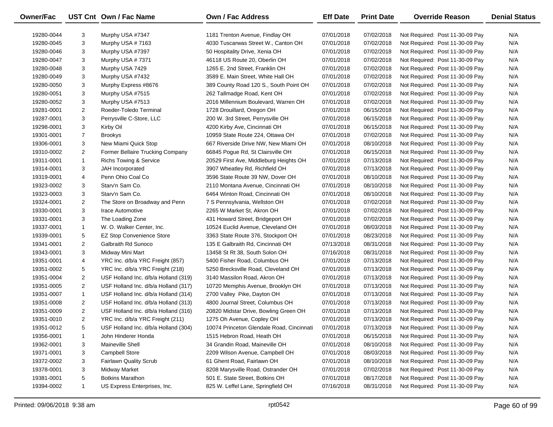| Owner/Fac  |                | UST Cnt Own / Fac Name               | <b>Own / Fac Address</b>                  | <b>Eff Date</b> | <b>Print Date</b> | <b>Override Reason</b>          | <b>Denial Status</b> |
|------------|----------------|--------------------------------------|-------------------------------------------|-----------------|-------------------|---------------------------------|----------------------|
| 19280-0044 | 3              | Murphy USA #7347                     | 1181 Trenton Avenue, Findlay OH           | 07/01/2018      | 07/02/2018        | Not Required: Post 11-30-09 Pay | N/A                  |
| 19280-0045 | 3              | Murphy USA #7163                     | 4030 Tuscarwas Street W., Canton OH       | 07/01/2018      | 07/02/2018        | Not Required: Post 11-30-09 Pay | N/A                  |
| 19280-0046 | 3              | Murphy USA #7397                     | 50 Hospitality Drive, Xenia OH            | 07/01/2018      | 07/02/2018        | Not Required: Post 11-30-09 Pay | N/A                  |
| 19280-0047 | 3              | Murphy USA #7371                     | 46118 US Route 20, Oberlin OH             | 07/01/2018      | 07/02/2018        | Not Required: Post 11-30-09 Pay | N/A                  |
|            |                |                                      | 1265 E. 2nd Street, Franklin OH           |                 |                   |                                 | N/A                  |
| 19280-0048 | 3              | Murphy USA 7429                      |                                           | 07/01/2018      | 07/02/2018        | Not Required: Post 11-30-09 Pay |                      |
| 19280-0049 | 3              | Murphy USA #7432                     | 3589 E. Main Street, White Hall OH        | 07/01/2018      | 07/02/2018        | Not Required: Post 11-30-09 Pay | N/A                  |
| 19280-0050 | 3              | Murphy Express #8676                 | 389 County Road 120 S., South Point OH    | 07/01/2018      | 07/02/2018        | Not Required: Post 11-30-09 Pay | N/A                  |
| 19280-0051 | 3              | Murphy USA #7515                     | 262 Tallmadge Road, Kent OH               | 07/01/2018      | 07/02/2018        | Not Required: Post 11-30-09 Pay | N/A                  |
| 19280-0052 | 3              | Murphy USA #7513                     | 2016 Millennium Boulevard, Warren OH      | 07/01/2018      | 07/02/2018        | Not Required: Post 11-30-09 Pay | N/A                  |
| 19281-0001 | $\overline{2}$ | Roeder-Toledo Terminal               | 1728 Drouillard, Oregon OH                | 07/01/2018      | 06/15/2018        | Not Required: Post 11-30-09 Pay | N/A                  |
| 19287-0001 | 3              | Perrysville C-Store, LLC             | 200 W. 3rd Street, Perrysville OH         | 07/01/2018      | 06/15/2018        | Not Required: Post 11-30-09 Pay | N/A                  |
| 19298-0001 | 3              | Kirby Oil                            | 4200 Kirby Ave, Cincinnati OH             | 07/01/2018      | 06/15/2018        | Not Required: Post 11-30-09 Pay | N/A                  |
| 19301-0001 | $\overline{7}$ | <b>Brookys</b>                       | 10959 State Route 224, Ottawa OH          | 07/01/2018      | 07/02/2018        | Not Required: Post 11-30-09 Pay | N/A                  |
| 19306-0001 | 3              | New Miami Quick Stop                 | 667 Riverside Drive NW, New Miami OH      | 07/01/2018      | 08/10/2018        | Not Required: Post 11-30-09 Pay | N/A                  |
| 19310-0002 | $\overline{2}$ | Former Bellaire Trucking Company     | 66845 Pogue Rd, St Clairsville OH         | 07/01/2018      | 06/15/2018        | Not Required: Post 11-30-09 Pay | N/A                  |
| 19311-0001 | $\mathbf{1}$   | <b>Richs Towing &amp; Service</b>    | 20529 First Ave, Middleburg Heights OH    | 07/01/2018      | 07/13/2018        | Not Required: Post 11-30-09 Pay | N/A                  |
| 19314-0001 | 3              | JAH Incorporated                     | 3907 Wheatley Rd, Richfield OH            | 07/01/2018      | 07/13/2018        | Not Required: Post 11-30-09 Pay | N/A                  |
| 19319-0001 | 4              | Penn Ohio Coal Co                    | 3596 State Route 39 NW, Dover OH          | 07/01/2018      | 08/10/2018        | Not Required: Post 11-30-09 Pay | N/A                  |
| 19323-0002 | 3              | Starv'n Sam Co.                      | 2110 Montana Avenue, Cincinnati OH        | 07/01/2018      | 08/10/2018        | Not Required: Post 11-30-09 Pay | N/A                  |
| 19323-0003 | 3              | Starv'n Sam Co.                      | 6464 Winton Road, Cincinnati OH           | 07/01/2018      | 08/10/2018        | Not Required: Post 11-30-09 Pay | N/A                  |
| 19324-0001 | $\overline{2}$ | The Store on Broadway and Penn       | 7 S Pennsylvania, Wellston OH             | 07/01/2018      | 07/02/2018        | Not Required: Post 11-30-09 Pay | N/A                  |
| 19330-0001 | 3              | Irace Automotive                     | 2265 W Market St, Akron OH                | 07/01/2018      | 07/02/2018        | Not Required: Post 11-30-09 Pay | N/A                  |
| 19331-0001 | 3              | The Loading Zone                     | 431 Howard Street, Bridgeport OH          | 07/01/2018      | 07/02/2018        | Not Required: Post 11-30-09 Pay | N/A                  |
| 19337-0001 | $\mathbf{1}$   | W. O. Walker Center, Inc.            | 10524 Euclid Avenue, Cleveland OH         | 07/01/2018      | 08/03/2018        | Not Required: Post 11-30-09 Pay | N/A                  |
| 19339-0001 | 5              | <b>EZ Stop Convenience Store</b>     | 3363 State Route 376, Stockport OH        | 07/01/2018      | 08/23/2018        | Not Required: Post 11-30-09 Pay | N/A                  |
| 19341-0001 | $\overline{2}$ | Galbraith Rd Sunoco                  | 135 E Galbraith Rd, Cincinnati OH         | 07/13/2018      | 08/31/2018        | Not Required: Post 11-30-09 Pay | N/A                  |
| 19343-0001 | 3              | Midway Mini Mart                     | 13458 St Rt 38, South Solon OH            | 07/16/2018      | 08/31/2018        | Not Required: Post 11-30-09 Pay | N/A                  |
| 19351-0001 | 4              | YRC Inc. d/b/a YRC Freight (857)     | 5400 Fisher Road, Columbus OH             | 07/01/2018      | 07/13/2018        | Not Required: Post 11-30-09 Pay | N/A                  |
| 19351-0002 | 5              | YRC Inc. d/b/a YRC Freight (218)     | 5250 Brecksville Road, Cleveland OH       | 07/01/2018      | 07/13/2018        | Not Required: Post 11-30-09 Pay | N/A                  |
| 19351-0004 | $\overline{2}$ | USF Holland Inc. d/b/a Holland (319) | 3140 Massilon Road, Akron OH              | 07/01/2018      | 07/13/2018        | Not Required: Post 11-30-09 Pay | N/A                  |
| 19351-0005 | $\overline{2}$ | USF Holland Inc. d/b/a Holland (317) | 10720 Memphis Avenue, Brooklyn OH         | 07/01/2018      | 07/13/2018        | Not Required: Post 11-30-09 Pay | N/A                  |
| 19351-0007 | $\mathbf{1}$   | USF Holland Inc. d/b/a Holland (314) | 2700 Valley Pike, Dayton OH               | 07/01/2018      | 07/13/2018        | Not Required: Post 11-30-09 Pay | N/A                  |
| 19351-0008 | $\overline{2}$ | USF Holland Inc. d/b/a Holland (313) | 4800 Journal Street, Columbus OH          | 07/01/2018      | 07/13/2018        | Not Required: Post 11-30-09 Pay | N/A                  |
| 19351-0009 | $\overline{2}$ | USF Holland Inc. d/b/a Holland (316) | 20820 Midstar Drive, Bowling Green OH     | 07/01/2018      | 07/13/2018        | Not Required: Post 11-30-09 Pay | N/A                  |
| 19351-0010 | $\overline{2}$ | YRC Inc. d/b/a YRC Freight (211)     | 1275 Oh Avenue, Copley OH                 | 07/01/2018      | 07/13/2018        | Not Required: Post 11-30-09 Pay | N/A                  |
| 19351-0012 | 5              | USF Holland Inc. d/b/a Holland (304) | 10074 Princeton Glendale Road, Cincinnati | 07/01/2018      | 07/13/2018        | Not Required: Post 11-30-09 Pay | N/A                  |
| 19356-0001 | -1             | John Hinderer Honda                  | 1515 Hebron Road, Heath OH                | 07/01/2018      | 06/15/2018        | Not Required: Post 11-30-09 Pay | N/A                  |
| 19362-0001 | 3              | <b>Maineville Shell</b>              | 34 Grandin Road, Maineville OH            | 07/01/2018      | 08/10/2018        | Not Required: Post 11-30-09 Pay | N/A                  |
| 19371-0001 | 3              | <b>Campbell Store</b>                | 2209 Wilson Avenue, Campbell OH           | 07/01/2018      | 08/03/2018        | Not Required: Post 11-30-09 Pay | N/A                  |
| 19372-0002 | 3              | <b>Fairlawn Quality Scrub</b>        | 61 Ghent Road, Fairlawn OH                | 07/01/2018      | 08/10/2018        | Not Required: Post 11-30-09 Pay | N/A                  |
| 19378-0001 | 3              | Midway Market                        | 8208 Marysville Road, Ostrander OH        | 07/01/2018      | 07/02/2018        | Not Required: Post 11-30-09 Pay | N/A                  |
| 19381-0001 | 5              | <b>Botkins Marathon</b>              | 501 E. State Street, Botkins OH           | 07/01/2018      | 08/17/2018        | Not Required: Post 11-30-09 Pay | N/A                  |
| 19394-0002 | $\mathbf{1}$   | US Express Enterprises, Inc.         | 825 W. Leffel Lane, Springfield OH        | 07/16/2018      | 08/31/2018        | Not Required: Post 11-30-09 Pay | N/A                  |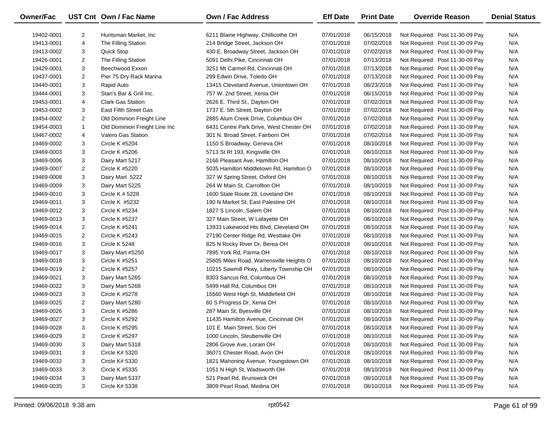| <b>Owner/Fac</b> |                | UST Cnt Own / Fac Name        | Own / Fac Address                        | <b>Eff Date</b> | <b>Print Date</b> | <b>Override Reason</b>          | <b>Denial Status</b> |
|------------------|----------------|-------------------------------|------------------------------------------|-----------------|-------------------|---------------------------------|----------------------|
| 19402-0001       | $\overline{2}$ | Huntsman Market, Inc.         | 6211 Blaine Highway, Chillicothe OH      | 07/01/2018      | 06/15/2018        | Not Required: Post 11-30-09 Pay | N/A                  |
| 19413-0001       | 4              | The Filling Station           | 214 Bridge Street, Jackson OH            | 07/01/2018      | 07/02/2018        | Not Required: Post 11-30-09 Pay | N/A                  |
| 19413-0002       | 3              | Quick Stop                    | 430 E. Broadway Street, Jackson OH       | 07/01/2018      | 07/02/2018        | Not Required: Post 11-30-09 Pay | N/A                  |
| 19426-0001       | 2              | The Filling Station           | 5091 Delhi Pike, Cincinnati OH           | 07/01/2018      | 07/13/2018        | Not Required: Post 11-30-09 Pay | N/A                  |
| 19429-0001       | 3              | Beechwood Exxon               | 3251 Mt Carmel Rd, Cincinnati OH         | 07/01/2018      | 07/13/2018        | Not Required: Post 11-30-09 Pay | N/A                  |
| 19437-0001       | $\overline{2}$ | Pier 75 Dry Rack Marina       | 299 Edwin Drive, Toledo OH               | 07/01/2018      | 07/13/2018        | Not Required: Post 11-30-09 Pay | N/A                  |
| 19440-0001       | 3              | Rapid Auto                    | 13415 Cleveland Avenue, Uniontown OH     | 07/01/2018      | 08/23/2018        | Not Required: Post 11-30-09 Pay | N/A                  |
| 19444-0001       | 3              | Stan's Bar & Grill Inc.       | 757 W. 2nd Street, Xenia OH              | 07/01/2018      | 06/15/2018        | Not Required: Post 11-30-09 Pay | N/A                  |
| 19453-0001       | 4              | <b>Clark Gas Station</b>      | 2626 E. Third St., Dayton OH             | 07/01/2018      | 07/02/2018        | Not Required: Post 11-30-09 Pay | N/A                  |
| 19453-0002       | 3              | East Fifth Street Gas         | 1737 E. 5th Street, Dayton OH            | 07/01/2018      | 07/02/2018        | Not Required: Post 11-30-09 Pay | N/A                  |
| 19454-0002       | $\overline{2}$ | Old Dominion Freight Line     | 2885 Alum Creek Drive, Columbus OH       | 07/01/2018      | 07/02/2018        | Not Required: Post 11-30-09 Pay | N/A                  |
| 19454-0003       | $\mathbf{1}$   | Old Dominion Freight Line Inc | 6431 Centre Park Drive, West Chester OH  | 07/01/2018      | 07/02/2018        | Not Required: Post 11-30-09 Pay | N/A                  |
| 19467-0002       | 4              | <b>Valero Gas Station</b>     | 301 N. Broad Street, Fairborn OH         | 07/01/2018      | 07/02/2018        | Not Required: Post 11-30-09 Pay | N/A                  |
| 19469-0002       | 3              | Circle K #5204                | 1150 S Broadway, Geneva OH               | 07/01/2018      | 08/10/2018        | Not Required: Post 11-30-09 Pay | N/A                  |
| 19469-0003       | 3              | Circle K #5206                | 5713 St Rt 193, Kingsville OH            | 07/01/2018      | 08/10/2018        | Not Required: Post 11-30-09 Pay | N/A                  |
| 19469-0006       | 3              | Dairy Mart 5217               | 2166 Pleasant Ave, Hamilton OH           | 07/01/2018      | 08/10/2018        | Not Required: Post 11-30-09 Pay | N/A                  |
| 19469-0007       | 2              | Circle K #5220                | 5035 Hamilton Middletown Rd, Hamilton O  | 07/01/2018      | 08/10/2018        | Not Required: Post 11-30-09 Pay | N/A                  |
| 19469-0008       | 3              | Dairy Mart 5222               | 327 W Spring Street, Oxford OH           | 07/01/2018      | 08/10/2018        | Not Required: Post 11-30-09 Pay | N/A                  |
| 19469-0009       | 3              | Dairy Mart 5225               | 264 W Main St, Carrollton OH             | 07/01/2018      | 08/10/2018        | Not Required: Post 11-30-09 Pay | N/A                  |
| 19469-0010       | 3              | Circle K # 5228               | 1600 State Route 28, Loveland OH         | 07/01/2018      | 08/10/2018        | Not Required: Post 11-30-09 Pay | N/A                  |
| 19469-0011       | 3              | Circle K #5232                | 190 N Market St, East Palestine OH       | 07/01/2018      | 08/10/2018        | Not Required: Post 11-30-09 Pay | N/A                  |
| 19469-0012       | 3              | <b>Circle K #5234</b>         | 1827 S Lincoln, Salem OH                 | 07/01/2018      | 08/10/2018        | Not Required: Post 11-30-09 Pay | N/A                  |
| 19469-0013       | 3              | Circle K #5237                | 327 Main Street, W Lafayette OH          | 07/01/2018      | 08/10/2018        | Not Required: Post 11-30-09 Pay | N/A                  |
| 19469-0014       | $\overline{2}$ | Circle K #5241                | 13933 Lakewood Hts Blvd, Cleveland OH    | 07/01/2018      | 08/10/2018        | Not Required: Post 11-30-09 Pay | N/A                  |
| 19469-0015       | $\overline{2}$ | Circle K #5243                | 27190 Center Ridge Rd, Westlake OH       | 07/01/2018      | 08/10/2018        | Not Required: Post 11-30-09 Pay | N/A                  |
| 19469-0016       | 3              | Circle K 5248                 | 825 N Rocky River Dr, Berea OH           | 07/01/2018      | 08/10/2018        | Not Required: Post 11-30-09 Pay | N/A                  |
| 19469-0017       | 3              | Dairy Mart #5250              | 7895 York Rd, Parma OH                   | 07/01/2018      | 08/10/2018        | Not Required: Post 11-30-09 Pay | N/A                  |
| 19469-0018       | 3              | Circle K #5251                | 25605 Miles Road, Warrensville Heights O | 07/01/2018      | 08/10/2018        | Not Required: Post 11-30-09 Pay | N/A                  |
| 19469-0019       | 2              | Circle K #5257                | 10215 Sawmill Pkwy, Liberty Township OH  | 07/01/2018      | 08/10/2018        | Not Required: Post 11-30-09 Pay | N/A                  |
| 19469-0021       | 3              | Dairy Mart 5265               | 8303 Sancus Rd, Columbus OH              | 07/01/2018      | 08/10/2018        | Not Required: Post 11-30-09 Pay | N/A                  |
| 19469-0022       | 3              | Dairy Mart 5268               | 5499 Hall Rd, Columbus OH                | 07/01/2018      | 08/10/2018        | Not Required: Post 11-30-09 Pay | N/A                  |
| 19469-0023       | 3              | Circle K #5278                | 15560 West High St, Middlefield OH       | 07/01/2018      | 08/10/2018        | Not Required: Post 11-30-09 Pay | N/A                  |
| 19469-0025       | $\overline{2}$ | Dairy Mart 5280               | 60 S Progress Dr, Xenia OH               | 07/01/2018      | 08/10/2018        | Not Required: Post 11-30-09 Pay | N/A                  |
| 19469-0026       | 3              | <b>Circle K #5286</b>         | 287 Main St, Byesville OH                | 07/01/2018      | 08/10/2018        | Not Required: Post 11-30-09 Pay | N/A                  |
| 19469-0027       | 3              | Circle K #5292                | 11435 Hamilton Avenue, Cincinnati OH     | 07/01/2018      | 08/10/2018        | Not Required: Post 11-30-09 Pay | N/A                  |
| 19469-0028       | 3              | <b>Circle K #5295</b>         | 101 E. Main Street, Scio OH              | 07/01/2018      | 08/10/2018        | Not Required: Post 11-30-09 Pay | N/A                  |
| 19469-0029       | 3              | Circle K #5297                | 1000 Lincoln, Steubenville OH            | 07/01/2018      | 08/10/2018        | Not Required: Post 11-30-09 Pay | N/A                  |
| 19469-0030       | 3              | Dairy Mart 5318               | 2806 Grove Ave, Lorain OH                | 07/01/2018      | 08/10/2018        | Not Required: Post 11-30-09 Pay | N/A                  |
| 19469-0031       | 3              | <b>Circle K# 5320</b>         | 36071 Chester Road, Avon OH              | 07/01/2018      | 08/10/2018        | Not Required: Post 11-30-09 Pay | N/A                  |
| 19469-0032       | 3              | Circle K# 5330                | 1821 Mahoning Avenue, Youngstown OH      | 07/01/2018      | 08/10/2018        | Not Required: Post 11-30-09 Pay | N/A                  |
| 19469-0033       | 3              | Circle K #5335                | 1051 N High St, Wadsworth OH             | 07/01/2018      | 08/10/2018        | Not Required: Post 11-30-09 Pay | N/A                  |
| 19469-0034       | 3              | Dairy Mart 5337               | 521 Pearl Rd, Brunswick OH               | 07/01/2018      | 08/10/2018        | Not Required: Post 11-30-09 Pay | N/A                  |
| 19469-0035       | 3              | Circle K# 5338                | 3809 Pearl Road, Medina OH               | 07/01/2018      | 08/10/2018        | Not Required: Post 11-30-09 Pay | N/A                  |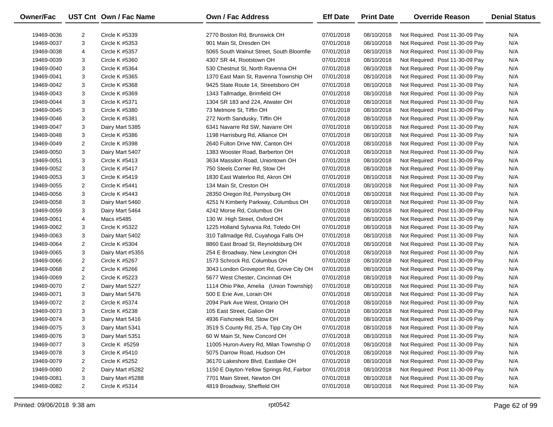| Owner/Fac  |                | UST Cnt Own / Fac Name | <b>Own / Fac Address</b>                                        | <b>Eff Date</b> | <b>Print Date</b> | <b>Override Reason</b>          | <b>Denial Status</b> |
|------------|----------------|------------------------|-----------------------------------------------------------------|-----------------|-------------------|---------------------------------|----------------------|
| 19469-0036 | $\overline{2}$ | Circle K #5339         | 2770 Boston Rd, Brunswick OH                                    | 07/01/2018      | 08/10/2018        | Not Required: Post 11-30-09 Pay | N/A                  |
| 19469-0037 | 3              | Circle K #5353         | 901 Main St, Dresden OH                                         | 07/01/2018      | 08/10/2018        | Not Required: Post 11-30-09 Pay | N/A                  |
| 19469-0038 | 4              | Circle K #5357         | 5065 South Walnut Street, South Bloomfie                        | 07/01/2018      | 08/10/2018        | Not Required: Post 11-30-09 Pay | N/A                  |
| 19469-0039 | 3              | Circle K #5360         | 4307 SR 44, Rootstown OH                                        | 07/01/2018      | 08/10/2018        | Not Required: Post 11-30-09 Pay | N/A                  |
| 19469-0040 | 3              | Circle K #5364         | 530 Chestnut St, North Ravenna OH                               | 07/01/2018      | 08/10/2018        | Not Required: Post 11-30-09 Pay | N/A                  |
| 19469-0041 | 3              | Circle K #5365         | 1370 East Main St, Ravenna Township OH                          | 07/01/2018      | 08/10/2018        | Not Required: Post 11-30-09 Pay | N/A                  |
| 19469-0042 | 3              | Circle K #5368         | 9425 State Route 14, Streetsboro OH                             | 07/01/2018      | 08/10/2018        | Not Required: Post 11-30-09 Pay | N/A                  |
| 19469-0043 | 3              | Circle K #5369         | 1343 Tallmadge, Brimfield OH                                    | 07/01/2018      | 08/10/2018        | Not Required: Post 11-30-09 Pay | N/A                  |
| 19469-0044 | 3              | Circle K #5371         | 1304 SR 183 and 224, Atwater OH                                 | 07/01/2018      | 08/10/2018        | Not Required: Post 11-30-09 Pay | N/A                  |
|            | 3              |                        | 73 Melmore St, Tiffin OH                                        |                 |                   |                                 | N/A                  |
| 19469-0045 | 3              | Circle K #5380         |                                                                 | 07/01/2018      | 08/10/2018        | Not Required: Post 11-30-09 Pay | N/A                  |
| 19469-0046 |                | Circle K #5381         | 272 North Sandusky, Tiffin OH<br>6341 Navarre Rd SW, Navarre OH | 07/01/2018      | 08/10/2018        | Not Required: Post 11-30-09 Pay | N/A                  |
| 19469-0047 | 3              | Dairy Mart 5385        |                                                                 | 07/01/2018      | 08/10/2018        | Not Required: Post 11-30-09 Pay |                      |
| 19469-0048 | 3              | Circle K #5386         | 1198 Harrisburg Rd, Alliance OH                                 | 07/01/2018      | 08/10/2018        | Not Required: Post 11-30-09 Pay | N/A                  |
| 19469-0049 | $\overline{c}$ | Circle K #5398         | 2640 Fulton Drive NW, Canton OH                                 | 07/01/2018      | 08/10/2018        | Not Required: Post 11-30-09 Pay | N/A                  |
| 19469-0050 | 3              | Dairy Mart 5407        | 1383 Wooster Road, Barberton OH                                 | 07/01/2018      | 08/10/2018        | Not Required: Post 11-30-09 Pay | N/A                  |
| 19469-0051 | 3              | Circle K #5413         | 3634 Massilon Road, Uniontown OH                                | 07/01/2018      | 08/10/2018        | Not Required: Post 11-30-09 Pay | N/A                  |
| 19469-0052 | 3              | Circle K #5417         | 750 Steels Corner Rd, Stow OH                                   | 07/01/2018      | 08/10/2018        | Not Required: Post 11-30-09 Pay | N/A                  |
| 19469-0053 | 3              | Circle K #5419         | 1830 East Waterloo Rd, Akron OH                                 | 07/01/2018      | 08/10/2018        | Not Required: Post 11-30-09 Pay | N/A                  |
| 19469-0055 | $\overline{2}$ | Circle K #5441         | 134 Main St, Creston OH                                         | 07/01/2018      | 08/10/2018        | Not Required: Post 11-30-09 Pay | N/A                  |
| 19469-0056 | 3              | Circle K #5443         | 28350 Oregon Rd, Perrysburg OH                                  | 07/01/2018      | 08/10/2018        | Not Required: Post 11-30-09 Pay | N/A                  |
| 19469-0058 | 3              | Dairy Mart 5460        | 4251 N Kimberly Parkway, Columbus OH                            | 07/01/2018      | 08/10/2018        | Not Required: Post 11-30-09 Pay | N/A                  |
| 19469-0059 | 3              | Dairy Mart 5464        | 4242 Morse Rd, Columbus OH                                      | 07/01/2018      | 08/10/2018        | Not Required: Post 11-30-09 Pay | N/A                  |
| 19469-0061 | 4              | Macs #5485             | 130 W. High Street, Oxford OH                                   | 07/01/2018      | 08/10/2018        | Not Required: Post 11-30-09 Pay | N/A                  |
| 19469-0062 | 3              | Circle K #5322         | 1225 Holland Sylvania Rd, Toledo OH                             | 07/01/2018      | 08/10/2018        | Not Required: Post 11-30-09 Pay | N/A                  |
| 19469-0063 | 3              | Dairy Mart 5402        | 310 Tallmadge Rd, Cuyahoga Falls OH                             | 07/01/2018      | 08/10/2018        | Not Required: Post 11-30-09 Pay | N/A                  |
| 19469-0064 | $\overline{2}$ | Circle K #5304         | 8860 East Broad St, Reynoldsburg OH                             | 07/01/2018      | 08/10/2018        | Not Required: Post 11-30-09 Pay | N/A                  |
| 19469-0065 | 3              | Dairy Mart #5355       | 254 E Broadway, New Lexington OH                                | 07/01/2018      | 08/10/2018        | Not Required: Post 11-30-09 Pay | N/A                  |
| 19469-0066 | $\overline{2}$ | Circle K #5267         | 1573 Schrock Rd, Columbus OH                                    | 07/01/2018      | 08/10/2018        | Not Required: Post 11-30-09 Pay | N/A                  |
| 19469-0068 | $\overline{2}$ | Circle K #5266         | 3043 London Groveport Rd, Grove City OH                         | 07/01/2018      | 08/10/2018        | Not Required: Post 11-30-09 Pay | N/A                  |
| 19469-0069 | $\overline{c}$ | Circle K #5223         | 5677 West Chester, Cincinnati OH                                | 07/01/2018      | 08/10/2018        | Not Required: Post 11-30-09 Pay | N/A                  |
| 19469-0070 | $\overline{2}$ | Dairy Mart 5227        | 1114 Ohio Pike, Amelia (Union Township)                         | 07/01/2018      | 08/10/2018        | Not Required: Post 11-30-09 Pay | N/A                  |
| 19469-0071 | 3              | Dairy Mart 5476        | 500 E Erie Ave, Lorain OH                                       | 07/01/2018      | 08/10/2018        | Not Required: Post 11-30-09 Pay | N/A                  |
| 19469-0072 | $\overline{2}$ | Circle K #5374         | 2094 Park Ave West, Ontario OH                                  | 07/01/2018      | 08/10/2018        | Not Required: Post 11-30-09 Pay | N/A                  |
| 19469-0073 | 3              | Circle K #5238         | 105 East Street, Galion OH                                      | 07/01/2018      | 08/10/2018        | Not Required: Post 11-30-09 Pay | N/A                  |
| 19469-0074 | 3              | Dairy Mart 5416        | 4936 Fishcreek Rd, Stow OH                                      | 07/01/2018      | 08/10/2018        | Not Required: Post 11-30-09 Pay | N/A                  |
| 19469-0075 | 3              | Dairy Mart 5341        | 3519 S County Rd, 25-A, Tipp City OH                            | 07/01/2018      | 08/10/2018        | Not Required: Post 11-30-09 Pay | N/A                  |
| 19469-0076 | 3              | Dairy Mart 5351        | 60 W Main St, New Concord OH                                    | 07/01/2018      | 08/10/2018        | Not Required: Post 11-30-09 Pay | N/A                  |
| 19469-0077 | 3              | Circle K #5259         | 11005 Huron-Avery Rd, Milan Township O                          | 07/01/2018      | 08/10/2018        | Not Required: Post 11-30-09 Pay | N/A                  |
| 19469-0078 | 3              | Circle K #5410         | 5075 Darrow Road, Hudson OH                                     | 07/01/2018      | 08/10/2018        | Not Required: Post 11-30-09 Pay | N/A                  |
| 19469-0079 | $\overline{a}$ | <b>Circle K #5252</b>  | 36170 Lakeshore Blvd, Eastlake OH                               | 07/01/2018      | 08/10/2018        | Not Required: Post 11-30-09 Pay | N/A                  |
| 19469-0080 | 2              | Dairy Mart #5282       | 1150 E Dayton-Yellow Springs Rd, Fairbor                        | 07/01/2018      | 08/10/2018        | Not Required: Post 11-30-09 Pay | N/A                  |
| 19469-0081 | 3              | Dairy Mart #5288       | 7701 Main Street, Newton OH                                     | 07/01/2018      | 08/10/2018        | Not Required: Post 11-30-09 Pay | N/A                  |
| 19469-0082 | 2              | Circle K #5314         | 4819 Broadway, Sheffield OH                                     | 07/01/2018      | 08/10/2018        | Not Required: Post 11-30-09 Pay | N/A                  |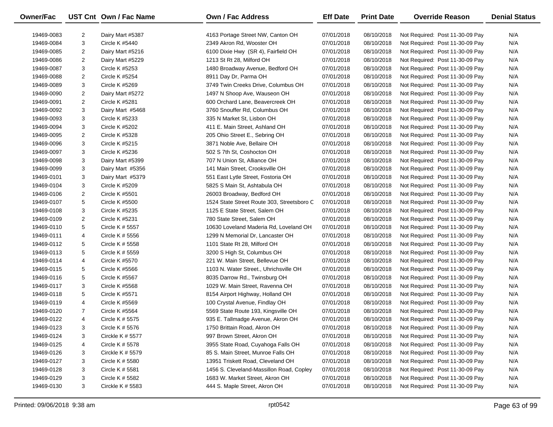| Owner/Fac  |                | UST Cnt Own / Fac Name | <b>Own / Fac Address</b>                   | <b>Eff Date</b> | <b>Print Date</b> | <b>Override Reason</b>          | <b>Denial Status</b> |
|------------|----------------|------------------------|--------------------------------------------|-----------------|-------------------|---------------------------------|----------------------|
| 19469-0083 | 2              | Dairy Mart #5387       | 4163 Portage Street NW, Canton OH          | 07/01/2018      | 08/10/2018        | Not Required: Post 11-30-09 Pay | N/A                  |
| 19469-0084 | 3              | <b>Circle K #5440</b>  | 2349 Akron Rd, Wooster OH                  | 07/01/2018      | 08/10/2018        | Not Required: Post 11-30-09 Pay | N/A                  |
| 19469-0085 | 2              | Dairy Mart #5216       | 6100 Dixie Hwy (SR 4), Fairfield OH        | 07/01/2018      | 08/10/2018        | Not Required: Post 11-30-09 Pay | N/A                  |
| 19469-0086 | $\overline{2}$ | Dairy Mart #5229       | 1213 St Rt 28, Milford OH                  | 07/01/2018      | 08/10/2018        | Not Required: Post 11-30-09 Pay | N/A                  |
| 19469-0087 | 3              | Circle K #5253         | 1480 Broadway Avenue, Bedford OH           | 07/01/2018      | 08/10/2018        | Not Required: Post 11-30-09 Pay | N/A                  |
| 19469-0088 | 2              | Circle K #5254         | 8911 Day Dr, Parma OH                      | 07/01/2018      | 08/10/2018        | Not Required: Post 11-30-09 Pay | N/A                  |
| 19469-0089 | 3              | Circle K #5269         | 3749 Twin Creeks Drive, Columbus OH        | 07/01/2018      | 08/10/2018        | Not Required: Post 11-30-09 Pay | N/A                  |
| 19469-0090 | 2              | Dairy Mart #5272       | 1497 N Shoop Ave, Wauseon OH               | 07/01/2018      | 08/10/2018        | Not Required: Post 11-30-09 Pay | N/A                  |
| 19469-0091 | $\overline{2}$ | Circle K #5281         | 600 Orchard Lane, Beavercreek OH           | 07/01/2018      | 08/10/2018        | Not Required: Post 11-30-09 Pay | N/A                  |
| 19469-0092 | 3              | Dairy Mart #5468       | 3760 Snouffer Rd, Columbus OH              | 07/01/2018      | 08/10/2018        | Not Required: Post 11-30-09 Pay | N/A                  |
| 19469-0093 | 3              | Circle K #5233         | 335 N Market St, Lisbon OH                 | 07/01/2018      | 08/10/2018        | Not Required: Post 11-30-09 Pay | N/A                  |
| 19469-0094 | 3              | Circle K #5202         | 411 E. Main Street, Ashland OH             | 07/01/2018      | 08/10/2018        | Not Required: Post 11-30-09 Pay | N/A                  |
| 19469-0095 | 2              | Circle K #5328         | 205 Ohio Street E., Sebring OH             | 07/01/2018      | 08/10/2018        | Not Required: Post 11-30-09 Pay | N/A                  |
| 19469-0096 | 3              | Circle K #5215         | 3871 Noble Ave, Bellaire OH                | 07/01/2018      | 08/10/2018        | Not Required: Post 11-30-09 Pay | N/A                  |
| 19469-0097 | 3              | Circle K #5236         | 502 S 7th St, Coshocton OH                 | 07/01/2018      | 08/10/2018        | Not Required: Post 11-30-09 Pay | N/A                  |
| 19469-0098 | 3              | Dairy Mart #5399       | 707 N Union St, Alliance OH                | 07/01/2018      | 08/10/2018        | Not Required: Post 11-30-09 Pay | N/A                  |
| 19469-0099 | 3              | Dairy Mart #5356       | 141 Main Street, Crooksville OH            | 07/01/2018      | 08/10/2018        | Not Required: Post 11-30-09 Pay | N/A                  |
| 19469-0101 | 3              | Dairy Mart #5379       | 551 East Lytle Street, Fostoria OH         | 07/01/2018      | 08/10/2018        | Not Required: Post 11-30-09 Pay | N/A                  |
| 19469-0104 | 3              | Circle K #5209         | 5825 S Main St, Ashtabula OH               | 07/01/2018      | 08/10/2018        | Not Required: Post 11-30-09 Pay | N/A                  |
| 19469-0106 | 2              | Circle K #5501         | 26003 Broadway, Bedford OH                 | 07/01/2018      | 08/10/2018        | Not Required: Post 11-30-09 Pay | N/A                  |
| 19469-0107 | 5              | Circle K #5500         | 1524 State Street Route 303, Streetsboro C | 07/01/2018      | 08/10/2018        | Not Required: Post 11-30-09 Pay | N/A                  |
| 19469-0108 | 3              | Circle K #5235         | 1125 E State Street, Salem OH              | 07/01/2018      | 08/10/2018        | Not Required: Post 11-30-09 Pay | N/A                  |
| 19469-0109 | $\overline{2}$ | Circle K #5231         | 780 State Street, Salem OH                 | 07/01/2018      | 08/10/2018        | Not Required: Post 11-30-09 Pay | N/A                  |
| 19469-0110 | 5              | Circle K # 5557        | 10630 Loveland Maderia Rd, Loveland OH     | 07/01/2018      | 08/10/2018        | Not Required: Post 11-30-09 Pay | N/A                  |
| 19469-0111 | 4              | Circle K # 5556        | 1299 N Memorial Dr, Lancaster OH           | 07/01/2018      | 08/10/2018        | Not Required: Post 11-30-09 Pay | N/A                  |
| 19469-0112 | 5              | Circle K # 5558        | 1101 State Rt 28, Milford OH               | 07/01/2018      | 08/10/2018        | Not Required: Post 11-30-09 Pay | N/A                  |
| 19469-0113 | 5              | Circle K # 5559        | 3200 S High St, Columbus OH                | 07/01/2018      | 08/10/2018        | Not Required: Post 11-30-09 Pay | N/A                  |
| 19469-0114 | 4              | Circle K #5570         | 221 W. Main Street, Bellevue OH            | 07/01/2018      | 08/10/2018        | Not Required: Post 11-30-09 Pay | N/A                  |
| 19469-0115 | 5              | Circle K #5566         | 1103 N. Water Street., Uhrichsville OH     | 07/01/2018      | 08/10/2018        | Not Required: Post 11-30-09 Pay | N/A                  |
| 19469-0116 | 5              | Circle K #5567         | 8035 Darrow Rd., Twinsburg OH              | 07/01/2018      | 08/10/2018        | Not Required: Post 11-30-09 Pay | N/A                  |
| 19469-0117 | 3              | Circle K #5568         | 1029 W. Main Street, Ravenna OH            | 07/01/2018      | 08/10/2018        | Not Required: Post 11-30-09 Pay | N/A                  |
| 19469-0118 | 5              | Circle K #5571         | 8154 Airport Highway, Holland OH           | 07/01/2018      | 08/10/2018        | Not Required: Post 11-30-09 Pay | N/A                  |
| 19469-0119 | 4              | Circle K #5569         | 100 Crystal Avenue, Findlay OH             | 07/01/2018      | 08/10/2018        | Not Required: Post 11-30-09 Pay | N/A                  |
| 19469-0120 | $\overline{7}$ | Circle K #5564         | 5569 State Route 193, Kingsville OH        | 07/01/2018      | 08/10/2018        | Not Required: Post 11-30-09 Pay | N/A                  |
| 19469-0122 | 4              | Circle K # 5575        | 935 E. Tallmadge Avenue, Akron OH          | 07/01/2018      | 08/10/2018        | Not Required: Post 11-30-09 Pay | N/A                  |
| 19469-0123 | З              | Circle K # 5576        | 1750 Brittain Road, Akron OH               | 07/01/2018      | 08/10/2018        | Not Required: Post 11-30-09 Pay | N/A                  |
| 19469-0124 | 3              | Circkle K # 5577       | 997 Brown Street, Akron OH                 | 07/01/2018      | 08/10/2018        | Not Required: Post 11-30-09 Pay | N/A                  |
| 19469-0125 | 4              | Circle K # 5578        | 3955 State Road, Cuyahoga Falls OH         | 07/01/2018      | 08/10/2018        | Not Required: Post 11-30-09 Pay | N/A                  |
| 19469-0126 | 3              | Circkle K $# 5579$     | 85 S. Main Street, Munroe Falls OH         | 07/01/2018      | 08/10/2018        | Not Required: Post 11-30-09 Pay | N/A                  |
| 19469-0127 | 3              | Circle K # 5580        | 13951 Triskett Road, Cleveland OH          | 07/01/2018      | 08/10/2018        | Not Required: Post 11-30-09 Pay | N/A                  |
| 19469-0128 | 3              | Circle K # 5581        | 1456 S. Cleveland-Massillon Road, Copley   | 07/01/2018      | 08/10/2018        | Not Required: Post 11-30-09 Pay | N/A                  |
| 19469-0129 | 3              | Circle K # 5582        | 1683 W. Market Street, Akron OH            | 07/01/2018      | 08/10/2018        | Not Required: Post 11-30-09 Pay | N/A                  |
| 19469-0130 | 3              | Circkle K # 5583       | 444 S. Maple Street, Akron OH              | 07/01/2018      | 08/10/2018        | Not Required: Post 11-30-09 Pay | N/A                  |
|            |                |                        |                                            |                 |                   |                                 |                      |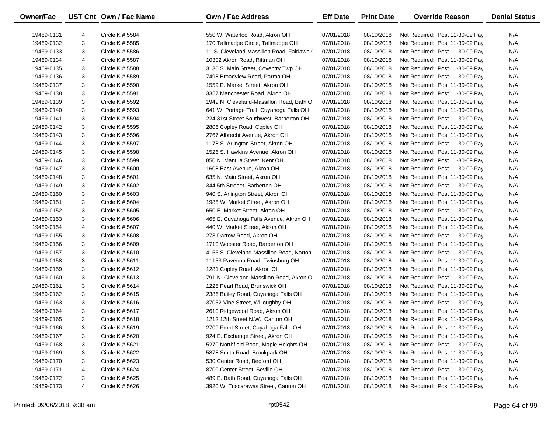| <b>Owner/Fac</b> |   | UST Cnt Own / Fac Name | <b>Own / Fac Address</b>                   | <b>Eff Date</b> | <b>Print Date</b> | <b>Override Reason</b>          | <b>Denial Status</b> |
|------------------|---|------------------------|--------------------------------------------|-----------------|-------------------|---------------------------------|----------------------|
| 19469-0131       | 4 | Circle K $# 5584$      | 550 W. Waterloo Road, Akron OH             | 07/01/2018      | 08/10/2018        | Not Required: Post 11-30-09 Pay | N/A                  |
| 19469-0132       | 3 | Circle K # 5585        | 170 Tallmadge Circle, Tallmadge OH         | 07/01/2018      | 08/10/2018        | Not Required: Post 11-30-09 Pay | N/A                  |
| 19469-0133       | 3 | Circle K # 5586        | 11 S. Cleveland-Massillon Road, Fairlawn ( | 07/01/2018      | 08/10/2018        | Not Required: Post 11-30-09 Pay | N/A                  |
| 19469-0134       | 4 | Circle K # 5587        | 10302 Akron Road, Rittman OH               | 07/01/2018      | 08/10/2018        | Not Required: Post 11-30-09 Pay | N/A                  |
| 19469-0135       | 3 | Circle K # 5588        | 3130 S. Main Street, Coventry Twp OH       | 07/01/2018      | 08/10/2018        | Not Required: Post 11-30-09 Pay | N/A                  |
| 19469-0136       | 3 | Circle K # 5589        | 7498 Broadview Road, Parma OH              | 07/01/2018      | 08/10/2018        | Not Required: Post 11-30-09 Pay | N/A                  |
| 19469-0137       | 3 | Circle K # 5590        | 1559 E. Market Street, Akron OH            | 07/01/2018      | 08/10/2018        | Not Required: Post 11-30-09 Pay | N/A                  |
| 19469-0138       | 3 | Circle K # 5591        | 3357 Manchester Road, Akron OH             | 07/01/2018      | 08/10/2018        | Not Required: Post 11-30-09 Pay | N/A                  |
| 19469-0139       | 3 | Circle K # 5592        | 1949 N. Cleveland-Massillon Road, Bath O   | 07/01/2018      | 08/10/2018        | Not Required: Post 11-30-09 Pay | N/A                  |
| 19469-0140       | 3 | Circle K # 5593        | 641 W. Portage Trail, Cuyahoga Falls OH    | 07/01/2018      | 08/10/2018        | Not Required: Post 11-30-09 Pay | N/A                  |
| 19469-0141       | 3 | Circle K # 5594        | 224 31st Street Southwest, Barberton OH    | 07/01/2018      | 08/10/2018        | Not Required: Post 11-30-09 Pay | N/A                  |
| 19469-0142       | 3 | Circle K # 5595        | 2806 Copley Road, Copley OH                | 07/01/2018      | 08/10/2018        | Not Required: Post 11-30-09 Pay | N/A                  |
| 19469-0143       | 3 | Circle K # 5596        | 2767 Albrecht Avenue, Akron OH             | 07/01/2018      | 08/10/2018        | Not Required: Post 11-30-09 Pay | N/A                  |
| 19469-0144       | 3 | Circle K # 5597        | 1178 S. Arlington Street, Akron OH         | 07/01/2018      | 08/10/2018        | Not Required: Post 11-30-09 Pay | N/A                  |
| 19469-0145       | 3 | Circle K # 5598        | 1526 S. Hawkins Avenue, Akron OH           | 07/01/2018      | 08/10/2018        | Not Required: Post 11-30-09 Pay | N/A                  |
| 19469-0146       | 3 | Circle K # 5599        | 850 N. Mantua Street, Kent OH              | 07/01/2018      | 08/10/2018        | Not Required: Post 11-30-09 Pay | N/A                  |
| 19469-0147       | 3 | Circle K $#5600$       | 1608 East Avenue, Akron OH                 | 07/01/2018      | 08/10/2018        | Not Required: Post 11-30-09 Pay | N/A                  |
| 19469-0148       | 3 | Circle K $#$ 5601      | 635 N. Main Street, Akron OH               | 07/01/2018      | 08/10/2018        | Not Required: Post 11-30-09 Pay | N/A                  |
| 19469-0149       | 3 | Circle K # 5602        | 344 5th Streeet, Barberton OH              | 07/01/2018      | 08/10/2018        | Not Required: Post 11-30-09 Pay | N/A                  |
| 19469-0150       | 3 | Circle K $#5603$       | 940 S. Arlington Street, Akron OH          | 07/01/2018      | 08/10/2018        | Not Required: Post 11-30-09 Pay | N/A                  |
| 19469-0151       | 3 | Circle K $#5604$       | 1985 W. Market Street, Akron OH            | 07/01/2018      | 08/10/2018        | Not Required: Post 11-30-09 Pay | N/A                  |
| 19469-0152       | 3 | Circle K $# 5605$      | 650 E. Market Street, Akron OH             | 07/01/2018      | 08/10/2018        | Not Required: Post 11-30-09 Pay | N/A                  |
| 19469-0153       | 3 | Circle K $#5606$       | 465 E. Cuyahoga Falls Avenue, Akron OH     | 07/01/2018      | 08/10/2018        | Not Required: Post 11-30-09 Pay | N/A                  |
| 19469-0154       | 4 | Circle K # 5607        | 440 W. Market Street, Akron OH             | 07/01/2018      | 08/10/2018        | Not Required: Post 11-30-09 Pay | N/A                  |
| 19469-0155       | 3 | Circle K $#5608$       | 273 Darrow Road, Akron OH                  | 07/01/2018      | 08/10/2018        | Not Required: Post 11-30-09 Pay | N/A                  |
| 19469-0156       | 3 | Circle K # 5609        | 1710 Wooster Road, Barberton OH            | 07/01/2018      | 08/10/2018        | Not Required: Post 11-30-09 Pay | N/A                  |
| 19469-0157       | 3 | Circle K $#5610$       | 4155 S. Cleveland-Massillon Road, Norton   | 07/01/2018      | 08/10/2018        | Not Required: Post 11-30-09 Pay | N/A                  |
| 19469-0158       | 3 | Circle K $#$ 5611      | 11133 Ravenna Road, Twinsburg OH           | 07/01/2018      | 08/10/2018        | Not Required: Post 11-30-09 Pay | N/A                  |
| 19469-0159       | 3 | Circle K # 5612        | 1281 Copley Road, Akron OH                 | 07/01/2018      | 08/10/2018        | Not Required: Post 11-30-09 Pay | N/A                  |
| 19469-0160       | 3 | Circle K $# 5613$      | 791 N. Cleveland-Massillon Road, Akron O   | 07/01/2018      | 08/10/2018        | Not Required: Post 11-30-09 Pay | N/A                  |
| 19469-0161       | 3 | Circle K $# 5614$      | 1225 Pearl Road, Brunswick OH              | 07/01/2018      | 08/10/2018        | Not Required: Post 11-30-09 Pay | N/A                  |
| 19469-0162       | 3 | Circle K $\#$ 5615     | 2386 Bailey Road, Cuyahoga Falls OH        | 07/01/2018      | 08/10/2018        | Not Required: Post 11-30-09 Pay | N/A                  |
| 19469-0163       | 3 | Circle K $# 5616$      | 37032 Vine Street, Willoughby OH           | 07/01/2018      | 08/10/2018        | Not Required: Post 11-30-09 Pay | N/A                  |
| 19469-0164       | 3 | Circle K # 5617        | 2610 Ridgewood Road, Akron OH              | 07/01/2018      | 08/10/2018        | Not Required: Post 11-30-09 Pay | N/A                  |
| 19469-0165       | 3 | Circle K $# 5618$      | 1212 12th Street N.W., Canton OH           | 07/01/2018      | 08/10/2018        | Not Required: Post 11-30-09 Pay | N/A                  |
| 19469-0166       | 3 | Circle K $#5619$       | 2709 Front Street, Cuyahoga Falls OH       | 07/01/2018      | 08/10/2018        | Not Required: Post 11-30-09 Pay | N/A                  |
| 19469-0167       | 3 | Circle K # 5620        | 924 E. Exchange Street, Akron OH           | 07/01/2018      | 08/10/2018        | Not Required: Post 11-30-09 Pay | N/A                  |
| 19469-0168       | 3 | Circle K # 5621        | 5270 Northfield Road, Maple Heights OH     | 07/01/2018      | 08/10/2018        | Not Required: Post 11-30-09 Pay | N/A                  |
| 19469-0169       | 3 | Circle K # 5622        | 5878 Smith Road, Brookpark OH              | 07/01/2018      | 08/10/2018        | Not Required: Post 11-30-09 Pay | N/A                  |
| 19469-0170       | 3 | Circle K # 5623        | 530 Center Road, Bedford OH                | 07/01/2018      | 08/10/2018        | Not Required: Post 11-30-09 Pay | N/A                  |
| 19469-0171       | 4 | Circle K # 5624        | 8700 Center Street, Seville OH             | 07/01/2018      | 08/10/2018        | Not Required: Post 11-30-09 Pay | N/A                  |
| 19469-0172       | 3 | Circle K # 5625        | 489 E. Bath Road, Cuyahoga Falls OH        | 07/01/2018      | 08/10/2018        | Not Required: Post 11-30-09 Pay | N/A                  |
| 19469-0173       | 4 | Circle K # 5626        | 3920 W. Tuscarawas Street, Canton OH       | 07/01/2018      | 08/10/2018        | Not Required: Post 11-30-09 Pay | N/A                  |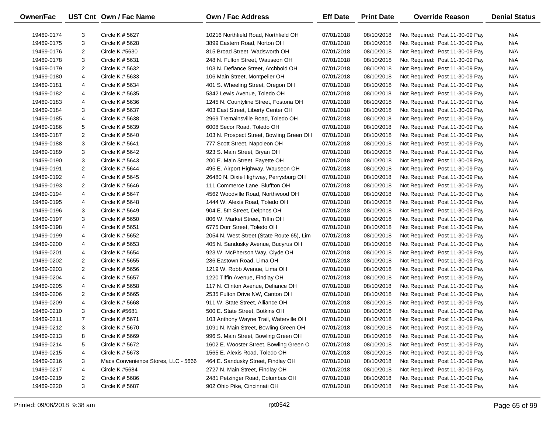| Owner/Fac  |                | UST Cnt Own / Fac Name              | <b>Own / Fac Address</b>                  | <b>Eff Date</b> | <b>Print Date</b> | <b>Override Reason</b>          | <b>Denial Status</b> |
|------------|----------------|-------------------------------------|-------------------------------------------|-----------------|-------------------|---------------------------------|----------------------|
| 19469-0174 | 3              | Circle K # 5627                     | 10216 Northfield Road, Northfield OH      | 07/01/2018      | 08/10/2018        | Not Required: Post 11-30-09 Pay | N/A                  |
| 19469-0175 | 3              | Circle K # 5628                     | 3899 Eastern Road, Norton OH              | 07/01/2018      | 08/10/2018        | Not Required: Post 11-30-09 Pay | N/A                  |
| 19469-0176 | $\overline{2}$ | Circle K #5630                      | 815 Broad Street, Wadsworth OH            | 07/01/2018      | 08/10/2018        | Not Required: Post 11-30-09 Pay | N/A                  |
| 19469-0178 | 3              | Circle K # 5631                     | 248 N. Fulton Street, Wauseon OH          | 07/01/2018      | 08/10/2018        | Not Required: Post 11-30-09 Pay | N/A                  |
| 19469-0179 | $\overline{2}$ | Circle K # 5632                     | 103 N. Defiance Street, Archbold OH       | 07/01/2018      | 08/10/2018        | Not Required: Post 11-30-09 Pay | N/A                  |
| 19469-0180 | 4              | Circle K # 5633                     | 106 Main Street, Montpelier OH            | 07/01/2018      | 08/10/2018        | Not Required: Post 11-30-09 Pay | N/A                  |
| 19469-0181 | 4              | Circle K # 5634                     | 401 S. Wheeling Street, Oregon OH         | 07/01/2018      | 08/10/2018        | Not Required: Post 11-30-09 Pay | N/A                  |
| 19469-0182 | 4              | Circle K # 5635                     | 5342 Lewis Avenue, Toledo OH              | 07/01/2018      | 08/10/2018        | Not Required: Post 11-30-09 Pay | N/A                  |
| 19469-0183 | 4              | Circle K # 5636                     | 1245 N. Countyline Street, Fostoria OH    | 07/01/2018      | 08/10/2018        | Not Required: Post 11-30-09 Pay | N/A                  |
| 19469-0184 | 3              | Circle K # 5637                     | 403 East Street, Liberty Center OH        | 07/01/2018      | 08/10/2018        | Not Required: Post 11-30-09 Pay | N/A                  |
| 19469-0185 | 4              | Circle K # 5638                     | 2969 Tremainsville Road, Toledo OH        | 07/01/2018      | 08/10/2018        | Not Required: Post 11-30-09 Pay | N/A                  |
| 19469-0186 | 5              | Circle K # 5639                     | 6008 Secor Road, Toledo OH                | 07/01/2018      | 08/10/2018        | Not Required: Post 11-30-09 Pay | N/A                  |
| 19469-0187 | 2              | Circle K # 5640                     | 103 N. Prospect Street, Bowling Green OH  | 07/01/2018      | 08/10/2018        | Not Required: Post 11-30-09 Pay | N/A                  |
| 19469-0188 | 3              | Circle K $# 5641$                   | 777 Scott Street, Napoleon OH             | 07/01/2018      | 08/10/2018        | Not Required: Post 11-30-09 Pay | N/A                  |
| 19469-0189 | 3              | Circle K # 5642                     | 923 S. Main Street, Bryan OH              | 07/01/2018      | 08/10/2018        | Not Required: Post 11-30-09 Pay | N/A                  |
| 19469-0190 | 3              | Circle K # 5643                     | 200 E. Main Street, Fayette OH            | 07/01/2018      | 08/10/2018        | Not Required: Post 11-30-09 Pay | N/A                  |
| 19469-0191 | 2              | Circle K # 5644                     | 495 E. Airport Highway, Wauseon OH        | 07/01/2018      | 08/10/2018        | Not Required: Post 11-30-09 Pay | N/A                  |
| 19469-0192 | 4              | Circle K # 5645                     | 26480 N. Dixie Highway, Perrysburg OH     | 07/01/2018      | 08/10/2018        | Not Required: Post 11-30-09 Pay | N/A                  |
| 19469-0193 | 2              | Circle K # 5646                     | 111 Commerce Lane, Bluffton OH            | 07/01/2018      | 08/10/2018        | Not Required: Post 11-30-09 Pay | N/A                  |
| 19469-0194 | 4              | Circle K # 5647                     | 4562 Woodville Road, Northwood OH         | 07/01/2018      | 08/10/2018        | Not Required: Post 11-30-09 Pay | N/A                  |
| 19469-0195 | 4              | Circle K # 5648                     | 1444 W. Alexis Road, Toledo OH            | 07/01/2018      | 08/10/2018        | Not Required: Post 11-30-09 Pay | N/A                  |
| 19469-0196 | 3              | Circle K # 5649                     | 904 E. 5th Street, Delphos OH             | 07/01/2018      | 08/10/2018        | Not Required: Post 11-30-09 Pay | N/A                  |
| 19469-0197 | 3              | Circle K # 5650                     | 806 W. Market Street, Tiffin OH           | 07/01/2018      | 08/10/2018        | Not Required: Post 11-30-09 Pay | N/A                  |
| 19469-0198 | 4              | Circle K # 5651                     | 6775 Dorr Street, Toledo OH               | 07/01/2018      | 08/10/2018        | Not Required: Post 11-30-09 Pay | N/A                  |
| 19469-0199 | 4              | Circle K # 5652                     | 2054 N. West Street (State Route 65), Lim | 07/01/2018      | 08/10/2018        | Not Required: Post 11-30-09 Pay | N/A                  |
| 19469-0200 | 4              | Circle K # 5653                     | 405 N. Sandusky Avenue, Bucyrus OH        | 07/01/2018      | 08/10/2018        | Not Required: Post 11-30-09 Pay | N/A                  |
| 19469-0201 | 4              | Circle K # 5654                     | 923 W. McPherson Way, Clyde OH            | 07/01/2018      | 08/10/2018        | Not Required: Post 11-30-09 Pay | N/A                  |
| 19469-0202 | $\overline{2}$ | Circle K # 5655                     | 286 Eastown Road, Lima OH                 | 07/01/2018      | 08/10/2018        | Not Required: Post 11-30-09 Pay | N/A                  |
| 19469-0203 | $\overline{2}$ | Circle K # 5656                     | 1219 W. Robb Avenue, Lima OH              | 07/01/2018      | 08/10/2018        | Not Required: Post 11-30-09 Pay | N/A                  |
| 19469-0204 | 4              | Circle K # 5657                     | 1220 Tiffin Avenue, Findlay OH            | 07/01/2018      | 08/10/2018        | Not Required: Post 11-30-09 Pay | N/A                  |
| 19469-0205 | 4              | Circle K # 5658                     | 117 N. Clinton Avenue, Defiance OH        | 07/01/2018      | 08/10/2018        | Not Required: Post 11-30-09 Pay | N/A                  |
| 19469-0206 | 2              | Circle K # 5665                     | 2535 Fulton Drive NW, Canton OH           | 07/01/2018      | 08/10/2018        | Not Required: Post 11-30-09 Pay | N/A                  |
| 19469-0209 | 4              | Circle K # 5668                     | 911 W. State Street, Alliance OH          | 07/01/2018      | 08/10/2018        | Not Required: Post 11-30-09 Pay | N/A                  |
| 19469-0210 | 3              | Circle K #5681                      | 500 E. State Street, Botkins OH           | 07/01/2018      | 08/10/2018        | Not Required: Post 11-30-09 Pay | N/A                  |
| 19469-0211 | $\overline{7}$ | Circle K # 5671                     | 103 Anthony Wayne Trail, Waterville OH    | 07/01/2018      | 08/10/2018        | Not Required: Post 11-30-09 Pay | N/A                  |
| 19469-0212 | 3              | Circle K # 5670                     | 1091 N. Main Street, Bowling Green OH     | 07/01/2018      | 08/10/2018        | Not Required: Post 11-30-09 Pay | N/A                  |
| 19469-0213 | 8              | Circle K # 5669                     | 996 S. Main Street, Bowling Green OH      | 07/01/2018      | 08/10/2018        | Not Required: Post 11-30-09 Pay | N/A                  |
| 19469-0214 | 5              | Circle K # 5672                     | 1602 E. Wooster Street, Bowling Green O   | 07/01/2018      | 08/10/2018        | Not Required: Post 11-30-09 Pay | N/A                  |
| 19469-0215 | 4              | Circle K # 5673                     | 1565 E. Alexis Road, Toledo OH            | 07/01/2018      | 08/10/2018        | Not Required: Post 11-30-09 Pay | N/A                  |
| 19469-0216 | 3              | Macs Convenience Stores, LLC - 5666 | 464 E. Sandusky Street, Findlay OH        | 07/01/2018      | 08/10/2018        | Not Required: Post 11-30-09 Pay | N/A                  |
| 19469-0217 | 4              | Circle K #5684                      | 2727 N. Main Street, Findlay OH           | 07/01/2018      | 08/10/2018        | Not Required: Post 11-30-09 Pay | N/A                  |
| 19469-0219 | 2              | Circle K # 5686                     | 2481 Petzinger Road, Columbus OH          | 07/01/2018      | 08/10/2018        | Not Required: Post 11-30-09 Pay | N/A                  |
| 19469-0220 | 3              | Circle K # 5687                     | 902 Ohio Pike, Cincinnati OH              | 07/01/2018      | 08/10/2018        | Not Required: Post 11-30-09 Pay | N/A                  |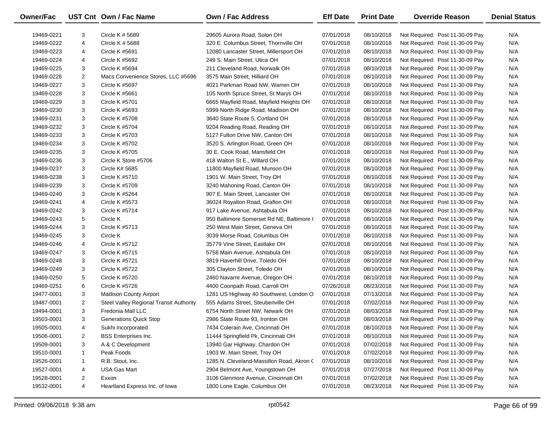| Owner/Fac  |                | UST Cnt Own / Fac Name                  | Own / Fac Address                         | <b>Eff Date</b> | <b>Print Date</b> | <b>Override Reason</b>          | <b>Denial Status</b> |
|------------|----------------|-----------------------------------------|-------------------------------------------|-----------------|-------------------|---------------------------------|----------------------|
| 19469-0221 | 3              | Circle K # 5689                         | 29605 Aurora Road, Solon OH               | 07/01/2018      | 08/10/2018        | Not Required: Post 11-30-09 Pay | N/A                  |
| 19469-0222 | 4              | CIrcle K # 5688                         | 320 E. Columbus Street, Thornville OH     | 07/01/2018      | 08/10/2018        | Not Required: Post 11-30-09 Pay | N/A                  |
| 19469-0223 | 4              | Circle K #5691                          | 12080 Lancaster Street, Millersport OH    | 07/01/2018      | 08/10/2018        | Not Required: Post 11-30-09 Pay | N/A                  |
| 19469-0224 | 4              | Circle K #5692                          | 249 S. Main Street, Utica OH              | 07/01/2018      | 08/10/2018        | Not Required: Post 11-30-09 Pay | N/A                  |
| 19469-0225 | 3              | Circle K #5694                          | 211 Cleveland Road, Norwalk OH            | 07/01/2018      | 08/10/2018        | Not Required: Post 11-30-09 Pay | N/A                  |
| 19469-0226 | $\overline{2}$ | Macs Convenience Stores, LLC #5696      | 3575 Main Street, Hilliard OH             | 07/01/2018      | 08/10/2018        | Not Required: Post 11-30-09 Pay | N/A                  |
| 19469-0227 | 3              | Circle K #5697                          | 4021 Parkman Road NW, Warren OH           | 07/01/2018      | 08/10/2018        | Not Required: Post 11-30-09 Pay | N/A                  |
| 19469-0228 | 3              | Circle K #5661                          | 105 North Spruce Street, St Marys OH      | 07/01/2018      | 08/10/2018        | Not Required: Post 11-30-09 Pay | N/A                  |
| 19469-0229 | 3              | Circle K #5701                          | 6665 Mayfield Road, Mayfield Heights OH   | 07/01/2018      | 08/10/2018        | Not Required: Post 11-30-09 Pay | N/A                  |
| 19469-0230 | 3              | Circle K #5693                          | 5999 North Ridge Road, Madison OH         | 07/01/2018      | 08/10/2018        | Not Required: Post 11-30-09 Pay | N/A                  |
| 19469-0231 | 3              | Circle K #5708                          | 3640 State Route 5, Cortland OH           | 07/01/2018      | 08/10/2018        | Not Required: Post 11-30-09 Pay | N/A                  |
| 19469-0232 | 3              | Circle K #5704                          | 9204 Reading Road, Reading OH             | 07/01/2018      | 08/10/2018        | Not Required: Post 11-30-09 Pay | N/A                  |
| 19469-0233 | 3              | Circle K #5703                          | 5127 Fulton Drive NW, Canton OH           | 07/01/2018      | 08/10/2018        | Not Required: Post 11-30-09 Pay | N/A                  |
| 19469-0234 | 3              | Circle K #5702                          | 3520 S. Arlington Road, Green OH          | 07/01/2018      | 08/10/2018        | Not Required: Post 11-30-09 Pay | N/A                  |
| 19469-0235 | 3              | Circle K #5705                          | 30 E. Cook Road, Mansfield OH             | 07/01/2018      | 08/10/2018        | Not Required: Post 11-30-09 Pay | N/A                  |
| 19469-0236 | 3              | Circle K Store #5706                    | 418 Walton St E., Willard OH              | 07/01/2018      | 08/10/2018        | Not Required: Post 11-30-09 Pay | N/A                  |
| 19469-0237 | 3              | Circle K# 5685                          | 11800 Mayfield Road, Munson OH            | 07/01/2018      | 08/10/2018        | Not Required: Post 11-30-09 Pay | N/A                  |
| 19469-0238 | 3              | Circle K #5710                          | 1901 W. Main Street, Troy OH              | 07/01/2018      | 08/10/2018        | Not Required: Post 11-30-09 Pay | N/A                  |
| 19469-0239 | 3              | Circle K #5709                          | 3240 Mahoning Road, Canton OH             | 07/01/2018      | 08/10/2018        | Not Required: Post 11-30-09 Pay | N/A                  |
| 19469-0240 | 3              | Circle K #5264                          | 907 E. Main Street, Lancaster OH          | 07/01/2018      | 08/10/2018        | Not Required: Post 11-30-09 Pay | N/A                  |
| 19469-0241 | 4              | Circle K #5573                          | 36024 Royalton Road, Grafton OH           | 07/01/2018      | 08/10/2018        | Not Required: Post 11-30-09 Pay | N/A                  |
| 19469-0242 | 3              | Circle K #5714                          | 917 Lake Avenue, Ashtabula OH             | 07/01/2018      | 08/10/2018        | Not Required: Post 11-30-09 Pay | N/A                  |
| 19469-0243 | 5              | Circle K                                | 950 Baltimore Somerset Rd NE, Baltimore ( | 07/01/2018      | 08/10/2018        | Not Required: Post 11-30-09 Pay | N/A                  |
| 19469-0244 | 3              | Circle K #5713                          | 250 West Main Street, Geneva OH           | 07/01/2018      | 08/10/2018        | Not Required: Post 11-30-09 Pay | N/A                  |
| 19469-0245 | 3              | Circle K                                | 3039 Morse Road, Columbus OH              | 07/01/2018      | 08/10/2018        | Not Required: Post 11-30-09 Pay | N/A                  |
| 19469-0246 | 4              | Circle K #5712                          | 35779 Vine Street, Eastlake OH            | 07/01/2018      | 08/10/2018        | Not Required: Post 11-30-09 Pay | N/A                  |
| 19469-0247 | 3              | Circle K #5715                          | 5758 Main Avenue, Ashtabula OH            | 07/01/2018      | 08/10/2018        | Not Required: Post 11-30-09 Pay | N/A                  |
| 19469-0248 | 3              | Circle K #5721                          | 3819 Haverhill Drive, Toledo OH           | 07/01/2018      | 08/10/2018        | Not Required: Post 11-30-09 Pay | N/A                  |
| 19469-0249 | 3              | Circle K #5722                          | 305 Clayton Street, Toledo OH             | 07/01/2018      | 08/10/2018        | Not Required: Post 11-30-09 Pay | N/A                  |
| 19469-0250 | 5              | Circle K #5720                          | 2460 Navarre Avenue, Oregon OH            | 07/01/2018      | 08/10/2018        | Not Required: Post 11-30-09 Pay | N/A                  |
| 19469-0251 | 6              | Circle K #5726                          | 4400 Coonpath Road, Carroll OH            | 07/26/2018      | 08/23/2018        | Not Required: Post 11-30-09 Pay | N/A                  |
| 19477-0001 | 3              | <b>Madison County Airport</b>           | 1281 US Highway 40 Southwest, London O    | 07/01/2018      | 07/13/2018        | Not Required: Post 11-30-09 Pay | N/A                  |
| 19487-0001 | 2              | Steel Valley Regional Transit Authority | 555 Adams Street, Steubenville OH         | 07/01/2018      | 07/02/2018        | Not Required: Post 11-30-09 Pay | N/A                  |
| 19494-0001 | 3              | Fredonia Mall LLC                       | 6754 North Street NW, Newark OH           | 07/01/2018      | 08/03/2018        | Not Required: Post 11-30-09 Pay | N/A                  |
| 19503-0001 | 3              | <b>Generations Quick Stop</b>           | 2986 State Route 93, Ironton OH           | 07/01/2018      | 08/03/2018        | Not Required: Post 11-30-09 Pay | N/A                  |
| 19505-0001 | 4              | Sukhi Incorporated                      | 7434 Colerain Ave, Cincinnati OH          | 07/01/2018      | 08/10/2018        | Not Required: Post 11-30-09 Pay | N/A                  |
| 19506-0001 | 2              | <b>BSS Enterprises Inc.</b>             | 11444 Springfield Pk, Cincinnati OH       | 07/01/2018      | 08/10/2018        | Not Required: Post 11-30-09 Pay | N/A                  |
| 19509-0001 | 3              | A & C Development                       | 13940 Gar Highway, Chardon OH             | 07/01/2018      | 07/02/2018        | Not Required: Post 11-30-09 Pay | N/A                  |
| 19510-0001 | $\mathbf{1}$   | Peak Foods                              | 1903 W. Main Street, Troy OH              | 07/01/2018      | 07/02/2018        | Not Required: Post 11-30-09 Pay | N/A                  |
| 19526-0001 | 1              | R.B. Stout, Inc.                        | 1285 N. Cleveland-Massillon Road, Akron ( | 07/01/2018      | 08/10/2018        | Not Required: Post 11-30-09 Pay | N/A                  |
| 19527-0001 | 4              | USA Gas Mart                            | 2904 Belmont Ave, Youngstown OH           | 07/01/2018      | 07/27/2018        | Not Required: Post 11-30-09 Pay | N/A                  |
| 19528-0001 | 2              | Exxon                                   | 3106 Glenmore Avenue, Cincinnati OH       | 07/01/2018      | 07/02/2018        | Not Required: Post 11-30-09 Pay | N/A                  |
| 19532-0001 | 4              | Heartland Express Inc. of Iowa          | 1800 Lone Eagle, Columbus OH              | 07/01/2018      | 08/23/2018        | Not Required: Post 11-30-09 Pay | N/A                  |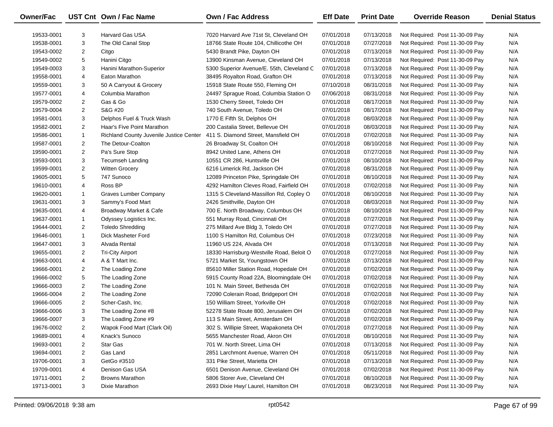| <b>Owner/Fac</b> |                | UST Cnt Own / Fac Name                  | <b>Own / Fac Address</b>                  | <b>Eff Date</b> | <b>Print Date</b> | <b>Override Reason</b>          | <b>Denial Status</b> |
|------------------|----------------|-----------------------------------------|-------------------------------------------|-----------------|-------------------|---------------------------------|----------------------|
| 19533-0001       | 3              | <b>Harvard Gas USA</b>                  | 7020 Harvard Ave 71st St, Cleveland OH    | 07/01/2018      | 07/13/2018        | Not Required: Post 11-30-09 Pay | N/A                  |
| 19538-0001       | 3              | The Old Canal Stop                      | 18766 State Route 104, Chillicothe OH     | 07/01/2018      | 07/27/2018        | Not Required: Post 11-30-09 Pay | N/A                  |
| 19543-0002       | $\overline{2}$ | Citgo                                   | 5430 Brandt Pike, Dayton OH               | 07/01/2018      | 07/13/2018        | Not Required: Post 11-30-09 Pay | N/A                  |
| 19549-0002       | 5              | Hanini Citgo                            | 13900 Kinsman Avenue, Cleveland OH        | 07/01/2018      | 07/13/2018        | Not Required: Post 11-30-09 Pay | N/A                  |
| 19549-0003       | 3              | Hanini Marathon-Superior                | 5300 Superior Avenue/E. 55th, Cleveland C | 07/01/2018      | 07/13/2018        | Not Required: Post 11-30-09 Pay | N/A                  |
| 19558-0001       | 4              | Eaton Marathon                          | 38495 Royalton Road, Grafton OH           | 07/01/2018      | 07/13/2018        | Not Required: Post 11-30-09 Pay | N/A                  |
| 19559-0001       | 3              | 50 A Carryout & Grocery                 | 15918 State Route 550, Fleming OH         | 07/10/2018      | 08/31/2018        | Not Required: Post 11-30-09 Pay | N/A                  |
| 19577-0001       | 4              | Columbia Marathon                       | 24497 Sprague Road, Columbia Station O    | 07/06/2018      | 08/31/2018        | Not Required: Post 11-30-09 Pay | N/A                  |
| 19579-0002       | $\overline{2}$ | Gas & Go                                | 1530 Cherry Street, Toledo OH             | 07/01/2018      | 08/17/2018        | Not Required: Post 11-30-09 Pay | N/A                  |
| 19579-0004       | $\overline{2}$ | S&G #20                                 | 740 South Avenue, Toledo OH               | 07/01/2018      | 08/17/2018        | Not Required: Post 11-30-09 Pay | N/A                  |
| 19581-0001       | 3              | Delphos Fuel & Truck Wash               | 1770 E Fifth St, Delphos OH               | 07/01/2018      | 08/03/2018        | Not Required: Post 11-30-09 Pay | N/A                  |
| 19582-0001       | $\overline{2}$ | Haar's Five Point Marathon              | 200 Castalia Street, Bellevue OH          | 07/01/2018      | 08/03/2018        | Not Required: Post 11-30-09 Pay | N/A                  |
| 19586-0001       | $\mathbf{1}$   | Richland County Juvenile Justice Center | 411 S. Diamond Street, Mansfield OH       | 07/01/2018      | 07/02/2018        | Not Required: Post 11-30-09 Pay | N/A                  |
| 19587-0001       | $\overline{2}$ | The Detour-Coalton                      | 26 Broadway St, Coalton OH                | 07/01/2018      | 08/10/2018        | Not Required: Post 11-30-09 Pay | N/A                  |
| 19590-0001       | $\overline{2}$ | Pa's Sure Stop                          | 8942 United Lane, Athens OH               | 07/01/2018      | 07/27/2018        | Not Required: Post 11-30-09 Pay | N/A                  |
| 19593-0001       | 3              | Tecumseh Landing                        | 10551 CR 286, Huntsville OH               | 07/01/2018      | 08/10/2018        | Not Required: Post 11-30-09 Pay | N/A                  |
| 19599-0001       | $\overline{2}$ | <b>Witten Grocery</b>                   | 6216 Limerick Rd, Jackson OH              | 07/01/2018      | 08/31/2018        | Not Required: Post 11-30-09 Pay | N/A                  |
| 19605-0001       | 5              | 747 Sunoco                              | 12089 Princeton Pike, Springdale OH       | 07/01/2018      | 08/10/2018        | Not Required: Post 11-30-09 Pay | N/A                  |
| 19610-0001       | 4              | Ross BP                                 | 4292 Hamilton Cleves Road, Fairfield OH   | 07/01/2018      | 07/02/2018        | Not Required: Post 11-30-09 Pay | N/A                  |
| 19620-0001       | $\mathbf{1}$   | <b>Graves Lumber Company</b>            | 1315 S Cleveland-Massillon Rd, Copley O   | 07/01/2018      | 08/10/2018        | Not Required: Post 11-30-09 Pay | N/A                  |
| 19631-0001       | 3              | Sammy's Food Mart                       | 2426 Smithville, Dayton OH                | 07/01/2018      | 08/03/2018        | Not Required: Post 11-30-09 Pay | N/A                  |
| 19635-0001       | 4              | Broadway Market & Cafe                  | 700 E. North Broadway, Columbus OH        | 07/01/2018      | 08/10/2018        | Not Required: Post 11-30-09 Pay | N/A                  |
| 19637-0001       | $\mathbf{1}$   | Odyssey Logistics Inc.                  | 551 Murray Road, Cincinnati OH            | 07/01/2018      | 07/27/2018        | Not Required: Post 11-30-09 Pay | N/A                  |
| 19644-0001       | $\overline{2}$ | <b>Toledo Shredding</b>                 | 275 Millard Ave Bldg 3, Toledo OH         | 07/01/2018      | 07/27/2018        | Not Required: Post 11-30-09 Pay | N/A                  |
| 19646-0001       | $\mathbf{1}$   | Dick Masheter Ford                      | 1100 S Hamilton Rd, Columbus OH           | 07/01/2018      | 07/23/2018        | Not Required: Post 11-30-09 Pay | N/A                  |
| 19647-0001       | 3              | Alvada Rental                           | 11960 US 224, Alvada OH                   | 07/01/2018      | 07/13/2018        | Not Required: Post 11-30-09 Pay | N/A                  |
| 19655-0001       | $\overline{2}$ | <b>Tri-City Airport</b>                 | 18330 Harrisburg-Westville Road, Beloit O | 07/01/2018      | 07/27/2018        | Not Required: Post 11-30-09 Pay | N/A                  |
| 19663-0001       | 4              | A & T Mart Inc.                         | 5721 Market St, Youngstown OH             | 07/01/2018      | 07/13/2018        | Not Required: Post 11-30-09 Pay | N/A                  |
| 19666-0001       | $\overline{2}$ | The Loading Zone                        | 85610 Miller Station Road, Hopedale OH    | 07/01/2018      | 07/02/2018        | Not Required: Post 11-30-09 Pay | N/A                  |
| 19666-0002       | 5              | The Loading Zone                        | 5915 County Road 22A, Bloomingdale OH     | 07/01/2018      | 07/02/2018        | Not Required: Post 11-30-09 Pay | N/A                  |
| 19666-0003       | $\overline{2}$ | The Loading Zone                        | 101 N. Main Street, Bethesda OH           | 07/01/2018      | 07/02/2018        | Not Required: Post 11-30-09 Pay | N/A                  |
| 19666-0004       | $\overline{2}$ | The Loading Zone                        | 72090 Colerain Road, Bridgeport OH        | 07/01/2018      | 07/02/2018        | Not Required: Post 11-30-09 Pay | N/A                  |
| 19666-0005       | $\overline{2}$ | Scher-Cash, Inc.                        | 150 William Street, Yorkville OH          | 07/01/2018      | 07/02/2018        | Not Required: Post 11-30-09 Pay | N/A                  |
| 19666-0006       | 3              | The Loading Zone #8                     | 52278 State Route 800, Jerusalem OH       | 07/01/2018      | 07/02/2018        | Not Required: Post 11-30-09 Pay | N/A                  |
| 19666-0007       | 3              | The Loading Zone #9                     | 113 S Main Street, Amsterdam OH           | 07/01/2018      | 07/02/2018        | Not Required: Post 11-30-09 Pay | N/A                  |
| 19676-0002       | $\overline{c}$ | Wapok Food Mart (Clark Oil)             | 302 S. Willipie Street, Wapakoneta OH     | 07/01/2018      | 07/27/2018        | Not Required: Post 11-30-09 Pay | N/A                  |
| 19689-0001       | 4              | Knack's Sunoco                          | 5655 Manchester Road, Akron OH            | 07/01/2018      | 08/10/2018        | Not Required: Post 11-30-09 Pay | N/A                  |
| 19693-0001       | 2              | Star Gas                                | 701 W. North Street, Lima OH              | 07/01/2018      | 07/13/2018        | Not Required: Post 11-30-09 Pay | N/A                  |
| 19694-0001       | 2              | Gas Land                                | 2851 Larchmont Avenue, Warren OH          | 07/01/2018      | 05/11/2018        | Not Required: Post 11-30-09 Pay | N/A                  |
| 19706-0001       | 3              | GetGo #3510                             | 331 Pike Street, Marietta OH              | 07/01/2018      | 07/13/2018        | Not Required: Post 11-30-09 Pay | N/A                  |
| 19709-0001       | 4              | Denison Gas USA                         | 6501 Denison Avenue, Cleveland OH         | 07/01/2018      | 07/02/2018        | Not Required: Post 11-30-09 Pay | N/A                  |
| 19711-0001       | 2              | <b>Browns Marathon</b>                  | 5806 Storer Ave, Cleveland OH             | 07/01/2018      | 08/10/2018        | Not Required: Post 11-30-09 Pay | N/A                  |
| 19713-0001       | 3              | Dixie Marathon                          | 2693 Dixie Hwy/ Laurel, Hamilton OH       | 07/01/2018      | 08/23/2018        | Not Required: Post 11-30-09 Pay | N/A                  |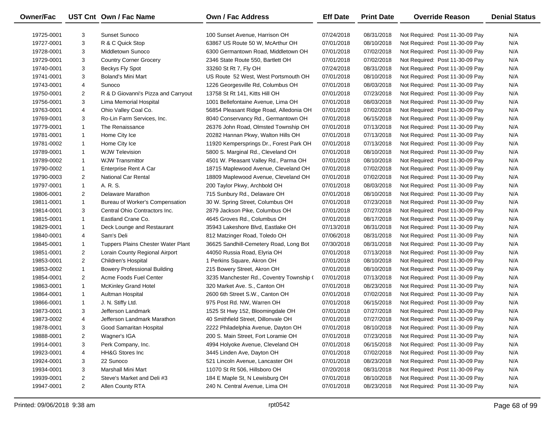| <b>Owner/Fac</b> |                | UST Cnt Own / Fac Name              | <b>Own / Fac Address</b>                 | <b>Eff Date</b> | <b>Print Date</b> | <b>Override Reason</b>          | <b>Denial Status</b> |
|------------------|----------------|-------------------------------------|------------------------------------------|-----------------|-------------------|---------------------------------|----------------------|
| 19725-0001       | 3              | <b>Sunset Sunoco</b>                | 100 Sunset Avenue, Harrison OH           | 07/24/2018      | 08/31/2018        | Not Required: Post 11-30-09 Pay | N/A                  |
| 19727-0001       | 3              | R & C Quick Stop                    | 63867 US Route 50 W, McArthur OH         | 07/01/2018      | 08/10/2018        | Not Required: Post 11-30-09 Pay | N/A                  |
| 19728-0001       | 3              | Middletown Sunoco                   | 6300 Germantown Road, Middletown OH      | 07/01/2018      | 07/02/2018        | Not Required: Post 11-30-09 Pay | N/A                  |
| 19729-0001       | 3              | <b>Country Corner Grocery</b>       | 2346 State Route 550, Bartlett OH        | 07/01/2018      | 07/02/2018        | Not Required: Post 11-30-09 Pay | N/A                  |
| 19740-0001       | 3              | Beckys Fly Spot                     | 33260 St Rt 7, Fly OH                    | 07/24/2018      | 08/31/2018        | Not Required: Post 11-30-09 Pay | N/A                  |
| 19741-0001       | 3              | Boland's Mini Mart                  | US Route 52 West, West Portsmouth OH     | 07/01/2018      | 08/10/2018        | Not Required: Post 11-30-09 Pay | N/A                  |
| 19743-0001       | 4              | Sunoco                              | 1226 Georgesville Rd, Columbus OH        | 07/01/2018      | 08/03/2018        | Not Required: Post 11-30-09 Pay | N/A                  |
| 19750-0001       | $\overline{2}$ | R & D Giovanni's Pizza and Carryout | 13758 St Rt 141, Kitts Hill OH           | 07/01/2018      | 07/23/2018        | Not Required: Post 11-30-09 Pay | N/A                  |
| 19756-0001       | 3              | Lima Memorial Hospital              | 1001 Bellefontaine Avenue, Lima OH       | 07/01/2018      | 08/03/2018        | Not Required: Post 11-30-09 Pay | N/A                  |
| 19763-0001       | 4              | Ohio Valley Coal Co.                | 56854 Pleasant Ridge Road, Alledonia OH  | 07/01/2018      | 07/02/2018        | Not Required: Post 11-30-09 Pay | N/A                  |
| 19769-0001       | 3              | Ro-Lin Farm Services, Inc.          | 8040 Conservancy Rd., Germantown OH      | 07/01/2018      | 06/15/2018        | Not Required: Post 11-30-09 Pay | N/A                  |
| 19779-0001       | $\mathbf{1}$   | The Renaissance                     | 26376 John Road, Olmsted Township OH     | 07/01/2018      | 07/13/2018        | Not Required: Post 11-30-09 Pay | N/A                  |
| 19781-0001       | 1              | Home City Ice                       | 20282 Hannan Pkwy, Walton Hills OH       | 07/01/2018      | 07/13/2018        | Not Required: Post 11-30-09 Pay | N/A                  |
| 19781-0002       | $\mathbf{1}$   | Home City Ice                       | 11920 Kempersprings Dr., Forest Park OH  | 07/01/2018      | 07/13/2018        | Not Required: Post 11-30-09 Pay | N/A                  |
| 19789-0001       | $\mathbf{1}$   | <b>WJW Television</b>               | 5800 S. Marginal Rd., Cleveland OH       | 07/01/2018      | 08/10/2018        | Not Required: Post 11-30-09 Pay | N/A                  |
| 19789-0002       | $\mathbf{1}$   | <b>WJW Transmittor</b>              | 4501 W. Pleasant Valley Rd., Parma OH    | 07/01/2018      | 08/10/2018        | Not Required: Post 11-30-09 Pay | N/A                  |
| 19790-0002       | $\mathbf{1}$   | Enterprise Rent A Car               | 18715 Maplewood Avenue, Cleveland OH     | 07/01/2018      | 07/02/2018        | Not Required: Post 11-30-09 Pay | N/A                  |
| 19790-0003       | $\overline{2}$ | <b>National Car Rental</b>          | 18809 Maplewood Avenue, Cleveland OH     | 07/01/2018      | 07/02/2018        | Not Required: Post 11-30-09 Pay | N/A                  |
| 19797-0001       | $\mathbf{1}$   | A. R. S.                            | 200 Taylor Pkwy, Archbold OH             | 07/01/2018      | 08/03/2018        | Not Required: Post 11-30-09 Pay | N/A                  |
| 19806-0001       | $\overline{2}$ | Delaware Marathon                   | 715 Sunbury Rd., Delaware OH             | 07/01/2018      | 08/10/2018        | Not Required: Post 11-30-09 Pay | N/A                  |
| 19811-0001       | $\mathbf{1}$   | Bureau of Worker's Compensation     | 30 W. Spring Street, Columbus OH         | 07/01/2018      | 07/23/2018        | Not Required: Post 11-30-09 Pay | N/A                  |
| 19814-0001       | 3              | Central Ohio Contractors Inc.       | 2879 Jackson Pike, Columbus OH           | 07/01/2018      | 07/27/2018        | Not Required: Post 11-30-09 Pay | N/A                  |
| 19815-0001       | $\mathbf{1}$   | Eastland Crane Co.                  | 4645 Groves Rd., Columbus OH             | 07/01/2018      | 08/17/2018        | Not Required: Post 11-30-09 Pay | N/A                  |
| 19829-0001       | $\mathbf{1}$   | Deck Lounge and Restaurant          | 35943 Lakeshore Blvd, Eastlake OH        | 07/13/2018      | 08/31/2018        | Not Required: Post 11-30-09 Pay | N/A                  |
| 19840-0001       | 4              | Sam's Deli                          | 812 Matzinger Road, Toledo OH            | 07/06/2018      | 08/31/2018        | Not Required: Post 11-30-09 Pay | N/A                  |
| 19845-0001       | $\mathbf{1}$   | Tuppers Plains Chester Water Plant  | 36625 Sandhill-Cemetery Road, Long Bot   | 07/30/2018      | 08/31/2018        | Not Required: Post 11-30-09 Pay | N/A                  |
| 19851-0001       | $\overline{2}$ | Lorain County Regional Airport      | 44050 Russia Road, Elyria OH             | 07/01/2018      | 07/13/2018        | Not Required: Post 11-30-09 Pay | N/A                  |
| 19853-0001       | $\overline{2}$ | Children's Hospital                 | 1 Perkins Square, Akron OH               | 07/01/2018      | 08/10/2018        | Not Required: Post 11-30-09 Pay | N/A                  |
| 19853-0002       | $\mathbf{1}$   | <b>Bowery Professional Building</b> | 215 Bowery Street, Akron OH              | 07/01/2018      | 08/10/2018        | Not Required: Post 11-30-09 Pay | N/A                  |
| 19854-0001       | $\overline{2}$ | Acme Foods Fuel Center              | 3235 Manchester Rd., Coventry Township ( | 07/01/2018      | 07/13/2018        | Not Required: Post 11-30-09 Pay | N/A                  |
| 19863-0001       | $\mathbf{1}$   | <b>McKinley Grand Hotel</b>         | 320 Market Ave. S., Canton OH            | 07/01/2018      | 08/23/2018        | Not Required: Post 11-30-09 Pay | N/A                  |
| 19864-0001       | $\mathbf{1}$   | Aultman Hospital                    | 2600 6th Street S.W., Canton OH          | 07/01/2018      | 07/02/2018        | Not Required: Post 11-30-09 Pay | N/A                  |
| 19866-0001       | $\mathbf{1}$   | J. N. Stiffy Ltd.                   | 975 Post Rd. NW, Warren OH               | 07/01/2018      | 06/15/2018        | Not Required: Post 11-30-09 Pay | N/A                  |
| 19873-0001       | 3              | Jefferson Landmark                  | 1525 St Hwy 152, Bloomingdale OH         | 07/01/2018      | 07/27/2018        | Not Required: Post 11-30-09 Pay | N/A                  |
| 19873-0002       | 4              | Jefferson Landmark Marathon         | 40 Smithfield Street, Dillonvale OH      | 07/01/2018      | 07/27/2018        | Not Required: Post 11-30-09 Pay | N/A                  |
| 19878-0001       | 3              | Good Samaritan Hospital             | 2222 Philadelphia Avenue, Dayton OH      | 07/01/2018      | 08/10/2018        | Not Required: Post 11-30-09 Pay | N/A                  |
| 19888-0001       | $\overline{2}$ | Wagner's IGA                        | 200 S. Main Street, Fort Loramie OH      | 07/01/2018      | 07/23/2018        | Not Required: Post 11-30-09 Pay | N/A                  |
| 19914-0001       | 3              | Perk Company, Inc.                  | 4994 Holyoke Avenue, Cleveland OH        | 07/01/2018      | 06/15/2018        | Not Required: Post 11-30-09 Pay | N/A                  |
| 19923-0001       | 4              | HH&G Stores Inc                     | 3445 Linden Ave, Dayton OH               | 07/01/2018      | 07/02/2018        | Not Required: Post 11-30-09 Pay | N/A                  |
| 19924-0001       | 3              | 22 Sunoco                           | 521 Lincoln Avenue, Lancaster OH         | 07/01/2018      | 08/23/2018        | Not Required: Post 11-30-09 Pay | N/A                  |
| 19934-0001       | 3              | Marshall Mini Mart                  | 11070 St Rt 506, Hillsboro OH            | 07/20/2018      | 08/31/2018        | Not Required: Post 11-30-09 Pay | N/A                  |
| 19939-0001       | $\overline{2}$ | Steve's Market and Deli #3          | 184 E Maple St, N Lewisburg OH           | 07/01/2018      | 08/10/2018        | Not Required: Post 11-30-09 Pay | N/A                  |
| 19947-0001       | $\overline{2}$ | Allen County RTA                    | 240 N. Central Avenue, Lima OH           | 07/01/2018      | 08/23/2018        | Not Required: Post 11-30-09 Pay | N/A                  |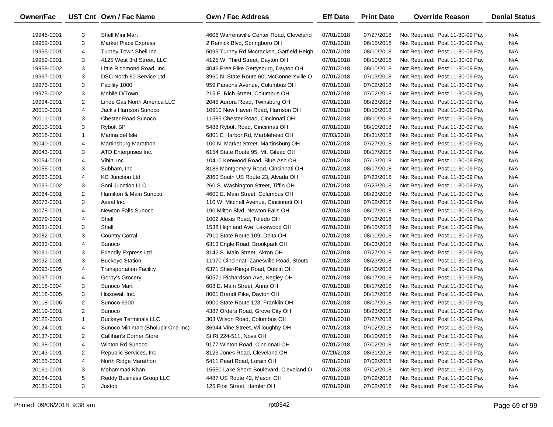| <b>Owner/Fac</b> |                | UST Cnt Own / Fac Name             | <b>Own / Fac Address</b>                  | <b>Eff Date</b> | <b>Print Date</b> | <b>Override Reason</b>          | <b>Denial Status</b> |
|------------------|----------------|------------------------------------|-------------------------------------------|-----------------|-------------------|---------------------------------|----------------------|
| 19948-0001       | 3              | <b>Shell Mini Mart</b>             | 4606 Warrensville Center Road, Cleveland  | 07/01/2018      | 07/27/2018        | Not Required: Post 11-30-09 Pay | N/A                  |
| 19952-0001       | 3              | <b>Market Place Express</b>        | 2 Remick Blvd, Springboro OH              | 07/01/2018      | 06/15/2018        | Not Required: Post 11-30-09 Pay | N/A                  |
| 19955-0001       | 4              | <b>Turney Town Shell Inc</b>       | 5095 Turney Rd Mccracken, Garfield Heigh  | 07/01/2018      | 08/10/2018        | Not Required: Post 11-30-09 Pay | N/A                  |
| 19959-0001       | 3              | 4125 West 3rd Street, LLC          | 4125 W. Third Street, Dayton OH           | 07/01/2018      | 08/10/2018        | Not Required: Post 11-30-09 Pay | N/A                  |
| 19959-0002       | 3              | Little Richmond Road, Inc.         | 4046 Free Pike Gettysburg, Dayton OH      | 07/01/2018      | 08/10/2018        | Not Required: Post 11-30-09 Pay | N/A                  |
| 19967-0001       | 3              | DSC North 60 Service Ltd.          | 3960 N. State Route 60, McConnellsville O | 07/01/2018      | 07/13/2018        | Not Required: Post 11-30-09 Pay | N/A                  |
| 19975-0001       | 3              | Facility 1000                      | 959 Parsons Avenue, Columbus OH           | 07/01/2018      | 07/02/2018        | Not Required: Post 11-30-09 Pay | N/A                  |
| 19975-0002       | 3              | Mobile D/Town                      | 215 E. Rich Street, Columbus OH           | 07/01/2018      | 07/02/2018        | Not Required: Post 11-30-09 Pay | N/A                  |
| 19994-0001       | $\overline{2}$ | Linde Gas North America LLC        | 2045 Aurora Road, Twinsburg OH            | 07/01/2018      | 08/23/2018        | Not Required: Post 11-30-09 Pay | N/A                  |
| 20010-0001       | 4              | Jack's Harrison Sunoco             | 10910 New Haven Road, Harrison OH         | 07/01/2018      | 08/10/2018        | Not Required: Post 11-30-09 Pay | N/A                  |
| 20011-0001       | 3              | <b>Chester Road Sunoco</b>         | 11585 Chester Road, Cincinnati OH         | 07/01/2018      | 08/10/2018        | Not Required: Post 11-30-09 Pay | N/A                  |
| 20013-0001       | 3              | Rybolt BP                          | 5488 Rybolt Road, Cincinnati OH           | 07/01/2018      | 08/10/2018        | Not Required: Post 11-30-09 Pay | N/A                  |
| 20018-0001       | $\mathbf{1}$   | Marina del Isle                    | 6801 E Harbor Rd, Marblehead OH           | 07/03/2018      | 08/31/2018        | Not Required: Post 11-30-09 Pay | N/A                  |
| 20040-0001       | 4              | Martinsburg Marathon               | 100 N. Market Street, Martinsburg OH      | 07/01/2018      | 07/27/2018        | Not Required: Post 11-30-09 Pay | N/A                  |
| 20043-0001       | 3              | ATD Enterprises Inc.               | 6154 State Route 95, Mt. Gilead OH        | 07/01/2018      | 08/17/2018        | Not Required: Post 11-30-09 Pay | N/A                  |
| 20054-0001       | 4              | Vihini Inc.                        | 10410 Kenwood Road, Blue Ash OH           | 07/01/2018      | 07/13/2018        | Not Required: Post 11-30-09 Pay | N/A                  |
| 20055-0001       | 3              | Subham, Inc.                       | 8186 Montgomery Road, Cincinnati OH       | 07/01/2018      | 08/17/2018        | Not Required: Post 11-30-09 Pay | N/A                  |
| 20063-0001       | 4              | <b>KC Junction Ltd</b>             | 2860 South US Route 23, Alvada OH         | 07/01/2018      | 07/23/2018        | Not Required: Post 11-30-09 Pay | N/A                  |
| 20063-0002       | 3              | Soni Junction LLC                  | 260 S. Washington Street, Tiffin OH       | 07/01/2018      | 07/23/2018        | Not Required: Post 11-30-09 Pay | N/A                  |
| 20064-0001       | $\overline{2}$ | Hamilton & Main Sunoco             | 4600 E. Main Street, Columbus OH          | 07/01/2018      | 08/23/2018        | Not Required: Post 11-30-09 Pay | N/A                  |
| 20073-0001       | 3              | Aseal Inc.                         | 110 W. Mitchell Avenue, Cincinnati OH     | 07/01/2018      | 07/02/2018        | Not Required: Post 11-30-09 Pay | N/A                  |
| 20078-0001       | 4              | <b>Newton Falls Sunoco</b>         | 190 Milton Blvd, Newton Falls OH          | 07/01/2018      | 08/17/2018        | Not Required: Post 11-30-09 Pay | N/A                  |
| 20079-0001       | 4              | Shell                              | 1002 Alexis Road, Toledo OH               | 07/01/2018      | 07/13/2018        | Not Required: Post 11-30-09 Pay | N/A                  |
| 20081-0001       | 3              | Shell                              | 1538 Highland Ave, Lakewood OH            | 07/01/2018      | 06/15/2018        | Not Required: Post 11-30-09 Pay | N/A                  |
| 20082-0001       | 3              | <b>Country Corral</b>              | 7910 State Route 109, Delta OH            | 07/01/2018      | 08/10/2018        | Not Required: Post 11-30-09 Pay | N/A                  |
| 20083-0001       | 4              | Sunoco                             | 6313 Engle Road, Brookpark OH             | 07/01/2018      | 08/03/2018        | Not Required: Post 11-30-09 Pay | N/A                  |
| 20091-0001       | 3              | Friendly Express Ltd.              | 3142 S. Main Street, Akron OH             | 07/01/2018      | 07/27/2018        | Not Required: Post 11-30-09 Pay | N/A                  |
| 20092-0001       | 3              | <b>Buckeye Station</b>             | 11970 Cincinnati-Zanesville Road, Stouts  | 07/01/2018      | 08/23/2018        | Not Required: Post 11-30-09 Pay | N/A                  |
| 20093-0005       | 4              | <b>Transportation Facility</b>     | 6371 Shier-Rings Road, Dublin OH          | 07/01/2018      | 08/10/2018        | Not Required: Post 11-30-09 Pay | N/A                  |
| 20097-0001       | 4              | Gorby's Grocery                    | 50571 Richardson Ave, Negley OH           | 07/01/2018      | 08/17/2018        | Not Required: Post 11-30-09 Pay | N/A                  |
| 20118-0004       | 3              | Sunoco Mart                        | 608 E. Main Street, Anna OH               | 07/01/2018      | 08/17/2018        | Not Required: Post 11-30-09 Pay | N/A                  |
| 20118-0005       | 3              | Hissowal, Inc.                     | 8001 Brandt Pike, Dayton OH               | 07/01/2018      | 08/17/2018        | Not Required: Post 11-30-09 Pay | N/A                  |
| 20118-0006       | $\overline{2}$ | Sunoco 6900                        | 6900 State Route 123, Franklin OH         | 07/01/2018      | 08/17/2018        | Not Required: Post 11-30-09 Pay | N/A                  |
| 20119-0001       | $\overline{2}$ | Sunoco                             | 4387 Orders Road, Grove City OH           | 07/01/2018      | 08/23/2018        | Not Required: Post 11-30-09 Pay | N/A                  |
| 20122-0003       | $\mathbf{1}$   | <b>Buckeye Terminals LLC</b>       | 303 Wilson Road, Columbus OH              | 07/01/2018      | 07/27/2018        | Not Required: Post 11-30-09 Pay | N/A                  |
| 20124-0001       | 4              | Sunoco Minimart (Bholupir One Inc) | 36944 Vine Street, Willoughby OH          | 07/01/2018      | 07/02/2018        | Not Required: Post 11-30-09 Pay | N/A                  |
| 20137-0001       | 2              | Callihan's Corner Store            | St Rt 224-511, Nova OH                    | 07/01/2018      | 08/10/2018        | Not Required: Post 11-30-09 Pay | N/A                  |
| 20138-0001       | 4              | Winton Rd Sunoco                   | 9177 Winton Road, Cincinnati OH           | 07/01/2018      | 07/02/2018        | Not Required: Post 11-30-09 Pay | N/A                  |
| 20143-0001       | 2              | Republic Services, Inc.            | 8123 Jones Road, Cleveland OH             | 07/20/2018      | 08/31/2018        | Not Required: Post 11-30-09 Pay | N/A                  |
| 20155-0001       | 4              | North Ridge Marathon               | 5411 Pearl Road, Lorain OH                | 07/01/2018      | 07/02/2018        | Not Required: Post 11-30-09 Pay | N/A                  |
| 20161-0001       | 3              | Mohammad Khan                      | 15550 Lake Shore Boulevard, Cleveland O   | 07/01/2018      | 07/02/2018        | Not Required: Post 11-30-09 Pay | N/A                  |
| 20164-0001       | 5              | Reddy Business Group LLC           | 4487 US Route 42, Mason OH                | 07/01/2018      | 07/02/2018        | Not Required: Post 11-30-09 Pay | N/A                  |
| 20181-0001       | 3              | Justop                             | 125 First Street, Hamler OH               | 07/01/2018      | 07/02/2018        | Not Required: Post 11-30-09 Pay | N/A                  |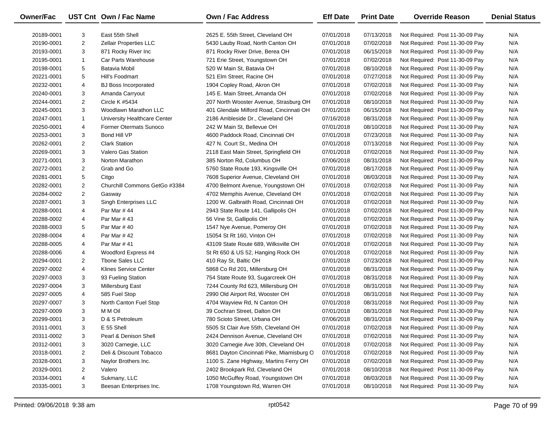| Owner/Fac  |                | UST Cnt Own / Fac Name        | <b>Own / Fac Address</b>                  | <b>Eff Date</b> | <b>Print Date</b> | <b>Override Reason</b>          | <b>Denial Status</b> |
|------------|----------------|-------------------------------|-------------------------------------------|-----------------|-------------------|---------------------------------|----------------------|
| 20189-0001 | 3              | East 55th Shell               | 2625 E. 55th Street, Cleveland OH         | 07/01/2018      | 07/13/2018        | Not Required: Post 11-30-09 Pay | N/A                  |
| 20190-0001 | $\overline{2}$ | Zellair Properties LLC        | 5430 Lauby Road, North Canton OH          | 07/01/2018      | 07/02/2018        | Not Required: Post 11-30-09 Pay | N/A                  |
| 20193-0001 | 3              | 871 Rocky River Inc           | 871 Rocky River Drive, Berea OH           | 07/01/2018      | 06/15/2018        | Not Required: Post 11-30-09 Pay | N/A                  |
| 20195-0001 | $\mathbf{1}$   | Car Parts Warehouse           | 721 Erie Street, Youngstown OH            | 07/01/2018      | 07/02/2018        | Not Required: Post 11-30-09 Pay | N/A                  |
| 20198-0001 | 5              | Batavia Mobil                 | 520 W Main St, Batavia OH                 | 07/01/2018      | 08/10/2018        | Not Required: Post 11-30-09 Pay | N/A                  |
| 20221-0001 | 5              | Hill's Foodmart               | 521 Elm Street, Racine OH                 | 07/01/2018      | 07/27/2018        | Not Required: Post 11-30-09 Pay | N/A                  |
| 20232-0001 | 4              | <b>BJ Boss Incorporated</b>   | 1904 Copley Road, Akron OH                | 07/01/2018      | 07/02/2018        | Not Required: Post 11-30-09 Pay | N/A                  |
| 20240-0001 | 3              | Amanda Carryout               | 145 E. Main Street, Amanda OH             | 07/01/2018      | 07/02/2018        | Not Required: Post 11-30-09 Pay | N/A                  |
| 20244-0001 | $\overline{2}$ | Circle K #5434                | 207 North Wooster Avenue, Strasburg OH    | 07/01/2018      | 08/10/2018        | Not Required: Post 11-30-09 Pay | N/A                  |
| 20245-0001 | 3              | Woodlawn Marathon LLC         | 401 Glendale Milford Road, Cincinnati OH  | 07/01/2018      | 06/15/2018        | Not Required: Post 11-30-09 Pay | N/A                  |
| 20247-0001 | $\mathbf{1}$   | University Healthcare Center  | 2186 Ambleside Dr., Cleveland OH          | 07/16/2018      | 08/31/2018        | Not Required: Post 11-30-09 Pay | N/A                  |
| 20250-0001 | 4              | <b>Former Otermats Sunoco</b> | 242 W Main St, Bellevue OH                | 07/01/2018      | 08/10/2018        | Not Required: Post 11-30-09 Pay | N/A                  |
| 20253-0001 | 3              | Bond Hill VP                  | 4600 Paddock Road, Cincinnati OH          | 07/01/2018      | 07/23/2018        | Not Required: Post 11-30-09 Pay | N/A                  |
| 20262-0001 | $\overline{2}$ | <b>Clark Station</b>          | 427 N. Court St., Medina OH               | 07/01/2018      | 07/13/2018        | Not Required: Post 11-30-09 Pay | N/A                  |
| 20269-0001 | 3              | <b>Valero Gas Station</b>     | 2118 East Main Street, Springfield OH     | 07/01/2018      | 07/02/2018        | Not Required: Post 11-30-09 Pay | N/A                  |
| 20271-0001 | 3              | Norton Marathon               | 385 Norton Rd, Columbus OH                | 07/06/2018      | 08/31/2018        | Not Required: Post 11-30-09 Pay | N/A                  |
| 20272-0001 | $\overline{2}$ | Grab and Go                   | 5760 State Route 193, Kingsville OH       | 07/01/2018      | 08/17/2018        | Not Required: Post 11-30-09 Pay | N/A                  |
| 20281-0001 | 5              | Citgo                         | 7608 Superior Avenue, Cleveland OH        | 07/01/2018      | 08/03/2018        | Not Required: Post 11-30-09 Pay | N/A                  |
| 20282-0001 | $\overline{2}$ | Churchill Commons GetGo #3384 | 4700 Belmont Avenue, Youngstown OH        | 07/01/2018      | 07/02/2018        | Not Required: Post 11-30-09 Pay | N/A                  |
| 20284-0002 | $\overline{2}$ | Gasway                        | 4702 Memphis Avenue, Cleveland OH         | 07/01/2018      | 07/02/2018        | Not Required: Post 11-30-09 Pay | N/A                  |
| 20287-0001 | 3              | Singh Enterprises LLC         | 1200 W. Galbraith Road, Cincinnati OH     | 07/01/2018      | 07/02/2018        | Not Required: Post 11-30-09 Pay | N/A                  |
| 20288-0001 | 4              | Par Mar #44                   | 2943 State Route 141, Gallipolis OH       | 07/01/2018      | 07/02/2018        | Not Required: Post 11-30-09 Pay | N/A                  |
| 20288-0002 | 4              | Par Mar #43                   | 56 Vine St, Gallipolis OH                 | 07/01/2018      | 07/02/2018        | Not Required: Post 11-30-09 Pay | N/A                  |
| 20288-0003 | 5              | Par Mar #40                   | 1547 Nye Avenue, Pomeroy OH               | 07/01/2018      | 07/02/2018        | Not Required: Post 11-30-09 Pay | N/A                  |
| 20288-0004 | 4              | Par Mar #42                   | 15054 St Rt 160, Vinton OH                | 07/01/2018      | 07/02/2018        | Not Required: Post 11-30-09 Pay | N/A                  |
| 20288-0005 | 4              | Par Mar #41                   | 43109 State Route 689, Wilksville OH      | 07/01/2018      | 07/02/2018        | Not Required: Post 11-30-09 Pay | N/A                  |
| 20288-0006 | 4              | Woodford Express #4           | St Rt 650 & US 52, Hanging Rock OH        | 07/01/2018      | 07/02/2018        | Not Required: Post 11-30-09 Pay | N/A                  |
| 20294-0001 | 2              | <b>Thone Sales LLC</b>        | 410 Ray St, Baltic OH                     | 07/01/2018      | 07/23/2018        | Not Required: Post 11-30-09 Pay | N/A                  |
| 20297-0002 | 4              | Klines Service Center         | 5868 Co Rd 201, Millersburg OH            | 07/01/2018      | 08/31/2018        | Not Required: Post 11-30-09 Pay | N/A                  |
| 20297-0003 | 3              | 93 Fueling Station            | 754 State Route 93, Sugarcreek OH         | 07/01/2018      | 08/31/2018        | Not Required: Post 11-30-09 Pay | N/A                  |
| 20297-0004 | 3              | Millersburg East              | 7244 County Rd 623, Millersburg OH        | 07/01/2018      | 08/31/2018        | Not Required: Post 11-30-09 Pay | N/A                  |
| 20297-0005 | 4              | 585 Fuel Stop                 | 2990 Old Airport Rd, Wooster OH           | 07/01/2018      | 08/31/2018        | Not Required: Post 11-30-09 Pay | N/A                  |
| 20297-0007 | 3              | North Canton Fuel Stop        | 4704 Wayview Rd, N Canton OH              | 07/01/2018      | 08/31/2018        | Not Required: Post 11-30-09 Pay | N/A                  |
| 20297-0009 | 3              | M M Oil                       | 39 Cochran Street, Dalton OH              | 07/01/2018      | 08/31/2018        | Not Required: Post 11-30-09 Pay | N/A                  |
| 20299-0001 | 3              | D & S Petroleum               | 780 Scioto Street, Urbana OH              | 07/06/2018      | 08/31/2018        | Not Required: Post 11-30-09 Pay | N/A                  |
| 20311-0001 | 3              | E 55 Shell                    | 5505 St Clair Ave 55th, Cleveland OH      | 07/01/2018      | 07/02/2018        | Not Required: Post 11-30-09 Pay | N/A                  |
| 20311-0002 | 3              | Pearl & Denison Shell         | 2424 Dennison Avenue, Cleveland OH        | 07/01/2018      | 07/02/2018        | Not Required: Post 11-30-09 Pay | N/A                  |
| 20312-0001 | 3              | 3020 Carnegie, LLC            | 3020 Carnegie Ave 30th, Cleveland OH      | 07/01/2018      | 07/02/2018        | Not Required: Post 11-30-09 Pay | N/A                  |
| 20318-0001 | 2              | Deli & Discount Tobacco       | 8681 Dayton Cincinnati Pike, Miamisburg O | 07/01/2018      | 07/02/2018        | Not Required: Post 11-30-09 Pay | N/A                  |
| 20328-0001 | 3              | Naylor Brothers Inc.          | 1100 S. Zane Highway, Martins Ferry OH    | 07/01/2018      | 07/02/2018        | Not Required: Post 11-30-09 Pay | N/A                  |
| 20329-0001 | 2              | Valero                        | 2402 Brookpark Rd, Cleveland OH           | 07/01/2018      | 08/10/2018        | Not Required: Post 11-30-09 Pay | N/A                  |
| 20334-0001 | 4              | Sukmany, LLC                  | 1050 McGuffey Road, Youngstown OH         | 07/01/2018      | 08/03/2018        | Not Required: Post 11-30-09 Pay | N/A                  |
| 20335-0001 | 3              | Beesan Enterprises Inc.       | 1708 Youngstown Rd, Warren OH             | 07/01/2018      | 08/10/2018        | Not Required: Post 11-30-09 Pay | N/A                  |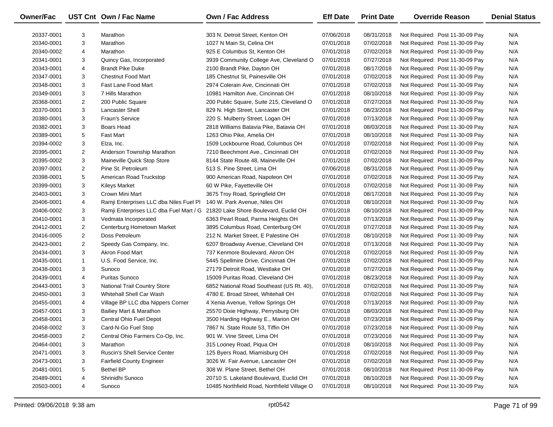| Owner/Fac  |                | UST Cnt Own / Fac Name                  | Own / Fac Address                           | <b>Eff Date</b> | <b>Print Date</b> | <b>Override Reason</b>          | <b>Denial Status</b> |
|------------|----------------|-----------------------------------------|---------------------------------------------|-----------------|-------------------|---------------------------------|----------------------|
| 20337-0001 | 3              | Marathon                                | 303 N. Detroit Street, Kenton OH            | 07/06/2018      | 08/31/2018        | Not Required: Post 11-30-09 Pay | N/A                  |
| 20340-0001 | 3              | Marathon                                | 1027 N Main St, Celina OH                   | 07/01/2018      | 07/02/2018        | Not Required: Post 11-30-09 Pay | N/A                  |
| 20340-0002 | 4              | Marathon                                | 925 E Columbus St, Kenton OH                | 07/01/2018      | 07/02/2018        | Not Required: Post 11-30-09 Pay | N/A                  |
| 20341-0001 | 3              | Quincy Gas, Incorporated                | 3939 Community College Ave, Cleveland O     | 07/01/2018      | 07/27/2018        | Not Required: Post 11-30-09 Pay | N/A                  |
| 20343-0001 | 4              | <b>Brandt Pike Duke</b>                 | 2100 Brandt Pike, Dayton OH                 | 07/01/2018      | 08/17/2018        | Not Required: Post 11-30-09 Pay | N/A                  |
| 20347-0001 | 3              | <b>Chestnut Food Mart</b>               | 185 Chestnut St, Painesville OH             | 07/01/2018      | 07/02/2018        | Not Required: Post 11-30-09 Pay | N/A                  |
| 20348-0001 | 3              | <b>Fast Lane Food Mart</b>              | 2974 Colerain Ave, Cincinnati OH            | 07/01/2018      | 07/02/2018        | Not Required: Post 11-30-09 Pay | N/A                  |
| 20349-0001 | 3              | 7 Hills Marathon                        | 10981 Hamilton Ave, Cincinnati OH           | 07/01/2018      | 08/10/2018        | Not Required: Post 11-30-09 Pay | N/A                  |
| 20368-0001 | 2              | 200 Public Square                       | 200 Public Square, Suite 215, Cleveland O   | 07/01/2018      | 07/27/2018        | Not Required: Post 11-30-09 Pay | N/A                  |
| 20370-0001 | 3              | <b>Lancaster Shell</b>                  | 829 N. High Street, Lancaster OH            | 07/01/2018      | 08/23/2018        | Not Required: Post 11-30-09 Pay | N/A                  |
| 20380-0001 | 3              | <b>Fraun's Service</b>                  | 220 S. Mulberry Street, Logan OH            | 07/01/2018      | 07/13/2018        | Not Required: Post 11-30-09 Pay | N/A                  |
| 20382-0001 | 3              | Boars Head                              | 2818 Williams Batavia Pike, Batavia OH      | 07/01/2018      | 08/03/2018        | Not Required: Post 11-30-09 Pay | N/A                  |
| 20389-0001 | 5              | <b>Fast Mart</b>                        | 1263 Ohio Pike, Amelia OH                   | 07/01/2018      | 08/10/2018        | Not Required: Post 11-30-09 Pay | N/A                  |
| 20394-0002 | 3              | Elza, Inc.                              | 1509 Lockbourne Road, Columbus OH           | 07/01/2018      | 07/02/2018        | Not Required: Post 11-30-09 Pay | N/A                  |
| 20395-0001 | $\overline{c}$ | Anderson Township Marathon              | 7210 Beechmont Ave., Cincinnati OH          | 07/01/2018      | 07/02/2018        | Not Required: Post 11-30-09 Pay | N/A                  |
| 20395-0002 | 3              | Maineville Quick Stop Store             | 8144 State Route 48, Maineville OH          | 07/01/2018      | 07/02/2018        | Not Required: Post 11-30-09 Pay | N/A                  |
| 20397-0001 | $\overline{2}$ | Pine St. Petroleum                      | 513 S. Pine Street, Lima OH                 | 07/06/2018      | 08/31/2018        | Not Required: Post 11-30-09 Pay | N/A                  |
| 20398-0001 | 5              | American Road Truckstop                 | 900 American Road, Napoleon OH              | 07/01/2018      | 07/02/2018        | Not Required: Post 11-30-09 Pay | N/A                  |
| 20399-0001 | 3              | <b>Kileys Market</b>                    | 60 W Pike, Fayetteville OH                  | 07/01/2018      | 07/02/2018        | Not Required: Post 11-30-09 Pay | N/A                  |
| 20403-0001 | 3              | Crown Mini Mart                         | 3675 Troy Road, Springfield OH              | 07/01/2018      | 08/17/2018        | Not Required: Post 11-30-09 Pay | N/A                  |
| 20406-0001 | 4              | Ramji Enterprises LLC dba Niles Fuel Pl | 140 W. Park Avenue, Niles OH                | 07/01/2018      | 08/10/2018        | Not Required: Post 11-30-09 Pay | N/A                  |
| 20406-0002 | 3              | Ramji Enterprises LLC dba Fuel Mart / G | 21820 Lake Shore Boulevard, Euclid OH       | 07/01/2018      | 08/10/2018        | Not Required: Post 11-30-09 Pay | N/A                  |
| 20410-0001 | 3              | Vedmata Incorporated                    | 6363 Pearl Road, Parma Heights OH           | 07/01/2018      | 07/13/2018        | Not Required: Post 11-30-09 Pay | N/A                  |
| 20412-0001 | $\overline{2}$ | Centerburg Hometown Market              | 3895 Columbus Road, Centerburg OH           | 07/01/2018      | 07/27/2018        | Not Required: Post 11-30-09 Pay | N/A                  |
| 20416-0005 | $\overline{c}$ | Doss Petroleum                          | 212 N. Market Street, E Palestine OH        | 07/01/2018      | 08/10/2018        | Not Required: Post 11-30-09 Pay | N/A                  |
| 20423-0001 | $\overline{2}$ | Speedy Gas Company, Inc.                | 6207 Broadway Avenue, Cleveland OH          | 07/01/2018      | 07/13/2018        | Not Required: Post 11-30-09 Pay | N/A                  |
| 20434-0001 | 3              | Akron Food Mart                         | 737 Kenmore Boulevard, Akron OH             | 07/01/2018      | 07/02/2018        | Not Required: Post 11-30-09 Pay | N/A                  |
| 20435-0001 | $\mathbf{1}$   | U.S. Food Service, Inc.                 | 5445 Spellmire Drive, Cincinnati OH         | 07/01/2018      | 07/02/2018        | Not Required: Post 11-30-09 Pay | N/A                  |
| 20438-0001 | 3              | Sunoco                                  | 27179 Detroit Road, Westlake OH             | 07/01/2018      | 07/27/2018        | Not Required: Post 11-30-09 Pay | N/A                  |
| 20439-0001 | 4              | <b>Puritas Sunoco</b>                   | 15009 Puritas Road, Cleveland OH            | 07/01/2018      | 08/23/2018        | Not Required: Post 11-30-09 Pay | N/A                  |
| 20443-0001 | 3              | <b>National Trail Country Store</b>     | 6852 National Road Southeast (US Rt. 40),   | 07/01/2018      | 07/02/2018        | Not Required: Post 11-30-09 Pay | N/A                  |
| 20450-0001 | 3              | Whitehall Shell Car Wash                | 4780 E. Broad Street, Whitehall OH          | 07/01/2018      | 07/02/2018        | Not Required: Post 11-30-09 Pay | N/A                  |
| 20455-0001 | 4              | Village BP LLC dba Nippers Corner       | 4 Xenia Avenue, Yellow Springs OH           | 07/01/2018      | 07/13/2018        | Not Required: Post 11-30-09 Pay | N/A                  |
| 20457-0001 | 3              | Bailiey Mart & Marathon                 | 25570 Dixie Highway, Perrysburg OH          | 07/01/2018      | 08/03/2018        | Not Required: Post 11-30-09 Pay | N/A                  |
| 20458-0001 | 3              | Central Ohio Fuel Depot                 | 3500 Harding Highway E., Marion OH          | 07/01/2018      | 07/23/2018        | Not Required: Post 11-30-09 Pay | N/A                  |
| 20458-0002 | 3              | Card-N-Go Fuel Stop                     | 7867 N. State Route 53, Tiffin OH           | 07/01/2018      | 07/23/2018        | Not Required: Post 11-30-09 Pay | N/A                  |
| 20458-0003 | 2              | Central Ohio Farmers Co-Op, Inc.        | 901 W. Vine Street, Lima OH                 | 07/01/2018      | 07/23/2018        | Not Required: Post 11-30-09 Pay | N/A                  |
| 20464-0001 | 3              | Marathon                                | 315 Looney Road, Piqua OH                   | 07/01/2018      | 08/10/2018        | Not Required: Post 11-30-09 Pay | N/A                  |
| 20471-0001 | 3              | Ruscin's Shell Service Center           | 125 Byers Road, Miamisburg OH               | 07/01/2018      | 07/02/2018        | Not Required: Post 11-30-09 Pay | N/A                  |
| 20473-0001 | 3              | <b>Fairfield County Engineer</b>        | 3026 W. Fair Avenue, Lancaster OH           | 07/01/2018      | 07/02/2018        | Not Required: Post 11-30-09 Pay | N/A                  |
| 20481-0001 | 5              | <b>Bethel BP</b>                        | 308 W. Plane Street, Bethel OH              | 07/01/2018      | 08/10/2018        | Not Required: Post 11-30-09 Pay | N/A                  |
| 20489-0001 | 4              | Shrinidhi Sunoco                        | 20710 S. Lakeland Boulevard, Euclid OH      | 07/01/2018      | 08/10/2018        | Not Required: Post 11-30-09 Pay | N/A                  |
| 20503-0001 | 4              | Sunoco                                  | 10485 Northfield Road, Northfield Village O | 07/01/2018      | 08/10/2018        | Not Required: Post 11-30-09 Pay | N/A                  |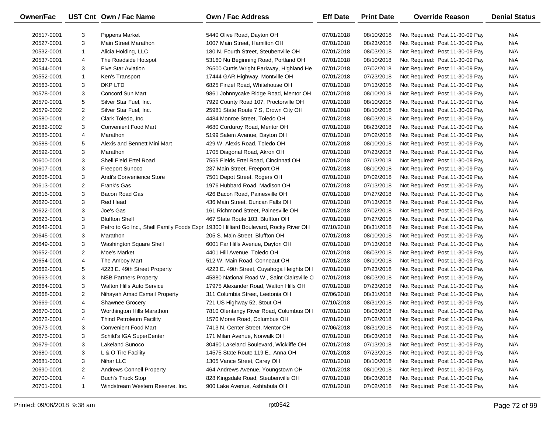| Owner/Fac  |                | UST Cnt Own / Fac Name           | Own / Fac Address                                                                  | <b>Eff Date</b> | <b>Print Date</b> | <b>Override Reason</b>          | <b>Denial Status</b> |
|------------|----------------|----------------------------------|------------------------------------------------------------------------------------|-----------------|-------------------|---------------------------------|----------------------|
| 20517-0001 | 3              | <b>Pippens Market</b>            | 5440 Olive Road, Dayton OH                                                         | 07/01/2018      | 08/10/2018        | Not Required: Post 11-30-09 Pay | N/A                  |
| 20527-0001 | 3              | Main Street Marathon             | 1007 Main Street, Hamilton OH                                                      | 07/01/2018      | 08/23/2018        | Not Required: Post 11-30-09 Pay | N/A                  |
| 20532-0001 | $\mathbf{1}$   | Alicia Holding, LLC              | 180 N. Fourth Street, Steubenville OH                                              | 07/01/2018      | 08/03/2018        | Not Required: Post 11-30-09 Pay | N/A                  |
| 20537-0001 | 4              | The Roadside Hotspot             | 53160 Nu Beginning Road, Portland OH                                               | 07/01/2018      | 08/10/2018        | Not Required: Post 11-30-09 Pay | N/A                  |
| 20544-0001 | 3              | <b>Five Star Aviation</b>        | 26500 Curtis Wright Parkway, Highland He                                           | 07/01/2018      | 07/02/2018        | Not Required: Post 11-30-09 Pay | N/A                  |
| 20552-0001 | $\mathbf{1}$   | Ken's Transport                  | 17444 GAR Highway, Montville OH                                                    | 07/01/2018      | 07/23/2018        | Not Required: Post 11-30-09 Pay | N/A                  |
| 20563-0001 | 3              | DKP LTD                          | 6825 Finzel Road, Whitehouse OH                                                    | 07/01/2018      | 07/13/2018        | Not Required: Post 11-30-09 Pay | N/A                  |
| 20578-0001 | 3              | Concord Sun Mart                 | 9861 Johnnycake Ridge Road, Mentor OH                                              | 07/01/2018      | 08/10/2018        | Not Required: Post 11-30-09 Pay | N/A                  |
| 20579-0001 | 5              | Silver Star Fuel, Inc.           | 7929 County Road 107, Proctorville OH                                              | 07/01/2018      | 08/10/2018        | Not Required: Post 11-30-09 Pay | N/A                  |
| 20579-0002 | $\overline{2}$ | Silver Star Fuel, Inc.           | 25981 State Route 7 S, Crown City OH                                               | 07/01/2018      | 08/10/2018        | Not Required: Post 11-30-09 Pay | N/A                  |
| 20580-0001 | $\overline{2}$ | Clark Toledo, Inc.               | 4484 Monroe Street, Toledo OH                                                      | 07/01/2018      | 08/03/2018        | Not Required: Post 11-30-09 Pay | N/A                  |
| 20582-0002 | 3              | <b>Convenient Food Mart</b>      | 4680 Corduroy Road, Mentor OH                                                      | 07/01/2018      | 08/23/2018        | Not Required: Post 11-30-09 Pay | N/A                  |
| 20585-0001 | 4              | Marathon                         | 5199 Salem Avenue, Dayton OH                                                       | 07/01/2018      | 07/02/2018        | Not Required: Post 11-30-09 Pay | N/A                  |
| 20588-0001 | 5              | Alexis and Bennett Mini Mart     | 429 W. Alexis Road, Toledo OH                                                      | 07/01/2018      | 08/10/2018        | Not Required: Post 11-30-09 Pay | N/A                  |
| 20592-0001 | 3              | Marathon                         | 1705 Diagonal Road, Akron OH                                                       | 07/01/2018      | 07/23/2018        | Not Required: Post 11-30-09 Pay | N/A                  |
| 20600-0001 | 3              | Shell Field Ertel Road           | 7555 Fields Ertel Road, Cincinnati OH                                              | 07/01/2018      | 07/13/2018        | Not Required: Post 11-30-09 Pay | N/A                  |
| 20607-0001 | 3              | <b>Freeport Sunoco</b>           | 237 Main Street, Freeport OH                                                       | 07/01/2018      | 08/10/2018        | Not Required: Post 11-30-09 Pay | N/A                  |
| 20608-0001 | 3              | Andi's Convenience Store         | 7501 Depot Street, Rogers OH                                                       | 07/01/2018      | 07/02/2018        | Not Required: Post 11-30-09 Pay | N/A                  |
| 20613-0001 | 2              | Frank's Gas                      | 1976 Hubbard Road, Madison OH                                                      | 07/01/2018      | 07/13/2018        | Not Required: Post 11-30-09 Pay | N/A                  |
| 20616-0001 | 3              | Bacon Road Gas                   | 426 Bacon Road, Painesville OH                                                     | 07/01/2018      | 07/27/2018        | Not Required: Post 11-30-09 Pay | N/A                  |
| 20620-0001 | 3              | Red Head                         | 436 Main Street, Duncan Falls OH                                                   | 07/01/2018      | 07/13/2018        | Not Required: Post 11-30-09 Pay | N/A                  |
| 20622-0001 | 3              | Joe's Gas                        | 161 Richmond Street, Painesville OH                                                | 07/01/2018      | 07/02/2018        | Not Required: Post 11-30-09 Pay | N/A                  |
| 20623-0001 | 3              | <b>Bluffton Shell</b>            | 467 State Route 103, Bluffton OH                                                   | 07/01/2018      | 07/27/2018        | Not Required: Post 11-30-09 Pay | N/A                  |
| 20642-0001 | 3              |                                  | Petro to Go Inc., Shell Family Foods Expr 19300 Hilliard Boulevard, Rocky River OH | 07/10/2018      | 08/31/2018        | Not Required: Post 11-30-09 Pay | N/A                  |
| 20645-0001 | 3              | Marathon                         | 205 S. Main Street, Bluffton OH                                                    | 07/01/2018      | 08/10/2018        | Not Required: Post 11-30-09 Pay | N/A                  |
| 20649-0001 | 3              | Washington Square Shell          | 6001 Far Hills Avenue, Dayton OH                                                   | 07/01/2018      | 07/13/2018        | Not Required: Post 11-30-09 Pay | N/A                  |
| 20652-0001 | $\overline{2}$ | Moe's Market                     | 4401 Hill Avenue, Toledo OH                                                        | 07/01/2018      | 08/03/2018        | Not Required: Post 11-30-09 Pay | N/A                  |
| 20654-0001 | 4              | The Amboy Mart                   | 512 W. Main Road, Conneaut OH                                                      | 07/01/2018      | 08/10/2018        | Not Required: Post 11-30-09 Pay | N/A                  |
| 20662-0001 | 5              | 4223 E. 49th Street Property     | 4223 E. 49th Street, Cuyahoga Heights OH                                           | 07/01/2018      | 07/23/2018        | Not Required: Post 11-30-09 Pay | N/A                  |
| 20663-0001 | 3              | <b>NSB Partners Property</b>     | 45880 National Road W., Saint Clairsville O                                        | 07/01/2018      | 08/03/2018        | Not Required: Post 11-30-09 Pay | N/A                  |
| 20664-0001 | 3              | <b>Walton Hills Auto Service</b> | 17975 Alexander Road, Walton Hills OH                                              | 07/01/2018      | 07/23/2018        | Not Required: Post 11-30-09 Pay | N/A                  |
| 20668-0001 | $\overline{2}$ | Nihayah Amad Esmail Property     | 311 Columbia Street, Leetonia OH                                                   | 07/06/2018      | 08/31/2018        | Not Required: Post 11-30-09 Pay | N/A                  |
| 20669-0001 | 4              | <b>Shawnee Grocery</b>           | 721 US Highway 52, Stout OH                                                        | 07/10/2018      | 08/31/2018        | Not Required: Post 11-30-09 Pay | N/A                  |
| 20670-0001 | 3              | Worthington Hills Marathon       | 7810 Olentangy River Road, Columbus OH                                             | 07/01/2018      | 08/03/2018        | Not Required: Post 11-30-09 Pay | N/A                  |
| 20672-0001 | 4              | <b>Thind Petroleum Facility</b>  | 1570 Morse Road, Columbus OH                                                       | 07/01/2018      | 07/02/2018        | Not Required: Post 11-30-09 Pay | N/A                  |
| 20673-0001 | 3              | Convenient Food Mart             | 7413 N. Center Street, Mentor OH                                                   | 07/06/2018      | 08/31/2018        | Not Required: Post 11-30-09 Pay | N/A                  |
| 20675-0001 | 3              | Schild's IGA SuperCenter         | 171 Milan Avenue, Norwalk OH                                                       | 07/01/2018      | 08/03/2018        | Not Required: Post 11-30-09 Pay | N/A                  |
| 20679-0001 | 3              | Lakeland Sunoco                  | 30460 Lakeland Boulevard, Wickliffe OH                                             | 07/01/2018      | 07/13/2018        | Not Required: Post 11-30-09 Pay | N/A                  |
| 20680-0001 | 3              | L & O Tire Facility              | 14575 State Route 119 E., Anna OH                                                  | 07/01/2018      | 07/23/2018        | Not Required: Post 11-30-09 Pay | N/A                  |
| 20681-0001 | 3              | Nihar LLC                        | 1305 Vance Street, Carey OH                                                        | 07/01/2018      | 08/10/2018        | Not Required: Post 11-30-09 Pay | N/A                  |
| 20690-0001 | 2              | <b>Andrews Connell Property</b>  | 464 Andrews Avenue, Youngstown OH                                                  | 07/01/2018      | 08/10/2018        | Not Required: Post 11-30-09 Pay | N/A                  |
| 20700-0001 | 4              | <b>Buch's Truck Stop</b>         | 828 Kingsdale Road, Steubenville OH                                                | 07/01/2018      | 08/03/2018        | Not Required: Post 11-30-09 Pay | N/A                  |
| 20701-0001 | $\mathbf{1}$   | Windstream Western Reserve, Inc. | 900 Lake Avenue, Ashtabula OH                                                      | 07/01/2018      | 07/02/2018        | Not Required: Post 11-30-09 Pay | N/A                  |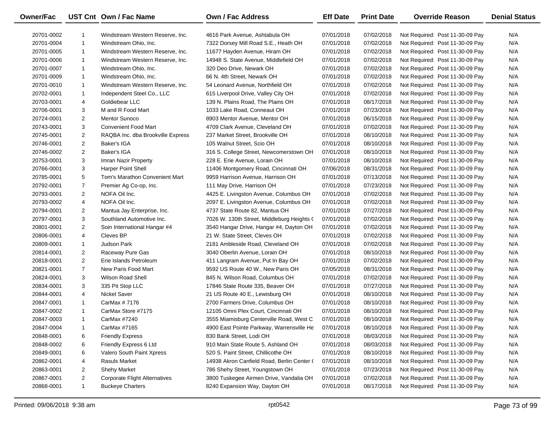| <b>Owner/Fac</b> |                | UST Cnt Own / Fac Name               | <b>Own / Fac Address</b>                   | <b>Eff Date</b> | <b>Print Date</b> | <b>Override Reason</b>          | <b>Denial Status</b> |
|------------------|----------------|--------------------------------------|--------------------------------------------|-----------------|-------------------|---------------------------------|----------------------|
| 20701-0002       |                | Windstream Western Reserve, Inc.     | 4616 Park Avenue, Ashtabula OH             | 07/01/2018      | 07/02/2018        | Not Required: Post 11-30-09 Pay | N/A                  |
| 20701-0004       | $\mathbf{1}$   | Windstream Ohio, Inc.                | 7322 Dorsey Mill Road S.E., Heath OH       | 07/01/2018      | 07/02/2018        | Not Required: Post 11-30-09 Pay | N/A                  |
| 20701-0005       | $\mathbf{1}$   | Windstream Western Reserve, Inc.     | 11677 Hayden Avenue, Hiram OH              | 07/01/2018      | 07/02/2018        | Not Required: Post 11-30-09 Pay | N/A                  |
| 20701-0006       | $\mathbf{1}$   | Windstream Western Reserve, Inc.     | 14948 S. State Avenue, Middlefield OH      | 07/01/2018      | 07/02/2018        | Not Required: Post 11-30-09 Pay | N/A                  |
| 20701-0007       | $\mathbf{1}$   | Windstream Ohio, Inc.                | 320 Deo Drive, Newark OH                   | 07/01/2018      | 07/02/2018        | Not Required: Post 11-30-09 Pay | N/A                  |
| 20701-0009       | $\mathbf{1}$   | Windstream Ohio, Inc.                | 66 N. 4th Street, Newark OH                | 07/01/2018      | 07/02/2018        | Not Required: Post 11-30-09 Pay | N/A                  |
| 20701-0010       | $\mathbf{1}$   | Windstream Western Reserve, Inc.     | 54 Leonard Avenue, Northfield OH           | 07/01/2018      | 07/02/2018        | Not Required: Post 11-30-09 Pay | N/A                  |
| 20702-0001       | $\mathbf{1}$   | Independent Steel Co., LLC           | 615 Liverpool Drive, Valley City OH        | 07/01/2018      | 07/02/2018        | Not Required: Post 11-30-09 Pay | N/A                  |
| 20703-0001       | 4              | Goldiebear LLC                       | 139 N. Plains Road, The Plains OH          | 07/01/2018      | 08/17/2018        | Not Required: Post 11-30-09 Pay | N/A                  |
| 20706-0001       | 3              | M and R Food Mart                    | 1033 Lake Road, Conneaut OH                | 07/01/2018      | 07/23/2018        | Not Required: Post 11-30-09 Pay | N/A                  |
| 20724-0001       | $\overline{2}$ | <b>Mentor Sunoco</b>                 | 8903 Mentor Avenue, Mentor OH              | 07/01/2018      | 06/15/2018        | Not Required: Post 11-30-09 Pay | N/A                  |
| 20743-0001       | 3              | <b>Convenient Food Mart</b>          | 4709 Clark Avenue, Cleveland OH            | 07/01/2018      | 07/02/2018        | Not Required: Post 11-30-09 Pay | N/A                  |
| 20745-0001       | $\overline{2}$ | RAQBA Inc. dba Brookville Express    | 237 Market Street, Brookville OH           | 07/01/2018      | 08/10/2018        | Not Required: Post 11-30-09 Pay | N/A                  |
| 20746-0001       | $\overline{2}$ | Baker's IGA                          | 105 Walnut Street, Scio OH                 | 07/01/2018      | 08/10/2018        | Not Required: Post 11-30-09 Pay | N/A                  |
| 20746-0002       | $\overline{2}$ | Baker's IGA                          | 316 S. College Street, Newcomerstown OH    | 07/01/2018      | 08/10/2018        | Not Required: Post 11-30-09 Pay | N/A                  |
| 20753-0001       | 3              | Imran Nazir Property                 | 228 E. Erie Avenue, Lorain OH              | 07/01/2018      | 08/10/2018        | Not Required: Post 11-30-09 Pay | N/A                  |
| 20766-0001       | 3              | <b>Harper Point Shell</b>            | 11406 Montgomery Road, Cincinnati OH       | 07/06/2018      | 08/31/2018        | Not Required: Post 11-30-09 Pay | N/A                  |
| 20785-0001       | 5              | Tom's Marathon Convenient Mart       | 9959 Harrison Avenue, Harrison OH          | 07/01/2018      | 07/13/2018        | Not Required: Post 11-30-09 Pay | N/A                  |
| 20792-0001       | $\overline{7}$ | Premier Ag Co-op, Inc.               | 111 May Drive, Harrison OH                 | 07/01/2018      | 07/23/2018        | Not Required: Post 11-30-09 Pay | N/A                  |
| 20793-0001       | $\overline{2}$ | NOFA Oil Inc.                        | 4425 E. Livingston Avenue, Columbus OH     | 07/01/2018      | 07/02/2018        | Not Required: Post 11-30-09 Pay | N/A                  |
| 20793-0002       | 4              | NOFA Oil Inc.                        | 2097 E. Livingston Avenue, Columbus OH     | 07/01/2018      | 07/02/2018        | Not Required: Post 11-30-09 Pay | N/A                  |
| 20794-0001       | $\overline{2}$ | Mantua Jay Enterprise, Inc.          | 4737 State Route 82, Mantua OH             | 07/01/2018      | 07/27/2018        | Not Required: Post 11-30-09 Pay | N/A                  |
| 20797-0001       | 3              | Southland Automotive Inc.            | 7026 W. 130th Street, Middleburg Heights ( | 07/01/2018      | 07/02/2018        | Not Required: Post 11-30-09 Pay | N/A                  |
| 20801-0001       | $\overline{2}$ | Soin International Hangar #4         | 3540 Hangar Drive, Hangar #4, Dayton OH    | 07/01/2018      | 07/02/2018        | Not Required: Post 11-30-09 Pay | N/A                  |
| 20806-0001       | 4              | Cleves BP                            | 21 W. State Street, Cleves OH              | 07/01/2018      | 07/02/2018        | Not Required: Post 11-30-09 Pay | N/A                  |
| 20809-0001       | $\mathbf{1}$   | Judson Park                          | 2181 Ambleside Road, Cleveland OH          | 07/01/2018      | 07/02/2018        | Not Required: Post 11-30-09 Pay | N/A                  |
| 20814-0001       | $\overline{2}$ | Raceway Pure Gas                     | 3040 Oberlin Avenue, Lorain OH             | 07/01/2018      | 08/10/2018        | Not Required: Post 11-30-09 Pay | N/A                  |
| 20818-0001       | $\overline{2}$ | Erie Islands Petroleum               | 411 Langram Avenue, Put In Bay OH          | 07/01/2018      | 07/02/2018        | Not Required: Post 11-30-09 Pay | N/A                  |
| 20821-0001       | $\overline{7}$ | New Paris Food Mart                  | 9592 US Route 40 W., New Paris OH          | 07/05/2018      | 08/31/2018        | Not Required: Post 11-30-09 Pay | N/A                  |
| 20824-0001       | 3              | <b>Wilson Road Shell</b>             | 845 N. Wilson Road, Columbus OH            | 07/01/2018      | 07/02/2018        | Not Required: Post 11-30-09 Pay | N/A                  |
| 20834-0001       | 3              | 335 Pit Stop LLC                     | 17846 State Route 335, Beaver OH           | 07/01/2018      | 07/27/2018        | Not Required: Post 11-30-09 Pay | N/A                  |
| 20844-0001       | 4              | <b>Nickel Saver</b>                  | 21 US Route 40 E., Lewisburg OH            | 07/01/2018      | 08/10/2018        | Not Required: Post 11-30-09 Pay | N/A                  |
| 20847-0001       | $\mathbf{1}$   | CarMax # 7176                        | 2700 Farmers Drive, Columbus OH            | 07/01/2018      | 08/10/2018        | Not Required: Post 11-30-09 Pay | N/A                  |
| 20847-0002       | $\mathbf{1}$   | CarMax Store #7175                   | 12105 Omni Plex Court, Cincinnati OH       | 07/01/2018      | 08/10/2018        | Not Required: Post 11-30-09 Pay | N/A                  |
| 20847-0003       | $\mathbf{1}$   | CarMax #7240                         | 3555 Miamisburg Centerville Road, West C   | 07/01/2018      | 08/10/2018        | Not Required: Post 11-30-09 Pay | N/A                  |
| 20847-0004       | -1             | CarMax #7165                         | 4900 East Pointe Parkway, Warrensville He  | 07/01/2018      | 08/10/2018        | Not Required: Post 11-30-09 Pay | N/A                  |
| 20848-0001       | 6              | <b>Friendly Express</b>              | 830 Bank Street, Lodi OH                   | 07/01/2018      | 08/03/2018        | Not Required: Post 11-30-09 Pay | N/A                  |
| 20848-0002       | 6              | Friendly Express 6 Ltd               | 910 Main State Route 5, Ashland OH         | 07/01/2018      | 08/03/2018        | Not Required: Post 11-30-09 Pay | N/A                  |
| 20849-0001       | 6              | Valero South Paint Xpress            | 520 S. Paint Street, Chillicothe OH        | 07/01/2018      | 08/10/2018        | Not Required: Post 11-30-09 Pay | N/A                  |
| 20862-0001       | 4              | <b>Rasuls Market</b>                 | 14938 Akron Canfield Road, Berlin Center ( | 07/01/2018      | 08/10/2018        | Not Required: Post 11-30-09 Pay | N/A                  |
| 20863-0001       | $\overline{2}$ | <b>Shehy Market</b>                  | 786 Shehy Street, Youngstown OH            | 07/01/2018      | 07/23/2018        | Not Required: Post 11-30-09 Pay | N/A                  |
| 20867-0001       | $\overline{2}$ | <b>Corporate Flight Alternatives</b> | 3800 Tuskegee Airmen Drive, Vandalia OH    | 07/01/2018      | 07/02/2018        | Not Required: Post 11-30-09 Pay | N/A                  |
| 20868-0001       | $\mathbf{1}$   | <b>Buckeye Charters</b>              | 8240 Expansion Way, Dayton OH              | 07/01/2018      | 08/17/2018        | Not Required: Post 11-30-09 Pay | N/A                  |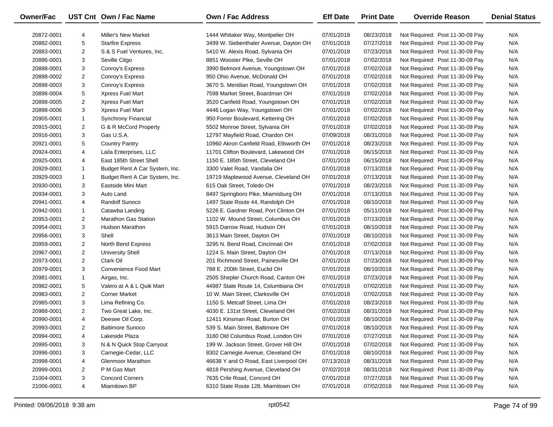| Owner/Fac  |                | UST Cnt Own / Fac Name         | Own / Fac Address                       | <b>Eff Date</b> | <b>Print Date</b> | <b>Override Reason</b>          | <b>Denial Status</b> |
|------------|----------------|--------------------------------|-----------------------------------------|-----------------|-------------------|---------------------------------|----------------------|
| 20872-0001 | 4              | <b>Miller's New Market</b>     | 1444 Whitaker Way, Montpelier OH        | 07/01/2018      | 08/23/2018        | Not Required: Post 11-30-09 Pay | N/A                  |
| 20882-0001 | 5              | <b>Starfire Express</b>        | 3499 W. Siebenthaler Avenue, Dayton OH  | 07/01/2018      | 07/27/2018        | Not Required: Post 11-30-09 Pay | N/A                  |
| 20883-0001 | $\overline{2}$ | S & S Fuel Ventures, Inc.      | 5410 W. Alexis Road, Sylvania OH        | 07/01/2018      | 07/23/2018        | Not Required: Post 11-30-09 Pay | N/A                  |
| 20896-0001 | 3              | Seville Citgo                  | 8851 Wooster Pike, Seville OH           | 07/01/2018      | 07/02/2018        | Not Required: Post 11-30-09 Pay | N/A                  |
| 20898-0001 | 3              | Conroy's Express               | 3990 Belmont Avenue, Youngstown OH      | 07/01/2018      | 07/02/2018        | Not Required: Post 11-30-09 Pay | N/A                  |
| 20898-0002 | $\overline{2}$ | Conroy's Express               | 950 Ohio Avenue, McDonald OH            | 07/01/2018      | 07/02/2018        | Not Required: Post 11-30-09 Pay | N/A                  |
| 20898-0003 | 3              | Conroy's Express               | 3670 S. Meridian Road, Youngstown OH    | 07/01/2018      | 07/02/2018        | Not Required: Post 11-30-09 Pay | N/A                  |
| 20898-0004 | 5              | Xpress Fuel Mart               | 7598 Market Street, Boardman OH         | 07/01/2018      | 07/02/2018        | Not Required: Post 11-30-09 Pay | N/A                  |
| 20898-0005 | $\overline{2}$ | Xpress Fuel Mart               | 3520 Canfield Road, Youngstown OH       | 07/01/2018      | 07/02/2018        | Not Required: Post 11-30-09 Pay | N/A                  |
| 20898-0006 | 3              | Xpress Fuel Mart               | 4446 Logan Way, Youngstown OH           | 07/01/2018      | 07/02/2018        | Not Required: Post 11-30-09 Pay | N/A                  |
| 20905-0001 | $\mathbf{1}$   | Synchrony Financial            | 950 Forrer Boulevard, Kettering OH      | 07/01/2018      | 07/02/2018        | Not Required: Post 11-30-09 Pay | N/A                  |
| 20915-0001 | $\overline{2}$ | G & R McCord Property          | 5502 Monroe Street, Sylvania OH         | 07/01/2018      | 07/02/2018        | Not Required: Post 11-30-09 Pay | N/A                  |
| 20916-0001 | 3              | Gas U.S.A.                     | 12797 Mayfield Road, Chardon OH         | 07/09/2018      | 08/31/2018        | Not Required: Post 11-30-09 Pay | N/A                  |
| 20921-0001 | 5              | <b>Country Pantry</b>          | 10960 Akron Canfield Road, Ellsworth OH | 07/01/2018      | 08/23/2018        | Not Required: Post 11-30-09 Pay | N/A                  |
| 20924-0001 | 4              | Laila Enterprises, LLC         | 11701 Clifton Boulevard, Lakewood OH    | 07/01/2018      | 06/15/2018        | Not Required: Post 11-30-09 Pay | N/A                  |
| 20925-0001 | 4              | East 185th Street Shell        | 1150 E. 185th Street, Cleveland OH      | 07/01/2018      | 06/15/2018        | Not Required: Post 11-30-09 Pay | N/A                  |
| 20929-0001 | $\mathbf{1}$   | Budget Rent A Car System, Inc. | 3300 Valet Road, Vandalia OH            | 07/01/2018      | 07/13/2018        | Not Required: Post 11-30-09 Pay | N/A                  |
| 20929-0003 | $\mathbf{1}$   | Budget Rent A Car System, Inc. | 19719 Maplewood Avenue, Cleveland OH    | 07/01/2018      | 07/13/2018        | Not Required: Post 11-30-09 Pay | N/A                  |
| 20930-0001 | 3              | Eastside Mini Mart             | 615 Oak Street, Toledo OH               | 07/01/2018      | 08/23/2018        | Not Required: Post 11-30-09 Pay | N/A                  |
| 20934-0001 | 3              | Auto Land                      | 8497 Springboro Pike, Miamisburg OH     | 07/01/2018      | 07/13/2018        | Not Required: Post 11-30-09 Pay | N/A                  |
| 20941-0001 | 4              | <b>Randolf Sunoco</b>          | 1497 State Route 44, Randolph OH        | 07/01/2018      | 08/10/2018        | Not Required: Post 11-30-09 Pay | N/A                  |
| 20942-0001 | $\mathbf{1}$   | Catawba Landing                | 5226 E. Gardner Road, Port Clinton OH   | 07/01/2018      | 05/11/2018        | Not Required: Post 11-30-09 Pay | N/A                  |
| 20953-0001 | $\overline{2}$ | <b>Marathon Gas Station</b>    | 1102 W. Mound Street, Columbus OH       | 07/01/2018      | 07/13/2018        | Not Required: Post 11-30-09 Pay | N/A                  |
| 20954-0001 | 3              | <b>Hudson Marathon</b>         | 5915 Darrow Road, Hudson OH             | 07/01/2018      | 08/10/2018        | Not Required: Post 11-30-09 Pay | N/A                  |
| 20956-0001 | 3              | Shell                          | 3613 Main Street, Dayton OH             | 07/01/2018      | 08/10/2018        | Not Required: Post 11-30-09 Pay | N/A                  |
| 20959-0001 | $\overline{a}$ | North Bend Express             | 3295 N. Bend Road, Cincinnati OH        | 07/01/2018      | 07/02/2018        | Not Required: Post 11-30-09 Pay | N/A                  |
| 20967-0001 | $\overline{2}$ | <b>University Shell</b>        | 1224 S. Main Street, Dayton OH          | 07/01/2018      | 07/13/2018        | Not Required: Post 11-30-09 Pay | N/A                  |
| 20973-0001 | $\overline{2}$ | Clark Oil                      | 201 Richmond Street, Painesville OH     | 07/01/2018      | 07/23/2018        | Not Required: Post 11-30-09 Pay | N/A                  |
| 20979-0001 | 3              | Convenience Food Mart          | 788 E. 200th Street, Euclid OH          | 07/01/2018      | 08/10/2018        | Not Required: Post 11-30-09 Pay | N/A                  |
| 20981-0001 | $\mathbf{1}$   | Airgas, Inc.                   | 2505 Shepler Church Road, Canton OH     | 07/01/2018      | 07/23/2018        | Not Required: Post 11-30-09 Pay | N/A                  |
| 20982-0001 | 5              | Valero at A & L Quik Mart      | 44987 State Route 14, Columbiana OH     | 07/01/2018      | 07/02/2018        | Not Required: Post 11-30-09 Pay | N/A                  |
| 20983-0001 | $\overline{2}$ | <b>Corner Market</b>           | 10 W. Main Street, Clarksville OH       | 07/01/2018      | 07/02/2018        | Not Required: Post 11-30-09 Pay | N/A                  |
| 20985-0001 | 3              | Lima Refining Co.              | 1150 S. Metcalf Street, Lima OH         | 07/01/2018      | 08/23/2018        | Not Required: Post 11-30-09 Pay | N/A                  |
| 20988-0001 | $\overline{2}$ | Two Great Lake, Inc.           | 4030 E. 131st Street, Cleveland OH      | 07/02/2018      | 08/31/2018        | Not Required: Post 11-30-09 Pay | N/A                  |
| 20990-0001 | 4              | Deesee Oil Corp.               | 12411 Kinsman Road, Burton OH           | 07/01/2018      | 08/10/2018        | Not Required: Post 11-30-09 Pay | N/A                  |
| 20993-0001 | 2              | <b>Baltimore Sunoco</b>        | 539 S. Main Street, Baltimore OH        | 07/01/2018      | 08/10/2018        | Not Required: Post 11-30-09 Pay | N/A                  |
| 20994-0001 | 4              | Lakeside Plaza                 | 3180 Old Columbus Road, London OH       | 07/01/2018      | 07/27/2018        | Not Required: Post 11-30-09 Pay | N/A                  |
| 20995-0001 | 3              | N & N Quick Stop Carryout      | 199 W. Jackson Street, Grover Hill OH   | 07/01/2018      | 07/02/2018        | Not Required: Post 11-30-09 Pay | N/A                  |
| 20996-0001 | 3              | Carnegie-Cedar, LLC            | 8302 Carnegie Avenue, Cleveland OH      | 07/01/2018      | 08/10/2018        | Not Required: Post 11-30-09 Pay | N/A                  |
| 20998-0001 | 4              | <b>Glenmoor Marathon</b>       | 46638 Y and O Road, East Liverpool OH   | 07/13/2018      | 08/31/2018        | Not Required: Post 11-30-09 Pay | N/A                  |
| 20999-0001 | 2              | P M Gas Mart                   | 4818 Pershing Avenue, Cleveland OH      | 07/02/2018      | 08/31/2018        | Not Required: Post 11-30-09 Pay | N/A                  |
| 21004-0001 | 3              | <b>Concord Corners</b>         | 7635 Crile Road, Concord OH             | 07/01/2018      | 07/27/2018        | Not Required: Post 11-30-09 Pay | N/A                  |
| 21006-0001 | 4              | Miamitown BP                   | 6310 State Route 128, Miamitown OH      | 07/01/2018      | 07/02/2018        | Not Required: Post 11-30-09 Pay | N/A                  |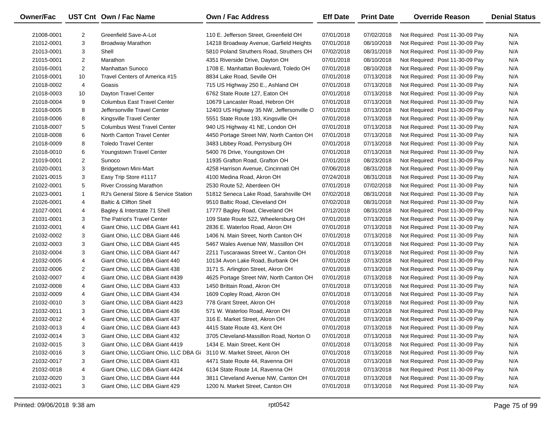| Owner/Fac  |                | UST Cnt Own / Fac Name                | <b>Own / Fac Address</b>                 | <b>Eff Date</b> | <b>Print Date</b> | <b>Override Reason</b>          | <b>Denial Status</b> |
|------------|----------------|---------------------------------------|------------------------------------------|-----------------|-------------------|---------------------------------|----------------------|
| 21008-0001 | 2              | Greenfield Save-A-Lot                 | 110 E. Jefferson Street, Greenfield OH   | 07/01/2018      | 07/02/2018        | Not Required: Post 11-30-09 Pay | N/A                  |
| 21012-0001 | 3              | <b>Broadway Marathon</b>              | 14218 Broadway Avenue, Garfield Heights  | 07/01/2018      | 08/10/2018        | Not Required: Post 11-30-09 Pay | N/A                  |
| 21013-0001 | 3              | Shell                                 | 5810 Poland Struthers Road, Struthers OH | 07/02/2018      | 08/31/2018        | Not Required: Post 11-30-09 Pay | N/A                  |
| 21015-0001 | $\overline{2}$ | Marathon                              | 4351 Riverside Drive, Dayton OH          | 07/01/2018      | 08/10/2018        | Not Required: Post 11-30-09 Pay | N/A                  |
| 21016-0001 | $\overline{2}$ | <b>Manhattan Sunoco</b>               | 1708 E. Manhattan Boulevard, Toledo OH   | 07/01/2018      | 08/10/2018        | Not Required: Post 11-30-09 Pay | N/A                  |
| 21018-0001 | 10             | Travel Centers of America #15         | 8834 Lake Road, Seville OH               | 07/01/2018      | 07/13/2018        | Not Required: Post 11-30-09 Pay | N/A                  |
| 21018-0002 | 4              | Goasis                                | 715 US Highway 250 E., Ashland OH        | 07/01/2018      | 07/13/2018        | Not Required: Post 11-30-09 Pay | N/A                  |
| 21018-0003 | 10             | Dayton Travel Center                  | 6762 State Route 127, Eaton OH           | 07/01/2018      | 07/13/2018        | Not Required: Post 11-30-09 Pay | N/A                  |
| 21018-0004 | 9              | <b>Columbus East Travel Center</b>    | 10679 Lancaster Road, Hebron OH          | 07/01/2018      | 07/13/2018        | Not Required: Post 11-30-09 Pay | N/A                  |
| 21018-0005 | 8              | Jeffersonville Travel Center          | 12403 US Highway 35 NW, Jeffersonville O | 07/01/2018      | 07/13/2018        | Not Required: Post 11-30-09 Pay | N/A                  |
| 21018-0006 | 8              | Kingsville Travel Center              | 5551 State Route 193, Kingsville OH      | 07/01/2018      | 07/13/2018        | Not Required: Post 11-30-09 Pay | N/A                  |
| 21018-0007 | 5              | <b>Columbus West Travel Center</b>    | 940 US Highway 41 NE, London OH          | 07/01/2018      | 07/13/2018        | Not Required: Post 11-30-09 Pay | N/A                  |
| 21018-0008 | 6              | North Canton Travel Center            | 4450 Portage Street NW, North Canton OH  | 07/01/2018      | 07/13/2018        | Not Required: Post 11-30-09 Pay | N/A                  |
| 21018-0009 | 8              | <b>Toledo Travel Center</b>           | 3483 Libbey Road, Perrysburg OH          | 07/01/2018      | 07/13/2018        | Not Required: Post 11-30-09 Pay | N/A                  |
| 21018-0010 | 6              | Youngstown Travel Center              | 5400 76 Drive, Youngstown OH             | 07/01/2018      | 07/13/2018        | Not Required: Post 11-30-09 Pay | N/A                  |
| 21019-0001 | $\overline{2}$ | Sunoco                                | 11935 Grafton Road, Grafton OH           | 07/01/2018      | 08/23/2018        | Not Required: Post 11-30-09 Pay | N/A                  |
| 21020-0001 | 3              | <b>Bridgetown Mini-Mart</b>           | 4258 Harrison Avenue, Cincinnati OH      | 07/06/2018      | 08/31/2018        | Not Required: Post 11-30-09 Pay | N/A                  |
| 21021-0015 | 3              | Easy Trip Store #1117                 | 4100 Medina Road, Akron OH               | 07/24/2018      | 08/31/2018        | Not Required: Post 11-30-09 Pay | N/A                  |
| 21022-0001 | 5              | <b>River Crossing Marathon</b>        | 2530 Route 52, Aberdeen OH               | 07/01/2018      | 07/02/2018        | Not Required: Post 11-30-09 Pay | N/A                  |
| 21023-0001 | $\mathbf{1}$   | RJ's General Store & Service Station  | 51812 Seneca Lake Road, Sarahsville OH   | 07/02/2018      | 08/31/2018        | Not Required: Post 11-30-09 Pay | N/A                  |
| 21026-0001 | 4              | <b>Baltic &amp; Clifton Shell</b>     | 9510 Baltic Road, Cleveland OH           | 07/02/2018      | 08/31/2018        | Not Required: Post 11-30-09 Pay | N/A                  |
| 21027-0001 | 4              | Bagley & Interstate 71 Shell          | 17777 Bagley Road, Cleveland OH          | 07/12/2018      | 08/31/2018        | Not Required: Post 11-30-09 Pay | N/A                  |
| 21031-0001 | 3              | The Patriot's Travel Center           | 109 State Route 522, Wheelersburg OH     | 07/01/2018      | 07/13/2018        | Not Required: Post 11-30-09 Pay | N/A                  |
| 21032-0001 | 4              | Giant Ohio, LLC DBA Giant 441         | 2836 E. Waterloo Road, Akron OH          | 07/01/2018      | 07/13/2018        | Not Required: Post 11-30-09 Pay | N/A                  |
| 21032-0002 | 3              | Giant Ohio, LLC DBA Giant 446         | 1406 N. Main Street, North Canton OH     | 07/01/2018      | 07/13/2018        | Not Required: Post 11-30-09 Pay | N/A                  |
| 21032-0003 | 3              | Giant Ohio, LLC DBA Giant 445         | 5467 Wales Avenue NW, Massillon OH       | 07/01/2018      | 07/13/2018        | Not Required: Post 11-30-09 Pay | N/A                  |
| 21032-0004 | 3              | Giant Ohio, LLC DBA Giant 447         | 2211 Tuscarawas Street W., Canton OH     | 07/01/2018      | 07/13/2018        | Not Required: Post 11-30-09 Pay | N/A                  |
| 21032-0005 | 4              | Giant Ohio, LLC DBA Giant 440         | 10134 Avon Lake Road, Burbank OH         | 07/01/2018      | 07/13/2018        | Not Required: Post 11-30-09 Pay | N/A                  |
| 21032-0006 | $\overline{2}$ | Giant Ohio, LLC DBA Giant 438         | 3171 S. Arlington Street, Akron OH       | 07/01/2018      | 07/13/2018        | Not Required: Post 11-30-09 Pay | N/A                  |
| 21032-0007 | 4              | Giant Ohio, LLC DBA Giant #439        | 4625 Portage Street NW, North Canton OH  | 07/01/2018      | 07/13/2018        | Not Required: Post 11-30-09 Pay | N/A                  |
| 21032-0008 | 4              | Giant Ohio, LLC DBA Giant 433         | 1450 Brittain Road, Akron OH             | 07/01/2018      | 07/13/2018        | Not Required: Post 11-30-09 Pay | N/A                  |
| 21032-0009 | 4              | Giant Ohio, LLC DBA Giant 434         | 1609 Copley Road, Akron OH               | 07/01/2018      | 07/13/2018        | Not Required: Post 11-30-09 Pay | N/A                  |
| 21032-0010 | 3              | Giant Ohio, LLC DBA Giant 4423        | 778 Grant Street, Akron OH               | 07/01/2018      | 07/13/2018        | Not Required: Post 11-30-09 Pay | N/A                  |
| 21032-0011 | 3              | Giant Ohio, LLC DBA Giant 436         | 571 W. Waterloo Road, Akron OH           | 07/01/2018      | 07/13/2018        | Not Required: Post 11-30-09 Pay | N/A                  |
| 21032-0012 | 4              | Giant Ohio, LLC DBA Giant 437         | 316 E. Market Street, Akron OH           | 07/01/2018      | 07/13/2018        | Not Required: Post 11-30-09 Pay | N/A                  |
| 21032-0013 | 4              | Giant Ohio, LLC DBA Giant 443         | 4415 State Route 43, Kent OH             | 07/01/2018      | 07/13/2018        | Not Required: Post 11-30-09 Pay | N/A                  |
| 21032-0014 | 3              | Giant Ohio, LLC DBA Giant 432         | 3705 Cleveland-Massillon Road, Norton O  | 07/01/2018      | 07/13/2018        | Not Required: Post 11-30-09 Pay | N/A                  |
| 21032-0015 | 3              | Giant Ohio, LLC DBA Giant 4419        | 1434 E. Main Street, Kent OH             | 07/01/2018      | 07/13/2018        | Not Required: Post 11-30-09 Pay | N/A                  |
| 21032-0016 | 3              | Giant Ohio, LLCGiant Ohio, LLC DBA Gi | 3110 W. Market Street, Akron OH          | 07/01/2018      | 07/13/2018        | Not Required: Post 11-30-09 Pay | N/A                  |
| 21032-0017 | 3              | Giant Ohio, LLC DBA Giant 431         | 4471 State Route 44, Ravenna OH          | 07/01/2018      | 07/13/2018        | Not Required: Post 11-30-09 Pay | N/A                  |
| 21032-0018 | 4              | Giant Ohio, LLC DBA Giant 4424        | 6134 State Route 14, Ravenna OH          | 07/01/2018      | 07/13/2018        | Not Required: Post 11-30-09 Pay | N/A                  |
| 21032-0020 | 3              | Giant Ohio, LLC DBA Giant 444         | 3811 Cleveland Avenue NW, Canton OH      | 07/01/2018      | 07/13/2018        | Not Required: Post 11-30-09 Pay | N/A                  |
| 21032-0021 | 3              | Giant Ohio, LLC DBA Giant 429         | 1200 N. Market Street, Canton OH         | 07/01/2018      | 07/13/2018        | Not Required: Post 11-30-09 Pay | N/A                  |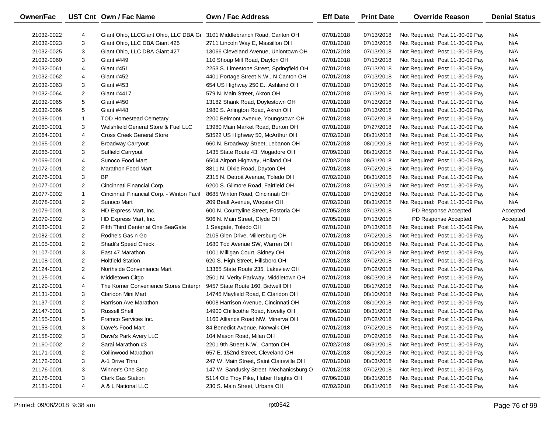| Owner/Fac  |                | UST Cnt Own / Fac Name                                                  | <b>Own / Fac Address</b>                 | <b>Eff Date</b> | <b>Print Date</b> | <b>Override Reason</b>          | <b>Denial Status</b> |
|------------|----------------|-------------------------------------------------------------------------|------------------------------------------|-----------------|-------------------|---------------------------------|----------------------|
| 21032-0022 | 4              | Giant Ohio, LLCGiant Ohio, LLC DBA Gi 3101 Middlebranch Road, Canton OH |                                          | 07/01/2018      | 07/13/2018        | Not Required: Post 11-30-09 Pay | N/A                  |
| 21032-0023 | 3              | Giant Ohio, LLC DBA Giant 425                                           | 2711 Lincoln Way E, Massillon OH         | 07/01/2018      | 07/13/2018        | Not Required: Post 11-30-09 Pay | N/A                  |
| 21032-0025 | 3              | Giant Ohio, LLC DBA Giant 427                                           | 13066 Cleveland Avenue, Uniontown OH     | 07/01/2018      | 07/13/2018        | Not Required: Post 11-30-09 Pay | N/A                  |
| 21032-0060 | 3              | <b>Giant #449</b>                                                       | 110 Shoup Mill Road, Dayton OH           | 07/01/2018      | 07/13/2018        | Not Required: Post 11-30-09 Pay | N/A                  |
| 21032-0061 | 4              | Giant #451                                                              | 2253 S. Limestone Street, Springfield OH | 07/01/2018      | 07/13/2018        | Not Required: Post 11-30-09 Pay | N/A                  |
| 21032-0062 | 4              | Giant #452                                                              | 4401 Portage Street N.W., N Canton OH    | 07/01/2018      | 07/13/2018        | Not Required: Post 11-30-09 Pay | N/A                  |
| 21032-0063 | 3              | Giant #453                                                              | 654 US Highway 250 E., Ashland OH        | 07/01/2018      | 07/13/2018        | Not Required: Post 11-30-09 Pay | N/A                  |
| 21032-0064 | 2              | Giant #4417                                                             | 579 N. Main Street, Akron OH             | 07/01/2018      | 07/13/2018        | Not Required: Post 11-30-09 Pay | N/A                  |
| 21032-0065 | 5              | Giant #450                                                              | 13182 Shank Road, Doylestown OH          | 07/01/2018      | 07/13/2018        | Not Required: Post 11-30-09 Pay | N/A                  |
| 21032-0066 | 5              | Giant #448                                                              | 1980 S. Arlington Road, Akron OH         | 07/01/2018      | 07/13/2018        | Not Required: Post 11-30-09 Pay | N/A                  |
| 21038-0001 | $\mathbf{1}$   | <b>TOD Homestead Cemetary</b>                                           | 2200 Belmont Avenue, Youngstown OH       | 07/01/2018      | 07/02/2018        | Not Required: Post 11-30-09 Pay | N/A                  |
| 21060-0001 | 3              | Welshfield General Store & Fuel LLC                                     | 13980 Main Market Road, Burton OH        | 07/01/2018      | 07/27/2018        | Not Required: Post 11-30-09 Pay | N/A                  |
| 21064-0001 | 4              | <b>Cross Creek General Store</b>                                        | 58522 US Highway 50, McArthur OH         | 07/02/2018      | 08/31/2018        | Not Required: Post 11-30-09 Pay | N/A                  |
| 21065-0001 | 2              | <b>Broadway Carryout</b>                                                | 660 N. Broadway Street, Lebanon OH       | 07/01/2018      | 08/10/2018        | Not Required: Post 11-30-09 Pay | N/A                  |
| 21066-0001 | 3              | Suffield Carryout                                                       | 1435 State Route 43, Mogadore OH         | 07/09/2018      | 08/31/2018        | Not Required: Post 11-30-09 Pay | N/A                  |
| 21069-0001 | 4              | Sunoco Food Mart                                                        | 6504 Airport Highway, Holland OH         | 07/02/2018      | 08/31/2018        | Not Required: Post 11-30-09 Pay | N/A                  |
| 21072-0001 | 2              | Marathon Food Mart                                                      | 8811 N. Dixie Road, Dayton OH            | 07/01/2018      | 07/02/2018        | Not Required: Post 11-30-09 Pay | N/A                  |
| 21076-0001 | 3              | BP                                                                      | 2315 N. Detroit Avenue, Toledo OH        | 07/02/2018      | 08/31/2018        | Not Required: Post 11-30-09 Pay | N/A                  |
| 21077-0001 | 2              | Cincinnati Financial Corp.                                              | 6200 S. Gilmore Road, Fairfield OH       | 07/01/2018      | 07/13/2018        | Not Required: Post 11-30-09 Pay | N/A                  |
| 21077-0002 | $\mathbf{1}$   | Cincinnati Financial Corp. - Winton Facil                               | 8685 Winton Road, Cincinnati OH          | 07/01/2018      | 07/13/2018        | Not Required: Post 11-30-09 Pay | N/A                  |
| 21078-0001 | 2              | Sunoco Mart                                                             | 209 Beall Avenue, Wooster OH             | 07/02/2018      | 08/31/2018        | Not Required: Post 11-30-09 Pay | N/A                  |
| 21079-0001 | 3              | HD Express Mart, Inc.                                                   | 600 N. Countyline Street, Fostoria OH    | 07/05/2018      | 07/13/2018        | PD Response Accepted            | Accepted             |
| 21079-0002 | 3              | HD Express Mart, Inc.                                                   | 506 N. Main Street, Clyde OH             | 07/05/2018      | 07/13/2018        | PD Response Accepted            | Accepted             |
| 21080-0001 | $\overline{2}$ | Fifth Third Center at One SeaGate                                       | 1 Seagate, Toledo OH                     | 07/01/2018      | 07/13/2018        | Not Required: Post 11-30-09 Pay | N/A                  |
| 21082-0001 | $\overline{c}$ | Rodhe's Gas n Go                                                        | 2105 Glen Drive, Millersburg OH          | 07/01/2018      | 07/02/2018        | Not Required: Post 11-30-09 Pay | N/A                  |
| 21105-0001 | $\overline{c}$ | Shadi's Speed Check                                                     | 1680 Tod Avenue SW, Warren OH            | 07/01/2018      | 08/10/2018        | Not Required: Post 11-30-09 Pay | N/A                  |
| 21107-0001 | 3              | East 47 Marathon                                                        | 1001 Milligan Court, Sidney OH           | 07/01/2018      | 07/02/2018        | Not Required: Post 11-30-09 Pay | N/A                  |
| 21108-0001 | $\overline{c}$ | <b>Holtfield Station</b>                                                | 620 S. High Street, Hillsboro OH         | 07/01/2018      | 07/02/2018        | Not Required: Post 11-30-09 Pay | N/A                  |
| 21124-0001 | $\overline{2}$ | Northside Convenience Mart                                              | 13365 State Route 235, Lakeview OH       | 07/01/2018      | 07/02/2018        | Not Required: Post 11-30-09 Pay | N/A                  |
| 21125-0001 | $\overline{4}$ | Middletown Citgo                                                        | 2501 N. Verity Parkway, Middletown OH    | 07/01/2018      | 08/03/2018        | Not Required: Post 11-30-09 Pay | N/A                  |
| 21129-0001 | 4              | The Korner Convenience Stores Enterpr                                   | 9457 State Route 160, Bidwell OH         | 07/01/2018      | 08/17/2018        | Not Required: Post 11-30-09 Pay | N/A                  |
| 21131-0001 | 3              | Claridon Mini Mart                                                      | 14745 Mayfield Road, E Claridon OH       | 07/01/2018      | 08/10/2018        | Not Required: Post 11-30-09 Pay | N/A                  |
| 21137-0001 | $\overline{2}$ | Harrison Ave Marathon                                                   | 6008 Harrison Avenue, Cincinnati OH      | 07/01/2018      | 08/10/2018        | Not Required: Post 11-30-09 Pay | N/A                  |
| 21147-0001 | 3              | <b>Russell Shell</b>                                                    | 14900 Chillicothe Road, Novelty OH       | 07/06/2018      | 08/31/2018        | Not Required: Post 11-30-09 Pay | N/A                  |
| 21155-0001 | 5              | Framco Services Inc.                                                    | 1160 Alliance Road NW, Minerva OH        | 07/01/2018      | 07/02/2018        | Not Required: Post 11-30-09 Pay | N/A                  |
| 21158-0001 | 3              | Dave's Food Mart                                                        | 84 Benedict Avenue, Norwalk OH           | 07/01/2018      | 07/02/2018        | Not Required: Post 11-30-09 Pay | N/A                  |
| 21158-0002 | 3              | Dave's Park Avery LLC                                                   | 104 Mason Road, Milan OH                 | 07/01/2018      | 07/02/2018        | Not Required: Post 11-30-09 Pay | N/A                  |
| 21160-0002 | $\overline{2}$ | Sarai Marathon #3                                                       | 2201 9th Street N.W., Canton OH          | 07/02/2018      | 08/31/2018        | Not Required: Post 11-30-09 Pay | N/A                  |
| 21171-0001 | $\overline{2}$ | Collinwood Marathon                                                     | 657 E. 152nd Street, Cleveland OH        | 07/01/2018      | 08/10/2018        | Not Required: Post 11-30-09 Pay | N/A                  |
| 21172-0001 | 3              | A-1 Drive Thru                                                          | 247 W. Main Street, Saint Clairsville OH | 07/01/2018      | 08/03/2018        | Not Required: Post 11-30-09 Pay | N/A                  |
| 21176-0001 | 3              | Winner's One Stop                                                       | 147 W. Sandusky Street, Mechanicsburg O  | 07/01/2018      | 07/02/2018        | Not Required: Post 11-30-09 Pay | N/A                  |
| 21178-0001 | 3              | Clark Gas Station                                                       | 5114 Old Troy Pike, Huber Heights OH     | 07/06/2018      | 08/31/2018        | Not Required: Post 11-30-09 Pay | N/A                  |
| 21181-0001 | 4              | A & L National LLC                                                      | 230 S. Main Street, Urbana OH            | 07/02/2018      | 08/31/2018        | Not Required: Post 11-30-09 Pay | N/A                  |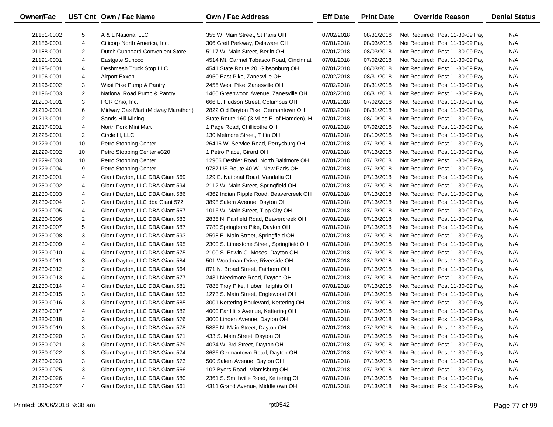| <b>Owner/Fac</b> |                | UST Cnt Own / Fac Name            | Own / Fac Address                         | <b>Eff Date</b> | <b>Print Date</b> | <b>Override Reason</b>          | <b>Denial Status</b> |
|------------------|----------------|-----------------------------------|-------------------------------------------|-----------------|-------------------|---------------------------------|----------------------|
| 21181-0002       | 5              | A & L National LLC                | 355 W. Main Street, St Paris OH           | 07/02/2018      | 08/31/2018        | Not Required: Post 11-30-09 Pay | N/A                  |
| 21186-0001       | 4              | Citicorp North America, Inc.      | 306 Greif Parkway, Delaware OH            | 07/01/2018      | 08/03/2018        | Not Required: Post 11-30-09 Pay | N/A                  |
| 21188-0001       | 2              | Dutch Cupboard Convenient Store   | 5117 W. Main Street, Berlin OH            | 07/01/2018      | 08/03/2018        | Not Required: Post 11-30-09 Pay | N/A                  |
| 21191-0001       | 4              | Eastgate Sunoco                   | 4514 Mt. Carmel Tobasco Road, Cincinnati  | 07/01/2018      | 07/02/2018        | Not Required: Post 11-30-09 Pay | N/A                  |
| 21195-0001       | 4              | Deshmesh Truck Stop LLC           | 4541 State Route 20, Gibsonburg OH        | 07/01/2018      | 08/03/2018        | Not Required: Post 11-30-09 Pay | N/A                  |
| 21196-0001       | 4              | Airport Exxon                     | 4950 East Pike, Zanesville OH             | 07/02/2018      | 08/31/2018        | Not Required: Post 11-30-09 Pay | N/A                  |
| 21196-0002       | 3              | West Pike Pump & Pantry           | 2455 West Pike, Zanesville OH             | 07/02/2018      | 08/31/2018        | Not Required: Post 11-30-09 Pay | N/A                  |
| 21196-0003       | $\overline{2}$ | National Road Pump & Pantry       | 1460 Greenwood Avenue, Zanesville OH      | 07/02/2018      | 08/31/2018        | Not Required: Post 11-30-09 Pay | N/A                  |
| 21200-0001       | 3              | PCR Ohio, Inc.                    | 666 E. Hudson Street, Columbus OH         | 07/01/2018      | 07/02/2018        | Not Required: Post 11-30-09 Pay | N/A                  |
| 21210-0001       | 6              | Midway Gas Mart (Midway Marathon) | 2822 Old Dayton Pike, Germantown OH       | 07/02/2018      | 08/31/2018        | Not Required: Post 11-30-09 Pay | N/A                  |
| 21213-0001       | 2              | Sands Hill Mining                 | State Route 160 (3 Miles E. of Hamden), H | 07/01/2018      | 08/10/2018        | Not Required: Post 11-30-09 Pay | N/A                  |
| 21217-0001       | 4              | North Fork Mini Mart              | 1 Page Road, Chillicothe OH               | 07/01/2018      | 07/02/2018        | Not Required: Post 11-30-09 Pay | N/A                  |
| 21225-0001       | 2              | Circle H, LLC                     | 130 Melmore Street, Tiffin OH             | 07/01/2018      | 08/10/2018        | Not Required: Post 11-30-09 Pay | N/A                  |
| 21229-0001       | 10             | Petro Stopping Center             | 26416 W. Service Road, Perrysburg OH      | 07/01/2018      | 07/13/2018        | Not Required: Post 11-30-09 Pay | N/A                  |
| 21229-0002       | 10             | Petro Stopping Center #320        | 1 Petro Place, Girard OH                  | 07/01/2018      | 07/13/2018        | Not Required: Post 11-30-09 Pay | N/A                  |
| 21229-0003       | 10             | Petro Stopping Center             | 12906 Deshler Road, North Baltimore OH    | 07/01/2018      | 07/13/2018        | Not Required: Post 11-30-09 Pay | N/A                  |
| 21229-0004       | 9              | Petro Stopping Center             | 9787 US Route 40 W., New Paris OH         | 07/01/2018      | 07/13/2018        | Not Required: Post 11-30-09 Pay | N/A                  |
| 21230-0001       | 4              | Giant Dayton, LLC DBA Giant 569   | 129 E. National Road, Vandalia OH         | 07/01/2018      | 07/13/2018        | Not Required: Post 11-30-09 Pay | N/A                  |
| 21230-0002       | 4              | Giant Dayton, LLC DBA Giant 594   | 2112 W. Main Street, Springfield OH       | 07/01/2018      | 07/13/2018        | Not Required: Post 11-30-09 Pay | N/A                  |
| 21230-0003       | 4              | Giant Dayton, LLC DBA Giant 586   | 4362 Indian Ripple Road, Beavercreek OH   | 07/01/2018      | 07/13/2018        | Not Required: Post 11-30-09 Pay | N/A                  |
| 21230-0004       | 3              | Giant Dayton, LLC dba Giant 572   | 3898 Salem Avenue, Dayton OH              | 07/01/2018      | 07/13/2018        | Not Required: Post 11-30-09 Pay | N/A                  |
| 21230-0005       | 4              | Giant Dayton, LLC DBA Giant 567   | 1016 W. Main Street, Tipp City OH         | 07/01/2018      | 07/13/2018        | Not Required: Post 11-30-09 Pay | N/A                  |
| 21230-0006       | 2              | Giant Dayton, LLC DBA Giant 583   | 2835 N. Fairfield Road, Beavercreek OH    | 07/01/2018      | 07/13/2018        | Not Required: Post 11-30-09 Pay | N/A                  |
| 21230-0007       | 5              | Giant Dayton, LLC DBA Giant 587   | 7780 Springboro Pike, Dayton OH           | 07/01/2018      | 07/13/2018        | Not Required: Post 11-30-09 Pay | N/A                  |
| 21230-0008       | 3              | Giant Dayton, LLC DBA Giant 593   | 2598 E. Main Street, Springfield OH       | 07/01/2018      | 07/13/2018        | Not Required: Post 11-30-09 Pay | N/A                  |
| 21230-0009       | 4              | Giant Dayton, LLC DBA Giant 595   | 2300 S. Limestone Street, Springfield OH  | 07/01/2018      | 07/13/2018        | Not Required: Post 11-30-09 Pay | N/A                  |
| 21230-0010       | 4              | Giant Dayton, LLC DBA Giant 575   | 2100 S. Edwin C. Moses, Dayton OH         | 07/01/2018      | 07/13/2018        | Not Required: Post 11-30-09 Pay | N/A                  |
| 21230-0011       | 3              | Giant Dayton, LLC DBA Giant 584   | 501 Woodman Drive, Riverside OH           | 07/01/2018      | 07/13/2018        | Not Required: Post 11-30-09 Pay | N/A                  |
| 21230-0012       | 2              | Giant Dayton, LLC DBA Giant 564   | 871 N. Broad Street, Fairborn OH          | 07/01/2018      | 07/13/2018        | Not Required: Post 11-30-09 Pay | N/A                  |
| 21230-0013       | 4              | Giant Dayton, LLC DBA Giant 577   | 2431 Needmore Road, Dayton OH             | 07/01/2018      | 07/13/2018        | Not Required: Post 11-30-09 Pay | N/A                  |
| 21230-0014       | 4              | Giant Dayton, LLC DBA Giant 581   | 7888 Troy Pike, Huber Heights OH          | 07/01/2018      | 07/13/2018        | Not Required: Post 11-30-09 Pay | N/A                  |
| 21230-0015       | 3              | Giant Dayton, LLC DBA Giant 563   | 1273 S. Main Street, Englewood OH         | 07/01/2018      | 07/13/2018        | Not Required: Post 11-30-09 Pay | N/A                  |
| 21230-0016       | 3              | Giant Dayton, LLC DBA Giant 585   | 3001 Kettering Boulevard, Kettering OH    | 07/01/2018      | 07/13/2018        | Not Required: Post 11-30-09 Pay | N/A                  |
| 21230-0017       | 4              | Giant Dayton, LLC DBA Giant 582   | 4000 Far Hills Avenue, Kettering OH       | 07/01/2018      | 07/13/2018        | Not Required: Post 11-30-09 Pay | N/A                  |
| 21230-0018       | 3              | Giant Dayton, LLC DBA Giant 576   | 3000 Linden Avenue, Dayton OH             | 07/01/2018      | 07/13/2018        | Not Required: Post 11-30-09 Pay | N/A                  |
| 21230-0019       | 3              | Giant Dayton, LLC DBA Giant 578   | 5835 N. Main Street, Dayton OH            | 07/01/2018      | 07/13/2018        | Not Required: Post 11-30-09 Pay | N/A                  |
| 21230-0020       | 3              | Giant Dayton, LLC DBA Giant 571   | 433 S. Main Street, Dayton OH             | 07/01/2018      | 07/13/2018        | Not Required: Post 11-30-09 Pay | N/A                  |
| 21230-0021       | 3              | Giant Dayton, LLC DBA Giant 579   | 4024 W. 3rd Street, Dayton OH             | 07/01/2018      | 07/13/2018        | Not Required: Post 11-30-09 Pay | N/A                  |
| 21230-0022       | 3              | Giant Dayton, LLC DBA Giant 574   | 3636 Germantown Road, Dayton OH           | 07/01/2018      | 07/13/2018        | Not Required: Post 11-30-09 Pay | N/A                  |
| 21230-0023       | 3              | Giant Dayton, LLC DBA Giant 573   | 500 Salem Avenue, Dayton OH               | 07/01/2018      | 07/13/2018        | Not Required: Post 11-30-09 Pay | N/A                  |
| 21230-0025       | 3              | Giant Dayton, LLC DBA Giant 566   | 102 Byers Road, Miamisburg OH             | 07/01/2018      | 07/13/2018        | Not Required: Post 11-30-09 Pay | N/A                  |
| 21230-0026       | 4              | Giant Dayton, LLC DBA Giant 580   | 2361 S. Smithville Road, Kettering OH     | 07/01/2018      | 07/13/2018        | Not Required: Post 11-30-09 Pay | N/A                  |
| 21230-0027       | 4              | Giant Dayton, LLC DBA Giant 561   | 4311 Grand Avenue, Middletown OH          | 07/01/2018      | 07/13/2018        | Not Required: Post 11-30-09 Pay | N/A                  |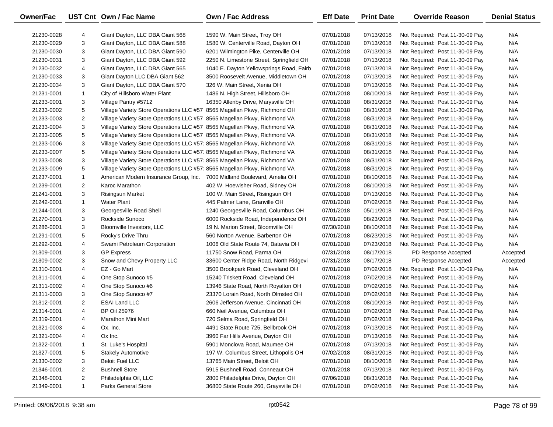| <b>Owner/Fac</b> |                | UST Cnt Own / Fac Name                                                   | <b>Own / Fac Address</b>                 | <b>Eff Date</b> | <b>Print Date</b> | <b>Override Reason</b>          | <b>Denial Status</b> |
|------------------|----------------|--------------------------------------------------------------------------|------------------------------------------|-----------------|-------------------|---------------------------------|----------------------|
| 21230-0028       | 4              | Giant Dayton, LLC DBA Giant 568                                          | 1590 W. Main Street, Troy OH             | 07/01/2018      | 07/13/2018        | Not Required: Post 11-30-09 Pay | N/A                  |
| 21230-0029       | 3              | Giant Dayton, LLC DBA Giant 588                                          | 1580 W. Centerville Road, Dayton OH      | 07/01/2018      | 07/13/2018        | Not Required: Post 11-30-09 Pay | N/A                  |
| 21230-0030       | 3              | Giant Dayton, LLC DBA Giant 590                                          | 6201 Wilmington Pike, Centerville OH     | 07/01/2018      | 07/13/2018        | Not Required: Post 11-30-09 Pay | N/A                  |
| 21230-0031       | 3              | Giant Dayton, LLC DBA Giant 592                                          | 2250 N. Limestone Street, Springfield OH | 07/01/2018      | 07/13/2018        | Not Required: Post 11-30-09 Pay | N/A                  |
| 21230-0032       | 4              | Giant Dayton, LLC DBA Giant 565                                          | 1040 E. Dayton Yellowsprings Road, Fairb | 07/01/2018      | 07/13/2018        | Not Required: Post 11-30-09 Pay | N/A                  |
| 21230-0033       | 3              | Giant Dayton LLC DBA Giant 562                                           | 3500 Roosevelt Avenue, Middletown OH     | 07/01/2018      | 07/13/2018        | Not Required: Post 11-30-09 Pay | N/A                  |
| 21230-0034       | 3              | Giant Dayton, LLC DBA Giant 570                                          | 326 W. Main Street, Xenia OH             | 07/01/2018      | 07/13/2018        | Not Required: Post 11-30-09 Pay | N/A                  |
| 21231-0001       | $\mathbf{1}$   | City of Hillsboro Water Plant                                            | 1486 N. High Street, Hillsboro OH        | 07/01/2018      | 08/10/2018        | Not Required: Post 11-30-09 Pay | N/A                  |
| 21233-0001       | 3              | Village Pantry #5712                                                     | 16350 Allenby Drive, Marysville OH       | 07/01/2018      | 08/31/2018        | Not Required: Post 11-30-09 Pay | N/A                  |
| 21233-0002       | 5              | Village Variety Store Operations LLC #57 8565 Magellan Pkwy, Richmond OH |                                          | 07/01/2018      | 08/31/2018        | Not Required: Post 11-30-09 Pay | N/A                  |
| 21233-0003       | 2              | Village Variety Store Operations LLC #57 8565 Magellan Pkwy, Richmond VA |                                          | 07/01/2018      | 08/31/2018        | Not Required: Post 11-30-09 Pay | N/A                  |
| 21233-0004       | 3              | Village Variety Store Operations LLC #57 8565 Magellan Pkwy, Richmond VA |                                          | 07/01/2018      | 08/31/2018        | Not Required: Post 11-30-09 Pay | N/A                  |
| 21233-0005       | 5              | Village Variety Store Operations LLC #57 8565 Magellan Pkwy, Richmond VA |                                          | 07/01/2018      | 08/31/2018        | Not Required: Post 11-30-09 Pay | N/A                  |
| 21233-0006       | 3              | Village Variety Store Operations LLC #57 8565 Magellan Pkwy, Richmond VA |                                          | 07/01/2018      | 08/31/2018        | Not Required: Post 11-30-09 Pay | N/A                  |
| 21233-0007       | 5              | Village Variety Store Operations LLC #57 8565 Magellan Pkwy, Richmond VA |                                          | 07/01/2018      | 08/31/2018        | Not Required: Post 11-30-09 Pay | N/A                  |
| 21233-0008       | 3              | Village Variety Store Operations LLC #57 8565 Magellan Pkwy, Richmond VA |                                          | 07/01/2018      | 08/31/2018        | Not Required: Post 11-30-09 Pay | N/A                  |
| 21233-0009       | 5              | Village Variety Store Operations LLC #57 8565 Magellan Pkwy, Richmond VA |                                          | 07/01/2018      | 08/31/2018        | Not Required: Post 11-30-09 Pay | N/A                  |
| 21237-0001       | $\mathbf{1}$   | American Modern Insurance Group, Inc. 7000 Midland Boulevard, Amelia OH  |                                          | 07/01/2018      | 08/10/2018        | Not Required: Post 11-30-09 Pay | N/A                  |
| 21239-0001       | $\overline{2}$ | Karoc Marathon                                                           | 402 W. Hoewisher Road, Sidney OH         | 07/01/2018      | 08/10/2018        | Not Required: Post 11-30-09 Pay | N/A                  |
| 21241-0001       | 3              | <b>Risingsun Market</b>                                                  | 100 W. Main Street, Risingsun OH         | 07/01/2018      | 07/13/2018        | Not Required: Post 11-30-09 Pay | N/A                  |
| 21242-0001       | $\mathbf{1}$   | <b>Water Plant</b>                                                       | 445 Palmer Lane, Granville OH            | 07/01/2018      | 07/02/2018        | Not Required: Post 11-30-09 Pay | N/A                  |
| 21244-0001       | 3              | Georgesville Road Shell                                                  | 1240 Georgesville Road, Columbus OH      | 07/01/2018      | 05/11/2018        | Not Required: Post 11-30-09 Pay | N/A                  |
| 21270-0001       | 3              | Rockside Sunoco                                                          | 6000 Rockside Road, Independence OH      | 07/01/2018      | 08/23/2018        | Not Required: Post 11-30-09 Pay | N/A                  |
| 21286-0001       | 3              | Bloomville Investors, LLC                                                | 19 N. Marion Street, Bloomville OH       | 07/30/2018      | 08/10/2018        | Not Required: Post 11-30-09 Pay | N/A                  |
| 21291-0001       | 5              | Rocky's Drive Thru                                                       | 560 Norton Avenue, Barberton OH          | 07/01/2018      | 08/23/2018        | Not Required: Post 11-30-09 Pay | N/A                  |
| 21292-0001       | 4              | Swami Petroleum Corporation                                              | 1006 Old State Route 74, Batavia OH      | 07/01/2018      | 07/23/2018        | Not Required: Post 11-30-09 Pay | N/A                  |
| 21309-0001       | 3              | <b>GP Express</b>                                                        | 11750 Snow Road, Parma OH                | 07/31/2018      | 08/17/2018        | PD Response Accepted            | Accepted             |
| 21309-0002       | 3              | Snow and Chevy Property LLC                                              | 33600 Center Ridge Road, North Ridgevi   | 07/31/2018      | 08/17/2018        | PD Response Accepted            | Accepted             |
| 21310-0001       | 4              | EZ - Go Mart                                                             | 3500 Brookpark Road, Cleveland OH        | 07/01/2018      | 07/02/2018        | Not Required: Post 11-30-09 Pay | N/A                  |
| 21311-0001       | 4              | One Stop Sunoco #5                                                       | 15240 Triskett Road, Cleveland OH        | 07/01/2018      | 07/02/2018        | Not Required: Post 11-30-09 Pay | N/A                  |
| 21311-0002       | 4              | One Stop Sunoco #6                                                       | 13946 State Road, North Royalton OH      | 07/01/2018      | 07/02/2018        | Not Required: Post 11-30-09 Pay | N/A                  |
| 21311-0003       | 3              | One Stop Sunoco #7                                                       | 23370 Lorain Road, North Olmsted OH      | 07/01/2018      | 07/02/2018        | Not Required: Post 11-30-09 Pay | N/A                  |
| 21312-0001       | 2              | <b>ESAI Land LLC</b>                                                     | 2606 Jefferson Avenue, Cincinnati OH     | 07/01/2018      | 08/10/2018        | Not Required: Post 11-30-09 Pay | N/A                  |
| 21314-0001       | 4              | <b>BP Oil 25976</b>                                                      | 660 Neil Avenue, Columbus OH             | 07/01/2018      | 07/02/2018        | Not Required: Post 11-30-09 Pay | N/A                  |
| 21319-0001       | 4              | Marathon Mini Mart                                                       | 720 Selma Road, Springfield OH           | 07/01/2018      | 07/02/2018        | Not Required: Post 11-30-09 Pay | N/A                  |
| 21321-0003       | 4              | Ox, Inc.                                                                 | 4491 State Route 725, Bellbrook OH       | 07/01/2018      | 07/13/2018        | Not Required: Post 11-30-09 Pay | N/A                  |
| 21321-0004       | 4              | Ox Inc.                                                                  | 3960 Far Hills Avenue, Dayton OH         | 07/01/2018      | 07/13/2018        | Not Required: Post 11-30-09 Pay | N/A                  |
| 21322-0001       | 1              | St. Luke's Hospital                                                      | 5901 Monclova Road, Maumee OH            | 07/01/2018      | 07/13/2018        | Not Required: Post 11-30-09 Pay | N/A                  |
| 21327-0001       | 5              | <b>Stakely Automotive</b>                                                | 197 W. Columbus Street, Lithopolis OH    | 07/02/2018      | 08/31/2018        | Not Required: Post 11-30-09 Pay | N/A                  |
| 21330-0002       | 3              | <b>Beloit Fuel LLC</b>                                                   | 13765 Main Street, Beloit OH             | 07/01/2018      | 08/10/2018        | Not Required: Post 11-30-09 Pay | N/A                  |
| 21346-0001       | 2              | <b>Bushnell Store</b>                                                    | 5915 Bushnell Road, Conneaut OH          | 07/01/2018      | 07/13/2018        | Not Required: Post 11-30-09 Pay | N/A                  |
| 21348-0001       | 2              | Philadelphia Oil, LLC                                                    | 2800 Philadelphia Drive, Dayton OH       | 07/06/2018      | 08/31/2018        | Not Required: Post 11-30-09 Pay | N/A                  |
| 21349-0001       | $\mathbf{1}$   | <b>Parks General Store</b>                                               | 36800 State Route 260, Graysville OH     | 07/01/2018      | 07/02/2018        | Not Required: Post 11-30-09 Pay | N/A                  |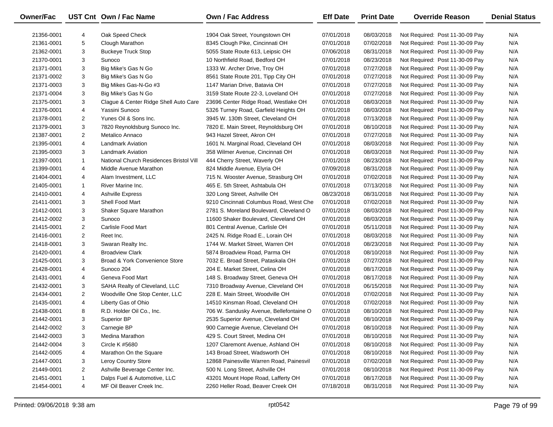| Owner/Fac  |                | UST Cnt Own / Fac Name                  | <b>Own / Fac Address</b>                                            | <b>Eff Date</b>          | <b>Print Date</b>        | <b>Override Reason</b>          | <b>Denial Status</b> |
|------------|----------------|-----------------------------------------|---------------------------------------------------------------------|--------------------------|--------------------------|---------------------------------|----------------------|
|            |                | Oak Speed Check                         |                                                                     |                          |                          |                                 | N/A                  |
| 21356-0001 | 4<br>5         | Clough Marathon                         | 1904 Oak Street, Youngstown OH                                      | 07/01/2018<br>07/01/2018 | 08/03/2018<br>07/02/2018 | Not Required: Post 11-30-09 Pay | N/A                  |
| 21361-0001 | 3              | <b>Buckeye Truck Stop</b>               | 8345 Clough Pike, Cincinnati OH<br>5055 State Route 613, Leipsic OH | 07/06/2018               | 08/31/2018               | Not Required: Post 11-30-09 Pay | N/A                  |
| 21362-0001 |                |                                         |                                                                     |                          |                          | Not Required: Post 11-30-09 Pay |                      |
| 21370-0001 | 3              | Sunoco                                  | 10 Northfield Road, Bedford OH                                      | 07/01/2018               | 08/23/2018               | Not Required: Post 11-30-09 Pay | N/A                  |
| 21371-0001 | 3              | Big Mike's Gas N Go                     | 1333 W. Archer Drive, Troy OH                                       | 07/01/2018               | 07/27/2018               | Not Required: Post 11-30-09 Pay | N/A                  |
| 21371-0002 | 3              | Big Mike's Gas N Go                     | 8561 State Route 201, Tipp City OH                                  | 07/01/2018               | 07/27/2018               | Not Required: Post 11-30-09 Pay | N/A                  |
| 21371-0003 | 3              | Big Mikes Gas-N-Go #3                   | 1147 Marian Drive, Batavia OH                                       | 07/01/2018               | 07/27/2018               | Not Required: Post 11-30-09 Pay | N/A                  |
| 21371-0004 | 3              | Big Mike's Gas N Go                     | 3159 State Route 22-3, Loveland OH                                  | 07/01/2018               | 07/27/2018               | Not Required: Post 11-30-09 Pay | N/A                  |
| 21375-0001 | 3              | Clague & Center Ridge Shell Auto Care   | 23696 Center Ridge Road, Westlake OH                                | 07/01/2018               | 08/03/2018               | Not Required: Post 11-30-09 Pay | N/A                  |
| 21376-0001 | 4              | Yassini Sunoco                          | 5326 Turney Road, Garfield Heights OH                               | 07/01/2018               | 08/03/2018               | Not Required: Post 11-30-09 Pay | N/A                  |
| 21378-0001 | $\overline{2}$ | Yunes Oil & Sons Inc.                   | 3945 W. 130th Street, Cleveland OH                                  | 07/01/2018               | 07/13/2018               | Not Required: Post 11-30-09 Pay | N/A                  |
| 21379-0001 | 3              | 7820 Reynoldsburg Sunoco Inc.           | 7820 E. Main Street, Reynoldsburg OH                                | 07/01/2018               | 08/10/2018               | Not Required: Post 11-30-09 Pay | N/A                  |
| 21387-0001 | $\overline{2}$ | Metalico Annaco                         | 943 Hazel Street, Akron OH                                          | 07/01/2018               | 07/27/2018               | Not Required: Post 11-30-09 Pay | N/A                  |
| 21395-0001 | 4              | <b>Landmark Aviation</b>                | 1601 N. Marginal Road, Cleveland OH                                 | 07/01/2018               | 08/03/2018               | Not Required: Post 11-30-09 Pay | N/A                  |
| 21395-0003 | 3              | <b>Landmark Aviation</b>                | 358 Wilmer Avenue, Cincinnati OH                                    | 07/01/2018               | 08/03/2018               | Not Required: Post 11-30-09 Pay | N/A                  |
| 21397-0001 | $\mathbf{1}$   | National Church Residences Bristol Vill | 444 Cherry Street, Waverly OH                                       | 07/01/2018               | 08/23/2018               | Not Required: Post 11-30-09 Pay | N/A                  |
| 21399-0001 | 4              | Middle Avenue Marathon                  | 824 Middle Avenue, Elyria OH                                        | 07/09/2018               | 08/31/2018               | Not Required: Post 11-30-09 Pay | N/A                  |
| 21404-0001 | 4              | Alam Investment, LLC                    | 715 N. Wooster Avenue, Strasburg OH                                 | 07/01/2018               | 07/02/2018               | Not Required: Post 11-30-09 Pay | N/A                  |
| 21405-0001 | $\mathbf{1}$   | River Marine Inc.                       | 465 E. 5th Street, Ashtabula OH                                     | 07/01/2018               | 07/13/2018               | Not Required: Post 11-30-09 Pay | N/A                  |
| 21410-0001 | 4              | <b>Ashville Express</b>                 | 320 Long Street, Ashville OH                                        | 08/23/2018               | 08/31/2018               | Not Required: Post 11-30-09 Pay | N/A                  |
| 21411-0001 | 3              | Shell Food Mart                         | 9210 Cincinnati Columbus Road, West Che                             | 07/01/2018               | 07/02/2018               | Not Required: Post 11-30-09 Pay | N/A                  |
| 21412-0001 | 3              | <b>Shaker Square Marathon</b>           | 2781 S. Moreland Boulevard, Cleveland O                             | 07/01/2018               | 08/03/2018               | Not Required: Post 11-30-09 Pay | N/A                  |
| 21412-0002 | 3              | Sunoco                                  | 11600 Shaker Boulevard, Cleveland OH                                | 07/01/2018               | 08/03/2018               | Not Required: Post 11-30-09 Pay | N/A                  |
| 21415-0001 | $\overline{2}$ | Carlisle Food Mart                      | 801 Central Avenue, Carlisle OH                                     | 07/01/2018               | 05/11/2018               | Not Required: Post 11-30-09 Pay | N/A                  |
| 21416-0001 | $\overline{2}$ | Reet Inc.                               | 2425 N. Ridge Road E., Lorain OH                                    | 07/01/2018               | 08/03/2018               | Not Required: Post 11-30-09 Pay | N/A                  |
| 21418-0001 | 3              | Swaran Realty Inc.                      | 1744 W. Market Street, Warren OH                                    | 07/01/2018               | 08/23/2018               | Not Required: Post 11-30-09 Pay | N/A                  |
| 21420-0001 | 4              | <b>Broadview Clark</b>                  | 5874 Broadview Road, Parma OH                                       | 07/01/2018               | 08/10/2018               | Not Required: Post 11-30-09 Pay | N/A                  |
| 21425-0001 | 3              | Broad & York Convenience Store          | 7032 E. Broad Street, Pataskala OH                                  | 07/01/2018               | 07/27/2018               | Not Required: Post 11-30-09 Pay | N/A                  |
| 21428-0001 | 4              | Sunoco 204                              | 204 E. Market Street, Celina OH                                     | 07/01/2018               | 08/17/2018               | Not Required: Post 11-30-09 Pay | N/A                  |
| 21431-0001 | 4              | Geneva Food Mart                        | 148 S. Broadway Street, Geneva OH                                   | 07/01/2018               | 08/17/2018               | Not Required: Post 11-30-09 Pay | N/A                  |
| 21432-0001 | 3              | SAHA Realty of Cleveland, LLC           | 7310 Broadway Avenue, Cleveland OH                                  | 07/01/2018               | 06/15/2018               | Not Required: Post 11-30-09 Pay | N/A                  |
| 21434-0001 | $\overline{2}$ | Woodville One Stop Center, LLC          | 228 E. Main Street, Woodville OH                                    | 07/01/2018               | 07/02/2018               | Not Required: Post 11-30-09 Pay | N/A                  |
| 21435-0001 | 4              | Liberty Gas of Ohio                     | 14510 Kinsman Road, Cleveland OH                                    | 07/01/2018               | 07/02/2018               | Not Required: Post 11-30-09 Pay | N/A                  |
| 21438-0001 | 8              | R.D. Holder Oil Co., Inc.               | 706 W. Sandusky Avenue, Bellefontaine O                             | 07/01/2018               | 08/10/2018               | Not Required: Post 11-30-09 Pay | N/A                  |
| 21442-0001 | 3              | Superior BP                             | 2535 Superior Avenue, Cleveland OH                                  | 07/01/2018               | 08/10/2018               | Not Required: Post 11-30-09 Pay | N/A                  |
| 21442-0002 | 3              | Carnegie BP                             | 900 Carnegie Avenue, Cleveland OH                                   | 07/01/2018               | 08/10/2018               | Not Required: Post 11-30-09 Pay | N/A                  |
| 21442-0003 | 3              | Medina Marathon                         | 429 S. Court Street, Medina OH                                      | 07/01/2018               | 08/10/2018               | Not Required: Post 11-30-09 Pay | N/A                  |
| 21442-0004 | 3              | <b>Circle K #5680</b>                   | 1207 Claremont Avenue, Ashland OH                                   | 07/01/2018               | 08/10/2018               | Not Required: Post 11-30-09 Pay | N/A                  |
| 21442-0005 | 4              | Marathon On the Square                  | 143 Broad Street, Wadsworth OH                                      | 07/01/2018               | 08/10/2018               | Not Required: Post 11-30-09 Pay | N/A                  |
| 21447-0001 | 3              | Leroy Country Store                     | 12868 Painesville Warren Road, Painesvil                            | 07/01/2018               | 07/02/2018               | Not Required: Post 11-30-09 Pay | N/A                  |
| 21449-0001 | 2              | Ashville Beverage Center Inc.           | 500 N. Long Street, Ashville OH                                     | 07/01/2018               | 08/10/2018               | Not Required: Post 11-30-09 Pay | N/A                  |
| 21451-0001 | 1              | Dalps Fuel & Automotive, LLC            | 43201 Mount Hope Road, Lafferty OH                                  | 07/01/2018               | 08/17/2018               | Not Required: Post 11-30-09 Pay | N/A                  |
| 21454-0001 | 4              | MF Oil Beaver Creek Inc.                | 2260 Heller Road, Beaver Creek OH                                   | 07/18/2018               | 08/31/2018               | Not Required: Post 11-30-09 Pay | N/A                  |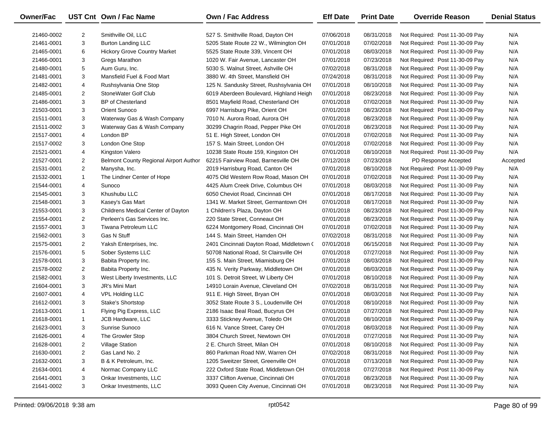| Owner/Fac  |                | UST Cnt Own / Fac Name                 | <b>Own / Fac Address</b>                  | <b>Eff Date</b> | <b>Print Date</b> | <b>Override Reason</b>          | <b>Denial Status</b> |
|------------|----------------|----------------------------------------|-------------------------------------------|-----------------|-------------------|---------------------------------|----------------------|
| 21460-0002 | 2              | Smithville Oil, LLC                    | 527 S. Smithville Road, Dayton OH         | 07/06/2018      | 08/31/2018        | Not Required: Post 11-30-09 Pay | N/A                  |
| 21461-0001 | 3              | <b>Burton Landing LLC</b>              | 5205 State Route 22 W., Wilmington OH     | 07/01/2018      | 07/02/2018        | Not Required: Post 11-30-09 Pay | N/A                  |
| 21465-0001 | 6              | <b>Hickory Grove Country Market</b>    | 5525 State Route 339, Vincent OH          | 07/01/2018      | 08/03/2018        | Not Required: Post 11-30-09 Pay | N/A                  |
| 21466-0001 | 3              | Gregs Marathon                         | 1020 W. Fair Avenue, Lancaster OH         | 07/01/2018      | 07/23/2018        | Not Required: Post 11-30-09 Pay | N/A                  |
| 21480-0001 | 5              | Aum Guru, Inc.                         | 5030 S. Walnut Street, Ashville OH        | 07/02/2018      | 08/31/2018        | Not Required: Post 11-30-09 Pay | N/A                  |
| 21481-0001 | 3              | Mansfield Fuel & Food Mart             | 3880 W. 4th Street, Mansfield OH          | 07/24/2018      | 08/31/2018        | Not Required: Post 11-30-09 Pay | N/A                  |
| 21482-0001 | 4              | Rushsylvania One Stop                  | 125 N. Sandusky Street, Rushsylvania OH   | 07/01/2018      | 08/10/2018        | Not Required: Post 11-30-09 Pay | N/A                  |
| 21485-0001 | 2              | StoneWater Golf Club                   | 6019 Aberdeen Boulevard, Highland Heigh   | 07/01/2018      | 08/23/2018        | Not Required: Post 11-30-09 Pay | N/A                  |
| 21486-0001 | 3              | <b>BP</b> of Chesterland               | 8501 Mayfield Road, Chesterland OH        | 07/01/2018      | 07/02/2018        | Not Required: Post 11-30-09 Pay | N/A                  |
| 21503-0001 | 3              | Orient Sunoco                          | 6997 Harrisburg Pike, Orient OH           | 07/01/2018      | 08/23/2018        | Not Required: Post 11-30-09 Pay | N/A                  |
| 21511-0001 | 3              | Waterway Gas & Wash Company            | 7010 N. Aurora Road, Aurora OH            | 07/01/2018      | 08/23/2018        | Not Required: Post 11-30-09 Pay | N/A                  |
| 21511-0002 | 3              | Waterway Gas & Wash Company            | 30299 Chagrin Road, Pepper Pike OH        | 07/01/2018      | 08/23/2018        | Not Required: Post 11-30-09 Pay | N/A                  |
| 21517-0001 | 4              | London BP                              | 51 E. High Street, London OH              | 07/01/2018      | 07/02/2018        | Not Required: Post 11-30-09 Pay | N/A                  |
| 21517-0002 | 3              | London One Stop                        | 157 S. Main Street, London OH             | 07/01/2018      | 07/02/2018        | Not Required: Post 11-30-09 Pay | N/A                  |
| 21521-0001 | 4              | Kingston Valero                        | 10238 State Route 159, Kingston OH        | 07/01/2018      | 08/10/2018        | Not Required: Post 11-30-09 Pay | N/A                  |
| 21527-0001 | $\overline{2}$ | Belmont County Regional Airport Author | 62215 Fairview Road, Barnesville OH       | 07/12/2018      | 07/23/2018        | PD Response Accepted            | Accepted             |
| 21531-0001 | $\overline{2}$ | Manysha, Inc.                          | 2019 Harrisburg Road, Canton OH           | 07/01/2018      | 08/10/2018        | Not Required: Post 11-30-09 Pay | N/A                  |
| 21532-0001 | $\mathbf{1}$   | The Lindner Center of Hope             | 4075 Old Western Row Road, Mason OH       | 07/01/2018      | 07/02/2018        | Not Required: Post 11-30-09 Pay | N/A                  |
| 21544-0001 | 4              | Sunoco                                 | 4425 Alum Creek Drive, Columbus OH        | 07/01/2018      | 08/03/2018        | Not Required: Post 11-30-09 Pay | N/A                  |
| 21545-0001 | 3              | Khushubu LLC                           | 6050 Cheviot Road, Cincinnati OH          | 07/01/2018      | 08/17/2018        | Not Required: Post 11-30-09 Pay | N/A                  |
| 21548-0001 | 3              | Kasey's Gas Mart                       | 1341 W. Market Street, Germantown OH      | 07/01/2018      | 08/17/2018        | Not Required: Post 11-30-09 Pay | N/A                  |
| 21553-0001 | 3              | Childrens Medical Center of Dayton     | 1 Children's Plaza, Dayton OH             | 07/01/2018      | 08/23/2018        | Not Required: Post 11-30-09 Pay | N/A                  |
| 21554-0001 | $\overline{2}$ | Perleen's Gas Services Inc.            | 220 State Street, Conneaut OH             | 07/01/2018      | 08/23/2018        | Not Required: Post 11-30-09 Pay | N/A                  |
| 21557-0001 | 3              | Tiwana Petroleum LLC                   | 6224 Montgomery Road, Cincinnati OH       | 07/01/2018      | 07/02/2018        | Not Required: Post 11-30-09 Pay | N/A                  |
| 21562-0001 | 3              | <b>Gas N Stuff</b>                     | 144 S. Main Street, Hamden OH             | 07/02/2018      | 08/31/2018        | Not Required: Post 11-30-09 Pay | N/A                  |
| 21575-0001 | $\overline{2}$ | Yaksh Enterprises, Inc.                | 2401 Cincinnati Dayton Road, Middletown ( | 07/01/2018      | 06/15/2018        | Not Required: Post 11-30-09 Pay | N/A                  |
| 21576-0001 | 5              | Sober Systems LLC                      | 50708 National Road, St Clairsville OH    | 07/01/2018      | 07/27/2018        | Not Required: Post 11-30-09 Pay | N/A                  |
| 21578-0001 | 3              | Babita Property Inc.                   | 155 S. Main Street, Miamisburg OH         | 07/01/2018      | 08/03/2018        | Not Required: Post 11-30-09 Pay | N/A                  |
| 21578-0002 | $\overline{2}$ | Babita Property Inc.                   | 435 N. Verity Parkway, Middletown OH      | 07/01/2018      | 08/03/2018        | Not Required: Post 11-30-09 Pay | N/A                  |
| 21582-0001 | 3              | West Liberty Investments, LLC          | 101 S. Detroit Street, W Liberty OH       | 07/01/2018      | 08/10/2018        | Not Required: Post 11-30-09 Pay | N/A                  |
| 21604-0001 | 3              | JR's Mini Mart                         | 14910 Lorain Avenue, Cleveland OH         | 07/02/2018      | 08/31/2018        | Not Required: Post 11-30-09 Pay | N/A                  |
| 21607-0001 | 4              | <b>VPL Holding LLC</b>                 | 911 E. High Street, Bryan OH              | 07/01/2018      | 08/03/2018        | Not Required: Post 11-30-09 Pay | N/A                  |
| 21612-0001 | 3              | Stake's Shortstop                      | 3052 State Route 3 S., Loudenville OH     | 07/01/2018      | 08/10/2018        | Not Required: Post 11-30-09 Pay | N/A                  |
| 21613-0001 | $\mathbf{1}$   | Flying Pig Express, LLC                | 2186 Isaac Beal Road, Bucyrus OH          | 07/01/2018      | 07/27/2018        | Not Required: Post 11-30-09 Pay | N/A                  |
| 21618-0001 | $\mathbf{1}$   | JCB Hardware, LLC                      | 3333 Stickney Avenue, Toledo OH           | 07/01/2018      | 08/10/2018        | Not Required: Post 11-30-09 Pay | N/A                  |
| 21623-0001 | 3              | Sunrise Sunoco                         | 616 N. Vance Street, Carey OH             | 07/01/2018      | 08/03/2018        | Not Required: Post 11-30-09 Pay | N/A                  |
| 21626-0001 | 4              | The Growler Stop                       | 3804 Church Street, Newtown OH            | 07/01/2018      | 07/27/2018        | Not Required: Post 11-30-09 Pay | N/A                  |
| 21628-0001 | 2              | <b>Village Station</b>                 | 2 E. Church Street, Milan OH              | 07/01/2018      | 08/10/2018        | Not Required: Post 11-30-09 Pay | N/A                  |
| 21630-0001 | 2              | Gas Land No. 2                         | 860 Parkman Road NW, Warren OH            | 07/02/2018      | 08/31/2018        | Not Required: Post 11-30-09 Pay | N/A                  |
| 21632-0001 | 3              | B & K Petroleum, Inc.                  | 1205 Sweitzer Street, Greenville OH       | 07/01/2018      | 07/13/2018        | Not Required: Post 11-30-09 Pay | N/A                  |
| 21634-0001 |                | Normac Company LLC                     | 222 Oxford State Road, Middletown OH      | 07/01/2018      | 07/27/2018        | Not Required: Post 11-30-09 Pay | N/A                  |
|            | 4              |                                        |                                           |                 |                   |                                 |                      |
| 21641-0001 | 3              | Onkar Investments, LLC                 | 3337 Clifton Avenue, Cincinnati OH        | 07/01/2018      | 08/23/2018        | Not Required: Post 11-30-09 Pay | N/A                  |

 $\overline{\phantom{0}}$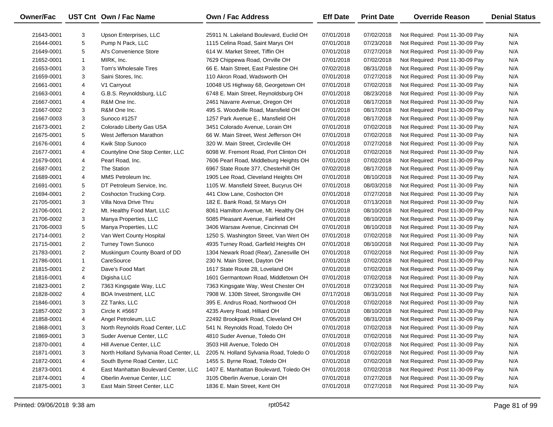| Owner/Fac  |                | UST Cnt Own / Fac Name                 | Own / Fac Address                       | <b>Eff Date</b> | <b>Print Date</b> | <b>Override Reason</b>          | <b>Denial Status</b> |
|------------|----------------|----------------------------------------|-----------------------------------------|-----------------|-------------------|---------------------------------|----------------------|
| 21643-0001 | 3              | Upson Enterprises, LLC                 | 25911 N. Lakeland Boulevard, Euclid OH  | 07/01/2018      | 07/02/2018        | Not Required: Post 11-30-09 Pay | N/A                  |
| 21644-0001 | 5              | Pump N Pack, LLC                       | 1115 Celina Road, Saint Marys OH        | 07/01/2018      | 07/23/2018        | Not Required: Post 11-30-09 Pay | N/A                  |
| 21649-0001 | 5              | Al's Convenience Store                 | 614 W. Market Street, Tiffin OH         | 07/01/2018      | 07/27/2018        | Not Required: Post 11-30-09 Pay | N/A                  |
| 21652-0001 | $\mathbf{1}$   | MIRK, Inc.                             | 7629 Chippewa Road, Orrville OH         | 07/01/2018      | 07/02/2018        | Not Required: Post 11-30-09 Pay | N/A                  |
| 21653-0001 | 3              | Tom's Wholesale Tires                  | 66 E. Main Street, East Palestine OH    | 07/02/2018      | 08/31/2018        | Not Required: Post 11-30-09 Pay | N/A                  |
| 21659-0001 | 3              | Saini Stores, Inc.                     | 110 Akron Road, Wadsworth OH            | 07/01/2018      | 07/27/2018        | Not Required: Post 11-30-09 Pay | N/A                  |
| 21661-0001 | 4              | V1 Carryout                            | 10048 US Highway 68, Georgetown OH      | 07/01/2018      | 07/02/2018        | Not Required: Post 11-30-09 Pay | N/A                  |
| 21663-0001 | 4              | G.B.S. Reynoldsburg, LLC               | 6748 E. Main Street, Reynoldsburg OH    | 07/01/2018      | 08/23/2018        | Not Required: Post 11-30-09 Pay | N/A                  |
| 21667-0001 | 4              | R&M One Inc.                           | 2461 Navarre Avenue, Oregon OH          | 07/01/2018      | 08/17/2018        | Not Required: Post 11-30-09 Pay | N/A                  |
| 21667-0002 | 3              | R&M One Inc.                           | 495 S. Woodville Road, Mansfield OH     | 07/01/2018      | 08/17/2018        | Not Required: Post 11-30-09 Pay | N/A                  |
| 21667-0003 | 3              | Sunoco #1257                           | 1257 Park Avenue E., Mansfield OH       | 07/01/2018      | 08/17/2018        | Not Required: Post 11-30-09 Pay | N/A                  |
| 21673-0001 | $\overline{2}$ | Colorado Liberty Gas USA               | 3451 Colorado Avenue, Lorain OH         | 07/01/2018      | 07/02/2018        | Not Required: Post 11-30-09 Pay | N/A                  |
| 21675-0001 | 5              | West Jefferson Marathon                | 66 W. Main Street, West Jefferson OH    | 07/01/2018      | 07/02/2018        | Not Required: Post 11-30-09 Pay | N/A                  |
| 21676-0001 | 4              | Kwik Stop Sunoco                       | 320 W. Main Street, Circleville OH      | 07/01/2018      | 07/27/2018        | Not Required: Post 11-30-09 Pay | N/A                  |
| 21677-0001 | 4              | Countyline One Stop Center, LLC        | 6098 W. Fremont Road, Port Clinton OH   | 07/01/2018      | 07/02/2018        | Not Required: Post 11-30-09 Pay | N/A                  |
| 21679-0001 | 4              | Pearl Road, Inc.                       | 7606 Pearl Road, Middleburg Heights OH  | 07/01/2018      | 07/02/2018        | Not Required: Post 11-30-09 Pay | N/A                  |
| 21687-0001 | $\overline{2}$ | The Station                            | 6967 State Route 377, Chesterhill OH    | 07/02/2018      | 08/17/2018        | Not Required: Post 11-30-09 Pay | N/A                  |
| 21689-0001 | 4              | MMS Petroleum Inc.                     | 1905 Lee Road, Cleveland Heights OH     | 07/01/2018      | 08/10/2018        | Not Required: Post 11-30-09 Pay | N/A                  |
| 21691-0001 | 5              | DT Petroleum Service, Inc.             | 1105 W. Mansfield Street, Bucyrus OH    | 07/01/2018      | 08/03/2018        | Not Required: Post 11-30-09 Pay | N/A                  |
| 21694-0001 | $\overline{a}$ | Coshocton Trucking Corp.               | 441 Clow Lane, Coshocton OH             | 07/01/2018      | 07/27/2018        | Not Required: Post 11-30-09 Pay | N/A                  |
| 21705-0001 | 3              | Villa Nova Drive Thru                  | 182 E. Bank Road, St Marys OH           | 07/01/2018      | 07/13/2018        | Not Required: Post 11-30-09 Pay | N/A                  |
| 21706-0001 | $\overline{2}$ | Mt. Healthy Food Mart, LLC             | 8061 Hamilton Avenue, Mt. Healthy OH    | 07/01/2018      | 08/10/2018        | Not Required: Post 11-30-09 Pay | N/A                  |
| 21706-0002 | 3              | Manya Properties, LLC                  | 5085 Pleasant Avenue, Fairfield OH      | 07/01/2018      | 08/10/2018        | Not Required: Post 11-30-09 Pay | N/A                  |
| 21706-0003 | 5              | Manya Properties, LLC                  | 3406 Warsaw Avenue, Cincinnati OH       | 07/01/2018      | 08/10/2018        | Not Required: Post 11-30-09 Pay | N/A                  |
| 21714-0001 | $\overline{2}$ | Van Wert County Hospital               | 1250 S. Washington Street, Van Wert OH  | 07/01/2018      | 07/02/2018        | Not Required: Post 11-30-09 Pay | N/A                  |
| 21715-0001 | $\overline{2}$ | Turney Town Sunoco                     | 4935 Turney Road, Garfield Heights OH   | 07/01/2018      | 08/10/2018        | Not Required: Post 11-30-09 Pay | N/A                  |
| 21783-0001 | $\overline{2}$ | Muskingum County Board of DD           | 1304 Newark Road (Rear), Zanesville OH  | 07/01/2018      | 07/02/2018        | Not Required: Post 11-30-09 Pay | N/A                  |
| 21786-0001 | $\mathbf{1}$   | CareSource                             | 230 N. Main Street, Dayton OH           | 07/01/2018      | 07/02/2018        | Not Required: Post 11-30-09 Pay | N/A                  |
| 21815-0001 | $\overline{2}$ | Dave's Food Mart                       | 1617 State Route 28, Loveland OH        | 07/01/2018      | 07/02/2018        | Not Required: Post 11-30-09 Pay | N/A                  |
| 21816-0001 | 4              | Digisha LLC                            | 1601 Germantown Road, Middletown OH     | 07/01/2018      | 07/02/2018        | Not Required: Post 11-30-09 Pay | N/A                  |
| 21823-0001 | $\overline{2}$ | 7363 Kingsgate Way, LLC                | 7363 Kingsgate Way, West Chester OH     | 07/01/2018      | 07/23/2018        | Not Required: Post 11-30-09 Pay | N/A                  |
| 21828-0002 | 4              | <b>BOA Investment, LLC</b>             | 7908 W. 130th Street, Strongsville OH   | 07/17/2018      | 08/31/2018        | Not Required: Post 11-30-09 Pay | N/A                  |
| 21846-0001 | 3              | ZZ Tanks, LLC                          | 395 E. Andrus Road, Northwood OH        | 07/01/2018      | 07/02/2018        | Not Required: Post 11-30-09 Pay | N/A                  |
| 21857-0002 | 3              | Circle K #5667                         | 4235 Avery Road, Hilliard OH            | 07/01/2018      | 08/10/2018        | Not Required: Post 11-30-09 Pay | N/A                  |
| 21858-0001 | 4              | Angel Petroleum, LLC                   | 22492 Brookpark Road, Cleveland OH      | 07/05/2018      | 08/31/2018        | Not Required: Post 11-30-09 Pay | N/A                  |
| 21868-0001 | 3              | North Reynolds Road Center, LLC        | 541 N. Reynolds Road, Toledo OH         | 07/01/2018      | 07/02/2018        | Not Required: Post 11-30-09 Pay | N/A                  |
| 21869-0001 | 3              | Suder Avenue Center, LLC               | 4810 Suder Avenue, Toledo OH            | 07/01/2018      | 07/02/2018        | Not Required: Post 11-30-09 Pay | N/A                  |
| 21870-0001 | 4              | Hill Avenue Center, LLC                | 3503 Hill Avenue, Toledo OH             | 07/01/2018      | 07/02/2018        | Not Required: Post 11-30-09 Pay | N/A                  |
| 21871-0001 | 3              | North Holland Sylvania Road Center, LL | 2205 N. Holland Sylvania Road, Toledo O | 07/01/2018      | 07/02/2018        | Not Required: Post 11-30-09 Pay | N/A                  |
| 21872-0001 | 4              | South Byrne Road Center, LLC           | 1455 S. Byrne Road, Toledo OH           | 07/01/2018      | 07/02/2018        | Not Required: Post 11-30-09 Pay | N/A                  |
| 21873-0001 | 4              | East Manhattan Boulevard Center, LLC   | 1407 E. Manhattan Boulevard, Toledo OH  | 07/01/2018      | 07/02/2018        | Not Required: Post 11-30-09 Pay | N/A                  |
| 21874-0001 | 4              | Oberlin Avenue Center, LLC             | 3105 Oberlin Avenue, Lorain OH          | 07/01/2018      | 07/27/2018        | Not Required: Post 11-30-09 Pay | N/A                  |
| 21875-0001 | 3              | East Main Street Center, LLC           | 1836 E. Main Street, Kent OH            | 07/01/2018      | 07/27/2018        | Not Required: Post 11-30-09 Pay | N/A                  |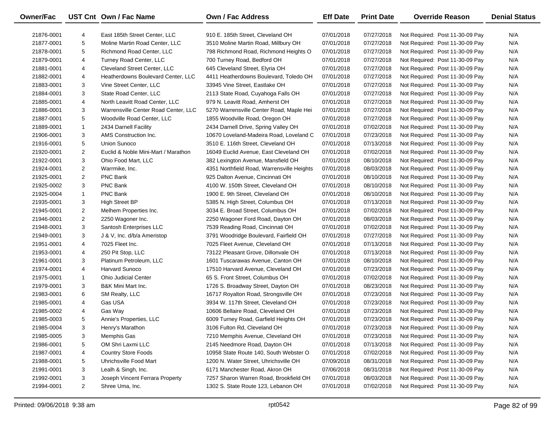| <b>Owner/Fac</b> |                | UST Cnt Own / Fac Name               | <b>Own / Fac Address</b>                   | <b>Eff Date</b> | <b>Print Date</b> | <b>Override Reason</b>          | <b>Denial Status</b> |
|------------------|----------------|--------------------------------------|--------------------------------------------|-----------------|-------------------|---------------------------------|----------------------|
| 21876-0001       | 4              | East 185th Street Center, LLC        | 910 E. 185th Street, Cleveland OH          | 07/01/2018      | 07/27/2018        | Not Required: Post 11-30-09 Pay | N/A                  |
| 21877-0001       | 5              | Moline Martin Road Center, LLC       | 3510 Moline Martin Road, Millbury OH       | 07/01/2018      | 07/27/2018        | Not Required: Post 11-30-09 Pay | N/A                  |
| 21878-0001       | 5              | Richmond Road Center, LLC            | 798 Richmond Road, Richmond Heights O      | 07/01/2018      | 07/27/2018        | Not Required: Post 11-30-09 Pay | N/A                  |
| 21879-0001       | 4              | Turney Road Center, LLC              | 700 Turney Road, Bedford OH                | 07/01/2018      | 07/27/2018        | Not Required: Post 11-30-09 Pay | N/A                  |
| 21881-0001       | 4              | Cleveland Street Center, LLC         | 645 Cleveland Street, Elyria OH            | 07/01/2018      | 07/27/2018        | Not Required: Post 11-30-09 Pay | N/A                  |
| 21882-0001       | 4              | Heatherdowns Boulevard Center, LLC   | 4411 Heatherdowns Boulevard, Toledo OH     | 07/01/2018      | 07/27/2018        | Not Required: Post 11-30-09 Pay | N/A                  |
| 21883-0001       | 3              | Vine Street Center, LLC              | 33945 Vine Street, Eastlake OH             | 07/01/2018      | 07/27/2018        | Not Required: Post 11-30-09 Pay | N/A                  |
| 21884-0001       | 3              | State Road Center, LLC               | 2113 State Road, Cuyahoga Falls OH         | 07/01/2018      | 07/27/2018        | Not Required: Post 11-30-09 Pay | N/A                  |
| 21885-0001       | 4              | North Leavitt Road Center, LLC       | 979 N. Leavitt Road, Amherst OH            | 07/01/2018      | 07/27/2018        | Not Required: Post 11-30-09 Pay | N/A                  |
| 21886-0001       | 3              | Warrensville Center Road Center, LLC | 5270 Warrensville Center Road, Maple Hei   | 07/01/2018      | 07/27/2018        | Not Required: Post 11-30-09 Pay | N/A                  |
| 21887-0001       | 5              | Woodville Road Center, LLC           | 1855 Woodville Road, Oregon OH             | 07/01/2018      | 07/27/2018        | Not Required: Post 11-30-09 Pay | N/A                  |
| 21889-0001       | $\mathbf{1}$   | 2434 Darnell Facility                | 2434 Darnell Drive, Spring Valley OH       | 07/01/2018      | 07/02/2018        | Not Required: Post 11-30-09 Pay | N/A                  |
| 21906-0001       | 3              | AMS Construction Inc.                | 10670 Loveland-Madeira Road, Loveland C    | 07/01/2018      | 07/23/2018        | Not Required: Post 11-30-09 Pay | N/A                  |
| 21916-0001       | 5              | Union Sunoco                         | 3510 E. 116th Street, Cleveland OH         | 07/01/2018      | 07/13/2018        | Not Required: Post 11-30-09 Pay | N/A                  |
| 21920-0001       | $\overline{2}$ | Euclid & Noble Mini-Mart / Marathon  | 16049 Euclid Avenue, East Cleveland OH     | 07/01/2018      | 07/02/2018        | Not Required: Post 11-30-09 Pay | N/A                  |
| 21922-0001       | 3              | Ohio Food Mart, LLC                  | 382 Lexington Avenue, Mansfield OH         | 07/01/2018      | 08/10/2018        | Not Required: Post 11-30-09 Pay | N/A                  |
| 21924-0001       | $\overline{2}$ | Warrmike, Inc.                       | 4351 Northfield Road, Warrensville Heights | 07/01/2018      | 08/03/2018        | Not Required: Post 11-30-09 Pay | N/A                  |
| 21925-0001       | $\overline{2}$ | PNC Bank                             | 925 Dalton Avenue, Cincinnati OH           | 07/01/2018      | 08/10/2018        | Not Required: Post 11-30-09 Pay | N/A                  |
| 21925-0002       | 3              | PNC Bank                             | 4100 W. 150th Street, Cleveland OH         | 07/01/2018      | 08/10/2018        | Not Required: Post 11-30-09 Pay | N/A                  |
| 21925-0004       | $\mathbf{1}$   | PNC Bank                             | 1900 E. 9th Street, Cleveland OH           | 07/01/2018      | 08/10/2018        | Not Required: Post 11-30-09 Pay | N/A                  |
| 21935-0001       | 3              | <b>High Street BP</b>                | 5385 N. High Street, Columbus OH           | 07/01/2018      | 07/13/2018        | Not Required: Post 11-30-09 Pay | N/A                  |
| 21945-0001       | $\overline{2}$ | Melhem Properties Inc.               | 3034 E. Broad Street, Columbus OH          | 07/01/2018      | 07/02/2018        | Not Required: Post 11-30-09 Pay | N/A                  |
| 21946-0001       | $\overline{2}$ | 2250 Wagoner Inc.                    | 2250 Wagoner Ford Road, Dayton OH          | 07/01/2018      | 08/03/2018        | Not Required: Post 11-30-09 Pay | N/A                  |
| 21948-0001       | 3              | Santosh Enterprises LLC              | 7539 Reading Road, Cincinnati OH           | 07/01/2018      | 07/02/2018        | Not Required: Post 11-30-09 Pay | N/A                  |
| 21949-0001       | 3              | J & V, Inc. d/b/a Ameristop          | 3791 Woodridge Boulevard, Fairfield OH     | 07/01/2018      | 07/27/2018        | Not Required: Post 11-30-09 Pay | N/A                  |
| 21951-0001       | 4              | 7025 Fleet Inc.                      | 7025 Fleet Avenue, Cleveland OH            | 07/01/2018      | 07/13/2018        | Not Required: Post 11-30-09 Pay | N/A                  |
| 21953-0001       | 4              | 250 Pit Stop, LLC                    | 73122 Pleasant Grove, Dillonvale OH        | 07/01/2018      | 07/13/2018        | Not Required: Post 11-30-09 Pay | N/A                  |
| 21961-0001       | 3              | Platinum Petroleum, LLC              | 1601 Tuscarawas Avenue, Canton OH          | 07/01/2018      | 08/10/2018        | Not Required: Post 11-30-09 Pay | N/A                  |
| 21974-0001       | 4              | Harvard Sunoco                       | 17510 Harvard Avenue, Cleveland OH         | 07/01/2018      | 07/23/2018        | Not Required: Post 11-30-09 Pay | N/A                  |
| 21975-0001       | $\mathbf{1}$   | <b>Ohio Judicial Center</b>          | 65 S. Front Street, Columbus OH            | 07/01/2018      | 07/02/2018        | Not Required: Post 11-30-09 Pay | N/A                  |
| 21979-0001       | 3              | <b>B&amp;K Mini Mart Inc.</b>        | 1726 S. Broadway Street, Dayton OH         | 07/01/2018      | 08/23/2018        | Not Required: Post 11-30-09 Pay | N/A                  |
| 21983-0001       | 6              | SM Realty, LLC                       | 16717 Royalton Road, Strongsville OH       | 07/01/2018      | 07/23/2018        | Not Required: Post 11-30-09 Pay | N/A                  |
| 21985-0001       | 4              | Gas USA                              | 3934 W. 117th Street, Cleveland OH         | 07/01/2018      | 07/23/2018        | Not Required: Post 11-30-09 Pay | N/A                  |
| 21985-0002       | 4              | Gas Way                              | 10606 Bellaire Road, Cleveland OH          | 07/01/2018      | 07/23/2018        | Not Required: Post 11-30-09 Pay | N/A                  |
| 21985-0003       | 5              | Annie's Properties, LLC              | 6009 Turney Road, Garfield Heights OH      | 07/01/2018      | 07/23/2018        | Not Required: Post 11-30-09 Pay | N/A                  |
| 21985-0004       | 3              | Henry's Marathon                     | 3106 Fulton Rd, Cleveland OH               | 07/01/2018      | 07/23/2018        | Not Required: Post 11-30-09 Pay | N/A                  |
| 21985-0005       | 3              | Memphis Gas                          | 7210 Memphis Avenue, Cleveland OH          | 07/01/2018      | 07/23/2018        | Not Required: Post 11-30-09 Pay | N/A                  |
| 21986-0001       | 5              | OM Shri Laxmi LLC                    | 2145 Needmore Road, Dayton OH              | 07/01/2018      | 07/13/2018        | Not Required: Post 11-30-09 Pay | N/A                  |
| 21987-0001       | 4              | <b>Country Store Foods</b>           | 10958 State Route 140, South Webster O     | 07/01/2018      | 07/02/2018        | Not Required: Post 11-30-09 Pay | N/A                  |
| 21988-0001       | 5              | Uhrichsville Food Mart               | 1200 N. Water Street, Uhrichsville OH      | 07/09/2018      | 08/31/2018        | Not Required: Post 11-30-09 Pay | N/A                  |
| 21991-0001       | 3              | Lealh & Singh, Inc.                  | 6171 Manchester Road, Akron OH             | 07/06/2018      | 08/31/2018        | Not Required: Post 11-30-09 Pay | N/A                  |
| 21992-0001       | 3              | Joseph Vincent Ferrara Property      | 7257 Sharon Warren Road, Brookfield OH     | 07/01/2018      | 08/03/2018        | Not Required: Post 11-30-09 Pay | N/A                  |
| 21994-0001       | $\overline{2}$ | Shree Uma, Inc.                      | 1302 S. State Route 123, Lebanon OH        | 07/01/2018      | 07/02/2018        | Not Required: Post 11-30-09 Pay | N/A                  |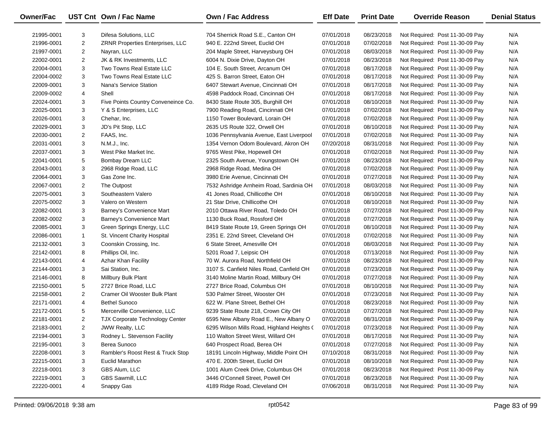| Owner/Fac  |                | UST Cnt Own / Fac Name                  | Own / Fac Address                          | <b>Eff Date</b> | <b>Print Date</b> | <b>Override Reason</b>          | <b>Denial Status</b> |
|------------|----------------|-----------------------------------------|--------------------------------------------|-----------------|-------------------|---------------------------------|----------------------|
| 21995-0001 | 3              | Difesa Solutions, LLC                   | 704 Sherrick Road S.E., Canton OH          | 07/01/2018      | 08/23/2018        | Not Required: Post 11-30-09 Pay | N/A                  |
| 21996-0001 | $\overline{c}$ | <b>ZRNR Properties Enterprises, LLC</b> | 940 E. 222nd Street, Euclid OH             | 07/01/2018      | 07/02/2018        | Not Required: Post 11-30-09 Pay | N/A                  |
| 21997-0001 | $\overline{2}$ | Nayran, LLC                             | 204 Maple Street, Harveysburg OH           | 07/01/2018      | 08/03/2018        | Not Required: Post 11-30-09 Pay | N/A                  |
| 22002-0001 | $\overline{2}$ | JK & RK Investments, LLC                | 6004 N. Dixie Drive, Dayton OH             | 07/01/2018      | 08/23/2018        | Not Required: Post 11-30-09 Pay | N/A                  |
| 22004-0001 | 3              | Two Towns Real Estate LLC               | 104 E. South Street, Arcanum OH            | 07/01/2018      | 08/17/2018        | Not Required: Post 11-30-09 Pay | N/A                  |
| 22004-0002 | 3              | Two Towns Real Estate LLC               | 425 S. Barron Street, Eaton OH             | 07/01/2018      | 08/17/2018        | Not Required: Post 11-30-09 Pay | N/A                  |
| 22009-0001 | 3              | Nana's Service Station                  | 6407 Stewart Avenue, Cincinnati OH         | 07/01/2018      | 08/17/2018        | Not Required: Post 11-30-09 Pay | N/A                  |
| 22009-0002 | 4              | Shell                                   | 4598 Paddock Road, Cincinnati OH           | 07/01/2018      | 08/17/2018        | Not Required: Post 11-30-09 Pay | N/A                  |
| 22024-0001 | 3              | Five Points Country Conveneince Co.     | 8430 State Route 305, Burghill OH          | 07/01/2018      | 08/10/2018        | Not Required: Post 11-30-09 Pay | N/A                  |
| 22025-0001 | 3              | Y & S Enterprises, LLC                  | 7900 Reading Road, Cincinnati OH           | 07/01/2018      | 07/02/2018        | Not Required: Post 11-30-09 Pay | N/A                  |
| 22026-0001 | 3              | Chehar, Inc.                            | 1150 Tower Boulevard, Lorain OH            | 07/01/2018      | 07/02/2018        | Not Required: Post 11-30-09 Pay | N/A                  |
| 22029-0001 | 3              | JD's Pit Stop, LLC                      | 2635 US Route 322, Orwell OH               | 07/01/2018      | 08/10/2018        | Not Required: Post 11-30-09 Pay | N/A                  |
| 22030-0001 | $\overline{2}$ | FAAS, Inc.                              | 1036 Pennsylvania Avenue, East Liverpool   | 07/01/2018      | 07/02/2018        | Not Required: Post 11-30-09 Pay | N/A                  |
| 22031-0001 | 3              | N.M.J., Inc.                            | 1354 Vernon Odom Boulevard, Akron OH       | 07/20/2018      | 08/31/2018        | Not Required: Post 11-30-09 Pay | N/A                  |
| 22037-0001 | 3              | West Pike Market Inc.                   | 9765 West Pike, Hopewell OH                | 07/01/2018      | 07/02/2018        | Not Required: Post 11-30-09 Pay | N/A                  |
| 22041-0001 | 5              | Bombay Dream LLC                        | 2325 South Avenue, Youngstown OH           | 07/01/2018      | 08/23/2018        | Not Required: Post 11-30-09 Pay | N/A                  |
| 22043-0001 | 3              | 2968 Ridge Road, LLC                    | 2968 Ridge Road, Medina OH                 | 07/01/2018      | 07/02/2018        | Not Required: Post 11-30-09 Pay | N/A                  |
| 22064-0001 | 3              | Gas Zone Inc.                           | 3980 Erie Avenue, Cincinnati OH            | 07/01/2018      | 07/27/2018        | Not Required: Post 11-30-09 Pay | N/A                  |
| 22067-0001 | 2              | The Outpost                             | 7532 Ashridge Arnheim Road, Sardinia OH    | 07/01/2018      | 08/03/2018        | Not Required: Post 11-30-09 Pay | N/A                  |
| 22075-0001 | 3              | Southeastern Valero                     | 41 Jones Road, Chillicothe OH              | 07/01/2018      | 08/10/2018        | Not Required: Post 11-30-09 Pay | N/A                  |
| 22075-0002 | 3              | Valero on Western                       | 21 Star Drive, Chillicothe OH              | 07/01/2018      | 08/10/2018        | Not Required: Post 11-30-09 Pay | N/A                  |
| 22082-0001 | 3              | <b>Barney's Convenience Mart</b>        | 2010 Ottawa River Road, Toledo OH          | 07/01/2018      | 07/27/2018        | Not Required: Post 11-30-09 Pay | N/A                  |
| 22082-0002 | 3              | Barney's Convenience Mart               | 1130 Buck Road, Rossford OH                | 07/01/2018      | 07/27/2018        | Not Required: Post 11-30-09 Pay | N/A                  |
| 22085-0001 | 3              | Green Springs Energy, LLC               | 8419 State Route 19, Green Springs OH      | 07/01/2018      | 08/10/2018        | Not Required: Post 11-30-09 Pay | N/A                  |
| 22086-0001 | $\mathbf{1}$   | St. Vincent Charity Hospital            | 2351 E. 22nd Street, Cleveland OH          | 07/01/2018      | 07/02/2018        | Not Required: Post 11-30-09 Pay | N/A                  |
| 22132-0001 | 3              | Coonskin Crossing, Inc.                 | 6 State Street, Amesville OH               | 07/01/2018      | 08/03/2018        | Not Required: Post 11-30-09 Pay | N/A                  |
| 22142-0001 | 8              | Phillips Oil, Inc.                      | 5201 Road 7, Leipsic OH                    | 07/01/2018      | 07/13/2018        | Not Required: Post 11-30-09 Pay | N/A                  |
| 22143-0001 | 4              | Azhar Khan Facility                     | 70 W. Aurora Road, Northfield OH           | 07/01/2018      | 08/23/2018        | Not Required: Post 11-30-09 Pay | N/A                  |
| 22144-0001 | 3              | Sai Station, Inc.                       | 3107 S. Canfield Niles Road, Canfield OH   | 07/01/2018      | 07/23/2018        | Not Required: Post 11-30-09 Pay | N/A                  |
| 22146-0001 | 8              | Millbury Bulk Plant                     | 3140 Moline Martin Road, Millbury OH       | 07/01/2018      | 07/27/2018        | Not Required: Post 11-30-09 Pay | N/A                  |
| 22150-0001 | 5              | 2727 Brice Road, LLC                    | 2727 Brice Road, Columbus OH               | 07/01/2018      | 08/10/2018        | Not Required: Post 11-30-09 Pay | N/A                  |
| 22158-0001 | $\overline{2}$ | Cramer Oil Wooster Bulk Plant           | 530 Palmer Street, Wooster OH              | 07/01/2018      | 07/23/2018        | Not Required: Post 11-30-09 Pay | N/A                  |
| 22171-0001 | 4              | <b>Bethel Sunoco</b>                    | 622 W. Plane Street, Bethel OH             | 07/01/2018      | 08/23/2018        | Not Required: Post 11-30-09 Pay | N/A                  |
| 22172-0001 | 5              | Mercerville Convenience, LLC            | 9239 State Route 218, Crown City OH        | 07/01/2018      | 07/27/2018        | Not Required: Post 11-30-09 Pay | N/A                  |
| 22181-0001 | $\overline{2}$ | <b>TJX Corporate Technology Center</b>  | 6595 New Albany Road E., New Albany O      | 07/02/2018      | 08/31/2018        | Not Required: Post 11-30-09 Pay | N/A                  |
| 22183-0001 | 2              | <b>JWW Realty, LLC</b>                  | 6295 Wilson Mills Road, Highland Heights ( | 07/01/2018      | 07/23/2018        | Not Required: Post 11-30-09 Pay | N/A                  |
| 22194-0001 | 3              | Rodney L. Stevenson Facility            | 110 Walton Street West, Willard OH         | 07/01/2018      | 08/17/2018        | Not Required: Post 11-30-09 Pay | N/A                  |
| 22195-0001 | 3              | Berea Sunoco                            | 640 Prospect Road, Berea OH                | 07/01/2018      | 07/27/2018        | Not Required: Post 11-30-09 Pay | N/A                  |
| 22208-0001 | 3              | Rambler's Roost Rest & Truck Stop       | 18191 Lincoln Highway, Middle Point OH     | 07/10/2018      | 08/31/2018        | Not Required: Post 11-30-09 Pay | N/A                  |
| 22215-0001 | 3              | Euclid Marathon                         | 470 E. 200th Street, Euclid OH             | 07/01/2018      | 08/10/2018        | Not Required: Post 11-30-09 Pay | N/A                  |
| 22218-0001 | 3              | GBS Alum, LLC                           | 1001 Alum Creek Drive, Columbus OH         | 07/01/2018      | 08/23/2018        | Not Required: Post 11-30-09 Pay | N/A                  |
| 22219-0001 | 3              | <b>GBS Sawmill, LLC</b>                 | 3446 O'Connell Street, Powell OH           | 07/01/2018      | 08/23/2018        | Not Required: Post 11-30-09 Pay | N/A                  |
| 22220-0001 | 4              | Snappy Gas                              | 4189 Ridge Road, Cleveland OH              | 07/06/2018      | 08/31/2018        | Not Required: Post 11-30-09 Pay | N/A                  |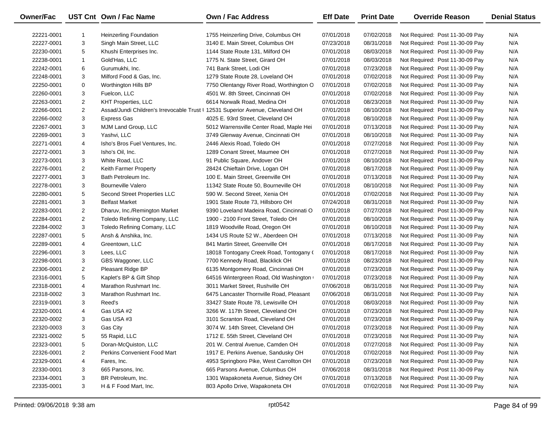| Owner/Fac  |                | UST Cnt Own / Fac Name                                                         | Own / Fac Address                        | <b>Eff Date</b> | <b>Print Date</b> | <b>Override Reason</b>          | <b>Denial Status</b> |
|------------|----------------|--------------------------------------------------------------------------------|------------------------------------------|-----------------|-------------------|---------------------------------|----------------------|
| 22221-0001 | -1             | <b>Heinzerling Foundation</b>                                                  | 1755 Heinzerling Drive, Columbus OH      | 07/01/2018      | 07/02/2018        | Not Required: Post 11-30-09 Pay | N/A                  |
| 22227-0001 | 3              | Singh Main Street, LLC                                                         | 3140 E. Main Street, Columbus OH         | 07/23/2018      | 08/31/2018        | Not Required: Post 11-30-09 Pay | N/A                  |
| 22230-0001 | 5              | Khushi Enterprises Inc.                                                        | 1144 State Route 131, Milford OH         | 07/01/2018      | 08/03/2018        | Not Required: Post 11-30-09 Pay | N/A                  |
| 22238-0001 | $\mathbf{1}$   | Gold'Has, LLC                                                                  | 1775 N. State Street, Girard OH          | 07/01/2018      | 08/03/2018        | Not Required: Post 11-30-09 Pay | N/A                  |
| 22242-0001 | 6              | Gurumukhi, Inc.                                                                | 741 Bank Street, Lodi OH                 | 07/01/2018      | 07/23/2018        | Not Required: Post 11-30-09 Pay | N/A                  |
| 22248-0001 | 3              | Milford Food & Gas, Inc.                                                       | 1279 State Route 28, Loveland OH         | 07/01/2018      | 07/02/2018        | Not Required: Post 11-30-09 Pay | N/A                  |
| 22250-0001 | 0              | Worthington Hills BP                                                           | 7750 Olentangy River Road, Worthington O | 07/01/2018      | 07/02/2018        | Not Required: Post 11-30-09 Pay | N/A                  |
| 22260-0001 | 3              | Fuelcon, LLC                                                                   | 4501 W. 8th Street, Cincinnati OH        | 07/01/2018      | 07/02/2018        | Not Required: Post 11-30-09 Pay | N/A                  |
| 22263-0001 | 2              | <b>KHT Properties, LLC</b>                                                     | 6614 Norwalk Road, Medina OH             | 07/01/2018      | 08/23/2018        | Not Required: Post 11-30-09 Pay | N/A                  |
| 22266-0001 | $\overline{2}$ | Assad/Jundi Children's Irrevocable Trust   12531 Superior Avenue, Cleveland OH |                                          | 07/01/2018      | 08/10/2018        | Not Required: Post 11-30-09 Pay | N/A                  |
| 22266-0002 | 3              | <b>Express Gas</b>                                                             | 4025 E. 93rd Street, Cleveland OH        | 07/01/2018      | 08/10/2018        | Not Required: Post 11-30-09 Pay | N/A                  |
| 22267-0001 | 3              | MJM Land Group, LLC                                                            | 5012 Warrensville Center Road, Maple Hei | 07/01/2018      | 07/13/2018        | Not Required: Post 11-30-09 Pay | N/A                  |
| 22269-0001 | 3              | Yashvi, LLC                                                                    | 3749 Glenway Avenue, Cincinnati OH       | 07/01/2018      | 08/10/2018        | Not Required: Post 11-30-09 Pay | N/A                  |
| 22271-0001 | 4              | Isho's Bros Fuel Ventures, Inc.                                                | 2446 Alexis Road, Toledo OH              | 07/01/2018      | 07/27/2018        | Not Required: Post 11-30-09 Pay | N/A                  |
| 22272-0001 | 3              | Isho's Oil, Inc.                                                               | 1289 Conant Street, Maumee OH            | 07/01/2018      | 07/27/2018        | Not Required: Post 11-30-09 Pay | N/A                  |
| 22273-0001 | 3              | White Road, LLC                                                                | 91 Public Square, Andover OH             | 07/01/2018      | 08/10/2018        | Not Required: Post 11-30-09 Pay | N/A                  |
| 22276-0001 | $\overline{2}$ | Keith Farmer Property                                                          | 28424 Chieftain Drive, Logan OH          | 07/01/2018      | 08/17/2018        | Not Required: Post 11-30-09 Pay | N/A                  |
| 22277-0001 | 3              | Bath Petroleum Inc.                                                            | 100 E. Main Street, Greenville OH        | 07/01/2018      | 07/13/2018        | Not Required: Post 11-30-09 Pay | N/A                  |
| 22278-0001 | 3              | <b>Bourneville Valero</b>                                                      | 11342 State Route 50, Bourneville OH     | 07/01/2018      | 08/10/2018        | Not Required: Post 11-30-09 Pay | N/A                  |
| 22280-0001 | 5              | Second Street Properties LLC                                                   | 590 W. Second Street, Xenia OH           | 07/01/2018      | 07/02/2018        | Not Required: Post 11-30-09 Pay | N/A                  |
| 22281-0001 | 3              | <b>Belfast Market</b>                                                          | 1901 State Route 73, Hillsboro OH        | 07/24/2018      | 08/31/2018        | Not Required: Post 11-30-09 Pay | N/A                  |
| 22283-0001 | $\overline{c}$ | Dharuv, Inc./Remington Market                                                  | 9390 Loveland Madeira Road, Cincinnati O | 07/01/2018      | 07/27/2018        | Not Required: Post 11-30-09 Pay | N/A                  |
| 22284-0001 | 2              | Toledo Refining Company, LLC                                                   | 1900 - 2100 Front Street, Toledo OH      | 07/01/2018      | 08/10/2018        | Not Required: Post 11-30-09 Pay | N/A                  |
| 22284-0002 | 3              | Toledo Refining Comany, LLC                                                    | 1819 Woodville Road, Oregon OH           | 07/01/2018      | 08/10/2018        | Not Required: Post 11-30-09 Pay | N/A                  |
| 22287-0001 | 5              | Ansh & Anshika, Inc.                                                           | 1434 US Route 52 W., Aberdeen OH         | 07/01/2018      | 07/13/2018        | Not Required: Post 11-30-09 Pay | N/A                  |
| 22289-0001 | 4              | Greentown, LLC                                                                 | 841 Martin Street, Greenville OH         | 07/01/2018      | 08/17/2018        | Not Required: Post 11-30-09 Pay | N/A                  |
| 22296-0001 | 3              | Lees, LLC                                                                      | 18018 Tontogany Creek Road, Tontogany (  | 07/01/2018      | 08/17/2018        | Not Required: Post 11-30-09 Pay | N/A                  |
| 22298-0001 | 3              | GBS Waggoner, LLC                                                              | 7700 Kennedy Road, Blacklick OH          | 07/01/2018      | 08/23/2018        | Not Required: Post 11-30-09 Pay | N/A                  |
| 22306-0001 | 2              | Pleasant Ridge BP                                                              | 6135 Montgomery Road, Cincinnati OH      | 07/01/2018      | 07/23/2018        | Not Required: Post 11-30-09 Pay | N/A                  |
| 22316-0001 | 5              | Kaplet's BP & Gift Shop                                                        | 64516 Wintergreen Road, Old Washington   | 07/01/2018      | 07/23/2018        | Not Required: Post 11-30-09 Pay | N/A                  |
| 22318-0001 | 4              | Marathon Rushmart Inc.                                                         | 3011 Market Street, Rushville OH         | 07/06/2018      | 08/31/2018        | Not Required: Post 11-30-09 Pay | N/A                  |
| 22318-0002 | 3              | Marathon Rushmart Inc.                                                         | 6475 Lancaster Thornville Road, Pleasant | 07/06/2018      | 08/31/2018        | Not Required: Post 11-30-09 Pay | N/A                  |
| 22319-0001 | 3              | Reed's                                                                         | 33427 State Route 78, Lewisville OH      | 07/01/2018      | 08/03/2018        | Not Required: Post 11-30-09 Pay | N/A                  |
| 22320-0001 | 4              | Gas USA #2                                                                     | 3266 W. 117th Street, Cleveland OH       | 07/01/2018      | 07/23/2018        | Not Required: Post 11-30-09 Pay | N/A                  |
| 22320-0002 | 3              | Gas USA #3                                                                     | 3101 Scranton Road, Cleveland OH         | 07/01/2018      | 07/23/2018        | Not Required: Post 11-30-09 Pay | N/A                  |
| 22320-0003 | 3              | Gas City                                                                       | 3074 W. 14th Street, Cleveland OH        | 07/01/2018      | 07/23/2018        | Not Required: Post 11-30-09 Pay | N/A                  |
| 22321-0002 | 5              | 55 Rapid, LLC                                                                  | 1712 E. 55th Street, Cleveland OH        | 07/01/2018      | 07/23/2018        | Not Required: Post 11-30-09 Pay | N/A                  |
| 22323-0001 | 5              | Doran-McQuiston, LLC                                                           | 201 W. Central Avenue, Camden OH         | 07/01/2018      | 07/27/2018        | Not Required: Post 11-30-09 Pay | N/A                  |
| 22326-0001 | 2              | Perkins Convenient Food Mart                                                   | 1917 E. Perkins Avenue, Sandusky OH      | 07/01/2018      | 07/02/2018        | Not Required: Post 11-30-09 Pay | N/A                  |
| 22329-0001 | 4              | Fares, Inc.                                                                    | 4953 Springboro Pike, West Carrollton OH | 07/01/2018      | 07/23/2018        | Not Required: Post 11-30-09 Pay | N/A                  |
| 22330-0001 | 3              | 665 Parsons, Inc.                                                              | 665 Parsons Avenue, Columbus OH          | 07/06/2018      | 08/31/2018        | Not Required: Post 11-30-09 Pay | N/A                  |
| 22334-0001 | 3              | BR Petroleum, Inc.                                                             | 1301 Wapakoneta Avenue, Sidney OH        | 07/01/2018      | 07/13/2018        | Not Required: Post 11-30-09 Pay | N/A                  |
| 22335-0001 | 3              | H & F Food Mart, Inc.                                                          | 803 Apollo Drive, Wapakoneta OH          | 07/01/2018      | 07/02/2018        | Not Required: Post 11-30-09 Pay | N/A                  |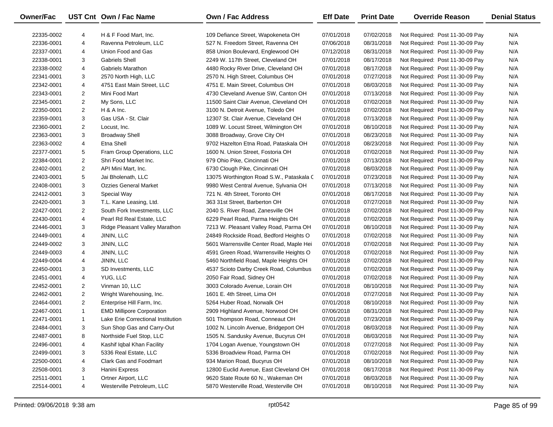| Owner/Fac  |                | UST Cnt Own / Fac Name             | Own / Fac Address                        | <b>Eff Date</b> | <b>Print Date</b> | <b>Override Reason</b>          | <b>Denial Status</b> |
|------------|----------------|------------------------------------|------------------------------------------|-----------------|-------------------|---------------------------------|----------------------|
| 22335-0002 | 4              | H & F Food Mart, Inc.              | 109 Defiance Street, Wapokeneta OH       | 07/01/2018      | 07/02/2018        | Not Required: Post 11-30-09 Pay | N/A                  |
| 22336-0001 | 4              | Ravenna Petroleum, LLC             | 527 N. Freedom Street, Ravenna OH        | 07/06/2018      | 08/31/2018        | Not Required: Post 11-30-09 Pay | N/A                  |
| 22337-0001 | 4              | Union Food and Gas                 | 858 Union Boulevard, Englewood OH        | 07/12/2018      | 08/31/2018        | Not Required: Post 11-30-09 Pay | N/A                  |
| 22338-0001 | 3              | <b>Gabriels Shell</b>              | 2249 W. 117th Street, Cleveland OH       | 07/01/2018      | 08/17/2018        | Not Required: Post 11-30-09 Pay | N/A                  |
| 22338-0002 | 4              | <b>Gabriels Marathon</b>           | 4480 Rocky River Drive, Cleveland OH     | 07/01/2018      | 08/17/2018        | Not Required: Post 11-30-09 Pay | N/A                  |
| 22341-0001 | 3              | 2570 North High, LLC               | 2570 N. High Street, Columbus OH         | 07/01/2018      | 07/27/2018        | Not Required: Post 11-30-09 Pay | N/A                  |
| 22342-0001 | 4              | 4751 East Main Street, LLC         | 4751 E. Main Street, Columbus OH         | 07/01/2018      | 08/03/2018        | Not Required: Post 11-30-09 Pay | N/A                  |
| 22343-0001 | $\overline{2}$ | Mini Food Mart                     | 4730 Cleveland Avenue SW, Canton OH      | 07/01/2018      | 07/13/2018        | Not Required: Post 11-30-09 Pay | N/A                  |
| 22345-0001 | 2              | My Sons, LLC                       | 11500 Saint Clair Avenue, Cleveland OH   | 07/01/2018      | 07/02/2018        | Not Required: Post 11-30-09 Pay | N/A                  |
| 22350-0001 | $\overline{2}$ | $H$ & A Inc.                       | 3100 N. Detroit Avenue, Toledo OH        | 07/01/2018      | 07/02/2018        | Not Required: Post 11-30-09 Pay | N/A                  |
| 22359-0001 | 3              | Gas USA - St. Clair                | 12307 St. Clair Avenue, Cleveland OH     | 07/01/2018      | 07/13/2018        | Not Required: Post 11-30-09 Pay | N/A                  |
| 22360-0001 | 2              | Locust, Inc.                       | 1089 W. Locust Street, Wilmington OH     | 07/01/2018      | 08/10/2018        | Not Required: Post 11-30-09 Pay | N/A                  |
| 22363-0001 | 3              | <b>Broadway Shell</b>              | 3088 Broadway, Grove City OH             | 07/01/2018      | 08/23/2018        | Not Required: Post 11-30-09 Pay | N/A                  |
| 22363-0002 | 4              | Etna Shell                         | 9702 Hazelton Etna Road, Pataskala OH    | 07/01/2018      | 08/23/2018        | Not Required: Post 11-30-09 Pay | N/A                  |
| 22377-0001 | 5              | Fram Group Operations, LLC         | 1600 N. Union Street, Fostoria OH        | 07/01/2018      | 07/02/2018        | Not Required: Post 11-30-09 Pay | N/A                  |
| 22384-0001 | $\overline{2}$ | Shri Food Market Inc.              | 979 Ohio Pike, Cincinnati OH             | 07/01/2018      | 07/13/2018        | Not Required: Post 11-30-09 Pay | N/A                  |
| 22402-0001 | $\overline{2}$ | API Mini Mart, Inc.                | 6730 Clough Pike, Cincinnati OH          | 07/01/2018      | 08/03/2018        | Not Required: Post 11-30-09 Pay | N/A                  |
| 22403-0001 | 5              | Jai Bholenath, LLC                 | 13075 Worthington Road S.W., Pataskala C | 07/01/2018      | 07/23/2018        | Not Required: Post 11-30-09 Pay | N/A                  |
| 22408-0001 | 3              | <b>Ozzies General Market</b>       | 9980 West Central Avenue, Sylvania OH    | 07/01/2018      | 07/13/2018        | Not Required: Post 11-30-09 Pay | N/A                  |
| 22412-0001 | 3              | Special Way                        | 721 N. 4th Street, Toronto OH            | 07/01/2018      | 08/17/2018        | Not Required: Post 11-30-09 Pay | N/A                  |
| 22420-0001 | 3              | T.L. Kane Leasing, Ltd.            | 363 31st Street, Barberton OH            | 07/01/2018      | 07/27/2018        | Not Required: Post 11-30-09 Pay | N/A                  |
| 22427-0001 | 2              | South Fork Investments, LLC        | 2040 S. River Road, Zanesville OH        | 07/01/2018      | 07/02/2018        | Not Required: Post 11-30-09 Pay | N/A                  |
| 22430-0001 | 4              | Pearl Rd Real Estate, LLC          | 6229 Pearl Road, Parma Heights OH        | 07/01/2018      | 07/02/2018        | Not Required: Post 11-30-09 Pay | N/A                  |
| 22446-0001 | 3              | Ridge Pleasant Valley Marathon     | 7213 W. Pleasant Valley Road, Parma OH   | 07/01/2018      | 08/10/2018        | Not Required: Post 11-30-09 Pay | N/A                  |
| 22449-0001 | 4              | JININ, LLC                         | 24849 Rockside Road, Bedford Heights O   | 07/01/2018      | 07/02/2018        | Not Required: Post 11-30-09 Pay | N/A                  |
| 22449-0002 | 3              | JININ, LLC                         | 5601 Warrensville Center Road, Maple Hei | 07/01/2018      | 07/02/2018        | Not Required: Post 11-30-09 Pay | N/A                  |
| 22449-0003 | 4              | JININ, LLC                         | 4591 Green Road, Warrensville Heights O  | 07/01/2018      | 07/02/2018        | Not Required: Post 11-30-09 Pay | N/A                  |
| 22449-0004 | 4              | JININ, LLC                         | 5460 Northfield Road, Maple Heights OH   | 07/01/2018      | 07/02/2018        | Not Required: Post 11-30-09 Pay | N/A                  |
| 22450-0001 | 3              | SD Investments, LLC                | 4537 Scioto Darby Creek Road, Columbus   | 07/01/2018      | 07/02/2018        | Not Required: Post 11-30-09 Pay | N/A                  |
| 22451-0001 | 4              | YUG, LLC                           | 2050 Fair Road, Sidney OH                | 07/01/2018      | 07/02/2018        | Not Required: Post 11-30-09 Pay | N/A                  |
| 22452-0001 | 2              | Vinman 10, LLC                     | 3003 Colorado Avenue, Lorain OH          | 07/01/2018      | 08/10/2018        | Not Required: Post 11-30-09 Pay | N/A                  |
| 22462-0001 | $\overline{2}$ | Wright Warehousing, Inc.           | 1601 E. 4th Street, Lima OH              | 07/01/2018      | 07/27/2018        | Not Required: Post 11-30-09 Pay | N/A                  |
| 22464-0001 | $\overline{2}$ | Enterprise Hill Farm, Inc.         | 5264 Huber Road, Norwalk OH              | 07/01/2018      | 08/10/2018        | Not Required: Post 11-30-09 Pay | N/A                  |
| 22467-0001 | $\mathbf{1}$   | <b>EMD Millipore Corporation</b>   | 2909 Highland Avenue, Norwood OH         | 07/06/2018      | 08/31/2018        | Not Required: Post 11-30-09 Pay | N/A                  |
| 22471-0001 | $\mathbf{1}$   | Lake Erie Correctional Institution | 501 Thompson Road, Conneaut OH           | 07/01/2018      | 07/23/2018        | Not Required: Post 11-30-09 Pay | N/A                  |
| 22484-0001 | 3              | Sun Shop Gas and Carry-Out         | 1002 N. Lincoln Avenue, Bridgeport OH    | 07/01/2018      | 08/03/2018        | Not Required: Post 11-30-09 Pay | N/A                  |
| 22487-0001 | 8              | Northside Fuel Stop, LLC           | 1505 N. Sandusky Avenue, Bucyrus OH      | 07/01/2018      | 08/03/2018        | Not Required: Post 11-30-09 Pay | N/A                  |
| 22496-0001 | 4              | Kashif Iqbal Khan Facility         | 1704 Logan Avenue, Youngstown OH         | 07/01/2018      | 07/27/2018        | Not Required: Post 11-30-09 Pay | N/A                  |
| 22499-0001 | 3              | 5336 Real Estate, LLC              | 5336 Broadview Road, Parma OH            | 07/01/2018      | 07/02/2018        | Not Required: Post 11-30-09 Pay | N/A                  |
| 22500-0001 | 4              | Clark Gas and Foodmart             | 934 Marion Road, Bucyrus OH              | 07/01/2018      | 08/10/2018        | Not Required: Post 11-30-09 Pay | N/A                  |
| 22508-0001 | 3              | Hanini Express                     | 12800 Euclid Avenue, East Cleveland OH   | 07/01/2018      | 08/17/2018        | Not Required: Post 11-30-09 Pay | N/A                  |
| 22511-0001 | 1              | Ortner Airport, LLC                | 9620 State Route 60 N., Wakeman OH       | 07/01/2018      | 08/03/2018        | Not Required: Post 11-30-09 Pay | N/A                  |
| 22514-0001 | 4              | Westerville Petroleum, LLC         | 5870 Westerville Road, Westerville OH    | 07/01/2018      | 08/10/2018        | Not Required: Post 11-30-09 Pay | N/A                  |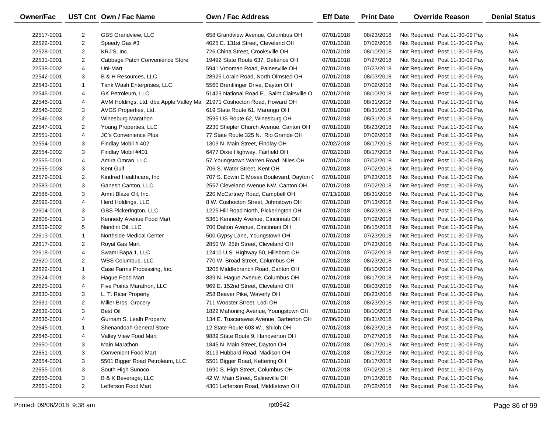| <b>Owner/Fac</b> |                | UST Cnt Own / Fac Name                 | Own / Fac Address                           | <b>Eff Date</b> | <b>Print Date</b> | <b>Override Reason</b>          | <b>Denial Status</b> |
|------------------|----------------|----------------------------------------|---------------------------------------------|-----------------|-------------------|---------------------------------|----------------------|
| 22517-0001       | $\overline{2}$ | GBS Grandview, LLC                     | 658 Grandview Avenue, Columbus OH           | 07/01/2018      | 08/23/2018        | Not Required: Post 11-30-09 Pay | N/A                  |
| 22522-0001       | $\overline{c}$ | Speedy Gas #3                          | 4025 E. 131st Street, Cleveland OH          | 07/01/2018      | 07/02/2018        | Not Required: Post 11-30-09 Pay | N/A                  |
| 22528-0001       | $\overline{2}$ | KRJ'S, Inc.                            | 726 China Street, Crooksville OH            | 07/01/2018      | 08/10/2018        | Not Required: Post 11-30-09 Pay | N/A                  |
| 22531-0001       | $\overline{2}$ | Cabbage Patch Convenience Store        | 19492 State Route 637, Defiance OH          | 07/01/2018      | 07/27/2018        | Not Required: Post 11-30-09 Pay | N/A                  |
| 22538-0002       | 4              | Uni-Mart                               | 5941 Vrooman Road, Painesville OH           | 07/01/2018      | 07/23/2018        | Not Required: Post 11-30-09 Pay | N/A                  |
| 22542-0001       | 3              | B & H Resources, LLC                   | 28925 Lorain Road, North Olmsted OH         | 07/01/2018      | 08/03/2018        | Not Required: Post 11-30-09 Pay | N/A                  |
| 22543-0001       | $\mathbf{1}$   | Tank Wash Enterprises, LLC             | 5560 Brentlinger Drive, Dayton OH           | 07/01/2018      | 07/02/2018        | Not Required: Post 11-30-09 Pay | N/A                  |
| 22545-0001       | 4              | GK Petroleum, LLC                      | 51423 National Road E., Saint Clairsville O | 07/01/2018      | 08/10/2018        | Not Required: Post 11-30-09 Pay | N/A                  |
| 22546-0001       | 4              | AVM Holdings, Ltd. dba Apple Valley Ma | 21971 Coshocton Road, Howard OH             | 07/01/2018      | 08/31/2018        | Not Required: Post 11-30-09 Pay | N/A                  |
| 22546-0002       | 3              | AVGS Properties, Ltd.                  | 619 State Route 61, Marengo OH              | 07/01/2018      | 08/31/2018        | Not Required: Post 11-30-09 Pay | N/A                  |
| 22546-0003       | $\overline{2}$ | Winesburg Marathon                     | 2595 US Route 62, Winesburg OH              | 07/01/2018      | 08/31/2018        | Not Required: Post 11-30-09 Pay | N/A                  |
| 22547-0001       | $\overline{2}$ | Young Properties, LLC                  | 2230 Shepler Church Avenue, Canton OH       | 07/01/2018      | 08/23/2018        | Not Required: Post 11-30-09 Pay | N/A                  |
| 22551-0001       | 4              | <b>JC's Convenience Plus</b>           | 77 State Route 325 N., Rio Grande OH        | 07/01/2018      | 07/02/2018        | Not Required: Post 11-30-09 Pay | N/A                  |
| 22554-0001       | 3              | Findlay Mobil #402                     | 1303 N. Main Street, Findlay OH             | 07/02/2018      | 08/17/2018        | Not Required: Post 11-30-09 Pay | N/A                  |
| 22554-0002       | 3              | Findlay Mobil #401                     | 6477 Dixie Highway, Fairfield OH            | 07/02/2018      | 08/17/2018        | Not Required: Post 11-30-09 Pay | N/A                  |
| 22555-0001       | 4              | Amira Omran, LLC                       | 57 Youngstown Warren Road, Niles OH         | 07/01/2018      | 07/02/2018        | Not Required: Post 11-30-09 Pay | N/A                  |
| 22555-0003       | 3              | Kent Gulf                              | 706 S. Water Street, Kent OH                | 07/01/2018      | 07/02/2018        | Not Required: Post 11-30-09 Pay | N/A                  |
| 22579-0001       | $\overline{2}$ | Kindred Healthcare, Inc.               | 707 S. Edwin C Moses Boulevard, Dayton (    | 07/01/2018      | 07/23/2018        | Not Required: Post 11-30-09 Pay | N/A                  |
| 22583-0001       | 3              | Ganesh Canton, LLC                     | 2557 Cleveland Avenue NW, Canton OH         | 07/01/2018      | 07/02/2018        | Not Required: Post 11-30-09 Pay | N/A                  |
| 22588-0001       | 3              | Armit Blaze Oil, Inc.                  | 220 McCartney Road, Campbell OH             | 07/13/2018      | 08/31/2018        | Not Required: Post 11-30-09 Pay | N/A                  |
| 22592-0001       | 4              | Herd Holdings, LLC                     | 8 W. Coshocton Street, Johnstown OH         | 07/01/2018      | 07/13/2018        | Not Required: Post 11-30-09 Pay | N/A                  |
| 22604-0001       | 3              | GBS Pickerington, LLC                  | 1225 Hill Road North, Pickerington OH       | 07/01/2018      | 08/23/2018        | Not Required: Post 11-30-09 Pay | N/A                  |
| 22608-0001       | 3              | Kennedy Avenue Food Mart               | 5361 Kennedy Avenue, Cincinnati OH          | 07/01/2018      | 07/02/2018        | Not Required: Post 11-30-09 Pay | N/A                  |
| 22609-0002       | 5              | Nandini Oil, LLC                       | 700 Dalton Avenue, Cincinnati OH            | 07/01/2018      | 06/15/2018        | Not Required: Post 11-30-09 Pay | N/A                  |
| 22613-0001       | $\mathbf{1}$   | Northside Medical Center               | 500 Gypsy Lane, Youngstown OH               | 07/01/2018      | 07/23/2018        | Not Required: Post 11-30-09 Pay | N/A                  |
| 22617-0001       | $\overline{2}$ | Royal Gas Mart                         | 2850 W. 25th Street, Cleveland OH           | 07/01/2018      | 07/23/2018        | Not Required: Post 11-30-09 Pay | N/A                  |
| 22618-0001       | 4              | Swami Bapa 1, LLC                      | 12410 U.S. Highway 50, Hillsboro OH         | 07/01/2018      | 07/02/2018        | Not Required: Post 11-30-09 Pay | N/A                  |
| 22620-0001       | $\overline{2}$ | WBS Columbus, LLC                      | 770 W. Broad Street, Columbus OH            | 07/01/2018      | 08/23/2018        | Not Required: Post 11-30-09 Pay | N/A                  |
| 22622-0001       | $\mathbf{1}$   | Case Farms Processing, Inc.            | 3205 Middlebranch Road, Canton OH           | 07/01/2018      | 08/10/2018        | Not Required: Post 11-30-09 Pay | N/A                  |
| 22624-0001       | 3              | Hague Food Mart                        | 839 N. Hague Avenue, Columbus OH            | 07/01/2018      | 08/17/2018        | Not Required: Post 11-30-09 Pay | N/A                  |
| 22625-0001       | 4              | Five Points Marathon, LLC              | 969 E. 152nd Street, Cleveland OH           | 07/01/2018      | 08/03/2018        | Not Required: Post 11-30-09 Pay | N/A                  |
| 22630-0001       | 3              | L. T. Ricer Property                   | 258 Beaver Pike, Waverly OH                 | 07/01/2018      | 08/23/2018        | Not Required: Post 11-30-09 Pay | N/A                  |
| 22631-0001       | $\overline{2}$ | Miller Bros. Grocery                   | 711 Wooster Street, Lodi OH                 | 07/01/2018      | 08/23/2018        | Not Required: Post 11-30-09 Pay | N/A                  |
| 22632-0001       | 3              | <b>Best Oil</b>                        | 1822 Mahoning Avenue, Youngstown OH         | 07/01/2018      | 08/10/2018        | Not Required: Post 11-30-09 Pay | N/A                  |
| 22636-0001       | 4              | Gurnam S. Lealh Property               | 134 E. Tuscarawas Avenue, Barberton OH      | 07/06/2018      | 08/31/2018        | Not Required: Post 11-30-09 Pay | N/A                  |
| 22645-0001       | -1             | Shenandoah General Store               | 12 State Route 603 W., Shiloh OH            | 07/01/2018      | 08/23/2018        | Not Required: Post 11-30-09 Pay | N/A                  |
| 22646-0001       | 4              | Valley View Food Mart                  | 9889 State Route 9, Hanoverton OH           | 07/01/2018      | 07/27/2018        | Not Required: Post 11-30-09 Pay | N/A                  |
| 22650-0001       | 3              | Main Marathon                          | 1845 N. Main Street, Dayton OH              | 07/01/2018      | 08/17/2018        | Not Required: Post 11-30-09 Pay | N/A                  |
| 22651-0001       | 3              | <b>Convenient Food Mart</b>            | 3119 Hubbard Road, Madison OH               | 07/01/2018      | 08/17/2018        | Not Required: Post 11-30-09 Pay | N/A                  |
| 22654-0001       | 3              | 5501 Bigger Road Petroleum, LLC        | 5501 Bigger Road, Kettering OH              | 07/01/2018      | 08/17/2018        | Not Required: Post 11-30-09 Pay | N/A                  |
| 22655-0001       | 3              | South High Sunoco                      | 1690 S. High Street, Columbus OH            | 07/01/2018      | 07/02/2018        | Not Required: Post 11-30-09 Pay | N/A                  |
| 22656-0001       | 3              | B & K Beverage, LLC                    | 42 W. Main Street, Salineville OH           | 07/01/2018      | 07/13/2018        | Not Required: Post 11-30-09 Pay | N/A                  |
| 22661-0001       | $\overline{2}$ | Lefferson Food Mart                    | 4301 Lefferson Road, Middletown OH          | 07/01/2018      | 07/02/2018        | Not Required: Post 11-30-09 Pay | N/A                  |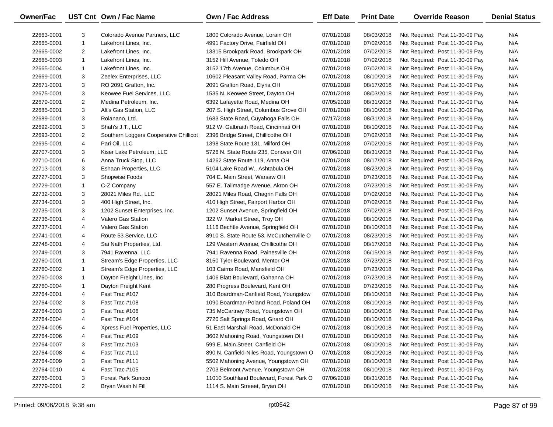| Owner/Fac  |                | UST Cnt Own / Fac Name                 | Own / Fac Address                        | <b>Eff Date</b> | <b>Print Date</b> | <b>Override Reason</b>          | <b>Denial Status</b> |
|------------|----------------|----------------------------------------|------------------------------------------|-----------------|-------------------|---------------------------------|----------------------|
| 22663-0001 | 3              | Colorado Avenue Partners, LLC          | 1800 Colorado Avenue, Lorain OH          | 07/01/2018      | 08/03/2018        | Not Required: Post 11-30-09 Pay | N/A                  |
| 22665-0001 | $\mathbf{1}$   | Lakefront Lines, Inc.                  | 4991 Factory Drive, Fairfield OH         | 07/01/2018      | 07/02/2018        | Not Required: Post 11-30-09 Pay | N/A                  |
| 22665-0002 | $\overline{2}$ | Lakefront Lines, Inc.                  | 13315 Brookpark Road, Brookpark OH       | 07/01/2018      | 07/02/2018        | Not Required: Post 11-30-09 Pay | N/A                  |
| 22665-0003 | $\mathbf{1}$   | Lakefront Lines, Inc.                  | 3152 Hill Avenue, Toledo OH              | 07/01/2018      | 07/02/2018        | Not Required: Post 11-30-09 Pay | N/A                  |
| 22665-0004 | 1              | Lakefront Lines, Inc.                  | 3152 17th Avenue, Columbus OH            | 07/01/2018      | 07/02/2018        | Not Required: Post 11-30-09 Pay | N/A                  |
| 22669-0001 | 3              | Zeelex Enterprises, LLC                | 10602 Pleasant Valley Road, Parma OH     | 07/01/2018      | 08/10/2018        | Not Required: Post 11-30-09 Pay | N/A                  |
| 22671-0001 | 3              | RO 2091 Grafton, Inc.                  | 2091 Grafton Road, Elyria OH             | 07/01/2018      | 08/17/2018        | Not Required: Post 11-30-09 Pay | N/A                  |
| 22675-0001 | 3              | Keowee Fuel Services, LLC              | 1535 N. Keowee Street, Dayton OH         | 07/01/2018      | 08/03/2018        | Not Required: Post 11-30-09 Pay | N/A                  |
| 22679-0001 | 2              | Medina Petroleum, Inc.                 | 6392 Lafayette Road, Medina OH           | 07/05/2018      | 08/31/2018        | Not Required: Post 11-30-09 Pay | N/A                  |
| 22685-0001 | 3              | Alt's Gas Station, LLC                 | 207 S. High Street, Columbus Grove OH    | 07/01/2018      | 08/10/2018        | Not Required: Post 11-30-09 Pay | N/A                  |
| 22689-0001 | 3              | Rolanano, Ltd.                         | 1683 State Road, Cuyahoga Falls OH       | 07/17/2018      | 08/31/2018        | Not Required: Post 11-30-09 Pay | N/A                  |
| 22692-0001 | 3              | Shah's J.T., LLC                       | 912 W. Galbraith Road, Cincinnati OH     | 07/01/2018      | 08/10/2018        | Not Required: Post 11-30-09 Pay | N/A                  |
| 22693-0001 | 2              | Southern Loggers Cooperative Chillicot | 2396 Bridge Street, Chillicothe OH       | 07/01/2018      | 07/02/2018        | Not Required: Post 11-30-09 Pay | N/A                  |
| 22695-0001 | 4              | Pari Oil, LLC                          | 1398 State Route 131, Milford OH         | 07/01/2018      | 07/02/2018        | Not Required: Post 11-30-09 Pay | N/A                  |
| 22707-0001 | 3              | Kiser Lake Petroleum, LLC              | 5726 N. State Route 235, Conover OH      | 07/06/2018      | 08/31/2018        | Not Required: Post 11-30-09 Pay | N/A                  |
| 22710-0001 | 6              | Anna Truck Stop, LLC                   | 14262 State Route 119, Anna OH           | 07/01/2018      | 08/17/2018        | Not Required: Post 11-30-09 Pay | N/A                  |
| 22713-0001 | 3              | Eshaan Properties, LLC                 | 5104 Lake Road W., Ashtabula OH          | 07/01/2018      | 08/23/2018        | Not Required: Post 11-30-09 Pay | N/A                  |
| 22727-0001 | 3              | Shopwise Foods                         | 704 E. Main Street, Warsaw OH            | 07/01/2018      | 07/23/2018        | Not Required: Post 11-30-09 Pay | N/A                  |
| 22729-0001 | 1              | C-Z Company                            | 557 E. Tallmadge Avenue, Akron OH        | 07/01/2018      | 07/23/2018        | Not Required: Post 11-30-09 Pay | N/A                  |
| 22732-0001 | 3              | 28021 Miles Rd., LLC                   | 28021 Miles Road, Chagrin Falls OH       | 07/01/2018      | 07/02/2018        | Not Required: Post 11-30-09 Pay | N/A                  |
| 22734-0001 | 3              | 400 High Street, Inc.                  | 410 High Street, Fairport Harbor OH      | 07/01/2018      | 07/02/2018        | Not Required: Post 11-30-09 Pay | N/A                  |
| 22735-0001 | 3              | 1202 Sunset Enterprises, Inc.          | 1202 Sunset Avenue, Springfield OH       | 07/01/2018      | 07/02/2018        | Not Required: Post 11-30-09 Pay | N/A                  |
| 22736-0001 | 4              | <b>Valero Gas Station</b>              | 322 W. Market Street, Troy OH            | 07/01/2018      | 08/10/2018        | Not Required: Post 11-30-09 Pay | N/A                  |
| 22737-0001 | 4              | <b>Valero Gas Station</b>              | 1116 Bechtle Avenue, Springfield OH      | 07/01/2018      | 08/10/2018        | Not Required: Post 11-30-09 Pay | N/A                  |
| 22741-0001 | 4              | Route 53 Service, LLC                  | 8910 S. State Route 53, McCutchenville O | 07/01/2018      | 08/23/2018        | Not Required: Post 11-30-09 Pay | N/A                  |
| 22748-0001 | 4              | Sai Nath Properties, Ltd.              | 129 Western Avenue, Chillicothe OH       | 07/01/2018      | 08/17/2018        | Not Required: Post 11-30-09 Pay | N/A                  |
| 22749-0001 | 3              | 7941 Ravenna, LLC                      | 7941 Ravenna Road, Painesville OH        | 07/01/2018      | 06/15/2018        | Not Required: Post 11-30-09 Pay | N/A                  |
| 22760-0001 | $\mathbf{1}$   | Stream's Edge Properties, LLC          | 8150 Tyler Boulevard, Mentor OH          | 07/01/2018      | 07/23/2018        | Not Required: Post 11-30-09 Pay | N/A                  |
| 22760-0002 | 1              | Stream's Edge Properties, LLC          | 103 Cairns Road, Mansfield OH            | 07/01/2018      | 07/23/2018        | Not Required: Post 11-30-09 Pay | N/A                  |
| 22760-0003 | $\mathbf{1}$   | Dayton Freight Lines, Inc.             | 1406 Blatt Boulevard, Gahanna OH         | 07/01/2018      | 07/23/2018        | Not Required: Post 11-30-09 Pay | N/A                  |
| 22760-0004 | $\mathbf{1}$   | Dayton Freight Kent                    | 280 Progress Boulevard, Kent OH          | 07/01/2018      | 07/23/2018        | Not Required: Post 11-30-09 Pay | N/A                  |
| 22764-0001 | 4              | Fast Trac #107                         | 310 Boardman-Canfield Road, Youngstow    | 07/01/2018      | 08/10/2018        | Not Required: Post 11-30-09 Pay | N/A                  |
| 22764-0002 | 3              | Fast Trac #108                         | 1090 Boardman-Poland Road, Poland OH     | 07/01/2018      | 08/10/2018        | Not Required: Post 11-30-09 Pay | N/A                  |
| 22764-0003 | 3              | Fast Trac #106                         | 735 McCartney Road, Youngstown OH        | 07/01/2018      | 08/10/2018        | Not Required: Post 11-30-09 Pay | N/A                  |
| 22764-0004 | 4              | Fast Trac #104                         | 2720 Salt Springs Road, Girard OH        | 07/01/2018      | 08/10/2018        | Not Required: Post 11-30-09 Pay | N/A                  |
| 22764-0005 | 4              | Xpress Fuel Properties, LLC            | 51 East Marshall Road, McDonald OH       | 07/01/2018      | 08/10/2018        | Not Required: Post 11-30-09 Pay | N/A                  |
| 22764-0006 | 4              | Fast Trac #109                         | 3602 Mahoning Road, Youngstown OH        | 07/01/2018      | 08/10/2018        | Not Required: Post 11-30-09 Pay | N/A                  |
| 22764-0007 | 3              | Fast Trac #103                         | 599 E. Main Street, Canfield OH          | 07/01/2018      | 08/10/2018        | Not Required: Post 11-30-09 Pay | N/A                  |
| 22764-0008 | 4              | Fast Trac #110                         | 890 N. Canfield-Niles Road, Youngstown O | 07/01/2018      | 08/10/2018        | Not Required: Post 11-30-09 Pay | N/A                  |
| 22764-0009 | 3              | Fast Trac #111                         | 5502 Mahoning Avenue, Youngstown OH      | 07/01/2018      | 08/10/2018        | Not Required: Post 11-30-09 Pay | N/A                  |
| 22764-0010 | 4              | Fast Trac #105                         | 2703 Belmont Avenue, Youngstown OH       | 07/01/2018      | 08/10/2018        | Not Required: Post 11-30-09 Pay | N/A                  |
| 22766-0001 | 3              | <b>Forest Park Sunoco</b>              | 11010 Southland Boulevard, Forest Park O | 07/06/2018      | 08/31/2018        | Not Required: Post 11-30-09 Pay | N/A                  |
| 22779-0001 | 2              | Bryan Wash N Fill                      | 1114 S. Main Streeet, Bryan OH           | 07/01/2018      | 08/10/2018        | Not Required: Post 11-30-09 Pay | N/A                  |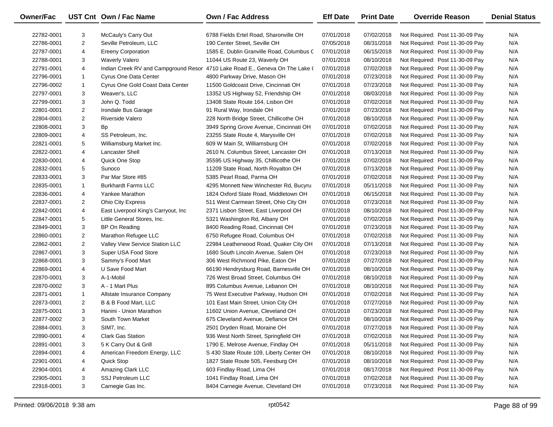| <b>Owner/Fac</b> |                | UST Cnt Own / Fac Name              | Own / Fac Address                                                            | <b>Eff Date</b> | <b>Print Date</b> | <b>Override Reason</b>          | <b>Denial Status</b> |
|------------------|----------------|-------------------------------------|------------------------------------------------------------------------------|-----------------|-------------------|---------------------------------|----------------------|
| 22782-0001       | 3              | McCauly's Carry Out                 | 6788 Fields Ertel Road, Sharonville OH                                       | 07/01/2018      | 07/02/2018        | Not Required: Post 11-30-09 Pay | N/A                  |
| 22786-0001       | $\overline{c}$ | Seville Petroleum, LLC              | 190 Center Street, Seville OH                                                | 07/05/2018      | 08/31/2018        | Not Required: Post 11-30-09 Pay | N/A                  |
| 22787-0001       | 4              | <b>Ereeny Corporation</b>           | 1585 E. Dublin Granville Road, Columbus C                                    | 07/01/2018      | 06/15/2018        | Not Required: Post 11-30-09 Pay | N/A                  |
| 22788-0001       | 3              | <b>Waverly Valero</b>               | 11044 US Route 23, Waverly OH                                                | 07/01/2018      | 08/10/2018        | Not Required: Post 11-30-09 Pay | N/A                  |
| 22791-0001       | 4              |                                     | Indian Creek RV and Campground Resor 4710 Lake Road E., Geneva On The Lake ( | 07/01/2018      | 07/02/2018        | Not Required: Post 11-30-09 Pay | N/A                  |
| 22796-0001       | $\mathbf{1}$   | Cyrus One Data Center               | 4800 Parkway Drive, Mason OH                                                 | 07/01/2018      | 07/23/2018        | Not Required: Post 11-30-09 Pay | N/A                  |
| 22796-0002       | $\mathbf{1}$   | Cyrus One Gold Coast Data Center    | 11500 Goldcoast Drive, Cincinnati OH                                         | 07/01/2018      | 07/23/2018        | Not Required: Post 11-30-09 Pay | N/A                  |
| 22797-0001       | 3              | Weaver's, LLC                       | 13352 US Highway 52, Friendship OH                                           | 07/01/2018      | 08/03/2018        | Not Required: Post 11-30-09 Pay | N/A                  |
| 22799-0001       | 3              | John Q. Todd                        | 13408 State Route 164, Lisbon OH                                             | 07/01/2018      | 07/02/2018        | Not Required: Post 11-30-09 Pay | N/A                  |
| 22801-0001       | $\overline{2}$ | Irondale Bus Garage                 | 91 Rural Way, Irondale OH                                                    | 07/01/2018      | 07/23/2018        | Not Required: Post 11-30-09 Pay | N/A                  |
| 22804-0001       | $\overline{2}$ | <b>Riverside Valero</b>             | 228 North Bridge Street, Chillicothe OH                                      | 07/01/2018      | 08/10/2018        | Not Required: Post 11-30-09 Pay | N/A                  |
| 22808-0001       | 3              | Bp                                  | 3949 Spring Grove Avenue, Cincinnati OH                                      | 07/01/2018      | 07/02/2018        | Not Required: Post 11-30-09 Pay | N/A                  |
| 22809-0001       | 4              | SS Petroleum, Inc.                  | 23255 State Route 4, Marysville OH                                           | 07/01/2018      | 07/02/2018        | Not Required: Post 11-30-09 Pay | N/A                  |
| 22821-0001       | 5              | Williamsburg Market Inc.            | 609 W Main St, Williamsburg OH                                               | 07/01/2018      | 07/02/2018        | Not Required: Post 11-30-09 Pay | N/A                  |
| 22822-0001       | 4              | <b>Lancaster Shell</b>              | 2610 N. Columbus Street, Lancaster OH                                        | 07/01/2018      | 07/13/2018        | Not Required: Post 11-30-09 Pay | N/A                  |
| 22830-0001       | 4              | Quick One Stop                      | 35595 US Highway 35, Chillicothe OH                                          | 07/01/2018      | 07/02/2018        | Not Required: Post 11-30-09 Pay | N/A                  |
| 22832-0001       | 5              | Sunoco                              | 11209 State Road, North Royalton OH                                          | 07/01/2018      | 07/13/2018        | Not Required: Post 11-30-09 Pay | N/A                  |
| 22833-0001       | 3              | Par Mar Store #85                   | 5385 Pearl Road, Parma OH                                                    | 07/01/2018      | 07/02/2018        | Not Required: Post 11-30-09 Pay | N/A                  |
| 22835-0001       | $\mathbf{1}$   | <b>Burkhardt Farms LLC</b>          | 4295 Monnett New Winchester Rd, Bucyru                                       | 07/01/2018      | 05/11/2018        | Not Required: Post 11-30-09 Pay | N/A                  |
| 22836-0001       | 4              | Yankee Marathon                     | 1824 Oxford State Road, Middletown OH                                        | 07/01/2018      | 06/15/2018        | Not Required: Post 11-30-09 Pay | N/A                  |
| 22837-0001       | $\overline{2}$ | <b>Ohio City Express</b>            | 511 West Carmean Street, Ohio City OH                                        | 07/01/2018      | 07/23/2018        | Not Required: Post 11-30-09 Pay | N/A                  |
| 22842-0001       | 4              | East Liverpool King's Carryout, Inc | 2371 Lisbon Street, East Liverpool OH                                        | 07/01/2018      | 08/10/2018        | Not Required: Post 11-30-09 Pay | N/A                  |
| 22847-0001       | 5              | Little General Stores, Inc.         | 5321 Washington Rd, Albany OH                                                | 07/01/2018      | 07/02/2018        | Not Required: Post 11-30-09 Pay | N/A                  |
| 22849-0001       | 3              | BP On Reading                       | 8400 Reading Road, Cincinnati OH                                             | 07/01/2018      | 07/23/2018        | Not Required: Post 11-30-09 Pay | N/A                  |
| 22860-0001       | $\overline{2}$ | Marathon Refugee LLC                | 6750 Refugee Road, Columbus OH                                               | 07/01/2018      | 07/02/2018        | Not Required: Post 11-30-09 Pay | N/A                  |
| 22862-0001       | $\overline{2}$ | Valley View Service Station LLC     | 22984 Leatherwood Road, Quaker City OH                                       | 07/01/2018      | 07/13/2018        | Not Required: Post 11-30-09 Pay | N/A                  |
| 22867-0001       | 3              | Super USA Food Store                | 1680 South Lincoln Avenue, Salem OH                                          | 07/01/2018      | 07/23/2018        | Not Required: Post 11-30-09 Pay | N/A                  |
| 22868-0001       | 3              | Sammy's Food Mart                   | 306 West Richmond Pike, Eaton OH                                             | 07/01/2018      | 07/27/2018        | Not Required: Post 11-30-09 Pay | N/A                  |
| 22869-0001       | 4              | U Save Food Mart                    | 66190 Hendrysburg Road, Barnesville OH                                       | 07/01/2018      | 08/10/2018        | Not Required: Post 11-30-09 Pay | N/A                  |
| 22870-0001       | 3              | A-1-Mobil                           | 726 West Broad Street, Columbus OH                                           | 07/01/2018      | 08/10/2018        | Not Required: Post 11-30-09 Pay | N/A                  |
| 22870-0002       | 3              | A - 1 Mart Plus                     | 895 Columbus Avenue, Lebanon OH                                              | 07/01/2018      | 08/10/2018        | Not Required: Post 11-30-09 Pay | N/A                  |
| 22871-0001       | $\mathbf{1}$   | Allstate Insurance Company          | 75 West Executive Parkway, Hudson OH                                         | 07/01/2018      | 07/02/2018        | Not Required: Post 11-30-09 Pay | N/A                  |
| 22873-0001       | $\overline{2}$ | B & B Food Mart, LLC                | 101 East Main Street, Union City OH                                          | 07/01/2018      | 07/27/2018        | Not Required: Post 11-30-09 Pay | N/A                  |
| 22875-0001       | 3              | Hanini - Union Marathon             | 11602 Union Avenue, Cleveland OH                                             | 07/01/2018      | 07/23/2018        | Not Required: Post 11-30-09 Pay | N/A                  |
| 22877-0002       | 3              | South Town Market                   | 675 Cleveland Avenue, Defiance OH                                            | 07/01/2018      | 08/10/2018        | Not Required: Post 11-30-09 Pay | N/A                  |
| 22884-0001       | 3              | SIM7, Inc.                          | 2501 Dryden Road, Moraine OH                                                 | 07/01/2018      | 07/27/2018        | Not Required: Post 11-30-09 Pay | N/A                  |
| 22890-0001       | 4              | <b>Clark Gas Station</b>            | 936 West North Street, Springfield OH                                        | 07/01/2018      | 07/02/2018        | Not Required: Post 11-30-09 Pay | N/A                  |
| 22891-0001       | 3              | 5 K Carry Out & Grill               | 1790 E. Melrose Avenue, Findlay OH                                           | 07/01/2018      | 05/11/2018        | Not Required: Post 11-30-09 Pay | N/A                  |
| 22894-0001       | 4              | American Freedom Energy, LLC        | S 430 State Route 109, Liberty Center OH                                     | 07/01/2018      | 08/10/2018        | Not Required: Post 11-30-09 Pay | N/A                  |
| 22901-0001       | 4              | Quick Stop                          | 1827 State Route 505, Feesburg OH                                            | 07/01/2018      | 08/10/2018        | Not Required: Post 11-30-09 Pay | N/A                  |
| 22904-0001       | 4              | Amazing Clark LLC                   | 603 Findlay Road, Lima OH                                                    | 07/01/2018      | 08/17/2018        | Not Required: Post 11-30-09 Pay | N/A                  |
| 22905-0001       | 3              | SSJ Petroleum LLC                   | 1041 Findlay Road, Lima OH                                                   | 07/01/2018      | 07/02/2018        | Not Required: Post 11-30-09 Pay | N/A                  |
| 22918-0001       | 3              | Carnegie Gas Inc.                   | 8404 Carnegie Avenue, Cleveland OH                                           | 07/01/2018      | 07/23/2018        | Not Required: Post 11-30-09 Pay | N/A                  |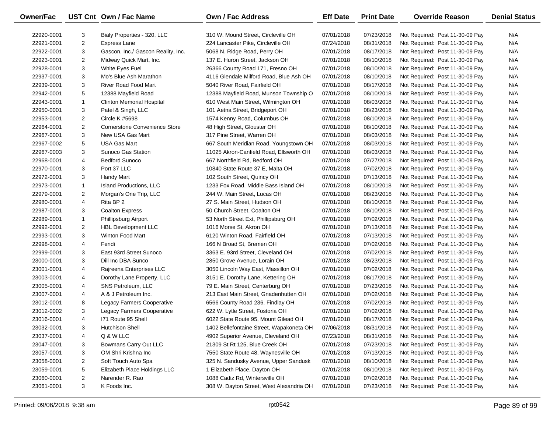| <b>Owner/Fac</b> |                | UST Cnt Own / Fac Name               | <b>Own / Fac Address</b>                 | <b>Eff Date</b> | <b>Print Date</b> | <b>Override Reason</b>          | <b>Denial Status</b> |
|------------------|----------------|--------------------------------------|------------------------------------------|-----------------|-------------------|---------------------------------|----------------------|
| 22920-0001       | 3              | Bialy Properties - 320, LLC          | 310 W. Mound Street, Circleville OH      | 07/01/2018      | 07/23/2018        | Not Required: Post 11-30-09 Pay | N/A                  |
| 22921-0001       | $\overline{2}$ | Express Lane                         | 224 Lancaster Pike, Circleville OH       | 07/24/2018      | 08/31/2018        | Not Required: Post 11-30-09 Pay | N/A                  |
| 22922-0001       | 3              | Gascon, Inc./ Gascon Reality, Inc.   | 5068 N. Ridge Road, Perry OH             | 07/01/2018      | 08/17/2018        | Not Required: Post 11-30-09 Pay | N/A                  |
| 22923-0001       | $\overline{2}$ | Midway Quick Mart, Inc.              | 137 E. Huron Street, Jackson OH          | 07/01/2018      | 08/10/2018        | Not Required: Post 11-30-09 Pay | N/A                  |
| 22928-0001       | 3              | White Eyes Fuel                      | 26366 County Road 171, Fresno OH         | 07/01/2018      | 08/10/2018        | Not Required: Post 11-30-09 Pay | N/A                  |
| 22937-0001       | 3              | Mo's Blue Ash Marathon               | 4116 Glendale Milford Road, Blue Ash OH  | 07/01/2018      | 08/10/2018        | Not Required: Post 11-30-09 Pay | N/A                  |
| 22939-0001       | 3              | <b>River Road Food Mart</b>          | 5040 River Road, Fairfield OH            | 07/01/2018      | 08/17/2018        | Not Required: Post 11-30-09 Pay | N/A                  |
| 22942-0001       | 5              | 12388 Mayfield Road                  | 12388 Mayfield Road, Munson Township O   | 07/01/2018      | 08/10/2018        | Not Required: Post 11-30-09 Pay | N/A                  |
| 22943-0001       | $\mathbf{1}$   | <b>Clinton Memorial Hospital</b>     | 610 West Main Street, Wilmington OH      | 07/01/2018      | 08/03/2018        | Not Required: Post 11-30-09 Pay | N/A                  |
| 22950-0001       | 3              | Patel & Singh, LLC                   | 101 Aetna Street, Bridgeport OH          | 07/01/2018      | 08/23/2018        | Not Required: Post 11-30-09 Pay | N/A                  |
| 22953-0001       | $\overline{2}$ | Circle K #5698                       | 1574 Kenny Road, Columbus OH             | 07/01/2018      | 08/10/2018        | Not Required: Post 11-30-09 Pay | N/A                  |
| 22964-0001       | $\overline{2}$ | <b>Cornerstone Convenience Store</b> | 48 High Street, Glouster OH              | 07/01/2018      | 08/10/2018        | Not Required: Post 11-30-09 Pay | N/A                  |
| 22967-0001       | 3              | New USA Gas Mart                     | 317 Pine Street, Warren OH               | 07/01/2018      | 08/03/2018        | Not Required: Post 11-30-09 Pay | N/A                  |
| 22967-0002       | 5              | <b>USA Gas Mart</b>                  | 667 South Meridian Road, Youngstown OH   | 07/01/2018      | 08/03/2018        | Not Required: Post 11-30-09 Pay | N/A                  |
| 22967-0003       | 3              | Sunoco Gas Station                   | 11025 Akron-Canfield Road, Ellsworth OH  | 07/01/2018      | 08/03/2018        | Not Required: Post 11-30-09 Pay | N/A                  |
| 22968-0001       | 4              | <b>Bedford Sunoco</b>                | 667 Northfield Rd, Bedford OH            | 07/01/2018      | 07/27/2018        | Not Required: Post 11-30-09 Pay | N/A                  |
| 22970-0001       | 3              | Port 37 LLC                          | 10840 State Route 37 E, Malta OH         | 07/01/2018      | 07/02/2018        | Not Required: Post 11-30-09 Pay | N/A                  |
| 22972-0001       | 3              | Handy Mart                           | 102 South Street, Quincy OH              | 07/01/2018      | 07/13/2018        | Not Required: Post 11-30-09 Pay | N/A                  |
| 22973-0001       | $\mathbf{1}$   | Island Productions, LLC              | 1233 Fox Road, Middle Bass Island OH     | 07/01/2018      | 08/10/2018        | Not Required: Post 11-30-09 Pay | N/A                  |
| 22979-0001       | $\overline{2}$ | Morgan's One Trip, LLC               | 244 W. Main Street, Lucas OH             | 07/01/2018      | 08/23/2018        | Not Required: Post 11-30-09 Pay | N/A                  |
| 22980-0001       | 4              | Rita BP 2                            | 27 S. Main Street, Hudson OH             | 07/01/2018      | 08/10/2018        | Not Required: Post 11-30-09 Pay | N/A                  |
| 22987-0001       | 3              | <b>Coalton Express</b>               | 50 Church Street, Coalton OH             | 07/01/2018      | 08/10/2018        | Not Required: Post 11-30-09 Pay | N/A                  |
| 22989-0001       | $\mathbf{1}$   | Phillipsburg Airport                 | 53 North Street Ext, Phillipsburg OH     | 07/01/2018      | 07/02/2018        | Not Required: Post 11-30-09 Pay | N/A                  |
| 22992-0001       | $\overline{2}$ | <b>HBL Development LLC</b>           | 1016 Morse St, Akron OH                  | 07/01/2018      | 07/13/2018        | Not Required: Post 11-30-09 Pay | N/A                  |
| 22993-0001       | 3              | Winton Food Mart                     | 6120 Winton Road, Fairfield OH           | 07/01/2018      | 07/13/2018        | Not Required: Post 11-30-09 Pay | N/A                  |
| 22998-0001       | 4              | Fendi                                | 166 N Broad St, Bremen OH                | 07/01/2018      | 07/02/2018        | Not Required: Post 11-30-09 Pay | N/A                  |
| 22999-0001       | 3              | East 93rd Street Sunoco              | 3363 E. 93rd Street, Cleveland OH        | 07/01/2018      | 07/02/2018        | Not Required: Post 11-30-09 Pay | N/A                  |
| 23000-0001       | 3              | Dill Inc DBA Sunco                   | 2850 Grove Avenue, Lorain OH             | 07/01/2018      | 08/23/2018        | Not Required: Post 11-30-09 Pay | N/A                  |
| 23001-0001       | 4              | Rajreena Enterprises LLC             | 3050 Lincoln Way East, Massillon OH      | 07/01/2018      | 07/02/2018        | Not Required: Post 11-30-09 Pay | N/A                  |
| 23003-0001       | 4              | Dorothy Lane Property, LLC           | 3151 E. Dorothy Lane, Kettering OH       | 07/01/2018      | 08/17/2018        | Not Required: Post 11-30-09 Pay | N/A                  |
| 23005-0001       | 4              | SNS Petroleum, LLC                   | 79 E. Main Street, Centerburg OH         | 07/01/2018      | 07/23/2018        | Not Required: Post 11-30-09 Pay | N/A                  |
| 23007-0001       | 4              | A & J Petroleum Inc.                 | 213 East Main Street, Gnadenhutten OH    | 07/01/2018      | 07/02/2018        | Not Required: Post 11-30-09 Pay | N/A                  |
| 23012-0001       | 8              | Legacy Farmers Cooperative           | 6566 County Road 236, Findlay OH         | 07/01/2018      | 07/02/2018        | Not Required: Post 11-30-09 Pay | N/A                  |
| 23012-0002       | 3              | Legacy Farmers Cooperative           | 622 W. Lytle Street, Fostoria OH         | 07/01/2018      | 07/02/2018        | Not Required: Post 11-30-09 Pay | N/A                  |
| 23016-0001       | 4              | 171 Route 95 Shell                   | 6022 State Route 95, Mount Gilead OH     | 07/01/2018      | 08/17/2018        | Not Required: Post 11-30-09 Pay | N/A                  |
| 23032-0001       | 3              | <b>Hutchison Shell</b>               | 1402 Bellefontaine Street, Wapakoneta OH | 07/06/2018      | 08/31/2018        | Not Required: Post 11-30-09 Pay | N/A                  |
| 23037-0001       | 4              | Q & W LLC                            | 4902 Superior Avenue, Cleveland OH       | 07/23/2018      | 08/31/2018        | Not Required: Post 11-30-09 Pay | N/A                  |
| 23047-0001       | 3              | Bowmans Carry Out LLC                | 21309 St Rt 125, Blue Creek OH           | 07/01/2018      | 07/23/2018        | Not Required: Post 11-30-09 Pay | N/A                  |
| 23057-0001       | 3              | OM Shri Krishna Inc                  | 7550 State Route 48, Waynesville OH      | 07/01/2018      | 07/13/2018        | Not Required: Post 11-30-09 Pay | N/A                  |
| 23058-0001       | 2              | Soft Touch Auto Spa                  | 325 N. Sandusky Avenue, Upper Sandusk    | 07/01/2018      | 08/10/2018        | Not Required: Post 11-30-09 Pay | N/A                  |
| 23059-0001       | 5              | Elizabeth Place Holdings LLC         | 1 Elizabeth Place, Dayton OH             | 07/01/2018      | 08/10/2018        | Not Required: Post 11-30-09 Pay | N/A                  |
| 23060-0001       | $\overline{2}$ | Narender R. Rao                      | 1088 Cadiz Rd, Wintersville OH           | 07/01/2018      | 07/02/2018        | Not Required: Post 11-30-09 Pay | N/A                  |
| 23061-0001       | 3              | K Foods Inc.                         | 308 W. Dayton Street, West Alexandria OH | 07/01/2018      | 07/23/2018        | Not Required: Post 11-30-09 Pay | N/A                  |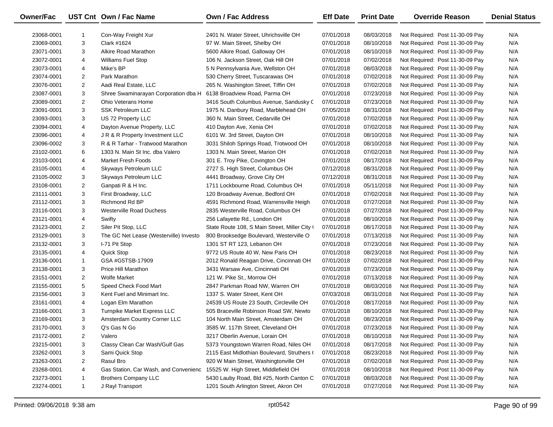| Owner/Fac  |                | UST Cnt Own / Fac Name                 | Own / Fac Address                             | <b>Eff Date</b> | <b>Print Date</b> | <b>Override Reason</b>          | <b>Denial Status</b> |
|------------|----------------|----------------------------------------|-----------------------------------------------|-----------------|-------------------|---------------------------------|----------------------|
| 23068-0001 |                | Con-Way Freight Xur                    | 2401 N. Water Street, Uhrichsville OH         | 07/01/2018      | 08/03/2018        | Not Required: Post 11-30-09 Pay | N/A                  |
| 23069-0001 | 3              | Clark #1624                            | 97 W. Main Street, Shelby OH                  | 07/01/2018      | 08/10/2018        | Not Required: Post 11-30-09 Pay | N/A                  |
| 23071-0001 | 3              | Alkire Road Marathon                   | 5600 Alkire Road, Galloway OH                 | 07/01/2018      | 08/10/2018        | Not Required: Post 11-30-09 Pay | N/A                  |
| 23072-0001 | 4              | <b>Williams Fuel Stop</b>              | 106 N. Jackson Street, Oak Hill OH            | 07/01/2018      | 07/02/2018        | Not Required: Post 11-30-09 Pay | N/A                  |
| 23073-0001 | 4              | Mike's BP                              | 5 N Pennsylvania Ave, Wellston OH             | 07/01/2018      | 08/03/2018        | Not Required: Post 11-30-09 Pay | N/A                  |
| 23074-0001 | $\overline{2}$ | Park Marathon                          | 530 Cherry Street, Tuscarawas OH              | 07/01/2018      | 07/02/2018        | Not Required: Post 11-30-09 Pay | N/A                  |
| 23076-0001 | $\overline{2}$ | Aadi Real Estate, LLC                  | 265 N. Washington Street, Tiffin OH           | 07/01/2018      | 07/02/2018        | Not Required: Post 11-30-09 Pay | N/A                  |
| 23087-0001 | 3              | Shree Swaminarayan Corporation dba H   | 6138 Broadview Road, Parma OH                 | 07/01/2018      | 07/23/2018        | Not Required: Post 11-30-09 Pay | N/A                  |
| 23089-0001 | $\overline{2}$ | Ohio Veterans Home                     | 3416 South Columbus Avenue, Sandusky C        | 07/01/2018      | 07/23/2018        | Not Required: Post 11-30-09 Pay | N/A                  |
| 23091-0001 | 3              | <b>SSK Petroleum LLC</b>               | 1975 N. Danbury Road, Marblehead OH           | 07/05/2018      | 08/31/2018        | Not Required: Post 11-30-09 Pay | N/A                  |
| 23093-0001 | 3              | US 72 Property LLC                     | 360 N. Main Street, Cedarville OH             | 07/01/2018      | 07/02/2018        | Not Required: Post 11-30-09 Pay | N/A                  |
| 23094-0001 | 4              | Dayton Avenue Property, LLC            | 410 Dayton Ave, Xenia OH                      | 07/01/2018      | 07/02/2018        | Not Required: Post 11-30-09 Pay | N/A                  |
| 23096-0001 | 4              | J R & R Property Investment LLC        | 6101 W. 3rd Street, Dayton OH                 | 07/01/2018      | 08/10/2018        | Not Required: Post 11-30-09 Pay | N/A                  |
| 23096-0002 | 3              | R & R Tarhar - Tratwood Marathon       | 3031 Shiloh Springs Road, Trotwood OH         | 07/01/2018      | 08/10/2018        | Not Required: Post 11-30-09 Pay | N/A                  |
| 23102-0001 | 6              | 1303 N. Main St Inc. dba Valero        | 1303 N. Main Street, Marion OH                | 07/01/2018      | 07/02/2018        | Not Required: Post 11-30-09 Pay | N/A                  |
| 23103-0001 | 4              | <b>Market Fresh Foods</b>              | 301 E. Troy Pike, Covington OH                | 07/01/2018      | 08/17/2018        | Not Required: Post 11-30-09 Pay | N/A                  |
| 23105-0001 | 4              | Skyways Petroleum LLC                  | 2727 S. High Street, Columbus OH              | 07/12/2018      | 08/31/2018        | Not Required: Post 11-30-09 Pay | N/A                  |
| 23105-0002 | 3              | Skyways Petroleum LLC                  | 4441 Broadway, Grove City OH                  | 07/12/2018      | 08/31/2018        | Not Required: Post 11-30-09 Pay | N/A                  |
| 23108-0001 | $\overline{2}$ | Ganpati R & H Inc.                     | 1711 Lockbourne Road, Columbus OH             | 07/01/2018      | 05/11/2018        | Not Required: Post 11-30-09 Pay | N/A                  |
| 23111-0001 | 3              | First Broadway, LLC                    | 120 Broadway Avenue, Bedford OH               | 07/01/2018      | 07/02/2018        | Not Required: Post 11-30-09 Pay | N/A                  |
| 23112-0001 | 3              | Richmond Rd BP                         | 4591 Richmond Road, Warrensville Heigh        | 07/01/2018      | 07/27/2018        | Not Required: Post 11-30-09 Pay | N/A                  |
| 23116-0001 | 3              | <b>Westerville Road Duchess</b>        | 2835 Westerville Road, Columbus OH            | 07/01/2018      | 07/27/2018        | Not Required: Post 11-30-09 Pay | N/A                  |
| 23121-0001 | 4              | Swifty                                 | 256 Lafayette Rd., London OH                  | 07/01/2018      | 08/10/2018        | Not Required: Post 11-30-09 Pay | N/A                  |
| 23123-0001 | 2              | Siler Pit Stop, LLC                    | State Route 108, S Main Street, Miller City ( | 07/01/2018      | 08/17/2018        | Not Required: Post 11-30-09 Pay | N/A                  |
| 23129-0001 | 3              | The GC Net Lease (Westerville) Investo | 800 Brooksedge Boulevard, Westerville O       | 07/01/2018      | 07/13/2018        | Not Required: Post 11-30-09 Pay | N/A                  |
| 23132-0001 | 3              | I-71 Pit Stop                          | 1301 ST RT 123, Lebanon OH                    | 07/01/2018      | 07/23/2018        | Not Required: Post 11-30-09 Pay | N/A                  |
| 23135-0001 | 4              | Quick Stop                             | 9772 US Route 40 W, New Paris OH              | 07/01/2018      | 08/23/2018        | Not Required: Post 11-30-09 Pay | N/A                  |
| 23136-0001 | $\mathbf{1}$   | GSA #G5TSB-17909                       | 2012 Ronald Reagan Drive, Cincinnati OH       | 07/01/2018      | 07/02/2018        | Not Required: Post 11-30-09 Pay | N/A                  |
| 23138-0001 | 3              | Price Hill Marathon                    | 3431 Warsaw Ave, Cincinnati OH                | 07/01/2018      | 07/23/2018        | Not Required: Post 11-30-09 Pay | N/A                  |
| 23151-0001 | $\overline{2}$ | <b>Wolfe Market</b>                    | 121 W. Pike St., Morrow OH                    | 07/01/2018      | 07/13/2018        | Not Required: Post 11-30-09 Pay | N/A                  |
| 23155-0001 | 5              | Speed Check Food Mart                  | 2847 Parkman Road NW, Warren OH               | 07/01/2018      | 08/03/2018        | Not Required: Post 11-30-09 Pay | N/A                  |
| 23156-0001 | 3              | Kent Fuel and Minimart Inc.            | 1337 S. Water Street, Kent OH                 | 07/03/2018      | 08/31/2018        | Not Required: Post 11-30-09 Pay | N/A                  |
| 23161-0001 | 4              | Logan Elm Marathon                     | 24539 US Route 23 South, Circleville OH       | 07/01/2018      | 08/17/2018        | Not Required: Post 11-30-09 Pay | N/A                  |
| 23166-0001 | 3              | Turnpike Market Express LLC            | 505 Braceville Robinson Road SW, Newto        | 07/01/2018      | 08/10/2018        | Not Required: Post 11-30-09 Pay | N/A                  |
| 23169-0001 | 3              | Amsterdam Country Corner LLC           | 104 North Main Street, Amsterdam OH           | 07/01/2018      | 08/23/2018        | Not Required: Post 11-30-09 Pay | N/A                  |
| 23170-0001 | 3              | Q's Gas N Go                           | 3585 W. 117th Street, Cleveland OH            | 07/01/2018      | 07/23/2018        | Not Required: Post 11-30-09 Pay | N/A                  |
| 23172-0001 | 2              | Valero                                 | 3217 Oberlin Avenue, Lorain OH                | 07/01/2018      | 08/10/2018        | Not Required: Post 11-30-09 Pay | N/A                  |
| 23215-0001 | 3              | Classy Clean Car Wash/Gulf Gas         | 5373 Youngstown Warren Road, Niles OH         | 07/01/2018      | 08/17/2018        | Not Required: Post 11-30-09 Pay | N/A                  |
| 23262-0001 | 3              | Sami Quick Stop                        | 2115 East Midlothian Boulevard, Struthers (   | 07/01/2018      | 08/23/2018        | Not Required: Post 11-30-09 Pay | N/A                  |
| 23263-0001 | 2              | Rasul Bro                              | 920 W Main Street, Washingtonville OH         | 07/01/2018      | 07/02/2018        | Not Required: Post 11-30-09 Pay | N/A                  |
| 23268-0001 | 4              | Gas Station, Car Wash, and Convenienc  | 15525 W. High Street, Middlefield OH          | 07/01/2018      | 08/10/2018        | Not Required: Post 11-30-09 Pay | N/A                  |
| 23273-0001 | 1              | <b>Brothers Company LLC</b>            | 5430 Lauby Road, Bld #25, North Canton C      | 07/01/2018      | 08/03/2018        | Not Required: Post 11-30-09 Pay | N/A                  |
| 23274-0001 | $\mathbf{1}$   | J Rayl Transport                       | 1201 South Arlington Street, Akron OH         | 07/01/2018      | 07/27/2018        | Not Required: Post 11-30-09 Pay | N/A                  |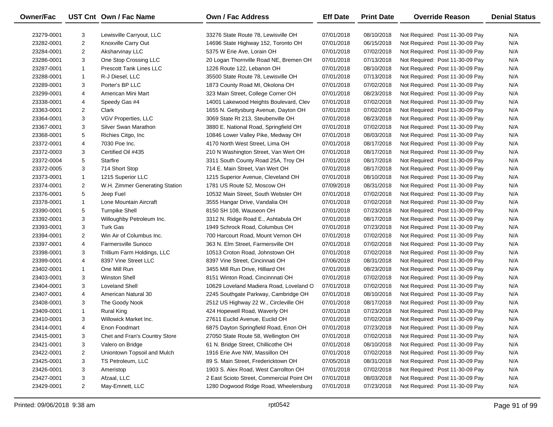| Owner/Fac  |                | UST Cnt Own / Fac Name         | Own / Fac Address                         | <b>Eff Date</b> | <b>Print Date</b> | <b>Override Reason</b>          | <b>Denial Status</b> |
|------------|----------------|--------------------------------|-------------------------------------------|-----------------|-------------------|---------------------------------|----------------------|
| 23279-0001 | 3              | Lewisville Carryout, LLC       | 33276 State Route 78, Lewisville OH       | 07/01/2018      | 08/10/2018        | Not Required: Post 11-30-09 Pay | N/A                  |
| 23282-0001 | $\overline{2}$ | Knoxville Carry Out            | 14696 State Highway 152, Toronto OH       | 07/01/2018      | 06/15/2018        | Not Required: Post 11-30-09 Pay | N/A                  |
| 23284-0001 | $\overline{2}$ | Aksharvinay LLC                | 5375 W Erie Ave, Lorain OH                | 07/01/2018      | 07/02/2018        | Not Required: Post 11-30-09 Pay | N/A                  |
| 23286-0001 | 3              | One Stop Crossing LLC          | 20 Logan Thornville Road NE, Bremen OH    | 07/01/2018      | 07/13/2018        | Not Required: Post 11-30-09 Pay | N/A                  |
| 23287-0001 | $\mathbf{1}$   | Prescott Tank Lines LLC        | 1226 Route 122, Lebanon OH                | 07/01/2018      | 08/10/2018        | Not Required: Post 11-30-09 Pay | N/A                  |
| 23288-0001 | 1              | R-J Diesel, LLC                | 35500 State Route 78, Lewisville OH       | 07/01/2018      | 07/13/2018        | Not Required: Post 11-30-09 Pay | N/A                  |
| 23289-0001 | 3              | Porter's BP LLC                | 1873 County Road MI, Okolona OH           | 07/01/2018      | 07/02/2018        | Not Required: Post 11-30-09 Pay | N/A                  |
| 23299-0001 | 4              | American Mini Mart             | 323 Main Street, College Corner OH        | 07/01/2018      | 08/23/2018        | Not Required: Post 11-30-09 Pay | N/A                  |
| 23338-0001 | 4              | Speedy Gas #4                  | 14001 Lakewood Heights Boulevard, Clev    | 07/01/2018      | 07/02/2018        | Not Required: Post 11-30-09 Pay | N/A                  |
| 23363-0001 | 2              | Clark                          | 1655 N. Gettysburg Avenue, Dayton OH      | 07/01/2018      | 07/02/2018        | Not Required: Post 11-30-09 Pay | N/A                  |
| 23364-0001 | 3              | VGV Properties, LLC            | 3069 State Rt 213, Steubenville OH        | 07/01/2018      | 08/23/2018        | Not Required: Post 11-30-09 Pay | N/A                  |
| 23367-0001 | 3              | Silver Swan Marathon           | 3880 E. National Road, Springfield OH     | 07/01/2018      | 07/02/2018        | Not Required: Post 11-30-09 Pay | N/A                  |
| 23368-0001 | 5              | Richies Citgo, Inc             | 10846 Lower Valley Pike, Medway OH        | 07/01/2018      | 08/03/2018        | Not Required: Post 11-30-09 Pay | N/A                  |
| 23372-0001 | 4              | 7030 Poe Inc.                  | 4170 North West Street, Lima OH           | 07/01/2018      | 08/17/2018        | Not Required: Post 11-30-09 Pay | N/A                  |
| 23372-0003 | 3              | Certified Oil #435             | 210 N Washington Street, Van Wert OH      | 07/01/2018      | 08/17/2018        | Not Required: Post 11-30-09 Pay | N/A                  |
| 23372-0004 | 5              | Starfire                       | 3311 South County Road 25A, Troy OH       | 07/01/2018      | 08/17/2018        | Not Required: Post 11-30-09 Pay | N/A                  |
| 23372-0005 | 3              | 714 Short Stop                 | 714 E. Main Street, Van Wert OH           | 07/01/2018      | 08/17/2018        | Not Required: Post 11-30-09 Pay | N/A                  |
| 23373-0001 | $\mathbf{1}$   | 1215 Superior LLC              | 1215 Superior Avenue, Cleveland OH        | 07/01/2018      | 08/10/2018        | Not Required: Post 11-30-09 Pay | N/A                  |
| 23374-0001 | $\overline{2}$ | W.H. Zimmer Generating Station | 1781 US Route 52, Moscow OH               | 07/09/2018      | 08/31/2018        | Not Required: Post 11-30-09 Pay | N/A                  |
| 23376-0001 | 5              | Jeep Fuel                      | 10532 Main Street, South Webster OH       | 07/01/2018      | 07/02/2018        | Not Required: Post 11-30-09 Pay | N/A                  |
| 23378-0001 | $\mathbf{1}$   | Lone Mountain Aircraft         | 3555 Hangar Drive, Vandalia OH            | 07/01/2018      | 07/02/2018        | Not Required: Post 11-30-09 Pay | N/A                  |
| 23390-0001 | 5              | <b>Turnpike Shell</b>          | 8150 SH 108, Wauseon OH                   | 07/01/2018      | 07/23/2018        | Not Required: Post 11-30-09 Pay | N/A                  |
| 23392-0001 | 3              | Willoughby Petroleum Inc.      | 3312 N. Ridge Road E., Ashtabula OH       | 07/01/2018      | 08/17/2018        | Not Required: Post 11-30-09 Pay | N/A                  |
| 23393-0001 | 3              | Turk Gas                       | 1949 Schrock Road, Columbus OH            | 07/01/2018      | 07/23/2018        | Not Required: Post 11-30-09 Pay | N/A                  |
| 23394-0001 | $\overline{2}$ | Win Air of Columbus Inc.       | 700 Harcourt Road, Mount Vernon OH        | 07/01/2018      | 07/02/2018        | Not Required: Post 11-30-09 Pay | N/A                  |
| 23397-0001 | 4              | <b>Farmersville Sunoco</b>     | 363 N. Elm Street, Farmersville OH        | 07/01/2018      | 07/02/2018        | Not Required: Post 11-30-09 Pay | N/A                  |
| 23398-0001 | 3              | Trillium Farm Holdings, LLC    | 10513 Croton Road, Johnstown OH           | 07/01/2018      | 07/02/2018        | Not Required: Post 11-30-09 Pay | N/A                  |
| 23399-0001 | 4              | 8397 Vine Street LLC           | 8397 Vine Street, Cincinnati OH           | 07/06/2018      | 08/31/2018        | Not Required: Post 11-30-09 Pay | N/A                  |
| 23402-0001 | $\mathbf{1}$   | One Mill Run                   | 3455 Mill Run Drive, Hilliard OH          | 07/01/2018      | 08/23/2018        | Not Required: Post 11-30-09 Pay | N/A                  |
| 23403-0001 | 3              | <b>Winston Shell</b>           | 8151 Winton Road, Cincinnnati OH          | 07/01/2018      | 07/02/2018        | Not Required: Post 11-30-09 Pay | N/A                  |
| 23404-0001 | 3              | <b>Loveland Shell</b>          | 10629 Loveland Madiera Road, Loveland C   | 07/01/2018      | 07/02/2018        | Not Required: Post 11-30-09 Pay | N/A                  |
| 23407-0001 | 4              | American Natural 30            | 2245 Southgate Parkway, Cambridge OH      | 07/01/2018      | 08/10/2018        | Not Required: Post 11-30-09 Pay | N/A                  |
| 23408-0001 | 3              | The Goody Nook                 | 2512 US Highway 22 W., Circleville OH     | 07/01/2018      | 08/17/2018        | Not Required: Post 11-30-09 Pay | N/A                  |
| 23409-0001 | 1              | <b>Rural King</b>              | 424 Hopewell Road, Waverly OH             | 07/01/2018      | 07/23/2018        | Not Required: Post 11-30-09 Pay | N/A                  |
| 23410-0001 | 3              | Willowick Market Inc.          | 27611 Euclid Avenue, Euclid OH            | 07/01/2018      | 07/02/2018        | Not Required: Post 11-30-09 Pay | N/A                  |
| 23414-0001 | 4              | Enon Foodmart                  | 6875 Dayton Springfield Road, Enon OH     | 07/01/2018      | 07/23/2018        | Not Required: Post 11-30-09 Pay | N/A                  |
| 23415-0001 | 3              | Chet and Fran's Country Store  | 27050 State Route 58, Wellington OH       | 07/01/2018      | 07/02/2018        | Not Required: Post 11-30-09 Pay | N/A                  |
| 23421-0001 | 3              | Valero on Bridge               | 61 N. Bridge Street, Chillicothe OH       | 07/01/2018      | 08/10/2018        | Not Required: Post 11-30-09 Pay | N/A                  |
| 23422-0001 | 2              | Uniontown Topsoil and Mulch    | 1916 Erie Ave NW, Massillon OH            | 07/01/2018      | 07/02/2018        | Not Required: Post 11-30-09 Pay | N/A                  |
| 23425-0001 | 3              | TS Petroleum, LLC              | 89 S. Main Street, Fredericktown OH       | 07/05/2018      | 08/31/2018        | Not Required: Post 11-30-09 Pay | N/A                  |
| 23426-0001 | 3              | Ameristop                      | 1903 S. Alex Road, West Carrollton OH     | 07/01/2018      | 07/02/2018        | Not Required: Post 11-30-09 Pay | N/A                  |
| 23427-0001 | 3              | Afzaal, LLC                    | 2 East Scioto Street, Commercial Point OH | 07/01/2018      | 08/03/2018        | Not Required: Post 11-30-09 Pay | N/A                  |
| 23429-0001 | $\overline{2}$ | May-Emnett, LLC                | 1280 Dogwood Ridge Road, Wheelersburg     | 07/01/2018      | 07/23/2018        | Not Required: Post 11-30-09 Pay | N/A                  |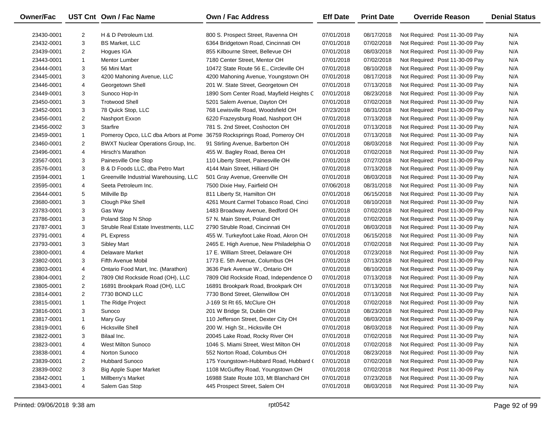| Owner/Fac  |                | UST Cnt Own / Fac Name                 | Own / Fac Address                        | <b>Eff Date</b> | <b>Print Date</b> | <b>Override Reason</b>          | <b>Denial Status</b> |
|------------|----------------|----------------------------------------|------------------------------------------|-----------------|-------------------|---------------------------------|----------------------|
| 23430-0001 | 2              | H & D Petroleum Ltd.                   | 800 S. Prospect Street, Ravenna OH       | 07/01/2018      | 08/17/2018        | Not Required: Post 11-30-09 Pay | N/A                  |
| 23432-0001 | 3              | <b>BS Market, LLC</b>                  | 6364 Bridgetown Road, Cincinnati OH      | 07/01/2018      | 07/02/2018        | Not Required: Post 11-30-09 Pay | N/A                  |
| 23439-0001 | $\overline{2}$ | Hogues IGA                             | 855 Kilbourne Street, Bellevue OH        | 07/01/2018      | 08/03/2018        | Not Required: Post 11-30-09 Pay | N/A                  |
| 23443-0001 | $\mathbf{1}$   | Mentor Lumber                          | 7180 Center Street, Mentor OH            | 07/01/2018      | 07/02/2018        | Not Required: Post 11-30-09 Pay | N/A                  |
| 23444-0001 | 3              | 56 Mini Mart                           | 10472 State Route 56 E., Circleville OH  | 07/01/2018      | 08/10/2018        | Not Required: Post 11-30-09 Pay | N/A                  |
| 23445-0001 | 3              | 4200 Mahoning Avenue, LLC              | 4200 Mahoning Avenue, Youngstown OH      | 07/01/2018      | 08/17/2018        | Not Required: Post 11-30-09 Pay | N/A                  |
| 23446-0001 | 4              | Georgetown Shell                       | 201 W. State Street, Georgetown OH       | 07/01/2018      | 07/13/2018        | Not Required: Post 11-30-09 Pay | N/A                  |
| 23449-0001 | 3              | Sunoco Hop-In                          | 1890 Som Center Road, Mayfield Heights C | 07/01/2018      | 08/23/2018        | Not Required: Post 11-30-09 Pay | N/A                  |
| 23450-0001 | 3              | <b>Trotwood Shell</b>                  | 5201 Salem Avenue, Dayton OH             | 07/01/2018      | 07/02/2018        | Not Required: Post 11-30-09 Pay | N/A                  |
| 23452-0001 | 3              | 78 Quick Stop, LLC                     | 768 Lewisville Road, Woodsfield OH       | 07/23/2018      | 08/31/2018        | Not Required: Post 11-30-09 Pay | N/A                  |
| 23456-0001 | $\overline{2}$ | Nashport Exxon                         | 6220 Frazeysburg Road, Nashport OH       | 07/01/2018      | 07/13/2018        | Not Required: Post 11-30-09 Pay | N/A                  |
| 23456-0002 | 3              | Starfire                               | 781 S. 2nd Street, Coshocton OH          | 07/01/2018      | 07/13/2018        | Not Required: Post 11-30-09 Pay | N/A                  |
| 23459-0001 | 1              | Pomeroy Opco, LLC dba Arbors at Pome   | 36759 Rocksprings Road, Pomeroy OH       | 07/01/2018      | 07/13/2018        | Not Required: Post 11-30-09 Pay | N/A                  |
| 23460-0001 | $\overline{2}$ | BWXT Nuclear Operations Group, Inc.    | 91 Stirling Avenue, Barberton OH         | 07/01/2018      | 08/03/2018        | Not Required: Post 11-30-09 Pay | N/A                  |
| 23496-0001 | 4              | Hirsch's Marathon                      | 455 W. Bagley Road, Berea OH             | 07/01/2018      | 07/02/2018        | Not Required: Post 11-30-09 Pay | N/A                  |
| 23567-0001 | 3              | Painesville One Stop                   | 110 Liberty Street, Painesville OH       | 07/01/2018      | 07/27/2018        | Not Required: Post 11-30-09 Pay | N/A                  |
| 23576-0001 | 3              | B & D Foods LLC, dba Petro Mart        | 4144 Main Street, Hilliard OH            | 07/01/2018      | 07/13/2018        | Not Required: Post 11-30-09 Pay | N/A                  |
| 23594-0001 | $\mathbf{1}$   | Greenville Industrial Warehousing, LLC | 501 Gray Avenue, Greenville OH           | 07/01/2018      | 08/03/2018        | Not Required: Post 11-30-09 Pay | N/A                  |
| 23595-0001 | 4              | Seeta Petroleum Inc.                   | 7500 Dixie Hwy, Fairfield OH             | 07/06/2018      | 08/31/2018        | Not Required: Post 11-30-09 Pay | N/A                  |
| 23644-0001 | 5              | Millville Bp                           | 811 Liberty St, Hamilton OH              | 07/01/2018      | 06/15/2018        | Not Required: Post 11-30-09 Pay | N/A                  |
| 23680-0001 | 3              | Clough Pike Shell                      | 4261 Mount Carmel Tobasco Road, Cinci    | 07/01/2018      | 08/10/2018        | Not Required: Post 11-30-09 Pay | N/A                  |
| 23783-0001 | 3              | Gas Way                                | 1483 Broadway Avenue, Bedford OH         | 07/01/2018      | 07/02/2018        | Not Required: Post 11-30-09 Pay | N/A                  |
| 23786-0001 | 3              | Poland Stop N Shop                     | 57 N. Main Street, Poland OH             | 07/01/2018      | 07/02/2018        | Not Required: Post 11-30-09 Pay | N/A                  |
| 23787-0001 | 3              | Struble Real Estate Investments, LLC   | 2790 Struble Road, Cincinnati OH         | 07/01/2018      | 08/03/2018        | Not Required: Post 11-30-09 Pay | N/A                  |
| 23791-0001 | 4              | <b>PL Express</b>                      | 455 W. Turkeyfoot Lake Road, Akron OH    | 07/01/2018      | 06/15/2018        | Not Required: Post 11-30-09 Pay | N/A                  |
| 23793-0001 | 3              | <b>Sibley Mart</b>                     | 2465 E. High Avenue, New Philadelphia O  | 07/01/2018      | 07/02/2018        | Not Required: Post 11-30-09 Pay | N/A                  |
| 23800-0001 | 4              | <b>Delaware Market</b>                 | 17 E. William Street, Delaware OH        | 07/01/2018      | 07/23/2018        | Not Required: Post 11-30-09 Pay | N/A                  |
| 23802-0001 | 3              | Fifth Avenue Mobil                     | 1773 E. 5th Avenue, Columbus OH          | 07/01/2018      | 07/13/2018        | Not Required: Post 11-30-09 Pay | N/A                  |
| 23803-0001 | 4              | Ontario Food Mart, Inc. (Marathon)     | 3636 Park Avenue W., Ontario OH          | 07/01/2018      | 08/10/2018        | Not Required: Post 11-30-09 Pay | N/A                  |
| 23804-0001 | $\overline{2}$ | 7809 Old Rockside Road (OH), LLC       | 7809 Old Rockside Road, Independence O   | 07/01/2018      | 07/13/2018        | Not Required: Post 11-30-09 Pay | N/A                  |
| 23805-0001 | $\overline{2}$ | 16891 Brookpark Road (OH), LLC         | 16891 Brookpark Road, Brookpark OH       | 07/01/2018      | 07/13/2018        | Not Required: Post 11-30-09 Pay | N/A                  |
| 23814-0001 | $\overline{2}$ | 7730 BOND LLC                          | 7730 Bond Street, Glenwillow OH          | 07/01/2018      | 07/13/2018        | Not Required: Post 11-30-09 Pay | N/A                  |
| 23815-0001 | $\mathbf{1}$   | The Ridge Project                      | J-169 St Rt 65, McClure OH               | 07/01/2018      | 07/02/2018        | Not Required: Post 11-30-09 Pay | N/A                  |
| 23816-0001 | 3              | Sunoco                                 | 201 W Bridge St, Dublin OH               | 07/01/2018      | 08/23/2018        | Not Required: Post 11-30-09 Pay | N/A                  |
| 23817-0001 | $\mathbf{1}$   | Mary Guy                               | 110 Jefferson Street, Dexter City OH     | 07/01/2018      | 08/03/2018        | Not Required: Post 11-30-09 Pay | N/A                  |
| 23819-0001 | 6              | <b>Hicksville Shell</b>                | 200 W. High St., Hicksville OH           | 07/01/2018      | 08/03/2018        | Not Required: Post 11-30-09 Pay | N/A                  |
| 23822-0001 | 3              | Bilaal Inc.                            | 20045 Lake Road, Rocky River OH          | 07/01/2018      | 07/02/2018        | Not Required: Post 11-30-09 Pay | N/A                  |
| 23823-0001 | 4              | <b>West Milton Sunoco</b>              | 1046 S. Miami Street, West Milton OH     | 07/01/2018      | 07/02/2018        | Not Required: Post 11-30-09 Pay | N/A                  |
| 23838-0001 | 4              | Norton Sunoco                          | 552 Norton Road, Columbus OH             | 07/01/2018      | 08/23/2018        | Not Required: Post 11-30-09 Pay | N/A                  |
| 23839-0001 | 2              | <b>Hubbard Sunoco</b>                  | 175 Youngstown-Hubbard Road, Hubbard (   | 07/01/2018      | 07/02/2018        | Not Required: Post 11-30-09 Pay | N/A                  |
| 23839-0002 | 3              | <b>Big Apple Super Market</b>          | 1108 McGuffey Road, Youngstown OH        | 07/01/2018      | 07/02/2018        | Not Required: Post 11-30-09 Pay | N/A                  |
| 23842-0001 | 1              | Millberry's Market                     | 16988 State Route 103, Mt Blanchard OH   | 07/01/2018      | 07/23/2018        | Not Required: Post 11-30-09 Pay | N/A                  |
| 23843-0001 | 4              | Salem Gas Stop                         | 445 Prospect Street, Salem OH            | 07/01/2018      | 08/03/2018        | Not Required: Post 11-30-09 Pay | N/A                  |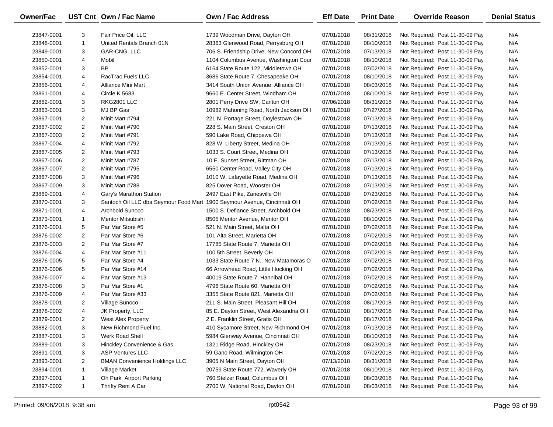| Owner/Fac  |                | UST Cnt Own / Fac Name                                                   | <b>Own / Fac Address</b>                | <b>Eff Date</b>          | <b>Print Date</b> | <b>Override Reason</b>          | <b>Denial Status</b> |
|------------|----------------|--------------------------------------------------------------------------|-----------------------------------------|--------------------------|-------------------|---------------------------------|----------------------|
| 23847-0001 | 3              | Fair Price Oil, LLC                                                      | 1739 Woodman Drive, Dayton OH           | 07/01/2018               | 08/31/2018        | Not Required: Post 11-30-09 Pay | N/A                  |
| 23848-0001 | $\mathbf{1}$   | United Rentals Branch 01N                                                | 28363 Glenwood Road, Perrysburg OH      | 07/01/2018               | 08/10/2018        | Not Required: Post 11-30-09 Pay | N/A                  |
| 23849-0001 | 3              | GAR-CNG, LLC                                                             | 706 S. Friendship Drive, New Concord OH | 07/01/2018               | 07/13/2018        | Not Required: Post 11-30-09 Pay | N/A                  |
| 23850-0001 | 4              |                                                                          | 1104 Columbus Avenue, Washington Cour   | 07/01/2018               | 08/10/2018        | Not Required: Post 11-30-09 Pay | N/A                  |
|            | 3              | Mobil<br><b>BP</b>                                                       |                                         |                          |                   |                                 | N/A                  |
| 23852-0001 |                |                                                                          | 6164 State Route 122, Middletown OH     | 07/01/2018<br>07/01/2018 | 07/02/2018        | Not Required: Post 11-30-09 Pay | N/A                  |
| 23854-0001 | 4              | RacTrac Fuels LLC                                                        | 3686 State Route 7, Chesapeake OH       |                          | 08/10/2018        | Not Required: Post 11-30-09 Pay |                      |
| 23856-0001 | 4              | Alliance Mini Mart                                                       | 3414 South Union Avenue, Alliance OH    | 07/01/2018               | 08/03/2018        | Not Required: Post 11-30-09 Pay | N/A                  |
| 23861-0001 | 4              | Circle K 5683                                                            | 9660 E. Center Street, Windham OH       | 07/01/2018<br>07/06/2018 | 08/10/2018        | Not Required: Post 11-30-09 Pay | N/A                  |
| 23862-0001 | 3              | RKG2801 LLC                                                              | 2801 Perry Drive SW, Canton OH          |                          | 08/31/2018        | Not Required: Post 11-30-09 Pay | N/A                  |
| 23863-0001 | 3              | MJ BP Gas                                                                | 10982 Mahoning Road, North Jackson OH   | 07/01/2018               | 07/27/2018        | Not Required: Post 11-30-09 Pay | N/A                  |
| 23867-0001 | $\overline{2}$ | Minit Mart #794                                                          | 221 N. Portage Street, Doylestown OH    | 07/01/2018               | 07/13/2018        | Not Required: Post 11-30-09 Pay | N/A                  |
| 23867-0002 | $\overline{2}$ | Minit Mart #790                                                          | 228 S. Main Street, Creston OH          | 07/01/2018               | 07/13/2018        | Not Required: Post 11-30-09 Pay | N/A                  |
| 23867-0003 | $\overline{2}$ | Minit Mart #791                                                          | 590 Lake Road, Chippewa OH              | 07/01/2018               | 07/13/2018        | Not Required: Post 11-30-09 Pay | N/A                  |
| 23867-0004 | 4              | Minit Mart #792                                                          | 828 W. Liberty Street, Medina OH        | 07/01/2018               | 07/13/2018        | Not Required: Post 11-30-09 Pay | N/A                  |
| 23867-0005 | $\overline{2}$ | Minit Mart #793                                                          | 1033 S. Court Street, Medina OH         | 07/01/2018               | 07/13/2018        | Not Required: Post 11-30-09 Pay | N/A                  |
| 23867-0006 | $\overline{2}$ | Minit Mart #787                                                          | 10 E. Sunset Street, Rittman OH         | 07/01/2018               | 07/13/2018        | Not Required: Post 11-30-09 Pay | N/A                  |
| 23867-0007 | $\overline{2}$ | Minit Mart #795                                                          | 6550 Center Road, Valley City OH        | 07/01/2018               | 07/13/2018        | Not Required: Post 11-30-09 Pay | N/A                  |
| 23867-0008 | 3              | Minit Mart #796                                                          | 1010 W. Lafayette Road, Medina OH       | 07/01/2018               | 07/13/2018        | Not Required: Post 11-30-09 Pay | N/A                  |
| 23867-0009 | 3              | Minit Mart #788                                                          | 825 Dover Road, Wooster OH              | 07/01/2018               | 07/13/2018        | Not Required: Post 11-30-09 Pay | N/A                  |
| 23869-0001 | 4              | Gary's Marathon Station                                                  | 2497 East Pike, Zanesville OH           | 07/01/2018               | 07/23/2018        | Not Required: Post 11-30-09 Pay | N/A                  |
| 23870-0001 | 3              | Santoch Oil LLC dba Seymour Food Mart 1900 Seymour Avenue, Cincinnati OH |                                         | 07/01/2018               | 07/02/2018        | Not Required: Post 11-30-09 Pay | N/A                  |
| 23871-0001 | 4              | Archbold Sunoco                                                          | 1500 S. Defiance Street, Archbold OH    | 07/01/2018               | 08/23/2018        | Not Required: Post 11-30-09 Pay | N/A                  |
| 23873-0001 | $\mathbf{1}$   | Mentor Mitsubishi                                                        | 8505 Mentor Avenue, Mentor OH           | 07/01/2018               | 08/10/2018        | Not Required: Post 11-30-09 Pay | N/A                  |
| 23876-0001 | 5              | Par Mar Store #5                                                         | 521 N. Main Street, Malta OH            | 07/01/2018               | 07/02/2018        | Not Required: Post 11-30-09 Pay | N/A                  |
| 23876-0002 | $\overline{2}$ | Par Mar Store #6                                                         | 101 Alta Street, Marietta OH            | 07/01/2018               | 07/02/2018        | Not Required: Post 11-30-09 Pay | N/A                  |
| 23876-0003 | $\overline{2}$ | Par Mar Store #7                                                         | 17785 State Route 7, Marietta OH        | 07/01/2018               | 07/02/2018        | Not Required: Post 11-30-09 Pay | N/A                  |
| 23876-0004 | 4              | Par Mar Store #11                                                        | 100 5th Street, Beverly OH              | 07/01/2018               | 07/02/2018        | Not Required: Post 11-30-09 Pay | N/A                  |
| 23876-0005 | 5              | Par Mar Store #4                                                         | 1033 State Route 7 N., New Matamoras O  | 07/01/2018               | 07/02/2018        | Not Required: Post 11-30-09 Pay | N/A                  |
| 23876-0006 | 5              | Par Mar Store #14                                                        | 66 Arrowhead Road, Little Hocking OH    | 07/01/2018               | 07/02/2018        | Not Required: Post 11-30-09 Pay | N/A                  |
| 23876-0007 | 4              | Par Mar Store #13                                                        | 40019 State Route 7, Hannibal OH        | 07/01/2018               | 07/02/2018        | Not Required: Post 11-30-09 Pay | N/A                  |
| 23876-0008 | 3              | Par Mar Store #1                                                         | 4796 State Route 60, Marietta OH        | 07/01/2018               | 07/02/2018        | Not Required: Post 11-30-09 Pay | N/A                  |
| 23876-0009 | 4              | Par Mar Store #33                                                        | 3355 State Route 821, Marietta OH       | 07/01/2018               | 07/02/2018        | Not Required: Post 11-30-09 Pay | N/A                  |
| 23878-0001 | $\overline{2}$ | Village Sunoco                                                           | 211 S. Main Street, Pleasant Hill OH    | 07/01/2018               | 08/17/2018        | Not Required: Post 11-30-09 Pay | N/A                  |
| 23878-0002 | 4              | JK Property, LLC                                                         | 85 E. Dayton Street, West Alexandria OH | 07/01/2018               | 08/17/2018        | Not Required: Post 11-30-09 Pay | N/A                  |
| 23879-0001 | $\overline{2}$ | <b>West Alex Property</b>                                                | 2 E. Franklin Street, Gratis OH         | 07/01/2018               | 08/17/2018        | Not Required: Post 11-30-09 Pay | N/A                  |
| 23882-0001 | 3              | New Richmond Fuel Inc.                                                   | 410 Sycamore Street, New Richmond OH    | 07/01/2018               | 07/13/2018        | Not Required: Post 11-30-09 Pay | N/A                  |
| 23887-0001 | 3              | Werk Road Shell                                                          | 5984 Glenway Avenue, Cincinnati OH      | 07/01/2018               | 08/10/2018        | Not Required: Post 11-30-09 Pay | N/A                  |
| 23889-0001 | 3              | Hinckley Convenience & Gas                                               | 1321 Ridge Road, Hinckley OH            | 07/01/2018               | 08/23/2018        | Not Required: Post 11-30-09 Pay | N/A                  |
| 23891-0001 | 3              | <b>ASP Ventures LLC</b>                                                  | 59 Gano Road, Wilmington OH             | 07/01/2018               | 07/02/2018        | Not Required: Post 11-30-09 Pay | N/A                  |
| 23893-0001 | 2              | <b>BMAN Convenience Holdings LLC</b>                                     | 3905 N Main Street, Dayton OH           | 07/13/2018               | 08/31/2018        | Not Required: Post 11-30-09 Pay | N/A                  |
| 23894-0001 | 1              | Village Market                                                           | 20759 State Route 772, Waverly OH       | 07/01/2018               | 08/10/2018        | Not Required: Post 11-30-09 Pay | N/A                  |
| 23897-0001 | 1              | Oh Park Airport Parking                                                  | 760 Stelzer Road, Columbus OH           | 07/01/2018               | 08/03/2018        | Not Required: Post 11-30-09 Pay | N/A                  |
| 23897-0002 | $\mathbf{1}$   | Thrifty Rent A Car                                                       | 2700 W. National Road, Dayton OH        | 07/01/2018               | 08/03/2018        | Not Required: Post 11-30-09 Pay | N/A                  |
|            |                |                                                                          |                                         |                          |                   |                                 |                      |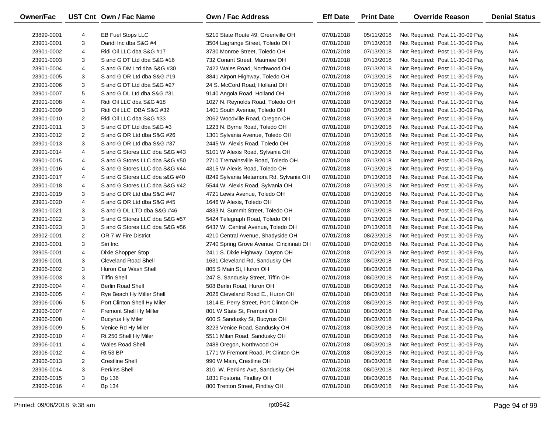| Owner/Fac  |                | UST Cnt Own / Fac Name         | <b>Own / Fac Address</b>                | <b>Eff Date</b> | <b>Print Date</b> | <b>Override Reason</b>          | <b>Denial Status</b> |
|------------|----------------|--------------------------------|-----------------------------------------|-----------------|-------------------|---------------------------------|----------------------|
| 23899-0001 | 4              | <b>EB Fuel Stops LLC</b>       | 5210 State Route 49. Greenville OH      | 07/01/2018      | 05/11/2018        | Not Required: Post 11-30-09 Pay | N/A                  |
| 23901-0001 | 3              | Daridi Inc dba S&G #4          | 3504 Lagrange Street, Toledo OH         | 07/01/2018      | 07/13/2018        | Not Required: Post 11-30-09 Pay | N/A                  |
| 23901-0002 | 4              | Ridi Oil LLC dba S&G #17       | 3730 Monroe Street, Toledo OH           | 07/01/2018      | 07/13/2018        | Not Required: Post 11-30-09 Pay | N/A                  |
| 23901-0003 | 3              | S and G DT Ltd dba S&G #16     | 732 Conant Street. Maumee OH            | 07/01/2018      | 07/13/2018        | Not Required: Post 11-30-09 Pay | N/A                  |
| 23901-0004 | 4              | S and G DM Ltd dba S&G #30     | 7422 Wales Road, Northwood OH           | 07/01/2018      | 07/13/2018        | Not Required: Post 11-30-09 Pay | N/A                  |
| 23901-0005 | 3              | S and G DR Ltd dba S&G #19     | 3841 Airport Highway, Toledo OH         | 07/01/2018      | 07/13/2018        | Not Required: Post 11-30-09 Pay | N/A                  |
| 23901-0006 | 3              | S and G DT Ltd dba S&G #27     | 24 S. McCord Road, Holland OH           | 07/01/2018      | 07/13/2018        | Not Required: Post 11-30-09 Pay | N/A                  |
| 23901-0007 | 5              | S and G DL Ltd dba S&G #31     | 9140 Angola Road, Holland OH            | 07/01/2018      | 07/13/2018        | Not Required: Post 11-30-09 Pay | N/A                  |
| 23901-0008 | 4              | Ridi Oil LLC dba S&G #18       | 1027 N. Reynolds Road, Toledo OH        | 07/01/2018      | 07/13/2018        | Not Required: Post 11-30-09 Pay | N/A                  |
| 23901-0009 | 3              | Ridi Oil LLC DBA S&G #32       | 1401 South Avenue, Toledo OH            | 07/01/2018      | 07/13/2018        | Not Required: Post 11-30-09 Pay | N/A                  |
| 23901-0010 | 2              | Ridi Oil LLC dba S&G #33       | 2062 Woodville Road, Oregon OH          | 07/01/2018      | 07/13/2018        | Not Required: Post 11-30-09 Pay | N/A                  |
| 23901-0011 | 3              | S and G DT Ltd dba S&G #3      | 1223 N. Byrne Road, Toledo OH           | 07/01/2018      | 07/13/2018        | Not Required: Post 11-30-09 Pay | N/A                  |
| 23901-0012 | 2              | S and G DR Ltd dba S&G #26     | 1301 Sylvania Avenue, Toledo OH         | 07/01/2018      | 07/13/2018        | Not Required: Post 11-30-09 Pay | N/A                  |
| 23901-0013 | 3              | S and G DR Ltd dba S&G #37     | 2445 W. Alexis Road, Toledo OH          | 07/01/2018      | 07/13/2018        | Not Required: Post 11-30-09 Pay | N/A                  |
| 23901-0014 | 4              | S and G Stores LLC dba S&G #43 | 5101 W Alexis Road, Sylvania OH         | 07/01/2018      | 07/13/2018        | Not Required: Post 11-30-09 Pay | N/A                  |
| 23901-0015 | 4              | S and G Stores LLC dba S&G #50 | 2710 Tremainsville Road, Toledo OH      | 07/01/2018      | 07/13/2018        | Not Required: Post 11-30-09 Pay | N/A                  |
| 23901-0016 | 4              | S and G Stores LLC dba S&G #44 | 4315 W Alexis Road, Toledo OH           | 07/01/2018      | 07/13/2018        | Not Required: Post 11-30-09 Pay | N/A                  |
| 23901-0017 | 4              | S and G Stores LLC dba s&G #40 | 8249 Sylvania Metamora Rd, Sylvania OH  | 07/01/2018      | 07/13/2018        | Not Required: Post 11-30-09 Pay | N/A                  |
| 23901-0018 | 4              | S and G Stores LLC dba S&G #42 | 5544 W. Alexis Road, Sylvania OH        | 07/01/2018      | 07/13/2018        | Not Required: Post 11-30-09 Pay | N/A                  |
| 23901-0019 | 3              | S and G DR Ltd dba S&G #47     | 4721 Lewis Avenue, Toledo OH            | 07/01/2018      | 07/13/2018        | Not Required: Post 11-30-09 Pay | N/A                  |
| 23901-0020 | 4              | S and G DR Ltd dba S&G #45     | 1646 W Alexis, Toledo OH                | 07/01/2018      | 07/13/2018        | Not Required: Post 11-30-09 Pay | N/A                  |
| 23901-0021 | 3              | S and G DL LTD dba S&G #46     | 4833 N. Summit Street, Toledo OH        | 07/01/2018      | 07/13/2018        | Not Required: Post 11-30-09 Pay | N/A                  |
| 23901-0022 | 3              | S and G Stores LLC dba S&G #57 | 5424 Telegraph Road, Toledo OH          | 07/01/2018      | 07/13/2018        | Not Required: Post 11-30-09 Pay | N/A                  |
| 23901-0023 | 3              | S and G Stores LLC dba S&G #56 | 6437 W. Central Avenue, Toledo OH       | 07/01/2018      | 07/13/2018        | Not Required: Post 11-30-09 Pay | N/A                  |
| 23902-0001 | 2              | OR 7 W Fire District           | 4210 Central Avenue, Shadyside OH       | 07/01/2018      | 08/23/2018        | Not Required: Post 11-30-09 Pay | N/A                  |
| 23903-0001 | 3              | Siri Inc.                      | 2740 Spring Grove Avenue, Cincinnati OH | 07/01/2018      | 07/02/2018        | Not Required: Post 11-30-09 Pay | N/A                  |
| 23905-0001 | 4              | Dixie Shopper Stop             | 2411 S. Dixie Highway, Dayton OH        | 07/01/2018      | 07/02/2018        | Not Required: Post 11-30-09 Pay | N/A                  |
| 23906-0001 | 3              | <b>Cleveland Road Shell</b>    | 1631 Cleveland Rd, Sandusky OH          | 07/01/2018      | 08/03/2018        | Not Required: Post 11-30-09 Pay | N/A                  |
| 23906-0002 | 3              | Huron Car Wash Shell           | 805 S Main St, Huron OH                 | 07/01/2018      | 08/03/2018        | Not Required: Post 11-30-09 Pay | N/A                  |
| 23906-0003 | 3              | <b>Tiffin Shell</b>            | 247 S. Sandusky Street, Tiffin OH       | 07/01/2018      | 08/03/2018        | Not Required: Post 11-30-09 Pay | N/A                  |
| 23906-0004 | 4              | <b>Berlin Road Shell</b>       | 508 Berlin Road, Huron OH               | 07/01/2018      | 08/03/2018        | Not Required: Post 11-30-09 Pay | N/A                  |
| 23906-0005 | 4              | Rye Beach Hy Miller Shell      | 2026 Cleveland Road E., Huron OH        | 07/01/2018      | 08/03/2018        | Not Required: Post 11-30-09 Pay | N/A                  |
| 23906-0006 | 5              | Port Clinton Shell Hy Miler    | 1814 E. Perry Street, Port Clinton OH   | 07/01/2018      | 08/03/2018        | Not Required: Post 11-30-09 Pay | N/A                  |
| 23906-0007 | 4              | Fremont Shell Hy Miller        | 801 W State St, Fremont OH              | 07/01/2018      | 08/03/2018        | Not Required: Post 11-30-09 Pay | N/A                  |
| 23906-0008 | 4              | <b>Bucyrus Hy Miler</b>        | 600 S Sandusky St, Bucyrus OH           | 07/01/2018      | 08/03/2018        | Not Required: Post 11-30-09 Pay | N/A                  |
| 23906-0009 | 5              | Venice Rd Hy Miler             | 3223 Venice Road, Sandusky OH           | 07/01/2018      | 08/03/2018        | Not Required: Post 11-30-09 Pay | N/A                  |
| 23906-0010 | 4              | Rt 250 Shell Hy Miler          | 5511 Milan Road, Sandusky OH            | 07/01/2018      | 08/03/2018        | Not Required: Post 11-30-09 Pay | N/A                  |
| 23906-0011 | 4              | <b>Wales Road Shell</b>        | 2488 Oregon, Northwood OH               | 07/01/2018      | 08/03/2018        | Not Required: Post 11-30-09 Pay | N/A                  |
| 23906-0012 | 4              | <b>Rt 53 BP</b>                | 1771 W Fremont Road, Pt Clinton OH      | 07/01/2018      | 08/03/2018        | Not Required: Post 11-30-09 Pay | N/A                  |
| 23906-0013 | $\overline{2}$ | <b>Crestline Shell</b>         | 990 W Main, Crestline OH                | 07/01/2018      | 08/03/2018        | Not Required: Post 11-30-09 Pay | N/A                  |
| 23906-0014 | 3              | <b>Perkins Shell</b>           | 310 W. Perkins Ave, Sandusky OH         | 07/01/2018      | 08/03/2018        | Not Required: Post 11-30-09 Pay | N/A                  |
| 23906-0015 | 3              | Bp 136                         | 1831 Fostoria, Findlay OH               | 07/01/2018      | 08/03/2018        | Not Required: Post 11-30-09 Pay | N/A                  |
| 23906-0016 | 4              | Bp 134                         | 800 Trenton Street, Findlay OH          | 07/01/2018      | 08/03/2018        | Not Required: Post 11-30-09 Pay | N/A                  |

 $\overline{\phantom{0}}$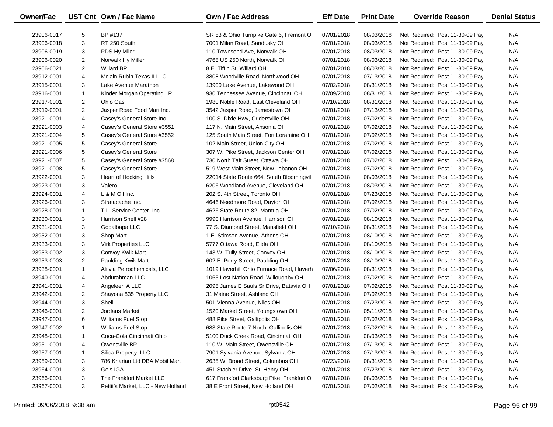| Owner/Fac  |                | UST Cnt Own / Fac Name             | Own / Fac Address                          | <b>Eff Date</b> | <b>Print Date</b> | <b>Override Reason</b>          | <b>Denial Status</b> |
|------------|----------------|------------------------------------|--------------------------------------------|-----------------|-------------------|---------------------------------|----------------------|
| 23906-0017 | 5              | BP #137                            | SR 53 & Ohio Turnpike Gate 6, Fremont O    | 07/01/2018      | 08/03/2018        | Not Required: Post 11-30-09 Pay | N/A                  |
| 23906-0018 | 3              | RT 250 South                       | 7001 Milan Road, Sandusky OH               | 07/01/2018      | 08/03/2018        | Not Required: Post 11-30-09 Pay | N/A                  |
| 23906-0019 | 3              | PDS Hy Miler                       | 110 Townsend Ave, Norwalk OH               | 07/01/2018      | 08/03/2018        | Not Required: Post 11-30-09 Pay | N/A                  |
| 23906-0020 | $\overline{2}$ | Norwalk Hy Miller                  | 4768 US 250 North, Norwalk OH              | 07/01/2018      | 08/03/2018        | Not Required: Post 11-30-09 Pay | N/A                  |
| 23906-0021 | $\overline{2}$ | Willard BP                         | 8 E Tiffin St, Willard OH                  | 07/01/2018      | 08/03/2018        | Not Required: Post 11-30-09 Pay | N/A                  |
| 23912-0001 | 4              | Mclain Rubin Texas II LLC          | 3808 Woodville Road, Northwood OH          | 07/01/2018      | 07/13/2018        | Not Required: Post 11-30-09 Pay | N/A                  |
| 23915-0001 | 3              | Lake Avenue Marathon               | 13900 Lake Avenue, Lakewood OH             | 07/02/2018      | 08/31/2018        | Not Required: Post 11-30-09 Pay | N/A                  |
| 23916-0001 | $\mathbf{1}$   | Kinder Morgan Operating LP         | 930 Tennessee Avenue, Cincinnati OH        | 07/09/2018      | 08/31/2018        | Not Required: Post 11-30-09 Pay | N/A                  |
| 23917-0001 | $\overline{2}$ | Ohio Gas                           | 1980 Noble Road, East Cleveland OH         | 07/10/2018      | 08/31/2018        | Not Required: Post 11-30-09 Pay | N/A                  |
| 23919-0001 | $\overline{2}$ | Jasper Road Food Mart Inc.         | 3542 Jasper Road, Jamestown OH             | 07/01/2018      | 07/13/2018        | Not Required: Post 11-30-09 Pay | N/A                  |
| 23921-0001 | 4              | Casey's General Store Inc.         | 100 S. Dixie Hwy, Cridersville OH          | 07/01/2018      | 07/02/2018        | Not Required: Post 11-30-09 Pay | N/A                  |
| 23921-0003 | 4              | Casey's General Store #3551        | 117 N. Main Street, Ansonia OH             | 07/01/2018      | 07/02/2018        | Not Required: Post 11-30-09 Pay | N/A                  |
| 23921-0004 | 5              | Casey's General Store #3552        | 125 South Main Street, Fort Loramine OH    | 07/01/2018      | 07/02/2018        | Not Required: Post 11-30-09 Pay | N/A                  |
| 23921-0005 | 5              | Casey's General Store              | 102 Main Street, Union City OH             | 07/01/2018      | 07/02/2018        | Not Required: Post 11-30-09 Pay | N/A                  |
| 23921-0006 | 5              | Casey's General Store              | 307 W. Pike Street, Jackson Center OH      | 07/01/2018      | 07/02/2018        | Not Required: Post 11-30-09 Pay | N/A                  |
| 23921-0007 | 5              | Casey's General Store #3568        | 730 North Taft Street, Ottawa OH           | 07/01/2018      | 07/02/2018        | Not Required: Post 11-30-09 Pay | N/A                  |
| 23921-0008 | 5              | Casey's General Store              | 519 West Main Street, New Lebanon OH       | 07/01/2018      | 07/02/2018        | Not Required: Post 11-30-09 Pay | N/A                  |
| 23922-0001 | 3              | Heart of Hocking Hills             | 22014 State Route 664, South Bloomingvil   | 07/01/2018      | 08/03/2018        | Not Required: Post 11-30-09 Pay | N/A                  |
| 23923-0001 | 3              | Valero                             | 6206 Woodland Avenue, Cleveland OH         | 07/01/2018      | 08/03/2018        | Not Required: Post 11-30-09 Pay | N/A                  |
| 23924-0001 | 4              | L & M Oil Inc.                     | 202 S. 4th Street, Toronto OH              | 07/01/2018      | 07/23/2018        | Not Required: Post 11-30-09 Pay | N/A                  |
| 23926-0001 | 3              | Stratacache Inc.                   | 4646 Needmore Road, Dayton OH              | 07/01/2018      | 07/02/2018        | Not Required: Post 11-30-09 Pay | N/A                  |
| 23928-0001 | $\mathbf{1}$   | T.L. Service Center, Inc.          | 4626 State Route 82, Mantua OH             | 07/01/2018      | 07/02/2018        | Not Required: Post 11-30-09 Pay | N/A                  |
| 23930-0001 | 3              | Harrison Shell #28                 | 9990 Harrison Avenue, Harrison OH          | 07/01/2018      | 08/10/2018        | Not Required: Post 11-30-09 Pay | N/A                  |
| 23931-0001 | 3              | Gopalbapa LLC                      | 77 S. Diamond Street, Mansfield OH         | 07/10/2018      | 08/31/2018        | Not Required: Post 11-30-09 Pay | N/A                  |
| 23932-0001 | 3              | Shop Mart                          | 1 E. Stimson Avenue, Athens OH             | 07/01/2018      | 08/10/2018        | Not Required: Post 11-30-09 Pay | N/A                  |
| 23933-0001 | 3              | <b>Virk Properties LLC</b>         | 5777 Ottawa Road, Elida OH                 | 07/01/2018      | 08/10/2018        | Not Required: Post 11-30-09 Pay | N/A                  |
| 23933-0002 | 3              | Convoy Kwik Mart                   | 143 W. Tully Street, Convoy OH             | 07/01/2018      | 08/10/2018        | Not Required: Post 11-30-09 Pay | N/A                  |
| 23933-0003 | $\overline{2}$ | Paulding Kwik Mart                 | 602 E. Perry Street, Paulding OH           | 07/01/2018      | 08/10/2018        | Not Required: Post 11-30-09 Pay | N/A                  |
| 23938-0001 | $\mathbf{1}$   | Altivia Petrochemicals, LLC        | 1019 Haverhill Ohio Furnace Road, Haverh   | 07/06/2018      | 08/31/2018        | Not Required: Post 11-30-09 Pay | N/A                  |
| 23940-0001 | 4              | Abdurahman LLC                     | 1065 Lost Nation Road, Willoughby OH       | 07/01/2018      | 07/02/2018        | Not Required: Post 11-30-09 Pay | N/A                  |
| 23941-0001 | 4              | Angeleen A LLC                     | 2098 James E Sauls Sr Drive, Batavia OH    | 07/01/2018      | 07/02/2018        | Not Required: Post 11-30-09 Pay | N/A                  |
| 23942-0001 | $\overline{2}$ | Shayona 835 Property LLC           | 31 Maine Street, Ashland OH                | 07/01/2018      | 07/02/2018        | Not Required: Post 11-30-09 Pay | N/A                  |
| 23944-0001 | 3              | Shell                              | 501 Vienna Avenue, Niles OH                | 07/01/2018      | 07/23/2018        | Not Required: Post 11-30-09 Pay | N/A                  |
| 23946-0001 | $\overline{2}$ | Jordans Market                     | 1520 Market Street, Youngstown OH          | 07/01/2018      | 05/11/2018        | Not Required: Post 11-30-09 Pay | N/A                  |
| 23947-0001 | 6              | Williams Fuel Stop                 | 488 Pike Street, Gallipolis OH             | 07/01/2018      | 07/02/2018        | Not Required: Post 11-30-09 Pay | N/A                  |
| 23947-0002 | -1             | Williams Fuel Stop                 | 683 State Route 7 North, Gallipolis OH     | 07/01/2018      | 07/02/2018        | Not Required: Post 11-30-09 Pay | N/A                  |
| 23948-0001 | -1             | Coca-Cola Cincinnati Ohio          | 5100 Duck Creek Road, Cincinnati OH        | 07/01/2018      | 08/03/2018        | Not Required: Post 11-30-09 Pay | N/A                  |
| 23951-0001 | 4              | Owensville BP                      | 110 W. Main Street, Owensville OH          | 07/01/2018      | 07/13/2018        | Not Required: Post 11-30-09 Pay | N/A                  |
| 23957-0001 | 1              | Silica Property, LLC               | 7901 Sylvania Avenue, Sylvania OH          | 07/01/2018      | 07/13/2018        | Not Required: Post 11-30-09 Pay | N/A                  |
| 23959-0001 | 3              | 786 Kharian Ltd DBA Mobil Mart     | 2635 W. Broad Street, Columbus OH          | 07/23/2018      | 08/31/2018        | Not Required: Post 11-30-09 Pay | N/A                  |
| 23964-0001 | 3              | Gels IGA                           | 451 Stachler Drive, St. Henry OH           | 07/01/2018      | 07/23/2018        | Not Required: Post 11-30-09 Pay | N/A                  |
| 23966-0001 | 3              | The Frankfort Market LLC           | 617 Frankfort Clarksburg Pike, Frankfort O | 07/01/2018      | 08/03/2018        | Not Required: Post 11-30-09 Pay | N/A                  |
| 23967-0001 | 3              | Pettit's Market, LLC - New Holland | 38 E Front Street, New Holland OH          | 07/01/2018      | 07/02/2018        | Not Required: Post 11-30-09 Pay | N/A                  |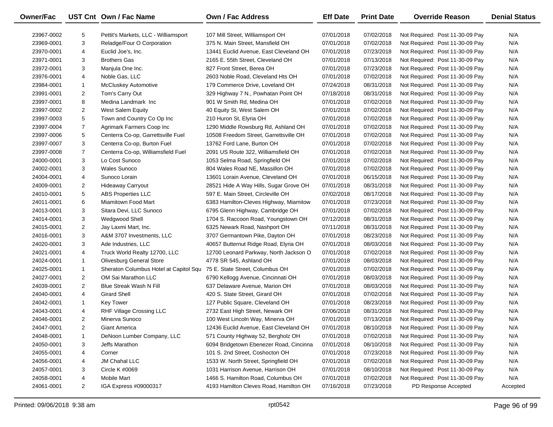| Owner/Fac  |                | UST Cnt Own / Fac Name                 | <b>Own / Fac Address</b>                | <b>Eff Date</b> | <b>Print Date</b> | <b>Override Reason</b>          | <b>Denial Status</b> |
|------------|----------------|----------------------------------------|-----------------------------------------|-----------------|-------------------|---------------------------------|----------------------|
| 23967-0002 | 5              | Pettit's Markets, LLC - Williamsport   | 107 Mill Street, Williamsport OH        | 07/01/2018      | 07/02/2018        | Not Required: Post 11-30-09 Pay | N/A                  |
| 23969-0001 | 3              | Reladge/Four O Corporation             | 375 N. Main Street, Mansfield OH        | 07/01/2018      | 07/02/2018        | Not Required: Post 11-30-09 Pay | N/A                  |
| 23970-0001 | 4              | Euclid Joe's, Inc.                     | 13441 Euclid Avenue, East Cleveland OH  | 07/01/2018      | 07/23/2018        | Not Required: Post 11-30-09 Pay | N/A                  |
| 23971-0001 | 3              | <b>Brothers Gas</b>                    | 2165 E. 55th Street, Cleveland OH       | 07/01/2018      | 07/13/2018        | Not Required: Post 11-30-09 Pay | N/A                  |
| 23972-0001 | 3              | Manjula One Inc.                       | 827 Front Street, Berea OH              | 07/01/2018      | 07/23/2018        | Not Required: Post 11-30-09 Pay | N/A                  |
| 23976-0001 | 4              | Noble Gas, LLC                         | 2603 Noble Road, Cleveland Hts OH       | 07/01/2018      | 07/02/2018        | Not Required: Post 11-30-09 Pay | N/A                  |
| 23984-0001 | $\mathbf{1}$   | <b>McCluskey Automotive</b>            | 179 Commerce Drive, Loveland OH         | 07/24/2018      | 08/31/2018        | Not Required: Post 11-30-09 Pay | N/A                  |
| 23991-0001 | 2              | Tom's Carry Out                        | 329 Highway 7 N., Powhatan Point OH     | 07/18/2018      | 08/31/2018        | Not Required: Post 11-30-09 Pay | N/A                  |
| 23997-0001 | 8              | Medina Landmark Inc                    | 901 W Smith Rd, Medina OH               | 07/01/2018      | 07/02/2018        | Not Required: Post 11-30-09 Pay | N/A                  |
| 23997-0002 | $\overline{c}$ | West Salem Equity                      | 40 Equity St, West Salem OH             | 07/01/2018      | 07/02/2018        | Not Required: Post 11-30-09 Pay | N/A                  |
| 23997-0003 | 5              | Town and Country Co Op Inc             | 210 Huron St, Elyria OH                 | 07/01/2018      | 07/02/2018        | Not Required: Post 11-30-09 Pay | N/A                  |
| 23997-0004 | $\overline{7}$ | Agrimark Farmers Coop Inc              | 1290 Middle Rowsburg Rd, Ashland OH     | 07/01/2018      | 07/02/2018        | Not Required: Post 11-30-09 Pay | N/A                  |
| 23997-0006 | 5              | Centerra Co-op, Garrettsville Fuel     | 10508 Freedom Street, Garrettsville OH  | 07/01/2018      | 07/02/2018        | Not Required: Post 11-30-09 Pay | N/A                  |
| 23997-0007 | 3              | Centerra Co-op, Burton Fuel            | 13762 Ford Lane, Burton OH              | 07/01/2018      | 07/02/2018        | Not Required: Post 11-30-09 Pay | N/A                  |
| 23997-0008 | $\overline{7}$ | Centerra Co-op, Williamsfield Fuel     | 2091 US Route 322, Williamsfield OH     | 07/01/2018      | 07/02/2018        | Not Required: Post 11-30-09 Pay | N/A                  |
| 24000-0001 | 3              | Lo Cost Sunoco                         | 1053 Selma Road, Springfield OH         | 07/01/2018      | 07/02/2018        | Not Required: Post 11-30-09 Pay | N/A                  |
| 24002-0001 | 3              | <b>Wales Sunoco</b>                    | 804 Wales Road NE, Massillon OH         | 07/01/2018      | 07/02/2018        | Not Required: Post 11-30-09 Pay | N/A                  |
| 24004-0001 | 4              | Sunoco Lorain                          | 13601 Lorain Avenue, Cleveland OH       | 07/01/2018      | 06/15/2018        | Not Required: Post 11-30-09 Pay | N/A                  |
| 24009-0001 | $\overline{c}$ | Hideaway Carryout                      | 28521 Hide A Way Hills, Sugar Grove OH  | 07/01/2018      | 08/31/2018        | Not Required: Post 11-30-09 Pay | N/A                  |
| 24010-0001 | 5              | <b>ABS Properties LLC</b>              | 597 E. Main Street, Circleville OH      | 07/02/2018      | 08/17/2018        | Not Required: Post 11-30-09 Pay | N/A                  |
| 24011-0001 | 6              | Miamitown Food Mart                    | 6383 Hamilton-Cleves Highway, Miamitow  | 07/01/2018      | 07/23/2018        | Not Required: Post 11-30-09 Pay | N/A                  |
| 24013-0001 | 3              | Sitara Devi, LLC Sunoco                | 6795 Glenn Highway, Cambridge OH        | 07/01/2018      | 07/02/2018        | Not Required: Post 11-30-09 Pay | N/A                  |
| 24014-0001 | 3              | Wedgwood Shell                         | 1704 S. Raccoon Road, Youngstown OH     | 07/12/2018      | 08/31/2018        | Not Required: Post 11-30-09 Pay | N/A                  |
| 24015-0001 | $\overline{c}$ | Jay Laxmi Mart, Inc.                   | 6325 Newark Road, Nashport OH           | 07/11/2018      | 08/31/2018        | Not Required: Post 11-30-09 Pay | N/A                  |
| 24016-0001 | 3              | A&M 3707 Investments, LLC              | 3707 Germantown Pike, Dayton OH         | 07/01/2018      | 08/23/2018        | Not Required: Post 11-30-09 Pay | N/A                  |
| 24020-0001 | 3              | Ade Industries, LLC                    | 40657 Butternut Ridge Road, Elyria OH   | 07/01/2018      | 08/03/2018        | Not Required: Post 11-30-09 Pay | N/A                  |
| 24021-0001 | 4              | Truck World Realty 12700, LLC          | 12700 Leonard Parkway, North Jackson O  | 07/01/2018      | 07/02/2018        | Not Required: Post 11-30-09 Pay | N/A                  |
| 24024-0001 | $\mathbf{1}$   | Olivesburg General Store               | 4778 SR 545, Ashland OH                 | 07/01/2018      | 08/03/2018        | Not Required: Post 11-30-09 Pay | N/A                  |
| 24025-0001 | $\mathbf{1}$   | Sheraton Columbus Hotel at Capitol Squ | 75 E. State Street, Columbus OH         | 07/01/2018      | 07/02/2018        | Not Required: Post 11-30-09 Pay | N/A                  |
| 24027-0001 | $\overline{c}$ | OM Sai Marathon LLC                    | 6790 Kellogg Avenue, Cincinnati OH      | 07/01/2018      | 08/03/2018        | Not Required: Post 11-30-09 Pay | N/A                  |
| 24039-0001 | $\overline{2}$ | <b>Blue Streak Wash N Fill</b>         | 637 Delaware Avenue, Marion OH          | 07/01/2018      | 08/03/2018        | Not Required: Post 11-30-09 Pay | N/A                  |
| 24040-0001 | 4              | <b>Girard Shell</b>                    | 420 S. State Street, Girard OH          | 07/01/2018      | 07/02/2018        | Not Required: Post 11-30-09 Pay | N/A                  |
| 24042-0001 | $\mathbf{1}$   | <b>Key Tower</b>                       | 127 Public Square, Cleveland OH         | 07/01/2018      | 08/23/2018        | Not Required: Post 11-30-09 Pay | N/A                  |
| 24043-0001 | 4              | RHF Village Crossing LLC               | 2732 East High Street, Newark OH        | 07/06/2018      | 08/31/2018        | Not Required: Post 11-30-09 Pay | N/A                  |
| 24046-0001 | $\overline{2}$ | Minerva Sunoco                         | 100 West Lincoln Way, Minerva OH        | 07/01/2018      | 07/13/2018        | Not Required: Post 11-30-09 Pay | N/A                  |
| 24047-0001 | $\overline{c}$ | <b>Giant America</b>                   | 12436 Euclid Avenue, East Cleveland OH  | 07/01/2018      | 08/10/2018        | Not Required: Post 11-30-09 Pay | N/A                  |
| 24048-0001 | 1              | DeNoon Lumber Company, LLC             | 571 County Highway 52, Bergholz OH      | 07/01/2018      | 07/02/2018        | Not Required: Post 11-30-09 Pay | N/A                  |
| 24050-0001 | 3              | Jeffs Marathon                         | 6094 Bridgetown Ebenezer Road, Cincinna | 07/01/2018      | 08/10/2018        | Not Required: Post 11-30-09 Pay | N/A                  |
| 24055-0001 | 4              | Corner                                 | 101 S. 2nd Street, Coshocton OH         | 07/01/2018      | 07/23/2018        | Not Required: Post 11-30-09 Pay | N/A                  |
| 24056-0001 | 4              | JM Chahal LLC                          | 1533 W. North Street, Springfield OH    | 07/01/2018      | 07/02/2018        | Not Required: Post 11-30-09 Pay | N/A                  |
| 24057-0001 | 3              | Circle K #0069                         | 1031 Harrison Avenue, Harrison OH       | 07/01/2018      | 08/10/2018        | Not Required: Post 11-30-09 Pay | N/A                  |
| 24058-0001 | 4              | Mobile Mart                            | 1466 S. Hamilton Road, Columbus OH      | 07/01/2018      | 07/02/2018        | Not Required: Post 11-30-09 Pay | N/A                  |
| 24061-0001 | $\overline{2}$ | IGA Express #09000317                  | 4193 Hamilton Cleves Road, Hamilton OH  | 07/16/2018      | 07/23/2018        | PD Response Accepted            | Accepted             |

 $\overline{\phantom{0}}$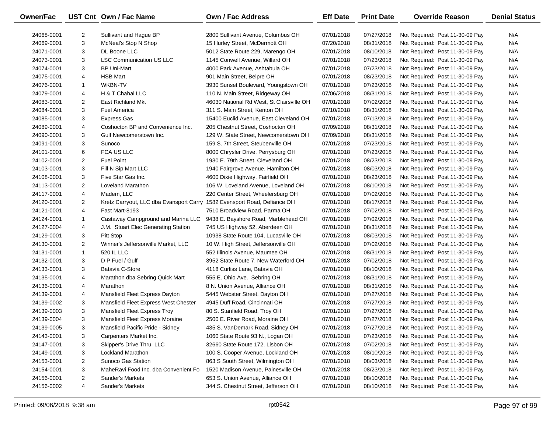| Owner/Fac  |                | UST Cnt Own / Fac Name                                                   | Own / Fac Address                         | <b>Eff Date</b> | <b>Print Date</b> | <b>Override Reason</b>          | <b>Denial Status</b> |
|------------|----------------|--------------------------------------------------------------------------|-------------------------------------------|-----------------|-------------------|---------------------------------|----------------------|
| 24068-0001 | $\overline{2}$ | Sullivant and Hague BP                                                   | 2800 Sullivant Avenue, Columbus OH        | 07/01/2018      | 07/27/2018        | Not Required: Post 11-30-09 Pay | N/A                  |
| 24069-0001 | 3              | McNeal's Stop N Shop                                                     | 15 Hurley Street, McDermott OH            | 07/20/2018      | 08/31/2018        | Not Required: Post 11-30-09 Pay | N/A                  |
| 24071-0001 | 3              | DL Boone LLC                                                             | 5012 State Route 229, Marengo OH          | 07/01/2018      | 08/10/2018        | Not Required: Post 11-30-09 Pay | N/A                  |
| 24073-0001 | 3              | <b>LSC Communication US LLC</b>                                          | 1145 Conwell Avenue, Willard OH           | 07/01/2018      | 07/23/2018        | Not Required: Post 11-30-09 Pay | N/A                  |
| 24074-0001 | 3              | <b>BP Uni-Mart</b>                                                       | 4000 Park Avenue, Ashtabula OH            | 07/01/2018      | 07/23/2018        | Not Required: Post 11-30-09 Pay | N/A                  |
| 24075-0001 | 4              | <b>HSB Mart</b>                                                          | 901 Main Street, Belpre OH                | 07/01/2018      | 08/23/2018        | Not Required: Post 11-30-09 Pay | N/A                  |
| 24076-0001 | $\mathbf{1}$   | <b>WKBN-TV</b>                                                           | 3930 Sunset Boulevard, Youngstown OH      | 07/01/2018      | 07/23/2018        | Not Required: Post 11-30-09 Pay | N/A                  |
| 24079-0001 | 4              | H & T Chahal LLC                                                         | 110 N. Main Street, Ridgeway OH           | 07/06/2018      | 08/31/2018        | Not Required: Post 11-30-09 Pay | N/A                  |
| 24083-0001 | $\overline{2}$ | East Richland Mkt                                                        | 46030 National Rd West, St Clairsville OH | 07/01/2018      | 07/02/2018        | Not Required: Post 11-30-09 Pay | N/A                  |
| 24084-0001 | 3              | <b>Fuel America</b>                                                      | 311 S. Main Street, Kenton OH             | 07/10/2018      | 08/31/2018        | Not Required: Post 11-30-09 Pay | N/A                  |
| 24085-0001 | 3              | <b>Express Gas</b>                                                       | 15400 Euclid Avenue, East Cleveland OH    | 07/01/2018      | 07/13/2018        | Not Required: Post 11-30-09 Pay | N/A                  |
| 24089-0001 | 4              | Coshocton BP and Convenience Inc.                                        | 205 Chestnut Street, Coshocton OH         | 07/09/2018      | 08/31/2018        | Not Required: Post 11-30-09 Pay | N/A                  |
| 24090-0001 | 3              | Gulf Newcomerstown Inc.                                                  | 129 W. State Street, Newcomerstown OH     | 07/09/2018      | 08/31/2018        | Not Required: Post 11-30-09 Pay | N/A                  |
| 24091-0001 | 3              | Sunoco                                                                   | 159 S. 7th Street, Steubenville OH        | 07/01/2018      | 07/23/2018        | Not Required: Post 11-30-09 Pay | N/A                  |
| 24101-0001 | 6              | <b>FCA US LLC</b>                                                        | 8000 Chrysler Drive, Perrysburg OH        | 07/01/2018      | 07/23/2018        | Not Required: Post 11-30-09 Pay | N/A                  |
| 24102-0001 | $\overline{2}$ | <b>Fuel Point</b>                                                        | 1930 E. 79th Street, Cleveland OH         | 07/01/2018      | 08/23/2018        | Not Required: Post 11-30-09 Pay | N/A                  |
| 24103-0001 | 3              | Fill N Sip Mart LLC                                                      | 1940 Fairgrove Avenue, Hamilton OH        | 07/01/2018      | 08/03/2018        | Not Required: Post 11-30-09 Pay | N/A                  |
| 24108-0001 | 3              | Five Star Gas Inc.                                                       | 4600 Dixie Highway, Fairfield OH          | 07/01/2018      | 08/23/2018        | Not Required: Post 11-30-09 Pay | N/A                  |
| 24113-0001 | $\overline{2}$ | <b>Loveland Marathon</b>                                                 | 106 W. Loveland Avenue, Loveland OH       | 07/01/2018      | 08/10/2018        | Not Required: Post 11-30-09 Pay | N/A                  |
| 24117-0001 | 4              | Madem, LLC                                                               | 220 Center Street, Wheelersburg OH        | 07/01/2018      | 07/02/2018        | Not Required: Post 11-30-09 Pay | N/A                  |
| 24120-0001 | $\overline{2}$ | Kretz Carryout, LLC dba Evansport Carry 1582 Evensport Road, Defiance OH |                                           | 07/01/2018      | 08/17/2018        | Not Required: Post 11-30-09 Pay | N/A                  |
| 24121-0001 | 4              | Fast Mart-8193                                                           | 7510 Broadview Road, Parma OH             | 07/01/2018      | 07/02/2018        | Not Required: Post 11-30-09 Pay | N/A                  |
| 24124-0001 | $\mathbf{1}$   | Castaway Campground and Marina LLC                                       | 9438 E. Bayshore Road, Marblehead OH      | 07/01/2018      | 07/02/2018        | Not Required: Post 11-30-09 Pay | N/A                  |
| 24127-0004 | 4              | J.M. Stuart Elec Generating Station                                      | 745 US Highway 52, Aberdeen OH            | 07/01/2018      | 08/31/2018        | Not Required: Post 11-30-09 Pay | N/A                  |
| 24129-0001 | 3              | Pitt Stop                                                                | 10938 State Route 104, Lucasville OH      | 07/01/2018      | 08/03/2018        | Not Required: Post 11-30-09 Pay | N/A                  |
| 24130-0001 | $\overline{2}$ | Winner's Jeffersonville Market, LLC                                      | 10 W. High Street, Jeffersonville OH      | 07/01/2018      | 07/02/2018        | Not Required: Post 11-30-09 Pay | N/A                  |
| 24131-0001 | $\mathbf{1}$   | 520 IL LLC                                                               | 552 Illinois Avenue, Maumee OH            | 07/01/2018      | 08/31/2018        | Not Required: Post 11-30-09 Pay | N/A                  |
| 24132-0001 | 3              | D P Fuel / Gulf                                                          | 3952 State Route 7, New Waterford OH      | 07/01/2018      | 07/02/2018        | Not Required: Post 11-30-09 Pay | N/A                  |
| 24133-0001 | 3              | Batavia C-Store                                                          | 4118 Curliss Lane, Batavia OH             | 07/01/2018      | 08/10/2018        | Not Required: Post 11-30-09 Pay | N/A                  |
| 24135-0001 | 4              | Marathon dba Sebring Quick Mart                                          | 555 E. Ohio Ave., Sebring OH              | 07/01/2018      | 08/31/2018        | Not Required: Post 11-30-09 Pay | N/A                  |
| 24136-0001 | 4              | Marathon                                                                 | 8 N. Union Avenue, Alliance OH            | 07/01/2018      | 08/31/2018        | Not Required: Post 11-30-09 Pay | N/A                  |
| 24139-0001 | 4              | Mansfield Fleet Express Dayton                                           | 5445 Webster Street, Dayton OH            | 07/01/2018      | 07/27/2018        | Not Required: Post 11-30-09 Pay | N/A                  |
| 24139-0002 | 3              | Mansfield Fleet Express West Chester                                     | 4945 Duff Road, Cincinnati OH             | 07/01/2018      | 07/27/2018        | Not Required: Post 11-30-09 Pay | N/A                  |
| 24139-0003 | 3              | Mansfield Fleet Express Troy                                             | 80 S. Stanfield Road, Troy OH             | 07/01/2018      | 07/27/2018        | Not Required: Post 11-30-09 Pay | N/A                  |
| 24139-0004 | 3              | Mansfield Fleet Express Moraine                                          | 2500 E. River Road, Moraine OH            | 07/01/2018      | 07/27/2018        | Not Required: Post 11-30-09 Pay | N/A                  |
| 24139-0005 | 3              | Mansfield Pacific Pride - Sidney                                         | 435 S. VanDemark Road, Sidney OH          | 07/01/2018      | 07/27/2018        | Not Required: Post 11-30-09 Pay | N/A                  |
| 24143-0001 | 3              | Carpenters Market Inc.                                                   | 1060 State Route 93 N., Logan OH          | 07/01/2018      | 07/23/2018        | Not Required: Post 11-30-09 Pay | N/A                  |
| 24147-0001 | 3              | Skipper's Drive Thru, LLC                                                | 32660 State Route 172, Lisbon OH          | 07/01/2018      | 07/02/2018        | Not Required: Post 11-30-09 Pay | N/A                  |
| 24149-0001 | 3              | <b>Lockland Marathon</b>                                                 | 100 S. Cooper Avenue, Lockland OH         | 07/01/2018      | 08/10/2018        | Not Required: Post 11-30-09 Pay | N/A                  |
| 24153-0001 | 2              | Sunoco Gas Station                                                       | 863 S South Street, Wilmington OH         | 07/01/2018      | 08/03/2018        | Not Required: Post 11-30-09 Pay | N/A                  |
| 24154-0001 | 3              | MaheRavi Food Inc. dba Convenient Fo                                     | 1520 Madison Avenue, Painesville OH       | 07/01/2018      | 08/23/2018        | Not Required: Post 11-30-09 Pay | N/A                  |
| 24156-0001 | 2              | Sander's Markets                                                         | 653 S. Union Avenue, Alliance OH          | 07/01/2018      | 08/10/2018        | Not Required: Post 11-30-09 Pay | N/A                  |
| 24156-0002 | 4              | Sander's Markets                                                         | 344 S. Chestnut Street, Jefferson OH      | 07/01/2018      | 08/10/2018        | Not Required: Post 11-30-09 Pay | N/A                  |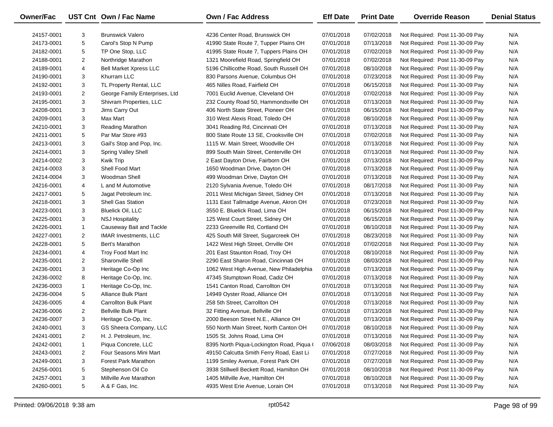| <b>Owner/Fac</b> |                | UST Cnt Own / Fac Name         | <b>Own / Fac Address</b>                  | <b>Eff Date</b> | <b>Print Date</b> | <b>Override Reason</b>          | <b>Denial Status</b> |
|------------------|----------------|--------------------------------|-------------------------------------------|-----------------|-------------------|---------------------------------|----------------------|
| 24157-0001       | 3              | <b>Brunswick Valero</b>        | 4236 Center Road, Brunswick OH            | 07/01/2018      | 07/02/2018        | Not Required: Post 11-30-09 Pay | N/A                  |
| 24173-0001       | 5              | Carol's Stop N Pump            | 41990 State Route 7, Tupper Plains OH     | 07/01/2018      | 07/13/2018        | Not Required: Post 11-30-09 Pay | N/A                  |
| 24182-0001       | 5              | TP One Stop, LLC               | 41995 State Route 7, Tuppers Plains OH    | 07/01/2018      | 07/02/2018        | Not Required: Post 11-30-09 Pay | N/A                  |
| 24188-0001       | $\overline{2}$ | Northridge Marathon            | 1321 Moorefield Road, Springfield OH      | 07/01/2018      | 07/02/2018        | Not Required: Post 11-30-09 Pay | N/A                  |
| 24189-0001       | 4              | <b>Bell Market Xpress LLC</b>  | 5196 Chillicothe Road, South Russell OH   | 07/01/2018      | 08/10/2018        | Not Required: Post 11-30-09 Pay | N/A                  |
| 24190-0001       | 3              | Khurram LLC                    | 830 Parsons Avenue, Columbus OH           | 07/01/2018      | 07/23/2018        | Not Required: Post 11-30-09 Pay | N/A                  |
| 24192-0001       | 3              | TL Property Rental, LLC        | 465 Nilles Road, Fairfield OH             | 07/01/2018      | 06/15/2018        | Not Required: Post 11-30-09 Pay | N/A                  |
| 24193-0001       | $\overline{2}$ | George Family Enterprises, Ltd | 7001 Euclid Avenue, Cleveland OH          | 07/01/2018      | 07/02/2018        | Not Required: Post 11-30-09 Pay | N/A                  |
| 24195-0001       | 3              | Shivram Properties, LLC        | 232 County Road 50, Hammondsville OH      | 07/01/2018      | 07/13/2018        | Not Required: Post 11-30-09 Pay | N/A                  |
| 24208-0001       | 3              | Jims Carry Out                 | 406 North State Street, Pioneer OH        | 07/01/2018      | 06/15/2018        | Not Required: Post 11-30-09 Pay | N/A                  |
| 24209-0001       | 3              | Max Mart                       | 310 West Alexis Road, Toledo OH           | 07/01/2018      | 08/10/2018        | Not Required: Post 11-30-09 Pay | N/A                  |
| 24210-0001       | 3              | Reading Marathon               | 3041 Reading Rd, Cincinnati OH            | 07/01/2018      | 07/13/2018        | Not Required: Post 11-30-09 Pay | N/A                  |
| 24211-0001       | 5              | Par Mar Store #93              | 800 State Route 13 SE, Crooksville OH     | 07/01/2018      | 07/02/2018        | Not Required: Post 11-30-09 Pay | N/A                  |
| 24213-0001       | 3              | Gail's Stop and Pop, Inc.      | 1115 W. Main Street, Woodville OH         | 07/01/2018      | 07/13/2018        | Not Required: Post 11-30-09 Pay | N/A                  |
| 24214-0001       | 3              | <b>Spring Valley Shell</b>     | 899 South Main Street, Centerville OH     | 07/01/2018      | 07/13/2018        | Not Required: Post 11-30-09 Pay | N/A                  |
| 24214-0002       | 3              | <b>Kwik Trip</b>               | 2 East Dayton Drive, Fairborn OH          | 07/01/2018      | 07/13/2018        | Not Required: Post 11-30-09 Pay | N/A                  |
| 24214-0003       | 3              | Shell Food Mart                | 1650 Woodman Drive, Dayton OH             | 07/01/2018      | 07/13/2018        | Not Required: Post 11-30-09 Pay | N/A                  |
| 24214-0004       | 3              | Woodman Shell                  | 499 Woodman Drive, Dayton OH              | 07/01/2018      | 07/13/2018        | Not Required: Post 11-30-09 Pay | N/A                  |
| 24216-0001       | 4              | L and M Automotive             | 2120 Sylvania Avenue, Toledo OH           | 07/01/2018      | 08/17/2018        | Not Required: Post 11-30-09 Pay | N/A                  |
| 24217-0001       | 5              | Jagat Petroleum Inc.           | 2011 West Michigan Street, Sidney OH      | 07/01/2018      | 07/13/2018        | Not Required: Post 11-30-09 Pay | N/A                  |
| 24218-0001       | 3              | Shell Gas Station              | 1131 East Tallmadge Avenue, Akron OH      | 07/01/2018      | 07/23/2018        | Not Required: Post 11-30-09 Pay | N/A                  |
| 24223-0001       | 3              | <b>Bluelick Oil, LLC</b>       | 3550 E. Bluelick Road, Lima OH            | 07/01/2018      | 06/15/2018        | Not Required: Post 11-30-09 Pay | N/A                  |
| 24225-0001       | 3              | <b>NSJ Hospitality</b>         | 125 West Court Street, Sidney OH          | 07/01/2018      | 06/15/2018        | Not Required: Post 11-30-09 Pay | N/A                  |
| 24226-0001       | $\mathbf{1}$   | Causeway Bait and Tackle       | 2233 Greenville Rd, Cortland OH           | 07/01/2018      | 08/10/2018        | Not Required: Post 11-30-09 Pay | N/A                  |
| 24227-0001       | $\overline{2}$ | <b>IMAR Investments, LLC</b>   | 425 South Mill Street, Sugarcreek OH      | 07/01/2018      | 08/23/2018        | Not Required: Post 11-30-09 Pay | N/A                  |
| 24228-0001       | 5              | Bert's Marathon                | 1422 West High Street, Orrville OH        | 07/01/2018      | 07/02/2018        | Not Required: Post 11-30-09 Pay | N/A                  |
| 24234-0001       | 4              | Troy Food Mart Inc             | 201 East Staunton Road, Troy OH           | 07/01/2018      | 08/10/2018        | Not Required: Post 11-30-09 Pay | N/A                  |
| 24235-0001       | $\overline{2}$ | Sharonville Shell              | 2290 East Sharon Road, Cincinnati OH      | 07/01/2018      | 08/03/2018        | Not Required: Post 11-30-09 Pay | N/A                  |
| 24236-0001       | 3              | Heritage Co-Op Inc             | 1062 West High Avenue, New Philadelphia   | 07/01/2018      | 07/13/2018        | Not Required: Post 11-30-09 Pay | N/A                  |
| 24236-0002       | 8              | Heritage Co-Op, Inc.           | 47345 Stumptown Road, Cadiz OH            | 07/01/2018      | 07/13/2018        | Not Required: Post 11-30-09 Pay | N/A                  |
| 24236-0003       | $\mathbf{1}$   | Heritage Co-Op, Inc.           | 1541 Canton Road, Carrollton OH           | 07/01/2018      | 07/13/2018        | Not Required: Post 11-30-09 Pay | N/A                  |
| 24236-0004       | 5              | Alliance Bulk Plant            | 14949 Oyster Road, Alliance OH            | 07/01/2018      | 07/13/2018        | Not Required: Post 11-30-09 Pay | N/A                  |
| 24236-0005       | 4              | <b>Carrollton Bulk Plant</b>   | 258 5th Street, Carrollton OH             | 07/01/2018      | 07/13/2018        | Not Required: Post 11-30-09 Pay | N/A                  |
| 24236-0006       | $\overline{2}$ | <b>Bellville Bulk Plant</b>    | 32 Fitting Avenue, Bellville OH           | 07/01/2018      | 07/13/2018        | Not Required: Post 11-30-09 Pay | N/A                  |
| 24236-0007       | 3              | Heritage Co-Op, Inc.           | 2000 Beeson Street N.E., Alliance OH      | 07/01/2018      | 07/13/2018        | Not Required: Post 11-30-09 Pay | N/A                  |
| 24240-0001       | 3              | GS Sheera Company, LLC         | 550 North Main Street, North Canton OH    | 07/01/2018      | 08/10/2018        | Not Required: Post 11-30-09 Pay | N/A                  |
| 24241-0001       | 2              | H. J. Petroleum, Inc.          | 1505 St. Johns Road, Lima OH              | 07/01/2018      | 07/13/2018        | Not Required: Post 11-30-09 Pay | N/A                  |
| 24242-0001       | $\mathbf{1}$   | Piqua Concrete, LLC            | 8395 North Piqua-Lockington Road, Piqua ( | 07/06/2018      | 08/03/2018        | Not Required: Post 11-30-09 Pay | N/A                  |
| 24243-0001       | 2              | Four Seasons Mini Mart         | 49150 Calcutta Smith Ferry Road, East Li  | 07/01/2018      | 07/27/2018        | Not Required: Post 11-30-09 Pay | N/A                  |
| 24249-0001       | 3              | <b>Forest Park Marathon</b>    | 1199 Smiley Avenue, Forest Park OH        | 07/01/2018      | 07/27/2018        | Not Required: Post 11-30-09 Pay | N/A                  |
| 24256-0001       | 5              | Stephenson Oil Co              | 3938 Stillwell Beckett Road, Hamilton OH  | 07/01/2018      | 08/10/2018        | Not Required: Post 11-30-09 Pay | N/A                  |
| 24257-0001       | 3              | Millville Ave Marathon         | 1405 Millville Ave, Hamilton OH           | 07/01/2018      | 08/10/2018        | Not Required: Post 11-30-09 Pay | N/A                  |
| 24260-0001       | 5              | A & F Gas, Inc.                | 4935 West Erie Avenue, Lorain OH          | 07/01/2018      | 07/13/2018        | Not Required: Post 11-30-09 Pay | N/A                  |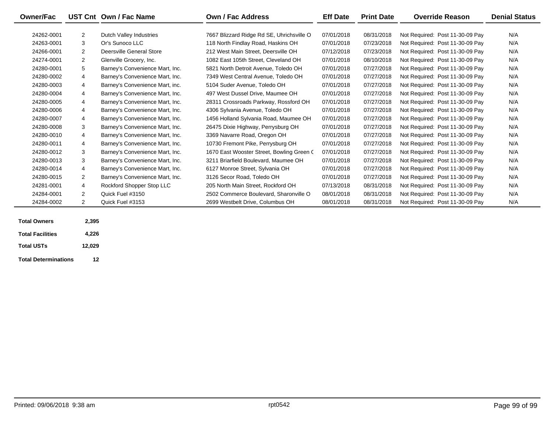| <b>Owner/Fac</b> |                | UST Cnt Own / Fac Name          | <b>Own / Fac Address</b>                  | <b>Eff Date</b> | <b>Print Date</b> | <b>Override Reason</b>          | <b>Denial Status</b> |
|------------------|----------------|---------------------------------|-------------------------------------------|-----------------|-------------------|---------------------------------|----------------------|
|                  |                |                                 |                                           |                 |                   |                                 |                      |
| 24262-0001       | $\overline{2}$ | Dutch Valley Industries         | 7667 Blizzard Ridge Rd SE, Uhrichsville O | 07/01/2018      | 08/31/2018        | Not Required: Post 11-30-09 Pay | N/A                  |
| 24263-0001       | 3              | Or's Sunoco LLC                 | 118 North Findlay Road, Haskins OH        | 07/01/2018      | 07/23/2018        | Not Required: Post 11-30-09 Pay | N/A                  |
| 24266-0001       | $\overline{2}$ | Deersville General Store        | 212 West Main Street. Deersville OH       | 07/12/2018      | 07/23/2018        | Not Required: Post 11-30-09 Pay | N/A                  |
| 24274-0001       | 2              | Glenville Grocery, Inc.         | 1082 East 105th Street, Cleveland OH      | 07/01/2018      | 08/10/2018        | Not Required: Post 11-30-09 Pay | N/A                  |
| 24280-0001       | 5              | Barney's Convenience Mart, Inc. | 5821 North Detroit Avenue, Toledo OH      | 07/01/2018      | 07/27/2018        | Not Required: Post 11-30-09 Pay | N/A                  |
| 24280-0002       | $\overline{4}$ | Barney's Convenience Mart, Inc. | 7349 West Central Avenue. Toledo OH       | 07/01/2018      | 07/27/2018        | Not Required: Post 11-30-09 Pay | N/A                  |
| 24280-0003       | $\overline{4}$ | Barney's Convenience Mart, inc. | 5104 Suder Avenue, Toledo OH              | 07/01/2018      | 07/27/2018        | Not Required: Post 11-30-09 Pay | N/A                  |
| 24280-0004       | $\overline{4}$ | Barney's Convenience Mart, Inc. | 497 West Dussel Drive, Maumee OH          | 07/01/2018      | 07/27/2018        | Not Required: Post 11-30-09 Pay | N/A                  |
| 24280-0005       | 4              | Barney's Convenience Mart, Inc. | 28311 Crossroads Parkway, Rossford OH     | 07/01/2018      | 07/27/2018        | Not Required: Post 11-30-09 Pay | N/A                  |
| 24280-0006       | $\overline{4}$ | Barney's Convenience Mart, Inc. | 4306 Sylvania Avenue, Toledo OH           | 07/01/2018      | 07/27/2018        | Not Required: Post 11-30-09 Pay | N/A                  |
| 24280-0007       | $\overline{4}$ | Barney's Convenience Mart, Inc. | 1456 Holland Sylvania Road, Maumee OH     | 07/01/2018      | 07/27/2018        | Not Required: Post 11-30-09 Pay | N/A                  |
| 24280-0008       | 3              | Barney's Convenience Mart, Inc. | 26475 Dixie Highway, Perrysburg OH        | 07/01/2018      | 07/27/2018        | Not Required: Post 11-30-09 Pay | N/A                  |
| 24280-0010       | $\overline{4}$ | Barney's Convenience Mart, Inc. | 3369 Navarre Road, Oregon OH              | 07/01/2018      | 07/27/2018        | Not Required: Post 11-30-09 Pay | N/A                  |
| 24280-0011       | $\overline{4}$ | Barney's Convenience Mart, Inc. | 10730 Fremont Pike, Perrysburg OH         | 07/01/2018      | 07/27/2018        | Not Required: Post 11-30-09 Pay | N/A                  |
| 24280-0012       | 3              | Barney's Convenience Mart, Inc. | 1670 East Wooster Street, Bowling Green C | 07/01/2018      | 07/27/2018        | Not Required: Post 11-30-09 Pay | N/A                  |
| 24280-0013       | 3              | Barney's Convenience Mart, Inc. | 3211 Briarfield Boulevard, Maumee OH      | 07/01/2018      | 07/27/2018        | Not Required: Post 11-30-09 Pay | N/A                  |
| 24280-0014       | $\overline{4}$ | Barney's Convenience Mart, Inc. | 6127 Monroe Street, Sylvania OH           | 07/01/2018      | 07/27/2018        | Not Required: Post 11-30-09 Pay | N/A                  |
| 24280-0015       | $\overline{2}$ | Barney's Convenience Mart, Inc. | 3126 Secor Road, Toledo OH                | 07/01/2018      | 07/27/2018        | Not Required: Post 11-30-09 Pay | N/A                  |
| 24281-0001       | $\overline{4}$ | Rockford Shopper Stop LLC       | 205 North Main Street, Rockford OH        | 07/13/2018      | 08/31/2018        | Not Required: Post 11-30-09 Pay | N/A                  |
| 24284-0001       | 2              | Quick Fuel #3150                | 2502 Commerce Boulevard, Sharonville O    | 08/01/2018      | 08/31/2018        | Not Required: Post 11-30-09 Pay | N/A                  |
| 24284-0002       | 2              | Quick Fuel #3153                | 2699 Westbelt Drive, Columbus OH          | 08/01/2018      | 08/31/2018        | Not Required: Post 11-30-09 Pay | N/A                  |

| <b>Total Owners</b>         | 2.395  |
|-----------------------------|--------|
| <b>Total Facilities</b>     | 4,226  |
| <b>Total USTs</b>           | 12,029 |
| <b>Total Determinations</b> | 12     |